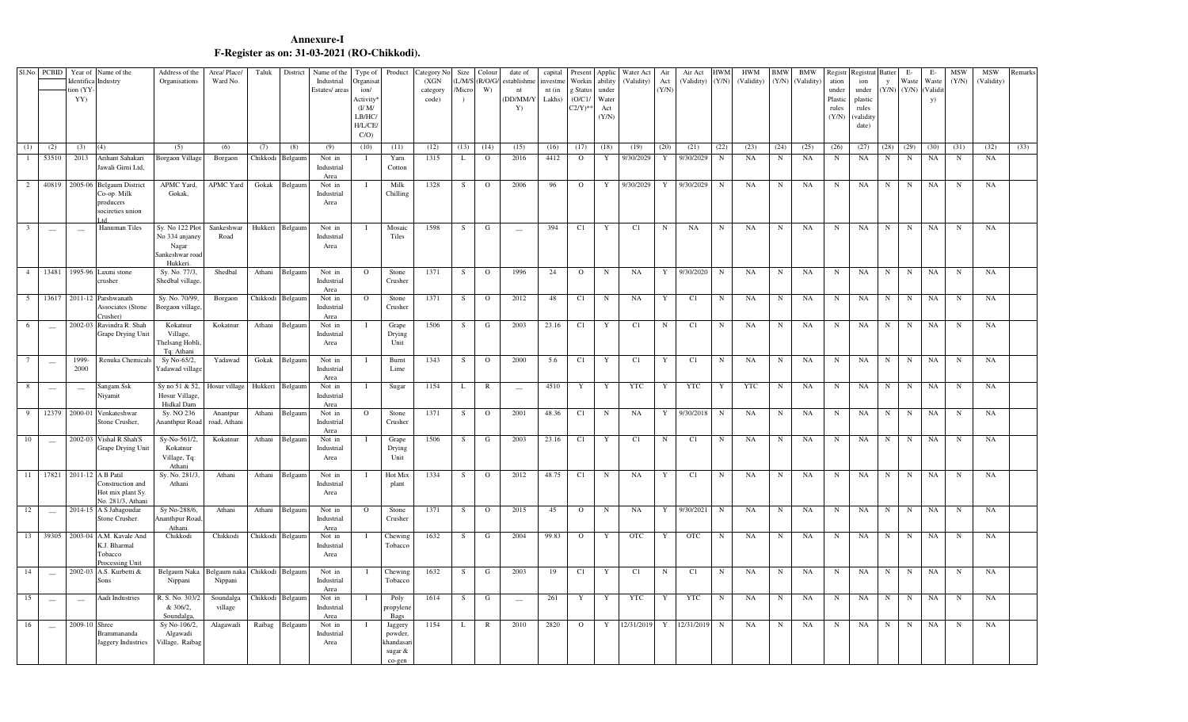## **F-Register as on: 31-03-2021 (RO-Chikkodi). Annexure-I**

|                     | Sl.No. PCBID             | tion (YY-<br>YY)         | Year of Name of the<br>Identifica Industry                                            | Address of the<br>Organisations                             | Area/Place/<br>Ward No.  | Taluk            | District         | Name of the<br>Industrial<br>Estates/areas | Type of<br>Organisa<br>ion/<br><b>Activity</b><br>$($ I/M $/$<br>LB/HC<br>H/L/CE<br>C/O | Product                                                 | Category No<br>(XGN)<br>category<br>code) | Size<br>Micro<br>$\lambda$ | Colour<br>$LM/S$ ( $R/O/G/$<br>W) | date of<br>establishme<br>nt<br>DD/MM/Y<br>Y) | capital<br>investme<br>$nt$ $(in$<br>Lakhs) | Present<br>Workin<br>Status<br>(O/C1/<br>$C2/Y$ <sup>*</sup> | Applic<br>ability<br>under<br>Water<br>Act<br>(Y/N) | Water Act<br>(Validity) | Air<br>Act<br>(Y/N) | Air Act<br>(Validity) (Y/N) | <b>HWM</b>          | <b>HWM</b><br>(Validity) | <b>BMW</b>     | <b>BMW</b><br>(Y/N) (Validity) | Registr<br>ation<br>under<br>Plastic<br>rules<br>(Y/N) | legistrat Batter<br>ion<br>under<br>plastic<br>rules<br>(validity<br>date) | $\mathbf{y}$<br>$(Y/N)$ $(Y/N)$ | E-<br>Waste          | E-<br>Waste<br>(Validit<br><b>y</b> ) | <b>MSW</b><br>(Y/N) | <b>MSW</b><br>(Validity) | Remarks |
|---------------------|--------------------------|--------------------------|---------------------------------------------------------------------------------------|-------------------------------------------------------------|--------------------------|------------------|------------------|--------------------------------------------|-----------------------------------------------------------------------------------------|---------------------------------------------------------|-------------------------------------------|----------------------------|-----------------------------------|-----------------------------------------------|---------------------------------------------|--------------------------------------------------------------|-----------------------------------------------------|-------------------------|---------------------|-----------------------------|---------------------|--------------------------|----------------|--------------------------------|--------------------------------------------------------|----------------------------------------------------------------------------|---------------------------------|----------------------|---------------------------------------|---------------------|--------------------------|---------|
| (1)<br>$\mathbf{1}$ | (2)<br>53510             | (3)<br>2013              | (4)<br>Arihant Sahakari                                                               | (5)<br><b>Borgaon Village</b>                               | (6)<br>Borgaon           | (7)<br>Chikkodi  | (8)<br>Belgaum   | (9)<br>Not in                              | (10)                                                                                    | (11)<br>Yarn                                            | (12)<br>1315                              | (13)<br>L                  | (14)<br>$\circ$                   | (15)<br>2016                                  | (16)<br>4412                                | (17)<br>$\overline{O}$                                       | (18)<br>$\mathbf Y$                                 | (19)<br>9/30/2029       | (20)<br>Y           | (21)<br>9/30/2029           | (22)<br>$\mathbf N$ | (23)<br>NA               | (24)<br>$\,$ N | (25)<br>NA                     | (26)<br>$_{\rm N}$                                     | (27)<br>$_{\rm NA}$                                                        | (28)<br>$_{\rm N}$              | (29)<br>$\, {\rm N}$ | (30)<br>$_{\rm NA}$                   | (31)<br>$_{\rm N}$  | (32)<br>NA               | (33)    |
|                     |                          |                          | Jawali Girni Ltd,                                                                     |                                                             |                          |                  |                  | Industrial                                 |                                                                                         | Cotton                                                  |                                           |                            |                                   |                                               |                                             |                                                              |                                                     |                         |                     |                             |                     |                          |                |                                |                                                        |                                                                            |                                 |                      |                                       |                     |                          |         |
| 2                   |                          |                          | 40819 2005-06 Belgaum District                                                        | APMC Yard,                                                  | APMC Yard                | Gokak            | Belgaum          | Area<br>Not in                             |                                                                                         | Milk                                                    | 1328                                      | S                          | $\circ$                           | 2006                                          | 96                                          | $\circ$                                                      | Y                                                   | 9/30/2029               | Y                   | 9/30/2029                   | $\mathbf N$         | NA                       | $_{\rm N}$     | NA                             | N                                                      | NA                                                                         | $_{\rm N}$                      | N                    | NA                                    | N                   | NA                       |         |
|                     |                          |                          | Co-op. Milk<br>producers<br>socireties union                                          | Gokak,                                                      |                          |                  |                  | Industrial<br>Area                         |                                                                                         | Chilling                                                |                                           |                            |                                   |                                               |                                             |                                                              |                                                     |                         |                     |                             |                     |                          |                |                                |                                                        |                                                                            |                                 |                      |                                       |                     |                          |         |
| $\overline{3}$      | $\sim$                   | $\sim$                   | Hanuman Tiles                                                                         | Sy. No 122 Plot                                             | Sankeshwar               | Hukkeri          | Belgaun          | Not in                                     |                                                                                         | Mosaic                                                  | 1598                                      | S                          | G                                 | $\overline{\phantom{a}}$                      | 394                                         | C1                                                           | $\mathbf Y$                                         | C1                      | N                   | NA                          | $\mathbf N$         | NA                       | N              | NA                             | N                                                      | $_{\rm NA}$                                                                | N                               | $\, {\rm N}$         | $_{\rm NA}$                           | $_{\rm N}$          | NA                       |         |
|                     |                          |                          |                                                                                       | No 334 anjaney<br>Nagar<br>Sankeshwar road<br>Hukkeri.      | Road                     |                  |                  | Industrial<br>Area                         |                                                                                         | Tiles                                                   |                                           |                            |                                   |                                               |                                             |                                                              |                                                     |                         |                     |                             |                     |                          |                |                                |                                                        |                                                                            |                                 |                      |                                       |                     |                          |         |
| 4                   |                          |                          | 13481 1995-96 Laxmi stone<br>rusher                                                   | Sy. No. 77/3,<br>Shedbal village                            | Shedbal                  | Athani           | Belgaum          | Not in<br>Industrial<br>Area               | $\overline{O}$                                                                          | Stone<br>Crusher                                        | 1371                                      | S                          | $\circ$                           | 1996                                          | 24                                          | $\circ$                                                      | $\mathbf N$                                         | NA                      | Y                   | 9/30/2020                   | $\mathbf N$         | NA                       | $\mathbf N$    | NA                             | N                                                      | NA                                                                         | N                               | $\mathbf N$          | NA                                    | $\mathbf N$         | NA                       |         |
| 5                   |                          |                          | 13617 2011-12 Parshwanath<br><b>Associates (Stone</b><br>Crusher)                     | Sy. No. 70/99,<br>Borgaon village                           | Borgaon                  | Chikkodi         | Belgaum          | Not in<br>Industrial<br>Area               | $\Omega$                                                                                | Stone<br>Crusher                                        | 1371                                      | <sub>S</sub>               | $\circ$                           | 2012                                          | 48                                          | C1                                                           | N                                                   | NA                      | Y                   | C1                          | N                   | NA                       | N              | NA                             | N                                                      | NA                                                                         | N                               | N                    | NA                                    | N                   | NA                       |         |
| 6                   | $\sim$                   |                          | 2002-03 Ravindra R. Shah<br>Grape Drying Unit                                         | Kokatnur<br>Village,<br>Thelsang Hobli<br>Tq: Athani        | Kokatnur                 | Athani           | Belgaum          | Not in<br>Industrial<br>Area               |                                                                                         | Grape<br>Drying<br>Unit                                 | 1506                                      | S                          | G                                 | 2003                                          | 23.16                                       | C1                                                           | $\mathbf Y$                                         | C1                      | $_{\rm N}$          | C1                          | N                   | NA                       | N              | NA                             | N                                                      | NA                                                                         | $\mathbf N$                     | $\mathbf N$          | NA                                    | $\mathbf N$         | NA                       |         |
|                     | $\frac{1}{2}$            | 1999-<br>2000            | Renuka Chemicals                                                                      | Sy No-65/2,<br>Yadawad village                              | Yadawad                  | Gokak            | Belgaum          | Not in<br>Industrial<br>Area               | $\mathbf I$                                                                             | Burnt<br>Lime                                           | 1343                                      | S                          | $\circ$                           | 2000                                          | 5.6                                         | C1                                                           | Y                                                   | C1                      | Y                   | C1                          | $\mathbf N$         | NA                       | $\mathbf N$    | NA                             | N                                                      | NA                                                                         | N                               | $\mathbf N$          | NA                                    | $\mathbf N$         | NA                       |         |
| 8                   | $\sim$                   | $\overline{\phantom{a}}$ | Sangam Ssk<br>Niyamit                                                                 | Sy no 51 & 52,<br><b>Hosur Village</b><br><b>Hidkal Dam</b> | Hosur village            | Hukkeri          | Belgaum          | Not in<br>Industrial<br>Area               |                                                                                         | Sugar                                                   | 1154                                      | L                          | $\mathbb{R}$                      | $\frac{1}{2}$                                 | 4510                                        | Y                                                            | $\mathbf Y$                                         | <b>YTC</b>              | Y                   | <b>YTC</b>                  | Y                   | <b>YTC</b>               | N              | NA                             | N                                                      | NA                                                                         | $_{\rm N}$                      | N                    | $_{\rm NA}$                           | N                   | NA                       |         |
| 9                   | 12379                    |                          | 2000-01 Venkateshwar<br>Stone Crusher,                                                | Sy. NO 236<br><b>Ananthpur Road</b>                         | Anantpur<br>road, Athani | Athani           | Belgaum          | Not in<br>Industrial<br>Area               | $\mathbf{O}$                                                                            | Stone<br>Crusher                                        | 1371                                      | S                          | $\circ$                           | 2001                                          | 48.36                                       | C1                                                           | $\, {\rm N}$                                        | <b>NA</b>               | Y                   | 9/30/2018                   | $\mathbf N$         | NA                       | N              | NA                             | N                                                      | NA                                                                         | $_{\rm N}$                      | $\mathbf N$          | NA                                    | $_{\rm N}$          | NA                       |         |
| 10                  | $\overline{\phantom{0}}$ |                          | 2002-03 Vishal R Shah'S<br>Grape Drying Unit                                          | Sy-No-561/2,<br>Kokatnur<br>Village, Tq:<br>Athani          | Kokatnur                 | Athani           | Belgaum          | Not in<br>Industrial<br>Area               |                                                                                         | Grape<br>Drying<br>Unit                                 | 1506                                      | S                          | G                                 | 2003                                          | 23.16                                       | C1                                                           | $\mathbf Y$                                         | C1                      | N                   | C1                          | N                   | NA                       | $_{\rm N}$     | NA                             | N                                                      | NA                                                                         | $_{\rm N}$                      | $\mathbf N$          | NA                                    | N                   | NA                       |         |
| 11                  |                          |                          | 17821 2011-12 A B Patil<br>Construction and<br>Hot mix plant Sy.<br>No. 281/3, Athani | Sy. No. 281/3<br>Athani                                     | Athani                   | Athani           | Belgaum          | Not in<br>Industrial<br>Area               | н                                                                                       | Hot Mix<br>plant                                        | 1334                                      | S                          | $\circ$                           | 2012                                          | 48.75                                       | C1                                                           | N                                                   | NA                      | Y                   | C1                          | N                   | NA                       | N              | <b>NA</b>                      | N                                                      | NA                                                                         | N                               | $_{\rm N}$           | NA                                    | N                   | NA                       |         |
| 12                  | $\overline{\phantom{a}}$ |                          | 2014-15 A S Jabagoudar<br>Stone Crusher.                                              | Sy No-288/6,<br>Ananthpur Road<br>Athani                    | Athani                   | Athani           | Belgaum          | Not in<br>Industrial<br>Area               | $\mathbf{O}$                                                                            | Stone<br>Crusher                                        | 1371                                      | S                          | $\circ$                           | 2015                                          | 45                                          | $\mathbf{O}$                                                 | ${\bf N}$                                           | NA                      | Y                   | 9/30/2021                   | $\mathbf N$         | NA                       | N              | NA                             | N                                                      | NA                                                                         | $_{\rm N}$                      | $\mathbf N$          | NA                                    | $\mathbf N$         | NA                       |         |
|                     |                          |                          | 13 39305 2003-04 A.M. Kavale And<br>K.J. Bharmal<br>Tobacco<br>Processing Unit        | Chikkodi                                                    | Chikkodi                 | Chikkodi         | Belgaum          | Not in<br>Industrial<br>Area               | $\mathbf I$                                                                             | Chewing<br>Tobacco                                      | 1632                                      | S                          | G                                 | 2004                                          | 99.83                                       | $\mathbf{O}$                                                 | Y                                                   | <b>OTC</b>              | Y                   | <b>OTC</b>                  | $\mathbf N$         | NA                       | N              | NA                             | N                                                      | NA                                                                         | N                               | $\mathbf N$          | NA                                    | N                   | NA                       |         |
| 14                  | $\overline{\phantom{a}}$ | 2002-03                  | A.S. Kurbetti &<br>Sons                                                               | Belgaum Naka<br>Nippani                                     | Belgaum naka<br>Nippani  | Chikkodi Belgaum |                  | Not in<br>Industrial<br>Area               |                                                                                         | Chewing<br>Tobacco                                      | 1632                                      | <sub>S</sub>               | G                                 | 2003                                          | 19                                          | C1                                                           | Y                                                   | C1                      | N                   | C1                          | N                   | NA                       | N              | NA                             | N                                                      | NA                                                                         | N                               | N                    | NA                                    | N                   | NA                       |         |
| 15                  | $\overline{\phantom{a}}$ | $\overline{\phantom{a}}$ | Aadi Industries                                                                       | R. S. No. 303/2<br>& 306/2.<br>Soundalga                    | Soundalga<br>village     |                  | Chikkodi Belgaum | Not in<br>Industrial<br>Area               | $\mathbf I$                                                                             | Poly<br>propylene<br>Bags                               | 1614                                      | S                          | G                                 | $\overline{\phantom{m}}$                      | 261                                         | Y                                                            | $\mathbf Y$                                         | <b>YTC</b>              | Y                   | <b>YTC</b>                  | $\mathbf N$         | NA                       | $_{\rm N}$     | NA                             | N                                                      | NA                                                                         | $_{\rm N}$                      | $\mathbf N$          | NA                                    | $\mathbf N$         | NA                       |         |
| 16                  | $\overline{\phantom{0}}$ | 2009-10 Shree            | Brammananda<br>Jaggery Industries                                                     | Sy No-106/2,<br>Algawadi<br>Village, Raibag                 | Alagawadi                | Raibag           | Belgaum          | Not in<br>Industrial<br>Area               |                                                                                         | Jaggery<br>powder,<br>khandasar<br>sugar $\&$<br>co-gen | 1154                                      | L                          | $\mathbb{R}$                      | 2010                                          | 2820                                        | $\circ$                                                      | Y                                                   | 12/31/2019              | Y                   | 12/31/2019                  | $\mathbf N$         | NA                       | $\mathbf N$    | NA                             | N                                                      | NA                                                                         | $_{\rm N}$                      | $\mathbf N$          | NA                                    | N                   | NA                       |         |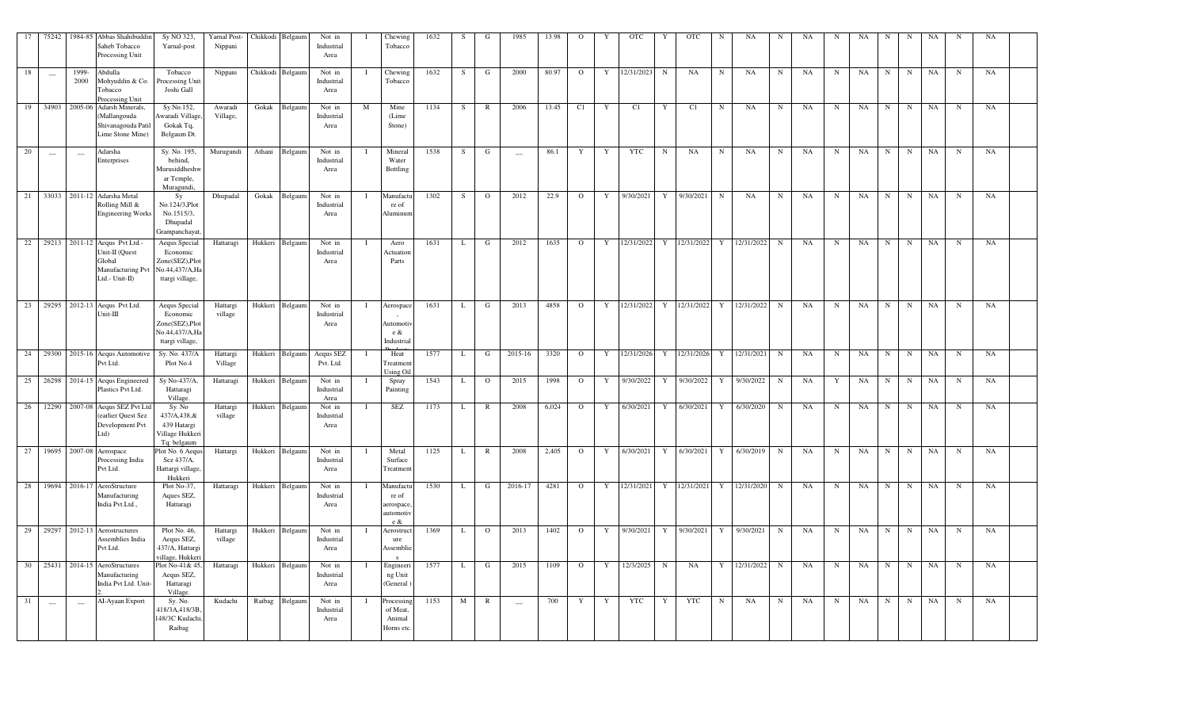| 17 |                                                | 75242 1984-85 Abbas Shahibuddir<br>Saheb Tobacco<br>Processing Unit                                              | Sy NO 323,<br>Yarnal-post                                                         | Yarnal Post-<br>Nippani |       | Chikkodi Belgaum | Not in<br>Industrial<br>Area           |     | Chewing<br>Tobacco                                      | 1632 | -S | G              | 1985    | 13.98 | $\Omega$       |              | <b>OTC</b>   |   | OTC            | N           | NA                                  | N           | NA | N           | NA | N | N           | NA |             | NA |  |
|----|------------------------------------------------|------------------------------------------------------------------------------------------------------------------|-----------------------------------------------------------------------------------|-------------------------|-------|------------------|----------------------------------------|-----|---------------------------------------------------------|------|----|----------------|---------|-------|----------------|--------------|--------------|---|----------------|-------------|-------------------------------------|-------------|----|-------------|----|---|-------------|----|-------------|----|--|
| 18 | $\hspace{0.1mm}$                               | Abdulla<br>1999-<br>2000<br>Mohyuddin & Co.<br>Tobacco<br>Processing Unit                                        | Tobacco<br>Processing Unit<br>Joshi Gall                                          | Nippani                 |       | Chikkodi Belgaum | Not in<br>Industrial<br>Area           |     | Chewing<br>Tobacco                                      | 1632 | S  | G              | 2000    | 80.97 | $\mathbf{O}$   | Y            | 12/31/2023   | N | NA             | $\mathbf N$ | NA                                  | $\mathbf N$ | NA | $\mathbf N$ | NA | N | N           | NA | $\mathbf N$ | NA |  |
|    |                                                | 19 34903 2005-06 Adarsh Minerals,<br>Mallangouda<br>Shivanagouda Patil<br>Lime Stone Mine)                       | Sy.No.152,<br>Awaradi Village,<br>Gokak Tq,<br>Belgaum Dt.                        | Awaradi<br>Village,     | Gokak | Belgaum          | Not in<br>Industrial<br>Area           | M   | Mine<br>(Lime<br>Stone)                                 | 1134 | S  | $\mathbb{R}$   | 2006    | 13.45 | C1             | Y            | C1           | Y | C1             | $\mathbf N$ | NA                                  | $\mathbf N$ | NA | $\mathbf N$ | NA | N | N           | NA | $\mathbf N$ | NA |  |
| 20 | $\hspace{0.1mm}-\hspace{0.1mm}-\hspace{0.1mm}$ | Adarsha<br>$\hspace{0.1mm}-\hspace{0.1mm}$<br>Enterprises                                                        | Sy. No. 195,<br>behind,<br>Murusiddheshw<br>ar Temple,<br>Muragundi,              | Murugundi               |       | Athani Belgaum   | Not in<br>Industrial<br>Area           |     | Mineral<br>Water<br>Bottling                            | 1538 | S  | G              | $\sim$  | 86.1  | Y              | Y            | <b>YTC</b>   | N | NA             | N           | NA                                  | N           | NA | N           | NA | N | N           | NA | $\mathbf N$ | NA |  |
| 21 |                                                | 33033 2011-12 Adarsha Metal<br>Rolling Mill &<br><b>Engineering Works</b>                                        | Sy<br>No.124/3, Plot<br>No.1515/3,<br>Dhupadal<br>Grampanchayat                   | Dhupadal                |       | Gokak Belgaum    | Not in<br>Industrial<br>Area           |     | Manufactu<br>re of<br>Aluminun                          | 1302 | S  | $\Omega$       | 2012    | 22.9  | $\Omega$       | Y            | 9/30/2021    | Y | 9/30/2021 N    |             | NA                                  | $\mathbf N$ | NA | N           | NA | N | $\mathbf N$ | NA | $\mathbf N$ | NA |  |
| 22 |                                                | 29213 2011-12 Aequs Pvt Ltd.<br>Unit-II (Quest<br>Global<br>Manufacturing Pvt No.44,437/A,Ha<br>Ltd.- $Unit-II)$ | Aequs Special<br>Economic<br>Zone(SEZ), Plot<br>ttargi village,                   | Hattaragi               |       | Hukkeri Belgaum  | Not in<br>Industrial<br>Area           |     | Aero<br>Actuation<br>Parts                              | 1631 | L  | G              | 2012    | 1635  | $\overline{O}$ | $\mathbf{Y}$ | 12/31/2022   |   | Y 12/31/2022 Y |             | 12/31/2022 N                        |             | NA | $\mathbf N$ | NA | N | N           | NA | $\mathbf N$ | NA |  |
|    |                                                | 23 29295 2012-13 Aequs Pvt Ltd.<br>∪nit-III                                                                      | Aequs Special<br>Economic<br>Zone(SEZ), Plot<br>No.44,437/A,Ha<br>ttargi village, | Hattargi<br>village     |       | Hukkeri Belgaum  | Not in<br>Industrial<br>Area           | - I | Aerospace<br>Automoti <sup>,</sup><br>e &<br>Industrial | 1631 | L. | G              | 2013    | 4858  | $\overline{O}$ |              | Y 12/31/2022 |   |                |             | Y   12/31/2022   Y   12/31/2022   N |             | NA | N           | NA | N | N           | NA | $\mathbf N$ | NA |  |
|    |                                                | 24 29300 2015-16 Aequs Automotive<br>Pvt Ltd.                                                                    | Sy. No. 437/A<br>Plot No.4                                                        | Hattargi<br>Village     |       |                  | Hukkeri Belgaum Aequs SEZ<br>Pvt. Ltd. |     | Heat<br>Treatmen<br><b>Using Oil</b>                    | 1577 | L  | G              | 2015-16 | 3320  | $\mathbf{O}$   | Y            | 12/31/2026   |   |                |             | Y 12/31/2026 Y 12/31/2021 N         |             | NA | N           | NA | N | N           | NA | $\mathbf N$ | NA |  |
| 25 |                                                | 26298 2014-15 Aequs Engineered<br>Plastics Pvt Ltd.                                                              | Sy No-437/A<br>Hattaragi<br>Village                                               | Hattaragi               |       | Hukkeri Belgaum  | Not in<br>Industrial<br>Area           |     | Spray<br>Painting                                       | 1543 | L  | $\overline{O}$ | 2015    | 1998  | $\Omega$       | Y            | 9/30/2022    | Y | 9/30/2022 Y    |             | 9/30/2022 N                         |             | NA | Y           | NA | N | N           | NA | N           | NA |  |
| 26 |                                                | 12290 2007-08 Aequs SEZ Pvt Ltd<br>(earlier Quest Sez<br>Development Pvt<br>Ltd)                                 | Sy. No<br>437/A,438,&<br>439 Hatargi<br>Village Hukkeri<br>Tq: belgaum            | Hattargi<br>village     |       | Hukkeri Belgaum  | Not in<br>Industrial<br>Area           |     | SEZ                                                     | 1173 | L  | $\mathbb{R}$   | 2008    | 6,024 | $\Omega$       | Y            | 6/30/2021    | Y | 6/30/2021 Y    |             | 6/30/2020 N                         |             | NA | $\mathbf N$ | NA | N | $\mathbf N$ | NA | N           | NA |  |
| 27 |                                                | 19695 2007-08 Aerospace<br>Processing India<br>Pvt Ltd.                                                          | Plot No. 6 Aequs<br>Sez 437/A,<br>Hattargi village.<br>Hukkeri                    | Hattargi                |       | Hukkeri Belgaum  | Not in<br>Industrial<br>Area           |     | Metal<br>Surface<br>Treatmen                            | 1125 | L  | $\mathbb{R}$   | 2008    | 2,405 | $\Omega$       | Y            | 6/30/2021    | Y | 6/30/2021 Y    |             | 6/30/2019 N                         |             | NA | $\mathbf N$ | NA | N | N           | NA | N           | NA |  |
| 28 |                                                | 19694 2016-17 AeroStructure<br>Manufacturing<br>India Pvt.Ltd.,                                                  | Plot No-37,<br>Aques SEZ,<br>Hattaragi                                            | Hattaragi               |       | Hukkeri Belgaum  | Not in<br>Industrial<br>Area           |     | Manufactu<br>re of<br>aerospace,<br>automotiv<br>e &    | 1530 | L  | G              | 2016-17 | 4281  | $\overline{O}$ |              | Y 12/31/2021 |   |                |             | Y 12/31/2021 Y 12/31/2020 N         |             | NA | $\mathbf N$ | NA | N | N           | NA | $\mathbf N$ | NA |  |
|    |                                                | 29 29297 2012-13 Aerostructures<br>Assemblies India<br>Pvt Ltd.                                                  | Plot No. 46,<br>Aequs SEZ,<br>437/A, Hattargi<br>village, Hukkeri                 | Hattargi<br>village     |       | Hukkeri Belgaum  | Not in<br>Industrial<br>Area           |     | Aerostruct<br>ure<br>Assemblie                          | 1369 | L  | $\mathbf{O}$   | 2013    | 1402  | $\overline{O}$ |              | Y 9/30/2021  | Y | 9/30/2021 Y    |             | 9/30/2021 N                         |             | NA | $\mathbf N$ | NA | N | N           | NA | N           | NA |  |
|    |                                                | 30 25431 2014-15 AeroStructures<br>Manufacturing<br>India Pvt Ltd. Unit-                                         | Plot No-41& 45,<br>Aequs SEZ,<br>Hattaragi<br>Village.                            | Hattaragi               |       | Hukkeri Belgaum  | Not in<br>Industrial<br>Area           |     | Engineeri<br>ng Unit<br>(General)                       | 1577 | L  | G              | 2015    | 1109  | $\overline{O}$ |              | Y 12/3/2025  | N | NA             |             | Y 12/31/2022 N                      |             | NA | $\mathbf N$ | NA |   | $N$ $N$     | NA | N           | NA |  |
| 31 | $\hspace{0.1mm}-\hspace{0.1mm}$                | AI-Ayaan Export<br>$\sim$                                                                                        | Sy. No.<br>418/3A, 418/3B<br>48/3C Kudachi<br>Raibag                              | Kudachi                 |       | Raibag Belgaum   | Not in<br>Industrial<br>Area           |     | Processing<br>of Meat<br>Animal<br>Horns etc.           | 1153 | M  | $\mathbb{R}$   | $\sim$  | 700   | Y              | Y            | YTC 1        | Y | YTC N          |             | NA                                  | N           | NA | N           |    |   | NA N N NA   |    | N           | NA |  |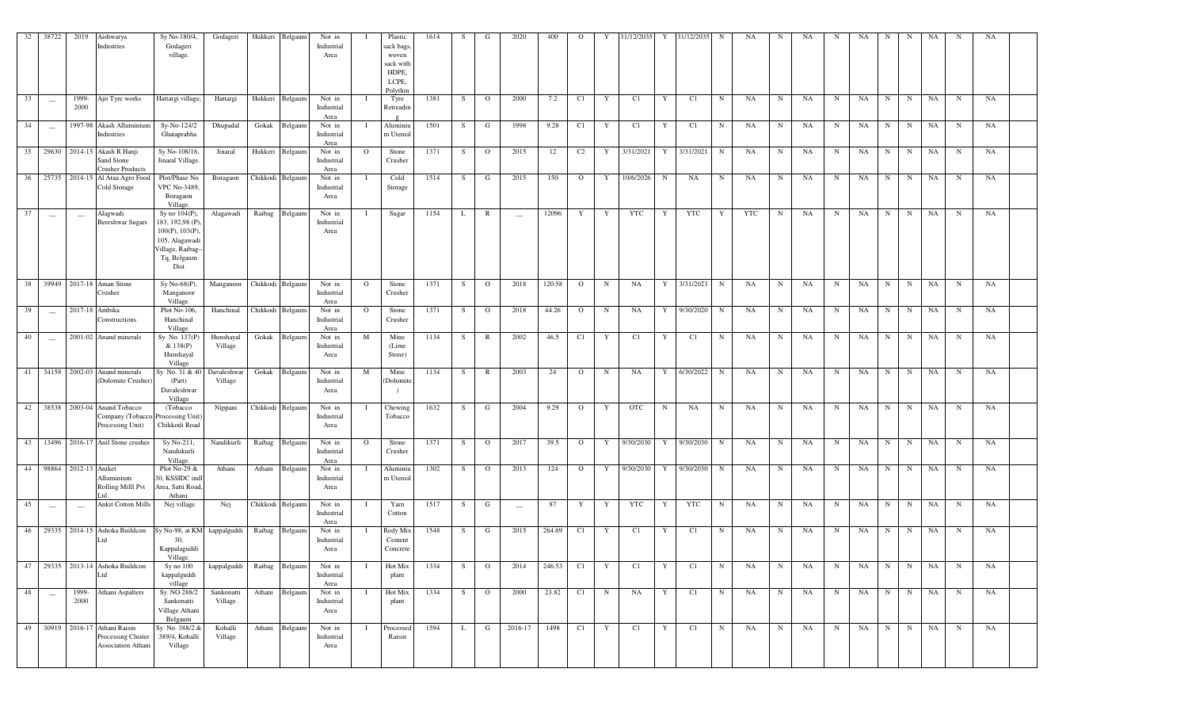| 32    | 38722                    | 2019                            | Aishwarya<br>Industries                                                        | Sy No-180/4,<br>Godageri<br>village.                                                                              | Godageri                   | Hukkeri          | Belgaum         | Not in<br>Industrial<br>Area |          | Plastic<br>sack bags.<br>woven<br>sack with<br>HDPE,<br>LCPE,<br>Polythi | 1614 |    | G              | 2020                     | 400            | $\Omega$       |              | 31/12/2035 | Y             | 31/12/2035              |             | NA  | N           | NA | N           | NA   | N           | N           | NA        | N           | NA        |  |
|-------|--------------------------|---------------------------------|--------------------------------------------------------------------------------|-------------------------------------------------------------------------------------------------------------------|----------------------------|------------------|-----------------|------------------------------|----------|--------------------------------------------------------------------------|------|----|----------------|--------------------------|----------------|----------------|--------------|------------|---------------|-------------------------|-------------|-----|-------------|----|-------------|------|-------------|-------------|-----------|-------------|-----------|--|
| 33    | $\overline{\phantom{a}}$ | 1999-<br>2000                   | Ajit Tyre works                                                                | Hattargi village,                                                                                                 | Hattargi                   |                  | Hukkeri Belgaum | Not in<br>Industrial<br>Area |          | Tyre<br>Retreadir                                                        | 1381 | S  | $\overline{O}$ | 2000                     | 7.2            | C1             | Y            | C1         | Y             | C1                      | N           | NA  | $\mathbf N$ | NA | N           | NA   | N           | N           | NA        | N           | NA        |  |
| 34    | $\overline{\phantom{a}}$ |                                 | 1997-98 Akash Alluminium<br>Industries                                         | Sy-No-124/2<br>Ghataprabha                                                                                        | Dhupadal                   | Gokak            | Belgaum         | Not in<br>Industrial<br>Area |          | Aluminiu<br>m Utensil                                                    | 1501 | S  | G              | 1998                     | 9.28           | C1             | Y            | C1         | Y             | C1                      | $\mathbf N$ | NA  | $\mathbf N$ | NA | N           | NA   | $\mathbf N$ | N           | NA        | N           | NA        |  |
|       |                          |                                 | 35 29630 2014-15 Akash R Hanji<br>Sand Stone<br><b>Crusher Products</b>        | Sy No-108/16,<br>Jinaral Village.                                                                                 | Jinaral                    |                  | Hukkeri Belgaum | Not in<br>Industrial<br>Area | $\circ$  | Stone<br>Crusher                                                         | 1371 | S. | $\overline{O}$ | 2015                     | 12             | C2             | $\mathbf{Y}$ | 3/31/2021  |               | Y 3/31/2021             | $\mathbf N$ | NA  | $\mathbf N$ | NA | N           | NA   | N           | N           | NA        | $\mathbf N$ | NA        |  |
| 36    |                          |                                 | 25735 2014-15 Al Ataa Agro Food<br>Cold Storage                                | Plot/Phase No<br>VPC No-3489,<br>Boragaon<br>Village.                                                             | Boragaon                   | Chikkodi Belgaum |                 | Not in<br>Industrial<br>Area |          | Cold<br>Storage                                                          | 1514 | S  | G              | 2015                     | 150            | $\Omega$       | Y            | 10/6/2026  | N             | NA                      | $\mathbf N$ | NA  | $\mathbf N$ | NA | N           | NA   | $\mathbf N$ | N           | NA        | $\mathbf N$ | <b>NA</b> |  |
| 37    | $\sim$                   | $\hspace{0.1mm}-\hspace{0.1mm}$ | Alagwadi<br><b>Bereshwar Sugars</b>                                            | Sy no 104(P),<br>183, 192,98 (P),<br>100(P), 103(P),<br>105, Alagawadi<br>Village, Raibag-<br>Tq, Belgaum<br>Dist | Alagawadi                  |                  | Raibag Belgaum  | Not in<br>Industrial<br>Area |          | Sugar                                                                    | 1154 | L  | $\mathbb{R}$   | $\frac{1}{2}$            | 12096          | Y              | Y            | YTC        | Y             | YTC                     | Y           | YTC | $\mathbf N$ | NA | N           | NA   | N           | N           | NA        | N           | NA        |  |
|       |                          |                                 | 38 39949 2017-18 Aman Stone<br>Crusher                                         | Sy No-68(P),<br>Manganoor<br>Village.                                                                             | Manganoor Chikkodi Belgaum |                  |                 | Not in<br>Industrial<br>Area | $\circ$  | Stone<br>Crusher                                                         | 1371 | S. | $\overline{O}$ | 2018                     | 120.58         | $\mathbf{O}$   | $\mathbf N$  | NA         |               | Y 3/31/2023             | $\mathbf N$ | NA  | $\mathbf N$ | NA | N           | NA   |             | $N$ N       | NA        | N           | NA        |  |
| 39    | $\sim$                   |                                 | 2017-18 Ambika<br>Constructions                                                | Plot No-106,<br>Hanchinal<br>Village.                                                                             | Hanchinal                  | Chikkodi Belgaum |                 | Not in<br>Industrial<br>Area | $\circ$  | Stone<br>Crusher                                                         | 1371 | S. | $\overline{O}$ | 2018                     | 44.26          | $\Omega$       | $\mathbf N$  | NA         |               | Y 9/30/2020             | $\mathbf N$ | NA  | $\mathbf N$ | NA | $\mathbf N$ | NA   | N           | N           | NA        | $\mathbf N$ | NA        |  |
| 40    | $\overline{\phantom{m}}$ |                                 | 2001-02 Anand minerals                                                         | Sy. No. 137(P)<br>& 138(P)<br>Hunshayal<br>Village                                                                | Hunshayal<br>Village       | Gokak            | Belgaum         | Not in<br>Industrial<br>Area | M        | Mine<br>(Lime<br>Stone)                                                  | 1134 | S  | $\mathbb{R}$   | 2002                     | 46.5           | C1             | Y            | C1         | Y             | C1                      | $\mathbf N$ | NA  | $\mathbf N$ | NA | N           | NA   | $\mathbf N$ | N           | NA        | N           | NA        |  |
| 41    |                          |                                 | 34158 2002-03 Anand minerals<br>(Dolomite Crusher)                             | Sy. No. 31 & 40<br>(Part)<br>Davaleshwar<br>Village                                                               | Davaleshwar<br>Village     | Gokak            | Belgaum         | Not in<br>Industrial<br>Area | M        | Mine<br>Dolomit                                                          | 1134 | S  | $\mathbb{R}$   | 2003                     | 24             | $\Omega$       | $\mathbf N$  | NA         |               | Y 6/30/2022             | N           | NA  | $\mathbf N$ | NA | N           | NA   | $\mathbf N$ | N           | NA        | $\mathbf N$ | NA        |  |
|       |                          |                                 | 42 38538 2003-04 Anand Tobacco<br>Company (Tobacco<br>Processing Unit)         | (Tobacco)<br>Processing Unit)<br>Chikkodi Road                                                                    | Nippani                    | Chikkodi Belgaum |                 | Not in<br>Industrial<br>Area |          | Chewing<br>Tobacco                                                       | 1632 | S. | G              | 2004                     | 9.29           | $\mathbf{O}$   | Y            | <b>OTC</b> | N             | NA                      | $\mathbf N$ | NA  | $\mathbf N$ | NA | N           | NA   | N           | N           | NA        | $\mathbf N$ | NA        |  |
| $-43$ |                          |                                 | 13496 2016-17 Anil Stone crusher                                               | Sy No-211,<br>Nandukurli<br>Village.                                                                              | Nandikurli                 | Raibag           | Belgaum         | Not in<br>Industrial<br>Area | $\Omega$ | Stone<br>Crusher                                                         | 1371 | S  | $\overline{O}$ | 2017                     | 39.5           | $\Omega$       | Y            |            |               | 9/30/2030 Y 9/30/2030 N |             | NA  | $\mathbf N$ | NA | N           | NA   | $\mathbf N$ | N           | NA        | $\mathbf N$ | NA        |  |
|       |                          | 44 98864 2012-13 Aniket         | Alluminium<br>Rolling Milll Pvt                                                | Plot No-29 &<br>30, KSSIDC indl<br>Area, Satti Road,<br>Athani.                                                   | Athani                     | Athani           | Belgaum         | Not in<br>Industrial<br>Area |          | Aluminiu<br>m Utensil                                                    | 1302 | S  | $\overline{O}$ | 2013                     | 124            | $\overline{O}$ | Y            | 9/30/2030  |               | Y 9/30/2030             | $\mathbf N$ | NA  | $\mathbf N$ | NA | $\mathbf N$ | NA   | $\mathbf N$ | $\mathbf N$ | NA        | $\mathbf N$ | NA        |  |
| 45    | $\hspace{0.1mm}$         | $\hspace{0.1mm}$                | <b>Ankit Cotton Mills</b>                                                      | Nej village                                                                                                       | Nej                        | Chikkodi Belgaum |                 | Not in<br>Industrial<br>Area |          | Yarn<br>Cotton                                                           | 1517 | S  | G              | $\overline{\phantom{a}}$ | 87             | Y              | Y            | YTC        | Y             | YTC                     | $\mathbf N$ | NA  | N           | NA | N           | NA 1 | N           | N           | NA        | N           | NA        |  |
|       |                          |                                 | 46 29335 2014-15 Ashoka Buildcon<br>Ltd.                                       | Sy No-98, at KM kappalguddi Raibag Belgaum<br>30,<br>Kappalaguddi<br>Village.                                     |                            |                  |                 | Not in<br>Industrial<br>Area |          | Redy Mix<br>Cement<br>Concrete                                           | 1548 | S. | G              | 2015                     | 264.69 C1      |                | Y            | C1         | Y             | C1                      | $\mathbf N$ | NA  | $\mathbf N$ | NA | N           | NA 1 | N           | N           | NA        | $\mathbf N$ | NA        |  |
|       |                          |                                 | 47 29335 2013-14 Ashoka Buildcon<br>Ltd                                        | Sy no 100<br>kappalguddi<br>village                                                                               | kappalguddi Raibag Belgaum |                  |                 | Not in<br>Industrial<br>Area |          | Hot Mix<br>plant                                                         | 1334 | S  | $\overline{O}$ |                          | 2014 246.53 C1 |                | $Y \cup$     | C1         | $Y \parallel$ | C1                      | N           | NA  | N           | NA | N           |      |             |             | NA N N NA | N           | NA        |  |
| 48    | $\sim$                   | 1999-<br>2000                   | Athani Aspalters                                                               | Sy. NO 288/2<br>Sankonatti<br>Village Athani<br>Belgaum                                                           | Sankonatti<br>Village      |                  | Athani Belgaum  | Not in<br>Industrial<br>Area |          | Hot Mix<br>plant                                                         | 1334 | S. | $\overline{O}$ | 2000                     | 23.82 C1       |                | N            | NA         | Y             | C1                      | $\mathbf N$ | NA  | N           | NA | N           |      |             | NA N N      | NA        | $\mathbf N$ | NA        |  |
| 49    |                          |                                 | 30919 2016-17 Athani Raisin<br>Processing Cluster<br><b>Association Athani</b> | Sy. No. 388/2 &<br>389/4, Kohalli<br>Village                                                                      | Kohalli<br>Village         |                  | Athani Belgaum  | Not in<br>Industrial<br>Area |          | Processed<br>Raisin                                                      | 1594 |    | G              | 2016-17                  | 1498           | C1             | Y            | C1         | Y             | C1                      | N           | NA  | $\mathbf N$ | NA | N           | NA 1 | N           | N           | NA        | $\mathbf N$ | NA        |  |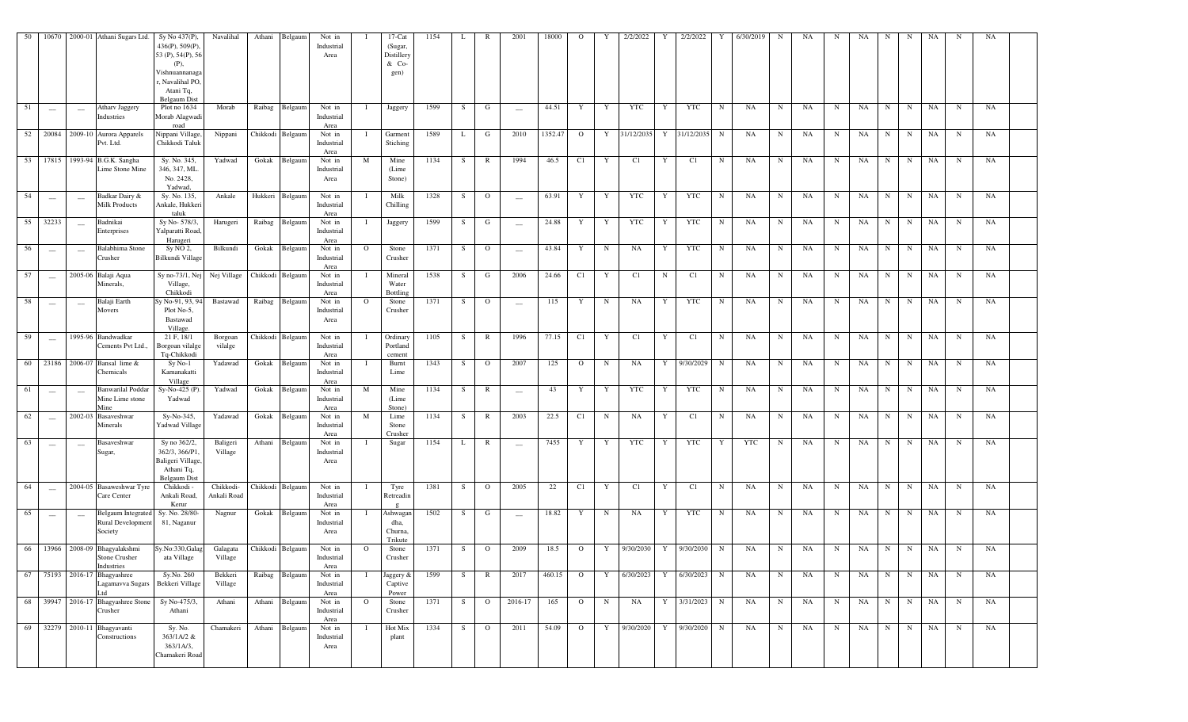| 50 | 10670                                          | 2000-01                         | Athani Sugars Ltd.                                           | Sy No 437(P),<br>436(P), 509(P)<br>53 (P), 54(P), 56<br>$(P)$ ,<br>Vishnuannanaga<br>r, Navalihal PO,<br>Atani Tq,<br><b>Belgaum Dist</b> | Navalihal                | Athani | Belgaum          | Not in<br>Industrial<br>Area |              | $17$ -Cat<br>(Sugar,<br>Distillery<br>& Co-<br>gen) | 1154 | L  | R              | 2001                            | 18000     | $\circ$        | Y           | 2/2/2022                            |   | 2/2/2022     |             | 6/30/2019  | N           | NA   | N | NA   | N           | -N          | NA     |             | NA |  |
|----|------------------------------------------------|---------------------------------|--------------------------------------------------------------|-------------------------------------------------------------------------------------------------------------------------------------------|--------------------------|--------|------------------|------------------------------|--------------|-----------------------------------------------------|------|----|----------------|---------------------------------|-----------|----------------|-------------|-------------------------------------|---|--------------|-------------|------------|-------------|------|---|------|-------------|-------------|--------|-------------|----|--|
| 51 | $\sim$                                         | $\equiv$                        | <b>Atharv Jaggery</b><br>Industries                          | Plot no 1634<br>Morab Alagwadi<br>road                                                                                                    | Morab                    |        | Raibag Belgaum   | Not in<br>Industrial<br>Area | $\mathbf{I}$ | Jaggery                                             | 1599 | S  | G              | $\overline{\phantom{a}}$        | 44.51     | Y              | Y           | YTC                                 | Y | YTC          | N           | NA         | N           | NA   | N | NA   | N           | N           | NA     | $\mathbf N$ | NA |  |
|    | 52 20084                                       |                                 | 2009-10 Aurora Apparels<br>Pvt. Ltd.                         | Nippani Village,<br>Chikkodi Taluk                                                                                                        | Nippani                  |        | Chikkodi Belgaum | Not in<br>Industrial<br>Area | - 1          | Garment<br>Stiching                                 | 1589 | L  | G              | 2010                            | 1352.47 O |                |             | Y 31/12/2035                        |   | Y 31/12/2035 | N           | NA         | $\mathbf N$ | NA   | N | NA   | N           | N           | NA     | $\mathbf N$ | NA |  |
|    |                                                |                                 | 53 17815 1993-94 B.G.K. Sangha<br><b>Lime Stone Mine</b>     | Sy. No. 345,<br>346, 347, ML<br>No. 2428,<br>Yadwad.                                                                                      | Yadwad                   |        | Gokak Belgaum    | Not in<br>Industrial<br>Area | M            | Mine<br>(Lime<br>Stone)                             | 1134 | S. | $\mathbb{R}$   | 1994                            | 46.5      | C1             | Y           | C1                                  | Y | C1           | $\mathbf N$ | NA         | N           | NA   | N | NA   | N           | $\mathbf N$ | NA     | $\mathbf N$ | NA |  |
| 54 | $\overline{\phantom{a}}$                       | $\sim$                          | Badkar Dairy &<br><b>Milk Products</b>                       | Sy. No. 135,<br>Ankale, Hukkeri<br>taluk                                                                                                  | Ankale                   |        | Hukkeri Belgaum  | Not in<br>Industrial<br>Area |              | Milk<br>Chilling                                    | 1328 | S. | $\Omega$       | $\hspace{0.1mm}-\hspace{0.1mm}$ | 63.91     | Y              | Y           | YTC                                 | Y | YTC          | N           | NA         | $\mathbf N$ | NA   | N | NA   | N           | N           | NA     | $\mathbf N$ | NA |  |
| 55 | 32233                                          | $\overline{\phantom{a}}$        | Badnikai<br>Enterprises                                      | Sy No-578/3,<br>Yalparatti Road,<br>Harugeri                                                                                              | Harugeri                 |        | Raibag Belgaum   | Not in<br>Industrial<br>Area |              | Jaggery                                             | 1599 | S  | G              | $\overline{\phantom{a}}$        | 24.88     | Y              | Y           | YTC                                 | Y | YTC          | N           | NA         | $\mathbf N$ | NA   | N | NA   | N           | N           | NA     | $\mathbf N$ | NA |  |
| 56 | $\hspace{0.05cm}$                              | $\overline{\phantom{a}}$        | Balabhima Stone<br>Crusher                                   | Sy NO 2,<br>Bilkundi Village                                                                                                              | Bilkundi                 |        | Gokak Belgaum    | Not in<br>Industrial<br>Area | $\Omega$     | Stone<br>Crusher                                    | 1371 | S  | $\mathbf{O}$   | $\overline{\phantom{a}}$        | 43.84     | Y              | N           | NA                                  | Y | YTC          | $_{\rm N}$  | NA         | $\mathbf N$ | NA   | N | NA   | N           | $\mathbf N$ | NA     | $\mathbf N$ | NA |  |
| 57 | $\overline{\phantom{a}}$                       |                                 | 2005-06 Balaji Aqua<br>Minerals,                             | Sy no-73/1, Ne<br>Village,<br>Chikkodi                                                                                                    | Nej Village              |        | Chikkodi Belgaum | Not in<br>Industrial<br>Area |              | Mineral<br>Water<br>Bottlins                        | 1538 | S. | G              | 2006                            | 24.66     | C1             | Y           | C1                                  | N | C1           | $_{\rm N}$  | NA         | $_{\rm N}$  | NA   | N | NA   | N           | $\mathbf N$ | NA     | $\mathbf N$ | NA |  |
| 58 | $\hspace{0.05cm}$                              | $\hspace{0.1mm}-\hspace{0.1mm}$ | Balaji Earth<br>Movers                                       | y No-91, 93, 94<br>Plot No-5,<br>Bastawad<br>Village.                                                                                     | Bastawad                 |        | Raibag Belgaum   | Not in<br>Industrial<br>Area | $\circ$      | Stone<br>Crusher                                    | 1371 | S. | $\circ$        | $\overline{\phantom{a}}$        | 115       | Y              | $\mathbf N$ | NA                                  | Y | <b>YTC</b>   | $_{\rm N}$  | NA         | $\mathbf N$ | NA   | N | NA   | $\mathbf N$ | $\mathbf N$ | NA     | N           | NA |  |
| 59 | $\sim$                                         |                                 | 1995-96 Bandwadkar<br>Cements Pvt Ltd.                       | 21 F, 18/1<br>Borgoan vilalge<br>Tq-Chikkodi                                                                                              | Borgoan<br>vilalge       |        | Chikkodi Belgaum | Not in<br>Industrial<br>Area |              | Ordinary<br>Portland<br>cement                      | 1105 | S. | $\mathbb{R}$   | 1996                            | 77.15     | C1             | Y           | C1                                  | Y | C1           | $_{\rm N}$  | NA         | $\mathbf N$ | NA   | N | NA   | N           | N           | NA     | $\mathbf N$ | NA |  |
| 60 |                                                | 23186 2006-07                   | Bansal lime &<br>Chemicals                                   | $Sy No-1$<br>Kamanakatti<br>Village                                                                                                       | Yadawad                  |        | Gokak Belgaum    | Not in<br>Industrial<br>Area |              | Burnt<br>Lime                                       | 1343 | S  | $\overline{O}$ | 2007                            | 125       | $\overline{0}$ | $\mathbf N$ | NA                                  | Y | 9/30/2029    | N           | NA         | $\mathbf N$ | NA   | N | NA   | N           | $\mathbf N$ | NA     | $\mathbf N$ | NA |  |
| 61 | $\hspace{0.1mm}-\hspace{0.1mm}-\hspace{0.1mm}$ | $\hspace{0.05cm}$               | <b>Banwarilal Poddar</b><br>Mine Lime stone<br>Mine          | Sy-No-425 (P).<br>Yadwad                                                                                                                  | Yadwad                   |        | Gokak Belgaum    | Not in<br>Industrial<br>Area | M            | Mine<br>(Lime<br>Stone)                             | 1134 | S  | $\mathbb{R}$   | $\hspace{0.1mm}-\hspace{0.1mm}$ | 43        | Y              | Y           | YTC                                 | Y | YTC          | $\mathbf N$ | NA         | $\mathbf N$ | NA   | N | NA   | N           | N           | NA     | $\mathbf N$ | NA |  |
| 62 | $\sim$                                         |                                 | 2002-03 Basaveshwar<br>Minerals                              | $Sy-No-345$ ,<br>Yadwad Village                                                                                                           | Yadawad                  |        | Gokak Belgaum    | Not in<br>Industrial<br>Area | M            | Lime<br>Stone<br>Crusher                            | 1134 | S. | $\mathbb{R}$   | 2003                            | 22.5      | C1             | N           | NA                                  | Y | C1           | N           | NA         | $\mathbf N$ | NA   | N | NA   | N           | $\mathbf N$ | NA     | $\mathbf N$ | NA |  |
| 63 | $\overline{\phantom{a}}$                       | $\overline{\phantom{a}}$        | Basaveshwar<br>Sugar,                                        | Sy no 362/2,<br>362/3, 366/P1<br>Baligeri Village<br>Athani Tq,<br><b>Belgaum</b> Dist                                                    | Baligeri<br>Village      |        | Athani Belgaum   | Not in<br>Industrial<br>Area |              | Sugar                                               | 1154 | L  | $\mathbb{R}$   | $\overline{\phantom{a}}$        | 7455      | Y              | Y           | YTC                                 | Y | <b>YTC</b>   | Y           | <b>YTC</b> | $\mathbf N$ | NA   | N | NA   | N           | $\mathbf N$ | NA     | $\mathbf N$ | NA |  |
| 64 | $\sim$                                         |                                 | 2004-05 Basaweshwar Tyre<br>Care Center                      | Chikkodi -<br>Ankali Road,<br>Kerur                                                                                                       | Chikkodi-<br>Ankali Road |        | Chikkodi Belgaum | Not in<br>Industrial<br>Area |              | Tyre<br>Retreadin                                   | 1381 | S  | $\mathbf{O}$   | 2005                            | 22        | C1             | Y           | C1                                  | Y | C1           | N           | NA         | $\mathbf N$ | NA   | N | NA   | N           | $\mathbf N$ | NA     | $\mathbf N$ | NA |  |
| 65 | $\hspace{0.1mm}$                               | $\overline{\phantom{a}}$        | <b>Belgaum</b> Integrated<br>Rural Development<br>Society    | Sy. No. 28/80-<br>81, Naganur                                                                                                             | Nagnur                   |        | Gokak Belgaum    | Not in<br>Industrial<br>Area |              | Ashwagan<br>dha,<br>Churna,<br>Trikute              | 1502 | S  | G              | $\overline{\phantom{a}}$        | 18.82     | Y              | N           | NA                                  | Y | YTC          | N           | NA         | $\mathbf N$ | NA   | N | NA   | N           | N           | NA     | N           | NA |  |
|    |                                                |                                 | 66 13966 2008-09 Bhagyalakshmi<br>Stone Crusher<br>ndustries | Sy.No:330, Galag Galagata<br>ata Village                                                                                                  | Village                  |        | Chikkodi Belgaum | Not in<br>Industrial<br>Area | $\circ$      | Stone<br>Crusher                                    | 1371 | S  | $\overline{O}$ | 2009                            |           |                |             | 18.5 0 Y 9/30/2030 Y 9/30/2030 N NA |   |              |             |            |             | N NA |   | N NA |             |             | N N NA | N           | NA |  |
| 67 |                                                |                                 | 75193 2016-17 Bhagyashree<br>agamavva Sugars                 | Sy.No. 260<br>Bekkeri Village                                                                                                             | Bekkeri<br>Village       |        | Raibag Belgaum   | Not in<br>Industrial<br>Area |              | Jaggery &<br>Captive<br>Power                       | 1599 | S  | $\mathbb{R}$   | 2017                            | 460.15    | $\overline{O}$ | Y           | 6/30/2023                           | Y | 6/30/2023    | N           | NA         | N           | NA   | N | NA   | N           | N           | NA     | $\mathbf N$ | NA |  |
|    |                                                |                                 | 68 39947 2016-17 Bhagyashree Stone<br>Crusher                | Sy No-475/3,<br>Athani                                                                                                                    | Athani                   |        | Athani Belgaum   | Not in<br>Industrial<br>Area | $\mathbf{O}$ | Stone<br>Crusher                                    | 1371 | S  | $\overline{O}$ | 2016-17                         | 165       | $\overline{O}$ | N           | NA                                  |   | Y 3/31/2023  | $\mathbf N$ | NA         | N           | NA   | N | NA   | N           | N           | NA     | N           | NA |  |
| 69 |                                                |                                 | 32279 2010-11 Bhagyavanti<br>Constructions                   | Sy. No.<br>363/1A/2 &<br>363/1A/3,<br>Chamakeri Road                                                                                      | Chamakeri                |        | Athani Belgaum   | Not in<br>Industrial<br>Area | - 1          | Hot Mix<br>plant                                    | 1334 | S. | $\mathbf{O}$   | 2011                            | 54.09     | $\overline{O}$ | Y           | 9/30/2020                           | Y | 9/30/2020    | N           | NA         | N           | NA   | N | NA   | N           | N           | NA     | $\mathbf N$ | NA |  |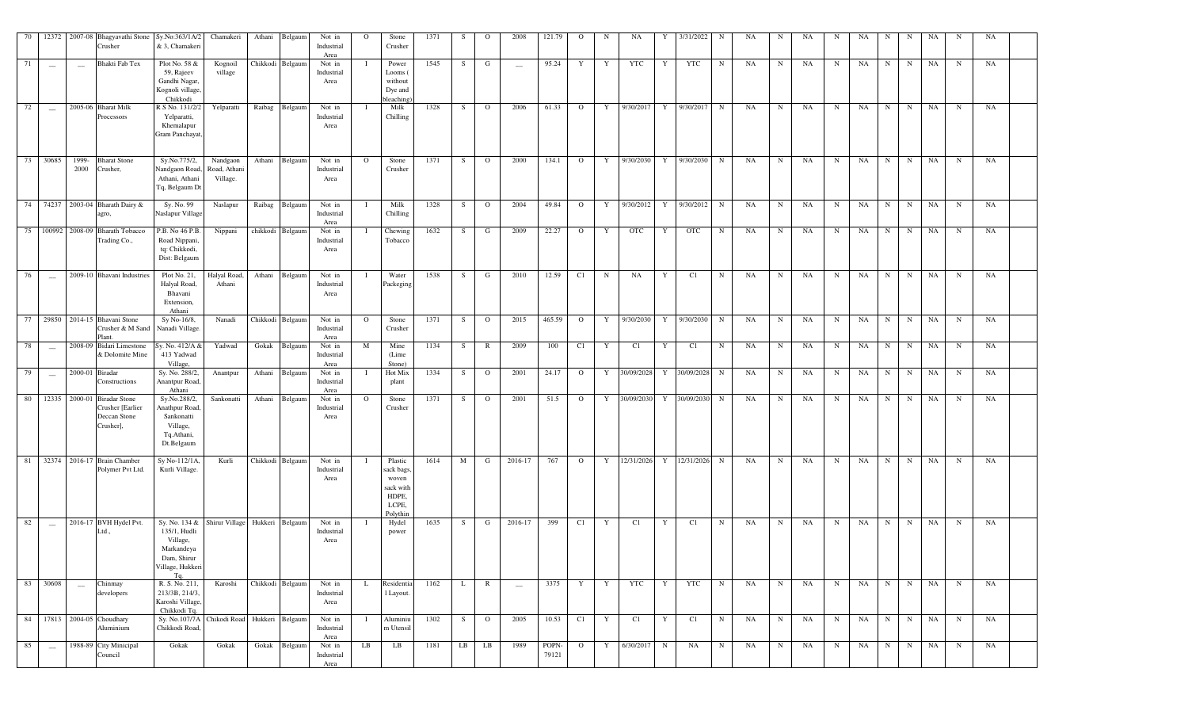|    | 70 12372                        |                 | 2007-08 Bhagyavathi Stone<br>Crusher                                            | Sy.No:363/1A/2<br>& 3, Chamakeri                                                     | Chamakeri                            | Athani<br>Belgaum                            | Not in<br>Industrial<br>Area | $\overline{O}$ | Stone<br>Crusher                                                          | 1371 | S       | $\mathbf{O}$   | 2008                     | 121.79         | $\overline{O}$ | N            | NA         | Y | 3/31/2022                   | N          | NA | N           | NA | N           | NA | N           | N           | NA        | N           | NA        |  |
|----|---------------------------------|-----------------|---------------------------------------------------------------------------------|--------------------------------------------------------------------------------------|--------------------------------------|----------------------------------------------|------------------------------|----------------|---------------------------------------------------------------------------|------|---------|----------------|--------------------------|----------------|----------------|--------------|------------|---|-----------------------------|------------|----|-------------|----|-------------|----|-------------|-------------|-----------|-------------|-----------|--|
| 71 | $\overline{\phantom{m}}$        |                 | Bhakti Fab Tex                                                                  | Plot No. 58 &<br>59, Rajeev<br>Gandhi Nagar,<br>Kognoli village,<br>Chikkodi         | Kognoil<br>village                   | Chikkodi Belgaum                             | Not in<br>Industrial<br>Area | Ι.             | Power<br>Looms (<br>without<br>Dye and<br>bleaching                       | 1545 | S.      | G              |                          | 95.24          | Y              | Y            | YTC        | Y | <b>YTC</b>                  | N          | NA | N           | NA | N           | NA | $\mathbf N$ | N           | NA        | $\mathbf N$ | <b>NA</b> |  |
| 72 | $\sim$                          |                 | 2005-06 Bharat Milk<br>Processors                                               | R S No. 131/2/2<br>Yelparatti,<br>Khemalapur<br>Gram Panchayat,                      | Yelparatti                           | Belgaun<br>Raibag                            | Not in<br>Industrial<br>Area |                | Milk<br>Chilling                                                          | 1328 | S       | $\overline{O}$ | 2006                     | 61.33          | $\overline{O}$ | Y            | 9/30/2017  | Y | 9/30/2017                   | N          | NA | N           | NA | N           | NA | $\mathbf N$ | N           | NA        | N           | <b>NA</b> |  |
|    | 73 30685                        | 1999-<br>2000   | <b>Bharat Stone</b><br>Crusher,                                                 | Sy.No.775/2,<br>Nandgaon Road,<br>Athani, Athani<br>Tq, Belgaum Dt                   | Nandgaon<br>Road, Athani<br>Village. | Athani<br>Belgaum                            | Not in<br>Industrial<br>Area | $\mathbf{O}$   | Stone<br>Crusher                                                          | 1371 | S       | $\overline{O}$ | 2000                     | 134.1          | $\overline{O}$ | Y            | 9/30/2030  | Y | 9/30/2030                   | N          | NA | N           | NA | N           | NA | $\mathbf N$ | N           | NA        | $\mathbf N$ | NA        |  |
|    |                                 |                 | 74 74237 2003-04 Bharath Dairy &<br>agro,                                       | Sy. No. 99<br>Naslapur Village                                                       | Naslapur                             | Raibag<br>Belgaum                            | Not in<br>Industrial<br>Area | - 1            | Milk<br>Chilling                                                          | 1328 | S       | $\overline{O}$ | 2004                     | 49.84          | $\overline{O}$ | Y            | 9/30/2012  | Y | 9/30/2012                   | N          | NA | N           | NA | N           | NA | $\mathbf N$ | N           | <b>NA</b> | $\mathbf N$ | NA        |  |
|    |                                 |                 | 75 100992 2008-09 Bharath Tobacco<br>Trading Co.,                               | P.B. No 46 P.B.<br>Road Nippani,<br>tq: Chikkodi,<br>Dist: Belgaum                   | Nippani                              | chikkodi Belgaum                             | Not in<br>Industrial<br>Area |                | Chewing<br>Tobacco                                                        | 1632 | S       | G              | 2009                     | 22.27          | $\mathbf{O}$   | Y            | <b>OTC</b> | Y | <b>OTC</b>                  | $_{\rm N}$ | NA | $_{\rm N}$  | NA | N           | NA | $\mathbf N$ | N           | NA        | N           | NA        |  |
| 76 | $\overline{\phantom{m}}$        |                 | 2009-10 Bhavani Industries                                                      | Plot No. 21,<br>Halyal Road,<br>Bhavani<br>Extension,<br>Athani                      | Halyal Road,<br>Athani               | Athani<br>Belgaum                            | Not in<br>Industrial<br>Area | $\mathbf{I}$   | Water<br>Packeging                                                        | 1538 | S       | G              | 2010                     | 12.59          | C1             | $\mathbf N$  | NA         | Y | C1                          | N          | NA | N           | NA | N           | NA | $\mathbf N$ | N           | NA        | $\mathbf N$ | NA        |  |
|    |                                 |                 | 77 29850 2014-15 Bhavani Stone<br>Crusher & M Sand<br>Plant.                    | Sy No-16/8,<br>Nanadi Village.                                                       | Nanadi                               | Chikkodi Belgaum                             | Not in<br>Industrial<br>Area | $\mathbf{O}$   | Stone<br>Crusher                                                          | 1371 | S       | $\overline{O}$ | 2015                     | 465.59         | $\overline{O}$ | Y            |            |   | 9/30/2030 Y 9/30/2030       | N          | NA | N           | NA | N           | NA | N           | N           | NA        | $\mathbf N$ | NA        |  |
| 78 | $\sim$                          |                 | 2008-09 Bidari Limestone<br>& Dolomite Mine                                     | Sy. No. 412/A &<br>413 Yadwad<br>Village,                                            | Yadwad                               | Gokak Belgaum                                | Not in<br>Industrial<br>Area | M              | Mine<br>(Lime<br>Stone)                                                   | 1134 | S       | $\mathbb{R}$   | 2009                     | 100            | C1             | Y            | C1         | Y | C1                          | N          | NA | N           | NA | N           | NA | $\mathbf N$ | N           | NA        | $\mathbf N$ | NA        |  |
| 79 | $\hspace{0.1mm}-\hspace{0.1mm}$ | 2000-01 Biradar | Constructions                                                                   | Sy. No. 288/2,<br>Anantpur Road,<br>Athani                                           | Anantpur                             | Athani<br>Belgaum                            | Not in<br>Industrial<br>Area | $\mathbf{I}$   | Hot Mix<br>plant                                                          | 1334 | S       | $\overline{O}$ | 2001                     | 24.17          | $\mathbf{O}$   | $\mathbf{Y}$ | 30/09/2028 | Y | 30/09/2028                  | $_{\rm N}$ | NA | N           | NA | N           | NA | $\mathbf N$ | N           | NA        | $\mathbf N$ | NA        |  |
|    |                                 |                 | 80 12335 2000-01 Biradar Stone<br>Crusher [Earlier<br>Deccan Stone<br>Crusher], | Sy.No.288/2,<br>Anathpur Road,<br>Sankonatti<br>Village,<br>Tq.Athani,<br>Dt.Belgaum | Sankonatti                           | Athani Belgaum                               | Not in<br>Industrial<br>Area | $\Omega$       | Stone<br>Crusher                                                          | 1371 | S –     | $\overline{O}$ | 2001                     | 51.5           | $\circ$        | $\mathbf{Y}$ | 30/09/2030 |   | Y 30/09/2030                | N          | NA | N           | NA | $\mathbf N$ | NA | $\mathbf N$ | N           | NA        | $\mathbf N$ | NA        |  |
|    |                                 |                 | 81 32374 2016-17 Brain Chamber<br>Polymer Pvt Ltd.                              | Sy No-112/1A,<br>Kurli Village.                                                      | Kurli                                | Chikkodi Belgaum                             | Not in<br>Industrial<br>Area | $\bf{I}$       | Plastic<br>sack bags,<br>woven<br>sack with<br>HDPE,<br>LCPE,<br>Polythin | 1614 | M       | G              | 2016-17                  | 767            | $\overline{O}$ |              |            |   | Y 12/31/2026 Y 12/31/2026 N |            | NA | N           | NA | N           | NA | N           | N           | <b>NA</b> | $\mathbf N$ | NA        |  |
| 82 | $\sim$                          |                 | 2016-17 BVH Hydel Pvt.<br>Ltd.,                                                 | 135/1, Hudli<br>Village,<br>Markandeya<br>Dam, Shirur<br>Village, Hukkeri<br>Tq.     |                                      | Sy. No. 134 & Shirur Village Hukkeri Belgaum | Not in<br>Industrial<br>Area | $\bf{I}$       | Hydel<br>power                                                            | 1635 | S       | G              | 2016-17                  | 399            | C1             | Y            | C1         | Y | C1                          | N          | NA | N           | NA | N           | NA | N           | N           | NA        | $\mathbf N$ | NA        |  |
|    | 83 30608                        | $\sim$          | Chinmay<br>developers                                                           | R. S. No. 211,<br>213/3B, 214/3,<br>Karoshi Village,<br>Chikkodi Tq.                 | Karoshi                              | Chikkodi Belgaum                             | Not in<br>Industrial<br>Area | L.             | Residentia<br>1 Layout.                                                   | 1162 | L       | $\mathbb{R}$   | $\overline{\phantom{m}}$ | 3375           | Y              | Y            | YTC        | Y | <b>YTC</b>                  | N          | NA | $\mathbf N$ | NA | N           | NA | $\mathbf N$ | $\mathbf N$ | NA        | $\mathbf N$ | NA        |  |
|    |                                 |                 | 84 17813 2004-05 Choudhary<br>Aluminium                                         | Sy. No.107/7A<br>Chikkodi Road,                                                      |                                      | Chikodi Road Hukkeri Belgaum                 | Not in<br>Industrial<br>Area | -1             | Aluminiu<br>m Utensil                                                     | 1302 | S.      | $\overline{O}$ | 2005                     | 10.53          | C1             | Y            | C1         | Y | C1                          | N          | NA | $\mathbf N$ | NA | N           | NA | $\mathbf N$ | N           | NA        | $_{\rm N}$  | NA        |  |
| 85 | $\overline{\phantom{m}}$        |                 | 1988-89 City Minicipal<br>Council                                               | Gokak                                                                                | Gokak                                | Gokak<br>Belgaum                             | Not in<br>Industrial<br>Area | LB             | LB                                                                        | 1181 | $_{LB}$ | LB             | 1989                     | POPN-<br>79121 | $\mathbf{O}$   | Y            | 6/30/2017  | N | NA                          | N          | NA | N           | NA | N           | NA | $\mathbf N$ | $\mathbf N$ | NA        | $\mathbf N$ | NA        |  |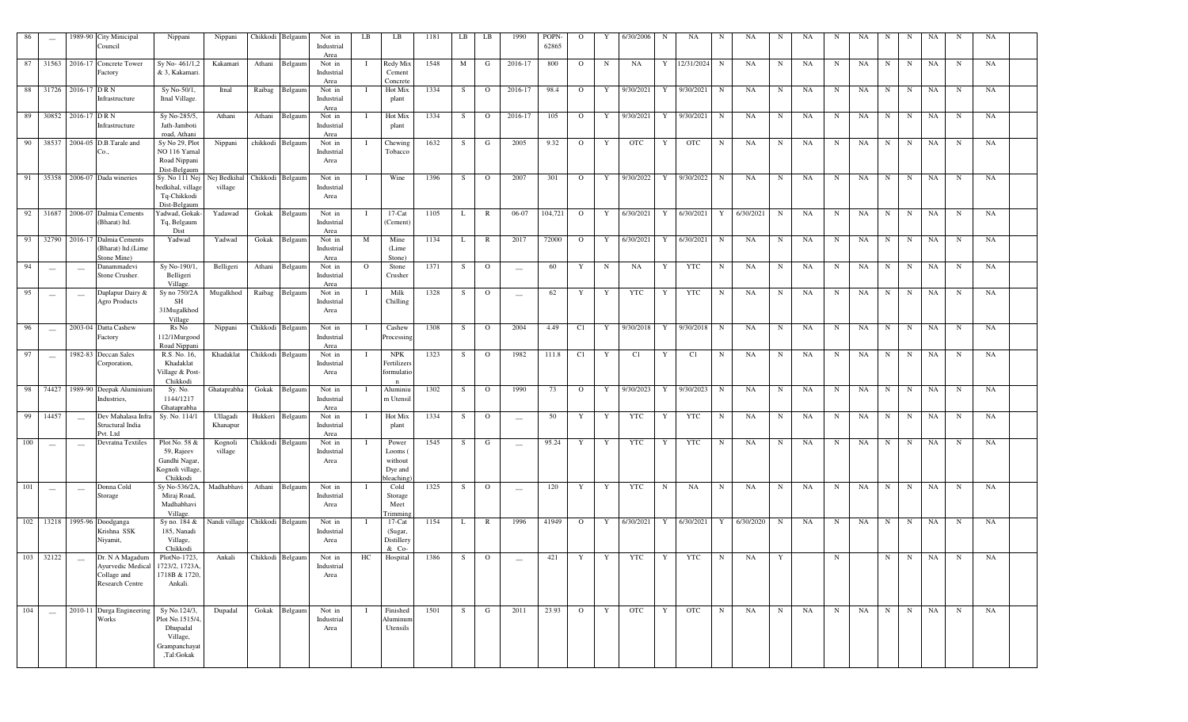| 86  | $\hspace{0.05cm}$                              |                                                | 1989-90 City Minicipal<br>Council                                                                                          | Nippani                                                                                | Nippani                                  | Chikkodi Belgaum |                | Not in<br>Industrial<br>Area         | LB           | LB                                                 | 1181 | LB | LB             | 1990                     | POPN-<br>62865 | $\Omega$       |             | 6/30/2006                 |   | NA            |             | NA        | N           | NA        |             | NA |             | N       | NA       | $\mathbf N$ | NA |  |
|-----|------------------------------------------------|------------------------------------------------|----------------------------------------------------------------------------------------------------------------------------|----------------------------------------------------------------------------------------|------------------------------------------|------------------|----------------|--------------------------------------|--------------|----------------------------------------------------|------|----|----------------|--------------------------|----------------|----------------|-------------|---------------------------|---|---------------|-------------|-----------|-------------|-----------|-------------|----|-------------|---------|----------|-------------|----|--|
|     |                                                |                                                | 87 31563 2016-17 Concrete Tower<br>Factory                                                                                 | Sy No-461/1,2<br>& 3, Kakamari                                                         | Kakamari                                 |                  | Athani Belgaum | Not in<br>Industrial<br>Area         | 1            | Redy Mix<br>Cement<br>Concrete                     | 1548 | M  | G              | 2016-17                  | 800            | $\overline{O}$ | N           | NA                        |   | Y 12/31/2024  | N           | NA        | $_{\rm N}$  | NA        | N           | NA | N           | N       | NA       | $\mathbf N$ | NA |  |
|     |                                                | 88 31726 2016-17 DRN                           | Infrastructure                                                                                                             | Sy No-50/1,<br>Itnal Village.                                                          | Itnal                                    |                  | Raibag Belgaum | Not in<br>Industrial<br>Area         |              | Hot Mix<br>plant                                   | 1334 | S  | $\overline{O}$ | 2016-17                  | 98.4           | $\overline{O}$ |             | Y 9/30/2021               | Y | 9/30/2021     | $\mathbf N$ | NA        | N           | NA        | $\mathbf N$ | NA | N           | N       | NA       | $\mathbf N$ | NA |  |
|     |                                                | 89 30852 2016-17 DRN                           | Infrastructure                                                                                                             | Sy No-285/5,<br>Jath-Jamboti<br>road, Athani                                           | Athani                                   |                  | Athani Belgaum | Not in<br>Industrial<br>Area         |              | Hot Mix<br>plant                                   | 1334 | S  | $\overline{O}$ | 2016-17                  | 105            | $\overline{O}$ |             | Y 9/30/2021 Y 9/30/2021   |   |               | N           | NA        | $\mathbf N$ | NA        | N           | NA | N           | N       | NA       | $\mathbf N$ | NA |  |
|     |                                                |                                                | 90 38537 2004-05 D.B.Tarale and<br>Сo.,                                                                                    | Sy No 29, Plot<br>NO 116 Yarnal<br>Road Nippani                                        | Nippani                                  | chikkodi Belgaum |                | Not in<br>Industrial<br>Area         | Ι.           | Chewing<br>Tobacco                                 | 1632 | S. | $\mathbf{G}$   | 2005                     | 9.32           | $\overline{O}$ | Y           | OTC                       | Y | <b>OTC</b>    | $\mathbf N$ | NA        | $\mathbf N$ | NA        | N           | NA |             | $N$ $N$ | NA       | N           | NA |  |
|     |                                                |                                                | 91 35358 2006-07 Dada wineries                                                                                             | Dist-Belgaum<br>Sy. No 111 Nej<br>bedkihal, village<br>Tq-Chikkodi<br>Dist-Belgaum     | Nej Bedkihal Chikkodi Belgaum<br>village |                  |                | Not in<br>Industrial<br>Area         | $\bf{I}$     | Wine                                               | 1396 | S  | $\overline{O}$ | 2007                     | 301            | $\overline{O}$ |             | Y 9/30/2022 Y 9/30/2022 N |   |               |             | NA        | $\mathbf N$ | NA        | N           | NA | N           | N       | NA       | $\mathbf N$ | NA |  |
|     |                                                |                                                | 92 31687 2006-07 Dalmia Cements<br>(Bharat) ltd.                                                                           | Yadwad, Gokak-<br>Tq, Belgaum<br>Dist                                                  | Yadawad                                  |                  | Gokak Belgaum  | Not in<br>Industrial<br>Area         | $\bf{I}$     | $17$ -Cat<br>(Cement)                              | 1105 | L  | $\mathbb{R}$   | 06-07                    | 104,721        | $\mathbf{O}$   |             | Y 6/30/2021               |   | Y 6/30/2021 Y |             | 6/30/2021 | $\mathbf N$ | NA        | $\mathbf N$ | NA | N           | N       | NA       | $\mathbf N$ | NA |  |
|     |                                                |                                                | 93 32790 2016-17 Dalmia Cements<br>(Bharat) ltd.(Lime<br>Stone Mine)                                                       | Yadwad                                                                                 | Yadwad                                   | Gokak            | Belgaum        | Not in<br>Industrial<br>Area         | M            | Mine<br>(Lime)<br>Stone)                           | 1134 | L  | $\mathbb{R}$   | 2017                     | 72000          | $\overline{O}$ |             | Y 6/30/2021               |   | Y 6/30/2021   | N           | NA        | $_{\rm N}$  | NA        | N           | NA | N           | N       | NA       | $\mathbf N$ | NA |  |
| 94  | $\overline{\phantom{a}}$                       | $\hspace{0.1mm}$                               | Danammadevi<br>Stone Crusher.                                                                                              | Sy No-190/1.<br>Belligeri<br>Village.                                                  | Belligeri                                | Athani           | Belgaum        | Not in<br>Industrial<br>Area         | $\circ$      | Stone<br>Crusher                                   | 1371 | S  | $\mathbf{O}$   | $\sim$                   | 60             | Y              | $\mathbf N$ | NA                        | Y | YTC           | N           | NA        | N           | NA        | N           | NA | N           | N       | NA       | $\mathbf N$ | NA |  |
| 95  | $\hspace{0.05cm}$                              | $\hspace{0.1mm}-\hspace{0.1mm}-\hspace{0.1mm}$ | Daplapur Dairy &<br><b>Agro Products</b>                                                                                   | Sy no 750/2A<br>SH<br>31Mugalkhod<br>Village                                           | Mugalkhod                                | Raibag Belgaum   |                | Not in<br>Industrial<br>Area         |              | Milk<br>Chilling                                   | 1328 | S. | $\overline{O}$ | $\overline{\phantom{a}}$ | 62             | Y              | Y           | YTC                       | Y | YTC           | $\mathbf N$ | NA        | N           | NA        | N           | NA | N           | N       | NA       | $\mathbf N$ | NA |  |
| 96  | $\overline{\phantom{m}}$                       |                                                | 2003-04 Datta Cashew<br>Factory                                                                                            | Rs No<br>112/1Murgood<br>Road Nippani                                                  | Nippani                                  | Chikkodi Belgaum |                | Not in<br>Industrial<br>Area         |              | Cashew<br>Processing                               | 1308 | S. | $\overline{O}$ | 2004                     | 4.49           | C1             |             | Y 9/30/2018 Y 9/30/2018 N |   |               |             | NA        | $\mathbf N$ | NA        | $\mathbf N$ | NA | N           | N       | NA       | N           | NA |  |
| 97  | $\qquad \qquad -$                              |                                                | 1982-83 Deccan Sales<br>Corporation,                                                                                       | R.S. No. 16,<br>Khadaklat<br>Village & Post-<br>Chikkodi                               | Khadaklat                                | Chikkodi Belgaum |                | Not in<br>Industrial<br>Area         | <b>I</b>     | <b>NPK</b><br>Fertilizers<br><b>formulatio</b>     | 1323 | S. | $\overline{O}$ | 1982                     | 111.8          | C1             | Y           | C1                        | Y | C1            | N           | NA        | $\mathbf N$ | NA        | N           | NA | N           | N       | NA       | $\mathbf N$ | NA |  |
|     |                                                |                                                | 98 74427 1989-90 Deepak Aluminiun<br>Industries,                                                                           | Sy. No.<br>1144/1217<br>Ghataprabha                                                    | Ghataprabha                              |                  | Gokak Belgaum  | Not in<br>Industrial<br>Area         | $\bf{I}$     | Aluminiu<br>m Utensil                              | 1302 | S  | $\overline{O}$ | 1990                     | 73             | $\mathbf{O}$   | Y           | 9/30/2023                 | Y | 9/30/2023     | N           | NA        | N           | <b>NA</b> | $\mathbf N$ | NA | N           | N       | NA       | N           | NA |  |
| 99  | 14457                                          | $\sim$                                         | Dev Mahalasa Infra<br>Structural India                                                                                     | Sy. No. 114/1                                                                          | Ullagadi<br>Khanapur                     | Hukkeri Belgaum  |                | Not in<br>Industrial                 | $\mathbf{I}$ | Hot Mix<br>plant                                   | 1334 | S  | $\overline{O}$ | $\overline{\phantom{m}}$ | 50             | Y              | Y           | YTC                       | Y | YTC           | $\mathbf N$ | NA        | N           | NA        | N           | NA | N           | N       | NA       | $\mathbf N$ | NA |  |
| 100 | $\frac{1}{2}$                                  | $\frac{1}{2}$                                  | Pvt. Ltd<br>Devratna Textiles                                                                                              | Plot No. 58 &<br>59, Rajeev<br>Gandhi Nagar,<br>Kognoli village,<br>Chikkodi           | Kognoli<br>village                       | Chikkodi Belgaum |                | Area<br>Not in<br>Industrial<br>Area |              | Power<br>Looms (<br>without<br>Dye and<br>leaching | 1545 | -S | G              |                          | 95.24          | Y              | Y           | YTC                       | Y | YTC           | N           | NA        | N           | NA        | N           | NA | N           | N       | NA       | N           | NA |  |
| 101 | $\hspace{0.1mm}-\hspace{0.1mm}-\hspace{0.1mm}$ | $\hspace{0.1mm}$                               | Donna Cold<br>Storage                                                                                                      | Sy No-536/2A,<br>Miraj Road,<br>Madhabhavi<br>Village                                  | Madhabhavi                               | Athani           | Belgaum        | Not in<br>Industrial<br>Area         |              | Cold<br>Storage<br>Meet<br>l'rimming               | 1325 | S. | $\overline{O}$ | $\overline{\phantom{a}}$ | 120            | Y              | Y           | YTC                       | N | NA            | $\mathbf N$ | NA        | $\mathbf N$ | NA        | $\mathbf N$ | NA | $\mathbf N$ | N       | NA       | $\mathbf N$ | NA |  |
|     |                                                |                                                | 102 13218 1995-96 Doodganga<br>Krishna SSK<br>Niyamit,                                                                     | Sy no. 184 &<br>185, Nanadi<br>Village,<br>Chikkodi                                    | Nandi village Chikkodi Belgaum           |                  |                | Not in<br>Industrial<br>Area         |              | $17$ -Cat<br>(Sugar,<br>Distillery<br>$& Co-$      | 1154 | L  | $\mathbb{R}$   | 1996                     | 41949          | $\overline{O}$ |             | Y 6/30/2021               |   | Y 6/30/2021   | Y           | 6/30/2020 | $_{\rm N}$  | NA        | N           | NA | N           | N       | NA       | $_{\rm N}$  | NA |  |
|     | 103 32122                                      |                                                | Dr. N A Magadum PlotNo-1723, Ankali Chikkodi Belgaum<br>Ayurvedic Medical 1723/2, 1723A,<br>Collage and<br>Research Centre | 1718B & 1720,<br>Ankali.                                                               |                                          |                  |                | Not in<br>Industrial<br>Area         | HC           | Hospital                                           | 1386 |    | $S$ 0          | and the state of the     |                |                |             | 421 Y Y YTC Y YTC N NA    |   |               |             |           | Y           |           | N           |    |             |         | N N NA N |             | NA |  |
| 104 | $\sim$                                         |                                                | 2010-11 Durga Engineering<br>Works                                                                                         | Sy No.124/3,<br>Plot No.1515/4,<br>Dhupadal<br>Village,<br>Grampanchayat<br>,Tal:Gokak | Dupadal                                  | Gokak            | Belgaum        | Not in<br>Industrial<br>Area         |              | Finished<br>Aluminur<br>Utensils                   | 1501 | S  | G              | 2011                     | 23.93          | $\overline{O}$ | Y           | <b>OTC</b>                | Y | <b>OTC</b>    | N           | NA        | $\mathbf N$ | NA        | N           | NA | N           | N       | NA       | $\mathbf N$ | NA |  |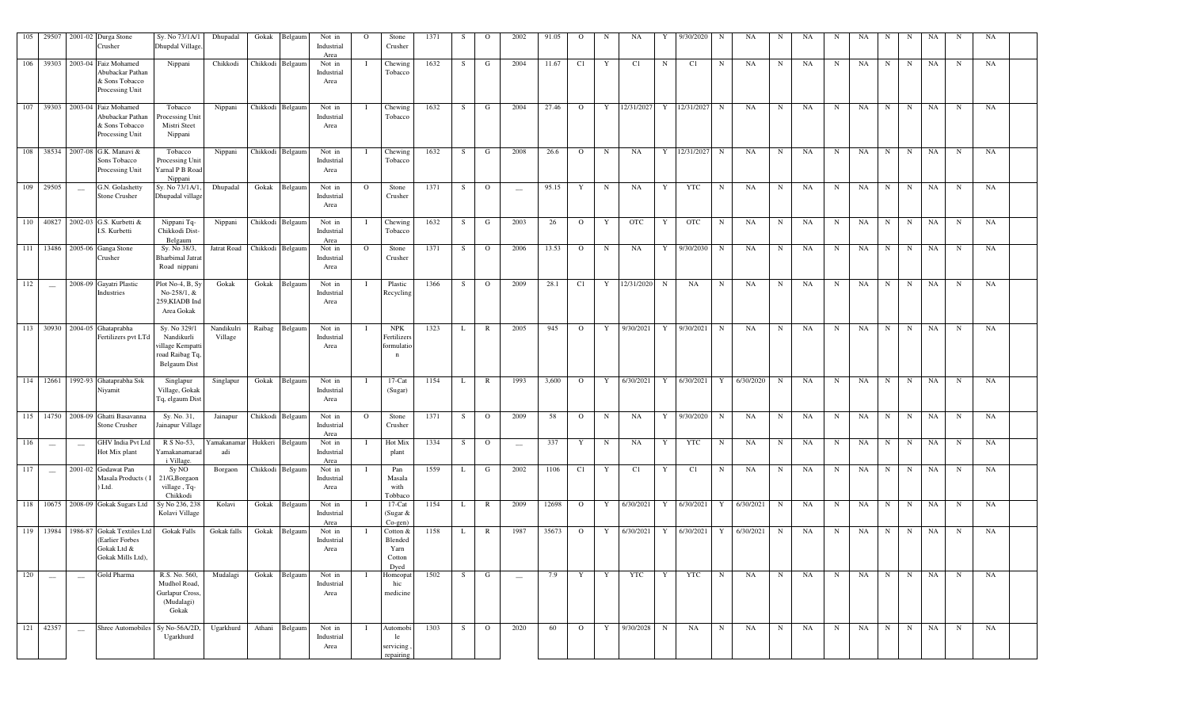| 105 | 29507                           | 2001-02 Durga Stone<br>Crusher                                                              | Sy. No 73/1A/1<br>Dhupdal Village,                                                | Dhupadal              |                  | Gokak Belgaum    | Not in<br>Industrial<br>Area | $\Omega$     | Stone<br>Crusher                              | 1371 | S.           | $\Omega$       | 2002                            | 91.05 | $\Omega$       | N           | NA           |   | 9/30/2020                           | N           | NA          | N           | <b>NA</b> | N           | NA        | N           | N           | NA | N           | NA |  |
|-----|---------------------------------|---------------------------------------------------------------------------------------------|-----------------------------------------------------------------------------------|-----------------------|------------------|------------------|------------------------------|--------------|-----------------------------------------------|------|--------------|----------------|---------------------------------|-------|----------------|-------------|--------------|---|-------------------------------------|-------------|-------------|-------------|-----------|-------------|-----------|-------------|-------------|----|-------------|----|--|
|     |                                 | 106 39303 2003-04 Faiz Mohamed<br>Abubackar Pathan<br>& Sons Tobacco<br>Processing Unit     | Nippani                                                                           | Chikkodi              |                  | Chikkodi Belgaum | Not in<br>Industrial<br>Area |              | Chewing<br>Tobacco                            | 1632 | S            | G              | 2004                            | 11.67 | C1             | Y           | C1           | N | C1                                  | N           | NA          | N           | NA        | N           | NA        | N           | $\mathbf N$ | NA | N           | NA |  |
| 107 |                                 | 39303 2003-04 Faiz Mohamed<br>Abubackar Pathan<br>& Sons Tobacco<br>Processing Unit         | Tobacco<br>Processing Unit<br>Mistri Steet<br>Nippani                             | Nippani               |                  | Chikkodi Belgaum | Not in<br>Industrial<br>Area |              | Chewing<br>Tobacco                            | 1632 | S            | G              | 2004                            | 27.46 | $\overline{O}$ | Y           | 12/31/2027   | Y | 12/31/2027                          | N           | NA          | $\mathbf N$ | NA        | $\mathbf N$ | NA        | $_{\rm N}$  | $\mathbf N$ | NA | N           | NA |  |
|     |                                 | 108 38534 2007-08 G.K. Manavi &<br>Sons Tobacco<br>Processing Unit                          | Tobacco<br>Processing Unit<br>Yarnal P B Road<br>Nippani                          | Nippani               |                  | Chikkodi Belgaum | Not in<br>Industrial<br>Area |              | Chewing<br>Tobacco                            | 1632 | S            | G              | 2008                            | 26.6  | $\circ$        | $_{\rm N}$  | NA           | Y | 12/31/2027                          | N           | NA          | $\mathbf N$ | NA        | $\mathbf N$ | <b>NA</b> | $_{\rm N}$  | N           | NA | $\mathbf N$ | NA |  |
|     | 109 29505                       | G.N. Golashetty<br>$\overline{\phantom{a}}$<br>Stone Crusher                                | Sy. No 73/1A/1,<br>Dhupadal village                                               | Dhupadal              |                  | Gokak Belgaum    | Not in<br>Industrial<br>Area | $\Omega$     | Stone<br>Crusher                              | 1371 | S            | $\overline{O}$ | $\hspace{0.1mm}-\hspace{0.1mm}$ | 95.15 | Y              | N           | NA           | Y | YTC                                 | $\mathbf N$ | NA          | N           | NA        | N           | NA        | $\mathbf N$ | $\mathbf N$ | NA | N           | NA |  |
|     |                                 | 110 40827 2002-03 G.S. Kurbetti &<br>I.S. Kurbetti                                          | Nippani Tq-<br>Chikkodi Dist-<br>Belgaum                                          | Nippani               |                  | Chikkodi Belgaum | Not in<br>Industrial<br>Area |              | Chewing<br>Tobacco                            | 1632 | S.           | G              | 2003                            | 26    | $\mathbf{O}$   | Y           | <b>OTC</b>   | Y | OTC                                 | N           | NA          | N           | NA        | $\mathbf N$ | NA        | $\mathbf N$ | N           | NA | N           | NA |  |
|     |                                 | 111 13486 2005-06 Ganga Stone<br>Crusher                                                    | Sy. No 38/3,<br><b>Bharbimal Jatra</b><br>Road nippani                            | Jatrat Road           | Chikkodi Belgaum |                  | Not in<br>Industrial<br>Area | $\mathbf{O}$ | Stone<br>Crusher                              | 1371 | S            | $\overline{O}$ | 2006                            | 13.53 | $\circ$        | $\mathbf N$ | NA           | Y | 9/30/2030                           | N           | NA          | $\mathbf N$ | NA        | N           | NA        | N           | $\mathbf N$ | NA | $\mathbf N$ | NA |  |
| 112 | $\overline{\phantom{m}}$        | 2008-09 Gayatri Plastic<br>Industries                                                       | Plot No-4, B, Sy<br>No-258/1, &<br>259, KIADB Ind<br>Area Gokak                   | Gokak                 |                  | Gokak Belgaum    | Not in<br>Industrial<br>Area |              | Plastic<br>Recycling                          | 1366 | S            | $\overline{O}$ | 2009                            | 28.1  | C1             |             | Y 12/31/2020 | N | NA                                  | N           | NA          | $\mathbf N$ | NA        | N           | NA        | N           | $\mathbf N$ | NA | $\mathbf N$ | NA |  |
|     |                                 | 113 30930 2004-05 Ghataprabha<br>Fertilizers pvt LTd                                        | Sy. No 329/1<br>Nandikurli<br>village Kempatti<br>road Raibag Tq,<br>Belgaum Dist | Nandikulri<br>Village |                  | Raibag Belgaum   | Not in<br>Industrial<br>Area |              | <b>NPK</b><br>Fertilizers<br>formulatio<br>n  | 1323 | L            | $\mathbb{R}$   | 2005                            | 945   | $\overline{O}$ | Y           | 9/30/2021    |   | Y 9/30/2021                         | N           | NA          | $\mathbf N$ | NA        | N           | <b>NA</b> | N           | $\mathbf N$ | NA | $\mathbf N$ | NA |  |
|     |                                 | 114 12661 1992-93 Ghataprabha Ssk<br>Nivamit                                                | Singlapur<br>Village, Gokak<br>Tq, elgaum Dist                                    | Singlapur             |                  | Gokak Belgaum    | Not in<br>Industrial<br>Area |              | $17$ -Cat<br>(Sugar)                          | 1154 | L            | $\mathbb{R}$   | 1993                            | 3,600 | $\overline{O}$ |             | Y 6/30/2021  |   | Y 6/30/2021 Y 6/30/2020             |             |             | N           | NA        | N           | <b>NA</b> | N           | N           | NA | $\mathbf N$ | NA |  |
|     |                                 | 115 14750 2008-09 Ghatti Basavanna<br>Stone Crusher                                         | Sy. No. 31,<br>Jainapur Village                                                   | Jainapur              |                  | Chikkodi Belgaum | Not in<br>Industrial<br>Area | $\circ$      | Stone<br>Crusher                              | 1371 | S            | $\overline{O}$ | 2009                            | 58    | $\circ$        | $\mathbf N$ | NA           |   | Y 9/30/2020                         | N           | NA          | $\mathbf N$ | NA        | N           | NA        | N           | N           | NA | $\mathbf N$ | NA |  |
| 116 | $\hspace{0.1mm}-\hspace{0.1mm}$ | GHV India Pvt Ltd<br>$\hspace{0.1mm}-\hspace{0.1mm}$<br>Hot Mix plant                       | R S No-53,<br>Yamakanamarad<br>i Village.                                         | Yamakanamar<br>adi    |                  | Hukkeri Belgaum  | Not in<br>Industrial<br>Area |              | Hot Mix<br>plant                              | 1334 | S.           | $\mathbf{O}$   | $\overline{\phantom{m}}$        | 337   | Y              | N           | NA           | Y | YTC                                 | N           | NA          | N           | NA        | N           | NA        | N           | $\mathbf N$ | NA | N           | NA |  |
| 117 | $\overline{\phantom{0}}$        | 2001-02 Godawat Pan<br>Masala Products (I<br>Ltd.                                           | Sy NO<br>21/G,Borgaon<br>village, Tq-<br>Chikkodi                                 | Borgaon               |                  | Chikkodi Belgaum | Not in<br>Industrial<br>Area |              | Pan<br>Masala<br>with<br>Tobbaco              | 1559 | L            | G              | 2002                            | 1106  | C1             | Y           | C1           | Y | C1                                  | N           | NA          | $_{\rm N}$  | NA        | N           | <b>NA</b> | $\mathbf N$ | $\mathbf N$ | NA | $\mathbf N$ | NA |  |
|     |                                 | 118 10675 2008-09 Gokak Sugars Ltd                                                          | Sy No 236, 238<br>Kolavi Village                                                  | Kolavi                |                  | Gokak Belgaum    | Not in<br>Industrial<br>Area |              | $17$ -Cat<br>(Sugar $&$<br>$Co$ -gen)         | 1154 | $\mathbf{L}$ | $\mathbb{R}$   | 2009                            | 12698 | $\overline{O}$ |             |              |   | Y 6/30/2021 Y 6/30/2021 Y 6/30/2021 |             |             | N           | NA        | N           | NA        | N           | N           | NA | $\mathbf N$ | NA |  |
|     |                                 | 119 13984 1986-87 Gokak Textiles Ltd<br>(Earlier Forbes<br>Gokak Ltd &<br>Gokak Mills Ltd), | <b>Gokak Falls</b>                                                                | Gokak falls           |                  | Gokak Belgaum    | Not in<br>Industrial<br>Area |              | Cotton &<br>Blended<br>Yarn<br>Cotton<br>Dyed | 1158 | L            | $\mathbb{R}$   | 1987                            | 35673 | $\mathbf{O}$   | Y           | 6/30/2021    | Y | 6/30/2021                           |             | Y 6/30/2021 | $\mathbf N$ | NA        | N           | NA        | N           | N           | NA | $\mathbf N$ | NA |  |
| 120 | $\overline{\phantom{m}}$        | Gold Pharma<br>$\sim$                                                                       | R.S. No. 560,<br>Mudhol Road<br>Gurlapur Cross,<br>(Mudalagi)<br>Gokak            | Mudalagi              |                  | Gokak Belgaum    | Not in<br>Industrial<br>Area |              | Homeopat<br>hic<br>medicine                   | 1502 | S            | G              | $\hspace{0.1mm}-\hspace{0.1mm}$ | 7.9   | Y              | Y           | YTC          | Y | YTC                                 | $\mathbf N$ | NA          | N           | NA        | $\mathbf N$ | NA        | $\mathbf N$ | $\mathbf N$ | NA | N           | NA |  |
| 121 | 42357                           | Shree Automobiles<br>$\hspace{0.1mm}$                                                       | Sy No-56A/2D,<br>Ugarkhurd                                                        | Ugarkhurd             |                  | Athani Belgaum   | Not in<br>Industrial<br>Area |              | Automobi<br>le<br>servicing.<br>repairing     | 1303 | S            | $\overline{O}$ | 2020                            | 60    | $\overline{O}$ | Y           | 9/30/2028    | N | NA                                  | N           | NA          | N           | NA        | N           | NA        | N           | N           | NA | $\mathbf N$ | NA |  |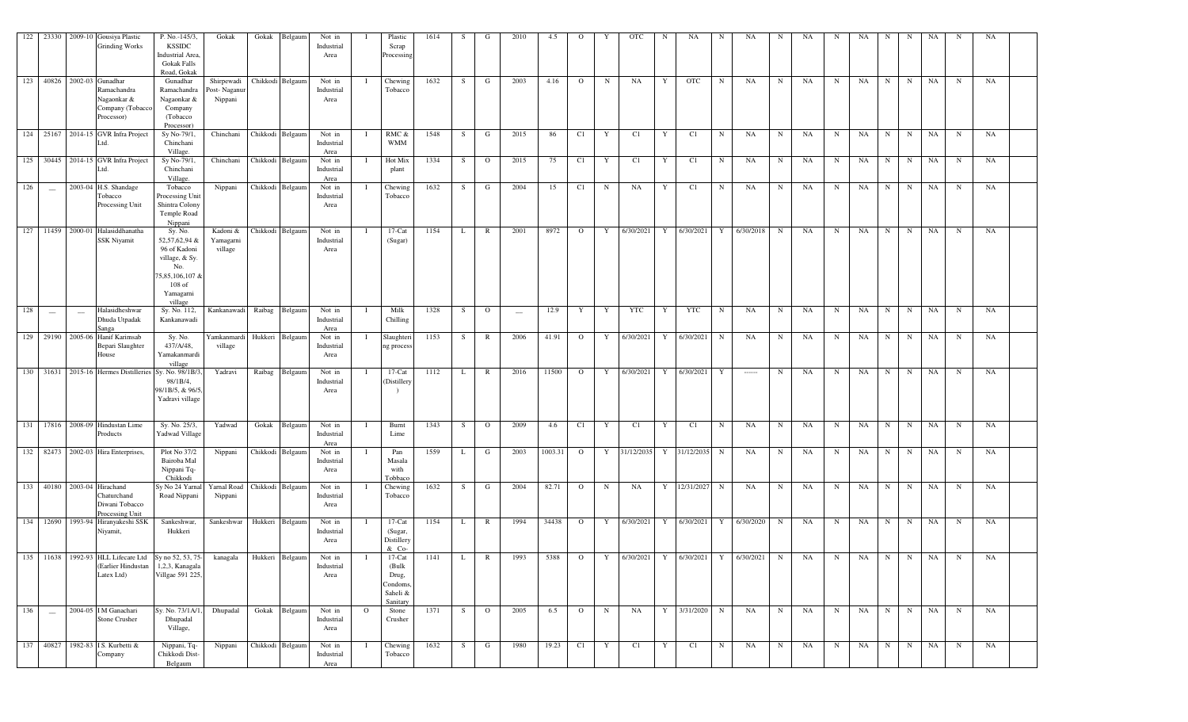| 122 | 23330         |         | 2009-10 Gousiya Plastic<br><b>Grinding Works</b>                                                           | P. No.-145/3,<br><b>KSSIDC</b><br>Industrial Area,<br><b>Gokak Falls</b><br>Road, Gokak                                  | Gokak                                | Gokak  | Belgaun          | Not in<br>Industrial<br>Area |              | Plastic<br>Scrap<br>Processing                              | 1614 |              | G              | 2010                     | 4.5     | $\Omega$       | Y           | <b>OTC</b> | N | NA          | N           | NA                                    | N           | NA          | N | NA | N           | N           | NA | N           | NA |  |
|-----|---------------|---------|------------------------------------------------------------------------------------------------------------|--------------------------------------------------------------------------------------------------------------------------|--------------------------------------|--------|------------------|------------------------------|--------------|-------------------------------------------------------------|------|--------------|----------------|--------------------------|---------|----------------|-------------|------------|---|-------------|-------------|---------------------------------------|-------------|-------------|---|----|-------------|-------------|----|-------------|----|--|
|     |               |         | 123 40826 2002-03 Gunadhar<br>Ramachandra<br>Nagaonkar &<br>Company (Tobacco<br>Processor)                 | Gunadhar<br>Ramachandra<br>Nagaonkar &<br>Company<br>(Tobacco)<br>Processor)                                             | Shirpewadi<br>Post-Naganu<br>Nippani |        | Chikkodi Belgaun | Not in<br>Industrial<br>Area |              | Chewing<br>Tobacco                                          | 1632 | S            | G              | 2003                     | 4.16    | $\circ$        | N           | NA         | Y | <b>OTC</b>  | $\mathbf N$ | NA                                    | N           | NA          | N | NA | N           | N           | NA | N           | NA |  |
|     |               |         | 124 25167 2014-15 GVR Infra Project<br>Ltd.                                                                | Sy No-79/1,<br>Chinchani<br>Village.                                                                                     | Chinchani                            |        | Chikkodi Belgaum | Not in<br>Industrial<br>Area |              | RMC &<br><b>WMM</b>                                         | 1548 | S            | G              | 2015                     | 86      | C1             | Y           | C1         | Y | C1          | N           | NA                                    | N           | NA          | N | NA | $\mathbf N$ | $\mathbf N$ | NA | $_{\rm N}$  | NA |  |
|     | 125 30445     |         | 2014-15 GVR Infra Project<br>_td.                                                                          | Sy No-79/1,<br>Chinchani<br>Village.                                                                                     | Chinchani                            |        | Chikkodi Belgaun | Not in<br>Industrial<br>Area |              | Hot Mix<br>plant                                            | 1334 | S.           | $\circ$        | 2015                     | 75      | C1             | Y           | C1         | Y | C1          | $\mathbf N$ | NA                                    | N           | NA          | N | NA | N           | N           | NA | N           | NA |  |
| 126 | $\sim$        |         | 2003-04 H.S. Shandage<br>Tobacco<br>Processing Unit                                                        | Tobacco<br>Processing Unit<br>Shintra Colony<br>Temple Road<br>Nippani                                                   | Nippani                              |        | Chikkodi Belgaun | Not in<br>Industrial<br>Area |              | Chewing<br>Tobacco                                          | 1632 | S            | G              | 2004                     | 15      | C1             | N           | NA         | Y | C1          | $\mathbf N$ | NA                                    | N           | NA          | N | NA | N           | N           | NA | N           | NA |  |
|     | 127 11459     |         | 2000-01 Halasiddhanatha<br>SSK Niyamit                                                                     | Sy. No.<br>52,57,62,94 &<br>96 of Kadoni<br>village, & Sy.<br>No.<br>75,85,106,107 &<br>$108$ of<br>Yamagarni<br>village | Kadoni &<br>Yamagarni<br>village     |        | Chikkodi Belgaun | Not in<br>Industrial<br>Area |              | $17-Cat$<br>(Sugar)                                         | 1154 | L            | R              | 2001                     | 8972    | $\mathbf{O}$   | Y           | 6/30/2021  | Y | 6/30/2021   | Y           | 6/30/2018                             | N           | NA          | N | NA | N           | N           | NA | N           | NA |  |
| 128 | $\frac{1}{2}$ | $\sim$  | Halasidheshwar<br>Dhuda Utpadak<br>Sanga                                                                   | Sy. No. 112,<br>Kankanawadi                                                                                              | Kankanawadi                          | Raibag | Belgaum          | Not in<br>Industrial<br>Area |              | Milk<br>Chilling                                            | 1328 | <sub>S</sub> | $\circ$        | $\overline{\phantom{m}}$ | 12.9    | Y              | $\mathbf Y$ | <b>YTC</b> | Y | <b>YTC</b>  | N           | NA                                    | N           | NA          | N | NA | $\mathbf N$ | N           | NA | $_{\rm N}$  | NA |  |
|     | 129 29190     | 2005-06 | Hanif Karimsab<br>Bepari Slaughter<br>House                                                                | Sy. No.<br>437/A/48,<br>Yamakanmardi<br>village                                                                          | Yamkanmardi<br>village               |        | Hukkeri Belgaun  | Not in<br>Industrial<br>Area |              | Slaughteri<br>ng process                                    | 1153 | S.           | R              | 2006                     | 41.91   | $\mathbf{O}$   | Y           | 6/30/2021  | Y | 6/30/2021   | N           | NA                                    | N           | NA          | N | NA | N           | N           | NA | N           | NA |  |
|     | $130$ 31631   |         | 2015-16 Hermes Distilleries                                                                                | Sy. No. 98/1B/3<br>98/1B/4,<br>98/1B/5, & 96/5,<br>Yadravi village                                                       | Yadravi                              | Raibag | Belgaum          | Not in<br>Industrial<br>Area |              | $17-Cat$<br>(Distillery                                     | 1112 |              | R              | 2016                     | 11500   | $\circ$        | Y           | 6/30/2021  | Y | 6/30/2021   | Y           |                                       | N           | NA          | N | NA | N           | N           | NA | N           | NA |  |
|     |               |         | 131 17816 2008-09 Hindustan Lime<br>Products                                                               | Sy. No. 25/3,<br><b>Yadwad Village</b>                                                                                   | Yadwad                               | Gokak  | Belgaum          | Not in<br>Industrial<br>Area |              | Burnt<br>Lime                                               | 1343 | S            | $\circ$        | 2009                     | 4.6     | C1             | Y           | C1         | Y | C1          | $\mathbf N$ | NA                                    | N           | NA          | N | NA | $\mathbf N$ | $\mathbf N$ | NA | $\mathbf N$ | NA |  |
|     | 132 82473     |         | 2002-03 Hira Enterprises,                                                                                  | Plot No 37/2<br>Bairoba Mal<br>Nippani Tq-<br>Chikkodi                                                                   | Nippani                              |        | Chikkodi Belgaun | Not in<br>Industrial<br>Area |              | Pan<br>Masala<br>with<br>Tobbacc                            | 1559 |              | G              | 2003                     | 1003.31 | $\overline{O}$ | Y           | 31/12/2035 | Y | 31/12/2035  | $\mathbf N$ | NA                                    | N           | $_{\rm NA}$ | N | NA | N           | N           | NA | N           | NA |  |
|     | 133 40180     |         | 2003-04 Hirachand<br>Chaturchand<br>Diwani Tobacco<br>Processing Unit                                      | Sy No 24 Yarnal<br>Road Nippani                                                                                          | Yarnal Road<br>Nippani               |        | Chikkodi Belgaun | Not in<br>Industrial<br>Area |              | Chewing<br>Tobacco                                          | 1632 | S.           | G              | 2004                     | 82.71   | $\overline{O}$ | $\mathbf N$ | NA         | Y | 12/31/2027  | $\mathbf N$ | NA                                    | N           | NA          | N | NA | N           | $\mathbf N$ | NA | N           | NA |  |
|     | 134 12690     |         | 1993-94 Hiranyakeshi SSK<br>Niyamit,                                                                       | Sankeshwar,<br>Hukkeri                                                                                                   | Sankeshwar                           |        | Hukkeri Belgaun  | Not in<br>Industrial<br>Area |              | $17$ -Cat<br>(Sugar,<br>Distillery<br>& Co-                 | 1154 | L            | $\mathbb{R}$   | 1994                     | 34438   | $\overline{O}$ | Y           | 6/30/2021  | Y | 6/30/2021   | Y           | 6/30/2020                             | $\mathbf N$ | NA          | N | NA | $_{\rm N}$  | $\mathbf N$ | NA | N           | NA |  |
|     |               |         | 135 11638 1992-93 HLL Lifecare Ltd Sy no 52, 53, 75-<br>(Earlier Hindustan   1,2,3, Kanagala<br>Latex Ltd) | Villgae 591 225,                                                                                                         | kanagala                             |        | Hukkeri Belgaum  | Not in<br>Industrial<br>Area | $\mathbf{I}$ | 17-Cat<br>(Bulk<br>Drug,<br>Condoms<br>Saheli &<br>Sanitary | 1141 | L            | $\mathbb{R}$   | 1993                     | 5388    | $\overline{O}$ |             |            |   |             |             | Y 6/30/2021 Y 6/30/2021 Y 6/30/2021 N |             | NA          | N | NA | N           | N           | NA | $\mathbf N$ | NA |  |
| 136 |               |         | 2004-05 IM Ganachari<br>Stone Crusher                                                                      | Sy. No. 73/1A/1,<br>Dhupadal<br>Village,                                                                                 | Dhupadal                             | Gokak  | Belgaum          | Not in<br>Industrial<br>Area | $\mathbf{O}$ | Stone<br>Crusher                                            | 1371 | S            | $\overline{O}$ | 2005                     | 6.5     | $\overline{O}$ | $\mathbf N$ | NA         | Y | 3/31/2020 N |             | NA                                    | N           | NA          | N | NA | N           | N           | NA | $\mathbf N$ | NA |  |
|     |               |         | 137 40827 1982-83 IS. Kurbetti &<br>Company                                                                | Nippani, Tq-<br>Chikkodi Dist-<br>Belgaum                                                                                | Nippani                              |        | Chikkodi Belgaum | Not in<br>Industrial<br>Area |              | Chewing<br>Tobacco                                          | 1632 | S            | G              | 1980                     | 19.23   | C1             | Y           | C1         | Y | C1          | $\mathbf N$ | NA                                    | $\mathbf N$ | NA          | N | NA | $\mathbf N$ | N           | NA | $\mathbf N$ | NA |  |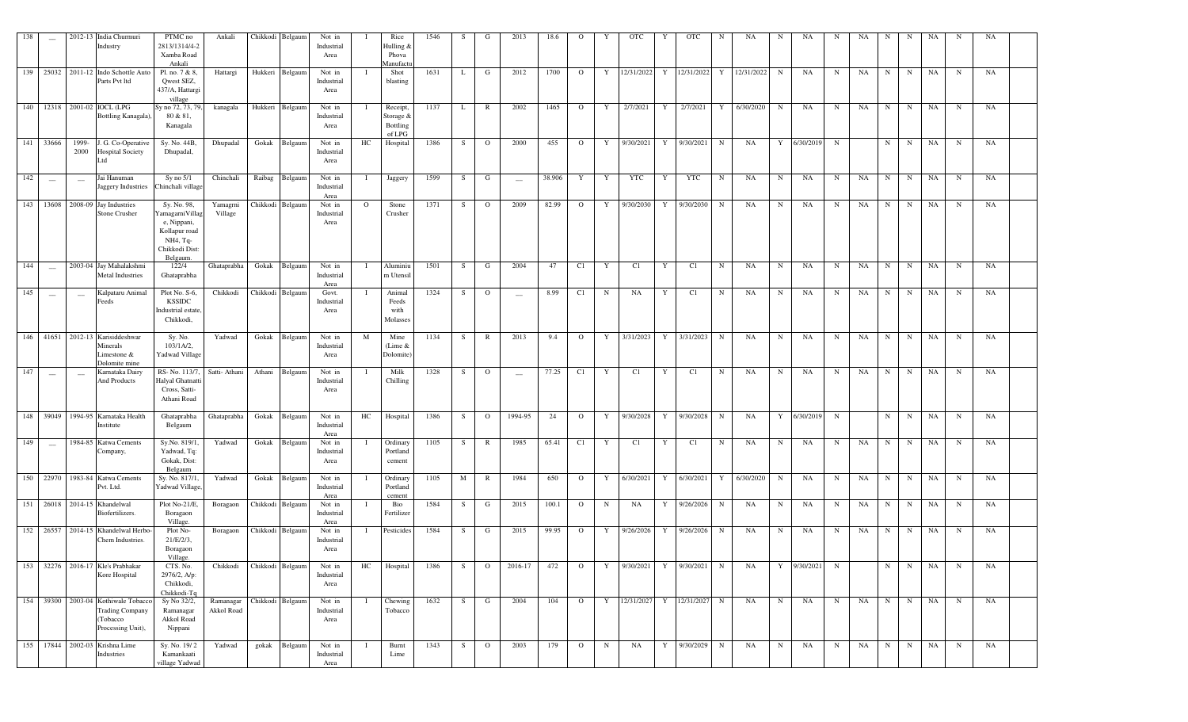| 138 | $\overline{\phantom{a}}$        |                          | 2012-13 India Churmuri<br>Industry                                                             | PTMC no<br>2813/1314/4-2<br>Xamba Road<br>Ankali                                                                    | Ankali                  | Chikkodi         | Belgaum          | Not in<br>Industrial<br>Area |          | Rice<br>Hulling &<br>Phova<br>Manufact      | 1546 | S  | G            | 2013                     | 18.6   | О              |   | <b>OTC</b> |   | <b>OTC</b>             | N           | NA         | N           | NA          | N           | NA          | N           | N           | NA        | N           | NA        |  |
|-----|---------------------------------|--------------------------|------------------------------------------------------------------------------------------------|---------------------------------------------------------------------------------------------------------------------|-------------------------|------------------|------------------|------------------------------|----------|---------------------------------------------|------|----|--------------|--------------------------|--------|----------------|---|------------|---|------------------------|-------------|------------|-------------|-------------|-------------|-------------|-------------|-------------|-----------|-------------|-----------|--|
|     |                                 |                          | 139 25032 2011-12 Indo Schottle Auto<br>Parts Pvt ltd                                          | Pl. no. 7 & 8,<br>Qwest SEZ,<br>437/A, Hattargi<br>village                                                          | Hattargi                | Hukkeri          | Belgaum          | Not in<br>Industrial<br>Area |          | Shot<br>blasting                            | 1631 | L  | G            | 2012                     | 1700   | $\overline{O}$ | Y | 12/31/2022 | Y | 12/31/2022             | Y           | 12/31/2022 | N           | NA          | $\mathbf N$ | NA          | $\mathbf N$ | $\mathbf N$ | NA        | N           | NA        |  |
| 140 | 12318                           |                          | 2001-02 IOCL (LPG<br>Bottling Kanagala).                                                       | Sy no 72, 73, 79,<br>80 & 81,<br>Kanagala                                                                           | kanagala                | Hukkeri          | Belgaun          | Not in<br>Industrial<br>Area |          | Receipt,<br>Storage &<br>Bottling<br>of LPG | 1137 | L  | $\mathbb{R}$ | 2002                     | 1465   | $\circ$        | Y | 2/7/2021   | Y | 2/7/2021               | Y           | 6/30/2020  | $\mathbf N$ | NA          | $\mathbf N$ | NA          | $\mathbf N$ | $_{\rm N}$  | NA        | N           | NA        |  |
|     | 141 33666                       | 1999-<br>2000            | J. G. Co-Operative<br><b>Hospital Society</b><br>Ltd                                           | Sy. No. 44B,<br>Dhupadal,                                                                                           | Dhupadal                | Gokak            | Belgaum          | Not in<br>Industrial<br>Area | HC       | Hospital                                    | 1386 | S  | $\circ$      | 2000                     | 455    | $\mathbf{O}$   | Y | 9/30/2021  | Y | 9/30/2021              | N           | NA         | Y           | 6/30/2019   | $\mathbf N$ |             | N           | $\mathbf N$ | NA        | N           | NA        |  |
| 142 |                                 | $\sim$                   | Jai Hanuman<br>Jaggery Industries                                                              | $Sy$ no $5/1$<br>Chinchali village                                                                                  | Chinchali               | Raibag           | Belgaun          | Not in<br>Industrial<br>Area | - 1      | Jaggery                                     | 1599 | S  | G            | $\overline{\phantom{0}}$ | 38.906 | Y              | Y | <b>YTC</b> | Y | <b>YTC</b>             | $_{\rm N}$  | NA         | $\mathbf N$ | NA          | $\mathbf N$ | NA          | $\mathbf N$ | $\mathbf N$ | <b>NA</b> | N           | NA        |  |
| 143 | 13608                           |                          | 2008-09 Jay Industries<br>Stone Crusher                                                        | Sy. No. $\overline{98}$ ,<br>amagarniVillag<br>e, Nippani,<br>Kollapur road<br>NH4, Tq-<br>Chikkodi Dist<br>Belgaum | Yamagrni<br>Village     | Chikkodi         | Belgaum          | Not in<br>Industrial<br>Area | $\Omega$ | Stone<br>Crusher                            | 1371 | S  | $\circ$      | 2009                     | 82.99  | $\circ$        | Y | 9/30/2030  | Y | 9/30/2030              | $_{\rm N}$  | NA         | N           | NA          | N           | NA          | N           | N           | <b>NA</b> | ${\bf N}$   | NA        |  |
| 144 | $\sim$                          |                          | 2003-04 Jay Mahalakshmi<br><b>Metal Industries</b>                                             | 122/4<br>Ghataprabha                                                                                                | Ghataprabha             | Gokak            | Belgaum          | Not in<br>Industrial<br>Area |          | Aluminiu<br>m Utensi                        | 1501 | S  | G            | 2004                     | 47     | C1             | Y | C1         | Y | C1                     | N           | NA         | N           | <b>NA</b>   | N           | <b>NA</b>   | N           | N           | <b>NA</b> | N           | NA        |  |
| 145 | $\hspace{0.1mm}-\hspace{0.1mm}$ | $\overline{\phantom{a}}$ | Kalpataru Animal<br>Feeds                                                                      | $Plot No. S-6,$<br><b>KSSIDC</b><br>ndustrial estate.<br>Chikkodi,                                                  | Chikkodi                |                  | Chikkodi Belgaum | Govt.<br>Industrial<br>Area  |          | Animal<br>Feeds<br>with<br>Molasses         | 1324 | S  | $\circ$      | $\hspace{0.05cm}$        | 8.99   | C1             | N | NA         | Y | C1                     | N           | NA         | N           | NA          | N           | <b>NA</b>   | N           | N           | <b>NA</b> | N           | <b>NA</b> |  |
| 146 | 41651                           |                          | 2012-13 Karisiddeshwar<br>Minerals<br>Limestone &<br>Dolomite mine                             | Sy. No.<br>$103/1A/2$ ,<br>Yadwad Village                                                                           | Yadwad                  | Gokak            | Belgaum          | Not in<br>Industrial<br>Area | M        | Mine<br>(Lime $&$<br>Dolomite               | 1134 | S. | R            | 2013                     | 9.4    | $\mathbf{O}$   | Y | 3/31/2023  | Y | 3/31/2023              | N           | NA         | N           | NA          | N           | <b>NA</b>   | N           | N           | <b>NA</b> | N           | NA        |  |
| 147 | --                              | $\overline{\phantom{a}}$ | Karnataka Dairv<br><b>And Products</b>                                                         | RS-No. 113/7<br>Halyal Ghatnatt<br>Cross, Satti-<br>Athani Road                                                     | Satti-Athani            | Athani           | Belgaum          | Not in<br>Industrial<br>Area |          | Milk<br>Chilling                            | 1328 | S  | $\Omega$     | $\overline{\phantom{0}}$ | 77.25  | C1             | Y | C1         | Y | C1                     | N           | NA         | N           | <b>NA</b>   | N           | <b>NA</b>   | $_{\rm N}$  | N           | <b>NA</b> | N           | NA        |  |
| 148 | 39049                           |                          | 1994-95 Karnataka Health<br>Institute                                                          | Ghataprabha<br>Belgaum                                                                                              | Ghataprabha             | Gokak            | Belgaum          | Not in<br>Industrial<br>Area | HC       | Hospital                                    | 1386 | S  | $\circ$      | 1994-95                  | 24     | $\circ$        | Y | 9/30/2028  | Y | 9/30/2028              | $\mathbf N$ | NA         | Y           | 6/30/2019   | $\mathbf N$ |             | $\mathbf N$ | N           | NA        | $\mathbf N$ | NA        |  |
| 149 | $\overline{\phantom{0}}$        |                          | 1984-85 Katwa Cements<br>Company,                                                              | Sy.No. 819/1<br>Yadwad, Tq:<br>Gokak, Dist:<br>Belgaum                                                              | Yadwad                  | Gokak            | Belgaum          | Not in<br>Industrial<br>Area |          | Ordinary<br>Portland<br>cement              | 1105 | S  | R            | 1985                     | 65.41  | C1             | Y | C1         | Y | C1                     | N           | NA         | N           | NA          | N           | NA          | N           | N           | <b>NA</b> | N           | NA        |  |
| 150 | 22970                           |                          | 1983-84 Katwa Cements<br>Pvt. Ltd.                                                             | Sy. No. 817/1<br><b>Yadwad Village</b>                                                                              | Yadwad                  | Gokak            | Belgaum          | Not in<br>Industrial<br>Area |          | Ordinary<br>Portland<br>cement              | 1105 | M  | R            | 1984                     | 650    | $\circ$        | Y | 6/30/2021  | Y | 6/30/2021              | Y           | 6/30/2020  | N           | NA          | $\mathbf N$ | NA          | $_{\rm N}$  | N           | NA        | N           | NA        |  |
| 151 | 26018                           |                          | 2014-15 Khandelwal<br>Biofertilizers.                                                          | Plot No-21/E<br>Boragaon<br><b>Village</b>                                                                          | Boragaon                | Chikkodi         | Belgaum          | Not in<br>Industrial<br>Area |          | Bio<br>Fertilizer                           | 1584 | S  | G            | 2015                     | 100.1  | $\circ$        | N | NA         | Y | 9/26/2026              | $_{\rm N}$  | NA         | N           | NA          | $\mathbf N$ | $_{\rm NA}$ | $\mathbf N$ | ${\bf N}$   | <b>NA</b> | $\,$ N      | NA        |  |
|     | 152 26557                       |                          | 2014-15 Khandelwal Herbo<br>Chem Industries.                                                   | Plot No-<br>$21/E/2/3$ ,<br>Boragaon<br>Village.                                                                    | Boragaon                | Chikkodi         | Belgaum          | Not in<br>Industrial<br>Area |          | Pesticides                                  | 1584 | S  | G            | 2015                     | 99.95  | $\circ$        | Y | 9/26/2026  | Y | 9/26/2026              | N           | NA         | N           | NA          | N           | $_{\rm NA}$ | $_{\rm N}$  | N           | <b>NA</b> | N           | NA        |  |
|     |                                 |                          | 153 32276 2016-17 Kle's Prabhakar<br>Kore Hospital                                             | CTS. No.<br>2976/2, A/p:<br>Chikkodi,<br>Chikkodi-Tq                                                                | Chikkodi                | Chikkodi Belgaum |                  | Not in<br>Industrial<br>Area | HC       | Hospital                                    | 1386 | S  | $\Omega$     | 2016-17                  | 472    | $\Omega$       | Y | 9/30/2021  |   | Y 9/30/2021            | $\mathbf N$ | NA         |             | Y 9/30/2021 | N           |             | N           | N           | NA        | N           | NA        |  |
|     |                                 |                          | 154 39300 2003-04 Kothiwale Tobacco<br><b>Trading Company</b><br>(Tobacco<br>Processing Unit), | Sy No 32/2,<br>Ramanagar<br>Akkol Road<br>Nippani                                                                   | Ramanagar<br>Akkol Road |                  | Chikkodi Belgaum | Not in<br>Industrial<br>Area |          | Chewing<br>Tobacco                          | 1632 | S  | G            | 2004                     | 104    | $\overline{O}$ | Y | 12/31/2027 |   | Y 12/31/2027           | $\mathbf N$ | NA         | N           | NA          | $\mathbf N$ | NA          | N           | N           | NA        | $\mathbf N$ | NA        |  |
|     |                                 |                          | 155 17844 2002-03 Krishna Lime<br>Industries                                                   | Sy. No. 19/2<br>Kamankaati<br>village Yadwad                                                                        | Yadwad                  | gokak            | Belgaum          | Not in<br>Industrial<br>Area |          | Burnt<br>Lime                               | 1343 | S  | $\mathbf{O}$ | 2003                     | 179    | $\overline{O}$ | N | NA         | Y | $\frac{1}{9}$ /30/2029 | N           | NA         | $\mathbf N$ | NA          | $\mathbf N$ | NA          | N           | N           | NA        | N           | NA        |  |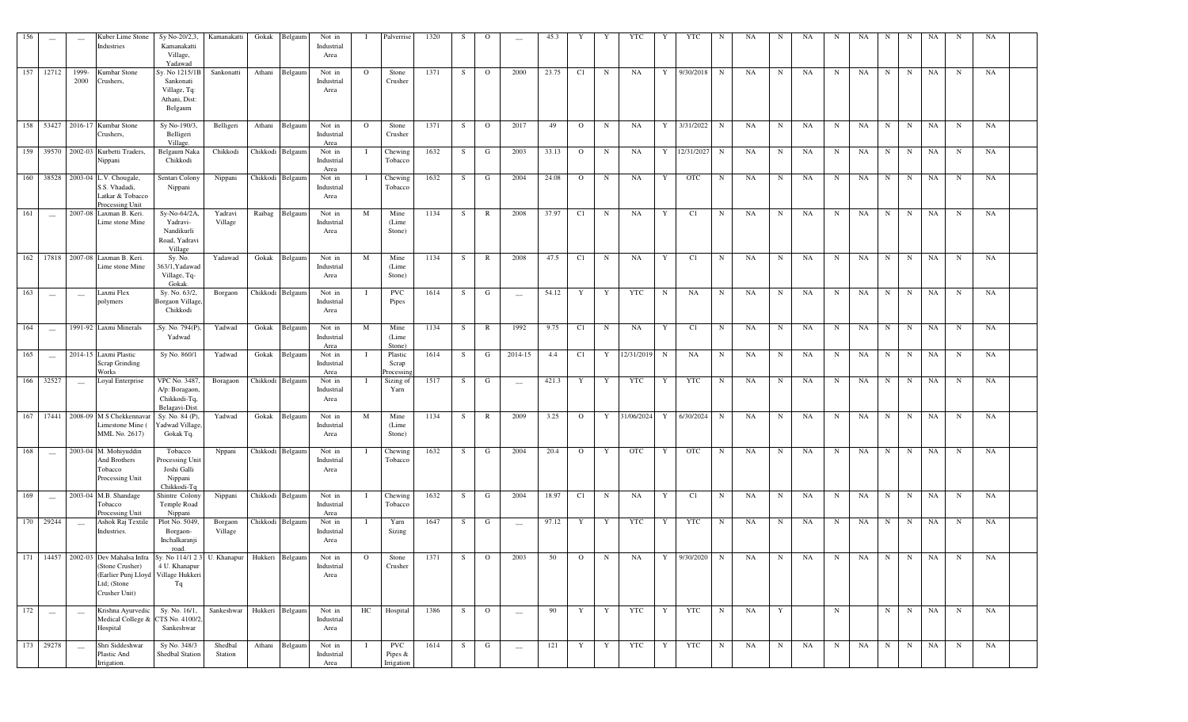| 156 | --                              | $\overline{\phantom{a}}$ | Kuber Lime Stone<br>Industries                                                                                                                                                         | Sy No-20/2,3<br>Kamanakatti<br>Village,<br>Yadawad                     | Kamanakatti        | Gokak    | Belgaum          | Not in<br>Industrial<br>Area |              | Palverrise                          | 1320 |              | $\Omega$       | $\sim$                   | 45.3  |                | Y           | YTC        |   | YTC           | N           | NA | N          | NA          | N          | NA | N           | N           | NA        | N           | NA |  |
|-----|---------------------------------|--------------------------|----------------------------------------------------------------------------------------------------------------------------------------------------------------------------------------|------------------------------------------------------------------------|--------------------|----------|------------------|------------------------------|--------------|-------------------------------------|------|--------------|----------------|--------------------------|-------|----------------|-------------|------------|---|---------------|-------------|----|------------|-------------|------------|----|-------------|-------------|-----------|-------------|----|--|
|     | 157 12712                       | 1999-<br>2000            | Kumbar Stone<br>Crushers.                                                                                                                                                              | Sy. No 1215/1<br>Sankonati<br>Village, Tq:<br>Athani, Dist:<br>Belgaum | Sankonatti         | Athani   | Belgaum          | Not in<br>Industrial<br>Area | $\circ$      | Stone<br>Crusher                    | 1371 | S            | $\circ$        | 2000                     | 23.75 | C1             | $\mathbf N$ | <b>NA</b>  | Y | 9/30/2018     | N           | NA | N          | NA          | $_{\rm N}$ | NA | N           | N           | NA        | $\mathbf N$ | NA |  |
| 158 | 53427                           |                          | 2016-17 Kumbar Stone<br>Crushers,                                                                                                                                                      | Sy No-190/3<br>Belligeri<br>Village.                                   | Belligeri          | Athani   | Belgaum          | Not in<br>Industrial<br>Area | $\Omega$     | Stone<br>Crusher                    | 1371 | <sub>S</sub> | $\circ$        | 2017                     | 49    | $\circ$        | N           | NA         | Y | 3/31/2022     | N           | NA | N          | <b>NA</b>   | N          | NA | N           | $_{\rm N}$  | NA        | N           | NA |  |
| 159 | 39570                           |                          | 2002-03 Kurbetti Traders,<br>Nippani                                                                                                                                                   | Belgaum Naka<br>Chikkodi                                               | Chikkodi           | Chikkodi | Belgaum          | Not in<br>Industrial<br>Area |              | Chewing<br>Tobacco                  | 1632 | S            | G              | 2003                     | 33.13 | $\Omega$       | N           | NA         | Y | 12/31/2027    | $\mathbf N$ | NA | N          | NA          | N          | NA | N           | N           | NA        | N           | NA |  |
|     | 160 38528                       |                          | 2003-04 L.V. Chougale<br>S.S. Vhadadi,<br>Latkar & Tobacco<br>Processing Unit                                                                                                          | Sentari Colony<br>Nippani                                              | Nippani            | Chikkodi | Belgaum          | Not in<br>Industrial<br>Area |              | Chewing<br>Tobacco                  | 1632 | S            | G              | 2004                     | 24.08 | $\circ$        | N           | NA         | Y | <b>OTC</b>    | N           | NA | N          | NA          | N          | NA | N           | N           | NA        | N           | NA |  |
| 161 | $\sim$                          |                          | 2007-08 Laxman B. Keri.<br>Lime stone Mine                                                                                                                                             | Sy-No-64/2A,<br>Yadravi-<br>Nandikurli<br>Road, Yadravi<br>Village     | Yadravi<br>Village | Raibag   | Belgaum          | Not in<br>Industrial<br>Area | M            | Mine<br>(Lime<br>Stone)             | 1134 | S            | $\mathbb{R}$   | 2008                     | 37.97 | C1             | $\mathbf N$ | <b>NA</b>  | Y | C1            | $\mathbf N$ | NA | $_{\rm N}$ | NA          | N          | NA | N           | $\mathbf N$ | NA        | $\mathbf N$ | NA |  |
| 162 | 17818                           |                          | 2007-08 Laxman B. Keri.<br>Lime stone Mine                                                                                                                                             | Sy. No.<br>363/1, Yadawad<br>Village, Tq-<br>Gokak                     | Yadawad            | Gokak    | Belgaum          | Not in<br>Industrial<br>Area | M            | Mine<br>(Lime<br>Stone)             | 1134 | S            | R              | 2008                     | 47.5  | C1             | $\mathbf N$ | <b>NA</b>  | Y | C1            | $\mathbf N$ | NA | N          | NA          | N          | NA | $_{\rm N}$  | $\mathbf N$ | NA        | $_{\rm N}$  | NA |  |
| 163 | $\overline{\phantom{m}}$        | $\frac{1}{2}$            | Laxmi Flex<br>polymers                                                                                                                                                                 | Sy. No. 63/2,<br>Borgaon Village<br>Chikkodi                           | Borgaon            |          | Chikkodi Belgaum | Not in<br>Industrial<br>Area |              | <b>PVC</b><br>Pipes                 | 1614 | S            | G              | $\overline{\phantom{m}}$ | 54.12 | Y              | Y           | <b>YTC</b> | N | NA            | N           | NA | N          | NA          | N          | NA | N           | $\mathbf N$ | NA        | N           | NA |  |
| 164 | $\overline{\phantom{0}}$        |                          | 1991-92 Laxmi Minerals                                                                                                                                                                 | Sy. No. 794(P<br>Yadwad                                                | Yadwad             | Gokak    | Belgaum          | Not in<br>Industrial<br>Area | M            | Mine<br>(Lime<br>Stone)             | 1134 | S            | R              | 1992                     | 9.75  | C1             | $\mathbf N$ | NA         | Y | C1            | $\mathbf N$ | NA | N          | NA          | N          | NA | N           | N           | NA        | N           | NA |  |
| 165 | $\frac{1}{2}$                   |                          | 2014-15 Laxmi Plastic<br>Scrap Grinding<br>Works                                                                                                                                       | Sy No. 860/1                                                           | Yadwad             | Gokak    | Belgaum          | Not in<br>Industrial<br>Area |              | Plastic<br>Scrap<br>rocessin        | 1614 | S            | G              | 2014-15                  | 4.4   | C1             | Y           | 12/31/2019 | N | NA            | $\mathbf N$ | NA | N          | NA          | N          | NA | $\mathbf N$ | N           | NA        | N           | NA |  |
| 166 | 32527                           | $\overline{\phantom{0}}$ | Loyal Enterprise                                                                                                                                                                       | <b>VPC No. 3487</b><br>A/p: Boragaon<br>Chikkodi-Tq,<br>Belagavi-Dist  | Boragaon           |          | Chikkodi Belgaum | Not in<br>Industrial<br>Area |              | Sizing of<br>Yarn                   | 1517 | S            | G              | $\overline{\phantom{0}}$ | 421.3 | Y              | Y           | <b>YTC</b> | Y | <b>YTC</b>    | N           | NA | N          | NA          | N          | NA | N           | $_{\rm N}$  | NA        | N           | NA |  |
| 167 | 17441                           |                          | 2008-09 M S Chekkennavar<br>Limestone Mine (<br>MML No. 2617)                                                                                                                          | Sy. No. 84 (P).<br>Yadwad Village,<br>Gokak Tq.                        | Yadwad             | Gokak    | Belgaum          | Not in<br>Industrial<br>Area | M            | Mine<br>(Lime<br>Stone)             | 1134 | S            | R              | 2009                     | 3.25  | $\circ$        | Y           | 31/06/2024 | Y | 6/30/2024     | N           | NA | N          | $_{\rm NA}$ | N          | NA | N           | $_{\rm N}$  | NA        | N           | NA |  |
| 168 | $\sim$                          |                          | 2003-04 M. Mohiyuddin<br>And Brothers<br>Tobacco<br>Processing Unit                                                                                                                    | Tobacco<br>Processing Unit<br>Joshi Galli<br>Nippani<br>Chikkodi-Tq    | Nppani             |          | Chikkodi Belgaum | Not in<br>Industrial<br>Area |              | Chewing<br>Tobacco                  | 1632 | S            | G              | 2004                     | 20.4  | $\circ$        | Y           | <b>OTC</b> | Y | <b>OTC</b>    | N           | NA | N          | <b>NA</b>   | N          | NA | N           | $_{\rm N}$  | <b>NA</b> | N           | NA |  |
| 169 | $\overline{\phantom{a}}$        |                          | 2003-04 M.B. Shandage<br>Tobacco<br>Processing Unit                                                                                                                                    | Shintre Colony<br>Temple Road<br>Nippani                               | Nippani            |          | Chikkodi Belgaum | Not in<br>Industrial<br>Area |              | Chewing<br>Tobacco                  | 1632 | S            | G              | 2004                     | 18.97 | C1             | N           | NA         | Y | C1            | $_{\rm N}$  | NA | N          | NA          | $_{\rm N}$ | NA | $_{\rm N}$  | $\mathbf N$ | NA        | $\mathbf N$ | NA |  |
|     | 170 29244                       | $\overline{\phantom{a}}$ | Ashok Raj Textile<br>Industries.                                                                                                                                                       | Plot No. 5049<br>Borgaon-<br>Inchalkaranji<br>road.                    | Borgaon<br>Village |          | Chikkodi Belgaum | Not in<br>Industrial<br>Area |              | Yarn<br>Sizing                      | 1647 | S            | G              | $\frac{1}{2}$            | 97.12 | Y              | Y           | <b>YTC</b> | Y | YTC           | N           | NA | N          | NA          | N          | NA | $_{\rm N}$  | $\mathbf N$ | NA        | $\mathbf N$ | NA |  |
|     |                                 |                          | 171   14457   2002-03 Dev Mahalsa Infra   Sy. No 114/1 2 3   U. Khanapur   Hukkeri   Belgaum<br>(Stone Crusher)<br>(Earlier Punj Lloyd Village Hukkeri<br>Ltd; (Stone<br>Crusher Unit) | 4 U. Khanapur<br>Tq                                                    |                    |          |                  | Not in<br>Industrial<br>Area | $\mathbf{O}$ | Stone<br>Crusher                    | 1371 | S            | $\overline{O}$ | 2003                     | 50    | $\overline{O}$ | N           | NA         |   | Y 9/30/2020 N |             | NA | N          | NA          | N          | NA | N           | N           | NA        | $\mathbf N$ | NA |  |
| 172 | $\hspace{0.1mm}-\hspace{0.1mm}$ | $\sim$                   | Krishna Ayurvedic<br>Medical College &<br>Hospital                                                                                                                                     | Sy. No. 16/1,<br>TS No. 4100/2,<br>Sankeshwar                          | Sankeshwar         |          | Hukkeri Belgaum  | Not in<br>Industrial<br>Area | HC           | Hospital                            | 1386 | S            | $\overline{O}$ | $\overline{\phantom{a}}$ | 90    | Y              | Y           | YTC        | Y | YTC           | N           | NA | Y          |             | N          |    | N           | N           | NA        | $\mathbf N$ | NA |  |
|     | 173 29278                       |                          | Shri Siddeshwar<br>Plastic And<br>Irrigation.                                                                                                                                          | Sy No. 348/3<br>Shedbal Station                                        | Shedbal<br>Station | Athani   | Belgaum          | Not in<br>Industrial<br>Area |              | <b>PVC</b><br>Pipes &<br>Irrigation | 1614 | S            | G              | $\sim$                   | 121   | Y              | Y           | YTC        | Y | YTC           | N           | NA | N          | NA          | N          | NA | N           | N           | NA        | $\mathbf N$ | NA |  |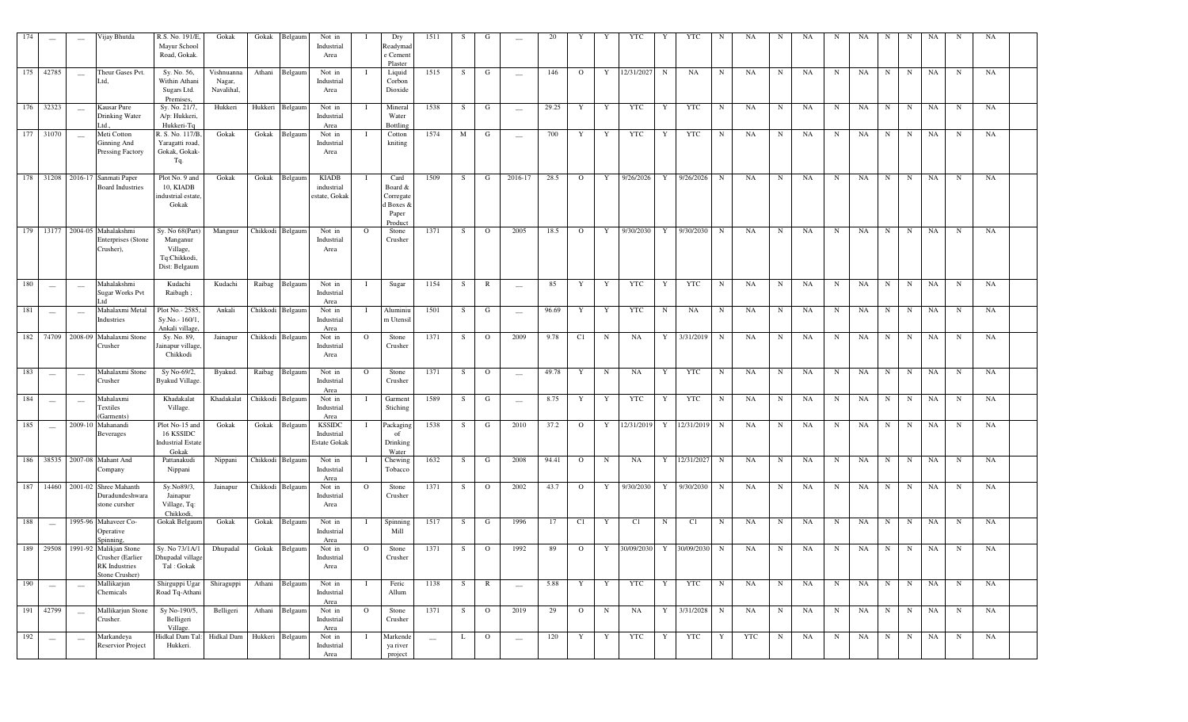| 174 | $\overline{\phantom{a}}$ |                          | Vijay Bhutda                                                                  | R.S. No. 191/E,<br>Mayur School<br>Road, Gokak.                          | Gokak                              | Gokak            | Belgaum          | Not in<br>Industrial<br>Area                       |              | Dry<br>Readymad<br>e Cement<br>Plaster                        | 1511                     | S  | G              |                          | 20    | Y            | Y           | YTC        | Y           | YTC         | N           | NA.       | N           | NA        | N          | NA |             | N           | NA | N           | NA |  |
|-----|--------------------------|--------------------------|-------------------------------------------------------------------------------|--------------------------------------------------------------------------|------------------------------------|------------------|------------------|----------------------------------------------------|--------------|---------------------------------------------------------------|--------------------------|----|----------------|--------------------------|-------|--------------|-------------|------------|-------------|-------------|-------------|-----------|-------------|-----------|------------|----|-------------|-------------|----|-------------|----|--|
| 175 | 42785                    | $\overline{\phantom{a}}$ | Theur Gases Pvt.<br>td,                                                       | Sy. No. 56,<br>Within Athani<br>Sugars Ltd.<br>Premises.                 | Vishnuanna<br>Nagar,<br>Navalihal, | Athani           | Belgaum          | Not in<br>Industrial<br>Area                       |              | Liquid<br>Corbon<br>Dioxide                                   | 1515                     | S  | G              | $\overline{\phantom{m}}$ | 146   | $\Omega$     | Y           | 12/31/2027 | $\mathbf N$ | NA          | N           | NA        | N           | NA        | N          | NA | $\mathbf N$ | $\mathbf N$ | NA | $\mathbf N$ | NA |  |
| 176 | 32323                    |                          | Kausar Pure<br>Drinking Water<br>Ltd                                          | Sy. No. 21/7,<br>A/p: Hukkeri,<br>Hukkeri-Tq                             | Hukkeri                            | Hukkeri          | Belgaum          | Not in<br>Industrial<br>Area                       |              | Mineral<br>Water<br><b>Bottling</b>                           | 1538                     | S  | G              |                          | 29.25 | Y            | Y           | <b>YTC</b> | Y           | <b>YTC</b>  | N           | NA        | $\mathbf N$ | NA        | N          | NA | $\mathbf N$ | $\mathbf N$ | NA | $\mathbf N$ | NA |  |
|     | 177 31070                | $\overline{\phantom{a}}$ | Meti Cotton<br><b>Ginning And</b><br><b>Pressing Factory</b>                  | R. S. No. 117/B.<br>Yaragatti road,<br>Gokak, Gokak-<br>Tq.              | Gokak                              |                  | Gokak Belgaum    | Not in<br>Industrial<br>Area                       |              | Cotton<br>kniting                                             | 1574                     | M  | G              | $\overline{\phantom{m}}$ | 700   | Y            | Y           | <b>YTC</b> | Y           | <b>YTC</b>  | N           | NA        | N           | NA        | N          | NA | $\mathbf N$ | $\mathbf N$ | NA | $\mathbf N$ | NA |  |
|     |                          |                          | 178 31208 2016-17 Sanmati Paper<br><b>Board Industries</b>                    | Plot No. 9 and<br>10, KIADB<br>ndustrial estate<br>Gokak                 | Gokak                              | Gokak            | Belgaum          | <b>KIADB</b><br>industrial<br>estate, Gokak        |              | Card<br>Board &<br>Corregate<br>d Boxes &<br>Paper<br>Product | 1509                     | S  | G              | 2016-17                  | 28.5  | $\mathbf{O}$ | Y           | 9/26/2026  | Y           | 9/26/2026   | N           | NA        | N           | NA        | N          | NA | $_{\rm N}$  | $\mathbf N$ | NA | N           | NA |  |
|     |                          |                          | 179 13177 2004-05 Mahalakshmi<br>Enterprises (Stone<br>Crusher),              | Sy. No 68(Part)<br>Manganur<br>Village,<br>Tq:Chikkodi,<br>Dist: Belgaum | Mangnur                            |                  | Chikkodi Belgaum | Not in<br>Industrial<br>Area                       | $\Omega$     | Stone<br>Crusher                                              | 1371                     | S  | $\mathbf{O}$   | 2005                     | 18.5  | $\circ$      | Y           | 9/30/2030  | Y           | 9/30/2030   | N           | <b>NA</b> | N           | <b>NA</b> | N          | NA | N           | N           | NA | $\mathbf N$ | NA |  |
| 180 | $\sim$                   |                          | Mahalakshmi<br>Sugar Works Pvt<br>td                                          | Kudachi<br>Raibagh;                                                      | Kudachi                            | Raibag           | Belgaum          | Not in<br>Industrial<br>Area                       | - 1          | Sugar                                                         | 1154                     | S  | R              | $\qquad \qquad -$        | 85    | Y            | Y           | <b>YTC</b> | Y           | <b>YTC</b>  | N           | NA        | $\mathbf N$ | NA        | N          | NA | $_{\rm N}$  | $\mathbf N$ | NA | $\mathbf N$ | NA |  |
| 181 | $\sim$                   | $\sim$                   | Mahalaxmi Metal<br>Industries                                                 | Plot No.- 2585<br>Sy.No.-160/1.<br>Ankali village.                       | Ankali                             |                  | Chikkodi Belgaum | Not in<br>Industrial<br>Area                       |              | Aluminiu<br>m Utensil                                         | 1501                     | S  | G              | $\overline{\phantom{a}}$ | 96.69 | Y            | Y           | <b>YTC</b> | N           | NA          | N           | NA        | N           | NA        | N          | NA | $\mathbf N$ | $\mathbf N$ | NA | $\mathbf N$ | NA |  |
| 182 | 74709                    | 2008-09                  | Mahalaxmi Stone<br>Crusher                                                    | Sy. No. 89,<br>ainapur village<br>Chikkodi                               | Jainapur                           |                  | Chikkodi Belgaum | Not in<br>Industrial<br>Area                       | $\circ$      | Stone<br>Crusher                                              | 1371                     | S  | $\circ$        | 2009                     | 9.78  | C1           | N           | NA         | Y           | 3/31/2019   | N           | NA        | N           | NA        | N          | NA | N           | N           | NA | N           | NA |  |
| 183 |                          | $\frac{1}{2}$            | Mahalaxmi Stone<br>Crusher                                                    | Sy No-69/2,<br><b>Byakud Village</b>                                     | Byakud.                            |                  | Raibag Belgaum   | Not in<br>Industrial<br>Area                       | $\circ$      | Stone<br>Crusher                                              | 1371                     | S  | $\Omega$       | $\overline{\phantom{0}}$ | 49.78 | Y            | N           | NA         | Y           | <b>YTC</b>  | N           | NA        | N           | NA        | N          | NA | N           | N           | NA | N           | NA |  |
| 184 |                          |                          | Mahalaxmi<br>Textiles<br>Garments)                                            | Khadakalat<br>Village.                                                   | Khadakalat                         | Chikkodi Belgaun |                  | Not in<br>Industrial<br>Area                       |              | Garment<br>Stiching                                           | 1589                     | S  | G              | $\overline{\phantom{0}}$ | 8.75  | Y            | Y           | <b>YTC</b> | Y           | <b>YTC</b>  | N           | NA        | N           | NA        | $_{\rm N}$ | NA | N           | $\mathbf N$ | NA | $\mathbf N$ | NA |  |
| 185 |                          | 2009-10                  | Mahanandi<br>Beverages                                                        | Plot No-15 and<br>16 KSSIDC<br><b>Industrial Estate</b><br>Gokak         | Gokak                              | Gokak            | Belgaum          | <b>KSSIDC</b><br>Industrial<br><b>Estate Gokak</b> |              | Packaging<br>of<br>Drinking<br>Water                          | 1538                     | S  | G              | 2010                     | 37.2  | $\circ$      | Y           | 12/31/2019 | Y           | 12/31/2019  | $\mathbf N$ | NA        | $\mathbf N$ | NA        | N          | NA | N           | $\mathbf N$ | NA | $\mathbf N$ | NA |  |
| 186 |                          |                          | 38535 2007-08 Mahant And<br>Company                                           | Pattanakudi<br>Nippani                                                   | Nippani                            |                  | Chikkodi Belgaum | Not in<br>Industrial<br>Area                       |              | Chewing<br>Tobacco                                            | 1632                     | S  | G              | 2008                     | 94.41 | $\mathbf{O}$ | $\mathbf N$ | NA         | Y           | 12/31/2027  | N           | NA        | $\mathbf N$ | NA        | N          | NA | $_{\rm N}$  | $\mathbf N$ | NA | N           | NA |  |
| 187 | 14460                    |                          | 2001-02 Shree Mahanth<br>Duradundeshwara<br>stone cursher                     | Sy.No89/3,<br>Jainapur<br>Village, Tq:<br>Chikkodi                       | Jainapur                           |                  | Chikkodi Belgaum | Not in<br>Industrial<br>Area                       | $\circ$      | Stone<br>Crusher                                              | 1371                     | S  | $\mathbf{O}$   | 2002                     | 43.7  | $\circ$      | Y           | 9/30/2030  | Y           | 9/30/2030   | N           | NA        | N           | NA        | N          | NA | N           | N           | NA | N           | NA |  |
| 188 |                          |                          | 1995-96 Mahaveer Co-<br>Operative<br>Spinning,                                | Gokak Belgaum                                                            | Gokak                              |                  | Gokak Belgaum    | Not in<br>Industrial<br>Area                       |              | Spinning<br>Mill                                              | 1517                     | S  | G              | 1996                     | 17    | C1           | Y           | C1         | N           | C1          | N           | NA        | N           | NA        | N          | NA | N           | $\mathbf N$ | NA | $\mathbf N$ | NA |  |
| 189 | 29508                    |                          | 1991-92 Malikjan Stone<br>Crusher (Earlier<br>RK Industries<br>Stone Crusher) | Sy. No 73/1A/1<br>Dhupadal village<br>Tal: Gokak                         | Dhupadal                           |                  | Gokak Belgaum    | Not in<br>Industrial<br>Area                       | $\mathbf{O}$ | Stone<br>Crusher                                              | 1371                     | S  | $\mathbf{O}$   | 1992                     | 89    | $\circ$      | Y           | 30/09/2030 | Y           | 30/09/2030  | $\mathbf N$ | NA        | $_{\rm N}$  | NA        | N          | NA | N           | $\mathbf N$ | NA | $\mathbf N$ | NA |  |
| 190 | $\sim$                   |                          | Mallikarjun<br>Chemicals                                                      | Shirguppi Ugar<br>Road Tq-Athani                                         | Shiraguppi                         |                  | Athani Belgaum   | Not in<br>Industrial<br>Area                       |              | Feric<br>Allum                                                | 1138                     | S. | $\mathbb{R}$   | $\overline{\phantom{a}}$ | 5.88  | Y            | Y           | YTC        | Y           | YTC         | $\mathbf N$ | NA        | $\mathbf N$ | NA        | N          | NA | N           | $\mathbf N$ | NA | $\mathbf N$ | NA |  |
|     | 191 42799                |                          | Mallikarjun Stone<br>Crusher.                                                 | Sy No-190/5,<br>Belligeri<br>Village.                                    | Belligeri                          | Athani           | Belgaum          | Not in<br>Industrial<br>Area                       | $\mathbf{O}$ | Stone<br>Crusher                                              | 1371                     | S  | $\overline{O}$ | 2019                     | 29    | $\mathbf{O}$ | $\mathbf N$ | NA         |             | Y 3/31/2028 | $\mathbf N$ | NA        | $\mathbf N$ | NA        | N          | NA | N           | $\mathbf N$ | NA | $\mathbf N$ | NA |  |
| 192 | $\overline{\phantom{m}}$ |                          | Markandeya<br>Reservior Project                                               | Hidkal Dam Tal: Hidkal Dam<br>Hukkeri.                                   |                                    |                  | Hukkeri Belgaum  | Not in<br>Industrial<br>Area                       |              | Markende<br>ya river<br>project                               | $\overline{\phantom{a}}$ | L  | $\overline{O}$ | $\overline{\phantom{0}}$ | 120   | Y            | Y           | YTC        | Y           | YTC         | Y           | YTC       | $\mathbf N$ | NA        | $_{\rm N}$ | NA | N           | N           | NA | $\mathbf N$ | NA |  |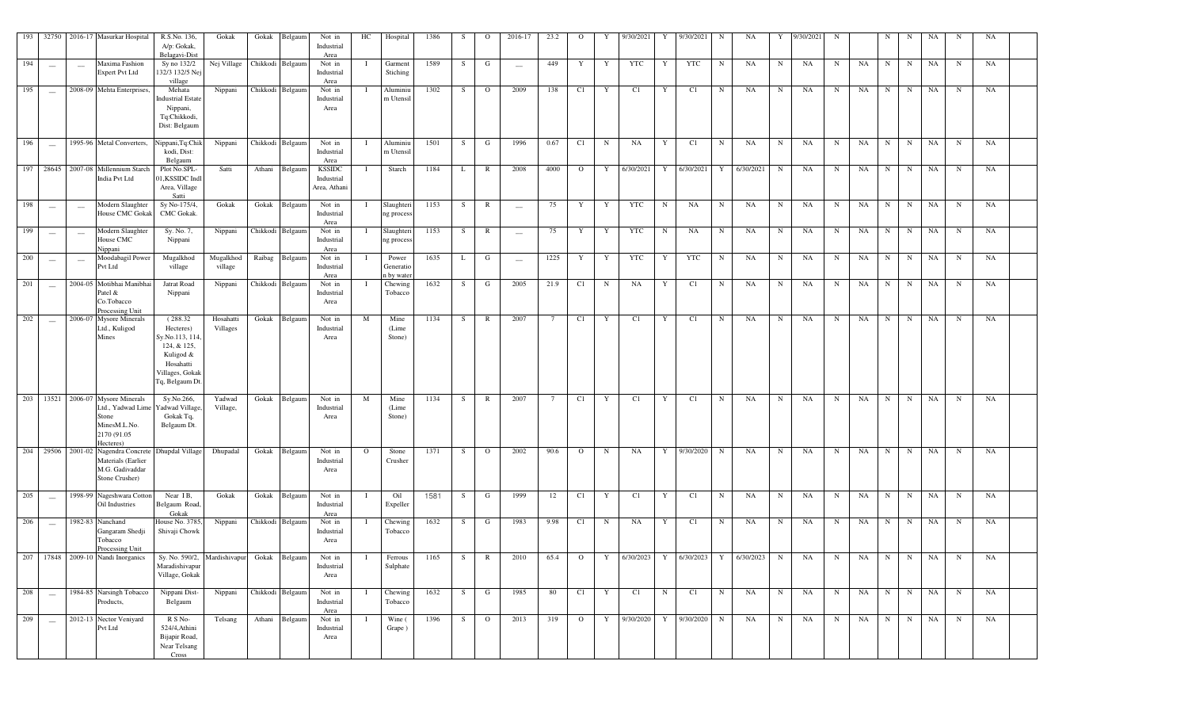| 193 | 32750                    |                          | 2016-17 Masurkar Hospital                                                                         | R.S.No. 136,<br>A/p: Gokak,<br>Belagavi-Dist                                                                           | Gokak                 | Gokak    | Belgaum          | Not in<br>Industrial<br>Area                | HC       | Hospital                         | 1386 | <sub>S</sub> | $\Omega$       | 2016-17                  | 23.2            | $\Omega$       | Y            | 9/30/2021               |            | 9/30/2021  | N            | NA        | Y           | 9/30/2021 | N           |    | N           | N           | <b>NA</b> | N           | NA        |  |
|-----|--------------------------|--------------------------|---------------------------------------------------------------------------------------------------|------------------------------------------------------------------------------------------------------------------------|-----------------------|----------|------------------|---------------------------------------------|----------|----------------------------------|------|--------------|----------------|--------------------------|-----------------|----------------|--------------|-------------------------|------------|------------|--------------|-----------|-------------|-----------|-------------|----|-------------|-------------|-----------|-------------|-----------|--|
| 194 | $\frac{1}{2}$            |                          | Maxima Fashion<br><b>Expert Pvt Ltd</b>                                                           | Sy no 132/2<br>132/3 132/5 Nej<br>village                                                                              | Nej Village           |          | Chikkodi Belgaum | Not in<br>Industrial<br>Area                |          | Garment<br>Stiching              | 1589 | S            | G              | $\overline{\phantom{m}}$ | 449             | Y              | Y            | <b>YTC</b>              | Y          | <b>YTC</b> | N            | NA        | N           | NA        | $\mathbf N$ | NA | N           | $_{\rm N}$  | NA        | $\mathbf N$ | NA        |  |
| 195 | $\overline{\phantom{a}}$ |                          | 2008-09 Mehta Enterprises,                                                                        | Mehata<br>Industrial Estate<br>Nippani,<br>Tq:Chikkodi,<br>Dist: Belgaum                                               | Nippani               |          | Chikkodi Belgaum | Not in<br>Industrial<br>Area                |          | Aluminiu<br>m Utensil            | 1302 | S            | $\circ$        | 2009                     | 138             | C1             | $\mathbf{Y}$ | C1                      | Y          | C1         | N            | NA        | N           | NA        | $\mathbf N$ | NA | N           | N           | NA        | $\mathbf N$ | NA        |  |
| 196 |                          |                          | 1995-96 Metal Converters,                                                                         | Nippani, Tq:Chil<br>kodi, Dist:<br>Belgaum                                                                             | Nippani               |          | Chikkodi Belgaum | Not in<br>Industrial<br>Area                |          | Aluminiu<br>m Utensil            | 1501 | S            | G              | 1996                     | 0.67            | C1             | N            | NA                      | Y          | C1         | $\mathbf N$  | NA        | $_{\rm N}$  | NA        | N           | NA | $\mathbf N$ | $\mathbf N$ | <b>NA</b> | $\mathbf N$ | NA        |  |
|     | 197 28645                |                          | 2007-08 Millennium Starch<br>India Pvt Ltd                                                        | Plot No.SPL<br>01, KSSIDC Ind<br>Area, Village<br>Satti                                                                | Satti                 | Athani   | Belgaum          | <b>KSSIDC</b><br>Industrial<br>Area, Athani | T        | Starch                           | 1184 | L            | $\mathbb{R}$   | 2008                     | 4000            | $\overline{O}$ | Y            | 6/30/2021               | Y          | 6/30/2021  | Y            | 6/30/2021 | $\mathbf N$ | NA        | $_{\rm N}$  | NA | $_{\rm N}$  | N           | NA        | $_{\rm N}$  | NA        |  |
| 198 | $\frac{1}{2}$            | $\overline{\phantom{a}}$ | Modern Slaughter<br><b>House CMC Gokak</b>                                                        | Sy No-175/4<br><b>CMC</b> Gokak.                                                                                       | Gokak                 | Gokak    | Belgaum          | Not in<br>Industrial<br>Area                |          | Slaughteri<br>ng process         | 1153 | S            | R              | $\overline{\phantom{a}}$ | 75              | Y              | Y            | <b>YTC</b>              | N          | <b>NA</b>  | N            | NA        | $\mathbf N$ | NA        | $_{\rm N}$  | NA | N           | $\mathbf N$ | NA        | $_{\rm N}$  | NA        |  |
| 199 |                          | $\sim$                   | Modern Slaughter<br>House CMC<br>Nippani                                                          | Sy. No. 7,<br>Nippani                                                                                                  | Nippani               |          | Chikkodi Belgaun | Not in<br>Industrial<br>Area                |          | Slaughter<br>ng process          | 1153 | S            | R              | $\sim$                   | 75              | Y              | Y            | <b>YTC</b>              | N          | <b>NA</b>  | N            | NA        | N           | NA        | $_{\rm N}$  | NA | N           | N           | <b>NA</b> | $_{\rm N}$  | NA        |  |
| 200 | $\sim$                   | $\sim$                   | Moodabagil Power<br>Pvt Ltd                                                                       | Mugalkhod<br>village                                                                                                   | Mugalkhod<br>village  | Raibag   | Belgaum          | Not in<br>Industrial<br>Area                |          | Power<br>Generatic<br>a by wate: | 1635 | L            | G              | $\overline{\phantom{a}}$ | 1225            | Y              | $\mathbf Y$  | <b>YTC</b>              | Y          | <b>YTC</b> | $\mathbf N$  | NA        | $\mathbf N$ | NA        | $\mathbf N$ | NA | N           | $\mathbf N$ | <b>NA</b> | $\mathbf N$ | NA        |  |
| 201 |                          |                          | 2004-05 Motibhai Manibhai<br>atel &<br>Co.Tobacco<br>Processing Unit                              | Jatrat Road<br>Nippani                                                                                                 | Nippani               | Chikkodi | Belgaum          | Not in<br>Industrial<br>Area                |          | Chewing<br>Tobacco               | 1632 | S            | G              | 2005                     | 21.9            | C1             | N            | <b>NA</b>               | Y          | C1         | N            | NA        | $\mathbf N$ | NA        | $\mathbf N$ | NA | N           | $_{\rm N}$  | <b>NA</b> | $\mathbf N$ | NA        |  |
| 202 |                          |                          | 2006-07 Mysore Minerals<br>Ltd., Kuligod<br>Mines                                                 | (288.32)<br>Hecteres)<br>Sy.No.113, 114<br>124, & 125,<br>Kuligod &<br>Hosahatti<br>Villages, Gokak<br>Tq, Belgaum Dt. | Hosahatti<br>Villages | Gokak    | Belgaum          | Not in<br>Industrial<br>Area                | M        | Mine<br>(Lime<br>Stone)          | 1134 | S            | R              | 2007                     | $7\phantom{.0}$ | C1             | Y            | C1                      | Y          | C1         | N            | NA        | N           | NA        | $\mathbf N$ | NA | N           | N           | NA        | $\mathbf N$ | <b>NA</b> |  |
| 203 | 13521                    |                          | 2006-07 Mysore Minerals<br>Ltd., Yadwad Lime<br>Stone<br>MinesM.L.No.<br>2170 (91.05<br>Hecteres) | Sy.No.266,<br>adwad Village<br>Gokak Tq,<br>Belgaum Dt.                                                                | Yadwad<br>Village,    | Gokak    | Belgaun          | Not in<br>Industrial<br>Area                | M        | Mine<br>(Lime<br>Stone)          | 1134 | S            | R              | 2007                     | $7\phantom{.0}$ | C1             | Y            | C1                      | Y          | C1         | N            | NA        | $\mathbf N$ | NA        | $\mathbf N$ | NA | N           | N           | <b>NA</b> | $\mathbf N$ | NA        |  |
| 204 | 29506                    |                          | 2001-02 Nagendra Concrete<br>Materials (Earlier<br>M.G. Gadivaddar<br>Stone Crusher)              | Dhupdal Village                                                                                                        | Dhupadal              | Gokak    | Belgaum          | Not in<br>Industrial<br>Area                | $\Omega$ | Stone<br>Crusher                 | 1371 | S            | $\circ$        | 2002                     | 90.6            | $\Omega$       | $\mathbf N$  | <b>NA</b>               | Y          | 9/30/2020  | N            | NA        | N           | NA        | N           | NA | $_{\rm N}$  | N           | NA        | $\mathbf N$ | NA        |  |
| 205 | $\overline{\phantom{0}}$ |                          | 1998-99 Nageshwara Cotton<br>Oil Industries                                                       | Near $I\overline{B}$ ,<br>Belgaum Road,<br>Gokak                                                                       | Gokak                 | Gokak    | Belgaum          | Not in<br>Industrial<br>Area                |          | Oil<br>Expeller                  | 1581 | S            | G              | 1999                     | 12              | C1             | $\mathbf Y$  | C1                      | Y          | C1         | N            | NA        | N           | NA        | $\mathbf N$ | NA | N           | $\mathbf N$ | NA        | $\mathbf N$ | NA        |  |
| 206 | $\overline{\phantom{0}}$ |                          | 1982-83 Nanchand<br>Gangaram Shedji<br>Tobacco<br>Processing Unit                                 | House No. 3785<br>Shivaji Chowk                                                                                        | Nippani               |          | Chikkodi Belgaum | Not in<br>Industrial<br>Area                |          | Chewing<br>Tobacco               | 1632 | S            | G              | 1983                     | 9.98            | C1             | N            | NA                      | Y          | C1         | N            | NA        | N           | NA        | $\mathbf N$ | NA | $_{\rm N}$  | $_{\rm N}$  | NA        | N           | NA        |  |
|     |                          |                          | 207 17848 2009-10 Nandi Inorganics Sy. No. 590/2, Mardishivapur                                   | Maradishivapur<br>Village, Gokak                                                                                       |                       | Gokak    | Belgaum          | Not in<br>Industrial<br>Area                |          | Ferrous<br>Sulphate              | 1165 | S            | $\mathbb{R}$   | 2010                     | 65.4            | $\overline{O}$ |              | Y 6/30/2023 Y 6/30/2023 |            |            | $\mathbf{Y}$ | 6/30/2023 | N           | NA        | N           | NA | N           | N           | NA        | $\mathbf N$ | NA        |  |
| 208 | $\overline{\phantom{0}}$ |                          | 1984-85 Narsingh Tobacco<br>Products,                                                             | Nippani Dist-<br>Belgaum                                                                                               | Nippani               |          | Chikkodi Belgaum | Not in<br>Industrial<br>Area                |          | Chewing<br>Tobacco               | 1632 | S            | G              | 1985                     | 80              | C1             | Y            | C1                      | $_{\rm N}$ | C1         | N            | NA        | $_{\rm N}$  | NA        | N           | NA | $\mathbf N$ | $\mathbf N$ | NA        | $\mathbf N$ | NA        |  |
| 209 | $\frac{1}{2}$            |                          | 2012-13 Nector Veniyard<br>Pvt Ltd                                                                | R S No-<br>524/4, Athini<br>Bijapir Road,<br>Near Telsang<br>Cross                                                     | Telsang               | Athani   | Belgaum          | Not in<br>Industrial<br>Area                |          | Wine (<br>Grape)                 | 1396 | S            | $\overline{O}$ | 2013                     | 319             | $\Omega$       | Y            | 9/30/2020               | Y          | 9/30/2020  | $\mathbf N$  | NA        | $\mathbf N$ | NA        | $\mathbf N$ | NA | $\mathbf N$ | N           | NA        | N           | NA        |  |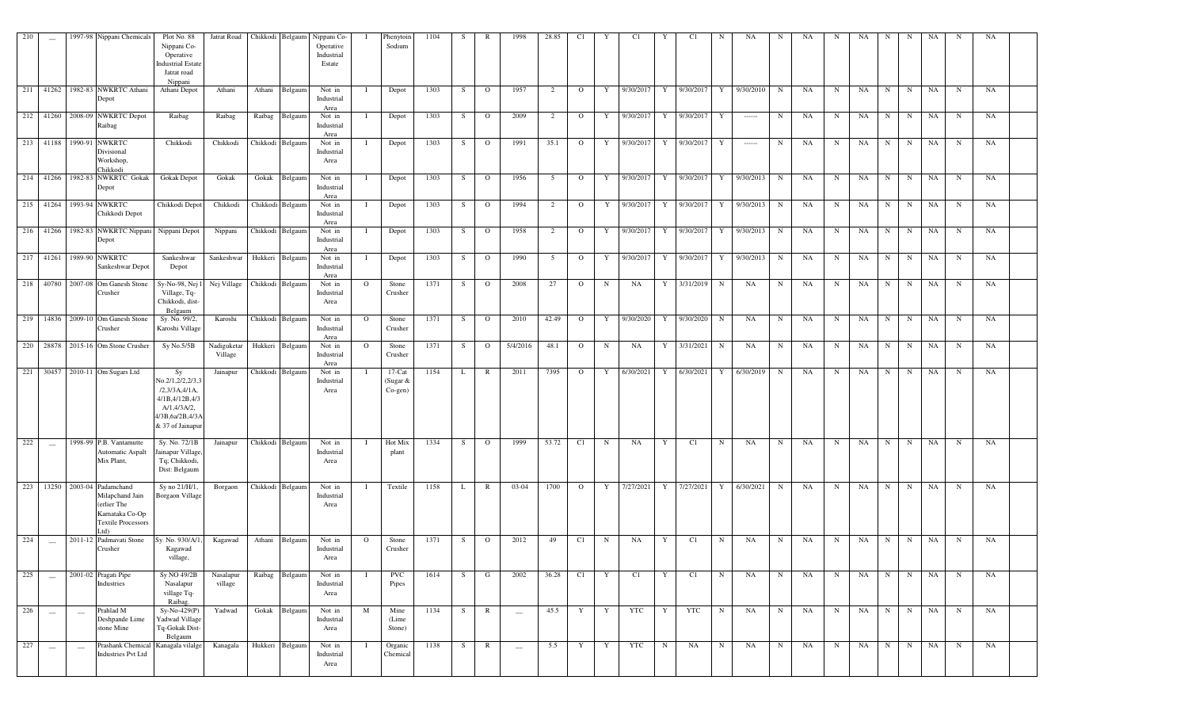| 210              | $\sim$                                         |         | 1997-98 Nippani Chemicals                                                                                          | Plot No. 88<br>Nippani Co-<br>Operative<br><b>Industrial Estate</b><br>Jatrat road<br>Nippani                           | Jatrat Road            |         | Chikkodi Belgaum | Nippani Co-<br>Operative<br>Industrial<br>Estate |         | Phenytoin<br>Sodium                    | 1104 | S.  | $\mathbb{R}$   | 1998                     | 28.85          | C1             | Y           | C1        | Y           | C1          | N           | NA        | N           | NA        | N           | NA. | N           | N           | NA        | N           | NA |  |
|------------------|------------------------------------------------|---------|--------------------------------------------------------------------------------------------------------------------|-------------------------------------------------------------------------------------------------------------------------|------------------------|---------|------------------|--------------------------------------------------|---------|----------------------------------------|------|-----|----------------|--------------------------|----------------|----------------|-------------|-----------|-------------|-------------|-------------|-----------|-------------|-----------|-------------|-----|-------------|-------------|-----------|-------------|----|--|
|                  |                                                |         | 211 41262 1982-83 NWKRTC Athani<br>Depot                                                                           | Athani Depot                                                                                                            | Athani                 | Athani  | Belgaum          | Not in<br>Industrial<br>Area                     |         | Depot                                  | 1303 | S.  | $\overline{O}$ | 1957                     | 2              | $\mathbf{O}$   | Y           | 9/30/2017 | Y           | 9/30/2017   | Y           | 9/30/2010 | $\mathbf N$ | NA        | $\mathbf N$ | NA  | N           | N           | NA        | $\mathbf N$ | NA |  |
|                  |                                                |         | 212 41260 2008-09 NWKRTC Depot<br>Raibag                                                                           | Raibag                                                                                                                  | Raibag                 | Raibag  | Belgaum          | Not in<br>Industrial<br>Area                     |         | Depot                                  | 1303 | S.  | $\overline{O}$ | 2009                     | $\overline{2}$ | $\mathbf{O}$   | Y           | 9/30/2017 | Y           | 9/30/2017   | Y           |           | $\mathbf N$ | NA        | $\mathbf N$ | NA  | N           | $\mathbf N$ | NA        | $\mathbf N$ | NA |  |
|                  |                                                |         | 213 41188 1990-91 NWKRTC<br>Divisional<br>Workshop,<br>Chikkodi                                                    | Chikkodi                                                                                                                | Chikkodi               |         | Chikkodi Belgaum | Not in<br>Industrial<br>Area                     |         | Depot                                  | 1303 | S.  | $\mathbf{O}$   | 1991                     | 35.1           | $\mathbf{O}$   | Y           | 9/30/2017 | Y           | 9/30/2017   | Y           | $\cdots$  | $\mathbf N$ | NA        | $\mathbf N$ | NA  | N           | N           | NA        | $\mathbf N$ | NA |  |
|                  |                                                |         | 214 41266 1982-83 NWKRTC Gokak<br>Depot                                                                            | Gokak Depot                                                                                                             | Gokak                  | Gokak   | Belgaum          | Not in<br>Industrial<br>Area                     |         | Depot                                  | 1303 | S.  | $\overline{O}$ | 1956                     | 5              | $\circ$        | Y           | 9/30/2017 | Y           | 9/30/2017   | Y           | 9/30/2013 | N           | NA        | $\mathbf N$ | NA  | N           | $\mathbf N$ | NA        | $\mathbf N$ | NA |  |
|                  |                                                |         | 215 41264 1993-94 NWKRTC<br>Chikkodi Depot                                                                         | Chikkodi Depot                                                                                                          | Chikkodi               |         | Chikkodi Belgaum | Not in<br>Industrial<br>Area                     |         | Depot                                  | 1303 | S.  | $\overline{O}$ | 1994                     | 2              | $\mathbf{O}$   | Y           | 9/30/2017 |             | Y 9/30/2017 | Y           | 9/30/2013 | $\mathbf N$ | NA        | $\mathbf N$ | NA  | N           | N           | NA        | $\mathbf N$ | NA |  |
|                  |                                                |         | 216 41266 1982-83 NWKRTC Nippani<br>Depot                                                                          | Nippani Depot                                                                                                           | Nippani                |         | Chikkodi Belgaum | Not in<br>Industrial<br>Area                     |         | Depot                                  | 1303 | - S | $\overline{O}$ | 1958                     | $\overline{2}$ | $\circ$        | Y           | 9/30/2017 | Y           | 9/30/2017   | Y           | 9/30/2013 | N           | NA        | N           | NA  | N           | N           | NA        | N           | NA |  |
|                  |                                                |         | 217 41261 1989-90 NWKRTC<br>Sankeshwar Depot                                                                       | Sankeshwar<br>Depot                                                                                                     | Sankeshwar             | Hukkeri | Belgaum          | Not in<br>Industrial<br>Area                     |         | Depot                                  | 1303 | - S | $\overline{O}$ | 1990                     | 5              | $\mathbf{O}$   | Y           | 9/30/2017 | Y           | 9/30/2017   | Y           | 9/30/2013 | $\mathbf N$ | NA        | $\mathbf N$ | NA  | N           | $\mathbf N$ | NA        | N           | NA |  |
|                  |                                                |         | 218 40780 2007-08 Om Ganesh Stone<br>Crusher                                                                       | Sy-No-98, Nej 1<br>Village, Tq-<br>Chikkodi, dist-<br>Belgaum                                                           | Nej Village            |         | Chikkodi Belgaum | Not in<br>Industrial<br>Area                     | $\circ$ | Stone<br>Crusher                       | 1371 | S.  | $\overline{O}$ | 2008                     | 27             | $\circ$        | $\mathbf N$ | NA        | Y           | 3/31/2019   | N           | NA        | $\mathbf N$ | NA        | N           | NA  | N           | N           | NA        | $\mathbf N$ | NA |  |
|                  |                                                |         | 219 14836 2009-10 Om Ganesh Stone<br>Crusher                                                                       | Sy. No. 99/2,<br>Karoshi Village                                                                                        | Karoshi                |         | Chikkodi Belgaum | Not in<br>Industrial<br>Area                     | $\circ$ | Stone<br>Crusher                       | 1371 | S.  | $\overline{O}$ | 2010                     | 42.49          | $\mathbf{O}$   | Y           | 9/30/2020 | Y           | 9/30/2020   | N           | NA        | N           | NA        | $\mathbf N$ | NA  | N           | $\mathbf N$ | NA        | $\mathbf N$ | NA |  |
| 220              |                                                |         | 28878 2015-16 Om Stone Crusher                                                                                     | Sy No.5/5B                                                                                                              | Nadiguketar<br>Village |         | Hukkeri Belgaum  | Not in<br>Industrial<br>Area                     | $\circ$ | Stone<br>Crusher                       | 1371 | S.  | $\overline{O}$ | 5/4/2016                 | 48.1           | $\mathbf{O}$   | $\mathbf N$ | NA        | Y           | 3/31/2021   | $\mathbf N$ | NA        | N           | NA        | $\mathbf N$ | NA  | $\mathbf N$ | $\mathbf N$ | NA        | $\mathbf N$ | NA |  |
|                  |                                                |         | 221 30457 2010-11 Om Sugars Ltd                                                                                    | Sy<br>No.2/1,2/2,2/3,3<br>/2,3/3A,4/1A,<br>4/1B, 4/12B, 4/3<br>$A/1, 4/3A/2$ ,<br>4/3B, 6a/2B, 4/3/<br>& 37 of Jainapur | Jainapur               |         | Chikkodi Belgaum | Not in<br>Industrial<br>Area                     |         | $17$ -Cat<br>(Sugar &<br>$Co$ -gen $)$ | 1154 | L   | R              | 2011                     | 7395           | $\mathbf{O}$   | Y           | 6/30/2021 | Y           | 6/30/2021   | Y           | 6/30/2019 | N           | NA        | N           | NA  | N           | N           | NA        | N           | NA |  |
| 222              | $\overline{\phantom{a}}$                       |         | 1998-99 P.B. Vantamutte<br>Automatic Aspalt<br>Mix Plant,                                                          | Sy. No. 72/1B<br>Jainapur Village<br>Tq; Chikkodi,<br>Dist: Belgaum                                                     | Jainapur               |         | Chikkodi Belgaum | Not in<br>Industrial<br>Area                     |         | Hot Mix<br>plant                       | 1334 | - S | $\overline{O}$ | 1999                     | 53.72          | C1             | $_{\rm N}$  | NA        | Y           | C1          | N           | NA        | N           | NA        | $_{\rm N}$  | NA  | N           | N           | NA        | N           | NA |  |
| 223              |                                                |         | 13250 2003-04 Padamchand<br>Milapchand Jain<br>(erlier The<br>Karnataka Co-Op<br><b>Textile Processors</b><br>Ltd) | Sy no 21/H/1,<br><b>Borgaon Village</b>                                                                                 | Borgaon                |         | Chikkodi Belgaum | Not in<br>Industrial<br>Area                     |         | Textile                                | 1158 | L   | $\mathbb{R}$   | 03-04                    | 1700           | $\overline{O}$ | Y           | 7/27/2021 | Y           | 7/27/2021   | Y           | 6/30/2021 | N           | <b>NA</b> | $\mathbf N$ | NA  | N           | N           | <b>NA</b> | $\mathbf N$ | NA |  |
| 224              | $\sim$                                         | 2011-12 | Padmavati Stone<br>Crusher                                                                                         | Sy. No. 930/A/1<br>Kagawad<br>village,                                                                                  | Kagawad                | Athani  | Belgaum          | Not in<br>Industrial<br>Area                     |         | Stone<br>Crusher                       | 1371 | S.  | $\overline{O}$ | 2012                     | 49             | C1             | $\mathbf N$ | NA        | Y           | C1          | N           | NA        | N           | NA        | N           | NA  | $\mathbf N$ | $_{\rm N}$  | NA        | $\mathbf N$ | NA |  |
| 225              | $\sim$                                         | 2001-02 | Pragati Pipe<br>Industries                                                                                         | Sy NO 49/2B<br>Nasalapur<br>village Tq-<br>Raibag.                                                                      | Nasalapur<br>village   | Raibag  | Belgaum          | Not in<br>Industrial<br>Area                     |         | <b>PVC</b><br>Pipes                    | 1614 | S.  | G              | 2002                     | 36.28          | C1             | Y           | C1        | Y           | C1          | N           | NA        | N           | NA        | N           | NA  | N           | N           | NA        | $\mathbf N$ | NA |  |
| 226              | $\hspace{0.1mm}-\hspace{0.1mm}-\hspace{0.1mm}$ |         | Prahlad M<br>Deshpande Lime<br>stone Mine                                                                          | $Sy-No-429(P)$<br>Yadwad Village<br>Tq-Gokak Dist-<br>Belgaum                                                           | Yadwad                 | Gokak   | Belgaum          | Not in<br>Industrial<br>Area                     | M       | Mine<br>(Lime<br>Stone)                | 1134 | S.  | $\mathbb{R}$   | $\overline{\phantom{a}}$ | 45.5           | Y              | Y           | YTC       | Y           | YTC         | $\mathbf N$ | NA        | N           | NA        | $\mathbf N$ | NA  | N           | N           | NA        | $\mathbf N$ | NA |  |
| $\overline{227}$ | $\sim$                                         | $\sim$  | Prashank Chemica<br><b>Industries Pvt Ltd</b>                                                                      | Kanagala vilalge                                                                                                        | Kanagala               | Hukkeri | Belgaum          | Not in<br>Industrial<br>Area                     |         | Organic<br>Chemical                    | 1138 | S.  | $\mathbb{R}$   | $\overline{\phantom{a}}$ | 5.5            | Y              | Y           | YTC       | $\mathbf N$ | NA          | $\mathbf N$ | NA        | N           | NA        | N           | NA  | N           | N           | NA        | $\mathbf N$ | NA |  |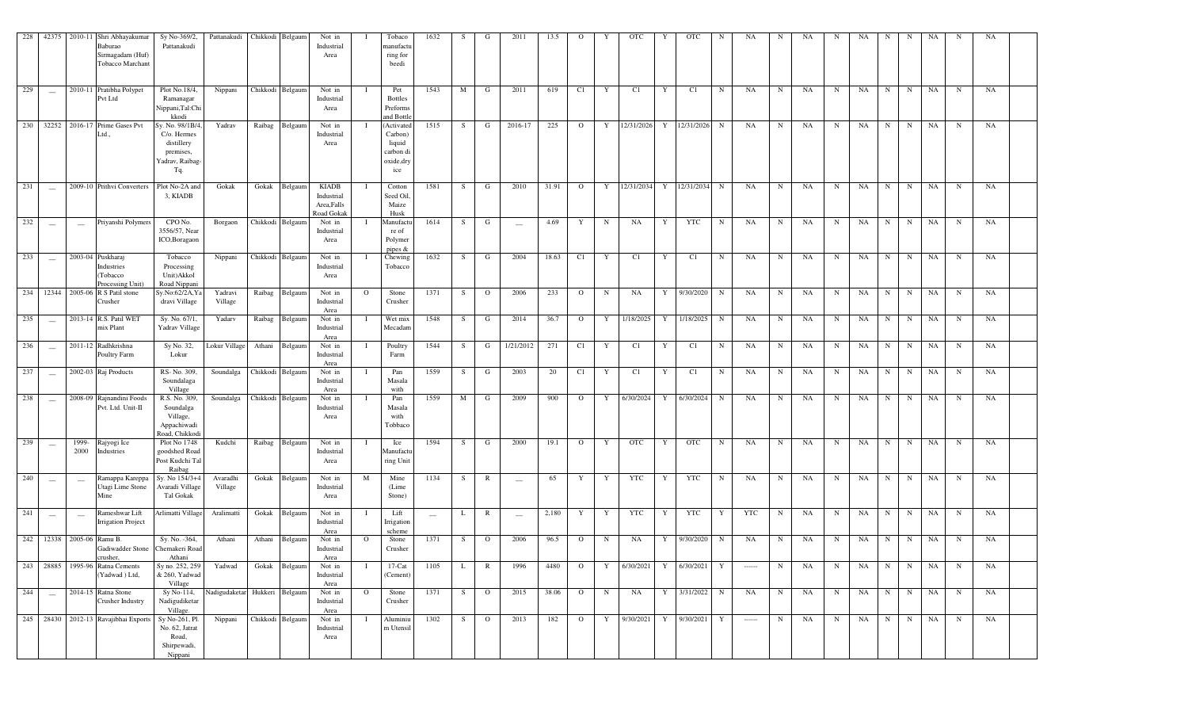|     |                                                |                                                | 228 42375 2010-11 Shri Abhayakumar<br>Baburao<br>Sirmagadam (Huf)<br>Tobacco Marchant | Sy No-369/2,<br>Pattanakudi                                                          | Pattanakudi                   | Chikkodi Belgaum |                  | Not in<br>Industrial<br>Area                            |              | Tobaco<br>manufactu<br>ring for<br>beedi                          | 1632              | S. | G              | 2011                            | 13.5  | $\mathbf{O}$   | Y           | <b>OTC</b>                    | OTC<br>Y       | N           | NA                                                                                                                                                                                                                                                                                                                                                                                                                                                                                     | N           | NA | N           | NA   | N           | N           | NA        | N           | NA |  |
|-----|------------------------------------------------|------------------------------------------------|---------------------------------------------------------------------------------------|--------------------------------------------------------------------------------------|-------------------------------|------------------|------------------|---------------------------------------------------------|--------------|-------------------------------------------------------------------|-------------------|----|----------------|---------------------------------|-------|----------------|-------------|-------------------------------|----------------|-------------|----------------------------------------------------------------------------------------------------------------------------------------------------------------------------------------------------------------------------------------------------------------------------------------------------------------------------------------------------------------------------------------------------------------------------------------------------------------------------------------|-------------|----|-------------|------|-------------|-------------|-----------|-------------|----|--|
| 229 | $\sim$                                         |                                                | 2010-11 Pratibha Polypet<br>Pvt Ltd                                                   | Plot No.18/4,<br>Ramanagar<br>Nippani,Tal:Chi<br>kkodi                               | Nippani                       |                  | Chikkodi Belgaum | Not in<br>Industrial<br>Area                            |              | Pet<br><b>Bottles</b><br>Preforms<br>and Bottle                   | 1543              | M  | G              | 2011                            | 619   | C1             | Y           | C1                            | C1<br>Y        | N           | NA                                                                                                                                                                                                                                                                                                                                                                                                                                                                                     | $\mathbf N$ | NA | N           | NA   | $\mathbf N$ | N           | NA        | N           | NA |  |
| 230 |                                                |                                                | 32252 2016-17 Prime Gases Pvt<br>Ltd.,                                                | Sy. No. 98/1B/4,<br>C/o. Hermes<br>distillery<br>premises,<br>Yadrav, Raibag-<br>Tq. | Yadrav                        |                  | Raibag Belgaum   | Not in<br>Industrial<br>Area                            |              | (Activated<br>Carbon)<br>liquid<br>carbon di<br>oxide, dry<br>ice | 1515              | S. | G              | 2016-17                         | 225   | $\overline{O}$ |             | Y 12/31/2026 Y 12/31/2026 N   |                |             | NA                                                                                                                                                                                                                                                                                                                                                                                                                                                                                     | N           | NA | N           | NA   | N           | N           | NA        | $\mathbf N$ | NA |  |
| 231 | $\sim$                                         |                                                | 2009-10 Prithvi Converters                                                            | Plot No-2A and<br>3, KIADB                                                           | Gokak                         |                  | Gokak Belgaum    | <b>KIADB</b><br>Industrial<br>Area, Falls<br>Road Gokal |              | Cotton<br>Seed Oil<br>Maize<br>Husk                               | 1581              | S  | $\mathbf{G}$   | 2010                            | 31.91 | $\overline{O}$ |             | Y 12/31/2034 Y 12/31/2034 N   |                |             | NA                                                                                                                                                                                                                                                                                                                                                                                                                                                                                     | N           | NA | N           | NA   | N           | $\mathbf N$ | NA        | N           | NA |  |
| 232 | $\sim$                                         | $\hspace{0.1mm}-\hspace{0.1mm}$                | Priyanshi Polymers                                                                    | CPO No.<br>3556/57, Near<br>ICO,Boragaon                                             | Borgaon                       |                  | Chikkodi Belgaum | Not in<br>Industrial<br>Area                            |              | Manufactu<br>re of<br>Polymer<br>pipes $\&$                       | 1614              | S  | G              | $\sim$                          | 4.69  | Y              | N           | NA<br>Y                       | <b>YTC</b>     | $\mathbf N$ | NA                                                                                                                                                                                                                                                                                                                                                                                                                                                                                     | $\mathbf N$ | NA | $\mathbf N$ | NA   | N           | $\mathbf N$ | NA        | $\mathbf N$ | NA |  |
| 233 | $\hspace{0.1mm}-\hspace{0.1mm}$                | 2003-04                                        | Puskharaj<br>Industries<br>Tobacco<br>Processing Unit)                                | Tobacco<br>Processing<br>Unit)Akkol<br>Road Nippani                                  | Nippani                       |                  | Chikkodi Belgaum | Not in<br>Industrial<br>Area                            |              | Chewing<br>Tobacco                                                | 1632              | S. | G              | 2004                            | 18.63 | C1             | Y           | C1<br>Y                       | C1             | $\mathbf N$ | NA                                                                                                                                                                                                                                                                                                                                                                                                                                                                                     | $\mathbf N$ | NA | N           | NA   | N           | N           | NA        | $\mathbf N$ | NA |  |
|     |                                                |                                                | 234 12344 2005-06 R S Patil stone<br>Crusher                                          | Sy.No:62/2A, Ya<br>dravi Village                                                     | Yadravi<br>Village            |                  | Raibag Belgaum   | Not in<br>Industrial<br>Area                            | $\circ$      | Stone<br>Crusher                                                  | 1371              | S. | $\overline{O}$ | 2006                            | 233   | $\overline{O}$ | $\mathbf N$ | NA<br>Y                       | 9/30/2020      | N           | NA                                                                                                                                                                                                                                                                                                                                                                                                                                                                                     | $\mathbf N$ | NA | N           | NA   | N           | N           | NA        |             | NA |  |
| 235 | $\hspace{0.1mm}-\hspace{0.1mm}$                |                                                | 2013-14 R.S. Patil WET<br>mix Plant                                                   | Sy. No. 67/1,<br>Yadrav Village                                                      | Yadarv                        |                  | Raibag Belgaum   | Not in<br>Industrial<br>Area                            |              | Wet mix<br>Mecadam                                                | 1548              | S  | G              | 2014                            | 36.7  | $\overline{O}$ | Y           | 1/18/2025                     | Y 1/18/2025    | $\mathbf N$ | NA                                                                                                                                                                                                                                                                                                                                                                                                                                                                                     | $\mathbf N$ | NA | N           | NA   | N           | N           | NA        | N           | NA |  |
| 236 | $\sim$                                         |                                                | 2011-12 Radhkrishna<br>Poultry Farm                                                   | Sy No. 32,<br>Lokur                                                                  | Lokur Village                 | Athani           | Belgaum          | Not in<br>Industrial<br>Area                            |              | Poultry<br>Farm                                                   | 1544              | S  | G              | 1/21/2012                       | 271   | C1             | Y           | C1                            | C1<br>Y        | $\mathbf N$ | NA                                                                                                                                                                                                                                                                                                                                                                                                                                                                                     | $\mathbf N$ | NA | $\mathbf N$ | NA   | N           | N           | NA        |             | NA |  |
| 237 | $\overline{\phantom{a}}$                       |                                                | 2002-03 Raj Products                                                                  | RS-No. 309,<br>Soundalaga<br>Village                                                 | Soundalga                     |                  | Chikkodi Belgaum | Not in<br>Industrial<br>Area                            |              | Pan<br>Masala<br>with                                             | 1559              | S  | G              | 2003                            | 20    | C1             | Y           | C1<br>Y                       | C1             | $\mathbf N$ | NA                                                                                                                                                                                                                                                                                                                                                                                                                                                                                     | $\mathbf N$ | NA | $\mathbf N$ | NA   | $\mathbf N$ | $\mathbf N$ | NA        | N           | NA |  |
| 238 | $\sim$                                         |                                                | 2008-09 Rajnandini Foods<br>Pvt. Ltd. Unit-II                                         | R.S. No. 309,<br>Soundalga<br>Village,<br>Appachiwadi<br>Road, Chikkod               | Soundalga                     |                  | Chikkodi Belgaum | Not in<br>Industrial<br>Area                            |              | Pan<br>Masala<br>with<br>Tobbaco                                  | 1559              | M  | G              | 2009                            | 900   | $\overline{O}$ |             | Y 6/30/2024<br>Y              | 6/30/2024      | $\mathbf N$ | NA                                                                                                                                                                                                                                                                                                                                                                                                                                                                                     | $\mathbf N$ | NA | $\mathbf N$ | NA   | N           | $\mathbf N$ | NA        |             | NA |  |
| 239 | $\overline{\phantom{a}}$                       | 1999-<br>2000                                  | Rajyogi Ice<br>Industries                                                             | Plot No 1748<br>goodshed Road<br>Post Kudchi Tal<br>Raibag                           | Kudchi                        |                  | Raibag Belgaum   | Not in<br>Industrial<br>Area                            |              | Ice<br>Manufactu<br>ring Unit                                     | 1594              | S. | G              | 2000                            | 19.1  | $\overline{O}$ | Y           | <b>OTC</b><br>Y               | <b>OTC</b>     | $\mathbf N$ | NA                                                                                                                                                                                                                                                                                                                                                                                                                                                                                     | $\mathbf N$ | NA | N           | NA   | N           | N           | NA        | N           | NA |  |
| 240 | $\hspace{0.1mm}$                               | $\hspace{0.1mm}-\hspace{0.1mm}-\hspace{0.1mm}$ | Ramappa Kareppa<br>Utagi Lime Stone<br>Mine                                           | Sy. No 154/3+4<br>Avaradi Village<br>Tal Gokak                                       | Avaradhi<br>Village           |                  | Gokak Belgaum    | Not in<br>Industrial<br>Area                            | M            | Mine<br>(Lime<br>Stone)                                           | 1134              | S. | $\mathbb{R}$   | $\hspace{0.1mm}-\hspace{0.1mm}$ | 65    | Y              | Y           | YTC                           | YTC<br>Y       | $\mathbf N$ | NA                                                                                                                                                                                                                                                                                                                                                                                                                                                                                     | $\mathbf N$ | NA | N           | NA   | N           | N           | NA        | $\mathbf N$ | NA |  |
| 241 | $\hspace{0.1mm}-\hspace{0.1mm}-\hspace{0.1mm}$ | $\hspace{0.1mm}-\hspace{0.1mm}-\hspace{0.1mm}$ | Rameshwar Lift<br><b>Irrigation Project</b>                                           | Arlimatti Village                                                                    | Aralimatti                    |                  | Gokak Belgaum    | Not in<br>Industrial<br>Area                            |              | Lift<br>Irrigation<br>scheme                                      | $\hspace{0.05cm}$ | L  | $\mathbb{R}$   | $\hspace{0.1mm}-\hspace{0.1mm}$ | 2,180 | Y              | Y           | YTC<br>Y                      | YTC            | Y           | YTC                                                                                                                                                                                                                                                                                                                                                                                                                                                                                    | $\mathbf N$ | NA | N           | NA   | N           | N           | NA        | $\mathbf N$ | NA |  |
|     |                                                | 242 12338 2005-06 Ramu B.                      | Gadiwadder Stone Chemakeri Road<br>crusher,                                           | Sy. No. -364,<br>Athani                                                              | Athani                        | Athani           | Belgaum          | Not in<br>Industrial<br>Area                            | $\Omega$     | Stone<br>Crusher                                                  | 1371              | S  | $\overline{O}$ | 2006                            | 96.5  | $\overline{O}$ | N           | NA                            | 9/30/2020<br>Y | $\mathbf N$ | NA                                                                                                                                                                                                                                                                                                                                                                                                                                                                                     | N           | NA | N           | NA   | N           | N           | NA        | N           | NA |  |
|     |                                                |                                                | 243 28885 1995-96 Ratna Cements<br>(Yadwad) Ltd,                                      | Sy no. 252, 259<br>& 260, Yadwad<br>Village                                          | Yadwad                        |                  | Gokak Belgaum    | Not in<br>Industrial<br>Area                            | $\mathbf{I}$ | $17-Cat$<br>(Cement)                                              | 1105              | L. | $\mathbb{R}$   | 1996                            | 4480  |                |             | $O$ Y 6/30/2021 Y 6/30/2021 Y |                |             | $\begin{array}{ccc} \multicolumn{3}{c}{} & \multicolumn{3}{c}{} & \multicolumn{3}{c}{} & \multicolumn{3}{c}{} & \multicolumn{3}{c}{} & \multicolumn{3}{c}{} & \multicolumn{3}{c}{} & \multicolumn{3}{c}{} & \multicolumn{3}{c}{} & \multicolumn{3}{c}{} & \multicolumn{3}{c}{} & \multicolumn{3}{c}{} & \multicolumn{3}{c}{} & \multicolumn{3}{c}{} & \multicolumn{3}{c}{} & \multicolumn{3}{c}{} & \multicolumn{3}{c}{} & \multicolumn{3}{c}{} & \multicolumn{3}{c}{} & \multicolumn$ | N           | NA | N           |      |             |             | NA N N NA | $\mathbf N$ | NA |  |
| 244 | $\sim$                                         |                                                | 2014-15 Ratna Stone<br>Crusher Industry                                               | Sy No-114,<br>Nadigudiketar<br>Village.                                              | Nadigudaketar Hukkeri Belgaum |                  |                  | Not in<br>Industrial<br>Area                            | $\mathbf{O}$ | Stone<br>Crusher                                                  | 1371              | S  | $\overline{O}$ | 2015                            | 38.06 | $\overline{O}$ | N           | NA                            | Y 3/31/2022 N  |             | NA                                                                                                                                                                                                                                                                                                                                                                                                                                                                                     | N           | NA | N           | NA 1 | N           | N           | NA        | $\mathbf N$ | NA |  |
|     |                                                |                                                | 245 28430 2012-13 Ravajibhai Exports                                                  | Sy No-261, Pl.<br>No. 62, Jatrat<br>Road,<br>Shirpewadi,<br>Nippani                  | Nippani                       | Chikkodi Belgaum |                  | Not in<br>Industrial<br>Area                            |              | Aluminiu<br>m Utensil                                             | 1302              | S  | $\overline{O}$ | 2013                            | 182   | $\overline{O}$ |             | Y 9/30/2021 Y 9/30/2021 Y     |                |             | $\cdots$                                                                                                                                                                                                                                                                                                                                                                                                                                                                               | N           | NA | N           | NA 1 | N           |             | N NA      | $\mathbf N$ | NA |  |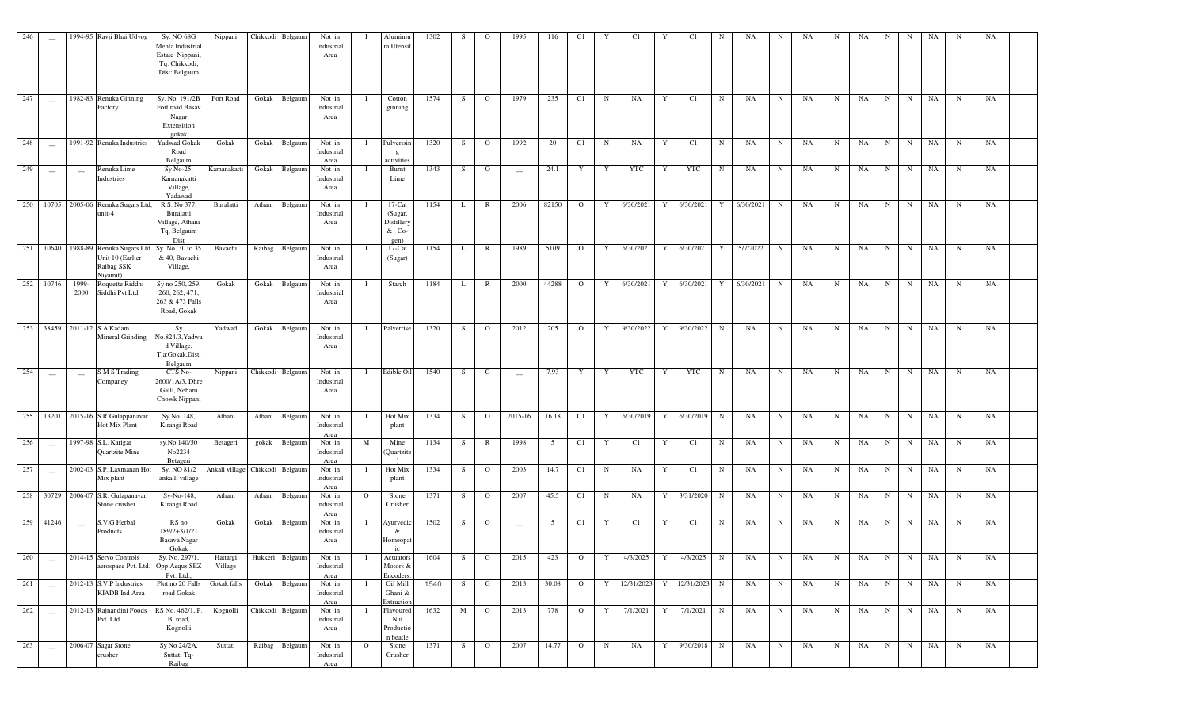| 246 |                          |               | 1994-95 Ravji Bhai Udyog                                                                        | Sy. NO 68G<br>Mehta Industrial<br>Estate Nippani<br>Tq: Chikkodi,<br>Dist: Belgaum | Nippani                         |        | Chikkodi Belgaum | Not in<br>Industrial<br>Area |          | Aluminiu<br>m Utensil                               | 1302 | S  | $\Omega$       | 1995                     | 116             | C1             | Y           | C1           |   | C1         |             | NA        | N           | NA | N           | NA          | N            | N           | NA          | N            | NA        |  |
|-----|--------------------------|---------------|-------------------------------------------------------------------------------------------------|------------------------------------------------------------------------------------|---------------------------------|--------|------------------|------------------------------|----------|-----------------------------------------------------|------|----|----------------|--------------------------|-----------------|----------------|-------------|--------------|---|------------|-------------|-----------|-------------|----|-------------|-------------|--------------|-------------|-------------|--------------|-----------|--|
| 247 |                          |               | 1982-83 Renuka Ginning<br>Factory                                                               | Sy. No. 191/2B<br>Fort road Basav<br>Nagar<br>Extensition<br>gokak                 | Fort Road                       | Gokak  | Belgaum          | Not in<br>Industrial<br>Area |          | Cotton<br>ginning                                   | 1574 | S  | G              | 1979                     | 235             | C1             | $\mathbf N$ | NA           | Y | C1         | N           | NA        | $_{\rm N}$  | NA | $\mathbf N$ | NA          | $\, {\rm N}$ | N           | NA          | $\, {\bf N}$ | NA        |  |
| 248 |                          |               | 1991-92 Renuka Industries                                                                       | Yadwad Gokak<br>Road<br>Belgaum                                                    | Gokak                           | Gokak  | Belgaum          | Not in<br>Industrial<br>Area |          | Pulverisin<br>g<br>activities                       | 1320 | S  | $\mathbf{o}$   | 1992                     | 20              | C1             | $\mathbf N$ | <b>NA</b>    | Y | C1         | N           | NA        | $_{\rm N}$  | NA | $\mathbf N$ | $_{\rm NA}$ | $\, {\rm N}$ | $\mathbf N$ | NA          | $\, {\bf N}$ | NA        |  |
| 249 |                          | $\sim$        | Renuka Lime<br>Industries                                                                       | Sy No-25,<br>Kamanakatti<br>Village,<br>Yadawad                                    | Kamanakatti                     | Gokak  | Belgaum          | Not in<br>Industrial<br>Area |          | Burnt<br>Lime                                       | 1343 | S  | $\circ$        | $\frac{1}{2}$            | 24.1            | Y              | Y           | <b>YTC</b>   | Y | <b>YTC</b> | N           | NA        | N           | NA | $_{\rm N}$  | NA          | N            | N           | <b>NA</b>   | N            | NA        |  |
| 250 | 10705                    |               | 2005-06 Renuka Sugars Ltd,<br>unit-4                                                            | R.S. No 377,<br>Buralatti<br>Village, Athani<br>Tq, Belgaum<br>Dist                | Buralatti                       | Athani | Belgaum          | Not in<br>Industrial<br>Area |          | $17$ -Cat<br>(Sugar,<br>Distillery<br>& Co-<br>gen) | 1154 |    | R              | 2006                     | 82150           | $\mathbf{O}$   | Y           | 6/30/2021    | Y | 6/30/2021  |             | 6/30/2021 | $\mathbf N$ | NA | N           | NA          | N            | N           | <b>NA</b>   | N            | NA        |  |
| 251 |                          |               | 10640 1988-89 Renuka Sugars Ltd. Sy. No. 30 to 35<br>Unit 10 (Earlier<br>Raibag SSK<br>Niyamit) | & 40, Bavachi<br>Village,                                                          | Bavachi                         | Raibag | Belgaum          | Not in<br>Industrial<br>Area |          | $17$ -Cat<br>(Sugar)                                | 1154 | L  | $\mathbb{R}$   | 1989                     | 5109            | $\mathbf{O}$   | Y           | 6/30/2021    | Y | 6/30/2021  | Y           | 5/7/2022  | $\mathbf N$ | NA | $\mathbf N$ | NA          | $\mathbf N$  | N           | NA          | $\, {\bf N}$ | NA        |  |
| 252 | 10746                    | 1999-<br>2000 | Roquette Riddhi<br>Siddhi Pvt Ltd.                                                              | Sy no 250, 259.<br>260, 262, 471,<br>263 & 473 Falls<br>Road, Gokak                | Gokak                           | Gokak  | Belgaum          | Not in<br>Industrial<br>Area |          | Starch                                              | 1184 | L  | $\mathbb{R}$   | 2000                     | 44288           | $\overline{O}$ | Y           | 6/30/2021 Y  |   | 6/30/2021  | Y           | 6/30/2021 | N           | NA | $\mathbf N$ | NA          | $\mathbf N$  | N           | $_{\rm NA}$ | $\mathbf N$  | NA        |  |
| 253 |                          |               | 38459 2011-12 S A Kadam<br>Mineral Grinding                                                     | $S_y$<br>No.824/3, Yadwa<br>d Village,<br>Tla:Gokak,Dist<br>Belgaum                | Yadwad                          | Gokak  | Belgaum          | Not in<br>Industrial<br>Area |          | Palverrise                                          | 1320 | S  | $\mathbf{O}$   | 2012                     | 205             | $\overline{O}$ | Y           | 9/30/2022 Y  |   | 9/30/2022  | $\mathbf N$ | NA        | $\mathbf N$ | NA | $\mathbf N$ | NA          | $_{\rm N}$   | $\mathbf N$ | NA          | $\mathbf N$  | NA        |  |
| 254 |                          | $\sim$        | <b>S M S Trading</b><br>Companey                                                                | CTS No-<br>600/1A/3, Dhre<br>Galli, Neharu<br>Chowk Nippani                        | Nippani                         |        | Chikkodi Belgaum | Not in<br>Industrial<br>Area |          | Edible Oil                                          | 1540 | S  | G              | $\overline{\phantom{a}}$ | 7.93            | Y              | Y           | YTC          | Y | <b>YTC</b> | N           | NA        | N           | NA | $\mathbf N$ | NA          | $_{\rm N}$   | N           | NA          | $\mathbf N$  | NA        |  |
| 255 | 13201                    |               | 2015-16 S R Gulappanavar<br>Hot Mix Plant                                                       | Sy No. 148,<br>Kirangi Road                                                        | Athani                          | Athani | Belgaum          | Not in<br>Industrial<br>Area |          | Hot Mix<br>plant                                    | 1334 | S  | $\Omega$       | 2015-16                  | 16.18           | C1             | Y           | 6/30/2019    | Y | 6/30/2019  | $\mathbf N$ | NA        | N           | NA | N           | NA          | N            | N           | <b>NA</b>   | N            | NA        |  |
| 256 | $\sim$                   |               | 1997-98 S.L. Karigar<br>Quartzite Mine                                                          | sy.No 140/50<br>No2234<br>Betageri                                                 | Betageri                        |        | gokak Belgaum    | Not in<br>Industrial<br>Area | M        | Mine<br>(Quartzite                                  | 1134 | S  | $\mathbb{R}$   | 1998                     | $5\overline{5}$ | C1             | Y           | C1           | Y | C1         | N           | NA        | $\mathbf N$ | NA | $\mathbf N$ | NA          | $_{\rm N}$   | N           | NA          | $_{\rm N}$   | NA        |  |
| 257 | $\overline{\phantom{a}}$ |               | 2002-03 S.P. Laxmanan Hot<br>Mix plant                                                          | Sy. NO 81/2<br>ankalli village                                                     | Ankali village Chikkodi Belgaum |        |                  | Not in<br>Industrial<br>Area |          | Hot Mix<br>plant                                    | 1334 | S  | $\mathbf{O}$   | 2003                     | 14.7            | C1             | $\mathbf N$ | <b>NA</b>    | Y | C1         | $\mathbf N$ | NA        | $\mathbf N$ | NA | $\mathbf N$ | NA          | $_{\rm N}$   | $\mathbf N$ | NA          | $\mathbf N$  | NA        |  |
|     |                          |               | 258 30729 2006-07 S.R. Gulapanavar,<br>Stone crusher                                            | Sy-No-148,<br>Kirangi Road                                                         | Athani                          |        | Athani Belgaum   | Not in<br>Industrial<br>Area | $\Omega$ | Stone<br>Crusher                                    | 1371 | S  | $\mathbf{O}$   | 2007                     | 45.5            | C1             | $\mathbf N$ | <b>NA</b>    | Y | 3/31/2020  | $\mathbf N$ | NA        | N           | NA | N           | NA          | $\mathbf N$  | $\mathbf N$ | NA          | $\mathbf N$  | NA        |  |
| 259 | 41246                    | $\sim$        | S.V.G Herbal<br>Products                                                                        | RS no<br>189/2+3/1/21<br>Basava Nagar<br>Gokak                                     | Gokak                           |        | Gokak Belgaum    | Not in<br>Industrial<br>Area |          | Ayurvedio<br>&<br>Homeopat<br>ic                    | 1502 | S  | G              | $\overline{\phantom{m}}$ | 5               | C1             | Y           | C1           | Y | C1         | N           | NA        | N           | NA | $\mathbf N$ | NA          | N            | N           | <b>NA</b>   | N            | NA        |  |
| 260 | $\sim$                   |               | 2014-15 Servo Controls<br>aerospace Pvt. Ltd. Opp Aequs SEZ                                     | Sy. No. 297/1,<br>Pvt. Ltd.                                                        | Hattargi<br>Village             |        | Hukkeri Belgaum  | Not in<br>Industrial<br>Area | - 1      | Actuators<br>Motors $\&$<br>Encoders.               | 1604 | S. | G              | 2015                     | 423             | $\overline{O}$ | Y           | 4/3/2025 Y   |   | 4/3/2025   | $\mathbf N$ | NA        | $\mathbf N$ | NA | N           | NA          | N            | $\mathbf N$ | NA          | $_{\rm N}$   | <b>NA</b> |  |
| 261 | $\frac{1}{2}$            |               | $2012 - 13$ S.V.P Industries<br>KIADB Ind Area                                                  | Plot no 20 Falls<br>road Gokak                                                     | Gokak falls                     |        | Gokak Belgaum    | Not in<br>Industrial<br>Area |          | Oil Mill<br>Ghani &<br>Extraction                   | 1540 | S  | G              | 2013                     | 30.08           | $\overline{O}$ | Y           | 12/31/2023 Y |   | 12/31/2023 | $\mathbf N$ | NA        | $\mathbf N$ | NA | $\mathbf N$ | NA          | $\mathbf N$  | $\mathbf N$ | NA          | $\mathbf N$  | NA        |  |
| 262 | $\sim$                   |               | 2012-13 Rajnandini Foods<br>Pvt. Ltd.                                                           | RS No. 462/1, P.<br>B. road,<br>Kognolli                                           | Kognolli                        |        | Chikkodi Belgaum | Not in<br>Industrial<br>Area |          | Flavoured<br>Nut<br>Productio<br>n beatle           | 1632 | M  | G              | 2013                     | 778             | $\overline{O}$ | Y           | 7/1/2021 Y   |   | 7/1/2021   | N           | NA        | N           | NA | $_{\rm N}$  | NA          | N            | N           | NA          | $\mathbf N$  | NA        |  |
| 263 | $\sim$                   |               | 2006-07 Sagar Stone<br>crusher                                                                  | Sy No 24/2A,<br>Suttati Tq-<br>Raibag                                              | Suttati                         |        | Raibag Belgaum   | Not in<br>Industrial<br>Area | $\Omega$ | Stone<br>Crusher                                    | 1371 | S  | $\overline{O}$ | 2007                     | 14.77           | $\overline{O}$ | $\mathbf N$ | NA           | Y | 9/30/2018  | $\mathbf N$ | NA        | $\mathbf N$ | NA | $_{\rm N}$  | NA          | N            | N           | NA          | $\mathbf N$  | NA        |  |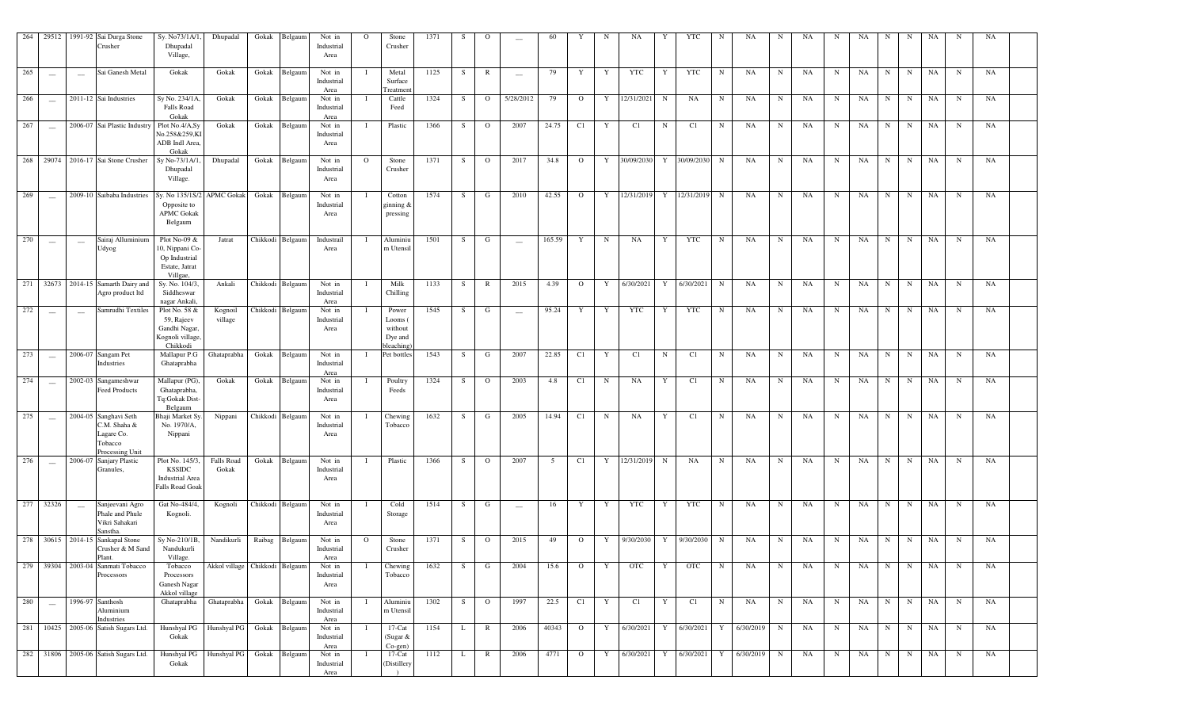|     |                                 |                          | 264 29512 1991-92 Sai Durga Stone<br>Crusher                                      | Sy. No73/1A/1<br>Dhupadal<br>Village,                                            | Dhupadal                       | Gokak  | Belgaum          | Not in<br>Industrial<br>Area | $\Omega$     | Stone<br>Crusher                                    | 1371 | -S | $\circ$        | $\overline{\phantom{a}}$ | 60     | Y              | N           | NA          | Y            | YTC                   | N           | NA        | N           | NA | N           | NA | N           | N           | NA | N           | NA |  |
|-----|---------------------------------|--------------------------|-----------------------------------------------------------------------------------|----------------------------------------------------------------------------------|--------------------------------|--------|------------------|------------------------------|--------------|-----------------------------------------------------|------|----|----------------|--------------------------|--------|----------------|-------------|-------------|--------------|-----------------------|-------------|-----------|-------------|----|-------------|----|-------------|-------------|----|-------------|----|--|
| 265 | $\hspace{0.1mm}-\hspace{0.1mm}$ | $\overline{\phantom{a}}$ | Sai Ganesh Metal                                                                  | Gokak                                                                            | Gokak                          | Gokak  | Belgaum          | Not in<br>Industrial<br>Area |              | Metal<br>Surface<br>Treatmen                        | 1125 | S  | $\mathbb{R}$   | $\overline{\phantom{m}}$ | 79     | Y              | Y           | YTC         | Y            | YTC                   | N           | NA        | $\mathbf N$ | NA | N           | NA | N           | $\mathbf N$ | NA | $\mathbf N$ | NA |  |
| 266 | $\overline{\phantom{a}}$        |                          | 2011-12 Sai Industries                                                            | Sy No. 234/1A<br><b>Falls Road</b><br>Gokak                                      | Gokak                          |        | Gokak Belgaum    | Not in<br>Industrial<br>Area |              | Cattle<br>Feed                                      | 1324 | S  | $\overline{O}$ | 5/28/2012                | 79     | $\overline{O}$ | Y           | 12/31/2021  | $\mathbf N$  | NA                    | N           | NA        | $\mathbf N$ | NA | N           | NA | N           | N           | NA | $\mathbf N$ | NA |  |
| 267 | $\sim$                          |                          | 2006-07 Sai Plastic Industry                                                      | Plot No.4/A,Sy<br>No.258&259,K<br>ADB Indl Area<br>Gokak                         | Gokak                          |        | Gokak Belgaum    | Not in<br>Industrial<br>Area |              | Plastic                                             | 1366 | S  | $\overline{O}$ | 2007                     | 24.75  | C1             | Y           | C1          | $\mathbf N$  | C1                    | N           | NA        | $\mathbf N$ | NA | $\mathbf N$ | NA | N           | N           | NA | $\mathbf N$ | NA |  |
|     |                                 |                          | 268 29074 2016-17 Sai Stone Crusher                                               | Sy No-73/1A/<br>Dhupadal<br>Village.                                             | Dhupadal                       |        | Gokak Belgaum    | Not in<br>Industrial<br>Area | $\Omega$     | Stone<br>Crusher                                    | 1371 | S. | $\overline{O}$ | 2017                     | 34.8   | $\Omega$       | Y           | 30/09/2030  | Y            | 30/09/2030            | $\mathbf N$ | NA        | N           | NA | N           | NA | N           | N           | NA | N           | NA |  |
| 269 | $\overline{\phantom{a}}$        |                          | 2009-10 Saibaba Industries                                                        | Sy. No 135/1S/2<br>Opposite to<br><b>APMC Gokak</b><br>Belgaum                   | <b>APMC Gokak</b>              | Gokak  | Belgaum          | Not in<br>Industrial<br>Area |              | Cotton<br>ginning &<br>pressing                     | 1574 | S. | G              | 2010                     | 42.55  | $\overline{O}$ | Y           | 12/31/2019  | $\mathbf{Y}$ | 12/31/2019            | N           | NA        | N           | NA | N           | NA | $\mathbf N$ | N           | NA | $\mathbf N$ | NA |  |
| 270 | $\hspace{0.1mm}-\hspace{0.1mm}$ | $\sim$                   | Sairaj Alluminium<br>Udyog                                                        | Plot No-09 $&$<br>10, Nippani Co-<br>Op Industrial<br>Estate, Jatrat<br>Villgae, | Jatrat                         |        | Chikkodi Belgaum | Industrail<br>Area           |              | Aluminiu<br>m Utensil                               | 1501 | S. | G              | $\sim$                   | 165.59 | Y              | $_{\rm N}$  | NA          | Y            | YTC                   | N           | NA        | $\mathbf N$ | NA | $\mathbf N$ | NA | $\mathbf N$ | N           | NA | $\mathbf N$ | NA |  |
|     |                                 |                          | 271 32673 2014-15 Samarth Dairy and<br>Agro product ltd                           | Sy. No. 104/3,<br>Siddheswar<br>nagar Ankali                                     | Ankali                         |        | Chikkodi Belgaum | Not in<br>Industrial<br>Area | - 1          | Milk<br>Chilling                                    | 1133 | S. | $\mathbb{R}$   | 2015                     | 4.39   | $\mathbf{O}$   | Y           | 6/30/2021   | Y            | 6/30/2021             | $\mathbf N$ | NA        | N           | NA | N           | NA | N           | $\mathbf N$ | NA | N           | NA |  |
| 272 | $\overline{\phantom{m}}$        | $\overline{\phantom{a}}$ | Samrudhi Textiles                                                                 | Plot No. 58 &<br>59, Rajeev<br>Gandhi Nagar,<br>Kognoli village,<br>Chikkodi     | Kognoil<br>village             |        | Chikkodi Belgaum | Not in<br>Industrial<br>Area |              | Power<br>Looms (<br>without<br>Dye and<br>bleaching | 1545 | S. | G              | $\sim$                   | 95.24  | Y              | Y           | YTC         | Y            | YTC                   | N           | NA        | $\mathbf N$ | NA | $\mathbf N$ | NA | N           | N           | NA | N           | NA |  |
| 273 | $\sim$                          |                          | 2006-07 Sangam Pet<br>Industries                                                  | Mallapur P.G<br>Ghataprabha                                                      | Ghataprabha                    |        | Gokak Belgaum    | Not in<br>Industrial<br>Area |              | Pet bottles                                         | 1543 | S. | G              | 2007                     | 22.85  | C1             | Y           | C1          | $\mathbf N$  | C1                    | $\mathbf N$ | NA        | N           | NA | N           | NA | $\mathbf N$ | N           | NA | $\mathbf N$ | NA |  |
| 274 | $\hspace{0.1mm}-\hspace{0.1mm}$ |                          | 2002-03 Sangameshwar<br>Feed Products                                             | Mallapur (PG),<br>Ghataprabha,<br>Tq:Gokak Dist-<br>Belgaum                      | Gokak                          |        | Gokak Belgaum    | Not in<br>Industrial<br>Area |              | Poultry<br>Feeds                                    | 1324 | S. | $\overline{O}$ | 2003                     | 4.8    | C1             | $\mathbf N$ | NA          | Y            | C1                    | $\mathbf N$ | NA        | N           | NA | N           | NA | N           | N           | NA | $\mathbf N$ | NA |  |
| 275 | $\hspace{0.1mm}$                |                          | 2004-05 Sanghavi Seth<br>C.M. Shaha &<br>Lagare Co.<br>Tobacco<br>Processing Unit | Bhaji Market Sy.<br>No. 1970/A,<br>Nippani                                       | Nippani                        |        | Chikkodi Belgaum | Not in<br>Industrial<br>Area |              | Chewing<br>Tobacco                                  | 1632 | -S | G              | 2005                     | 14.94  | C1             | N           | NA          | Y            | C1                    | N           | NA        | N           | NA | $\mathbf N$ | NA | N           | N           | NA | $\mathbf N$ | NA |  |
| 276 | $\overline{\phantom{m}}$        |                          | 2006-07 Sanjary Plastic<br>Granules,                                              | Plot No. 145/3,<br><b>KSSIDC</b><br>Industrial Area<br><b>Falls Road Goak</b>    | <b>Falls Road</b><br>Gokak     |        | Gokak Belgaum    | Not in<br>Industrial<br>Area |              | Plastic                                             | 1366 | -S | $\overline{O}$ | 2007                     | 5      | C1             | Y           | 12/31/2019  | N            | NA                    | N           | NA        | N           | NA | $\mathbf N$ | NA | N           | N           | NA | N           | NA |  |
| 277 | 32326                           | $\sim$                   | Sanjeevani Agro<br>Phale and Phule<br>Vikri Sahakari<br>anstha                    | Gat No-484/4,<br>Kognoli.                                                        | Kognoli                        |        | Chikkodi Belgaum | Not in<br>Industrial<br>Area |              | Cold<br>Storage                                     | 1514 | S  | G              | $\sim$                   | 16     | Y              | Y           | YTC         | Y            | YTC                   | N           | NA        | $\mathbf N$ | NA | $\mathbf N$ | NA | $\mathbf N$ | $\mathbf N$ | NA | $\mathbf N$ | NA |  |
|     |                                 | 278 30615 2014-15        | Sankapal Stone<br>Crusher & M Sand<br>Plant.                                      | Sy No-210/1B,<br>Nandukurli<br>Village.                                          | Nandikurli                     | Raibag | Belgaum          | Not in<br>Industrial<br>Area | $\mathbf{O}$ | Stone<br>Crusher                                    | 1371 | S. | $\overline{O}$ | 2015                     | 49     | $\overline{O}$ | Y           | 9/30/2030 Y |              | 9/30/2030             | $\mathbf N$ | NA        | N           | NA | N           | NA | $\mathbf N$ | $\mathbf N$ | NA | $\mathbf N$ | NA |  |
|     |                                 | 279 39304 2003-04        | Sanmati Tobacco<br>Processors                                                     | Tobacco<br>Processors<br>Ganesh Nagar<br>Akkol village                           | Akkol village Chikkodi Belgaum |        |                  | Not in<br>Industrial<br>Area |              | Chewing<br>Tobacco                                  | 1632 | S. | G              | 2004                     | 15.6   | $\mathbf{O}$   | Y           | <b>OTC</b>  | Y            | <b>OTC</b>            | $\mathbf N$ | NA        | N           | NA | N           | NA | N           | N           | NA | $\mathbf N$ | NA |  |
| 280 | $\hspace{0.1mm}$                | 1996-97                  | Santhosh<br>Aluminium<br>Industries                                               | Ghataprabha                                                                      | Ghataprabha                    |        | Gokak Belgaum    | Not in<br>Industrial<br>Area |              | Aluminiu<br>m Utensil                               | 1302 | S. | $\overline{O}$ | 1997                     | 22.5   | C1             | Y           | C1          | Y            | C1                    | N           | NA        | $\mathbf N$ | NA | N           | NA | N           | N           | NA | N           | NA |  |
|     |                                 |                          | 281 10425 2005-06 Satish Sugars Ltd.                                              | Hunshyal PG<br>Gokak                                                             | Hunshyal PG                    |        | Gokak Belgaum    | Not in<br>Industrial<br>Area |              | $17$ -Cat<br>(Sugar &<br>$Co$ -gen)                 | 1154 | L  | $\mathbb{R}$   | 2006                     | 40343  | $\overline{O}$ | Y           | 6/30/2021   | Y            | 6/30/2021             | Y           | 6/30/2019 | N           | NA | N           | NA | $\mathbf N$ | N           | NA | $\mathbf N$ | NA |  |
|     |                                 |                          | 282 31806 2005-06 Satish Sugars Ltd.                                              | Hunshyal PG<br>Gokak                                                             | Hunshyal PG                    | Gokak  | Belgaum          | Not in<br>Industrial<br>Area |              | $17$ -Cat<br>(Distillery                            | 1112 | L  | $\mathbb{R}$   | 2006                     | 4771   | $\mathbf{O}$   | Y           | 6/30/2021   | $\mathbf{Y}$ | 6/30/2021 Y 6/30/2019 |             |           | N           | NA | N           | NA | $\mathbf N$ | N           | NA | N           | NA |  |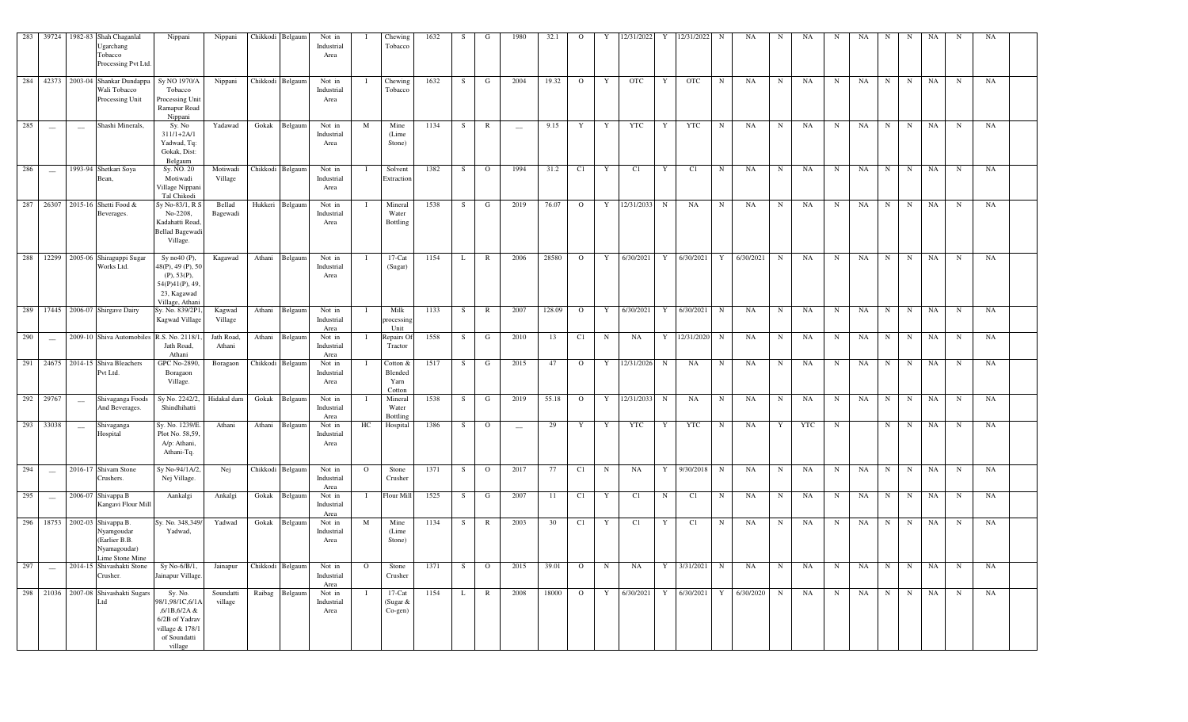|     |                                 |                          | 283 39724 1982-83 Shah Chaganlal<br>Jgarchang<br>Tobacco<br>Processing Pvt Ltd.                 | Nippani                                                                                                    | Nippani              | Chikkodi Belgaum | Not in<br>Industrial<br>Area |              | Chewing<br>Tobacco                      | 1632 | S. | G              | 1980                            | 32.1   | $\Omega$                | Y           | 12/31/2022   |             | 12/31/2022                          | N           | NA                                  | N           | NA        | N           | NA        | N           | N | NA        |             | NA        |  |
|-----|---------------------------------|--------------------------|-------------------------------------------------------------------------------------------------|------------------------------------------------------------------------------------------------------------|----------------------|------------------|------------------------------|--------------|-----------------------------------------|------|----|----------------|---------------------------------|--------|-------------------------|-------------|--------------|-------------|-------------------------------------|-------------|-------------------------------------|-------------|-----------|-------------|-----------|-------------|---|-----------|-------------|-----------|--|
|     |                                 |                          | 284 42373 2003-04 Shankar Dundappa<br>Wali Tobacco<br>Processing Unit                           | Sy NO 1970/A<br>Tobacco<br>Processing Unit<br>Ramapur Road<br>Nippani                                      | Nippani              | Chikkodi Belgaum | Not in<br>Industrial<br>Area |              | Chewing<br>Tobacco                      | 1632 | S  | G              | 2004                            | 19.32  | $\overline{O}$          | Y           | OTC          | Y           | OTC                                 | N           | NA                                  | $\mathbf N$ | NA        | N           | NA        | $\mathbf N$ | N | NA        | N           | NA        |  |
| 285 | $\overline{\phantom{a}}$        | $\sim$                   | Shashi Minerals,                                                                                | Sy. No<br>$311/1+2A/1$<br>Yadwad, Tq:<br>Gokak, Dist:<br>Belgaum                                           | Yadawad              | Gokak Belgaum    | Not in<br>Industrial<br>Area | M            | Mine<br>(Lime<br>Stone)                 | 1134 | S  | $\mathbb{R}$   | $\overline{\phantom{m}}$        | 9.15   | Y                       | Y           | YTC          | Y           | YTC                                 | $\mathbf N$ | NA                                  | $\mathbf N$ | NA        | $\mathbf N$ | NA        | $_{\rm N}$  | N | NA        | N           | NA        |  |
| 286 | $\overline{\phantom{a}}$        |                          | 1993-94 Shetkari Soya<br>Bean,                                                                  | Sy. NO. 20<br>Motiwadi<br>Village Nippani<br>Tal Chikodi                                                   | Motiwadi<br>Village  | Chikkodi Belgaum | Not in<br>Industrial<br>Area |              | Solvent<br>Extraction                   | 1382 | S  | $\overline{O}$ | 1994                            | 31.2   | C1                      | Y           | C1           | Y           | C1                                  | $\mathbf N$ | NA                                  | $\mathbf N$ | <b>NA</b> | $\mathbf N$ | NA        | $\mathbf N$ | N | NA        | $\mathbf N$ | NA        |  |
|     |                                 |                          | 287 26307 2015-16 Shetti Food &<br>Beverages.                                                   | Sy No-83/1, R S<br>No-2208,<br>Kadahatti Road<br><b>Bellad Bagewadi</b><br>Village.                        | Bellad<br>Bagewadi   | Hukkeri Belgaum  | Not in<br>Industrial<br>Area |              | Mineral<br>Water<br>Bottling            | 1538 | S  | G              | 2019                            | 76.07  | $\overline{O}$          |             | Y 12/31/2033 | N           | NA                                  | N           | NA                                  | $\mathbf N$ | NA        | $\mathbf N$ | NA        | $\mathbf N$ | N | NA        | $\mathbf N$ | NA        |  |
|     |                                 |                          | 288 12299 2005-06 Shiraguppi Sugar<br>Works Ltd.                                                | Sy no40 $(P)$ ,<br>48(P), 49 (P), 50<br>(P), 53(P),<br>54(P)41(P), 49,<br>23, Kagawad<br>Village, Athan    | Kagawad              | Athani Belgaum   | Not in<br>Industrial<br>Area |              | $17$ -Cat<br>(Sugar)                    | 1154 | L  | $\mathbb{R}$   | 2006                            | 28580  | $\overline{0}$          |             |              |             |                                     |             | Y 6/30/2021 Y 6/30/2021 Y 6/30/2021 | N           | NA        | N           | NA        | $\mathbf N$ | N | NA        | N           | NA        |  |
|     |                                 |                          | 289 17445 2006-07 Shirgave Dairy                                                                | Sy. No. 839/2P1<br>Kagwad Village                                                                          | Kagwad<br>Village    | Athani Belgaum   | Not in<br>Industrial<br>Area |              | Milk<br>processing<br>Unit              | 1133 | S. | $\mathbb{R}$   | 2007                            | 128.09 | $\overline{O}$          | Y           | 6/30/2021    | Y           | 6/30/2021                           | N           | NA                                  | $\mathbf N$ | <b>NA</b> | $\mathbf N$ | NA        | $\mathbf N$ | N | NA        | $\mathbf N$ | NA        |  |
| 290 | $\frac{1}{2}$                   |                          | 2009-10 Shiva Automobiles                                                                       | R.S. No. 2118/<br>Jath Road,<br>Athani                                                                     | Jath Road<br>Athani  | Athani Belgaum   | Not in<br>Industrial<br>Area |              | Repairs Of<br>Tractor                   | 1558 | S  | G              | 2010                            | 13     | C1                      | $\mathbf N$ | NA           | Y           | 12/31/2020                          | $\mathbf N$ | NA                                  | $\mathbf N$ | NA        | N           | NA        | N           | N | NA        | N           | NA        |  |
|     |                                 |                          | 291 24675 2014-15 Shiva Bleachers<br>Pvt Ltd.                                                   | <b>GPC No-2890</b><br>Boragaon<br>Village.                                                                 | Boragaon             | Chikkodi Belgaum | Not in<br>Industrial<br>Area |              | Cotton &<br>Blended<br>Yarn<br>Cotton   | 1517 | S  | G              | 2015                            | 47     | $\mathbf{O}$            |             | Y 12/31/2026 | $\mathbf N$ | NA                                  | $\mathbf N$ | NA                                  | $\mathbf N$ | NA        | N           | NA        | $\mathbf N$ | N | NA        | $\mathbf N$ | NA        |  |
|     | 292 29767                       | $\overline{\phantom{a}}$ | Shivaganga Foods<br>And Beverages.                                                              | Sy No. 2242/2.<br>Shindhihatti                                                                             | Hidakal dam          | Gokak Belgaum    | Not in<br>Industrial<br>Area |              | Mineral<br>Water<br>Bottling            | 1538 | S. | G              | 2019                            | 55.18  | $\overline{O}$          |             | Y 12/31/2033 | $\mathbf N$ | NA                                  | N           | NA                                  | $\mathbf N$ | NA        | N           | NA        | $\mathbf N$ | N | NA        | N           | NA        |  |
|     | 293 33038                       | $\overline{\phantom{a}}$ | Shivaganga<br>Hospital                                                                          | Sy. No. 1239/E<br>Plot No. 58,59.<br>A/p: Athani,<br>Athani-Tq.                                            | Athani               | Athani Belgaum   | Not in<br>Industrial<br>Area | HC           | Hospital                                | 1386 | S. | $\mathbf{O}$   | $\hspace{0.1mm}-\hspace{0.1mm}$ | 29     | Y                       | Y           | YTC          | Y           | YTC                                 | N           | NA                                  | Y           | YTC       | N           |           | $\mathbf N$ | N | NA        | N           | NA        |  |
| 294 | $\frac{1}{2}$                   |                          | 2016-17 Shivam Stone<br>Crushers.                                                               | Sy No-94/1A/2<br>Nej Village.                                                                              | Nej                  | Chikkodi Belgaum | Not in<br>Industrial<br>Area | $\circ$      | Stone<br>Crusher                        | 1371 | S  | $\overline{O}$ | 2017                            | 77     | C1                      | N           | NA           | Y           | 9/30/2018                           | N           | NA                                  | $\mathbf N$ | NA        | N           | NA        | $\mathbf N$ | N | <b>NA</b> | $\mathbf N$ | <b>NA</b> |  |
| 295 | $\equiv$                        |                          | 2006-07 Shivappa B<br>Kangavi Flour Mill                                                        | Aankalgi                                                                                                   | Ankalgi              | Gokak Belgaum    | Not in<br>Industrial<br>Area |              | Flour Mill                              | 1525 | S. | G              | 2007                            | -11    | C1                      | Y           | C1           | N           | C1                                  | $\mathbf N$ | NA                                  | $\mathbf N$ | NA        | N           | NA        | $\mathbf N$ | N | NA        | $\mathbf N$ | NA        |  |
|     |                                 |                          | 296 18753 2002-03 Shivappa B.<br>Nyamgoudar<br>(Earlier B.B.<br>Nyamagoudar)<br>Lime Stone Mine | Sy. No. 348,349<br>Yadwad,                                                                                 | Yadwad               | Gokak Belgaum    | Not in<br>Industrial<br>Area | M            | Mine<br>(Lime)<br>Stone)                | 1134 | S  | $\mathbb{R}$   | 2003                            | 30     | C1                      | Y           | C1           | Y           | C1                                  | $\mathbf N$ | NA                                  | $\mathbf N$ | NA        | N           | NA        | $\mathbf N$ | N | NA        | $\mathbf N$ | NA        |  |
| 297 | $\hspace{0.1mm}-\hspace{0.1mm}$ |                          | 2014-15 Shivashakti Stone<br>Crusher.                                                           | Sy No-6/B/1,<br>Jainapur Village.                                                                          | Jainapur             | Chikkodi Belgaum | Not in<br>Industrial<br>Area | $\mathbf{O}$ | Stone<br>Crusher                        | 1371 | S. | $\Omega$       | 2015                            | 39.01  | $\Omega$                | N           | NA           | Y           | 3/31/2021                           | N           | NA                                  | N           | NA        | N           | NA        | $\mathbf N$ | N | NA        | N           | NA        |  |
|     |                                 |                          | 298 21036 2007-08 Shivashakti Sugars<br>Ltd                                                     | Sy. No.<br>98/1,98/1C,6/1A<br>,6/1B,6/2A &<br>6/2B of Yadrav<br>village & 178/1<br>of Soundatti<br>village | Soundatti<br>village | Raibag Belgaum   | Not in<br>Industrial<br>Area |              | $17 - Cat$<br>(Sugar &<br>$Co$ -gen $)$ | 1154 | L  | $\mathbb{R}$   | 2008                            | 18000  | $\overline{\mathbf{O}}$ |             |              |             | Y 6/30/2021 Y 6/30/2021 Y 6/30/2020 |             |                                     | N           | NA        | N           | <b>NA</b> | N           | N | NA        | N           | NA        |  |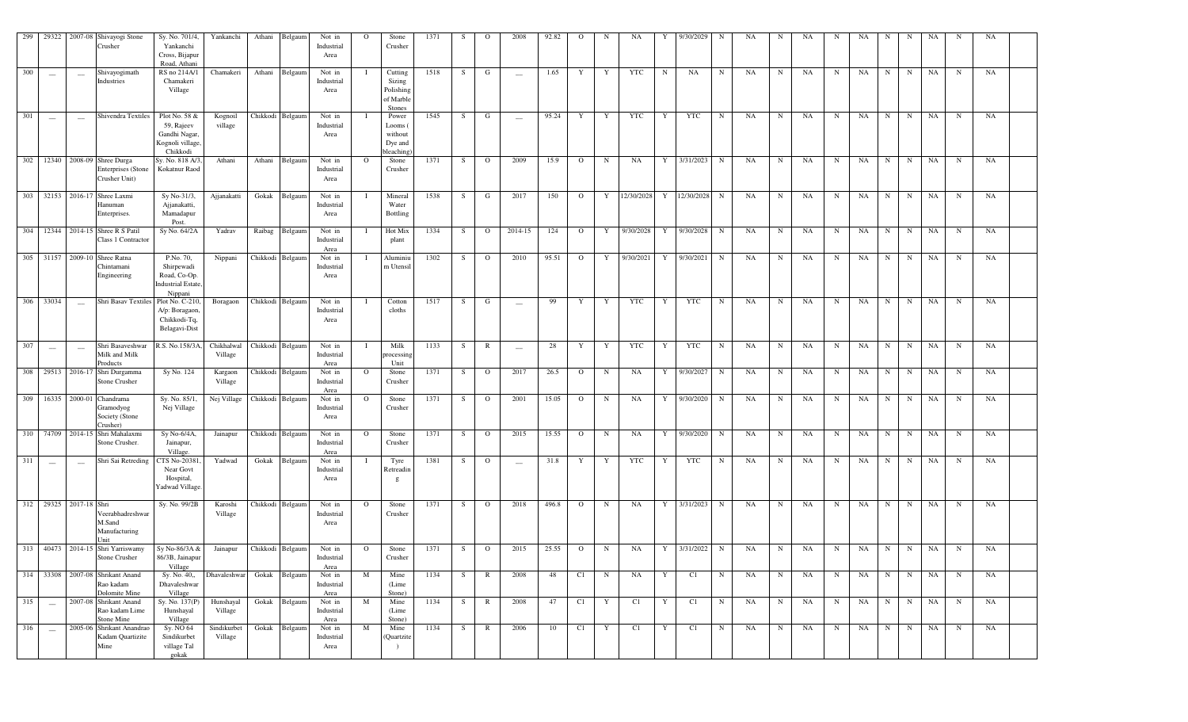| 299 | 29322                    |                          | 2007-08 Shivayogi Stone<br>Crusher                                      | Sy. No. 701/4,<br>Yankanchi<br>Cross, Bijapur<br>Road, Athani                  | Yankanchi              | Athani           | Belgaun          | Not in<br>Industrial<br>Area | $\Omega$ | Stone<br>Crusher                                      | 1371 | S         | $\mathbf{o}$   | 2008                     | 92.82 | $\Omega$     | N            | NA         | Y          | 9/30/2029  | N           | NA. | N           | NA        | N           | NA | N           | N           | NA          | N           | NA          |  |
|-----|--------------------------|--------------------------|-------------------------------------------------------------------------|--------------------------------------------------------------------------------|------------------------|------------------|------------------|------------------------------|----------|-------------------------------------------------------|------|-----------|----------------|--------------------------|-------|--------------|--------------|------------|------------|------------|-------------|-----|-------------|-----------|-------------|----|-------------|-------------|-------------|-------------|-------------|--|
| 300 |                          | $\sim$                   | Shivayogimath<br>Industries                                             | RS no 214A/1<br>Chamakeri<br>Village                                           | Chamakeri              | Athani           | Belgaum          | Not in<br>Industrial<br>Area |          | Cutting<br>Sizing<br>Polishing<br>of Marble<br>Stones | 1518 | S         | G              |                          | 1.65  | Y            | Y            | <b>YTC</b> | $_{\rm N}$ | NA         | N           | NA  | N           | NA        | $_{\rm N}$  | NA | N           | $\mathbf N$ | NA          | $_{\rm N}$  | NA          |  |
| 301 |                          | $\sim$                   | Shivendra Textiles                                                      | Plot No. 58 &<br>59, Rajeev<br>Gandhi Nagar.<br>Kognoli village<br>Chikkodi    | Kognoil<br>village     |                  | Chikkodi Belgaum | Not in<br>Industrial<br>Area |          | Power<br>Looms (<br>without<br>Dye and<br>bleaching   | 1545 | S         | G              | $\overline{\phantom{a}}$ | 95.24 | Y            | Y            | <b>YTC</b> | Y          | <b>YTC</b> | N           | NA  | $\mathbf N$ | NA        | $_{\rm N}$  | NA | $_{\rm N}$  | $\mathbf N$ | NA          | $\mathbf N$ | NA          |  |
| 302 |                          |                          | 12340 2008-09 Shree Durga<br><b>Enterprises</b> (Stone<br>Crusher Unit) | Sy. No. 818 A/<br>Kokatnur Raod                                                | Athani                 | Athani           | Belgaum          | Not in<br>Industrial<br>Area | $\Omega$ | Stone<br>Crusher                                      | 1371 | S         | $\circ$        | 2009                     | 15.9  | $\Omega$     | $\mathbf N$  | NA         | Y          | 3/31/2023  | N           | NA  | N           | NA        | N           | NA | N           | $\mathbf N$ | NA          | N           | NA          |  |
| 303 | 32153                    |                          | 2016-17 Shree Laxmi<br>Hanuman<br>Enterprises.                          | Sy No-31/3,<br>Ajjanakatti,<br>Mamadapur<br>Post.                              | Ajjanakatti            | Gokak            | Belgaum          | Not in<br>Industrial<br>Area |          | Mineral<br>Water<br>Bottling                          | 1538 | S         | G              | 2017                     | 150   | $\Omega$     | Y            | 12/30/2028 | Y          | 12/30/2028 | N           | NA  | N           | NA        | N           | NA | N           | N           | NA          | N           | NA          |  |
| 304 |                          |                          | 12344 2014-15 Shree R S Patil<br>Class 1 Contractor                     | Sy No. 64/2A                                                                   | Yadrav                 | Raibag           | Belgaum          | Not in<br>Industrial<br>Area |          | Hot Mix<br>plant                                      | 1334 | S         | $\circ$        | 2014-15                  | 124   | $\mathbf{O}$ | Y            | 9/30/2028  | Y          | 9/30/2028  | N           | NA  | N           | NA        | N           | NA | N           | N           | NA          | N           | NA          |  |
| 305 | 31157                    |                          | 2009-10 Shree Ratna<br>Chintamani<br>Engineering                        | P.No. 70,<br>Shirpewadi<br>Road, Co-Op.<br><b>Industrial Estate</b><br>Nippani | Nippani                |                  | Chikkodi Belgaun | Not in<br>Industrial<br>Area |          | Aluminiu<br>m Utensil                                 | 1302 | S         | $\Omega$       | 2010                     | 95.51 | $\Omega$     | Y            | 9/30/2021  | Y          | 9/30/2021  | N           | NA  | N           | NA        | N           | NA | N           | N           | NA          | N           | NA          |  |
| 306 | 33034                    |                          | Shri Basav Textiles                                                     | Plot No. C-210<br>A/p: Boragaon<br>Chikkodi-Tq,<br>Belagavi-Dist               | Boragaon               |                  | Chikkodi Belgaum | Not in<br>Industrial<br>Area |          | Cotton<br>cloths                                      | 1517 | S         | G              | $\sim$                   | 99    | Y            | Y            | <b>YTC</b> | Y          | <b>YTC</b> | N           | NA  | N           | <b>NA</b> | N           | NA | N           | $_{\rm N}$  | NA          | N           | NA          |  |
| 307 | $\overline{\phantom{a}}$ | $\overline{\phantom{a}}$ | Shri Basaveshwar<br>Milk and Milk<br>Products                           | R.S. No.158/3/                                                                 | Chikhalwal<br>Village  |                  | Chikkodi Belgaum | Not in<br>Industrial<br>Area |          | Milk<br>processing<br>Unit                            | 1133 | ${\bf S}$ | $\mathbb{R}$   | $\overline{\phantom{m}}$ | 28    | Y            | Y            | <b>YTC</b> | Y          | <b>YTC</b> | N           | NA  | N           | NA        | $_{\rm N}$  | NA | $\mathbf N$ | $\mathbf N$ | <b>NA</b>   | $\mathbf N$ | NA          |  |
| 308 | 29513                    |                          | 2016-17 Shri Durgamma<br><b>Stone Crusher</b>                           | Sy No. 124                                                                     | Kargaon<br>Village     |                  | Chikkodi Belgaum | Not in<br>Industrial<br>Area | $\circ$  | Stone<br>Crusher                                      | 1371 | S         | $\mathbf{O}$   | 2017                     | 26.5  | $\Omega$     | $\mathbf N$  | <b>NA</b>  | Y          | 9/30/2027  | N           | NA  | N           | NA        | N           | NA | N           | N           | NA          | N           | $_{\rm NA}$ |  |
| 309 | 16335                    |                          | 2000-01 Chandrama<br>Gramodyog<br>Society (Stone<br>Crusher)            | Sy. No. 85/1<br>Nej Village                                                    | Nej Village            | Chikkodi Belgaun |                  | Not in<br>Industrial<br>Area | $\circ$  | Stone<br>Crusher                                      | 1371 | S         | $\mathbf{O}$   | 2001                     | 15.05 | $\Omega$     | $\mathbf N$  | NA         | Y          | 9/30/2020  | N           | NA  | N           | NA        | N           | NA | N           | N           | NA          | N           | $_{\rm NA}$ |  |
| 310 | 74709                    |                          | 2014-15 Shri Mahalaxmi<br>Stone Crusher.                                | Sy No-6/4A,<br>Jainapur,<br><b>Village</b>                                     | Jainapur               | Chikkodi         | Belgaun          | Not in<br>Industrial<br>Area | $\circ$  | Stone<br>Crusher                                      | 1371 | S         | $\mathbf{O}$   | 2015                     | 15.55 | $\circ$      | $\mathbf N$  | NA         | Y          | 9/30/2020  | N           | NA  | $_{\rm N}$  | NA        | $_{\rm N}$  | NA | N           | $\mathbf N$ | $_{\rm NA}$ | ${\bf N}$   | $_{\rm NA}$ |  |
| 311 |                          |                          | Shri Sai Retreding                                                      | <b>TS No-2038</b><br>Near Govt<br>Hospital,<br>Yadwad Village                  | Yadwad                 | Gokak            | Belgaum          | Not in<br>Industrial<br>Area |          | Tyre<br>Retreadin<br>$\mathbf{g}$                     | 1381 | ${\bf S}$ | $\circ$        | $\overline{\phantom{0}}$ | 31.8  | Y            | Y            | <b>YTC</b> | Y          | <b>YTC</b> | $\mathbf N$ | NA  | N           | NA        | N           | NA | N           | $_{\rm N}$  | NA          | N           | $_{\rm NA}$ |  |
| 312 | 29325                    | 2017-18 Shri             | Veerabhadreshwar<br>M.Sand<br>Manufacturing<br><b>Init</b>              | Sy. No. 99/2B                                                                  | Karoshi<br>Village     |                  | Chikkodi Belgaum | Not in<br>Industrial<br>Area | $\Omega$ | Stone<br>Crusher                                      | 1371 | S         | $\circ$        | 2018                     | 496.8 | $\circ$      | $\mathbf N$  | NA         | Y          | 3/31/2023  | N           | NA  | $\mathbf N$ | NA        | N           | NA | N           | $_{\rm N}$  | $_{\rm NA}$ | N           | NA          |  |
| 313 | 40473                    |                          | 2014-15 Shri Yarriswamy<br>Stone Crusher                                | Sy No-86/3A &<br>86/3B, Jainapur<br>Village                                    | Jainapur               |                  | Chikkodi Belgaum | Not in<br>Industrial<br>Area | $\Omega$ | Stone<br>Crusher                                      | 1371 | S         | $\overline{O}$ | 2015                     | 25.55 | $\mathbf{O}$ | $\mathbf N$  | NA         | Y          | 3/31/2022  | N           | NA  | $\mathbf N$ | NA        | N           | NA | N           | $_{\rm N}$  | NA          | N           | NA          |  |
| 314 | 33308                    |                          | 2007-08 Shrikant Anand<br>Rao kadam<br>Dolomite Mine                    | Sy. No. 40,,<br>Dhavaleshwar<br>Village                                        | Dhavaleshwar           | Gokak            | Belgaum          | Not in<br>Industrial<br>Area | M        | Mine<br>(Lime<br>Stone)                               | 1134 | S         | $\mathbb{R}$   | 2008                     | 48    | C1           | $\mathbf N$  | NA         | Y          | C1         | N           | NA  | $\mathbf N$ | NA        | N           | NA | N           | $_{\rm N}$  | NA          | N           | NA          |  |
| 315 | $\qquad \qquad -$        |                          | 2007-08 Shrikant Anand<br>Rao kadam Lime<br>Stone Mine                  | Sy. No. 137(P)<br>Hunshayal<br>Village                                         | Hunshayal<br>Village   | Gokak            | Belgaum          | Not in<br>Industrial<br>Area | M        | Mine<br>(Lime)<br>Stone)                              | 1134 | S         | $\mathbb{R}$   | 2008                     | 47    | C1           | Y            | C1         | Y          | C1         | N           | NA  | $\mathbf N$ | NA        | $\mathbf N$ | NA | N           | N           | NA          | $\mathbf N$ | NA          |  |
| 316 | $\overline{\phantom{a}}$ |                          | 2005-06 Shrikant Anandrao<br>Kadam Quartizite<br>Mine                   | Sy. NO 64<br>Sindikurbet<br>village Tal<br>gokak                               | Sindikurbet<br>Village | Gokak            | Belgaum          | Not in<br>Industrial<br>Area | M        | Mine<br>(Quartzite                                    | 1134 | S         | $\mathbb{R}$   | 2006                     | 10    | C1           | $\mathbf{Y}$ | C1         | Y          | C1         | ${\bf N}$   | NA  | $\mathbf N$ | NA        | $\mathbf N$ | NA | N           | N           | NA          | $\mathbf N$ | NA          |  |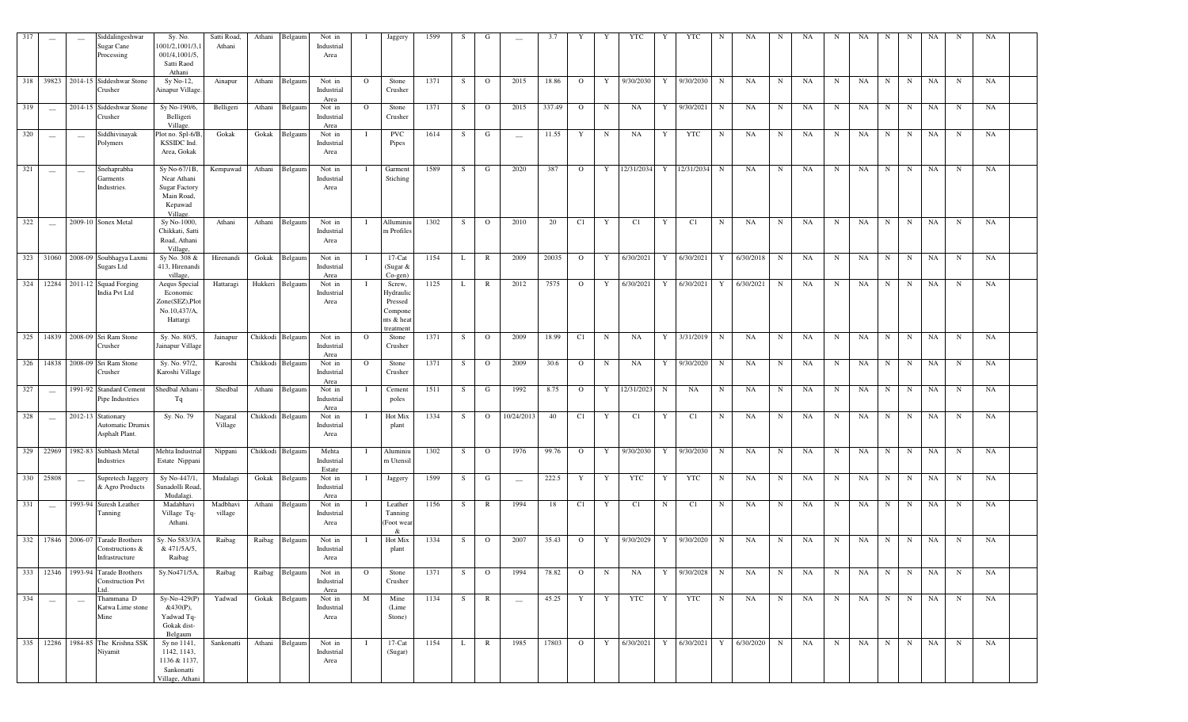|     | $\overline{\phantom{0}}$ |                          | Siddalingeshwar<br>Sugar Cane<br>Processing                            | Sy. No.<br>1001/2,1001/3,1<br>001/4,1001/5,<br>Satti Raod<br>Athani                      | Satti Road,<br>Athani | Athani | Belgaum          | Not in<br>Industrial<br>Area  |                | Jaggery                                                            | 1599 | -S | G              | $\sim$                   | 3.7    |                |   | <b>YTC</b>                        | Y           | <b>YTC</b>   | N           | NA        | N           | <b>NA</b> | N           | NA          | N           | N          | NA        | N           | NA          |  |
|-----|--------------------------|--------------------------|------------------------------------------------------------------------|------------------------------------------------------------------------------------------|-----------------------|--------|------------------|-------------------------------|----------------|--------------------------------------------------------------------|------|----|----------------|--------------------------|--------|----------------|---|-----------------------------------|-------------|--------------|-------------|-----------|-------------|-----------|-------------|-------------|-------------|------------|-----------|-------------|-------------|--|
|     |                          |                          | 318 39823 2014-15 Siddeshwar Stone<br>Crusher                          | Sy No-12,<br>Ainapur Village                                                             | Ainapur               | Athani | Belgaum          | Not in<br>Industrial<br>Area  | $\Omega$       | Stone<br>Crusher                                                   | 1371 | S  | $\circ$        | 2015                     | 18.86  | $\circ$        | Y | 9/30/2030                         | Y           | 9/30/2030    | N           | NA        | N           | NA        | $_{\rm N}$  | NA          | N           | N          | <b>NA</b> | N           | NA          |  |
| 319 | $\frac{1}{2}$            |                          | 2014-15 Siddeshwar Stone<br>Crusher                                    | Sy No-190/6,<br>Belligeri<br>Village.                                                    | Belligeri             | Athani | Belgaum          | Not in<br>Industrial<br>Area  | $\circ$        | Stone<br>Crusher                                                   | 1371 | S  | $\mathbf{O}$   | 2015                     | 337.49 | $\mathbf{O}$   | N | NA                                | Y           | 9/30/2021    | N           | NA        | N           | <b>NA</b> | $\mathbf N$ | NA          | $_{\rm N}$  | N          | NA        | $\mathbf N$ | <b>NA</b>   |  |
| 320 | --                       | $\overline{\phantom{a}}$ | Siddhivinayak<br>Polymers                                              | Plot no. Spl-6/B<br>KSSIDC Ind.<br>Area, Gokak                                           | Gokak                 | Gokak  | Belgaum          | Not in<br>Industrial<br>Area  |                | <b>PVC</b><br>Pipes                                                | 1614 | S  | G              | $\overline{\phantom{a}}$ | 11.55  | Y              | N | NA                                | Y           | <b>YTC</b>   | N           | NA        | N           | <b>NA</b> | $\mathbf N$ | NA          | $_{\rm N}$  | $_{\rm N}$ | NA        | $\mathbf N$ | <b>NA</b>   |  |
| 321 | $\overline{\phantom{a}}$ | $\overline{\phantom{a}}$ | Snehaprabha<br>Garments<br>Industries.                                 | Sy No-67/1B,<br>Near Athani<br><b>Sugar Factory</b><br>Main Road,<br>Kepawad<br>Village. | Kempawad              | Athani | Belgaum          | Not in<br>Industrial<br>Area  |                | Garment<br>Stiching                                                | 1589 | S  | G              | 2020                     | 387    | $\Omega$       | Y | 12/31/2034                        |             | Y 12/31/2034 | $\mathbf N$ | NA        | $\mathbf N$ | NA        | $\mathbf N$ | NA          | N           | N          | NA        | $_{\rm N}$  | NA          |  |
| 322 | $\sim$                   |                          | 2009-10 Sonex Metal                                                    | Sy No-1000,<br>Chikkati, Satti<br>Road, Athani<br>Village,                               | Athani                | Athani | Belgaum          | Not in<br>Industrial<br>Area  |                | Alluminiu<br>m Profiles                                            | 1302 | S  | $\overline{O}$ | 2010                     | 20     | C1             | Y | C1                                | Y           | C1           | $\mathbf N$ | NA        | N           | NA        | $\mathbf N$ | NA          | N           | $_{\rm N}$ | NA        | $_{\rm N}$  | <b>NA</b>   |  |
|     |                          |                          | 323 31060 2008-09 Soubhagya Laxmi<br>Sugars Ltd                        | Sy No. 308 &<br>413, Hirenandi<br>village,                                               | Hirenandi             | Gokak  | Belgaum          | Not in<br>Industrial<br>Area  | T              | $17$ -Cat<br>(Sugar &<br>Co-gen)                                   | 1154 | L  | $\mathbb{R}$   | 2009                     | 20035  | $\circ$        | Y | 6/30/2021                         | Y           | 6/30/2021 Y  |             | 6/30/2018 | $\mathbf N$ | NA        | $\mathbf N$ | NA          | N           | $_{\rm N}$ | NA        | $_{\rm N}$  | NA          |  |
|     |                          |                          | 324 12284 2011-12 Squad Forging<br>India Pvt Ltd                       | Aequs Special<br>Economic<br>Zone(SEZ), Plot<br>No.10,437/A,<br>Hattargi                 | Hattaragi             |        | Hukkeri Belgaum  | Not in<br>Industrial<br>Area  |                | Screw,<br>Hydrauli<br>Pressed<br>Compone<br>nts & hea<br>treatment | 1125 | L  | $\mathbb{R}$   | 2012                     | 7575   | $\circ$        | Y | 6/30/2021                         | Y           | 6/30/2021    | Y           | 6/30/2021 | N           | NA        | $\mathbf N$ | NA          | $\mathbf N$ | $_{\rm N}$ | NA        | $_{\rm N}$  | NA          |  |
|     |                          |                          | 325 14839 2008-09 Sri Ram Stone<br>Crusher                             | Sy. No. 80/5,<br>Jainapur Village                                                        | Jainapur              |        | Chikkodi Belgaum | Not in<br>Industrial<br>Area  | $\Omega$       | Stone<br>Crusher                                                   | 1371 | S. | $\circ$        | 2009                     | 18.99  | C1             | N | <b>NA</b>                         | Y           | 3/31/2019    | N           | NA        | N           | NA        | N           | NA          | N           | N          | NA        | N           | NA          |  |
|     |                          |                          | 326 14838 2008-09 Sri Ram Stone<br>Crusher                             | Sy. No. 97/2,<br>Karoshi Village                                                         | Karoshi               |        | Chikkodi Belgaum | Not in<br>Industrial<br>Area  | $\overline{O}$ | Stone<br>Crusher                                                   | 1371 | S  | $\overline{O}$ | 2009                     | 30.6   | $\mathbf{O}$   | N | NA                                | Y           | 9/30/2020    | N           | NA        | N           | NA        | N           | NA          | N           | N          | NA        | $_{\rm N}$  | <b>NA</b>   |  |
| 327 | $\frac{1}{2}$            |                          | 1991-92 Standard Cement<br>Pipe Industries                             | Shedbal Athani<br>Tq                                                                     | Shedbal               | Athani | Belgaum          | Not in<br>Industrial<br>Area  | - 1            | Cement<br>poles                                                    | 1511 | S  | G              | 1992                     | 8.75   | $\Omega$       | Y | 12/31/2023                        | N           | <b>NA</b>    | N           | NA        | N           | NA        | N           | NA          | N           | N          | NA        | N           | NA          |  |
| 328 | $\frac{1}{2}$            |                          | 2012-13 Stationary<br>Automatic Drumix<br>Asphalt Plant.               | Sy. No. 79                                                                               | Nagaral<br>Village    |        | Chikkodi Belgaum | Not in<br>Industrial<br>Area  | -1             | Hot Mix<br>plant                                                   | 1334 | S. | $\mathbf{O}$   | 10/24/2013               | 40     | C1             | Y | C1                                | Y           | C1           | $\mathbf N$ | NA        | N           | NA        | N           | $_{\rm NA}$ | $_{\rm N}$  | $_{\rm N}$ | NA        | $\mathbf N$ | <b>NA</b>   |  |
| 329 | 22969                    |                          | 1982-83 Subhash Metal<br>Industries                                    | Mehta Industrial<br>Estate Nippani                                                       | Nippani               |        | Chikkodi Belgaum | Mehta<br>Industrial<br>Estate | $\mathbf I$    | Aluminiu<br>m Utensi                                               | 1302 | S  | $\overline{O}$ | 1976                     | 99.76  | $\circ$        | Y | 9/30/2030                         | Y           | 9/30/2030    | $\mathbf N$ | NA        | N           | <b>NA</b> | $\mathbf N$ | NA          | $\mathbf N$ | $_{\rm N}$ | NA        | $_{\rm N}$  | <b>NA</b>   |  |
|     | 330 25808                | $\frac{1}{2}$            | Supretech Jaggery<br>& Agro Products                                   | Sy No-447/1,<br>Sunadolli Road<br>Mudalagi                                               | Mudalagi              | Gokak  | Belgaum          | Not in<br>Industrial<br>Area  | -1             | Jaggery                                                            | 1599 | S. | G              | $\qquad \qquad -$        | 222.5  | Y              | Y | <b>YTC</b>                        | Y           | YTC          | N           | NA        | N           | NA        | N           | NA          | N           | N          | NA        | N           | <b>NA</b>   |  |
| 331 | $\frac{1}{2}$            |                          | 1993-94 Suresh Leather<br>Tanning                                      | Madabhavi<br>Village Tq-<br>Athani.                                                      | Madbhavi<br>village   | Athani | Belgaum          | Not in<br>Industrial<br>Area  |                | Leather<br>Tanning<br>(Foot wear<br>-&                             | 1156 | S  | R              | 1994                     | -18    | C1             | Y | C1                                | $\mathbf N$ | C1           | $\mathbf N$ | NA        | N           | NA        | $\mathbf N$ | NA          | N           | N          | NA        | $_{\rm N}$  | <b>NA</b>   |  |
|     |                          |                          | 332 17846 2006-07 Tarade Brothers<br>Constructions &<br>Infrastructure | Sy. No 583/3/A<br>& 471/5A/5,<br>Raibag                                                  | Raibag                | Raibag | Belgaum          | Not in<br>Industrial<br>Area  |                | Hot Mix<br>plant                                                   | 1334 | S  | $\overline{O}$ | 2007                     | 35.43  | $\circ$        | Y | 9/30/2029                         | Y           | 9/30/2020    | N           | NA        | N           | NA        | N           | NA          | $\mathbf N$ | N          | NA        | N           | $_{\rm NA}$ |  |
| 333 |                          |                          | 12346 1993-94 Tarade Brothers<br><b>Construction Pvt</b><br>Ltd.       | Sy.No471/5A,                                                                             | Raibag                | Raibag | Belgaum          | Not in<br>Industrial<br>Area  | $\circ$        | Stone<br>Crusher                                                   | 1371 | S  | $\mathbf{O}$   | 1994                     | 78.82  | $\circ$        | N | NA                                | Y           | 9/30/2028    | $\mathbf N$ | NA        | N           | NA        | $\mathbf N$ | NA          | $\mathbf N$ | $_{\rm N}$ | NA        | $_{\rm N}$  | NA          |  |
| 334 | $\overline{\phantom{0}}$ | $\overline{\phantom{a}}$ | Thammana D<br>Katwa Lime stone<br>Mine                                 | $Sy-No-429(P)$<br>&430(P),<br>Yadwad Tq-<br>Gokak dist-<br>Belgaum                       | Yadwad                |        | Gokak Belgaum    | Not in<br>Industrial<br>Area  | M              | Mine<br>(Lime<br>Stone)                                            | 1134 | S  | R              | $\qquad \qquad -$        | 45.25  | Y              | Y | YTC                               | Y           | YTC          | N           | NA        | N           | NA        | N           | NA          | $\mathbf N$ | N          | NA        | $\mathbf N$ | NA          |  |
|     |                          |                          | 335 12286 1984-85 The Krishna SSK<br>Niyamit                           | Sy no 1141,<br>1142, 1143,<br>1136 & 1137,<br>Sankonatti<br>Village, Athani              | Sankonatti            |        | Athani Belgaum   | Not in<br>Industrial<br>Area  | - 1            | $17$ -Cat<br>(Sugar)                                               | 1154 | L  | $\mathbb{R}$   | 1985                     | 17803  | $\overline{O}$ | Y | 6/30/2021 Y 6/30/2021 Y 6/30/2020 |             |              |             |           | N           | NA        | N           | NA          | N           | N          | NA        | $\mathbf N$ | NA          |  |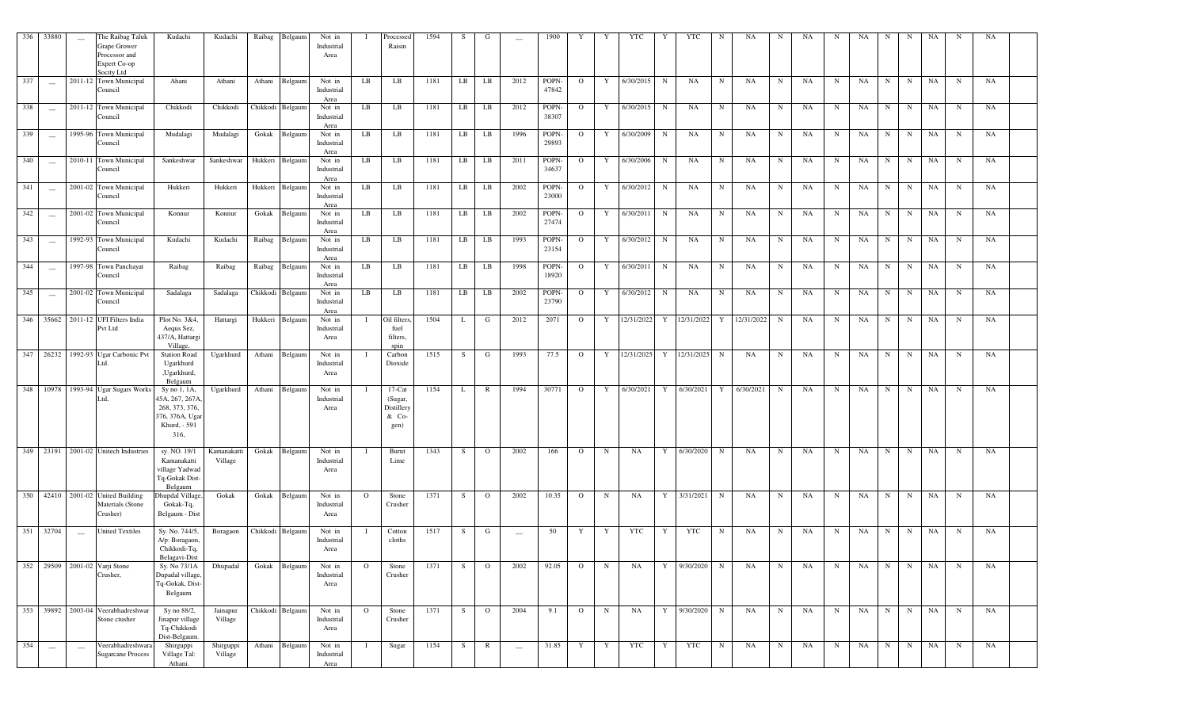| 336 | 33880                    | $\sim$                   | The Raibag Taluk<br>Grape Grower<br>Processor and<br>Expert Co-op<br>Socity Ltd | Kudachi                                                                                     | Kudachi                | Raibag | Belgaum          | Not in<br>Industrial<br>Area |         | Processed<br>Raisin                                 | 1594 | S       | G              |                          | 1900           | Y              | Y           | YTC        | Y           | <b>YTC</b>   | N           | NA.        | N           | NA        | N          | NA        | N           | N           | NA | N           | NA |  |
|-----|--------------------------|--------------------------|---------------------------------------------------------------------------------|---------------------------------------------------------------------------------------------|------------------------|--------|------------------|------------------------------|---------|-----------------------------------------------------|------|---------|----------------|--------------------------|----------------|----------------|-------------|------------|-------------|--------------|-------------|------------|-------------|-----------|------------|-----------|-------------|-------------|----|-------------|----|--|
| 337 | $\sim$                   |                          | 2011-12 Town Municipal<br>Council                                               | Ahani                                                                                       | Athani                 |        | Athani Belgaum   | Not in<br>Industrial<br>Area | LB      | LB                                                  | 1181 | LB      | LB             | 2012                     | POPN-<br>47842 | $\Omega$       | Y           | 6/30/2015  | $_{\rm N}$  | NA           | N           | NA         | N           | <b>NA</b> | N          | NA        | N           | $\mathbf N$ | NA | N           | NA |  |
| 338 |                          |                          | 2011-12 Town Municipal<br>Council                                               | Chikkodi                                                                                    | Chikkodi               |        | Chikkodi Belgaum | Not in<br>Industrial<br>Area | LB      | LB                                                  | 1181 | LB      | LB             | 2012                     | POPN-<br>38307 | $\circ$        | Y           | 6/30/2015  | $_{\rm N}$  | NA           | $_{\rm N}$  | NA         | $_{\rm N}$  | NA        | N          | NA        | N           | $_{\rm N}$  | NA | $\mathbf N$ | NA |  |
| 339 | $\overline{\phantom{a}}$ |                          | 1995-96 Town Municipal<br>Council                                               | Mudalagi                                                                                    | Mudalagi               | Gokak  | Belgaum          | Not in<br>Industrial<br>Area | LB      | LB                                                  | 1181 | LB      | LB             | 1996                     | POPN-<br>29893 | $\mathbf{O}$   | Y           | 6/30/2009  | $\mathbf N$ | NA           | N           | NA         | $_{\rm N}$  | NA        | N          | NA        | $\mathbf N$ | N           | NA | $\mathbf N$ | NA |  |
| 340 | $\overline{\phantom{a}}$ |                          | 2010-11 Town Municipal<br>Council                                               | Sankeshwar                                                                                  | Sankeshwar             |        | Hukkeri Belgaum  | Not in<br>Industrial<br>Area | LB      | LB                                                  | 1181 | LB      | LB             | 2011                     | POPN-<br>34637 | $\Omega$       | Y           | 6/30/2006  | N           | NA           | N           | NA         | $_{\rm N}$  | NA        | N          | NA        | N           | N           | NA | N           | NA |  |
| 341 | $\frac{1}{2}$            |                          | 2001-02 Town Municipal<br>Council                                               | Hukkeri                                                                                     | Hukkeri                |        | Hukkeri Belgaum  | Not in<br>Industrial<br>Area | LB      | LB                                                  | 1181 | LB      | LB             | 2002                     | POPN-<br>23000 | $\Omega$       | Y           | 6/30/2012  | $\mathbf N$ | NA           | N           | NA         | N           | NA        | N          | NA        | $\mathbf N$ | $\mathbf N$ | NA | N           | NA |  |
| 342 | $\sim$                   |                          | 2001-02 Town Municipal<br>Council                                               | Konnur                                                                                      | Konnur                 |        | Gokak Belgaum    | Not in<br>Industrial<br>Area | LB      | $_{LB}$                                             | 1181 | LB      | LB             | 2002                     | POPN-<br>27474 | $\Omega$       | Y           | 6/30/2011  | $\mathbf N$ | NA           | N           | NA         | $\mathbf N$ | NA        | N          | NA        | N           | N           | NA | $\mathbf N$ | NA |  |
| 343 | $\frac{1}{2}$            |                          | 1992-93 Town Municipal<br>Council                                               | Kudachi                                                                                     | Kudachi                |        | Raibag Belgaum   | Not in<br>Industrial<br>Area | LB      | LB                                                  | 1181 | LB      | LB             | 1993                     | POPN-<br>23154 | $\Omega$       | Y           | 6/30/2012  | $\mathbf N$ | NA           | N           | NA         | N           | NA        | N          | NA        | N           | N           | NA | $\mathbf N$ | NA |  |
| 344 | $\overline{\phantom{a}}$ |                          | 1997-98 Town Panchayat<br>Council                                               | Raibag                                                                                      | Raibag                 |        | Raibag Belgaum   | Not in<br>Industrial<br>Area | LB      | LB                                                  | 1181 | LB      | LB             | 1998                     | POPN-<br>18920 | $\mathbf{O}$   | Y           | 6/30/2011  | N           | NA           | N           | NA         | N           | <b>NA</b> | N          | <b>NA</b> | N           | N           | NA | N           | NA |  |
| 345 | $\frac{1}{2}$            |                          | 2001-02 Town Municipal<br>Council                                               | Sadalaga                                                                                    | Sadalaga               |        | Chikkodi Belgaum | Not in<br>Industrial<br>Area | LB      | LB                                                  | 1181 | $_{LB}$ | LB             | 2002                     | POPN-<br>23790 | $\Omega$       | Y           | 6/30/2012  | N           | NA           | N           | NA         | N           | NA        | N          | NA        | N           | N           | NA | $\mathbf N$ | NA |  |
| 346 | 35662                    |                          | 2011-12 UFI Filters India<br>Pvt Ltd                                            | Plot No. 3&4.<br>Aequs Sez,<br>437/A, Hattargi<br>Village,                                  | Hattargi               |        | Hukkeri Belgaum  | Not in<br>Industrial<br>Area | -1      | Oil filters.<br>fuel<br>filters,<br>spin            | 1504 | L       | G              | 2012                     | 2071           | $\mathbf{O}$   | Y           | 12/31/2022 | Y           | 12/31/2022   | Y           | 12/31/2022 | N           | NA        | N          | NA        | N           | $\mathbf N$ | NA | $_{\rm N}$  | NA |  |
|     |                          |                          | 347 26232 1992-93 Ugar Carbonic Pvt<br>Ltd.                                     | <b>Station Road</b><br>Ugarkhurd<br>,Ugarkhurd,<br>Belgaum                                  | Ugarkhurd              |        | Athani Belgaum   | Not in<br>Industrial<br>Area |         | Carbon<br>Dioxide                                   | 1515 | S       | G              | 1993                     | 77.5           | $\mathbf{O}$   | Y           | 12/31/2025 |             | Y 12/31/2025 | N           | NA         | N           | NA        | N          | NA        | N           | N           | NA | $_{\rm N}$  | NA |  |
|     |                          |                          | 348 10978 1993-94 Ugar Sugars Works<br>Ltd.                                     | Sy no 1, 1A,<br>45A, 267, 267A<br>268, 373, 376,<br>376, 376A, Ugar<br>Khurd, - 591<br>316, | Ugarkhurd              |        | Athani Belgaum   | Not in<br>Industrial<br>Area |         | $17$ -Cat<br>(Sugar,<br>Distillery<br>& Co-<br>gen) | 1154 | L       | $\mathbb{R}$   | 1994                     | 30771          | $\mathbf{O}$   | Y           | 6/30/2021  | Y           | 6/30/2021    | Y           | 6/30/2021  | N           | NA        | N          | NA        | N           | N           | NA | $_{\rm N}$  | NA |  |
| 349 | 23191                    |                          | 2001-02 Unitech Industries                                                      | sy. NO. 19/1<br>Kamanakatti<br>village Yadwad<br>Tq-Gokak Dist-<br>Belgaum                  | Kamanakatti<br>Village | Gokak  | Belgaum          | Not in<br>Industrial<br>Area |         | Burnt<br>Lime                                       | 1343 | S       | $\circ$        | 2002                     | 166            | $\circ$        | $\mathbf N$ | NA         | Y           | 6/30/2020    | N           | NA         | N           | NA        | N          | NA        | N           | ${\bf N}$   | NA | N           | NA |  |
| 350 |                          |                          | 42410 2001-02 United Building<br>Materials (Stone<br>Crusher)                   | Ohupdal Village,<br>Gokak-Tq,<br>Belgaum - Dist                                             | Gokak                  |        | Gokak Belgaum    | Not in<br>Industrial<br>Area | $\circ$ | Stone<br>Crusher                                    | 1371 | S       | $\circ$        | 2002                     | 10.35          | $\mathbf{O}$   | $\mathbf N$ | NA         | Y           | 3/31/2021    | N           | NA         | $\mathbf N$ | NA        | $_{\rm N}$ | NA        | N           | N           | NA | $_{\rm N}$  | NA |  |
| 351 | 32704                    | $\overline{\phantom{a}}$ | <b>United Textiles</b>                                                          | Sy. No. 744/5,<br>A/p: Boragaon.<br>Chikkodi-Tq,<br>Belagavi-Dist                           | Boragaon               |        | Chikkodi Belgaum | Not in<br>Industrial<br>Area |         | Cotton<br>cloths                                    | 1517 | S       | G              | $\overline{\phantom{m}}$ | 50             | Y              | Y           | <b>YTC</b> | Y           | <b>YTC</b>   | $_{\rm N}$  | NA         | $_{\rm N}$  | NA        | N          | NA        | $_{\rm N}$  | $_{\rm N}$  | NA | N           | NA |  |
|     |                          |                          | 352 29509 2001-02 Varji Stone<br>Crusher,                                       | Sy. No 73/1A<br>Dupadal village,<br>Tq-Gokak, Dist-<br>Belgaum                              | Dhupadal               |        | Gokak Belgaum    | Not in<br>Industrial<br>Area | $\circ$ | Stone<br>Crusher                                    | 1371 | S       | $\overline{O}$ | 2002                     | 92.05          | $\overline{O}$ | $\mathbf N$ | NA         |             | Y 9/30/2020  | N           | NA         | N           | NA        | N          | NA        | N           | N           | NA | $\mathbf N$ | NA |  |
|     |                          |                          | 353 39892 2003-04 Veerabhadreshwar<br>Stone ctusher                             | Sy no 88/2,<br>Jinapur village<br>Tq-Chikkodi<br>Dist-Belgaum.                              | Jainapur<br>Village    |        | Chikkodi Belgaum | Not in<br>Industrial<br>Area | $\circ$ | Stone<br>Crusher                                    | 1371 | S       | $\overline{O}$ | 2004                     | 9.1            | $\mathbf{O}$   | N           | NA         | Y           | 9/30/2020    | $\mathbf N$ | NA         | N           | NA        | N          | NA        | N           | $\mathbf N$ | NA | $\mathbf N$ | NA |  |
| 354 | $\hspace{0.05cm}$        | $\sim$                   | Veerabhadreshwara<br><b>Sugarcane Process</b>                                   | Shirguppi<br>Village Tal:<br>Athani.                                                        | Shirguppi<br>Village   | Athani | Belgaum          | Not in<br>Industrial<br>Area | Т.      | Sugar                                               | 1154 | S       | $\mathbb{R}$   | $\overline{\phantom{a}}$ | 31.85          | Y              | Y           | YTC        | Y           | YTC          | $_{\rm N}$  | NA         | $\mathbf N$ | NA        | N          | NA        | N           | N           | NA | N           | NA |  |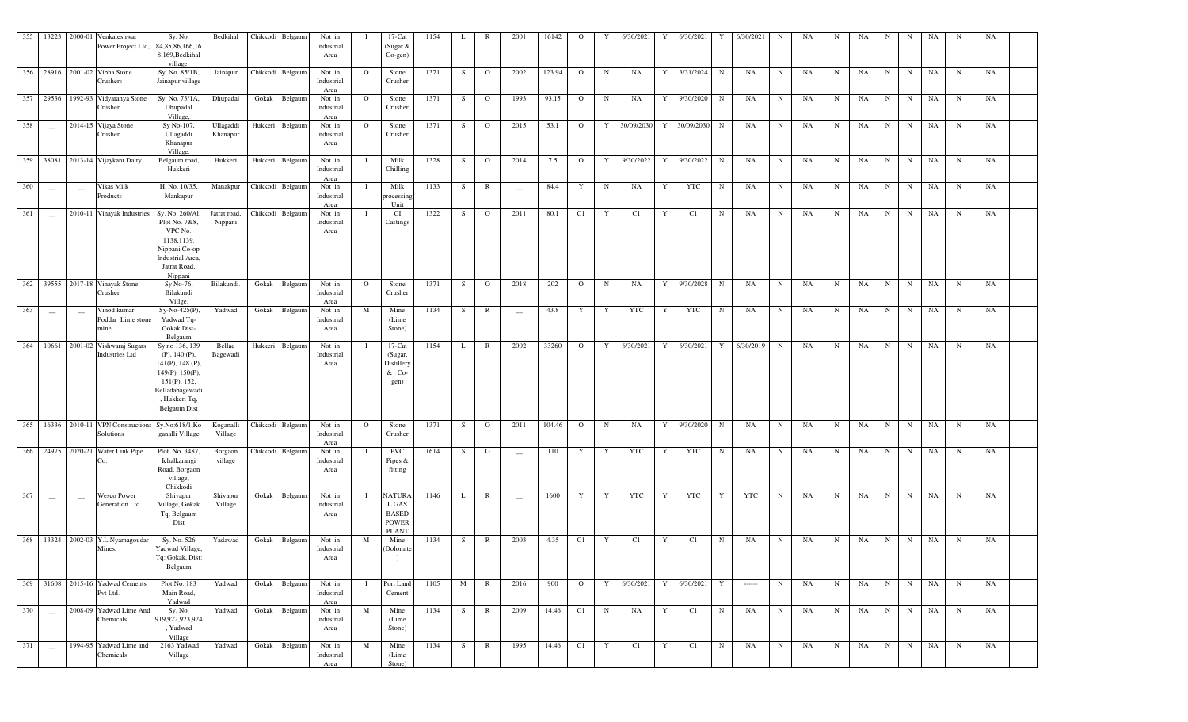|     |                                                |                                 | 355 13223 2000-01 Venkateshwar<br>Power Project Ltd,        | Sy. No.<br>34, 85, 86, 166, 16<br>8,169, Bedkihal<br>village,                                                                                       | Bedkihal                |                  | Chikkodi Belgaum | Not in<br>Industrial<br>Area |              | $17$ -Cat<br>(Sugar &<br>$Co$ -gen $)$                                 | 1154 | L            | $\mathbb{R}$   | 2001                            | 16142  | $\Omega$       | Y           | 6/30/2021  | 6/30/2021<br>Y             |             | 6/30/2021                                                                                                                                                                                                                                                                                                                                                                                                                                                                              | $_{\rm N}$  | NA | N           | NA        | N           | N           | NA | - N         | NA |
|-----|------------------------------------------------|---------------------------------|-------------------------------------------------------------|-----------------------------------------------------------------------------------------------------------------------------------------------------|-------------------------|------------------|------------------|------------------------------|--------------|------------------------------------------------------------------------|------|--------------|----------------|---------------------------------|--------|----------------|-------------|------------|----------------------------|-------------|----------------------------------------------------------------------------------------------------------------------------------------------------------------------------------------------------------------------------------------------------------------------------------------------------------------------------------------------------------------------------------------------------------------------------------------------------------------------------------------|-------------|----|-------------|-----------|-------------|-------------|----|-------------|----|
|     |                                                |                                 | 356 28916 2001-02 Vibha Stone<br>Crushers                   | Sy. No. 85/1B,<br>Jainapur village                                                                                                                  | Jainapur                | Chikkodi Belgaun |                  | Not in<br>Industrial<br>Area | $\mathbf{O}$ | Stone<br>Crusher                                                       | 1371 | S            | $\overline{O}$ | 2002                            | 123.94 | $\mathbf{O}$   | $\mathbf N$ | NA         | 3/31/2024<br>Y             | $\mathbf N$ | NA                                                                                                                                                                                                                                                                                                                                                                                                                                                                                     | $\mathbf N$ | NA | $_{\rm N}$  | NA        | $\mathbf N$ | N           | NA | $\mathbf N$ | NA |
|     |                                                |                                 | 357 29536 1992-93 Vidyaranya Stone<br>Crusher               | Sy. No. 73/1A,<br>Dhupadal<br>Village,                                                                                                              | Dhupadal                |                  | Gokak Belgaum    | Not in<br>Industrial<br>Area | $\mathbf{O}$ | Stone<br>Crusher                                                       | 1371 | S            | $\overline{O}$ | 1993                            | 93.15  | $\mathbf{O}$   | $\mathbf N$ | NA         | Y 9/30/2020                | $\mathbf N$ | NA                                                                                                                                                                                                                                                                                                                                                                                                                                                                                     | $\mathbf N$ | NA | $_{\rm N}$  | NA        | N           | N           | NA | $\mathbf N$ | NA |
| 358 | $\sim$                                         |                                 | 2014-15 Vijaya Stone<br>Crusher.                            | Sy No-107,<br>Ullagaddi<br>Khanapur<br>Village.                                                                                                     | Ullagaddi<br>Khanapur   |                  | Hukkeri Belgaum  | Not in<br>Industrial<br>Area | $\circ$      | Stone<br>Crusher                                                       | 1371 | S            | $\overline{O}$ | 2015                            | 53.1   | $\mathbf{O}$   | Y           | 30/09/2030 | 30/09/2030<br>$\mathbf{Y}$ | N           | NA                                                                                                                                                                                                                                                                                                                                                                                                                                                                                     | $\mathbf N$ | NA | $_{\rm N}$  | NA        | $\mathbf N$ | N           | NA | $\mathbf N$ | NA |
|     |                                                |                                 | 359 38081 2013-14 Vijaykant Dairy                           | Belgaum road,<br>Hukkeri                                                                                                                            | Hukkeri                 |                  | Hukkeri Belgaum  | Not in<br>Industrial<br>Area |              | Milk<br>Chilling                                                       | 1328 | S            | $\overline{O}$ | 2014                            | 7.5    | $\mathbf{O}$   | Y           | 9/30/2022  | 9/30/2022<br>Y             | $\mathbf N$ | NA                                                                                                                                                                                                                                                                                                                                                                                                                                                                                     | $\mathbf N$ | NA | N           | NA        | N           | N           | NA | $\mathbf N$ | NA |
| 360 | $\hspace{0.1mm}-\hspace{0.1mm}-\hspace{0.1mm}$ | $\hspace{0.1mm}-\hspace{0.1mm}$ | Vikas Milk<br>Products                                      | H. No. 10/35,<br>Mankapur                                                                                                                           | Manakpur                | Chikkodi Belgaum |                  | Not in<br>Industrial<br>Area |              | Milk<br>processing<br>Unit                                             | 1133 | S            | $\mathbb{R}$   | $\hspace{0.1mm}-\hspace{0.1mm}$ | 84.4   | Y              | N           | NA         | YTC<br>Y                   | $\mathbf N$ | NA                                                                                                                                                                                                                                                                                                                                                                                                                                                                                     | $\mathbf N$ | NA | N           | NA        | N           | N           | NA | $\mathbf N$ | NA |
| 361 | $\sim$                                         |                                 | 2010-11 Vinayak Industries                                  | Sy. No. 260/Al.<br>Plot No. 7&8,<br>VPC No.<br>1138,1139.<br>Nippani Co-op<br>Industrial Area,<br>Jatrat Road,<br>Nippani                           | Jatrat road,<br>Nippani |                  | Chikkodi Belgaum | Not in<br>Industrial<br>Area |              | CI<br>Castings                                                         | 1322 | S            | $\overline{O}$ | 2011                            | 80.1   | C1             | Y           | C1         | C1<br>Y                    | $\mathbf N$ | NA                                                                                                                                                                                                                                                                                                                                                                                                                                                                                     | $\mathbf N$ | NA | N           | NA        | $\mathbf N$ | N           | NA | N           | NA |
|     |                                                |                                 | 362 39555 2017-18 Vinayak Stone<br>Crusher                  | Sy No-76,<br>Bilakundi<br>Villge.                                                                                                                   | Bilakundi.              | Gokak            | Belgaum          | Not in<br>Industrial<br>Area | $\Omega$     | Stone<br>Crusher                                                       | 1371 | S            | $\overline{O}$ | 2018                            | 202    | $\mathbf{O}$   | $\mathbf N$ | NA         | 9/30/2028<br>Y             | $\mathbf N$ | NA                                                                                                                                                                                                                                                                                                                                                                                                                                                                                     | $\mathbf N$ | NA | N           | NA        | $\mathbf N$ | N           | NA | $\mathbf N$ | NA |
| 363 | $\hspace{0.1mm}-\hspace{0.1mm}-\hspace{0.1mm}$ | $\overline{\phantom{m}}$        | Vinod kumar<br>Poddar Lime stone<br>mine                    | Sy-No-425(P),<br>Yadwad Tq-<br><b>Gokak Dist-</b><br>Belgaum                                                                                        | Yadwad                  | Gokak            | Belgaum          | Not in<br>Industrial<br>Area | M            | Mine<br>(Lime<br>Stone)                                                | 1134 | S            | $\mathbb{R}$   | $\overline{\phantom{m}}$        | 43.8   | Y              | Y           | YTC        | YTC<br>Y                   | $\mathbf N$ | NA                                                                                                                                                                                                                                                                                                                                                                                                                                                                                     | $\mathbf N$ | NA | N           | NA        | N           | N           | NA | $\mathbf N$ | NA |
|     |                                                |                                 | 364 10661 2001-02 Vishwaraj Sugars<br><b>Industries Ltd</b> | Sy no 136, 139<br>$(P)$ , 140 $(P)$ ,<br>$141(P)$ , 148 (P),<br>149(P), 150(P),<br>151(P), 152,<br>Belladabagewadi<br>, Hukkeri Tq,<br>Belgaum Dist | Bellad<br>Bagewadi      |                  | Hukkeri Belgaum  | Not in<br>Industrial<br>Area |              | $17$ -Cat<br>(Sugar,<br>Distillery<br>& Co-<br>gen)                    | 1154 | L            | $\mathbb{R}$   | 2002                            | 33260  | $\overline{O}$ |             |            | Y 6/30/2021 Y 6/30/2021    | Y           | 6/30/2019 N                                                                                                                                                                                                                                                                                                                                                                                                                                                                            |             | NA | N           | <b>NA</b> | $\mathbf N$ | N           | NA | N           | NA |
|     |                                                |                                 | 365 16336 2010-11 VPN Constructions<br>Solutions            | Sy.No:618/1,Ko<br>ganalli Village                                                                                                                   | Koganalli<br>Village    |                  | Chikkodi Belgaum | Not in<br>Industrial<br>Area | $\Omega$     | Stone<br>Crusher                                                       | 1371 | S            | $\overline{O}$ | 2011                            | 104.46 | $\circ$        | $\mathbf N$ | NA         | 9/30/2020<br>Y             | $\mathbf N$ | NA                                                                                                                                                                                                                                                                                                                                                                                                                                                                                     | N           | NA | N           | NA        | $\mathbf N$ | N           | NA | $\mathbf N$ | NA |
| 366 | 24975                                          |                                 | 2020-21 Water Link Pipe                                     | Plot. No. 3487,<br>Ichalkarangi<br>Road, Borgaon<br>village,<br>Chikkodi                                                                            | Borgaon<br>village      |                  | Chikkodi Belgaum | Not in<br>Industrial<br>Area |              | <b>PVC</b><br>Pipes $&$<br>fitting                                     | 1614 | S            | G              | $\overline{\phantom{m}}$        | 110    | Y              | Y           | YTC        | YTC<br>Y                   | $\mathbf N$ | NA                                                                                                                                                                                                                                                                                                                                                                                                                                                                                     | $\mathbf N$ | NA | N           | NA        | N           | N           | NA | $\mathbf N$ | NA |
| 367 | $\hspace{0.1mm}-\hspace{0.1mm}$                | $\hspace{0.1mm}-\hspace{0.1mm}$ | Wesco Power<br>Generation Ltd                               | Shivapur<br>Village, Gokak<br>Tq, Belgaum<br>Dist                                                                                                   | Shivapur<br>Village     |                  | Gokak Belgaum    | Not in<br>Industrial<br>Area |              | <b>NATURA</b><br>L GAS<br><b>BASED</b><br><b>POWER</b><br><b>PLANT</b> | 1146 | L            | $\mathbb{R}$   | $\hspace{0.1mm}-\hspace{0.1mm}$ | 1600   | Y              | Y           | YTC        | YTC<br>$\mathbf{Y}$        | Y           | <b>YTC</b>                                                                                                                                                                                                                                                                                                                                                                                                                                                                             | $\mathbf N$ | NA | N           | NA        | N           | N           | NA | $\mathbf N$ | NA |
|     |                                                |                                 | 368 13324 2002-03 Y.L.Nyamagoudar<br>Mines,                 | Sy. No. 526<br>Yadwad Village,<br>Tq: Gokak, Dist:<br>Belgaum                                                                                       | Yadawad                 | Gokak            | Belgaum          | Not in<br>Industrial<br>Area | M            | Mine<br>(Dolomite                                                      | 1134 | S.           | $\mathbb{R}$   | 2003                            | 4.35   | C1             | Y           | C1         | C1<br>Y                    | N           | NA                                                                                                                                                                                                                                                                                                                                                                                                                                                                                     | $\mathbf N$ | NA | N           | NA        | $\mathbf N$ | N           | NA | $\mathbf N$ | NA |
| 369 |                                                |                                 | 31608 2015-16 Yadwad Cements<br>Pvt Ltd.                    | Plot No. 183<br>Main Road,<br>Yadwad                                                                                                                | Yadwad                  |                  | Gokak Belgaum    | Not in<br>Industrial<br>Area |              | Port Land<br>Cement                                                    | 1105 | M            | $\mathbb{R}$   | 2016                            | 900    | $\mathbf{O}$   | Y           | 6/30/2021  | 6/30/2021<br>Y             | Y           | $\begin{array}{ccc} \multicolumn{3}{c}{} & \multicolumn{3}{c}{} & \multicolumn{3}{c}{} & \multicolumn{3}{c}{} & \multicolumn{3}{c}{} & \multicolumn{3}{c}{} & \multicolumn{3}{c}{} & \multicolumn{3}{c}{} & \multicolumn{3}{c}{} & \multicolumn{3}{c}{} & \multicolumn{3}{c}{} & \multicolumn{3}{c}{} & \multicolumn{3}{c}{} & \multicolumn{3}{c}{} & \multicolumn{3}{c}{} & \multicolumn{3}{c}{} & \multicolumn{3}{c}{} & \multicolumn{3}{c}{} & \multicolumn{3}{c}{} & \multicolumn$ | N           | NA | N           | NA        | N           | N           | NA | N           | NA |
| 370 | $\overline{\phantom{a}}$                       |                                 | 2008-09 Yadwad Lime And<br>Chemicals                        | Sy. No.<br>919,922,923,924<br>, Yadwad<br>Village                                                                                                   | Yadwad                  | Gokak            | Belgaum          | Not in<br>Industrial<br>Area | M            | Mine<br>(Lime<br>Stone)                                                | 1134 | S            | $\mathbb{R}$   | 2009                            | 14.46  | C1             | N           | NA         | Y<br>C1                    | N           | NA                                                                                                                                                                                                                                                                                                                                                                                                                                                                                     | $\mathbf N$ | NA | N           | NA        | $\mathbf N$ | N           | NA | $\mathbf N$ | NA |
| 371 | $\overline{\phantom{a}}$                       |                                 | 1994-95 Yadwad Lime and<br>Chemicals                        | 2163 Yadwad<br>Village                                                                                                                              | Yadwad                  | Gokak            | Belgaum          | Not in<br>Industrial<br>Area | M            | Mine<br>(Lime<br>Stone)                                                | 1134 | <sub>S</sub> | $\mathbb{R}$   | 1995                            | 14.46  | C1             | Y           | C1         | C1<br>Y                    | $\mathbf N$ | NA                                                                                                                                                                                                                                                                                                                                                                                                                                                                                     | $\mathbf N$ | NA | $\mathbf N$ | NA        | $\mathbf N$ | $\mathbf N$ | NA | $\mathbf N$ | NA |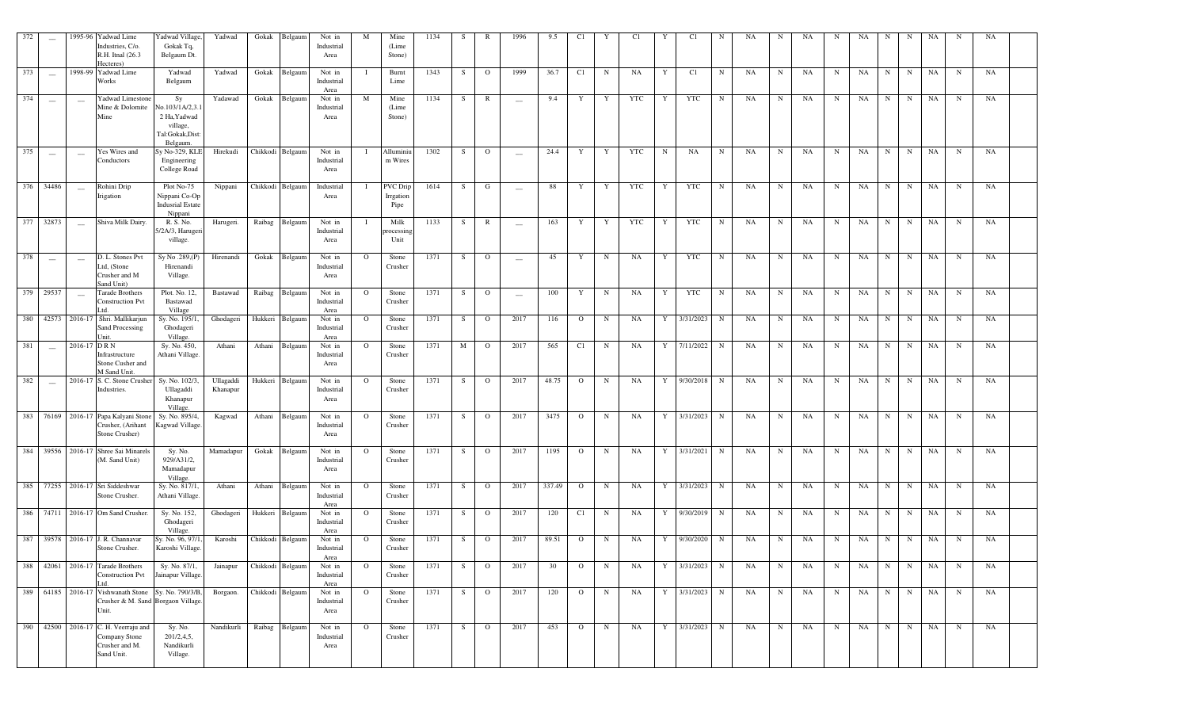| 372       | $\hspace{0.1mm}-\hspace{0.1mm}$ |             | 1995-96 Yadwad Lime<br>Industries, C/o<br>R.H. Itnal (26.3)<br>Hecteres)              | Yadwad Village,<br>Gokak Tq,<br>Belgaum Dt.                                    | Yadwad                | Gokak Belgaum    | Not in<br>Industrial<br>Area | M            | Mine<br>(Lime<br>Stone)              | 1134 | S. | R              | 1996   | 9.5    | C1             |             | C1  |              | C1          | N           | NA | N           | NA | N           | NA | N           | -N          | NA |             | NA |  |
|-----------|---------------------------------|-------------|---------------------------------------------------------------------------------------|--------------------------------------------------------------------------------|-----------------------|------------------|------------------------------|--------------|--------------------------------------|------|----|----------------|--------|--------|----------------|-------------|-----|--------------|-------------|-------------|----|-------------|----|-------------|----|-------------|-------------|----|-------------|----|--|
| 373       | $\sim$                          |             | 1998-99 Yadwad Lime<br>Works                                                          | Yadwad<br>Belgaum                                                              | Yadwad                | Gokak Belgaum    | Not in<br>Industrial<br>Area | - 1          | Burnt<br>Lime                        | 1343 | S  | $\overline{O}$ | 1999   | 36.7   | C1             | $_{\rm N}$  | NA  | Y            | C1          | N           | NA | N           | NA | N           | NA | N           | $\mathbf N$ | NA | $\mathbf N$ | NA |  |
| 374       | $\overline{\phantom{a}}$        | $\sim$      | Yadwad Limestone<br>Mine & Dolomite<br>Mine                                           | Sy<br>No.103/1A/2,3.<br>2 Ha, Yadwad<br>village,<br>Tal:Gokak,Dist<br>Belgaum. | Yadawad               | Gokak Belgaum    | Not in<br>Industrial<br>Area | M            | Mine<br>(Lime<br>Stone)              | 1134 | S. | $\mathbb{R}$   | $\sim$ | 9.4    | Y              | Y           | YTC | Y            | YTC         | N           | NA | N           | NA | $\mathbf N$ | NA | N           | $\mathbf N$ | NA | $\mathbf N$ | NA |  |
| 375       | $\sim$                          | $\sim$      | Yes Wires and<br>Conductors                                                           | Sy No-329, KLE<br>Engineering<br>College Road                                  | Hirekudi              | Chikkodi Belgaum | Not in<br>Industrial<br>Area | - 1          | Alluminiu<br>m Wires                 | 1302 | S. | $\overline{O}$ | $\sim$ | 24.4   | Y              | Y           | YTC | N            | NA          | N           | NA | $\mathbf N$ | NA | N           | NA | N           | N           | NA | $\mathbf N$ | NA |  |
| 376 34486 |                                 | $\sim$      | Rohini Drip<br>Irigation                                                              | Plot No-75<br>Nippani Co-Op<br><b>Indusrial Estate</b><br>Nippani              | Nippani               | Chikkodi Belgaum | Industrial<br>Area           | - 1          | <b>PVC</b> Drip<br>Irrgation<br>Pipe | 1614 | S. | G              | $\sim$ | 88     | Y              | Y           | YTC | Y            | YTC         | N           | NA | $\mathbf N$ | NA | $\mathbf N$ | NA | N           | $\mathbf N$ | NA | N           | NA |  |
|           | 377 32873                       | $\sim$      | Shiva Milk Dairy.                                                                     | R. S. No.<br>5/2A/3, Haruger<br>village.                                       | Harugeri.             | Raibag Belgaum   | Not in<br>Industrial<br>Area |              | Milk<br>processing<br>Unit           | 1133 | S  | $\mathbb{R}$   | $\sim$ | 163    | Y              | Y           | YTC | $\mathbf{Y}$ | YTC         | N           | NA | N           | NA | N           | NA | N           | $\mathbf N$ | NA | $\mathbf N$ | NA |  |
| 378       | $\sim$                          | $\sim$      | D. L. Stones Pvt<br>Ltd. (Stone<br>Crusher and M<br>Sand Unit)                        | Sy No.289,(P)<br>Hirenandi<br>Village.                                         | Hirenandi             | Gokak Belgaum    | Not in<br>Industrial<br>Area | $\Omega$     | Stone<br>Crusher                     | 1371 | S  | $\overline{O}$ | $\sim$ | 45     | Y              | $\mathbf N$ | NA  | $\mathbf{Y}$ | YTC         | N           | NA | N           | NA | N           | NA | N           | $\mathbf N$ | NA | $\mathbf N$ | NA |  |
|           | 379 29537                       | $\sim$      | <b>Tarade Brothers</b><br><b>Construction Pvt</b>                                     | Plot. No. 12,<br>Bastawad<br>Village                                           | Bastawad              | Raibag Belgaum   | Not in<br>Industrial<br>Area | $\Omega$     | Stone<br>Crusher                     | 1371 | S. | $\overline{O}$ | $\sim$ | 100    | Y              | N           | NA  | $\mathbf{Y}$ | YTC         | N           | NA | N           | NA | N           | NA | N           | $\mathbf N$ | NA | N           | NA |  |
|           |                                 |             | 380 42573 2016-17 Shri. Mallikarjun<br>Sand Processing                                | Sy. No. 195/1.<br>Ghodageri<br><b>Village</b>                                  | Ghodageri             | Hukkeri Belgaum  | Not in<br>Industrial<br>Area | $\mathbf{O}$ | Stone<br>Crusher                     | 1371 | S. | $\overline{O}$ | 2017   | 116    | $\overline{O}$ | N           | NA  | Y            | 3/31/2023   | N           | NA | N           | NA | N           | NA | N           | N           | NA | N           | NA |  |
| 381       | $\overline{\phantom{a}}$        | 2016-17 DRN | Infrastructure<br>Stone Cusher and<br>M Sand Unit                                     | Sy. No. 450,<br>Athani Village.                                                | Athani                | Athani Belgaum   | Not in<br>Industrial<br>Area | $\circ$      | Stone<br>Crusher                     | 1371 | M  | $\overline{O}$ | 2017   | 565    | C1             | $\mathbf N$ | NA  | Y            | 7/11/2022   | $\mathbf N$ | NA | N           | NA | $\mathbf N$ | NA | N           | $\mathbf N$ | NA | $\mathbf N$ | NA |  |
| 382       | $\hspace{0.1mm}$                |             | 2016-17 S. C. Stone Crusher<br>Industries.                                            | Sy. No. 102/3,<br>Ullagaddi<br>Khanapur<br>Village.                            | Ullagaddi<br>Khanapur | Hukkeri Belgaum  | Not in<br>Industrial<br>Area | $\mathbf{O}$ | Stone<br>Crusher                     | 1371 | S. | $\mathbf{O}$   | 2017   | 48.75  | $\mathbf{O}$   | N           | NA  | Y            | 9/30/2018   | $\mathbf N$ | NA | N           | NA | $\mathbf N$ | NA | N           | $\mathbf N$ | NA | $\mathbf N$ | NA |  |
|           |                                 |             | 383 76169 2016-17 Papa Kalyani Stone<br>Crusher, (Arihant<br>Stone Crusher)           | Sy. No. 895/4,<br>Kagwad Village                                               | Kagwad                | Athani Belgaum   | Not in<br>Industrial<br>Area | $\mathbf{O}$ | Stone<br>Crusher                     | 1371 | S  | $\overline{O}$ | 2017   | 3475   | $\overline{O}$ | N           | NA  | $\mathbf{Y}$ | 3/31/2023   | N           | NA | $\mathbf N$ | NA | N           | NA | N           | $\mathbf N$ | NA | $\mathbf N$ | NA |  |
|           |                                 |             | 384 39556 2016-17 Shree Sai Minarel:<br>(M. Sand Unit)                                | Sy. No.<br>929/A31/2,<br>Mamadapur<br>Village.                                 | Mamadapur             | Gokak Belgaum    | Not in<br>Industrial<br>Area | $\mathbf{O}$ | Stone<br>Crusher                     | 1371 | S  | $\overline{O}$ | 2017   | 1195   | $\mathbf{O}$   | N           | NA  | Y            | 3/31/2021   | N           | NA | $_{\rm N}$  | NA | $\mathbf N$ | NA | N           | $\mathbf N$ | NA | N           | NA |  |
|           |                                 |             | 385 77255 2016-17 Sri Siddeshwar<br>Stone Crusher.                                    | Sy. No. 817/1.<br>Athani Village                                               | Athani                | Athani Belgaum   | Not in<br>Industrial<br>Area | $\circ$      | Stone<br>Crusher                     | 1371 | S  | $\overline{O}$ | 2017   | 337.49 | $\mathbf{O}$   | N           | NA  | Y            | 3/31/2023   | N           | NA | $_{\rm N}$  | NA | $\mathbf N$ | NA | $\mathbf N$ | $\mathbf N$ | NA | $\mathbf N$ | NA |  |
|           |                                 |             | 386 74711 2016-17 Om Sand Crusher.                                                    | Sy. No. 152,<br>Ghodageri<br>Village.                                          | Ghodageri             | Hukkeri Belgaum  | Not in<br>Industrial<br>Area | $\mathbf{O}$ | Stone<br>Crusher                     | 1371 | S. | $\overline{O}$ | 2017   | 120    | C1             | N           | NA  | Y            | 9/30/2019   | $\mathbf N$ | NA | $\mathbf N$ | NA | N           | NA | N           | $\mathbf N$ | NA | N           | NA |  |
|           |                                 |             | 387 39578 2016-17 J. R. Channavar<br>Stone Crusher.                                   | Sy. No. 96, 97/1<br>Karoshi Village.                                           | Karoshi               | Chikkodi Belgaum | Not in<br>Industrial<br>Area | $\circ$      | Stone<br>Crusher                     | 1371 | S. | $\overline{O}$ | 2017   | 89.51  | $\overline{O}$ | N           | NA  | $\mathbf{Y}$ | 9/30/2020   | $\mathbf N$ | NA | $\mathbf N$ | NA | N           | NA | N           | $\mathbf N$ | NA | $\mathbf N$ | NA |  |
|           |                                 |             | 388 42061 2016-17 Tarade Brothers<br><b>Construction Pvt</b>                          | Sy. No. 87/1,<br>Jainapur Village.                                             | Jainapur              | Chikkodi Belgaum | Not in<br>Industrial<br>Area | $\circ$      | Stone<br>Crusher                     | 1371 | S. | $\Omega$       | 2017   | 30     | $\Omega$       | N           | NA  | Y            | 3/31/2023   | $\mathbf N$ | NA | N           | NA | N           | NA | N           | $\mathbf N$ | NA | N           | NA |  |
|           |                                 |             | 389 64185 2016-17 Vishwanath Stone<br>Crusher & M. Sand Borgaon Village.<br>Unit.     | Sy. No. 790/3/B,                                                               | Borgaon.              | Chikkodi Belgaum | Not in<br>Industrial<br>Area | $\mathbf{O}$ | Stone<br>Crusher                     | 1371 | S. | $\overline{O}$ | 2017   | 120    | $\overline{O}$ | N           | NA  | $\mathbf{Y}$ | 3/31/2023 N |             | NA | N           | NA | N           | NA |             | $N$ N       | NA | $\mathbf N$ | NA |  |
|           |                                 |             | 390 42500 2016-17 C. H. Veerraju and<br>Company Stone<br>Crusher and M.<br>Sand Unit. | Sy. No.<br>201/2, 4, 5,<br>Nandikurli<br>Village.                              | Nandikurli            | Raibag Belgaum   | Not in<br>Industrial<br>Area | $\circ$      | Stone<br>Crusher                     | 1371 | S  | $\overline{O}$ | 2017   | 453    | $\circ$        | $\mathbf N$ | NA  | Y            | 3/31/2023 N |             | NA | N           | NA | N           | NA | N           | N           | NA | $\mathbf N$ | NA |  |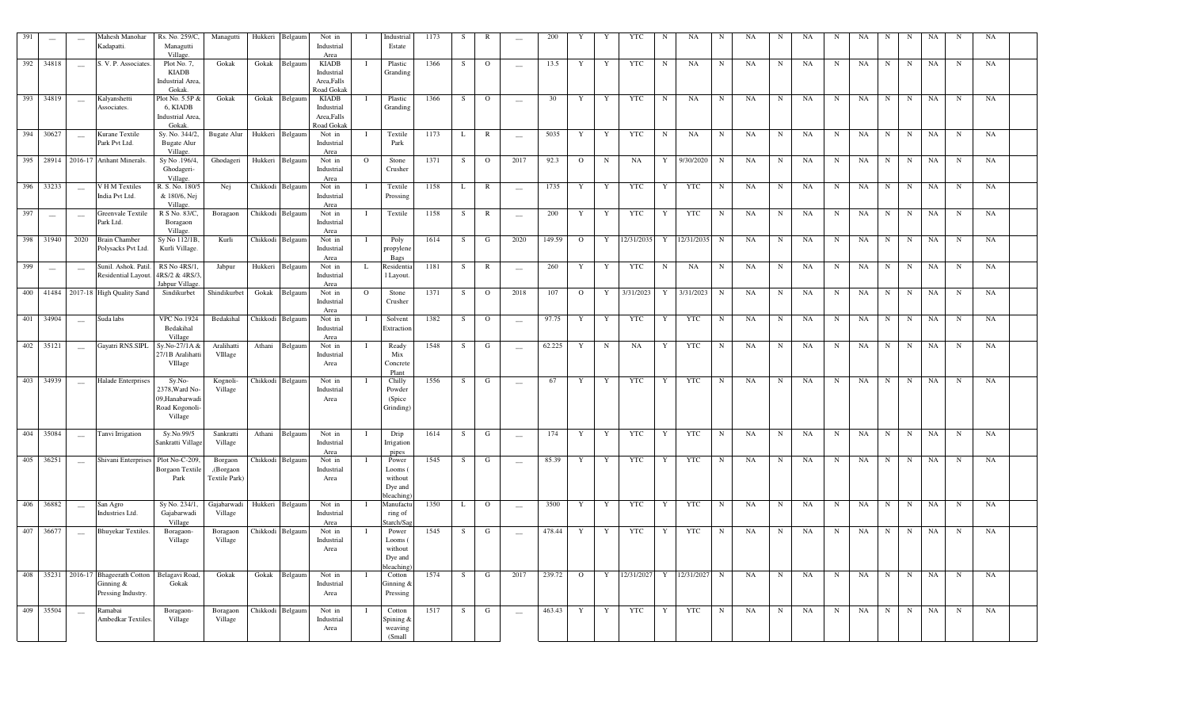| 391 | $\overline{\phantom{0}}$ |                          | Mahesh Manohar<br>Kadapatti.               | Rs. No. 259/C,<br>Managutti<br>Village.            | Managutti              | Hukkeri | Belgaum          | Not in<br>Industrial               |         | Industrial<br>Estate            | 1173 | -S     | R              | $\overline{\phantom{m}}$ | 200    | Y              | Y           | <b>YTC</b> | N           | <b>NA</b>  | N           | NA        | N          | NA        | N           | NA        | N           | N           | NA          | N           | NA          |  |
|-----|--------------------------|--------------------------|--------------------------------------------|----------------------------------------------------|------------------------|---------|------------------|------------------------------------|---------|---------------------------------|------|--------|----------------|--------------------------|--------|----------------|-------------|------------|-------------|------------|-------------|-----------|------------|-----------|-------------|-----------|-------------|-------------|-------------|-------------|-------------|--|
|     | 392 34818                | $\sim$                   | S. V. P. Associates.                       | Plot No. 7,<br><b>KIADB</b>                        | Gokak                  | Gokak   | Belgaum          | Area<br><b>KIADB</b><br>Industrial |         | Plastic<br>Granding             | 1366 | S      | $\overline{O}$ | $\sim$                   | 13.5   | Y              | Y           | <b>YTC</b> | $\mathbf N$ | NA         | $\mathbf N$ | NA        | $_{\rm N}$ | NA        | N           | NA        | N           | N           | NA          | N           | NA          |  |
|     |                          |                          |                                            | Industrial Area.<br>Gokak                          |                        |         |                  | Area, Falls<br>Road Gokak          |         |                                 |      |        |                |                          |        |                |             |            |             |            |             |           |            |           |             |           |             |             |             |             |             |  |
| 393 | 34819                    | $\sim$                   | Kalyanshetti<br>Associates.                | Plot No. 5.5P &<br>6, KIADB                        | Gokak                  | Gokak   | Belgaum          | <b>KIADB</b><br>Industrial         |         | Plastic<br>Granding             | 1366 | S      | $\mathbf{O}$   | $\sim$                   | 30     | $\mathbf Y$    | $\mathbf Y$ | <b>YTC</b> | $_{\rm N}$  | NA         | $\mathbf N$ | NA        | ${\bf N}$  | NA        | N           | NA        | N           | N           | $_{\rm NA}$ | $\mathbf N$ | NA          |  |
|     |                          |                          |                                            | Industrial Area.<br>Gokak.                         |                        |         |                  | Area, Falls<br>Road Gokak          |         |                                 |      |        |                |                          |        |                |             |            |             |            |             |           |            |           |             |           |             |             |             |             |             |  |
| 394 | 30627                    | $\frac{1}{2}$            | Kurane Textile<br>Park Pvt Ltd.            | Sy. No. 344/2,<br><b>Bugate Alur</b><br>Village.   | <b>Bugate Alur</b>     |         | Hukkeri Belgaum  | Not in<br>Industrial               |         | Textile<br>Park                 | 1173 | L      | R              | $\overline{\phantom{a}}$ | 5035   | Y              | Y           | <b>YTC</b> | $_{\rm N}$  | NA         | $_{\rm N}$  | NA        | N          | NA        | N           | NA        | N           | N           | NA          | $_{\rm N}$  | NA          |  |
|     | 395 28914                |                          | 2016-17 Arihant Minerals.                  | Sy No .196/4,<br>Ghodageri-                        | Ghodageri              | Hukkeri | Belgaun          | Area<br>Not in<br>Industrial       | $\circ$ | Stone<br>Crusher                | 1371 | S      | $\overline{O}$ | 2017                     | 92.3   | $\overline{O}$ | N           | NA         | Y           | 9/30/2020  | $\mathbf N$ | NA        | N          | NA        | N           | NA        | N           | N           | NA          | N           | NA          |  |
| 396 | 33233                    | $\overline{\phantom{a}}$ | V H M Textiles                             | Village.<br>R. S. No. 180/5                        | Nej                    |         | Chikkodi Belgaum | Area<br>Not in                     |         | Textile                         | 1158 | L      | R              | $\overline{\phantom{m}}$ | 1735   | Y              | Y           | <b>YTC</b> | Y           | YTC        | N           | NA        | N          | <b>NA</b> | N           | <b>NA</b> | N           | N           | NA          | N           | NA          |  |
|     |                          |                          | India Pvt Ltd.                             | & 180/6, Nej<br>Village.                           |                        |         |                  | Industrial<br>Area                 |         | Prossing                        |      |        |                |                          |        |                |             |            |             |            |             |           |            |           |             |           |             |             |             |             |             |  |
| 397 |                          | $\overline{\phantom{a}}$ | Greenvale Textile<br>Park Ltd.             | R S No. 83/C.<br>Boragaon                          | Boragaon               |         | Chikkodi Belgaum | Not in<br>Industrial               |         | Textile                         | 1158 | $\,$ S | R              | $\overline{\phantom{0}}$ | 200    | Y              | Y           | <b>YTC</b> | Y           | <b>YTC</b> | $\mathbf N$ | NA        | $_{\rm N}$ | <b>NA</b> | ${\bf N}$   | NA        | $\mathbf N$ | N           | $_{\rm NA}$ | $\mathbf N$ | NA          |  |
| 398 | 31940                    | 2020                     | <b>Brain Chamber</b><br>Polysacks Pvt Ltd. | Village.<br>Sy No 112/1B,<br>Kurli Village.        | Kurli                  |         | Chikkodi Belgaum | Area<br>Not in<br>Industrial       | Т.      | Poly<br>propylene               | 1614 | S      | G              | 2020                     | 149.59 | $\overline{O}$ | Y           | 12/31/2035 | Y           | 12/31/2035 | $\mathbf N$ | NA        | N          | NA        | N           | NA        | N           | N           | NA          | $_{\rm N}$  | NA          |  |
| 399 | $\overline{\phantom{a}}$ |                          | Sunil. Ashok. Patil.                       | RS No 4RS/1                                        | Jabpur                 | Hukkeri | Belgaun          | Area<br>Not in                     | L       | Bags<br><b>Residentia</b>       | 1181 | S      | R              | $\overline{\phantom{a}}$ | 260    | Y              | Y           | <b>YTC</b> | $_{\rm N}$  | NA         | N           | NA        | N          | NA        | N           | NA        | N           | N           | $_{\rm NA}$ | $_{\rm N}$  | NA          |  |
|     |                          |                          | Residential Layout.                        | 4RS/2 & 4RS/3<br>Jabpur Village                    |                        |         |                  | Industrial<br>Area                 |         | 1 Layout.                       |      |        |                |                          |        |                |             |            |             |            |             |           |            |           |             |           |             |             |             |             |             |  |
| 400 | 41484                    |                          | 2017-18 High Quality Sand                  | Sindikurbet                                        | Shindikurbet           | Gokak   | Belgaum          | Not in<br>Industrial<br>Area       | $\circ$ | Stone<br>Crusher                | 1371 | S      | $\circ$        | 2018                     | 107    | $\circ$        | Y           | 3/31/2023  | Y           | 3/31/2023  | $\mathbf N$ | NA        | N          | <b>NA</b> | N           | NA        | N           | N           | <b>NA</b>   | N           | NA          |  |
| 401 | 34904                    | $\overline{\phantom{a}}$ | Suda labs                                  | <b>VPC No.1924</b><br>Bedakihal                    | Bedakihal              |         | Chikkodi Belgaum | Not in<br>Industrial               |         | Solvent<br>Extraction           | 1382 | S      | $\circ$        | $\overline{\phantom{m}}$ | 97.75  | Y              | Y           | <b>YTC</b> | Y           | <b>YTC</b> | N           | NA        | N          | <b>NA</b> | $\mathbf N$ | NA        | N           | $\mathbf N$ | $_{\rm NA}$ | $\mathbf N$ | NA          |  |
| 402 | 35121                    |                          | Gayatri RNS.SIPL                           | Village<br>Sy.No-27/1A $\delta$<br>27/1B Aralihatt | Aralihatti<br>VIllage  | Athani  | Belgaun          | Area<br>Not in<br>Industrial       |         | Ready<br>Mix                    | 1548 | S      | G              |                          | 62.225 | Y              | N           | NA         | Y           | <b>YTC</b> | N           | NA        | N          | NA        | N           | NA        | N           | N           | $_{\rm NA}$ | N           | $_{\rm NA}$ |  |
|     |                          |                          |                                            | $\ensuremath{\text{Village}}$                      |                        |         |                  | Area                               |         | Concrete<br>Plant               |      |        |                |                          |        |                |             |            |             |            |             |           |            |           |             |           |             |             |             |             |             |  |
| 403 | 34939                    | $\sim$                   | Halade Enterprises                         | $Sy.No-$<br>2378, Ward No                          | Kognoli-<br>Village    |         | Chikkodi Belgaum | Not in<br>Industrial               |         | Chilly<br>Powder                | 1556 | S      | G              | $\sim$                   | 67     | Y              | Y           | <b>YTC</b> | Y           | <b>YTC</b> | $\mathbf N$ | NA        | N          | NA        | N           | NA        | N           | N           | NA          | $_{\rm N}$  | NA          |  |
|     |                          |                          |                                            | 09, Hanabarwadi<br>Road Kogonoli<br>Village        |                        |         |                  | Area                               |         | (Spice<br>Grinding)             |      |        |                |                          |        |                |             |            |             |            |             |           |            |           |             |           |             |             |             |             |             |  |
| 404 | 35084                    | $\overline{\phantom{a}}$ | Tanvi Irrigation                           | Sy.No.99/5                                         | Sankratti              | Athani  | Belgaum          | Not in                             |         | Drip                            | 1614 | S      | G              | $\overline{\phantom{a}}$ | 174    | Y              | $\mathbf Y$ | <b>YTC</b> | Y           | <b>YTC</b> | $\mathbf N$ | <b>NA</b> | N          | NA        | N           | NA        | N           | $\mathbf N$ | NA          | $_{\rm N}$  | NA          |  |
|     |                          |                          |                                            | Sankratti Village                                  | Village                |         |                  | Industrial<br>Area                 |         | Irrigation<br>pipes             |      |        |                |                          |        |                |             |            |             |            |             |           |            |           |             |           |             |             |             |             |             |  |
|     | $405 \overline{)36251}$  |                          | Shivani Enterprises                        | Plot No-C-209<br><b>Borgaon Textil</b>             | Borgaon<br>,(Borgaon   |         | Chikkodi Belgaum | Not in<br>Industrial               |         | Power<br>Looms                  | 1545 | S      | G              | $\sim$                   | 85.39  | Y              | Y           | <b>YTC</b> | Y           | <b>YTC</b> | N           | NA        | $_{\rm N}$ | NA        | N           | NA        | N           | N           | $_{\rm NA}$ | $_{\rm N}$  | NA          |  |
|     |                          |                          |                                            | Park                                               | Textile Park)          |         |                  | Area                               |         | without<br>Dye and<br>bleaching |      |        |                |                          |        |                |             |            |             |            |             |           |            |           |             |           |             |             |             |             |             |  |
| 406 | 36882                    |                          | San Agro<br>Industries Ltd.                | Sy No. 234/1<br>Gajabarwadi<br>Village             | Gajabarwadi<br>Village |         | Hukkeri Belgaum  | Not in<br>Industrial               |         | Manufactu<br>ring of            | 1350 | L      | $\circ$        |                          | 3500   | Y              | Y           | <b>YTC</b> | Y           | <b>YTC</b> | $\mathbf N$ | NA        | N          | <b>NA</b> | N           | NA        | N           | N           | NA          | N           | NA          |  |
| 407 | 36677                    |                          | Bhuyekar Textiles.                         | Boragaon-                                          | Boragaon               |         | Chikkodi Belgaum | Area<br>Not in                     |         | Starch/Sa<br>Power              | 1545 | S      | G              |                          | 478.44 | Y              | Y           | <b>YTC</b> | Y           | <b>YTC</b> | N           | NA        | N          | NA        | N           | NA        | N           | N           | NA          | $_{\rm N}$  | NA          |  |
|     |                          |                          |                                            | Village                                            | Village                |         |                  | Industrial<br>Area                 |         | Looms<br>without<br>Dye and     |      |        |                |                          |        |                |             |            |             |            |             |           |            |           |             |           |             |             |             |             |             |  |
| 408 | 35231                    |                          | 2016-17 Bhageerath Cotton                  | Belagavi Road                                      | Gokak                  | Gokak   | Belgaum          | Not in                             |         | bleaching<br>Cotton             | 1574 | S      | G              | 2017                     | 239.72 | $\overline{O}$ | $\mathbf Y$ | 12/31/2027 | $\mathbf Y$ | 12/31/2027 | $\mathbf N$ | NA        | $_{\rm N}$ | NA        | N           | NA        | N           | $\mathbf N$ | NA          | $_{\rm N}$  | NA          |  |
|     |                          |                          | Ginning $&$<br>Pressing Industry.          | Gokak                                              |                        |         |                  | Industrial<br>Area                 |         | Ginning &<br>Pressing           |      |        |                |                          |        |                |             |            |             |            |             |           |            |           |             |           |             |             |             |             |             |  |
| 409 | 35504                    |                          | <b>Ramabai</b><br>Ambedkar Textiles        | Boragaon-<br>Village                               | Boragaon<br>Village    |         | Chikkodi Belgaum | Not in<br>Industrial               |         | Cotton<br>Spining &             | 1517 | -S     | G              |                          | 463.43 | $\mathbf{Y}$   | Y           | <b>YTC</b> | Y           | <b>YTC</b> | N           | <b>NA</b> | N          | <b>NA</b> | N           | NA        | N           | N           | <b>NA</b>   | N           | <b>NA</b>   |  |
|     |                          |                          |                                            |                                                    |                        |         |                  | Area                               |         | weaving<br>(Small               |      |        |                |                          |        |                |             |            |             |            |             |           |            |           |             |           |             |             |             |             |             |  |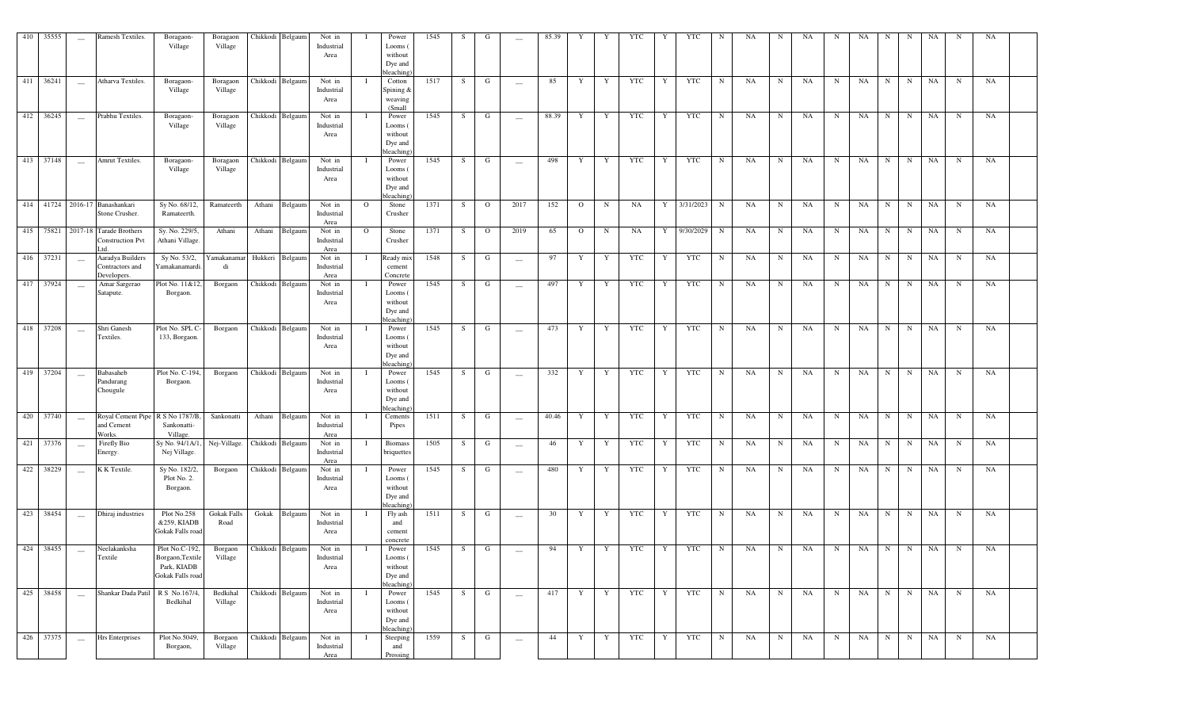| 410 35555    | $\overline{\phantom{a}}$ | Ramesh Textiles.                                                   | Boragaon-<br>Village                                                                           | Boragaon<br>Village           | Chikkodi Belgaum | Not in<br>Industrial<br>Area |                | Power<br>Looms (<br>without<br>Dye and<br>bleaching) | 1545 | S. | G              | $\sim$                                         | 85.39 | Y              |   | <b>YTC</b> | Y | YTC                | N           | NA        | N           | NA   | N           | NA          | N           | N | NA |             | NA        |  |
|--------------|--------------------------|--------------------------------------------------------------------|------------------------------------------------------------------------------------------------|-------------------------------|------------------|------------------------------|----------------|------------------------------------------------------|------|----|----------------|------------------------------------------------|-------|----------------|---|------------|---|--------------------|-------------|-----------|-------------|------|-------------|-------------|-------------|---|----|-------------|-----------|--|
| 411 36241    | $\sim$                   | Atharva Textiles.                                                  | Boragaon-<br>Village                                                                           | Boragaon<br>Village           | Chikkodi Belgaum | Not in<br>Industrial<br>Area |                | Cotton<br>Spining &<br>weaving<br>(Small             | 1517 | S  | G              | $\sim$                                         | 85    | Y              | Y | YTC        | Y | YTC                | $\mathbf N$ | NA        | $\mathbf N$ | NA   | N           | NA          | N           | N | NA | N           | NA        |  |
| 412 36245    | $\sim$                   | Prabhu Textiles.                                                   | Boragaon-<br>Village                                                                           | Boragaon<br>Village           | Chikkodi Belgaum | Not in<br>Industrial<br>Area |                | Power<br>Looms (<br>without<br>Dye and<br>bleaching) | 1545 | S. | G              | $\hspace{0.1mm}-\hspace{0.1mm}-\hspace{0.1mm}$ | 88.39 | Y              | Y | YTC        | Y | YTC                | $\mathbf N$ | NA        | N           | NA   | N           | NA          | N           | N | NA | N           | NA        |  |
| 413 37148    | $\sim$                   | Amrut Textiles.                                                    | Boragaon-<br>Village                                                                           | Boragaon<br>Village           | Chikkodi Belgaum | Not in<br>Industrial<br>Area |                | Power<br>Looms (<br>without<br>Dye and<br>bleaching  | 1545 | S  | G              | $\hspace{0.1mm}-\hspace{0.1mm}-\hspace{0.1mm}$ | 498   | Y              | Y | YTC        | Y | YTC                | N           | NA        | N           | NA   | $\mathbf N$ | NA          | N           | N | NA | $\mathbf N$ | NA        |  |
|              |                          | 414 41724 2016-17 Banashankari<br>Stone Crusher.                   | Sy No. 68/12,<br>Ramateerth.                                                                   | Ramateerth                    | Athani Belgaum   | Not in<br>Industrial<br>Area | $\overline{O}$ | Stone<br>Crusher                                     | 1371 | S  | $\overline{O}$ | 2017                                           | 152   | $\overline{O}$ | N | NA         |   | Y 3/31/2023 N      |             | NA        | N           | NA   | N           | NA          | N           | N | NA | $\mathbf N$ | NA        |  |
|              |                          | 415 75821 2017-18 Tarade Brothers<br><b>Construction Pvt</b><br>td | Sy. No. 229/5,<br>Athani Village.                                                              | Athani                        | Athani Belgaum   | Not in<br>Industrial<br>Area | $\mathbf{O}$   | Stone<br>Crusher                                     | 1371 | S. | $\overline{O}$ | 2019                                           | 65    | $\mathbf{O}$   | N | NA         | Y | 9/30/2029          | N           | NA        | $\mathbf N$ | NA   | N           | NA          | $\mathbf N$ | N | NA | N           | NA        |  |
| 416 37231    | $\sim$                   | Aaradya Builders<br>Contractors and<br>Developers.                 | Sy No. 53/2,<br>Yamakanamardi                                                                  | Yamakanamar<br>di             | Hukkeri Belgaum  | Not in<br>Industrial<br>Area | -1             | Ready mix<br>cement<br>Concrete                      | 1548 | S. | G              | $\overline{\phantom{a}}$                       | 97    | Y              | Y | YTC        | Y | YTC                | N           | NA        | N           | NA   | N           | NA          | N           | N | NA | N           | NA        |  |
| $-417$ 37924 | $\overline{\phantom{a}}$ | Amar Sargerao<br>Satapute.                                         | Plot No. 11&12<br>Borgaon.                                                                     | Borgaon                       | Chikkodi Belgaum | Not in<br>Industrial<br>Area | T              | Power<br>Looms (<br>without<br>Dye and<br>bleaching  | 1545 | S. | G              | $\sim$                                         | 497   | Y              | Y | YTC        | Y | YTC                | N           | NA        | N           | NA   | N           | NA          | $\mathbf N$ | N | NA | N           | NA        |  |
| 418 37208    | $\sim$                   | Shri Ganesh<br>Textiles.                                           | Plot No. SPL C-<br>133, Borgaon.                                                               | Borgaon                       | Chikkodi Belgaum | Not in<br>Industrial<br>Area | - I            | Power<br>Looms (<br>without<br>Dye and<br>bleaching) | 1545 | S  | G              | $\sim$                                         | 473   | Y              | Y | YTC        | Y | YTC                | N           | NA        | N           | NA   | N           | NA          | N           | N | NA | $\mathbf N$ | NA        |  |
| 419 37204    | $\sim$                   | Babasaheb<br>Pandurang<br>Chougule                                 | Plot No. C-194,<br>Borgaon.                                                                    | Borgaon                       | Chikkodi Belgaum | Not in<br>Industrial<br>Area | - T            | Power<br>Looms (<br>without<br>Dye and<br>bleaching  | 1545 | S. | G              | $\sim$                                         | 332   | Y              | Y | YTC        | Y | YTC                | N           | NA        | N           | NA   | N           | NA          | N           | N | NA | $\mathbf N$ | NA        |  |
| 420 37740    | $\sim$                   | Royal Cement Pipe R S No 1787/B.<br>and Cement<br>Works.           | Sankonatti-<br>Village.                                                                        | Sankonatti                    | Athani Belgaum   | Not in<br>Industrial<br>Area | $\mathbf{I}$   | Cements<br>Pipes                                     | 1511 | S  | G              | $\overline{\phantom{a}}$                       | 40.46 | Y              | Y | YTC        | Y | YTC                | N           | NA        | N           | NA   | N           | NA          | N           | N | NA | $\mathbf N$ | NA        |  |
| 421 37376    | $\equiv$                 | Firefly Bio<br>Energy.                                             | Sy No. 94/1A/1<br>Nej Village.                                                                 | Nej-Village. Chikkodi Belgaum |                  | Not in<br>Industrial<br>Area | -1             | <b>Biomass</b><br>briquettes                         | 1505 | S. | G              | $\hspace{0.1mm}-\hspace{0.1mm}$                | 46    | Y              | Y | YTC        | Y | YTC                | $\mathbf N$ | NA        | N           | NA   | N           | NA          | N           | N | NA | N           | NA        |  |
| 422 38229    | $\equiv$                 | K K Textile.                                                       | Sy No. 182/2,<br>Plot No. 2.<br>Borgaon.                                                       | Borgaon                       | Chikkodi Belgaum | Not in<br>Industrial<br>Area | -1             | Power<br>Looms (<br>without<br>Dye and<br>bleaching) | 1545 | S. | G              | $\sim$                                         | 480   | Y              | Y | YTC        | Y | YTC                | $\mathbf N$ | NA        | $\mathbf N$ | NA   | N           | NA          | N           | N | NA | N           | NA        |  |
| 423 38454    | $\sim$                   | Dhiraj industries                                                  | Plot No.258<br>&259, KIADB<br>Gokak Falls road                                                 | Gokak Falls<br>Road           | Gokak Belgaum    | Not in<br>Industrial<br>Area | -1             | Fly ash<br>and<br>cement<br>concrete                 | 1511 | S. | G              | $\sim$                                         | 30    | Y              | Y | YTC        | Y | YTC                | $\mathbf N$ | NA        | $\mathbf N$ | NA   | N           | NA          | N           | N | NA | $\mathbf N$ | NA        |  |
|              |                          | 424 38455 __ Neelakanksha<br>Textile                               | Plot No.C-192, Borgaon Chikkodi Belgaum<br>Borgaon, Textile<br>Park, KIADB<br>Gokak Falls road | Village                       |                  | Not in<br>Industrial<br>Area | $\mathbf{I}$   | Power<br>Looms (<br>without<br>Dye and<br>bleaching  | 1545 | S  | $\mathbf{G}$   | $\sim$ $ \sim$                                 |       |                |   |            |   | 94 Y Y YTC Y YTC N |             | NA        |             | N NA | N           | NA N N NA N |             |   |    |             | <b>NA</b> |  |
| 425 38458    | $\sim$                   | Shankar Dada Patil R S No.167/4,                                   | Bedkihal                                                                                       | Bedkihal<br>Village           | Chikkodi Belgaum | Not in<br>Industrial<br>Area |                | Power<br>Looms (<br>without<br>Dye and<br>bleaching  | 1545 | S  | $\mathbf G$    | $\overline{\phantom{a}}$                       | 417   | Y              | Y | YTC        | Y | <b>YTC</b>         | N           | <b>NA</b> | N           | NA   | N           | NA N N NA   |             |   |    | N           | NA        |  |
| 426 37375    | $\sim$                   | Hrs Enterprises                                                    | Plot No.5049,<br>Borgaon,                                                                      | Borgaon<br>Village            | Chikkodi Belgaum | Not in<br>Industrial<br>Area |                | Steeping<br>and<br>Prossin                           | 1559 | S  | G              | $\overline{\phantom{a}}$                       | 44    | Y              | Y | YTC        | Y | <b>YTC</b>         | N           | NA        | $\mathbf N$ | NA   | N           | NA          | N           | N | NA | N           | NA        |  |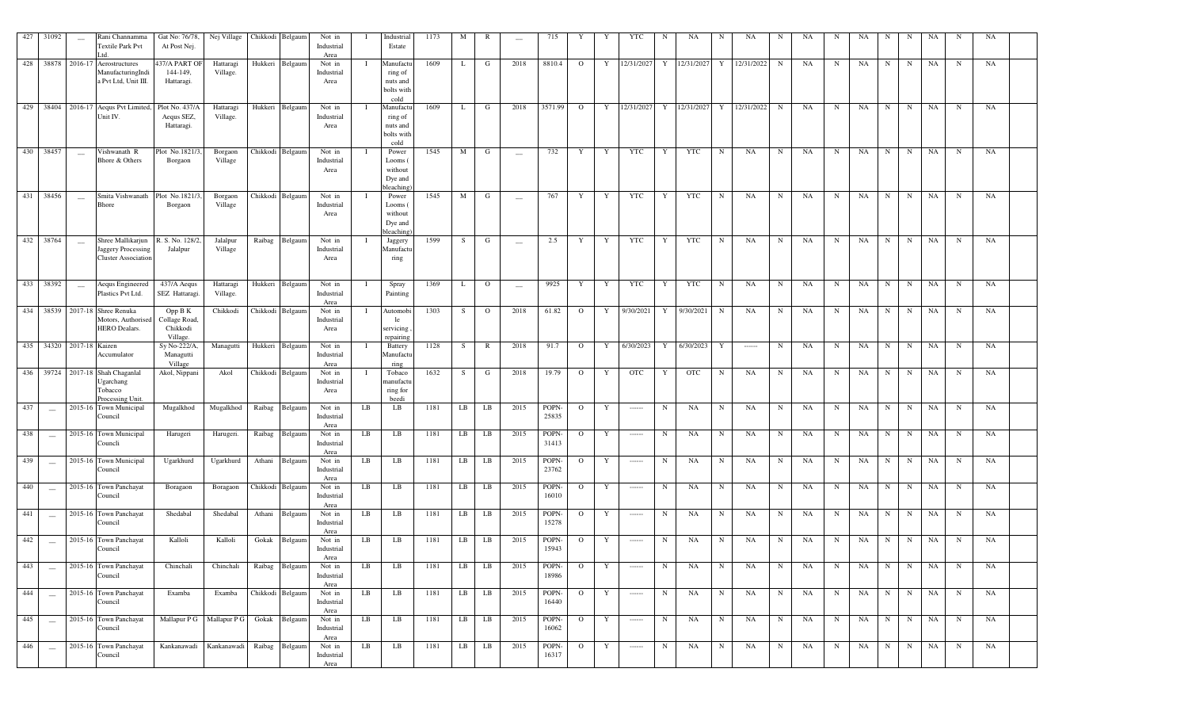| 427 | 31092                    | $\overline{\phantom{a}}$ | Rani Channamma<br>Textile Park Pvt<br>L <sub>td</sub>                   | Gat No: 76/78.<br>At Post Nej.                         | Nej Village           |         | Chikkodi Belgaun | Not in<br>Industrial<br>Area |    | Industrial<br>Estate                                   | 1173 | M       | R              |                          | 715                  |              |   | YTC                                                                                                                                                                                                                                                                                                                                                                                                                                                                                    |             | NA         | N          | NA         | N           | NA | N          | <b>NA</b> |             | N           | NA          | N           | NA |  |
|-----|--------------------------|--------------------------|-------------------------------------------------------------------------|--------------------------------------------------------|-----------------------|---------|------------------|------------------------------|----|--------------------------------------------------------|------|---------|----------------|--------------------------|----------------------|--------------|---|----------------------------------------------------------------------------------------------------------------------------------------------------------------------------------------------------------------------------------------------------------------------------------------------------------------------------------------------------------------------------------------------------------------------------------------------------------------------------------------|-------------|------------|------------|------------|-------------|----|------------|-----------|-------------|-------------|-------------|-------------|----|--|
| 428 | 38878                    | 2016-17                  | Aerostructures<br>ManufacturingIndi<br>a Pvt Ltd, Unit III.             | 437/A PART OF<br>144-149,<br>Hattaragi.                | Hattaragi<br>Village. | Hukkeri | Belgaun          | Not in<br>Industrial<br>Area |    | Manufactu<br>ring of<br>nuts and<br>bolts with<br>cold | 1609 | L       | G              | 2018                     | 8810.4               | $\Omega$     | Y | 12/31/2027                                                                                                                                                                                                                                                                                                                                                                                                                                                                             | Y           | 12/31/2027 | Y          | 12/31/2022 | N           | NA | N          | NA        | N           | N           | NA          | N           | NA |  |
| 429 | 38404                    |                          | 2016-17 Aequs Pvt Limited,<br>Unit IV.                                  | Plot No. 437/A<br>Aequs SEZ,<br>Hattaragi.             | Hattaragi<br>Village. | Hukkeri | Belgaun          | Not in<br>Industrial<br>Area |    | Manufactu<br>ring of<br>nuts and<br>bolts with<br>cold | 1609 | L       | G              | 2018                     | 3571.99              | $\Omega$     | Y | 12/31/2027                                                                                                                                                                                                                                                                                                                                                                                                                                                                             | Y           | 12/31/2027 | Y          | 12/31/2022 | $\mathbf N$ | NA | N          | <b>NA</b> | N           | N           | NA          | $\mathbf N$ | NA |  |
| 430 | 38457                    |                          | Vishwanath R<br>Bhore & Others                                          | Plot No.1821/<br>Borgaon                               | Borgaon<br>Village    |         | Chikkodi Belgaun | Not in<br>Industrial<br>Area |    | Power<br>Looms (<br>without<br>Dye and<br>bleaching    | 1545 | M       | G              | $\overline{\phantom{a}}$ | 732                  | Y            | Y | <b>YTC</b>                                                                                                                                                                                                                                                                                                                                                                                                                                                                             | Y           | <b>YTC</b> | N          | <b>NA</b>  | $\mathbf N$ | NA | N          | NA        | N           | N           | NA          | $_{\rm N}$  | NA |  |
| 431 | 38456                    | $\overline{\phantom{a}}$ | Smita Vishwanath<br><b>Bhore</b>                                        | Plot No.1821/<br>Borgaon                               | Borgaon<br>Village    |         | Chikkodi Belgaun | Not in<br>Industrial<br>Area |    | Power<br>Looms (<br>without<br>Dye and<br>bleaching    | 1545 | M       | G              |                          | 767                  | Y            | Y | <b>YTC</b>                                                                                                                                                                                                                                                                                                                                                                                                                                                                             | Y           | <b>YTC</b> | N          | <b>NA</b>  | N           | NA | N          | <b>NA</b> | N           | N           | $_{\rm NA}$ | $\mathbf N$ | NA |  |
| 432 | 38764                    | $\overline{\phantom{a}}$ | Shree Mallikarjun<br>Jaggery Processing<br><b>Cluster Association</b>   | R. S. No. 128/2<br>Jalalpur                            | Jalalpur<br>Village   | Raibag  | Belgaum          | Not in<br>Industrial<br>Area |    | Jaggery<br>Manufactu<br>ring                           | 1599 | S       | G              | $\overline{\phantom{m}}$ | 2.5                  | Y            | Y | <b>YTC</b>                                                                                                                                                                                                                                                                                                                                                                                                                                                                             | Y           | <b>YTC</b> | N          | NA         | $\mathbf N$ | NA | N          | NA        | $\mathbf N$ | $\mathbf N$ | <b>NA</b>   | $\mathbf N$ | NA |  |
| 433 | 38392                    | $\overline{\phantom{m}}$ | Aequs Engineered<br>Plastics Pvt Ltd.                                   | 437/A Aequs<br>SEZ Hattaragi.                          | Hattaragi<br>Village. | Hukkeri | Belgaun          | Not in<br>Industrial<br>Area |    | Spray<br>Painting                                      | 1369 | L       | $\overline{O}$ | $\overline{\phantom{m}}$ | 9925                 | Y            | Y | YTC                                                                                                                                                                                                                                                                                                                                                                                                                                                                                    | Y           | <b>YTC</b> | N          | NA         | $\mathbf N$ | NA | $_{\rm N}$ | NA        | N           | $\mathbf N$ | NA          | $\mathbf N$ | NA |  |
| 434 |                          |                          | 38539 2017-18 Shree Renuka<br>Motors, Authorised<br>HERO Dealars.       | Opp B K<br>Collage Road,<br>Chikkodi<br><b>Village</b> | Chikkodi              |         | Chikkodi Belgaum | Not in<br>Industrial<br>Area |    | Automobi<br>le<br>servicing<br>repairing               | 1303 | S       | $\overline{O}$ | 2018                     | 61.82                | $\mathbf{O}$ | Y | 9/30/2021                                                                                                                                                                                                                                                                                                                                                                                                                                                                              | Y           | 9/30/2021  | N          | NA         | N           | NA | N          | NA        | N           | $\mathbf N$ | NA          | N           | NA |  |
| 435 |                          | 34320 2017-18 Kaizen     | Accumulator                                                             | Sy No-222/A<br>Managutti<br>Village                    | Managutti             |         | Hukkeri Belgaum  | Not in<br>Industrial<br>Area |    | Battery<br>Manufactu<br>ring                           | 1128 | S       | $\mathbb{R}$   | 2018                     | 91.7                 | $\mathbf{O}$ | Y | 6/30/2023                                                                                                                                                                                                                                                                                                                                                                                                                                                                              | Y           | 6/30/2023  | Y          | $\cdots$   | $_{\rm N}$  | NA | N          | NA        | N           | $\mathbf N$ | NA          | $\mathbf N$ | NA |  |
| 436 |                          |                          | 39724 2017-18 Shah Chaganlal<br>Ugarchang<br>Tobacco<br>Processing Unit | Akol, Nippani                                          | Akol                  |         | Chikkodi Belgaun | Not in<br>Industrial<br>Area |    | Tobaco<br>manufactu<br>ring for<br>beedi               | 1632 | -S      | G              | 2018                     | 19.79                | $\mathbf{O}$ | Y | <b>OTC</b>                                                                                                                                                                                                                                                                                                                                                                                                                                                                             | Y           | <b>OTC</b> | N          | <b>NA</b>  | N           | NA | N          | <b>NA</b> | N           | N           | NA          | $\mathbf N$ | NA |  |
| 437 | $\sim$                   |                          | 2015-16 Town Municipal<br>Council                                       | Mugalkhod                                              | Mugalkhod             | Raibag  | Belgaun          | Not in<br>Industrial<br>Area | LB | LB                                                     | 1181 | LB      | LB             | 2015                     | POPN-<br>25835       | $\Omega$     | Y | $\cdots$                                                                                                                                                                                                                                                                                                                                                                                                                                                                               | N           | NA         | N          | <b>NA</b>  | N           | NA | N          | <b>NA</b> | N           | N           | NA          | $\mathbf N$ | NA |  |
| 438 | $\sim$                   |                          | 2015-16 Town Municipal<br>Councli                                       | Harugeri                                               | Harugeri.             | Raibag  | Belgaum          | Not in<br>Industrial<br>Area | LB | LB                                                     | 1181 | LB      | LB             | 2015                     | POPN-<br>31413       | $\mathbf{O}$ | Y | $\begin{array}{cccccccccc} \multicolumn{2}{c}{} & \multicolumn{2}{c}{} & \multicolumn{2}{c}{} & \multicolumn{2}{c}{} & \multicolumn{2}{c}{} & \multicolumn{2}{c}{} & \multicolumn{2}{c}{} & \multicolumn{2}{c}{} & \multicolumn{2}{c}{} & \multicolumn{2}{c}{} & \multicolumn{2}{c}{} & \multicolumn{2}{c}{} & \multicolumn{2}{c}{} & \multicolumn{2}{c}{} & \multicolumn{2}{c}{} & \multicolumn{2}{c}{} & \multicolumn{2}{c}{} & \multicolumn{2}{c}{} & \multicolumn{2}{c}{} & \mult$ | N           | NA         | N          | NA         | N           | NA | N          | NA        | N           | N           | NA          | N           | NA |  |
| 439 | $\overline{\phantom{a}}$ |                          | 2015-16 Town Municipal<br>Council                                       | Ugarkhurd                                              | Ugarkhurd             | Athani  | Belgaun          | Not in<br>Industrial<br>Area | LB | LB                                                     | 1181 | LB      | LB             | 2015                     | POPN-<br>23762       | $\mathbf{O}$ | Y | $\cdots$                                                                                                                                                                                                                                                                                                                                                                                                                                                                               | N           | NA         | N          | NA         | $_{\rm N}$  | NA | N          | NA        | N           | N           | NA          | $\mathbf N$ | NA |  |
| 440 | $\overline{\phantom{a}}$ |                          | 2015-16 Town Panchayat<br>Council                                       | Boragaon                                               | Boragaon              |         | Chikkodi Belgaum | Not in<br>Industrial<br>Area | LB | LB                                                     | 1181 | LB      | LB             | 2015                     | POPN-<br>16010       | $\mathbf{O}$ | Y | $\begin{array}{cccccccccc} \multicolumn{2}{c}{} & \multicolumn{2}{c}{} & \multicolumn{2}{c}{} & \multicolumn{2}{c}{} & \multicolumn{2}{c}{} & \multicolumn{2}{c}{} & \multicolumn{2}{c}{} & \multicolumn{2}{c}{} & \multicolumn{2}{c}{} & \multicolumn{2}{c}{} & \multicolumn{2}{c}{} & \multicolumn{2}{c}{} & \multicolumn{2}{c}{} & \multicolumn{2}{c}{} & \multicolumn{2}{c}{} & \multicolumn{2}{c}{} & \multicolumn{2}{c}{} & \multicolumn{2}{c}{} & \multicolumn{2}{c}{} & \mult$ | N           | NA         | N          | NA         | $_{\rm N}$  | NA | N          | NA        | $\mathbf N$ | $\mathbf N$ | NA          | $\mathbf N$ | NA |  |
| 441 | $\overline{\phantom{a}}$ |                          | 2015-16 Town Panchayat<br>Council                                       | Shedabal                                               | Shedabal              | Athani  | Belgaum          | Not in<br>Industrial<br>Area | LB | LB                                                     | 1181 | LB      | LB             | 2015                     | <b>POPN</b><br>15278 | $\mathbf{O}$ | Y | $\begin{array}{cccccccccc} \multicolumn{2}{c}{} & \multicolumn{2}{c}{} & \multicolumn{2}{c}{} & \multicolumn{2}{c}{} & \multicolumn{2}{c}{} & \multicolumn{2}{c}{} & \multicolumn{2}{c}{} & \multicolumn{2}{c}{} & \multicolumn{2}{c}{} & \multicolumn{2}{c}{} & \multicolumn{2}{c}{} & \multicolumn{2}{c}{} & \multicolumn{2}{c}{} & \multicolumn{2}{c}{} & \multicolumn{2}{c}{} & \multicolumn{2}{c}{} & \multicolumn{2}{c}{} & \multicolumn{2}{c}{} & \multicolumn{2}{c}{} & \mult$ | N           | NA         | N          | NA         | N           | NA | N          | <b>NA</b> | N           | N           | NA          | $\mathbf N$ | NA |  |
| 442 | $\overline{\phantom{a}}$ |                          | 2015-16 Town Panchayat<br>Council                                       | Kalloli                                                | Kalloli               | Gokak   | Belgaum          | Not in<br>Industrial<br>Area | LB | LB                                                     | 1181 | LB      | LB             | 2015                     | POPN-<br>15943       | $\mathbf{o}$ | Y |                                                                                                                                                                                                                                                                                                                                                                                                                                                                                        | N           | NA         | N          | NA         | $_{\rm N}$  | NA | N          | NA        | $\mathbf N$ | $\mathbf N$ | NA          | N           | NA |  |
| 443 | $\overline{\phantom{a}}$ |                          | 2015-16 Town Panchayat<br>Council                                       | Chinchali                                              | Chinchali             | Raibag  | Belgaum          | Not in<br>Industrial<br>Area | LB | LB                                                     | 1181 | LB      | LB             | 2015                     | POPN-<br>18986       | $\mathbf{O}$ | Y |                                                                                                                                                                                                                                                                                                                                                                                                                                                                                        | N           | NA         | N          | NA         | N           | NA | N          | NA        | N           | N           | NA          | $\mathbf N$ | NA |  |
| 444 | $\overline{\phantom{a}}$ |                          | 2015-16 Town Panchayat<br>Council                                       | Examba                                                 | Examba                |         | Chikkodi Belgaum | Not in<br>Industrial<br>Area | LB | LB                                                     | 1181 | LB      | LB             | 2015                     | POPN-<br>16440       | $\mathbf{O}$ | Y | $\begin{array}{ccc} \texttt{m} & \texttt{m} & \texttt{m} & \texttt{m} \\ \texttt{m} & \texttt{m} & \texttt{m} & \texttt{m} \\ \texttt{m} & \texttt{m} & \texttt{m} & \texttt{m} \\ \texttt{m} & \texttt{m} & \texttt{m} & \texttt{m} \\ \texttt{m} & \texttt{m} & \texttt{m} & \texttt{m} \\ \texttt{m} & \texttt{m} & \texttt{m} & \texttt{m} \\ \texttt{m} & \texttt{m} & \texttt{m} & \texttt{m} \\ \texttt{m} & \texttt{m} & \texttt$                                              | $\mathbf N$ | NA         | $_{\rm N}$ | NA         | $\mathbf N$ | NA | N          | NA        |             | $N$   $N$   | NA          | $\mathbf N$ | NA |  |
| 445 | $\frac{1}{2}$            |                          | 2015-16 Town Panchayat<br>Council                                       | Mallapur P G                                           | Mallapur P G          | Gokak   | Belgaum          | Not in<br>Industrial<br>Area | LB | LB                                                     | 1181 | LB      | LB             | 2015                     | POPN-<br>16062       | $\mathbf{O}$ | Y |                                                                                                                                                                                                                                                                                                                                                                                                                                                                                        | N           | NA         | N          | NA         | N           | NA | N          | NA        | N           | N           | NA          | $\mathbf N$ | NA |  |
| 446 | $\overline{\phantom{a}}$ |                          | 2015-16 Town Panchayat<br>Council                                       | Kankanawadi                                            | Kankanawadi           | Raibag  | Belgaum          | Not in<br>Industrial<br>Area | LB | LB                                                     | 1181 | $_{LB}$ | LB             | 2015                     | POPN-<br>16317       | $\mathbf{O}$ | Y | $\cdots$                                                                                                                                                                                                                                                                                                                                                                                                                                                                               | N           | NA         | N          | NA         | $\mathbf N$ | NA | $_{\rm N}$ | NA        | N           | N           | NA          | $\mathbf N$ | NA |  |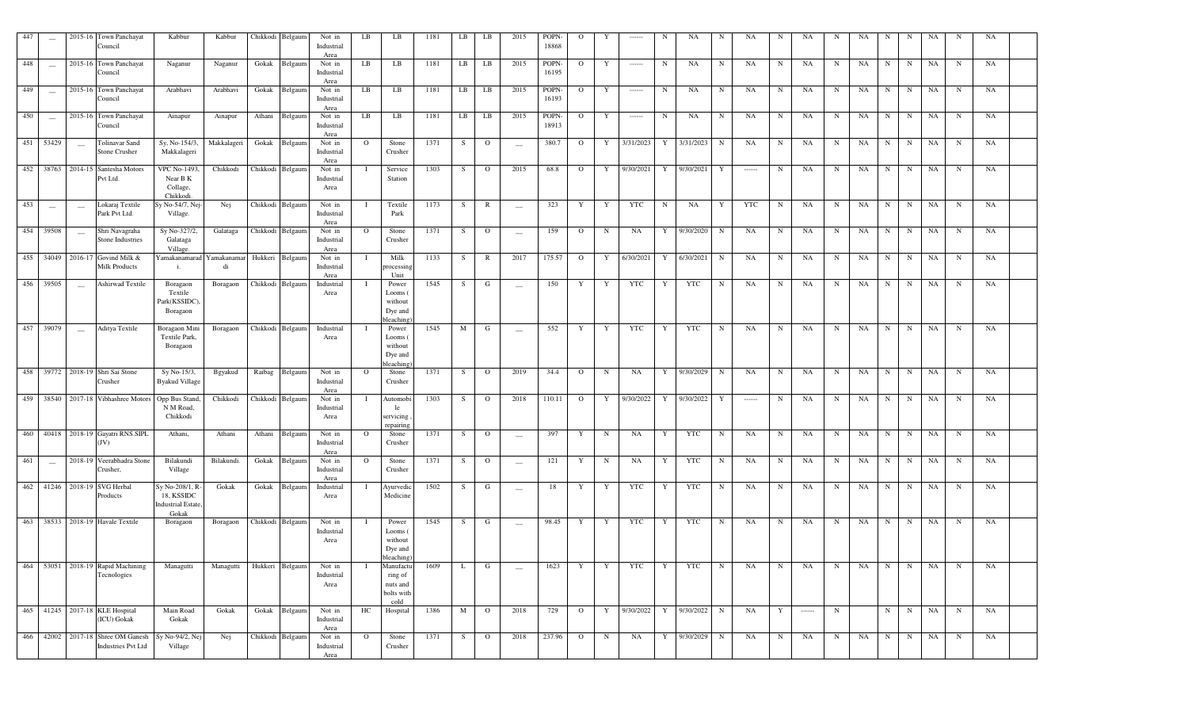| 447 | $\qquad \qquad -$        |                          | 2015-16 Town Panchayat<br>Council                          | Kabbur                                                            | Kabbur            |          | Chikkodi Belgaum | Not in<br>Industrial<br>Area | LB       | LB                                                     | 1181 | LB | LB             | 2015                     | POPN-<br>18868 | $\Omega$     | Y           | ------                                                                                                                                                                                                                                                                                                                                                                                                                                                                                 | N          | <b>NA</b>   | N           | NA                                                                                                                                                                                                                                                                                                                                                                                                                                                                                     | N           | NA                                                                                                                                                                                                                                                                                                                                                                                                                                                                                     | N           | NA | N           | N           | NA        | N          | NA |  |
|-----|--------------------------|--------------------------|------------------------------------------------------------|-------------------------------------------------------------------|-------------------|----------|------------------|------------------------------|----------|--------------------------------------------------------|------|----|----------------|--------------------------|----------------|--------------|-------------|----------------------------------------------------------------------------------------------------------------------------------------------------------------------------------------------------------------------------------------------------------------------------------------------------------------------------------------------------------------------------------------------------------------------------------------------------------------------------------------|------------|-------------|-------------|----------------------------------------------------------------------------------------------------------------------------------------------------------------------------------------------------------------------------------------------------------------------------------------------------------------------------------------------------------------------------------------------------------------------------------------------------------------------------------------|-------------|----------------------------------------------------------------------------------------------------------------------------------------------------------------------------------------------------------------------------------------------------------------------------------------------------------------------------------------------------------------------------------------------------------------------------------------------------------------------------------------|-------------|----|-------------|-------------|-----------|------------|----|--|
| 448 | $\overline{\phantom{a}}$ |                          | 2015-16 Town Panchayat<br>Council                          | Naganur                                                           | Naganur           | Gokak    | Belgaum          | Not in<br>Industrial<br>Area | LB       | LB                                                     | 1181 | LB | LB             | 2015                     | POPN-<br>16195 | $\mathbf{O}$ | Y           | $\begin{array}{ccc} \multicolumn{3}{c}{} & \multicolumn{3}{c}{} & \multicolumn{3}{c}{} & \multicolumn{3}{c}{} & \multicolumn{3}{c}{} & \multicolumn{3}{c}{} & \multicolumn{3}{c}{} & \multicolumn{3}{c}{} & \multicolumn{3}{c}{} & \multicolumn{3}{c}{} & \multicolumn{3}{c}{} & \multicolumn{3}{c}{} & \multicolumn{3}{c}{} & \multicolumn{3}{c}{} & \multicolumn{3}{c}{} & \multicolumn{3}{c}{} & \multicolumn{3}{c}{} & \multicolumn{3}{c}{} & \multicolumn{3}{c}{} & \multicolumn$ | N          | NA          | N           | NA                                                                                                                                                                                                                                                                                                                                                                                                                                                                                     | $\mathbf N$ | NA                                                                                                                                                                                                                                                                                                                                                                                                                                                                                     | N           | NA | N           | $\mathbf N$ | NA        | N          | NA |  |
| 449 | $\overline{\phantom{a}}$ |                          | 2015-16 Town Panchayat<br>Council                          | Arabhavi                                                          | Arabhavi          | Gokak    | Belgaum          | Not in<br>Industrial<br>Area | LB       | LB                                                     | 1181 | LB | LB             | 2015                     | POPN-<br>16193 | $\Omega$     | Y           | $\cdots$                                                                                                                                                                                                                                                                                                                                                                                                                                                                               | $_{\rm N}$ | NA          | N           | NA                                                                                                                                                                                                                                                                                                                                                                                                                                                                                     | N           | NA                                                                                                                                                                                                                                                                                                                                                                                                                                                                                     | N           | NA | N           | $\mathbf N$ | NA        | N          | NA |  |
| 450 | $\overline{\phantom{a}}$ |                          | 2015-16 Town Panchayat<br>Council                          | Ainapur                                                           | Ainapur           | Athani   | Belgaum          | Not in<br>Industrial<br>Area | LB       | LB                                                     | 1181 | LB | LB             | 2015                     | POPN-<br>18913 | $\mathbf{O}$ | Y           | $\cdots$                                                                                                                                                                                                                                                                                                                                                                                                                                                                               | N          | NA          | N           | NA                                                                                                                                                                                                                                                                                                                                                                                                                                                                                     | $_{\rm N}$  | NA                                                                                                                                                                                                                                                                                                                                                                                                                                                                                     | N           | NA | N           | $\mathbf N$ | NA        | N          | NA |  |
| 451 | 53429                    | $\overline{\phantom{a}}$ | <b>Tolinavar Sand</b><br>Stone Crusher                     | Sy, No-154/3,<br>Makkalageri                                      | Makkalageri       | Gokak    | Belgaum          | Not in<br>Industrial<br>Area | $\circ$  | Stone<br>Crusher                                       | 1371 | S  | $\mathbf{O}$   | $\overline{\phantom{a}}$ | 380.7          | $\mathbf{O}$ | Y           | 3/31/2023                                                                                                                                                                                                                                                                                                                                                                                                                                                                              | Y          | 3/31/2023   | N           | NA                                                                                                                                                                                                                                                                                                                                                                                                                                                                                     | $\mathbf N$ | NA                                                                                                                                                                                                                                                                                                                                                                                                                                                                                     | N           | NA | N           | $\mathbf N$ | NA        | N          | NA |  |
|     |                          |                          | 452 38763 2014-15 Santesha Motors<br>Pvt Ltd.              | <b>VPC No-1493</b><br>Near B K<br>Collage,<br>Chikkodi.           | Chikkodi          |          | Chikkodi Belgaum | Not in<br>Industrial<br>Area |          | Service<br>Station                                     | 1303 | S  | $\overline{O}$ | 2015                     | 68.8           | $\Omega$     | Y           | 9/30/2021                                                                                                                                                                                                                                                                                                                                                                                                                                                                              |            | Y 9/30/2021 | Y           | $\begin{array}{ccc} \multicolumn{3}{c}{} & \multicolumn{3}{c}{} & \multicolumn{3}{c}{} & \multicolumn{3}{c}{} & \multicolumn{3}{c}{} & \multicolumn{3}{c}{} & \multicolumn{3}{c}{} & \multicolumn{3}{c}{} & \multicolumn{3}{c}{} & \multicolumn{3}{c}{} & \multicolumn{3}{c}{} & \multicolumn{3}{c}{} & \multicolumn{3}{c}{} & \multicolumn{3}{c}{} & \multicolumn{3}{c}{} & \multicolumn{3}{c}{} & \multicolumn{3}{c}{} & \multicolumn{3}{c}{} & \multicolumn{3}{c}{} & \multicolumn$ | N           | NA                                                                                                                                                                                                                                                                                                                                                                                                                                                                                     | N           | NA | N           | N           | NA        | N          | NA |  |
| 453 | $\overline{\phantom{a}}$ | $\sim$                   | Lokaraj Textile<br>Park Pvt Ltd.                           | Sy No-54/7, Nej<br>Village.                                       | Nej               |          | Chikkodi Belgaum | Not in<br>Industrial<br>Area |          | Textile<br>Park                                        | 1173 | S  | R              | $\overline{\phantom{a}}$ | 323            | Y            | Y           | <b>YTC</b>                                                                                                                                                                                                                                                                                                                                                                                                                                                                             | $_{\rm N}$ | NA          | Y           | <b>YTC</b>                                                                                                                                                                                                                                                                                                                                                                                                                                                                             | N           | NA                                                                                                                                                                                                                                                                                                                                                                                                                                                                                     | N           | NA | N           | $\mathbf N$ | NA        | N          | NA |  |
| 454 | 39508                    | $\sim$                   | Shri Navagraha<br>Stone Industries                         | Sy No-327/2,<br>Galataga<br>Village.                              | Galataga          |          | Chikkodi Belgaum | Not in<br>Industrial<br>Area | $\circ$  | Stone<br>Crusher                                       | 1371 | S  | $\circ$        | $\overline{\phantom{a}}$ | 159            | $\Omega$     | $\mathbf N$ | NA                                                                                                                                                                                                                                                                                                                                                                                                                                                                                     | Y          | 9/30/2020   | N           | NA                                                                                                                                                                                                                                                                                                                                                                                                                                                                                     | N           | NA                                                                                                                                                                                                                                                                                                                                                                                                                                                                                     | N           | NA | N           | $\mathbf N$ | NA        | N          | NA |  |
| 455 | 34049                    |                          | 2016-17 Govind Milk &<br><b>Milk Products</b>              | Yamakanamarad<br>i.                                               | Yamakanamar<br>di | Hukkeri  | Belgaum          | Not in<br>Industrial<br>Area |          | Milk<br>processing<br>Unit                             | 1133 | S  | $\mathbb{R}$   | 2017                     | 175.57         | $\mathbf{O}$ | Y           | 6/30/2021                                                                                                                                                                                                                                                                                                                                                                                                                                                                              | Y          | 6/30/2021   | N           | NA                                                                                                                                                                                                                                                                                                                                                                                                                                                                                     | $\mathbf N$ | NA                                                                                                                                                                                                                                                                                                                                                                                                                                                                                     | N           | NA | $_{\rm N}$  | $\mathbf N$ | NA        | N          | NA |  |
| 456 | 39505                    | $\sim$                   | Ashirwad Textile                                           | Boragaon<br>Textile<br>Park(KSSIDC)<br>Boragaon                   | Boragaon          | Chikkodi | Belgaum          | Industrial<br>Area           |          | Power<br>Looms (<br>without<br>Dye and<br>bleaching    | 1545 | S  | G              | $\overline{\phantom{m}}$ | 150            | Y            | Y           | YTC                                                                                                                                                                                                                                                                                                                                                                                                                                                                                    | Y          | YTC         | N           | NA                                                                                                                                                                                                                                                                                                                                                                                                                                                                                     | $\mathbf N$ | NA                                                                                                                                                                                                                                                                                                                                                                                                                                                                                     | N           | NA | N           | $\mathbf N$ | NA        | N          | NA |  |
| 457 | 39079                    | $\sim$                   | Aditya Textile                                             | Boragaon Mini<br>Textile Park,<br>Boragaon                        | Boragaon          |          | Chikkodi Belgaum | Industrial<br>Area           |          | Power<br>Looms (<br>without<br>Dye and<br>bleaching    | 1545 | M  | G              | $\sim$                   | 552            | Y            | Y           | YTC                                                                                                                                                                                                                                                                                                                                                                                                                                                                                    | Y          | YTC         | N           | NA                                                                                                                                                                                                                                                                                                                                                                                                                                                                                     | $\mathbf N$ | NA                                                                                                                                                                                                                                                                                                                                                                                                                                                                                     | $_{\rm N}$  | NA | $\mathbf N$ | N           | NA        | N          | NA |  |
| 458 |                          |                          | 39772 2018-19 Shri Sai Stone<br>Crusher                    | Sy No-15/3,<br><b>Byakud Village</b>                              | Bgyakud           | Raibag   | Belgaum          | Not in<br>Industrial<br>Area | $\Omega$ | Stone<br>Crusher                                       | 1371 | S  | $\Omega$       | 2019                     | 34.4           | $\Omega$     | $\mathbf N$ | NA                                                                                                                                                                                                                                                                                                                                                                                                                                                                                     | Y          | 9/30/2029   | N           | NA                                                                                                                                                                                                                                                                                                                                                                                                                                                                                     | N           | <b>NA</b>                                                                                                                                                                                                                                                                                                                                                                                                                                                                              | N           | NA | N           | N           | NA        | N          | NA |  |
|     |                          |                          | 459 38540 2017-18 Vibhashree Motors                        | Opp Bus Stand<br>N M Road,<br>Chikkodi                            | Chikkodi          |          | Chikkodi Belgaum | Not in<br>Industrial<br>Area |          | Automobi<br>le<br>servicing<br>repairing               | 1303 | S  | $\overline{O}$ | 2018                     | 110.11         | $\Omega$     | Y           | $\frac{9}{30/2022}$                                                                                                                                                                                                                                                                                                                                                                                                                                                                    | Y          | 9/30/2022   | Y           | $\cdots$                                                                                                                                                                                                                                                                                                                                                                                                                                                                               | N           | NA                                                                                                                                                                                                                                                                                                                                                                                                                                                                                     | N           | NA | N           | N           | NA        | N          | NA |  |
| 460 | 40418                    |                          | 2018-19 Gayatri RNS.SIPL<br>(JV)                           | Athani,                                                           | Athani            | Athani   | Belgaun          | Not in<br>Industrial<br>Area | $\circ$  | Stone<br>Crusher                                       | 1371 | S  | $\mathbf{O}$   | $\hspace{0.05cm}$        | 397            | Y            | $\mathbf N$ | <b>NA</b>                                                                                                                                                                                                                                                                                                                                                                                                                                                                              | Y          | <b>YTC</b>  | N           | NA                                                                                                                                                                                                                                                                                                                                                                                                                                                                                     | $\mathbf N$ | NA                                                                                                                                                                                                                                                                                                                                                                                                                                                                                     | N           | NA | N           | $_{\rm N}$  | NA        | $_{\rm N}$ | NA |  |
| 461 | $\overline{\phantom{a}}$ |                          | 2018-19 Veerabhadra Stone<br>Crusher,                      | Bilakundi<br>Village                                              | Bilakundi         | Gokak    | Belgaum          | Not in<br>Industrial<br>Area | $\circ$  | Stone<br>Crusher                                       | 1371 | S  | $\circ$        | $\sim$                   | 121            | Y            | $\mathbf N$ | NA                                                                                                                                                                                                                                                                                                                                                                                                                                                                                     | Y          | <b>YTC</b>  | $\,$ N      | NA                                                                                                                                                                                                                                                                                                                                                                                                                                                                                     | $\mathbf N$ | NA                                                                                                                                                                                                                                                                                                                                                                                                                                                                                     | $_{\rm N}$  | NA | N           | $\mathbf N$ | NA        | $_{\rm N}$ | NA |  |
| 462 | 41246                    |                          | 2018-19 SVG Herbal<br>Products                             | Sy No-208/1, R<br>18, KSSIDC<br><b>Industrial Estate</b><br>Gokak | Gokak             | Gokak    | Belgaum          | Industrial<br>Area           |          | Ayurvedic<br>Medicine                                  | 1502 | S  | G              | $\frac{1}{2}$            | 18             | Y            | Y           | <b>YTC</b>                                                                                                                                                                                                                                                                                                                                                                                                                                                                             | Y          | <b>YTC</b>  | N           | NA                                                                                                                                                                                                                                                                                                                                                                                                                                                                                     | N           | NA                                                                                                                                                                                                                                                                                                                                                                                                                                                                                     | N           | NA | N           | $_{\rm N}$  | NA        | $_{\rm N}$ | NA |  |
| 463 | 38533                    |                          | 2018-19 Havale Textile                                     | Boragaon                                                          | Boragaon          |          | Chikkodi Belgaum | Not in<br>Industrial<br>Area |          | Power<br>Looms (<br>without<br>Dye and<br>bleaching)   | 1545 | S  | G              | $\overline{\phantom{a}}$ | 98.45          | Y            | Y           | <b>YTC</b>                                                                                                                                                                                                                                                                                                                                                                                                                                                                             | Y          | <b>YTC</b>  | N           | NA                                                                                                                                                                                                                                                                                                                                                                                                                                                                                     | N           | NA                                                                                                                                                                                                                                                                                                                                                                                                                                                                                     | N           | NA | $_{\rm N}$  | N           | NA        | N          | NA |  |
| 464 |                          |                          | 53051 2018-19 Rapid Machining<br>Tecnologies               | Managutti                                                         | Managutti         |          | Hukkeri Belgaum  | Not in<br>Industrial<br>Area |          | Manufactu<br>ring of<br>nuts and<br>bolts with<br>cold | 1609 | L  | G              |                          | 1623           | Y            | Y           | YTC                                                                                                                                                                                                                                                                                                                                                                                                                                                                                    | Y          | <b>YTC</b>  | N           | NA                                                                                                                                                                                                                                                                                                                                                                                                                                                                                     | N           | NA                                                                                                                                                                                                                                                                                                                                                                                                                                                                                     | N           | NA | N           | N           | NA        | N          | NA |  |
| 465 |                          |                          | 41245 2017-18 KLE Hospital<br>(ICU) Gokak                  | Main Road<br>Gokak                                                | Gokak             | Gokak    | Belgaum          | Not in<br>Industrial<br>Area | HC       | Hospital                                               | 1386 | M  | $\overline{O}$ | 2018                     | 729            | $\Omega$     | Y           | 9/30/2022                                                                                                                                                                                                                                                                                                                                                                                                                                                                              | Y          | 9/30/2022   | $\mathbf N$ | NA                                                                                                                                                                                                                                                                                                                                                                                                                                                                                     | Y           | $\begin{array}{ccc} \multicolumn{3}{c}{} & \multicolumn{3}{c}{} & \multicolumn{3}{c}{} & \multicolumn{3}{c}{} & \multicolumn{3}{c}{} & \multicolumn{3}{c}{} & \multicolumn{3}{c}{} & \multicolumn{3}{c}{} & \multicolumn{3}{c}{} & \multicolumn{3}{c}{} & \multicolumn{3}{c}{} & \multicolumn{3}{c}{} & \multicolumn{3}{c}{} & \multicolumn{3}{c}{} & \multicolumn{3}{c}{} & \multicolumn{3}{c}{} & \multicolumn{3}{c}{} & \multicolumn{3}{c}{} & \multicolumn{3}{c}{} & \multicolumn$ | $\mathbf N$ |    | $\mathbf N$ | N           | <b>NA</b> | $_{\rm N}$ | NA |  |
| 466 |                          |                          | 42002 2017-18 Shree OM Ganesh<br><b>Industries Pvt Ltd</b> | Sy No-94/2, Nej<br>Village                                        | Nej               |          | Chikkodi Belgaum | Not in<br>Industrial<br>Area | $\circ$  | Stone<br>Crusher                                       | 1371 | S  | $\overline{O}$ | 2018                     | 237.96         | $\mathbf{O}$ | $\mathbf N$ | NA                                                                                                                                                                                                                                                                                                                                                                                                                                                                                     | Y          | 9/30/2029   | ${\bf N}$   | NA                                                                                                                                                                                                                                                                                                                                                                                                                                                                                     | $\mathbf N$ | NA                                                                                                                                                                                                                                                                                                                                                                                                                                                                                     | $_{\rm N}$  | NA | N           | N           | NA        | $_{\rm N}$ | NA |  |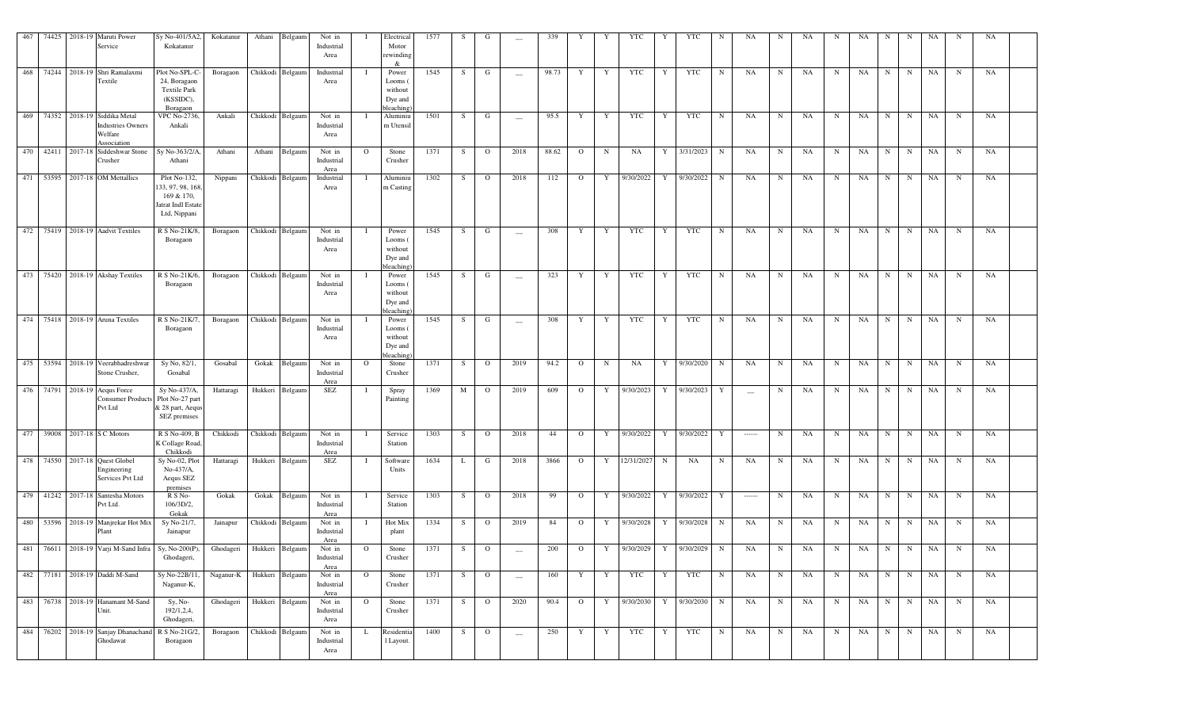| 467 |       | 74425 2018-19 | Maruti Power<br>Service                                                    | Sy No-401/5A2,<br>Kokatanur                                                        | Kokatanur | Athani           | Belgaun          | Not in<br>Industrial<br>Area |              | Electrical<br>Motor<br>rewinding<br>&               | 1577 | S  | G              | $\overline{\phantom{m}}$ | 339   |                | Y           | YTC        |            | YTC                     | N           | NA                | N           | NA | N           | NA | N           | N           | NA        | N           | NA        |  |
|-----|-------|---------------|----------------------------------------------------------------------------|------------------------------------------------------------------------------------|-----------|------------------|------------------|------------------------------|--------------|-----------------------------------------------------|------|----|----------------|--------------------------|-------|----------------|-------------|------------|------------|-------------------------|-------------|-------------------|-------------|----|-------------|----|-------------|-------------|-----------|-------------|-----------|--|
| 468 |       |               | 74244 2018-19 Shri Ramalaxmi<br>Textile                                    | Plot No-SPL-C<br>24, Boragaon<br><b>Textile Park</b><br>(KSSIDC),<br>Boragaon      | Boragaon  |                  | Chikkodi Belgaum | Industrial<br>Area           |              | Power<br>Looms<br>without<br>Dye and<br>bleaching   | 1545 | S. | G              | $\overline{\phantom{a}}$ | 98.73 | Y              | Y           | <b>YTC</b> | Y          | YTC                     | N           | NA                | N           | NA | N           | NA | N           | N           | NA        | $_{\rm N}$  | NA        |  |
| 469 |       |               | 74352 2018-19 Siddika Metal<br>Industries Owners<br>Welfare<br>Association | VPC No-2736,<br>Ankali                                                             | Ankali    | Chikkodi Belgaun |                  | Not in<br>Industrial<br>Area |              | Aluminiu<br>m Utensil                               | 1501 | S  | G              | $\overline{\phantom{m}}$ | 95.5  | Y              | Y           | <b>YTC</b> | Y          | YTC                     | $\mathbf N$ | NA                | $\mathbf N$ | NA | N           | NA | $_{\rm N}$  | $\mathbf N$ | NA        | $_{\rm N}$  | NA        |  |
| 470 | 42411 | 2017-18       | Siddeshwar Stone<br>Crusher                                                | Sy No-363/2/A<br>Athani                                                            | Athani    | Athani           | Belgaun          | Not in<br>Industrial<br>Area | $\Omega$     | Stone<br>Crusher                                    | 1371 | S. | $\Omega$       | 2018                     | 88.62 | $\Omega$       | N           | NA         | Y          | 3/31/2023               | $\mathbf N$ | NA                | N           | NA | N           | NA | N           | N           | NA        | N           | NA        |  |
| 471 | 53595 |               | 2017-18 OM Mettallics                                                      | Plot No-132,<br>33, 97, 98, 168<br>169 & 170,<br>Jatrat Indl Estat<br>Ltd, Nippani | Nippani   |                  | Chikkodi Belgaum | Industrial<br>Area           |              | Aluminiu<br>m Casting                               | 1302 | S  | $\Omega$       | 2018                     | 112   | $\Omega$       | Y           | 9/30/2022  | Y          | 9/30/2022               | $\mathbf N$ | NA                | N           | NA | N           | NA | N           | N           | NA        | N           | NA        |  |
| 472 |       |               | 75419 2018-19 Aadvit Textiles                                              | R S No-21K/8,<br>Boragaon                                                          | Boragaon  |                  | Chikkodi Belgaum | Not in<br>Industrial<br>Area |              | Power<br>Looms (<br>without<br>Dye and<br>bleachins | 1545 | S  | G              | $\overline{\phantom{m}}$ | 308   | Y              | Y           | <b>YTC</b> | Y          | <b>YTC</b>              | N           | NA                | N           | NA | N           | NA | N           | N           | NA        | N           | NA        |  |
| 473 |       |               | 75420 2018-19 Akshay Textiles                                              | R S No-21K/6<br>Boragaon                                                           | Boragaon  |                  | Chikkodi Belgaum | Not in<br>Industrial<br>Area |              | Power<br>Looms<br>without<br>Dye and<br>oleaching   | 1545 | S  | G              | $\overline{\phantom{m}}$ | 323   | Y              | Y           | <b>YTC</b> | Y          | YTC                     | N           | NA                | N           | NA | N           | NA | N           | N           | NA        | $\mathbf N$ | NA        |  |
|     |       |               | 474 75418 2018-19 Aruna Textiles                                           | R S No-21K/7<br>Boragaon                                                           | Boragaon  |                  | Chikkodi Belgaum | Not in<br>Industrial<br>Area |              | Power<br>Looms<br>without<br>Dye and<br>oleaching   | 1545 | S  | G              | $\overline{\phantom{m}}$ | 308   | Y              | Y           | <b>YTC</b> | Y          | <b>YTC</b>              | N           | NA                | $\mathbf N$ | NA | N           | NA | N           | N           | NA        | N           | NA        |  |
| 475 | 53594 |               | 2018-19 Veerabhadreshwar<br>Stone Crusher,                                 | Sy No, 82/1,<br>Gosabal                                                            | Gosabal   | Gokak            | Belgaum          | Not in<br>Industrial<br>Area | $\circ$      | Stone<br>Crusher                                    | 1371 | S  | $\circ$        | 2019                     | 94.2  | $\circ$        | $\mathbf N$ | NA         | Y          | 9/30/2020               | N           | NA                | $_{\rm N}$  | NA | N           | NA | N           | N           | NA        | N           | NA        |  |
|     |       |               | 476 74791 2018-19 Aequs Force<br>Consumer Products<br>Pvt Ltd              | Sy No-437/A,<br>Plot No-27 part<br>& 28 part, Aequs<br>SEZ premises                | Hattaragi | Hukkeri          | Belgaum          | SEZ                          |              | Spray<br>Painting                                   | 1369 | M  | $\mathbf{O}$   | 2019                     | 609   | $\Omega$       | Y           | 9/30/2023  | Y          | 9/30/2023               | Y           | $\frac{1}{2}$     | N           | NA | N           | NA | N           | N           | NA        | N           | NA        |  |
| 477 | 39008 |               | 2017-18 S C Motors                                                         | R S No-409, B<br>K Collage Road<br>Chikkodi                                        | Chikkodi  | Chikkodi Belgaum |                  | Not in<br>Industrial<br>Area |              | Service<br>Station                                  | 1303 | S  | $\overline{O}$ | 2018                     | 44    | $\Omega$       | Y           | 9/30/2022  | Y          | 9/30/2022               | Y           | $\cdots$          | $_{\rm N}$  | NA | N           | NA | N           | N           | NA        | N           | <b>NA</b> |  |
|     |       |               | 478 74550 2017-18 Quest Globel<br>Engineering<br>Services Pvt Ltd          | Sy No-02, Plot<br>No-437/A,<br>Aequs SEZ<br>premises                               | Hattaragi |                  | Hukkeri Belgaum  | <b>SEZ</b>                   | - 1          | Software<br>Units                                   | 1634 | L  | G              | 2018                     | 3866  | $\mathbf{O}$   | Y           | 12/31/2027 | $_{\rm N}$ | NA                      | N           | NA                | N           | NA | N           | NA | $_{\rm N}$  | N           | NA        | N           | NA        |  |
| 479 |       |               | 41242 2017-18 Santesha Motors<br>Pvt Ltd.                                  | R S No-<br>106/3D/2.<br>Gokak                                                      | Gokak     | Gokak            | Belgaum          | Not in<br>Industrial<br>Area |              | Service<br>Station                                  | 1303 | S  | $\circ$        | 2018                     | 99    | $\mathbf{O}$   | Y           | 9/30/2022  | Y          | 9/30/2022               | Y           | $100 - 100 - 100$ | $_{\rm N}$  | NA | N           | NA | N           | $\mathbf N$ | NA        | $\mathbf N$ | NA        |  |
| 480 | 53596 |               | 2018-19 Manjrekar Hot Mix<br>Plant                                         | Sy No-21/7,<br>Jainapur                                                            | Jainapur  |                  | Chikkodi Belgaum | Not in<br>Industrial<br>Area |              | Hot Mix<br>plant                                    | 1334 | S  | $\mathbf{O}$   | 2019                     | 84    | $\circ$        | Y           | 9/30/2028  | Y          | 9/30/2028               | $\mathbf N$ | NA                | N           | NA | N           | NA | N           | N           | <b>NA</b> | N           | NA        |  |
| 481 |       |               | 76611 2018-19 Varji M-Sand Infra                                           | Sy, No-200(P),<br>Ghodageri,                                                       | Ghodageri |                  | Hukkeri Belgaum  | Not in<br>Industrial<br>Area | $\Omega$     | Stone<br>Crusher                                    | 1371 | S  | $\mathbf{O}$   | $\overline{\phantom{a}}$ | 200   | $\circ$        | Y           | 9/30/2029  | Y          | 9/30/2029               | N           | NA                | N           | NA | N           | NA | N           | N           | NA        | N           | NA        |  |
|     |       |               | 482 77181 2018-19 Daddi M-Sand                                             | Sy No-22B/11,<br>Naganur-K,                                                        | Naganur-K | Hukkeri Belgaum  |                  | Not in<br>Industrial<br>Area | $\circ$      | Stone<br>Crusher                                    | 1371 | S  | $\circ$        | $\overline{\phantom{m}}$ | 160   | Y              | Y           | YTC        | Y          | <b>YTC</b>              | $\mathbf N$ | NA                | $_{\rm N}$  | NA | N           | NA | N           | N           | NA        | N           | NA        |  |
|     |       |               | 483 76738 2018-19 Hanamant M-Sand<br>Unit.                                 | Sy, No-<br>192/1,2,4,<br>Ghodageri,                                                | Ghodageri |                  | Hukkeri Belgaum  | Not in<br>Industrial<br>Area | $\mathbf{O}$ | Stone<br>Crusher                                    | 1371 | S  | $\overline{O}$ | 2020                     | 90.4  | $\overline{O}$ | Y           |            |            | 9/30/2030 Y 9/30/2030 N |             | NA                | N           | NA | $\mathbf N$ | NA | N           | N           | NA        | $_{\rm N}$  | NA        |  |
|     |       |               | 484 76202 2018-19 Sanjay Dhanachand<br>Ghodawat                            | R S No-21G/2,<br>Boragaon                                                          | Boragaon  | Chikkodi Belgaum |                  | Not in<br>Industrial<br>Area | L            | Residentia<br>1 Layout.                             | 1400 | S  | $\overline{O}$ | $\qquad \qquad -$        | 250   | Y              | Y           | YTC        | Y          | YTC                     | $\mathbf N$ | NA                | N           | NA | $\mathbf N$ | NA | $\mathbf N$ | N           | NA        | $\mathbf N$ | NA        |  |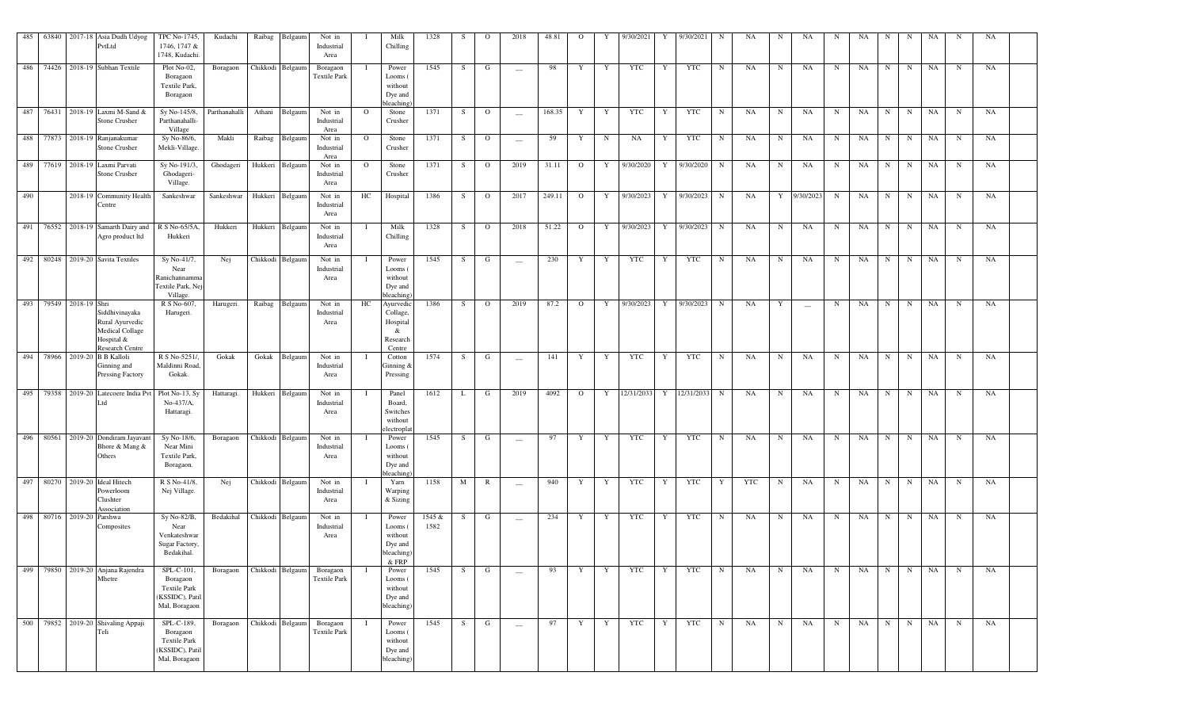|     |                           | 485 63840 2017-18 Asia Dudh Udyog<br>PvtLtd                                                  | TPC No-1745,<br>1746, 1747 &<br>1748, Kudachi.                                    | Kudachi       | Raibag Belgaum   | Not in<br>Industrial<br>Area                     |          | Milk<br>Chilling                                                | 1328           | S. | $\circ$        | 2018                            | 48.81  | $\mathbf{O}$   |    | 9/30/2021               | Y  | 9/30/2021  | N           | NA        | N           | NA                       | N           | NA | N | N | NA |             | NA |  |
|-----|---------------------------|----------------------------------------------------------------------------------------------|-----------------------------------------------------------------------------------|---------------|------------------|--------------------------------------------------|----------|-----------------------------------------------------------------|----------------|----|----------------|---------------------------------|--------|----------------|----|-------------------------|----|------------|-------------|-----------|-------------|--------------------------|-------------|----|---|---|----|-------------|----|--|
|     |                           | 486 74426 2018-19 Subhan Textile                                                             | Plot No-02,<br>Boragaon<br>Textile Park,<br>Boragaon                              | Boragaon      | Chikkodi Belgaum | Boragaon<br><b>Textile Park</b>                  |          | Power<br>Looms (<br>without<br>Dye and<br>bleaching             | 1545           | S. | G              | $\sim$                          | 98     | Y              | Y  | YTC                     | Y  | YTC        | N           | NA        | N           | NA                       | N           | NA | N | N | NA | N           | NA |  |
|     |                           | 487 76431 2018-19 Laxmi M-Sand &<br>Stone Crusher                                            | Sy No-145/8,<br>Parthanahalli-<br>Village                                         | Parthanahalli | Athani Belgaum   | Not in<br>Industrial<br>Area                     | $\circ$  | Stone<br>Crusher                                                | 1371           | S  | $\overline{O}$ | $\hspace{0.1mm}-\hspace{0.1mm}$ | 168.35 | Y              | Y  | <b>YTC</b>              | Y  | YTC        | N           | <b>NA</b> | $\mathbf N$ | NA                       | $\mathbf N$ | NA | N | N | NA | $\mathbf N$ | NA |  |
|     |                           | 488 77873 2018-19 Ranjanakumar<br>Stone Crusher                                              | Sy No-86/6,<br>Mekli-Village.                                                     | Makli         | Raibag Belgaum   | Not in<br>Industrial<br>Area                     | $\Omega$ | Stone<br>Crusher                                                | 1371           | S. | $\mathbf{O}$   | $\hspace{0.1mm}-\hspace{0.1mm}$ | 59     | Y              | N  | NA                      | Y  | YTC        | N           | NA        | $\mathbf N$ | NA                       | N           | NA | N | N | NA | N           | NA |  |
|     |                           | 489 77619 2018-19 Laxmi Parvati<br>Stone Crusher                                             | Sy No-191/3,<br>Ghodageri-<br>Village.                                            | Ghodageri     | Hukkeri Belgaum  | Not in<br>Industrial<br>Area                     | $\Omega$ | Stone<br>Crusher                                                | 1371           | S  | $\overline{O}$ | 2019                            | 31.11  | $\overline{O}$ | Y  | 9/30/2020 Y 9/30/2020   |    |            | $\mathbf N$ | NA        | $\mathbf N$ | NA                       | $\mathbf N$ | NA | N | N | NA | $\mathbf N$ | NA |  |
| 490 |                           | 2018-19 Community Health<br>Centre                                                           | Sankeshwar                                                                        | Sankeshwar    | Hukkeri Belgaum  | Not in<br>Industrial<br>Area                     | HC       | Hospital                                                        | 1386           | S. | $\overline{O}$ | 2017                            | 249.11 | $\overline{O}$ | Y  | 9/30/2023 Y 9/30/2023   |    |            | N           | NA        |             | Y 9/30/2023              | $\mathbf N$ | NA | N | N | NA | N           | NA |  |
| 491 |                           | 76552 2018-19 Samarth Dairy and<br>Agro product ltd                                          | R S No-65/5A,<br>Hukkeri                                                          | Hukkeri       | Hukkeri Belgaum  | Not in<br>Industrial<br>Area                     |          | Milk<br>Chilling                                                | 1328           | S  | $\overline{O}$ | 2018                            | 51.22  | $\mathbf{O}$   | Y  | 9/30/2023 Y 9/30/2023   |    |            | N           | NA        | N           | NA                       | N           | NA | N | N | NA | N           | NA |  |
|     |                           | 492 80248 2019-20 Savita Textiles                                                            | Sy No-41/7,<br>Near<br>Ranichannamma<br>Textile Park, Nej<br>Village.             | Nej           | Chikkodi Belgaum | Not in<br>Industrial<br>Area                     | $\bf{I}$ | Power<br>Looms (<br>without<br>Dye and<br>bleaching             | 1545           | S. | G              | $\sim$                          | 230    | Y              | Y  | <b>YTC</b>              | Y  | YTC        | $\mathbf N$ | NA        | N           | NA                       | $\mathbf N$ | NA | N | N | NA | $\mathbf N$ | NA |  |
|     | 493 79549 2018-19 Shri    | Siddhivinayaka<br>Rural Ayurvedic<br><b>Medical Collage</b><br>Hospital &<br>Research Centre | R S No-607,<br>Harugeri.                                                          | Harugeri.     | Raibag Belgaum   | Not in<br>Industrial<br>Area                     | HC       | Ayurvedic<br>Collage,<br>Hospital<br>&<br>Research<br>Centre    | 1386           | S  | $\overline{O}$ | 2019                            | 87.2   | $\mathbf{O}$   |    | Y 9/30/2023 Y 9/30/2023 |    |            | N           | NA        | Y           | $\overline{\phantom{a}}$ | $\mathbf N$ | NA | N | N | NA | $\mathbf N$ | NA |  |
|     |                           | 494 78966 2019-20 B B Kalloli<br>Ginning and<br>Pressing Factory                             | R S No-5251/,<br>Maldinni Road,<br>Gokak.                                         | Gokak         | Gokak Belgaum    | Not in<br>Industrial<br>Area                     |          | Cotton<br>Ginning &<br>Pressing                                 | 1574           | S  | G              | $\overline{\phantom{a}}$        | 141    | Y              | Y  | YTC                     | Y  | YTC        | N           | NA        | N           | NA                       | N           | NA | N | N | NA | N           | NA |  |
| 495 |                           | 79358 2019-20 Latecoere India Pv<br>Ltd                                                      | Plot No-13, Sy<br>$No-437/A$ ,<br>Hattaragi.                                      | Hattaragi.    | Hukkeri Belgaum  | Not in<br>Industrial<br>Area                     |          | Panel<br>Board,<br>Switches<br>without<br>electropla            | 1612           | L  | G              | 2019                            | 4092   | $\mathbf{O}$   | Y  | 12/31/2033              | Y  | 12/31/2033 | N           | NA        | $\mathbf N$ | NA                       | $\mathbf N$ | NA | N | N | NA | N           | NA |  |
| 496 |                           | 80561 2019-20 Dondiram Jayavant<br>Bhore & Mang &<br>Others                                  | Sy No-18/6,<br>Near Mini<br>Textile Park,<br>Boragaon.                            | Boragaon      | Chikkodi Belgaum | Not in<br>Industrial<br>Area                     |          | Power<br>Looms (<br>without<br>Dye and<br>bleaching             | 1545           | S. | G              | $\sim$                          | 97     | Y              | Y  | <b>YTC</b>              | Y  | YTC        | $\mathbf N$ | NA        | $\mathbf N$ | NA                       | N           | NA | N | N | NA | $\mathbf N$ | NA |  |
| 497 |                           | 80270 2019-20 Ideal Hitech<br>Powerloom<br>Clushter<br>Association                           | R S No-41/8.<br>Nej Village.                                                      | Nej           | Chikkodi Belgaum | Not in<br>Industrial<br>Area                     |          | Yarn<br>Warping<br>& Sizing                                     | 1158           | M  | R              | $\sim$                          | 940    | Y              | Y  | YTC                     | Y  | YTC        | Y           | YTC       | N           | NA                       | $\mathbf N$ | NA | N | N | NA | $\mathbf N$ | NA |  |
|     | 498 80716 2019-20 Parshwa | Composites                                                                                   | Sy No-82/B,<br>Near<br>Venkateshwar<br>Sugar Factory,<br>Bedakihal.               | Bedakihal     | Chikkodi Belgaum | Not in<br>Industrial<br>Area                     |          | Power<br>Looms (<br>without<br>Dye and<br>bleaching)<br>$&$ FRP | 1545 &<br>1582 | S. | G              | $\overline{\phantom{a}}$        | 234    | Y              | Y  | YTC                     | Y  | YTC        | N           | NA        | N           | NA                       | N           | NA | N | N | NA | $\mathbf N$ | NA |  |
| 499 |                           | 79850 2019-20 Anjana Rajendra<br>Mhetre                                                      | SPL-C-101,<br>Boragaon<br><b>Textile Park</b><br>(KSSIDC), Patil<br>Mal, Boragaon | Boragaon      | Chikkodi Belgaum | Boragaon<br><b>Textile Park</b>                  |          | Power<br>Looms (<br>without<br>Dye and<br>bleaching)            | 1545           | S. | G              | $\sim$                          | 93     | Y              | -Y | YTC                     | -Y | YTC        | N           | NA        | $\mathbf N$ | NA                       | N           | NA | N | N | NA | N           | NA |  |
|     |                           | 500 79852 2019-20 Shivaling Appaji<br>Teli                                                   | SPL-C-189,<br>Boragaon<br><b>Textile Park</b><br>(KSSIDC), Patil<br>Mal, Boragaon | Boragaon      |                  | Chikkodi Belgaum Boragaon<br><b>Textile Park</b> |          | Power<br>Looms (<br>without<br>Dye and<br>bleaching)            | 1545           | S  | G              | $\hspace{0.1mm}-\hspace{0.1mm}$ | 97     | Y              | Y  | <b>YTC</b>              | Y  | <b>YTC</b> | N           | NA        | N           | NA                       | N           | NA | N | N | NA | N           | NA |  |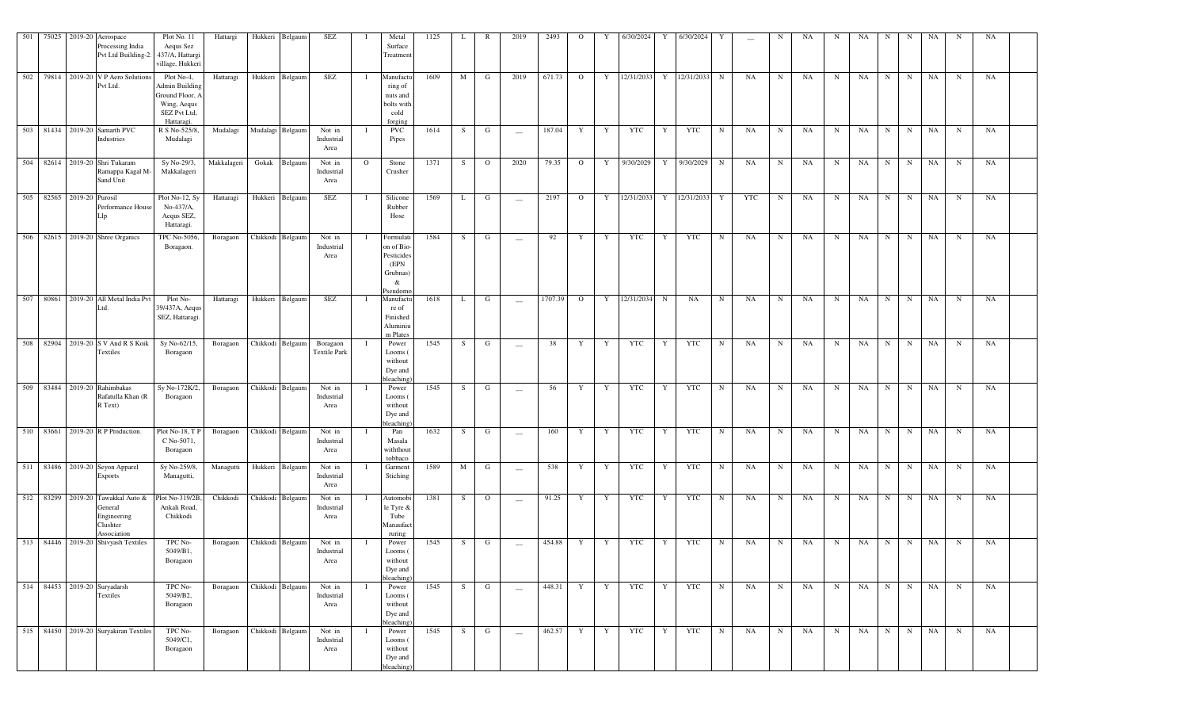|  |                           | 501 75025 2019-20 Aerospace<br>Processing India<br>Pvt Ltd Building-2.                 | Plot No. 11<br>Aequs Sez<br>437/A, Hattargi<br>village, Hukkeri                             | Hattargi                  | Hukkeri Belgaum  | SEZ                             |             | Metal<br>Surface<br>Treatment                                              | 1125 | L   | R              | 2019                            | 2493    | $\overline{O}$ | Y            | 6/30/2024    | Y | 6/30/2024    |              |     | N           | NA | N           | NA        | N       | N           | NA        |             | NA |  |
|--|---------------------------|----------------------------------------------------------------------------------------|---------------------------------------------------------------------------------------------|---------------------------|------------------|---------------------------------|-------------|----------------------------------------------------------------------------|------|-----|----------------|---------------------------------|---------|----------------|--------------|--------------|---|--------------|--------------|-----|-------------|----|-------------|-----------|---------|-------------|-----------|-------------|----|--|
|  |                           | 502 79814 2019-20 V P Aero Solution<br>Pvt Ltd.                                        | Plot No-4,<br>Admin Building<br>Ground Floor, A<br>Wing, Aequs<br>SEZ Pvt Ltd,<br>Hattaragi | Hattaragi                 | Hukkeri Belgaum  | SEZ                             | - 1         | Manufactu<br>ring of<br>nuts and<br>bolts with<br>cold<br>forging          | 1609 | M   | G              | 2019                            | 671.73  | $\overline{O}$ |              | Y 12/31/2033 |   | Y 12/31/2033 | N            | NA  | N           | NA | N           | NA        | $N$ N   |             | NA        | $\mathbf N$ | NA |  |
|  |                           | 503 81434 2019-20 Samarth PVC<br>Industries                                            | R S No-525/8,<br>Mudalagi                                                                   | Mudalagi                  | Mudalagi Belgaum | Not in<br>Industrial<br>Area    |             | <b>PVC</b><br>Pipes                                                        | 1614 | S.  | $\mathbf{G}$   | $\sim$                          | 187.04  | Y              | Y            | YTC          | Y | YTC          | $\mathbf N$  | NA  | $\mathbf N$ | NA | N           | NA        | N       | N           | NA        | $\mathbf N$ | NA |  |
|  |                           | 504 82614 2019-20 Shri Tukaram<br>Ramappa Kagal M-<br>Sand Unit                        | Sy No-29/3,<br>Makkalageri                                                                  | Makkalageri               | Gokak Belgaum    | Not in<br>Industrial<br>Area    | $\Omega$    | Stone<br>Crusher                                                           | 1371 | S – | $\overline{O}$ | 2020                            | 79.35   | $\overline{O}$ | Y            | 9/30/2029    |   | Y 9/30/2029  | N            | NA  | $\mathbf N$ | NA | $\mathbf N$ | NA        | N       | N           | NA        | $\mathbf N$ | NA |  |
|  | 505 82565 2019-20 Purosil | Performance House                                                                      | $Plot No-12, Sy$<br>$No-437/A$ ,<br>Aequs SEZ,<br>Hattaragi.                                | Hattaragi                 | Hukkeri Belgaum  | SEZ                             | - 1         | Silicone<br>Rubber<br>Hose                                                 | 1569 | L.  | G              | $\sim$                          | 2197    | $\overline{O}$ | Y            | 12/31/2033   |   | Y 12/31/2033 | $\mathbf{Y}$ | YTC | $\mathbf N$ | NA | $\mathbf N$ | NA        | N       | N           | NA        | $\mathbf N$ | NA |  |
|  |                           | 506 82615 2019-20 Shree Organics                                                       | TPC No-5056,<br>Boragaon.                                                                   | Boragaon                  | Chikkodi Belgaum | Not in<br>Industrial<br>Area    | $\mathbf I$ | Formulati<br>on of Bio-<br>Pesticides<br>(EPN<br>Grubnas)<br>&<br>Pseudomo | 1584 | S.  | G              | $\overline{\phantom{m}}$        | 92      | Y              | Y            | <b>YTC</b>   | Y | YTC          | N            | NA  | N           | NA | $\mathbf N$ | NA        | N       | N           | NA        | $\mathbf N$ | NA |  |
|  |                           | 507 80861 2019-20 All Metal India Pvt<br>Ltd.                                          | Plot No-<br>39/437A, Aequs<br>SEZ, Hattaragi.                                               | Hattaragi                 | Hukkeri Belgaum  | SEZ                             | - T         | Manufactu<br>re of<br>Finished<br>Aluminiu<br>m Plates                     | 1618 | L   | G              | $\equiv$                        | 1707.39 | $\overline{0}$ |              | Y 12/31/2034 | N | NA           | $\mathbf N$  | NA  | $\mathbf N$ | NA | $\mathbf N$ | NA        | N       | N           | NA        | $\mathbf N$ | NA |  |
|  |                           | 508 82904 2019-20 S V And R S Koik<br>Textiles                                         | Sy No-62/15,<br>Boragaon                                                                    | Boragaon                  | Chikkodi Belgaum | Boragaon<br><b>Textile Park</b> | - T         | Power<br>Looms (<br>without<br>Dye and<br>oleaching                        | 1545 | S – | $\mathbf G$    | $\hspace{0.1mm}-\hspace{0.1mm}$ | 38      | Y              | Y            | YTC          | Y | YTC          | N            | NA  | N           | NA | N           | <b>NA</b> | $N$ N   |             | <b>NA</b> | N           | NA |  |
|  |                           | 509 83484 2019-20 Rahimbakas<br>Rafatulla Khan (R<br>R Text)                           | Sy No-172K/2,<br>Boragaon                                                                   | Boragaon                  | Chikkodi Belgaum | Not in<br>Industrial<br>Area    |             | Power<br>Looms (<br>without<br>Dye and<br>oleaching                        | 1545 | S   | G              | $\sim$                          | 56      | Y              | Y            | YTC          | Y | YTC          | N            | NA  | N           | NA | $\mathbf N$ | NA        | $N$ $N$ |             | NA        | $\mathbf N$ | NA |  |
|  |                           | 510 83661 2019-20 R P Production.                                                      | Plot No-18, TP<br>C No-5071,<br>Boragaon                                                    | Boragaon                  | Chikkodi Belgaum | Not in<br>Industrial<br>Area    |             | Pan<br>Masala<br>withthout<br>tobbaco                                      | 1632 | S   | G              | $\hspace{0.1mm}-\hspace{0.1mm}$ | 160     | Y              | Y            | YTC          | Y | <b>YTC</b>   | N            | NA  | N           | NA | $\mathbf N$ | NA        | N       | $\mathbf N$ | NA        | $\mathbf N$ | NA |  |
|  |                           | 511 83486 2019-20 Seyon Apparel<br><b>Exports</b>                                      | Sy No-259/8,<br>Managutti,                                                                  | Managutti                 | Hukkeri Belgaum  | Not in<br>Industrial<br>Area    |             | Garment<br>Stiching                                                        | 1589 | M   | G              | $\sim$                          | 538     | Y              | Y            | YTC          | Y | YTC          | $\mathbf N$  | NA  | $\mathbf N$ | NA | $\mathbf N$ | NA        | N       | $\mathbf N$ | NA        | $\mathbf N$ | NA |  |
|  |                           | 512 83299 2019-20 Tawakkal Auto &<br>General<br>Engineering<br>Clushter<br>Association | Plot No-319/2B,<br>Ankali Road,<br>Chikkodi                                                 | Chikkodi                  | Chikkodi Belgaum | Not in<br>Industrial<br>Area    |             | Automobi<br>le Tyre &<br>Tube<br>Manaufact<br>ruring                       | 1381 | S.  | $\overline{O}$ | $\sim$                          | 91.25   | Y              | Y            | YTC          | Y | YTC          | N            | NA  | $\mathbf N$ | NA | N           | NA        | N       | N           | NA        | $\mathbf N$ | NA |  |
|  |                           | 513 84446 2019-20 Shivyash Textiles                                                    | TPC No-<br>5049/B1,<br>Boragaon                                                             | Boragaon                  | Chikkodi Belgaum | Not in<br>Industrial<br>Area    |             | Power<br>Looms (<br>without<br>Dye and<br>bleaching                        | 1545 | S   | G              | $\overline{\phantom{a}}$        | 454.88  | Y              | Y            | YTC          | Y | <b>YTC</b>   | $\mathbf N$  | NA  | $\mathbf N$ | NA | $\mathbf N$ | NA        | N       | N           | NA        | N           | NA |  |
|  |                           | 514 84453 2019-20 Suryadarsh<br>Textiles                                               | TPC No-<br>5049/B2,<br>Boragaon                                                             | Boragaon Chikkodi Belgaum |                  | Not in<br>Industrial<br>Area    |             | Power<br>Looms (<br>without<br>Dye and<br>oleaching                        | 1545 | S   | G              | $\sim$                          | 448.31  | Y              | Y            | YTC          | Y | <b>YTC</b>   | N            | NA  | N           | NA | N           | NA        | $N$ N   |             | NA        | N           | NA |  |
|  |                           | 515 84450 2019-20 Suryakiran Textiles                                                  | TPC No-<br>5049/C1,<br>Boragaon                                                             | Boragaon                  | Chikkodi Belgaum | Not in<br>Industrial<br>Area    |             | Power<br>Looms (<br>without<br>Dye and<br>bleaching                        | 1545 | S.  | G              | $\hspace{0.1mm}-\hspace{0.1mm}$ | 462.57  | Y              | $\mathbf{Y}$ | YTC          | Y | <b>YTC</b>   | $\mathbf N$  | NA  | N           | NA | $\mathbf N$ | NA        | N       | $\mathbf N$ | NA        | N           | NA |  |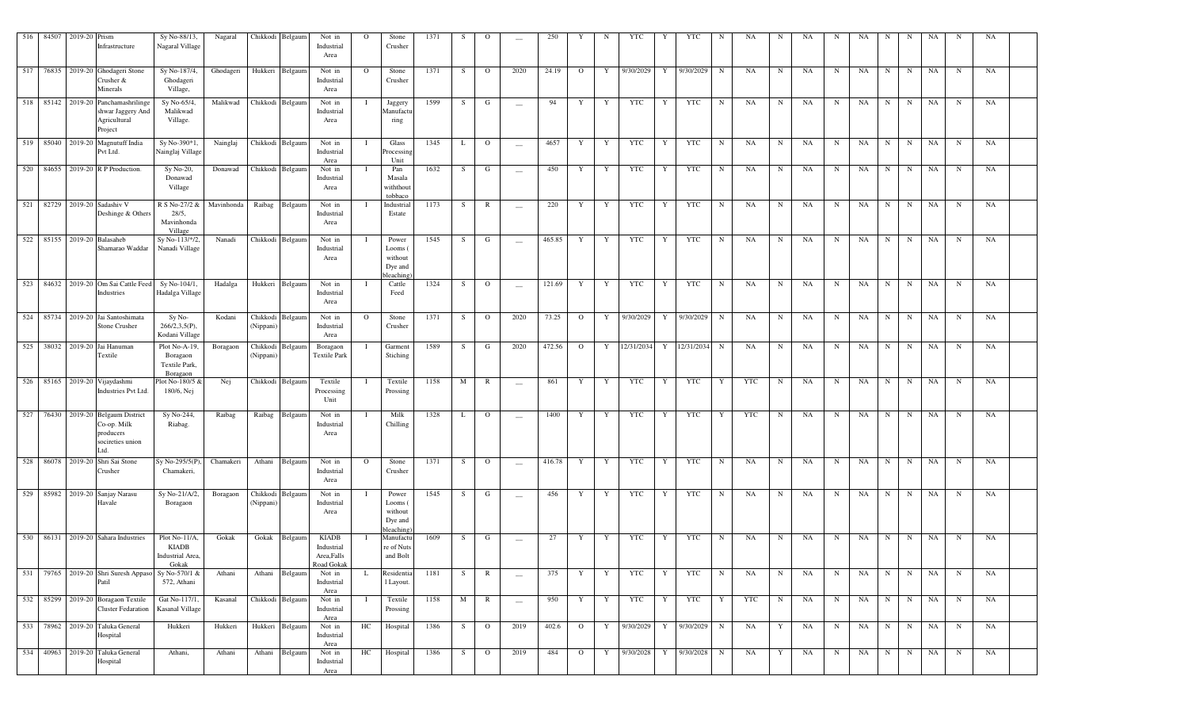| 516 | 84507     | 2019-20 Prism | Infrastructure                                                                            | Sy No-88/13,<br>Nagaral Village                        | Nagaral            |                       | Chikkodi Belgaum           | Not in<br>Industrial<br>Area                            | $\Omega$     | Stone<br>Crusher                                    | 1371         | -S      | О                       | $\overline{\phantom{a}}$         | 250          |                                  | N                | YTC              |                  | YTC              | N                | NA               | N                | NA       | N                | NA        | N                | N                | NA              | N                | NA        |  |
|-----|-----------|---------------|-------------------------------------------------------------------------------------------|--------------------------------------------------------|--------------------|-----------------------|----------------------------|---------------------------------------------------------|--------------|-----------------------------------------------------|--------------|---------|-------------------------|----------------------------------|--------------|----------------------------------|------------------|------------------|------------------|------------------|------------------|------------------|------------------|----------|------------------|-----------|------------------|------------------|-----------------|------------------|-----------|--|
|     |           |               | 517 76835 2019-20 Ghodageri Stone<br>Crusher &<br>Minerals                                | Sy No-187/4,<br>Ghodageri<br>Village,                  | Ghodageri          |                       | Hukkeri Belgaum            | Not in<br>Industrial<br>Area                            | $\circ$      | Stone<br>Crusher                                    | 1371         | S       | $\mathbf{O}$            | 2020                             | 24.19        | $\overline{O}$                   | Y                | 9/30/2029        | Y                | 9/30/2029        | N                | NA               | N                | NA       | $\mathbf N$      | NA        | $\mathbf N$      | N                | <b>NA</b>       | N                | NA        |  |
|     | 518 85142 |               | 2019-20 Panchamashrilinge<br>shwar Jaggery And<br>Agricultural<br>Project                 | Sy No-65/4<br>Malikwad<br>Village.                     | Malikwad           |                       | Chikkodi Belgaum           | Not in<br>Industrial<br>Area                            |              | Jaggery<br>Manufactu<br>ring                        | 1599         | -S      | G                       | $\hspace{0.1mm}-\hspace{0.1mm}$  | 94           | Y                                | Y                | YTC              | Y                | YTC              | $\mathbf N$      | NA               | N                | NA       | N                | NA        | $_{\rm N}$       | N                | <b>NA</b>       | $_{\rm N}$       | NA        |  |
|     |           |               | 519 85040 2019-20 Magnutuff India<br>Pvt Ltd.                                             | Sy No-390*1,<br>Nainglaj Village                       | Nainglaj           |                       | Chikkodi Belgaum           | Not in<br>Industrial<br>Area                            |              | Glass<br>rocessin;<br>Unit                          | 1345         | L       | $\circ$                 | $\sim$                           | 4657         | Y                                | Y                | YTC              | Y                | YTC              | N                | <b>NA</b>        | N                | NA       | $\mathbf N$      | NA        | $\mathbf N$      | $\mathbf N$      | <b>NA</b>       | $\mathbf N$      | NA        |  |
|     |           |               | 520 84655 2019-20 R P Production.                                                         | $Sy No-20,$<br>Donawad<br>Village                      | Donawad            |                       | Chikkodi Belgaum           | Not in<br>Industrial<br>Area                            |              | Pan<br>Masala<br>withthou<br>tobbaco                | 1632         | S       | G                       | $\sim$                           | 450          | Y                                | Y                | YTC              | Y                | <b>YTC</b>       | N                | NA               | N                | NA       | $\mathbf N$      | NA        | $\mathbf N$      | N                | NA              | $\mathbf N$      | NA        |  |
|     | 521 82729 |               | 2019-20 Sadashiv V<br>Deshinge & Others                                                   | R S No-27/2 &<br>28/5,<br>Mavinhonda<br>Village        | Mavinhonda         | Raibag                | Belgaum                    | Not in<br>Industrial<br>Area                            |              | Industrial<br>Estate                                | 1173         | S       | R                       | $\sim$                           | 220          | Y                                | Y                | <b>YTC</b>       | Y                | <b>YTC</b>       | $\mathbf N$      | NA               | N                | NA       | $\mathbf N$      | NA        | $\mathbf N$      | $\mathbf N$      | <b>NA</b>       | N                | NA        |  |
|     |           |               | 522 85155 2019-20 Balasaheb<br>Shamarao Waddar                                            | Sy No-113/*/2.<br>Nanadi Village                       | Nanadi             |                       | Chikkodi Belgaum           | Not in<br>Industrial<br>Area                            |              | Power<br>Looms (<br>without<br>Dye and<br>oleaching | 1545         | S       | G                       | $\sim$                           | 465.85       | Y                                | Y                | <b>YTC</b>       | Y                | <b>YTC</b>       | N                | NA               | N                | NA       | $\mathbf N$      | NA        | $\mathbf N$      | N                | <b>NA</b>       | N                | NA        |  |
|     |           |               | 523 84632 2019-20 Om Sai Cattle Feed<br>Industries                                        | Sy No-104/1.<br>Hadalga Village                        | Hadalga            | Hukkeri               | Belgaum                    | Not in<br>Industrial<br>Area                            |              | Cattle<br>Feed                                      | 1324         | S.      | $\mathbf{O}$            | $\sim$                           | 121.69       | Y                                | Y                | YTC              | Y                | <b>YTC</b>       | N                | <b>NA</b>        | N                | NA       | N                | NA        | $\mathbf N$      | $\mathbf N$      | <b>NA</b>       | N                | <b>NA</b> |  |
|     | 524 85734 |               | 2019-20 Jai Santoshimata<br>Stone Crusher                                                 | Sy No-<br>$266/2,3,5(P)$ ,<br>Kodani Village           | Kodani             | Chikkodi<br>(Nippani) | Belgaum                    | Not in<br>Industrial<br>Area                            | $\Omega$     | Stone<br>Crusher                                    | 1371         | S       | $\Omega$                | 2020                             | 73.25        | $\overline{O}$                   | Y                | 9/30/2029        | Y                | 9/30/2029        | $\mathbf N$      | NA               | N                | NA       | $\mathbf N$      | NA        | $\mathbf N$      | $\mathbf N$      | NA              | $\mathbf N$      | NA        |  |
|     |           |               | 525 38032 2019-20 Jai Hanuman<br>Textile                                                  | Plot No-A-19,<br>Boragaon<br>Textile Park,<br>Boragaon | Boragaon           | Chikkodi<br>(Nippani) | Belgaum                    | Boragaon<br><b>Textile Park</b>                         |              | Garment<br>Stiching                                 | 1589         | S       | G                       | 2020                             | 472.56       | $\mathbf{O}$                     | Y                | 12/31/2034       | Y                | 12/31/2034       | $\mathbf N$      | NA               | N                | NA       | $_{\rm N}$       | NA        | $\mathbf N$      | $\mathbf N$      | NA              | $_{\rm N}$       | NA        |  |
|     |           |               | 526 85165 2019-20 Vijaydashmi<br>Industries Pvt Ltd.                                      | lot No-180/5 $8$<br>180/6, Nej                         | Nej                | Chikkodi              | Belgaum                    | Textile<br>Processing<br>Unit                           |              | Textile<br>Prossing                                 | 1158         | M       | R                       | $\overline{\phantom{m}}$         | 861          | Y                                | Y                | YTC              | Y                | <b>YTC</b>       | Y                | <b>YTC</b>       | N                | NA       | N                | NA        | $\mathbf N$      | N                | <b>NA</b>       | $_{\rm N}$       | NA        |  |
| 527 | 76430     |               | 2019-20 Belgaum District<br>Co-op. Milk<br>producers<br>socireties union<br>Ltd.          | Sy No-244,<br>Riabag.                                  | Raibag             | Raibag                | Belgaum                    | Not in<br>Industrial<br>Area                            |              | Milk<br>Chilling                                    | 1328         | L       | $\circ$                 | $\sim$                           | 1400         | Y                                | Y                | <b>YTC</b>       | Y                | <b>YTC</b>       | Y                | <b>YTC</b>       | N                | NA       | $\mathbf N$      | <b>NA</b> | $\mathbf N$      | N                | <b>NA</b>       | N                | NA        |  |
| 528 | 86078     |               | 2019-20 Shri Sai Stone<br>Crusher                                                         | Sy No-295/5(P<br>Chamakeri,                            | Chamakeri          | Athani                | Belgaum                    | Not in<br>Industrial<br>Area                            | $\mathbf{O}$ | Stone<br>Crusher                                    | 1371         | -S      | $\circ$                 | $\overline{\phantom{m}}$         | 416.78       | Y                                | Y                | <b>YTC</b>       | Y                | <b>YTC</b>       | $\mathbf N$      | NA               | N                | NA       | $\mathbf N$      | NA        | $\mathbf N$      | $_{\rm N}$       | <b>NA</b>       | $\, {\bf N}$     | NA        |  |
|     | 529 85982 |               | 2019-20 Sanjay Narasu<br>Havale                                                           | Sy No-21/A/2<br>Boragaon                               | Boragaon           | Chikkodi<br>(Nippani) | Belgaum                    | Not in<br>Industrial<br>Area                            |              | Power<br>Looms (<br>without<br>Dye and<br>bleaching | 1545         | S       | G                       | $\overline{\phantom{m}}$         | 456          | Y                                | Y                | YTC              | Y                | <b>YTC</b>       | N                | NA               | N                | NA       | N                | NA        | $\mathbf N$      | N                | <b>NA</b>       | $_{\rm N}$       | NA        |  |
|     |           |               | 530 86131 2019-20 Sahara Industries                                                       | Plot No-11/A.<br>KIADB<br>Industrial Area,<br>Gokak    | Gokak              | Gokak                 | Belgaum                    | <b>KIADB</b><br>Industrial<br>Area, Falls<br>Road Gokak |              | Manufactu<br>re of Nuts<br>and Bolt                 | 1609         | S       | G                       | $\overline{\phantom{m}}$         | 27           | Y                                | Y                | <b>YTC</b>       | Y                | <b>YTC</b>       | N                | NA               | N                | NA       | N                | NA        | $\mathbf N$      | N                | <b>NA</b>       | N                | NA        |  |
|     | 531 79765 |               | 2019-20 Shri Suresh Appaso<br>Patil                                                       | Sy No-570/1 &<br>572, Athani                           | Athani             | Athani                | Belgaum                    | Not in<br>Industrial<br>Area                            | L            | Residentia<br>1 Layout.                             | 1181         | S       | R                       | $\overline{\phantom{m}}$         | 375          | Y                                | Y                | <b>YTC</b>       | Y                | <b>YTC</b>       | $_{\rm N}$       | NA               | $\mathbf N$      | NA       | N                | NA        | $\mathbf N$      | N                | $_{\rm NA}$     | N                | NA        |  |
|     | 533 78962 |               | 532 85299 2019-20 Boragaon Textile<br><b>Cluster Fedaration</b><br>2019-20 Taluka General | Gat No-117/1,<br>Kasanal Village<br>Hukkeri            | Kasanal<br>Hukkeri |                       | Chikkodi Belgaum           | Not in<br>Industrial<br>Area                            | HC           | Textile<br>Prossing<br>Hospital                     | 1158<br>1386 | M       | $\mathbb{R}$<br>$\circ$ | $\overline{\phantom{a}}$<br>2019 | 950<br>402.6 | Y                                | $\mathbf Y$<br>Y | YTC<br>9/30/2029 | $\mathbf Y$<br>Y | YTC<br>9/30/2029 | Y<br>$\mathbf N$ | <b>YTC</b><br>NA | $\mathbf N$<br>Y | NA<br>NA | $\mathbf N$<br>N | NA<br>NA  | N<br>$\mathbf N$ | N<br>$\mathbf N$ | <b>NA</b><br>NA | $\mathbf N$<br>N | NA<br>NA  |  |
|     | 534 40963 |               | Hospital<br>2019-20 Taluka General                                                        | Athani,                                                | Athani             | Athani                | Hukkeri Belgaum<br>Belgaum | Not in<br>Industrial<br>Area<br>Not in                  | HC           | Hospital                                            | 1386         | S.<br>S | $\mathbf{O}$            | 2019                             | 484          | $\overline{O}$<br>$\overline{O}$ | Y                | 9/30/2028        | Y                | 9/30/2028        | $\mathbf N$      | NA               | Y                | NA       | $\mathbf N$      | NA        | N                | N                | NA              | $\mathbf N$      | NA        |  |
|     |           |               | Hospital                                                                                  |                                                        |                    |                       |                            | Industrial<br>Area                                      |              |                                                     |              |         |                         |                                  |              |                                  |                  |                  |                  |                  |                  |                  |                  |          |                  |           |                  |                  |                 |                  |           |  |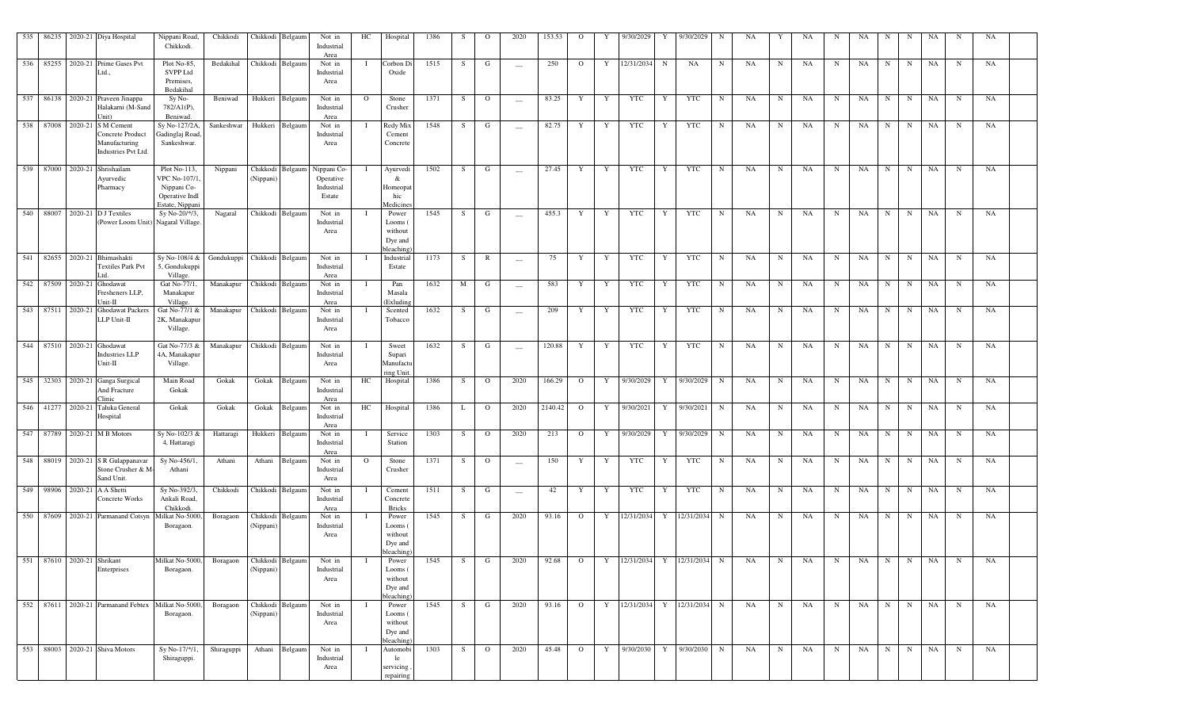|  | 535 86235 2020-21 Diya Hospital                                                          | Nippani Road,<br>Chikkodi.                                                        | Chikkodi                   |                               | Chikkodi Belgaum | Not in<br>Industrial<br>Area                                      | HC      | Hospital                                                | 1386 | S. | $\mathbf{O}$ | 2020                     | 153.53  | $\Omega$       | Y | 9/30/2029     | Y           | 9/30/2029                   | N           | NA |             | NA | N           | NA   | N           | N | NA | -N          | NA |  |
|--|------------------------------------------------------------------------------------------|-----------------------------------------------------------------------------------|----------------------------|-------------------------------|------------------|-------------------------------------------------------------------|---------|---------------------------------------------------------|------|----|--------------|--------------------------|---------|----------------|---|---------------|-------------|-----------------------------|-------------|----|-------------|----|-------------|------|-------------|---|----|-------------|----|--|
|  | 536 85255 2020-21 Prime Gases Pvt<br>Ltd.                                                | Plot No-85,<br><b>SVPP Ltd</b><br>Premises,<br>Bedakihal                          | Bedakihal                  | Chikkodi Belgaum              |                  | Not in<br>Industrial<br>Area                                      |         | Corbon Di<br>Oxide                                      | 1515 | S. | G            | $\overline{\phantom{a}}$ | 250     | $\overline{O}$ | Y | 12/31/2034    | $\mathbf N$ | NA                          | $\mathbf N$ | NA | $\mathbf N$ | NA | N           | NA   | $\mathbf N$ | N | NA | N           | NA |  |
|  | 537 86138 2020-21 Praveen Jinappa<br>Halakarni (M-Sand<br>Jnit)                          | Sy No-<br>$782/A1(P)$ ,<br>Beniwad.                                               | Beniwad                    |                               | Hukkeri Belgaum  | Not in<br>Industrial<br>Area                                      | $\circ$ | Stone<br>Crusher                                        | 1371 | S. | $\mathbf{O}$ | $\frac{1}{2}$            | 83.25   | Y              | Y | YTC           | Y           | <b>YTC</b>                  | $\mathbf N$ | NA | $\mathbf N$ | NA | N           | NA   | N           | N | NA | $\mathbf N$ | NA |  |
|  | 538 87008 2020-21 S M Cement<br>Concrete Product<br>Manufacturing<br>Industries Pvt Ltd. | Sy No-127/2A,<br>Gadinglaj Road,<br>Sankeshwar.                                   | Sankeshwar                 |                               | Hukkeri Belgaum  | Not in<br>Industrial<br>Area                                      | - 1     | Redy Mix<br>Cement<br>Concrete                          | 1548 | S  | G            | $\sim$                   | 82.75   | Y              | Y | YTC           | Y           | YTC                         | $\mathbf N$ | NA | $\mathbf N$ | NA | N           | NA   | $\mathbf N$ | N | NA | $\mathbf N$ | NA |  |
|  | 539 87000 2020-21 Shrishailam<br>Ayurvedic<br>Pharmacy                                   | Plot No-113,<br>VPC No-107/1,<br>Nippani Co-<br>Operative Indl<br>Estate, Nippani | Nippani                    | (Nippani)                     |                  | Chikkodi Belgaum Nippani Co-<br>Operative<br>Industrial<br>Estate |         | Ayurvedi<br>&<br>Homeopat<br>hic<br>Medicines           | 1502 | S. | G            | $\overline{\phantom{a}}$ | 27.45   | Y              | Y | YTC           | Y           | YTC                         | N           | NA | N           | NA | N           | NA   | $\mathbf N$ | N | NA | N           | NA |  |
|  | 540 88007 2020-21 D J Textiles<br>(Power Loom Unit) Nagaral Village.                     | Sy No-20/*/3,                                                                     | Nagaral                    |                               | Chikkodi Belgaum | Not in<br>Industrial<br>Area                                      |         | Power<br>Looms (<br>without<br>Dye and<br>bleaching     | 1545 | S. | G            | $\sim$                   | 455.3   | Y              | Y | YTC           | Y           | YTC                         | $\mathbf N$ | NA | $\mathbf N$ | NA | $\mathbf N$ | NA   | $\mathbf N$ | N | NA | N           | NA |  |
|  | 541 82655 2020-21 Bhimashakti<br><b>Textiles Park Pvt</b>                                | Sy No-108/4 & Gondukuppi Chikkodi Belgaum<br>5, Gondukuppi<br>Village.            |                            |                               |                  | Not in<br>Industrial<br>Area                                      |         | Industrial<br>Estate                                    | 1173 | S. | $\mathbb{R}$ | $\sim$                   | 75      | Y              | Y | YTC           | Y           | YTC                         | N           | NA | $\mathbf N$ | NA | N           | NA   | $\mathbf N$ | N | NA | $\mathbf N$ | NA |  |
|  | 542 87509 2020-21 Ghodawat<br>Fresheners LLP,<br>Unit-II                                 | Gat No-77/1,<br>Manakapur<br>Village.                                             | Manakapur Chikkodi Belgaum |                               |                  | Not in<br>Industrial<br>Area                                      |         | Pan<br>Masala<br>(Exludin                               | 1632 | M  | G            | $\sim$                   | 583     | Y              | Y | YTC           | Y           | YTC                         | $\mathbf N$ | NA | $\mathbf N$ | NA | $\mathbf N$ | NA   | N           | N | NA | N           | NA |  |
|  | 543 87511 2020-21 Ghodawat Packers<br>LLP Unit-II                                        | Gat No-77/1 &<br>2K, Manakapur<br>Village.                                        | Manakapur Chikkodi Belgaum |                               |                  | Not in<br>Industrial<br>Area                                      |         | Scented<br>Tobacco                                      | 1632 | S  | G            | $\sim$                   | 209     | Y              | Y | YTC           | Y           | <b>YTC</b>                  | $\mathbf N$ | NA | $\mathbf N$ | NA | $\mathbf N$ | NA   | $\mathbf N$ | N | NA | $\mathbf N$ | NA |  |
|  | 544 87510 2020-21 Ghodawat<br><b>Industries LLP</b><br>Unit-II                           | Gat No-77/3 &<br>4A, Manakapur<br>Village.                                        | Manakapur Chikkodi Belgaum |                               |                  | Not in<br>Industrial<br>Area                                      |         | Sweet<br>Supari<br>Manufactu<br>ring Unit               | 1632 | S. | G            | $\sim$                   | 120.88  | Y              | Y | YTC           | Y           | YTC                         | $\mathbf N$ | NA | $\mathbf N$ | NA | $\mathbf N$ | NA   | N           | N | NA | N           | NA |  |
|  | 545 32303 2020-21 Ganga Surgical<br>And Fracture<br>Clinic                               | Main Road<br>Gokak                                                                | Gokak                      |                               | Gokak Belgaum    | Not in<br>Industrial<br>Area                                      | HC      | Hospital                                                | 1386 | S. | $\mathbf{O}$ | 2020                     | 166.29  | $\overline{O}$ |   |               |             | Y 9/30/2029 Y 9/30/2029     | N           | NA | $\mathbf N$ | NA | $\mathbf N$ | NA   | N           | N | NA | $\mathbf N$ | NA |  |
|  | 546 41277 2020-21 Taluka General<br>Hospital                                             | Gokak                                                                             | Gokak                      | Gokak                         | Belgaum          | Not in<br>Industrial<br>Area                                      | HC      | Hospital                                                | 1386 | L  | $\mathbf{O}$ | 2020                     | 2140.42 | $\overline{O}$ | Y | 9/30/2021     | Y           | 9/30/2021                   | $\mathbf N$ | NA | N           | NA | N           | NA   | N           | N | NA | N           | NA |  |
|  | 547 87789 2020-21 M B Motors                                                             | Sy No-102/3 &<br>4, Hattaragi                                                     | Hattaragi                  |                               | Hukkeri Belgaum  | Not in<br>Industrial<br>Area                                      |         | Service<br>Station                                      | 1303 | S. | $\mathbf{O}$ | 2020                     | 213     | $\overline{O}$ | Y | 9/30/2029     | Y           | 9/30/2029                   | N           | NA | $\mathbf N$ | NA | N           | NA   | N           | N | NA | $\mathbf N$ | NA |  |
|  | 548 88019 2020-21 S R Gulappanavar<br>Stone Crusher & M-<br>Sand Unit.                   | Sy No-456/1,<br>Athani                                                            | Athani                     |                               | Athani Belgaum   | Not in<br>Industrial<br>Area                                      | $\circ$ | Stone<br>Crusher                                        | 1371 | S. | $\mathbf{O}$ | $\overline{\phantom{a}}$ | 150     | Y              | Y | YTC           | Y           | <b>YTC</b>                  | $\mathbf N$ | NA | N           | NA | $\mathbf N$ | NA   | N           | N | NA | $\mathbf N$ | NA |  |
|  | 549 98906 2020-21 A A Shetti<br>Concrete Works                                           | Sy No-392/3,<br>Ankali Road,<br>Chikkodi                                          | Chikkodi                   |                               | Chikkodi Belgaum | Not in<br>Industrial<br>Area                                      |         | Cement<br>Concrete<br><b>Bricks</b>                     | 1511 | S  | G            | $\overline{\phantom{m}}$ | 42      | Y              | Y | YTC           | Y           | YTC                         | $\mathbf N$ | NA | $\mathbf N$ | NA | $\mathbf N$ | NA   | N           | N | NA | $\mathbf N$ | NA |  |
|  | 550 87609 2020-21 Parmanand Cotsyn                                                       | Milkat No-5000,<br>Boragaon.                                                      | Boragaon                   | (Nippani)                     | Chikkodi Belgaum | Not in<br>Industrial<br>Area                                      |         | Power<br>Looms (<br>without<br>Dye and<br>bleaching)    | 1545 | S. | G            | 2020                     | 93.16   | $\overline{O}$ |   |               |             | Y 12/31/2034 Y 12/31/2034 N |             | NA | $\mathbf N$ | NA | N           | NA   | N           | N | NA | N           | NA |  |
|  | 551 87610 2020-21 Shrikant<br>Enterprises                                                | Milkat No-5000,<br>Boragaon.                                                      | Boragaon                   | (Nippani)                     | Chikkodi Belgaum | Not in<br>Industrial<br>Area                                      |         | Power<br>Looms (<br>without<br>Dye and<br>bleaching     | 1545 | S. | G            | 2020                     | 92.68   | $\circ$        |   | 12/31/2034    | Y           | 12/31/2034                  | N           | NA | N           | NA | N           | NA   | $\mathbf N$ | N | NA | N           | NA |  |
|  | 552 87611 2020-21 Parmanand Febtex Milkat No-5000, Boragaon                              | Boragaon.                                                                         |                            | Chikkodi Belgaum<br>(Nippani) |                  | Not in<br>Industrial<br>Area                                      |         | Power<br>Looms (<br>without<br>Dye and                  | 1545 | S. | G            | 2020                     | 93.16   | $\overline{O}$ |   |               |             | Y 12/31/2034 Y 12/31/2034 N |             | NA | $\mathbf N$ | NA | N           | NA   | N           | N | NA | $\mathbf N$ | NA |  |
|  | 553 88003 2020-21 Shiva Motors                                                           | Sy No-17/*/1,<br>Shiraguppi.                                                      | Shiraguppi                 |                               | Athani Belgaum   | Not in<br>Industrial<br>Area                                      |         | bleaching<br>Automobi<br>le<br>, servicing<br>repairing | 1303 | S  | $\Omega$     | 2020                     | 45.48   | $\overline{O}$ |   | Y 9/30/2030 Y |             | 9/30/2030                   | $\mathbf N$ | NA | $\mathbf N$ | NA | N           | NA N |             | N | NA | $\mathbf N$ | NA |  |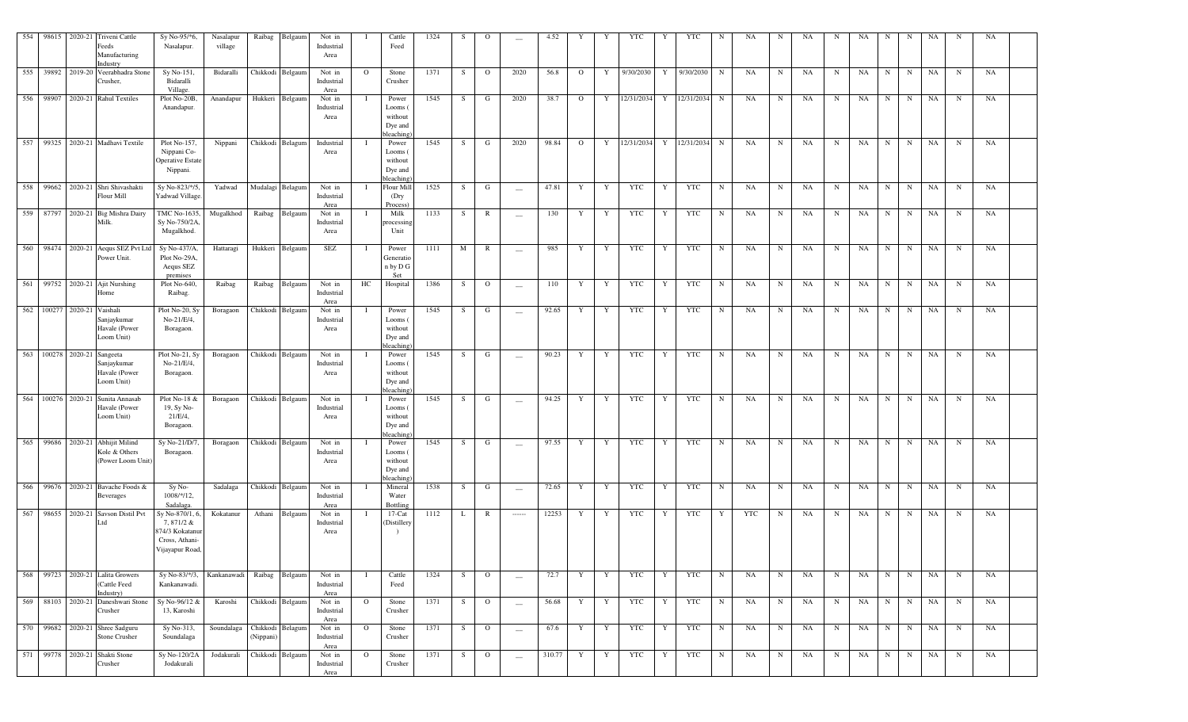| 554 |       | 98615 2020-21      | Triveni Cattle<br>Feeds                                                   | Sy No-95/*6,<br>Nasalapur.                                                          | Nasalapur<br>village | Raibag                | Belgaum          | Not in<br>Industrial         |                | Cattle<br>Feed                                      | 1324 | S  | $\mathbf{O}$   | $\overline{\phantom{a}}$                                                                                                                                                                                                                                                                                                                                                                                                                                                               | 4.52   |                | Y            | <b>YTC</b> | Y            | YTC            | N           | NA         | N           | NA | N | NA | N           | N           | NA        | N           | NA |
|-----|-------|--------------------|---------------------------------------------------------------------------|-------------------------------------------------------------------------------------|----------------------|-----------------------|------------------|------------------------------|----------------|-----------------------------------------------------|------|----|----------------|----------------------------------------------------------------------------------------------------------------------------------------------------------------------------------------------------------------------------------------------------------------------------------------------------------------------------------------------------------------------------------------------------------------------------------------------------------------------------------------|--------|----------------|--------------|------------|--------------|----------------|-------------|------------|-------------|----|---|----|-------------|-------------|-----------|-------------|----|
|     |       |                    | Manufacturing<br>Industry<br>555 39892 2019-20 Veerabhadra Stone          | Sy No-151,                                                                          | Bidaralli            |                       | Chikkodi Belgaum | Area<br>Not in               | $\mathbf{O}$   | Stone                                               | 1371 | S  | $\overline{O}$ | 2020                                                                                                                                                                                                                                                                                                                                                                                                                                                                                   | 56.8   | $\overline{O}$ | $\mathbf{Y}$ | 9/30/2030  | Y            | 9/30/2030      | $\mathbf N$ | NA         | $\mathbf N$ | NA | N | NA | N           | $\mathbf N$ | NA        | $\mathbf N$ | NA |
|     |       |                    | Crusher,                                                                  | Bidaralli<br>Village.                                                               |                      |                       |                  | Industrial<br>Area           |                | Crusher                                             |      |    |                |                                                                                                                                                                                                                                                                                                                                                                                                                                                                                        |        |                |              |            |              |                |             |            |             |    |   |    |             |             |           |             |    |
| 556 |       |                    | 98907 2020-21 Rahul Textiles                                              | Plot No-20B,<br>Anandapur.                                                          | Anandapur            |                       | Hukkeri Belgaum  | Not in<br>Industrial<br>Area |                | Power<br>Looms<br>without<br>Dye and<br>bleaching   | 1545 | S  | G              | 2020                                                                                                                                                                                                                                                                                                                                                                                                                                                                                   | 38.7   | $\Omega$       | Y            | 12/31/2034 |              | Y 12/31/2034 N |             | NA         | $\mathbf N$ | NA | N | NA | $\mathbf N$ | N           | NA        | $\mathbf N$ | NA |
| 557 |       |                    | 99325 2020-21 Madhavi Textile                                             | Plot No-157,<br>Nippani Co-<br>Operative Estate<br>Nippani.                         | Nippani              |                       | Chikkodi Belagum | Industrial<br>Area           |                | Power<br>Looms<br>without<br>Dye and<br>bleaching   | 1545 | S  | G              | 2020                                                                                                                                                                                                                                                                                                                                                                                                                                                                                   | 98.84  | $\overline{O}$ | Y            | 12/31/2034 |              | Y 12/31/2034 N |             | NA         | N           | NA | N | NA | $\mathbf N$ | N           | NA        | $\mathbf N$ | NA |
|     |       |                    | 558 99662 2020-21 Shri Shivashakti<br>Flour Mill                          | Sy No-823/*/5,<br><b>Yadwad Village</b>                                             | Yadwad               |                       | Mudalagi Belagum | Not in<br>Industrial<br>Area |                | Flour Mil<br>(Dry<br>Process)                       | 1525 | S  | G              | $\overline{\phantom{m}}$                                                                                                                                                                                                                                                                                                                                                                                                                                                               | 47.81  | Y              | Y            | YTC        | Y            | YTC            | $\mathbf N$ | NA         | $\mathbf N$ | NA | N | NA | N           | N           | NA        | $\mathbf N$ | NA |
|     |       |                    | 559 87797 2020-21 Big Mishra Dairy<br>Milk.                               | TMC No-1635,<br>Sy No-750/2A,<br>Mugalkhod.                                         | Mugalkhod            | Raibag                | Belgaum          | Not in<br>Industrial<br>Area |                | Milk<br>processin<br>Unit                           | 1133 | S  | $\mathbb{R}$   | $\sim$                                                                                                                                                                                                                                                                                                                                                                                                                                                                                 | 130    | Y              | $\mathbf{Y}$ | YTC        | Y            | YTC            | N           | NA         | $\mathbf N$ | NA | N | NA | N           | N           | NA        | $\mathbf N$ | NA |
| 560 |       |                    | 98474 2020-21 Aequs SEZ Pvt Ltd<br>Power Unit.                            | Sy No-437/A,<br>Plot No-29A,<br>Aequs SEZ<br>premises                               | Hattaragi            | Hukkeri               | Belgaum          | SEZ                          |                | Power<br>Generatic<br>n by D G<br>Set               | 1111 | M  | $\mathbb{R}$   | $\sim$                                                                                                                                                                                                                                                                                                                                                                                                                                                                                 | 985    | Y              | Y            | YTC        | Y            | YTC            | $\mathbf N$ | NA         | $\mathbf N$ | NA | N | NA | N           | N           | <b>NA</b> | $\mathbf N$ | NA |
| 561 |       |                    | 99752 2020-21 Ajit Nurshing<br>Home                                       | Plot No-640,<br>Raibag.                                                             | Raibag               | Raibag                | Belgaum          | Not in<br>Industrial<br>Area | HC             | Hospital                                            | 1386 | S  | $\overline{O}$ | $\sim$                                                                                                                                                                                                                                                                                                                                                                                                                                                                                 | 110    | Y              | $\mathbf{Y}$ | <b>YTC</b> | Y            | YTC            | $\mathbf N$ | NA         | $\mathbf N$ | NA | N | NA | N           | N           | NA        | $\mathbf N$ | NA |
|     |       |                    | 562 100277 2020-21 Vaishali<br>Sanjaykumar<br>Havale (Power<br>Loom Unit) | Plot No-20, Sy<br>No-21/E/4,<br>Boragaon.                                           | Boragaon             |                       | Chikkodi Belgaum | Not in<br>Industrial<br>Area |                | Power<br>Looms (<br>without<br>Dye and<br>bleaching | 1545 | S  | G              | $\sim$                                                                                                                                                                                                                                                                                                                                                                                                                                                                                 | 92.65  | Y              | $\mathbf{Y}$ | YTC        | Y            | <b>YTC</b>     | N           | NA         | $\mathbf N$ | NA | N | NA | $\mathbf N$ | N           | NA        | $\mathbf N$ | NA |
|     |       | 563 100278 2020-21 | Sangeeta<br>Sanjaykumar<br>Havale (Power<br>Loom Unit)                    | Plot No-21, Sy<br>No-21/E/4,<br>Boragaon.                                           | Boragaon             |                       | Chikkodi Belgaum | Not in<br>Industrial<br>Area |                | Power<br>Looms (<br>without<br>Dye and<br>bleaching | 1545 | S. | G              | $\sim$                                                                                                                                                                                                                                                                                                                                                                                                                                                                                 | 90.23  | Y              | $\mathbf{Y}$ | <b>YTC</b> | Y            | YTC            | $\mathbf N$ | NA         | $\mathbf N$ | NA | N | NA | N           | N           | NA        | $\mathbf N$ | NA |
|     |       |                    | 564 100276 2020-21 Sunita Annasab<br>Havale (Power<br>Loom Unit)          | Plot No-18 &<br>19, Sy No-<br>21/E/4,<br>Boragaon.                                  | Boragaon             |                       | Chikkodi Belgaum | Not in<br>Industrial<br>Area |                | Power<br>Looms<br>without<br>Dye and<br>bleaching   | 1545 | S  | G              | $\sim$                                                                                                                                                                                                                                                                                                                                                                                                                                                                                 | 94.25  | Y              | Y            | <b>YTC</b> | $\mathbf{Y}$ | <b>YTC</b>     | $\mathbf N$ | NA         | N           | NA | N | NA | $\mathbf N$ | N           | NA        | $\mathbf N$ | NA |
| 565 | 99686 |                    | 2020-21 Abhijit Milind<br>Kole & Others<br>(Power Loom Unit)              | Sy No-21/D/7.<br>Boragaon.                                                          | Boragaon             |                       | Chikkodi Belgaum | Not in<br>Industrial<br>Area |                | Power<br>Looms (<br>without<br>Dye and<br>leaching  | 1545 | S  | G              | $\overline{\phantom{m}}$                                                                                                                                                                                                                                                                                                                                                                                                                                                               | 97.55  | Y              | $\mathbf{Y}$ | YTC        | Y            | YTC            | $\mathbf N$ | NA         | N           | NA | N | NA | N           | $\mathbf N$ | NA        | $\mathbf N$ | NA |
| 566 |       |                    | 99676 2020-21 Bavache Foods &<br><b>Beverages</b>                         | Sy No-<br>$1008/*/12$ ,<br>Sadalaga.                                                | Sadalaga             |                       | Chikkodi Belgaum | Not in<br>Industrial<br>Area |                | Mineral<br>Water<br><b>Bottlins</b>                 | 1538 | S  | G              | $\hspace{0.1mm}-\hspace{0.1mm}$                                                                                                                                                                                                                                                                                                                                                                                                                                                        | 72.65  | Y              | $\mathbf{Y}$ | YTC        | Y            | YTC            | $\mathbf N$ | NA         | $\mathbf N$ | NA | N | NA | N           | N           | NA        | $\mathbf N$ | NA |
| 567 | 98655 |                    | 2020-21 Savson Distil Pvt<br>Ltd                                          | Sy No-870/1, 6.<br>7,871/2 &<br>874/3 Kokatanu<br>Cross, Athani-<br>Vijayapur Road, | Kokatanur            | Athani                | Belgaum          | Not in<br>Industrial<br>Area |                | $17-Cat$<br><b>Distillery</b>                       | 1112 | L  | $\mathbb{R}$   | $\begin{array}{ccc} \multicolumn{3}{c}{} & \multicolumn{3}{c}{} & \multicolumn{3}{c}{} & \multicolumn{3}{c}{} & \multicolumn{3}{c}{} & \multicolumn{3}{c}{} & \multicolumn{3}{c}{} & \multicolumn{3}{c}{} & \multicolumn{3}{c}{} & \multicolumn{3}{c}{} & \multicolumn{3}{c}{} & \multicolumn{3}{c}{} & \multicolumn{3}{c}{} & \multicolumn{3}{c}{} & \multicolumn{3}{c}{} & \multicolumn{3}{c}{} & \multicolumn{3}{c}{} & \multicolumn{3}{c}{} & \multicolumn{3}{c}{} & \multicolumn$ | 12253  | Y              | $\mathbf{Y}$ | YTC        | Y            | YTC            | Y           | <b>YTC</b> | $\mathbf N$ | NA | N | NA | $\mathbf N$ | N           | NA        | $\mathbf N$ | NA |
| 568 |       |                    | 99723 2020-21 Lalita Growers<br>(Cattle Feed<br>Industry)                 | Sy No-83/*/3, Kankanawadi<br>Kankanawadi.                                           |                      | Raibag                | Belgaum          | Not in<br>Industrial<br>Area |                | Cattle<br>Feed                                      | 1324 | S  | $\overline{O}$ | $\overline{\phantom{m}}$                                                                                                                                                                                                                                                                                                                                                                                                                                                               | 72.7   | Y              | $\mathbf{Y}$ | YTC        | Y            | YTC            | $\mathbf N$ | NA         | $\mathbf N$ | NA | N | NA | $\mathbf N$ | N           | NA        | $\mathbf N$ | NA |
| 569 |       |                    | 88103 2020-21 Daneshwari Stone<br>Crusher                                 | Sy No-96/12 &<br>13, Karoshi                                                        | Karoshi              |                       | Chikkodi Belgaum | Not in<br>Industrial<br>Area | $\mathbf{O}$   | Stone<br>Crusher                                    | 1371 | S. | $\overline{O}$ | $\hspace{0.1mm}-\hspace{0.1mm}$                                                                                                                                                                                                                                                                                                                                                                                                                                                        | 56.68  | Y              | $\mathbf{Y}$ | YTC        | Y            | YTC            | $\mathbf N$ | NA         | $\mathbf N$ | NA | N | NA | N           | N           | NA        | $\mathbf N$ | NA |
| 570 |       |                    | 99682 2020-21 Shree Sadguru<br>Stone Crusher                              | Sy No-313,<br>Soundalaga                                                            | Soundalaga           | Chikkodi<br>(Nippani) | Belagum          | Not in<br>Industrial<br>Area | $\mathbf{O}$   | Stone<br>Crusher                                    | 1371 | S  | $\overline{O}$ | $\frac{1}{2}$                                                                                                                                                                                                                                                                                                                                                                                                                                                                          | 67.6   | Y              | Y            | YTC        | Y            | YTC            | $\mathbf N$ | NA         | $\mathbf N$ | NA | N | NA | N           | $\mathbf N$ | NA        | $\mathbf N$ | NA |
| 571 |       |                    | 99778 2020-21 Shakti Stone<br>Crusher                                     | Sy No-120/2A<br>Jodakurali                                                          | Jodakurali           | Chikkodi              | Belgaum          | Not in<br>Industrial<br>Area | $\overline{O}$ | Stone<br>Crusher                                    | 1371 | S  | $\overline{O}$ | $\frac{1}{2}$                                                                                                                                                                                                                                                                                                                                                                                                                                                                          | 310.77 | Y              | $\mathbf{Y}$ | YTC        | Y            | YTC            | $\mathbf N$ | NA         | N           | NA | N | NA | N           | N           | NA        | $\mathbf N$ | NA |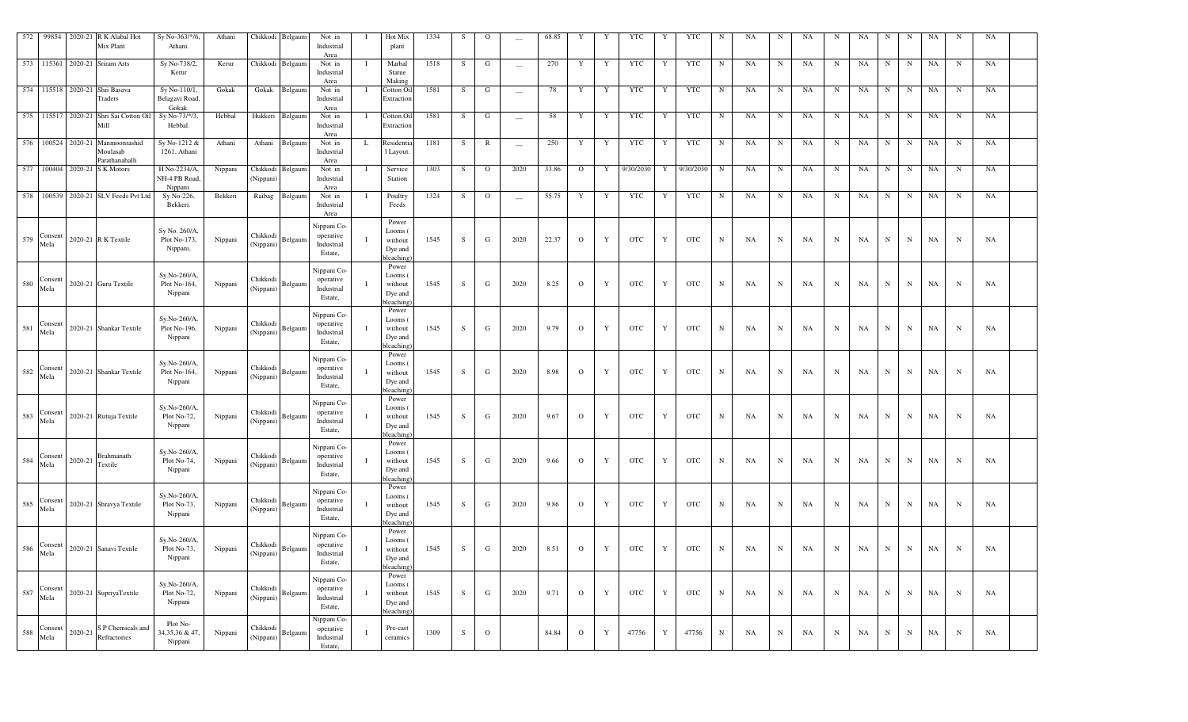| 572 | 99854                 | 2020-21<br>R K Alabal Hot<br>Mix Plant                         | Sy No-363/*/6,<br>Athani.                | Athani  |                       | Chikkodi Belgaum | Not in<br>Industrial<br>Area                      |     | Hot Mix<br>plant                                     | 1334 | - S         | $\mathbf{O}$ |                          | 68.85 | Y            | Y           | YTC        | Y           | <b>YTC</b> | N         | NA        | N           | NA | N           | NA | N           | N           | NA | N           | NA |  |
|-----|-----------------------|----------------------------------------------------------------|------------------------------------------|---------|-----------------------|------------------|---------------------------------------------------|-----|------------------------------------------------------|------|-------------|--------------|--------------------------|-------|--------------|-------------|------------|-------------|------------|-----------|-----------|-------------|----|-------------|----|-------------|-------------|----|-------------|----|--|
|     |                       | 573 115361 2020-21 Sriram Arts                                 | Sy No-738/2,<br>Kerur                    | Kerur   |                       | Chikkodi Belgaum | Not in<br>Industrial<br>Area                      |     | Marbal<br>Statue<br>Making                           | 1518 | S.          | G            | $\overline{\phantom{a}}$ | 270   | Y            | Y           | YTC        | Y           | <b>YTC</b> | N         | NA        | $\mathbf N$ | NA | N           | NA | N           | $\mathbf N$ | NA | $_{\rm N}$  | NA |  |
|     |                       | 574 115518 2020-21 Shri Basava<br>Traders                      | Sy No-110/1,<br>Belagavi Road,<br>Gokak  | Gokak   | Gokak                 | Belgaum          | Not in<br>Industrial<br>Area                      | - 1 | Cotton Oil<br>Extraction                             | 1581 | S           | G            | $\overline{\phantom{a}}$ | 78    | Y            | Y           | YTC        | Y           | <b>YTC</b> | N         | <b>NA</b> | N           | NA | N           | NA | N           | N           | NA | $_{\rm N}$  | NA |  |
|     |                       | 575 115517 2020-21 Shri Sai Cotton Oil<br>Mill                 | Sy No-73/*/3,<br>Hebbal.                 | Hebbal  | Hukkeri               | Belgaum          | Not in<br>Industrial<br>Area                      |     | Cotton Oil<br>Extraction                             | 1581 | S.          | G            | $\overline{\phantom{m}}$ | 58    | Y            | Y           | YTC        | Y           | <b>YTC</b> | N         | NA        | $\mathbf N$ | NA | N           | NA | N           | N           | NA | N           | NA |  |
|     |                       | 576 100524 2020-21 Manmoonrashid<br>Moulasab<br>Parathanahalli | Sy No-1212 &<br>1261, Athani             | Athani  | Athani                | Belgaum          | Not in<br>Industrial<br>Area                      |     | Residentia<br>l Layout.                              | 1181 | S.          | $\mathbb{R}$ | $\overline{\phantom{m}}$ | 250   | Y            | Y           | YTC        | Y           | <b>YTC</b> | N         | NA        | $\mathbf N$ | NA | N           | NA | N           | $\mathbf N$ | NA | $_{\rm N}$  | NA |  |
|     |                       | 577 100404 2020-21 S K Motors                                  | H No-2234/A,<br>NH-4 PB Road<br>Nippani. | Nippani | (Nippani)             | Chikkodi Belgaum | Not in<br>Industrial<br>Area                      |     | Service<br>Station                                   | 1303 | S.          | $\mathbf{O}$ | 2020                     | 33.86 | $\circ$      | Y           | 9/30/2030  | Y           | 9/30/2030  | N         | NA        | N           | NA | N           | NA | N           | N           | NA | N           | NA |  |
|     |                       | 578 100539 2020-21 SLV Feeds Pvt Ltd                           | Sy No-226,<br>Bekkeri.                   | Bekkeri | Raibag                | Belgaum          | Not in<br>Industrial<br>Area                      | -1  | Poultry<br>Feeds                                     | 1324 | -S          | $\Omega$     | $\overline{\phantom{a}}$ | 55.75 | Y            | Y           | YTC        | Y           | <b>YTC</b> | N         | NA        | N           | NA | N           | NA | N           | N           | NA | N           | NA |  |
|     | Consent<br>$579$ Mela | 2020-21 R K Textile                                            | Sy No. 260/A<br>Plot No-173,<br>Nippani, | Nippani | Chikkodi<br>(Nippani) | Belgaum          | Nippani Co-<br>operative<br>Industrial<br>Estate, |     | Power<br>Looms<br>without<br>Dye and<br>leaching     | 1545 | S           | G            | 2020                     | 22.37 | $\circ$      | Y           | <b>OTC</b> | Y           | <b>OTC</b> | N         | NA.       | $_{\rm N}$  | NA | N           | NA | $\mathbf N$ | $\mathbf N$ | NA | $\mathbf N$ | NA |  |
| 580 | Consent<br>Mela       | 2020-21 Guru Textile                                           | Sy.No-260/A,<br>Plot No-164,<br>Nippani  | Nippani | Chikkodi<br>(Nippani) | Belgaum          | Nippani Co-<br>operative<br>Industrial<br>Estate, |     | Power<br>Looms (<br>without<br>Dye and<br>oleaching  | 1545 | S           | G            | 2020                     | 8.25  | $\circ$      | Y           | <b>OTC</b> | Y           | <b>OTC</b> | N         | NA        | N           | NA | N           | NA | $\mathbf N$ | $\mathbf N$ | NA | N           | NA |  |
| 581 | Consent<br>Mela       | 2020-21 Shankar Textile                                        | Sy.No-260/A,<br>Plot No-196,<br>Nippani  | Nippani | Chikkodi<br>(Nippani) | Belgaum          | Nippani Co-<br>operative<br>Industrial<br>Estate, |     | Power<br>Looms (<br>without<br>Dye and<br>bleaching  | 1545 | S           | G            | 2020                     | 9.79  | $\circ$      | Y           | <b>OTC</b> | Y           | <b>OTC</b> | N         | NA        | N           | NA | N           | NA | $\mathbf N$ | $\mathbf N$ | NA | N           | NA |  |
| 582 | Consent<br>Mela       | 2020-21 Shankar Textile                                        | Sy.No-260/A,<br>Plot No-164,<br>Nippani  | Nippani | Chikkodi<br>(Nippani) | Belgaum          | Nippani Co-<br>operative<br>Industrial<br>Estate, |     | Power<br>Looms (<br>without<br>Dye and<br>bleaching  | 1545 | -S          | G            | 2020                     | 8.98  | $\circ$      | Y           | <b>OTC</b> | Y           | <b>OTC</b> | N         | NA        | N           | NA | N           | NA | N           | N           | NA | N           | NA |  |
| 583 | Consent<br>Mela       | 2020-21 Rutuja Textile                                         | Sy.No-260/A.<br>Plot No-72,<br>Nippani   | Nippani | Chikkodi<br>(Nippani) | Belgaum          | Nippani Co-<br>operative<br>Industrial<br>Estate, |     | Power<br>Looms<br>without<br>Dye and<br>bleaching    | 1545 | - S         | G            | 2020                     | 9.67  | $\circ$      | Y           | <b>OTC</b> | Y           | <b>OTC</b> | N         | <b>NA</b> | N           | NA | N           | NA | N           | $\mathbf N$ | NA | N           | NA |  |
| 584 | Consent<br>Mela       | Brahmanath<br>2020-21<br>Textile                               | Sy.No-260/A,<br>Plot No-74,<br>Nippani   | Nippani | Chikkodi<br>(Nippani) | Belgaum          | Nippani Co-<br>operative<br>Industrial<br>Estate, |     | Power<br>Looms (<br>without<br>Dye and<br>bleaching  | 1545 | - S         | G            | 2020                     | 9.66  | $\circ$      | Y           | <b>OTC</b> | Y           | <b>OTC</b> | N         | <b>NA</b> | N           | NA | N           | NA | N           | N           | NA | N           | NA |  |
| 585 | Consent<br>Mela       | 2020-21 Shravya Textile                                        | Sy.No-260/A,<br>Plot No-73,<br>Nippani   | Nippani | Chikkodi<br>(Nippani) | Belgaun          | Nippani Co-<br>operative<br>Industrial<br>Estate, |     | Power<br>Looms (<br>without<br>Dye and<br>bleaching  | 1545 | S           | G            | 2020                     | 9.86  | $\circ$      | Y           | <b>OTC</b> | Y           | <b>OTC</b> | N         | NA        | N           | NA | N           | NA | $\mathbf N$ | $\mathbf N$ | NA | N           | NA |  |
| 586 | Consent<br>Mela       | 2020-21 Sanavi Textile                                         | Sy.No-260/A,<br>Plot No-73,<br>Nippani   | Nippani | Chikkodi<br>(Nippani) | Belgaum          | Nippani Co-<br>operative<br>Industrial<br>Estate, |     | Power<br>Looms (<br>without<br>Dye and<br>bleaching) | 1545 | <b>S</b>    | G            | 2020                     | 8.51  | $\circ$      | Y           | <b>OTC</b> | Y           | <b>OTC</b> | N         | NA        | N           | NA | N           | NA | $_{\rm N}$  | N           | NA | $\mathbf N$ | NA |  |
| 587 | Consent<br>Mela       | 2020-21 SupriyaTextile                                         | Sy.No-260/A,<br>Plot No-72,<br>Nippani   | Nippani | Chikkodi<br>(Nippani) | Belgaum          | Nippani Co-<br>operative<br>Industrial<br>Estate, |     | Power<br>Looms (<br>without<br>Dye and<br>bleaching) | 1545 | S           | G            | 2020                     | 9.71  | $\mathbf{O}$ | $\mathbf Y$ | <b>OTC</b> | Y           | <b>OTC</b> | ${\bf N}$ | NA        | $\mathbf N$ | NA | $\mathbf N$ | NA | N           | N           | NA | $\mathbf N$ | NA |  |
| 588 | Consent<br>Mela       | S P Chemicals and<br>2020-21<br>Refractories                   | Plot No-<br>34, 35, 36 & 47,<br>Nippani  | Nippani | Chikkodi<br>(Nippani) | Belgaum          | Nippani Co-<br>operative<br>Industrial<br>Estate, |     | Pre-cast<br>ceramics                                 | 1309 | $\mathbf S$ | $\rm{O}$     |                          | 84.84 | $\mathbf{O}$ | Y           | 47756      | $\mathbf Y$ | 47756      | ${\bf N}$ | NA        | $\mathbf N$ | NA | $\mathbf N$ | NA | N           | N           | NA | $\mathbf N$ | NA |  |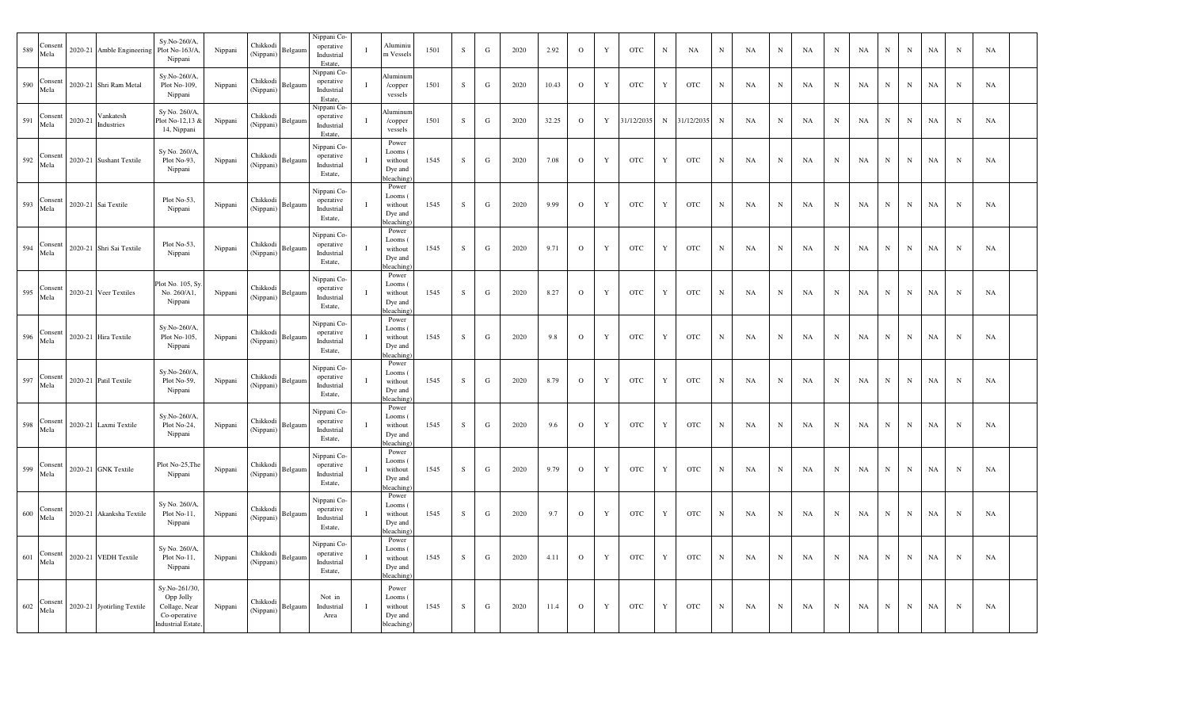| 589 | Consent<br>Mela       |         | 2020-21 Amble Engineering  | Sy.No-260/A,<br>Plot No-163/A<br>Nippani                                                | Nippani                  | Chikkodi<br>(Nippani) | Belgaum | Nippani Co-<br>operative<br>Industrial<br>Estate, | $\mathbf I$  | Aluminiu<br>m Vessels                                            | 1501 | S         | ${\bf G}$   | 2020 | 2.92  | $\mathbf{o}$ | $\mathbf Y$ | OTC               | $\,$ N      | NA         | ${\bf N}$  | NA        | $\,$ N      | NA | $_{\rm N}$ | NA          | $\mathbf N$ | ${\bf N}$  | NA          | $\mathbf N$ | NA |  |
|-----|-----------------------|---------|----------------------------|-----------------------------------------------------------------------------------------|--------------------------|-----------------------|---------|---------------------------------------------------|--------------|------------------------------------------------------------------|------|-----------|-------------|------|-------|--------------|-------------|-------------------|-------------|------------|------------|-----------|-------------|----|------------|-------------|-------------|------------|-------------|-------------|----|--|
| 590 | Consent<br>Mela       | 2020-21 | Shri Ram Metal             | Sy.No-260/A,<br>Plot No-109,<br>Nippani                                                 | Nippani                  | Chikkodi<br>(Nippani) | Belgaun | Nippani Co-<br>operative<br>Industrial<br>Estate, | $\bf{I}$     | Aluminun<br>/copper<br>vessels                                   | 1501 | S         | ${\bf G}$   | 2020 | 10.43 | $\mathbf{O}$ | Y           | <b>OTC</b>        | Y           | <b>OTC</b> | $_{\rm N}$ | NA        | $\mathbf N$ | NA | $_{\rm N}$ | NA          | $_{\rm N}$  | $_{\rm N}$ | NA          | $\mathbf N$ | NA |  |
| 591 | Consen<br>Mela        | 2020-21 | Vankatesh<br>Industries    | Sy No. 260/A,<br>Plot No-12,13 &<br>14, Nippani                                         | Nippani                  | Chikkodi<br>(Nippani) | Belgaun | Nippani Co-<br>operative<br>Industrial<br>Estate, | $\mathbf{I}$ | Aluminu<br>/copper<br>vessels                                    | 1501 | S         | $\mathbf G$ | 2020 | 32.25 | $\mathbf{O}$ | $\mathbf Y$ | 31/12/2035        | N           | 31/12/2035 | ${\bf N}$  | NA        | $\mathbf N$ | NA | $_{\rm N}$ | NA          | $\mathbf N$ | ${\bf N}$  | NA          | $\mathbf N$ | NA |  |
|     | $592$ Consen<br>Mela  |         | 2020-21 Sushant Textile    | Sy No. 260/A,<br>Plot No-93,<br>Nippani                                                 | Nippani                  | Chikkodi<br>(Nippani) | Belgaun | Nippani Co-<br>operative<br>Industrial<br>Estate, | 1            | Power<br>Looms<br>without<br>Dye and<br>bleaching                | 1545 | ${\bf S}$ | $\mathbf G$ | 2020 | 7.08  | $\mathbf{O}$ | $\mathbf Y$ | <b>OTC</b>        | $\mathbf Y$ | <b>OTC</b> | $_{\rm N}$ | NA        | $_{\rm N}$  | NA | $_{\rm N}$ | NA          | $_{\rm N}$  | ${\bf N}$  | NA          | $\mathbf N$ | NA |  |
|     | $593$ Consent<br>Mela |         | 2020-21 Sai Textile        | Plot No-53,<br>Nippani                                                                  | Nippani                  | Chikkodi<br>(Nippani) | Belgaum | Nippani Co-<br>operative<br>Industrial<br>Estate, | $\bf{I}$     | Power<br>Looms (<br>without<br>Dye and<br>bleaching              | 1545 | S         | ${\bf G}$   | 2020 | 9.99  | $\rm{O}$     | $\mathbf Y$ | <b>OTC</b>        | $\mathbf Y$ | <b>OTC</b> | ${\bf N}$  | NA        | $_{\rm N}$  | NA | $_{\rm N}$ | NA          | $_{\rm N}$  | ${\bf N}$  | NA          | $\mathbf N$ | NA |  |
| 594 | Consen<br>Mela        |         | 2020-21 Shri Sai Textile   | Plot No-53,<br>Nippani                                                                  | Nippani                  | Chikkodi<br>(Nippani) | Belgaun | Nippani Co-<br>operative<br>Industrial<br>Estate, |              | Power<br>Looms (<br>without<br>Dye and<br>bleaching              | 1545 | S         | $\mathbf G$ | 2020 | 9.71  | $\mathbf O$  | $\mathbf Y$ | OTC               | $\mathbf Y$ | <b>OTC</b> | ${\bf N}$  | NA        | $\mathbf N$ | NA | $_{\rm N}$ | NA          | $_{\rm N}$  | $_{\rm N}$ | NA          | $_{\rm N}$  | NA |  |
| 595 | Consent<br>Mela       | 2020-21 | Veer Textiles              | Plot No. 105, Sy<br>No. 260/A1,<br>Nippani                                              | Nippani                  | Chikkodi<br>(Nippani) | Belgaun | Nippani Co-<br>operative<br>Industrial<br>Estate, | $\mathbf{I}$ | Power<br>Looms (<br>without<br>Dye and<br>bleaching)             | 1545 | S         | ${\bf G}$   | 2020 | 8.27  | $\mathbf{O}$ | $\mathbf Y$ | <b>OTC</b>        | $\mathbf Y$ | <b>OTC</b> | $_{\rm N}$ | <b>NA</b> | ${\bf N}$   | NA | ${\bf N}$  | <b>NA</b>   | $_{\rm N}$  | ${\bf N}$  | NA          | $\mathbf N$ | NA |  |
| 596 | Consen<br>Mela        | 2020-21 | Hira Textile               | Sy.No-260/A,<br>Plot No-105,<br>Nippani                                                 | Nippani                  | Chikkodi<br>(Nippani) | Belgaum | Nippani Co-<br>operative<br>Industrial<br>Estate, | $\bf{I}$     | Power<br>Looms (<br>without<br>Dye and<br>bleaching              | 1545 | ${\bf S}$ | $\mathbf G$ | 2020 | 9.8   | $\mathbf{O}$ | $\mathbf Y$ | <b>OTC</b>        | $\mathbf Y$ | <b>OTC</b> | ${\bf N}$  | NA        | $_{\rm N}$  | NA | $_{\rm N}$ | NA          | $_{\rm N}$  | ${\bf N}$  | NA          | $\mathbf N$ | NA |  |
|     | 597 Consent           | 2020-21 | Patil Textile              | Sy.No-260/A,<br>Plot No-59,<br>Nippani                                                  | Nippani                  | Chikkodi<br>(Nippani) | Belgaum | Nippani Co-<br>operative<br>Industrial<br>Estate, | $\mathbf{I}$ | Power<br>Looms (<br>without<br>Dye and<br>bleaching <sup>®</sup> | 1545 | S         | $\mathbf G$ | 2020 | 8.79  | $\mathbf{O}$ | $\mathbf Y$ | <b>OTC</b>        | $\mathbf Y$ | <b>OTC</b> | ${\bf N}$  | NA        | $_{\rm N}$  | NA | $_{\rm N}$ | NA          | $_{\rm N}$  | ${\bf N}$  | NA          | $_{\rm N}$  | NA |  |
|     | Consen<br>$598$ Mela  | 2020-21 | Laxmi Textile              | Sy.No-260/A,<br>Plot No-24,<br>Nippani                                                  | Nippani                  | Chikkodi<br>(Nippani) | Belgaun | Nippani Co-<br>operative<br>Industrial<br>Estate, |              | Power<br>Looms (<br>without<br>Dye and<br>bleaching <sup>®</sup> | 1545 | S         | $\mathbf G$ | 2020 | 9.6   | $\mathbf 0$  | $\mathbf Y$ | <b>OTC</b>        | $\mathbf Y$ | <b>OTC</b> | $_{\rm N}$ | <b>NA</b> | $\mathbf N$ | NA | N          | NA          | $\mathbf N$ | ${\bf N}$  | NA          | $\mathbf N$ | NA |  |
| 599 | Consent<br>Mela       | 2020-21 | <b>GNK Textile</b>         | Plot No-25, The<br>Nippani                                                              | Nippani                  | Chikkodi<br>(Nippani) | Belgaum | Nippani Co-<br>operative<br>Industrial<br>Estate, | $\mathbf I$  | Power<br>Looms (<br>without<br>Dye and<br>bleaching <sup>®</sup> | 1545 | S         | ${\bf G}$   | 2020 | 9.79  | $\mathbf 0$  | $\mathbf Y$ | $_{\mathrm{OTC}}$ | $\mathbf Y$ | <b>OTC</b> | $_{\rm N}$ | NA        | ${\bf N}$   | NA | $_{\rm N}$ | NA          | $_{\rm N}$  | ${\bf N}$  | NA          | $\mathbf N$ | NA |  |
| 600 | Consent<br>Mela       | 2020-21 | Akanksha Textile           | Sy No. 260/A,<br>Plot No-11,<br>Nippani                                                 | Nippani                  | Chikkodi<br>(Nippani) | Belgaum | Nippani Co-<br>operative<br>Industrial<br>Estate, | $\mathbf{I}$ | Power<br>Looms (<br>without<br>Dye and<br>oleaching              | 1545 | S         | $\mathbf G$ | 2020 | 9.7   | $\circ$      | Y           | <b>OTC</b>        | $\mathbf Y$ | <b>OTC</b> | ${\bf N}$  | NA        | $\mathbf N$ | NA | $_{\rm N}$ | NA          | $\mathbf N$ | ${\bf N}$  | NA          | $\mathbf N$ | NA |  |
|     | 601 Consent<br>Mela   | 2020-21 | <b>VEDH</b> Textile        | Sy No. 260/A,<br>Plot No-11,<br>Nippani                                                 | $\operatorname{Nippani}$ | Chikkodi<br>(Nippani) | Belgaum | Nippani Co-<br>operative<br>Industrial<br>Estate, | $\mathbf{I}$ | Power<br>Looms (<br>without<br>Dye and<br>bleaching <sup>®</sup> | 1545 | S         | G           | 2020 | 4.11  | $\mathbf{O}$ | Y           | <b>OTC</b>        | Y           | <b>OTC</b> | $_{\rm N}$ | NA        | $\mathbf N$ | NA | $_{\rm N}$ | NA          | N           | N          | NA          | N           | NA |  |
|     | $602$ Consent<br>Mela |         | 2020-21 Jyotirling Textile | Sy.No-261/30,<br>Opp Jolly<br>Collage, Near<br>Co-operative<br><b>Industrial Estate</b> | Nippani                  | Chikkodi<br>(Nippani) | Belgaum | Not in<br>Industrial<br>Area                      | $\mathbf{I}$ | Power<br>Looms (<br>without<br>Dye and<br>bleaching)             | 1545 | S         | ${\bf G}$   | 2020 | 11.4  | $\circ$      | $\mathbf Y$ | $_{\mathrm{OTC}}$ | $\mathbf Y$ | <b>OTC</b> | ${\bf N}$  | NA        | ${\bf N}$   | NA | $_{\rm N}$ | $_{\rm NA}$ | N           | ${\bf N}$  | $_{\rm NA}$ | $\mathbf N$ | NA |  |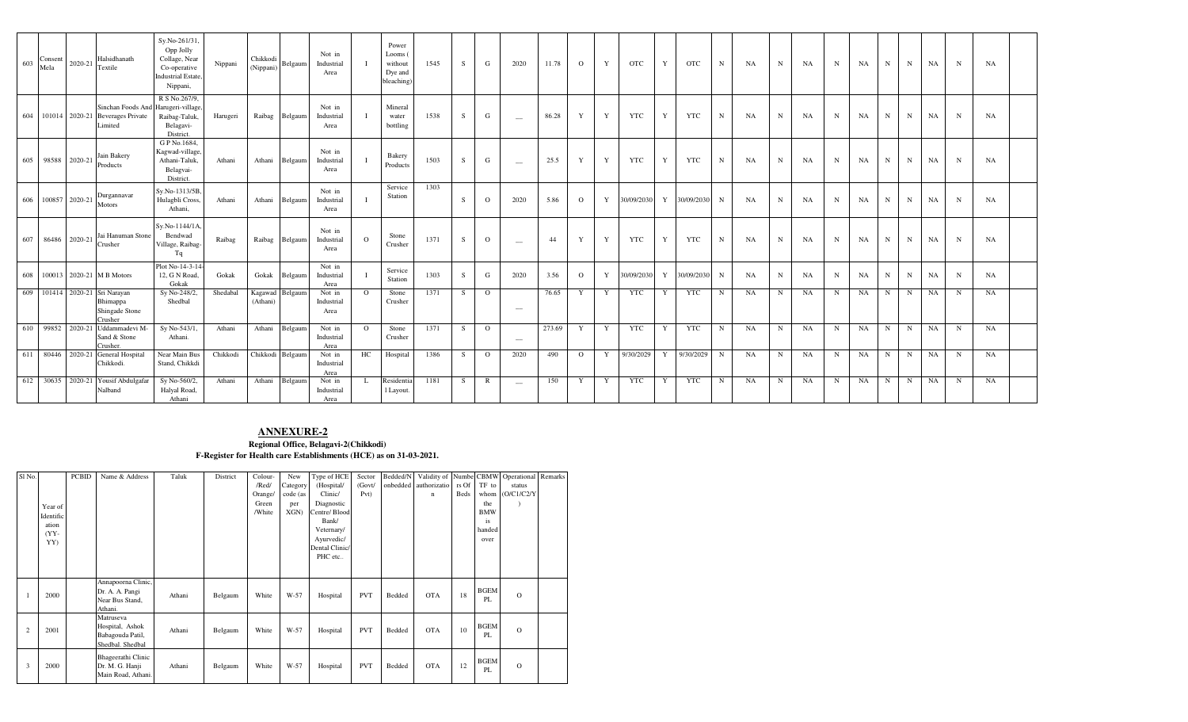| 603 | Consent<br>Mela | 2020-21 | Halsidhanath<br>Textile                                                 | Sy.No-261/31,<br>Opp Jolly<br>Collage, Near<br>Co-operative<br><b>Industrial Estate.</b><br>Nippani, | Nippani  | Chikkodi<br>(Nippani) | Belgaum | Not in<br>Industrial<br>Area |          | Power<br>Looms (<br>without<br>Dye and<br>bleaching) | 1545 | S   | G              | 2020                            | 11.78  | $\Omega$     | Y            | <b>OTC</b> | Y | <b>OTC</b> | N           | NA        | $\mathbf N$ | NA        | N | NA        | $\mathbf N$ | $\mathbf N$ | <b>NA</b> | $\mathbf N$ | NA        |  |
|-----|-----------------|---------|-------------------------------------------------------------------------|------------------------------------------------------------------------------------------------------|----------|-----------------------|---------|------------------------------|----------|------------------------------------------------------|------|-----|----------------|---------------------------------|--------|--------------|--------------|------------|---|------------|-------------|-----------|-------------|-----------|---|-----------|-------------|-------------|-----------|-------------|-----------|--|
|     |                 |         | Sinchan Foods And<br>604 101014 2020-21 Beverages Private<br>Limited    | R S No.267/9,<br>Harugeri-village,<br>Raibag-Taluk,<br>Belagavi-<br>District.                        | Harugeri | Raibag                | Belgaum | Not in<br>Industrial<br>Area |          | Mineral<br>water<br>bottling                         | 1538 | S   | G              | $\hspace{0.1mm}-\hspace{0.1mm}$ | 86.28  | Y            | Y            | <b>YTC</b> | Y | <b>YTC</b> | $\mathbf N$ | <b>NA</b> | $\mathbf N$ | NA        | N | NA        | $\mathbf N$ | $_{\rm N}$  | <b>NA</b> | $\mathbf N$ | NA        |  |
| 605 | 98588           | 2020-21 | Jain Bakery<br>Products                                                 | G P No.1684,<br>Kagwad-village.<br>Athani-Taluk,<br>Belagvai-<br>District.                           | Athani   | Athani                | Belgaum | Not in<br>Industrial<br>Area |          | Bakery<br>Products                                   | 1503 | S.  | G              | $\hspace{0.1mm}-\hspace{0.1mm}$ | 25.5   | Y            | Y            | <b>YTC</b> | Y | <b>YTC</b> | N           | <b>NA</b> | N           | <b>NA</b> | N | NA        | $_{\rm N}$  | N           | <b>NA</b> | N           | <b>NA</b> |  |
| 606 | 100857 2020-21  |         | Durgannavar<br>Motors                                                   | Sy.No-1313/5B.<br>Hulagbli Cross.<br>Athani.                                                         | Athani   | Athani                | Belgaum | Not in<br>Industrial<br>Area |          | Service<br>Station                                   | 1303 | S.  | $\Omega$       | 2020                            | 5.86   | $\Omega$     | Y            | 30/09/2030 | Y | 30/09/2030 | N           | <b>NA</b> | $\mathbf N$ | <b>NA</b> | N | <b>NA</b> | N           | N           | NA        | $\mathbf N$ | <b>NA</b> |  |
| 607 | 86486           | 2020-21 | Jai Hanuman Stone<br>Crusher                                            | Sy.No-1144/1A.<br>Bendwad<br>Village, Raibag-<br>Tq                                                  | Raibag   | Raibag                | Belgaum | Not in<br>Industrial<br>Area | $\Omega$ | Stone<br>Crusher                                     | 1371 | S   | $\mathbf{O}$   | $\overline{\phantom{a}}$        | 44     | Y            | $\mathbf{Y}$ | <b>YTC</b> | Y | <b>YTC</b> | N           | <b>NA</b> | $\mathbf N$ | NA        | N | NA        | $_{\rm N}$  | $\mathbf N$ | <b>NA</b> | N           | NA        |  |
| 608 |                 |         | 100013 2020-21 M B Motors                                               | Plot No-14-3-14<br>12, G N Road,<br>Gokak                                                            | Gokak    | Gokak                 | Belgaum | Not in<br>Industrial<br>Area |          | Service<br>Station                                   | 1303 | S   | G              | 2020                            | 3.56   | $\mathbf{O}$ | $\mathbf{Y}$ | 30/09/2030 | Y | 30/09/2030 | N           | NA        | $\mathbf N$ | <b>NA</b> | N | NA        | $_{\rm N}$  | $_{\rm N}$  | <b>NA</b> | $\mathbf N$ | <b>NA</b> |  |
|     |                 |         | 609 101414 2020-21 Sri Narayan<br>Bhimappa<br>Shingade Stone<br>Crusher | Sy No-248/2,<br>Shedbal                                                                              | Shedabal | Kagawad<br>(Athani)   | Belgaun | Not in<br>Industrial<br>Area | $\Omega$ | Stone<br>Crusher                                     | 1371 | S.  | $\Omega$       | $\sim$                          | 76.65  | Y            | Y            | <b>YTC</b> | Y | YTC        | N           | NA        | N           | NA        | N | <b>NA</b> | N           | N           | <b>NA</b> | $_{\rm N}$  | <b>NA</b> |  |
|     |                 |         | 610 99852 2020-21 Uddammadevi M-<br>Sand & Stone<br>Crusher.            | Sy No-543/1,<br>Athani.                                                                              | Athani   | Athani                | Belgaun | Not in<br>Industrial<br>Area | $\Omega$ | Stone<br>Crusher                                     | 1371 | S.  | $\overline{O}$ | $\overline{\phantom{a}}$        | 273.69 | Y            | Y            | <b>YTC</b> | Y | <b>YTC</b> | N           | NA        | N           | NA        | N | <b>NA</b> | $_{\rm N}$  | N           | <b>NA</b> | $\mathbf N$ | NA        |  |
| 611 |                 |         | 80446 2020-21 General Hospital<br>Chikkodi.                             | Near Main Bus<br>Stand, Chikkdi                                                                      | Chikkodi | Chikkodi Belgaum      |         | Not in<br>Industrial<br>Area | HC       | Hospital                                             | 1386 | - S | $\Omega$       | 2020                            | 490    | $\Omega$     | Y            | 9/30/2029  | Y | 9/30/2029  | N           | <b>NA</b> | N           | NA        | N | NA        | $_{\rm N}$  | $\mathbf N$ | <b>NA</b> | $\mathbf N$ | <b>NA</b> |  |
|     | 612 30635       |         | 2020-21 Yousif Abdulgafar<br>Nalband                                    | Sy No-560/2,<br>Halyal Road.<br>Athani                                                               | Athani   | Athani                | Belgaum | Not in<br>Industrial<br>Area | L        | Residentia<br>1 Layout.                              | 1181 | - S | R              | $\sim$                          | 150    | Y            | Y            | YTC        | Y | <b>YTC</b> | N           | NA        | N           | NA        | N | NA        | $_{\rm N}$  | $\mathbf N$ | <b>NA</b> | $_{\rm N}$  | <b>NA</b> |  |

## **ANNEXURE-2**

**Regional Office, Belagavi-2(Chikkodi) F-Register for Health care Establishments (HCE) as on 31-03-2021.**

| Sl <sub>No.</sub> |           | <b>PCBID</b> | Name & Address                                                       | Taluk  | District | Colour- | New      | Type of HCE    | Sector     | Bedded/N | Validity of           |             |                   | Numbe CBMW Operational Remarks |  |
|-------------------|-----------|--------------|----------------------------------------------------------------------|--------|----------|---------|----------|----------------|------------|----------|-----------------------|-------------|-------------------|--------------------------------|--|
|                   |           |              |                                                                      |        |          | /Red/   | Category | (Hospital/     | (Govt)     |          | onbedded authorizatio | rs Of       | TF to             | status                         |  |
|                   |           |              |                                                                      |        |          | Orange/ | code (as | Clinic/        | Pvt)       |          | $\mathbf n$           | <b>Beds</b> | whom              | (O/C1/C2/Y)                    |  |
|                   | Year of   |              |                                                                      |        |          | Green   | per      | Diagnostic     |            |          |                       |             | the               |                                |  |
|                   | Identific |              |                                                                      |        |          | /White  | XGN)     | Centre/Blood   |            |          |                       |             | <b>BMW</b>        |                                |  |
|                   | ation     |              |                                                                      |        |          |         |          | Bank/          |            |          |                       |             | is                |                                |  |
|                   | $(YY -$   |              |                                                                      |        |          |         |          | Veternary/     |            |          |                       |             | handed            |                                |  |
|                   | YY)       |              |                                                                      |        |          |         |          | Ayurvedic/     |            |          |                       |             | over              |                                |  |
|                   |           |              |                                                                      |        |          |         |          | Dental Clinic/ |            |          |                       |             |                   |                                |  |
|                   |           |              |                                                                      |        |          |         |          | PHC etc        |            |          |                       |             |                   |                                |  |
|                   |           |              |                                                                      |        |          |         |          |                |            |          |                       |             |                   |                                |  |
|                   | 2000      |              | Annapoorna Clinic,<br>Dr. A. A. Pangi<br>Near Bus Stand,<br>Athani.  | Athani | Belgaum  | White   | W-57     | Hospital       | <b>PVT</b> | Bedded   | <b>OTA</b>            | 18          | <b>BGEM</b><br>PL | $\mathbf{O}$                   |  |
| 2                 | 2001      |              | Matruseva<br>Hospital, Ashok<br>Babagouda Patil,<br>Shedbal. Shedbal | Athani | Belgaum  | White   | W-57     | Hospital       | <b>PVT</b> | Bedded   | <b>OTA</b>            | 10          | <b>BGEM</b><br>PL | $\circ$                        |  |
| 3                 | 2000      |              | Bhageerathi Clinic<br>Dr. M. G. Hanji<br>Main Road, Athani.          | Athani | Belgaum  | White   | $W-57$   | Hospital       | <b>PVT</b> | Bedded   | <b>OTA</b>            | 12          | <b>BGEM</b><br>PL | $\circ$                        |  |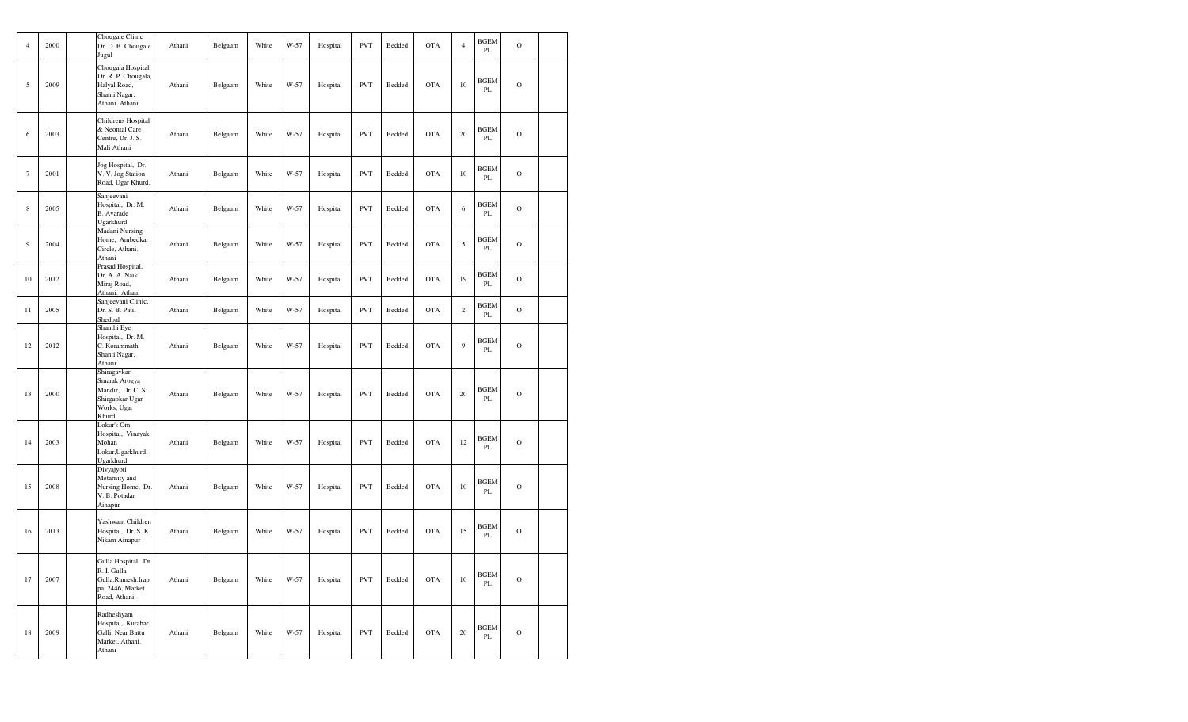| $\overline{4}$    | 2000 | Chougale Clinic<br>Dr. D. B. Chougale<br>Jugul                                                | Athani | Belgaum | White | W-57 | Hospital | <b>PVT</b> | Bedded | <b>OTA</b> | $\overline{4}$ | <b>BGEM</b><br>PL            | $\mathcal{O}$ |  |
|-------------------|------|-----------------------------------------------------------------------------------------------|--------|---------|-------|------|----------|------------|--------|------------|----------------|------------------------------|---------------|--|
| 5                 | 2009 | Chougala Hospital,<br>Dr. R. P. Chougala,<br>Halyal Road,<br>Shanti Nagar,<br>Athani. Athani  | Athani | Belgaum | White | W-57 | Hospital | <b>PVT</b> | Bedded | <b>OTA</b> | 10             | <b>BGEM</b><br>PL            | $\mathbf O$   |  |
| 6                 | 2003 | Childrens Hospital<br>& Neontal Care<br>Centre, Dr. J. S.<br>Mali Athani                      | Athani | Belgaum | White | W-57 | Hospital | <b>PVT</b> | Bedded | <b>OTA</b> | 20             | <b>BGEM</b><br>PL            | $\mathbf O$   |  |
| $\overline{\tau}$ | 2001 | Jog Hospital, Dr.<br>V. V. Jog Station<br>Road, Ugar Khurd.                                   | Athani | Belgaum | White | W-57 | Hospital | <b>PVT</b> | Bedded | <b>OTA</b> | 10             | <b>BGEM</b><br>PL            | $\mathcal{O}$ |  |
| 8                 | 2005 | Sanjeevani<br>Hospital, Dr. M.<br>B. Avarade<br>Ugarkhurd                                     | Athani | Belgaum | White | W-57 | Hospital | <b>PVT</b> | Bedded | <b>OTA</b> | $\sqrt{6}$     | <b>BGEM</b><br>PL            | $\mathcal{O}$ |  |
| 9                 | 2004 | Madani Nursing<br>Home, Ambedkar<br>Circle, Athani.<br>Athani                                 | Athani | Belgaum | White | W-57 | Hospital | <b>PVT</b> | Bedded | <b>OTA</b> | 5              | <b>BGEM</b><br>PL            | $\mathcal{O}$ |  |
| 10                | 2012 | Prasad Hospital,<br>Dr. A. A. Naik.<br>Miraj Road,<br>Athani. Athani                          | Athani | Belgaum | White | W-57 | Hospital | <b>PVT</b> | Bedded | <b>OTA</b> | 19             | <b>BGEM</b><br>PL            | $\Omega$      |  |
| 11                | 2005 | Sanjeevani Clinic,<br>Dr. S. B. Patil<br>Shedbal                                              | Athani | Belgaum | White | W-57 | Hospital | <b>PVT</b> | Bedded | <b>OTA</b> | $\overline{c}$ | <b>BGEM</b><br>PL            | $\mathbf O$   |  |
| 12                | 2012 | Shanthi Eye<br>Hospital, Dr. M.<br>C. Korammath<br>Shanti Nagar,<br>Athani.                   | Athani | Belgaum | White | W-57 | Hospital | <b>PVT</b> | Bedded | <b>OTA</b> | 9              | <b>BGEM</b><br>PL            | $\mathcal{O}$ |  |
| 13                | 2000 | Shiragavkar<br>Smarak Arogya<br>Mandir, Dr. C. S.<br>Shirgaokar Ugar<br>Works, Ugar<br>Khurd. | Athani | Belgaum | White | W-57 | Hospital | <b>PVT</b> | Bedded | <b>OTA</b> | 20             | <b>BGEM</b><br>$\mathbf{PL}$ | $\mathcal{O}$ |  |
| 14                | 2003 | Lokur's Om<br>Hospital, Vinayak<br>Mohan<br>Lokur, Ugarkhurd.<br>Ugarkhurd                    | Athani | Belgaum | White | W-57 | Hospital | <b>PVT</b> | Bedded | <b>OTA</b> | 12             | <b>BGEM</b><br>PL            | $\mathcal{O}$ |  |
| 15                | 2008 | Divyajyoti<br>Metarnity and<br>Nursing Home, Dr.<br>V. B. Potadar<br>Ainapur                  | Athani | Belgaum | White | W-57 | Hospital | <b>PVT</b> | Bedded | <b>OTA</b> | 10             | <b>BGEM</b><br>PL            | $\mathcal{O}$ |  |
| 16                | 2013 | Yashwant Children<br>Hospital, Dr. S. K.<br>Nikam Ainapur                                     | Athani | Belgaum | White | W-57 | Hospital | <b>PVT</b> | Bedded | <b>OTA</b> | 15             | <b>BGEM</b><br>PL            | $\mathcal{O}$ |  |
| 17                | 2007 | Gulla Hospital, Dr.<br>R. I. Gulla<br>Gulla.Ramesh.Irap<br>pa, 2446, Market<br>Road, Athani.  | Athani | Belgaum | White | W-57 | Hospital | <b>PVT</b> | Bedded | <b>OTA</b> | $10\,$         | <b>BGEM</b><br>PL            | $\mathbf O$   |  |
| 18                | 2009 | Radheshyam<br>Hospital, Kurabar<br>Galli, Near Battu<br>Market, Athani.<br>Athani             | Athani | Belgaum | White | W-57 | Hospital | <b>PVT</b> | Bedded | <b>OTA</b> | 20             | <b>BGEM</b><br>PL            | $\mathbf O$   |  |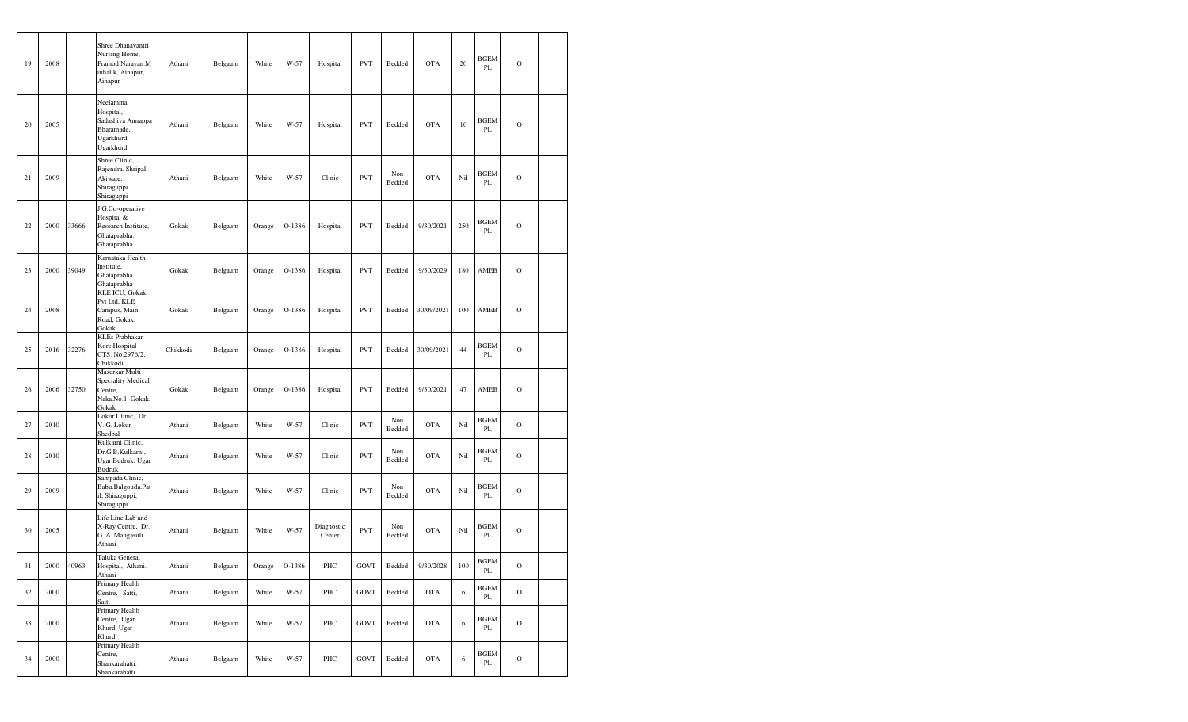| 19 | 2008 |       | Shree Dhanavantri<br>Nursing Home,<br>Pramod.Narayan.M<br>uthalik, Ainapur,<br>Ainapur | Athani   | Belgaum | White  | W-57   | Hospital             | <b>PVT</b>  | Bedded        | <b>OTA</b> | 20  | <b>BGEM</b><br>PL            | $\mathbf O$   |  |
|----|------|-------|----------------------------------------------------------------------------------------|----------|---------|--------|--------|----------------------|-------------|---------------|------------|-----|------------------------------|---------------|--|
| 20 | 2005 |       | Neelamma<br>Hospital,<br>Sadashiva Annappa<br>Bharamade,<br>Ugarkhurd.<br>Ugarkhurd    | Athani   | Belgaum | White  | $W-57$ | Hospital             | <b>PVT</b>  | Bedded        | <b>OTA</b> | 10  | <b>BGEM</b><br>PL            | $\mathbf O$   |  |
| 21 | 2009 |       | Shree Clinic,<br>Rajendra. Shripal.<br>Akiwate,<br>Shiraguppi.<br>Shiraguppi           | Athani   | Belgaum | White  | $W-57$ | Clinic               | <b>PVT</b>  | Non<br>Bedded | <b>OTA</b> | Nil | BGEM<br>PL                   | $\circ$       |  |
| 22 | 2000 | 33666 | J.G.Co-operative<br>Hospital &<br>Research Institute,<br>Ghataprabha.<br>Ghataprabha.  | Gokak    | Belgaum | Orange | O-1386 | Hospital             | <b>PVT</b>  | Bedded        | 9/30/2021  | 250 | <b>BGEM</b><br>PL            | $\circ$       |  |
| 23 | 2000 | 39049 | Karnataka Health<br>Institute,<br>Ghataprabha.<br>Ghataprabha                          | Gokak    | Belgaum | Orange | O-1386 | Hospital             | <b>PVT</b>  | Bedded        | 9/30/2029  | 180 | AMEB                         | $\circ$       |  |
| 24 | 2008 |       | <b>KLE ICU, Gokak</b><br>Pvt Ltd, KLE<br>Campus, Main<br>Road, Gokak.<br>Gokak         | Gokak    | Belgaum | Orange | O-1386 | Hospital             | <b>PVT</b>  | Bedded        | 30/09/2021 | 100 | AMEB                         | $\circ$       |  |
| 25 | 2016 | 32276 | <b>KLEs Prabhakar</b><br>Kore Hospital<br>CTS. No.2976/2,<br>Chikkodi                  | Chikkodi | Belgaum | Orange | O-1386 | Hospital             | <b>PVT</b>  | Bedded        | 30/09/2021 | 44  | <b>BGEM</b><br>PL            | $\circ$       |  |
| 26 | 2006 | 32750 | Masurkar Multi<br>Speciality Medical<br>Centre,<br>Naka.No.1, Gokak.<br>Gokak          | Gokak    | Belgaum | Orange | O-1386 | Hospital             | <b>PVT</b>  | Bedded        | 9/30/2021  | 47  | AMEB                         | $\circ$       |  |
| 27 | 2010 |       | Lokur Clinic, Dr.<br>V. G. Lokur<br>Shedbal                                            | Athani   | Belgaum | White  | W-57   | Clinic               | <b>PVT</b>  | Non<br>Bedded | <b>OTA</b> | Nil | <b>BGEM</b><br>PL            | $\Omega$      |  |
| 28 | 2010 |       | Kulkarni Clinic,<br>Dr.G.B.Kulkarni,<br>Ugar Budruk. Ugar<br>Budruk                    | Athani   | Belgaum | White  | W-57   | Clinic               | <b>PVT</b>  | Non<br>Bedded | <b>OTA</b> | Nil | BGEM<br>PL                   | $\mathbf O$   |  |
| 29 | 2009 |       | Sampada Clinic,<br>Babu.Balgouda.Pat<br>il, Shiraguppi,<br>Shiraguppi                  | Athani   | Belgaum | White  | W-57   | Clinic               | <b>PVT</b>  | Non<br>Bedded | <b>OTA</b> | Nil | BGEM<br>PL                   | $\circ$       |  |
| 30 | 2005 |       | Life Line Lab and<br>X-Ray Centre, Dr.<br>G. A. Mangasuli<br>Athani                    | Athani   | Belgaum | White  | W-57   | Diagnostic<br>Center | <b>PVT</b>  | Non<br>Bedded | <b>OTA</b> | Nil | <b>BGEM</b><br>PL            | $\circ$       |  |
| 31 | 2000 | 40963 | Taluka General<br>Hospital, Athani.<br>Athani                                          | Athani   | Belgaum | Orange | O-1386 | PHC                  | <b>GOVT</b> | Bedded        | 9/30/2028  | 100 | <b>BGEM</b><br>$\mathbf{PL}$ | $\mathcal{O}$ |  |
| 32 | 2000 |       | Primary Health<br>Centre, Satti,<br>Satti                                              | Athani   | Belgaum | White  | W-57   | PHC                  | <b>GOVT</b> | Bedded        | <b>OTA</b> | 6   | <b>BGEM</b><br>$\rm PL$      | $\mathcal O$  |  |
| 33 | 2000 |       | Primary Health<br>Centre, Ugar<br>Khurd. Ugar<br>Khurd.                                | Athani   | Belgaum | White  | W-57   | PHC                  | <b>GOVT</b> | Bedded        | <b>OTA</b> | 6   | BGEM<br>PL                   | $\mathbf O$   |  |
| 34 | 2000 |       | Primary Health<br>Centre,<br>Shankarahatti.<br>Shankarahatti                           | Athani   | Belgaum | White  | W-57   | PHC                  | <b>GOVT</b> | Bedded        | <b>OTA</b> | 6   | <b>BGEM</b><br>PL            | $\mathbf O$   |  |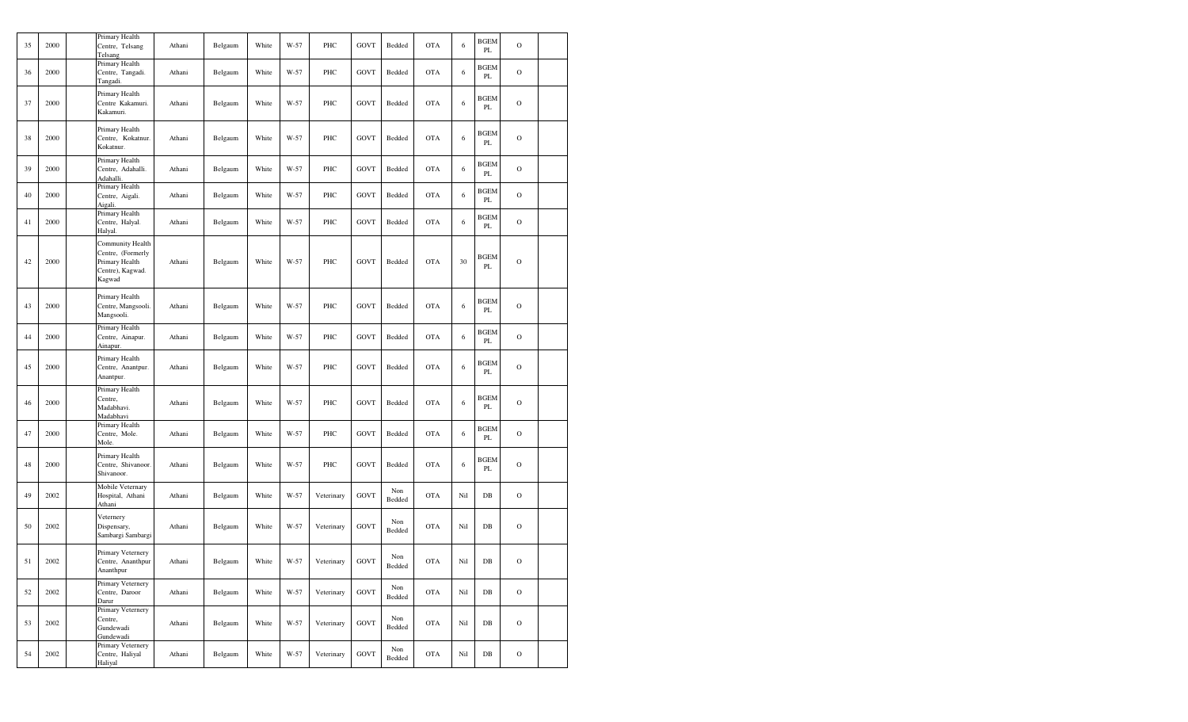| 35 | 2000 | Primary Health<br>Centre, Telsang<br>Telsang                                          | Athani | Belgaum           | White | W-57 | PHC        | <b>GOVT</b> | Bedded        | <b>OTA</b> | 6   | <b>BGEM</b><br>$\mathbf{PL}$ | $\mathbf O$   |  |
|----|------|---------------------------------------------------------------------------------------|--------|-------------------|-------|------|------------|-------------|---------------|------------|-----|------------------------------|---------------|--|
| 36 | 2000 | Primary Health<br>Centre, Tangadi.<br>Tangadi.                                        | Athani | Belgaum           | White | W-57 | PHC        | <b>GOVT</b> | Bedded        | <b>OTA</b> | 6   | BGEM<br>PL                   | $\mathbf O$   |  |
| 37 | 2000 | Primary Health<br>Centre Kakamuri.<br>Kakamuri.                                       | Athani | Belgaum           | White | W-57 | PHC        | <b>GOVT</b> | Bedded        | <b>OTA</b> | 6   | BGEM<br>PL                   | $\mathbf O$   |  |
| 38 | 2000 | Primary Health<br>Centre, Kokatnur.<br>Kokatnur.                                      | Athani | Belgaum           | White | W-57 | PHC        | GOVT        | Bedded        | <b>OTA</b> | 6   | BGEM<br>PL                   | $\circ$       |  |
| 39 | 2000 | Primary Health<br>Centre, Adahalli.<br>Adahalli.                                      | Athani | Belgaum           | White | W-57 | PHC        | GOVT        | Bedded        | <b>OTA</b> | 6   | <b>BGEM</b><br>PL            | $\mathbf O$   |  |
| 40 | 2000 | Primary Health<br>Centre, Aigali.<br>Aigali.                                          | Athani | Belgaum           | White | W-57 | PHC        | GOVT        | Bedded        | <b>OTA</b> | 6   | <b>BGEM</b><br>PL            | $\mathcal{O}$ |  |
| 41 | 2000 | Primary Health<br>Centre, Halyal.<br>Halyal.                                          | Athani | Belgaum           | White | W-57 | PHC        | GOVT        | Bedded        | <b>OTA</b> | 6   | BGEM<br>PL                   | $\mathcal{O}$ |  |
| 42 | 2000 | Community Health<br>Centre, (Formerly<br>Primary Health<br>Centre), Kagwad.<br>Kagwad | Athani | Belgaum           | White | W-57 | PHC        | GOVT        | Bedded        | <b>OTA</b> | 30  | <b>BGEM</b><br>PL            | $\mathbf O$   |  |
| 43 | 2000 | Primary Health<br>Centre, Mangsooli.<br>Mangsooli.                                    | Athani | Belgaum           | White | W-57 | PHC        | GOVT        | Bedded        | <b>OTA</b> | 6   | BGEM<br>PL                   | $\mathbf O$   |  |
| 44 | 2000 | Primary Health<br>Centre, Ainapur.<br>Ainapur.                                        | Athani | Belgaum           | White | W-57 | PHC        | <b>GOVT</b> | Bedded        | <b>OTA</b> | 6   | <b>BGEM</b><br>PL            | $\mathbf O$   |  |
| 45 | 2000 | Primary Health<br>Centre, Anantpur.<br>Anantpur.                                      | Athani | Belgaum           | White | W-57 | PHC        | GOVT        | Bedded        | <b>OTA</b> | 6   | BGEM<br>PL                   | $\mathbf O$   |  |
| 46 | 2000 | Primary Health<br>Centre,<br>Madabhavi.<br>Madabhavi                                  | Athani | Belgaum           | White | W-57 | PHC        | GOVT        | Bedded        | <b>OTA</b> | 6   | BGEM<br>PL                   | $\mathbf O$   |  |
| 47 | 2000 | Primary Health<br>Centre, Mole.<br>Mole.                                              | Athani | Belgaum           | White | W-57 | PHC        | GOVT        | Bedded        | <b>OTA</b> | 6   | <b>BGEM</b><br>PL            | $\mathcal{O}$ |  |
| 48 | 2000 | Primary Health<br>Centre, Shivanoor.<br>Shivanoor.                                    | Athani | Belgaum           | White | W-57 | PHC        | <b>GOVT</b> | Bedded        | <b>OTA</b> | 6   | <b>BGEM</b><br>PL            | $\mathbf O$   |  |
| 49 | 2002 | Mobile Veternary<br>Hospital, Athani<br>Athani                                        | Athani | Belgaum           | White | W-57 | Veterinary | <b>GOVT</b> | Non<br>Bedded | <b>OTA</b> | Nil | DB                           | $\mathbf O$   |  |
| 50 | 2002 | Veternery<br>Dispensary,<br>Sambargi Sambargi                                         | Athani | Belgaum           | White | W-57 | Veterinary | GOVT        | Non<br>Bedded | <b>OTA</b> | Nil | $DB$                         | $\mathcal{O}$ |  |
| 51 | 2002 | Primary Veternery<br>Centre, Ananthpur<br>Ananthpur                                   | Athani | $_{\rm{Belgaum}}$ | White | W-57 | Veterinary | GOVT        | Non<br>Bedded | <b>OTA</b> | Nil | $DB$                         | $\mathcal{O}$ |  |
| 52 | 2002 | Primary Veternery<br>Centre, Daroor<br>Darur                                          | Athani | Belgaum           | White | W-57 | Veterinary | GOVT        | Non<br>Bedded | <b>OTA</b> | Nil | DB                           | $\mathcal{O}$ |  |
| 53 | 2002 | Primary Veternery<br>Centre,<br>Gundewadi<br>Gundewadi                                | Athani | Belgaum           | White | W-57 | Veterinary | GOVT        | Non<br>Bedded | <b>OTA</b> | Nil | $_{\rm DB}$                  | $\mathcal{O}$ |  |
| 54 | 2002 | Primary Veternery<br>Centre, Haliyal<br>Haliyal                                       | Athani | Belgaum           | White | W-57 | Veterinary | GOVT        | Non<br>Bedded | <b>OTA</b> | Nil | $_{\rm DB}$                  | $\mathcal{O}$ |  |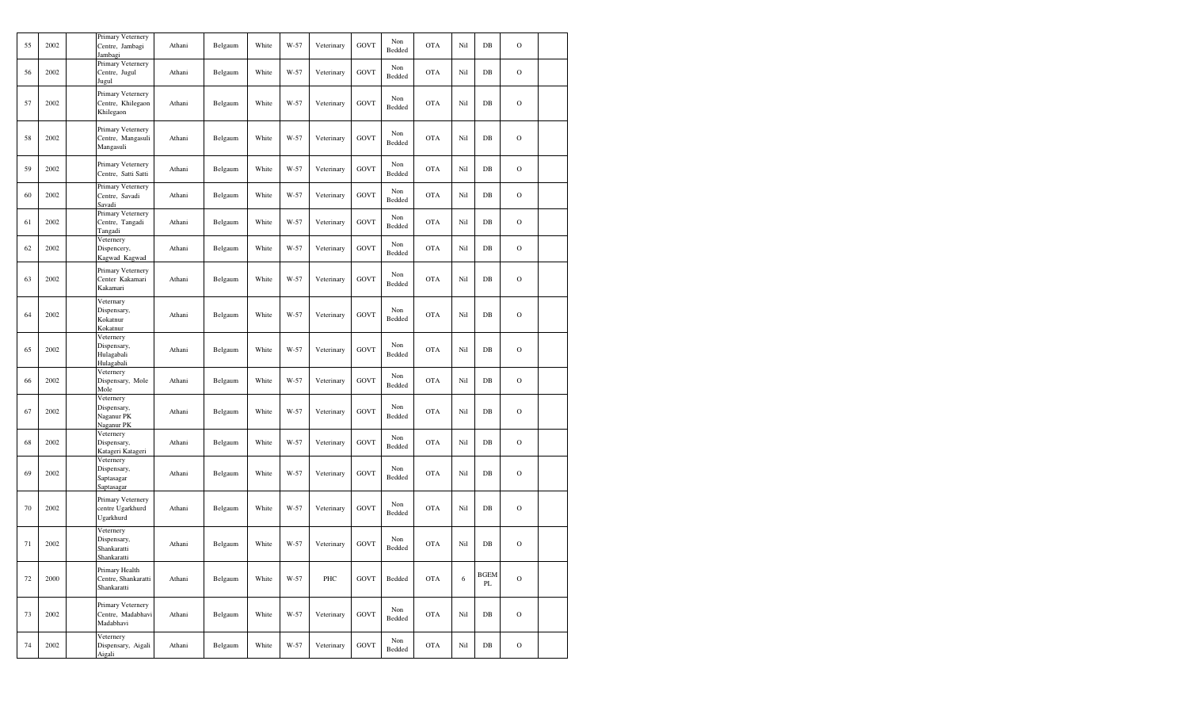| 55 | 2002 | Primary Veternery<br>Centre, Jambagi<br>Jambagi        | Athani | Belgaum | White | W-57 | Veterinary | <b>GOVT</b> | Non<br>Bedded | <b>OTA</b> | Nil        | $DB$                    | $\circ$       |  |
|----|------|--------------------------------------------------------|--------|---------|-------|------|------------|-------------|---------------|------------|------------|-------------------------|---------------|--|
| 56 | 2002 | Primary Veternery<br>Centre, Jugul<br>Jugul            | Athani | Belgaum | White | W-57 | Veterinary | <b>GOVT</b> | Non<br>Bedded | <b>OTA</b> | Nil        | $DB$                    | $\circ$       |  |
| 57 | 2002 | Primary Veternery<br>Centre, Khilegaon<br>Khilegaon    | Athani | Belgaum | White | W-57 | Veterinary | <b>GOVT</b> | Non<br>Bedded | <b>OTA</b> | Nil        | DB                      | $\circ$       |  |
| 58 | 2002 | Primary Veternery<br>Centre, Mangasuli<br>Mangasuli    | Athani | Belgaum | White | W-57 | Veterinary | <b>GOVT</b> | Non<br>Bedded | <b>OTA</b> | Nil        | DB                      | $\circ$       |  |
| 59 | 2002 | Primary Veternery<br>Centre, Satti Satti               | Athani | Belgaum | White | W-57 | Veterinary | <b>GOVT</b> | Non<br>Bedded | <b>OTA</b> | Nil        | DB                      | $\circ$       |  |
| 60 | 2002 | Primary Veternery<br>Centre, Savadi<br>Savadi          | Athani | Belgaum | White | W-57 | Veterinary | <b>GOVT</b> | Non<br>Bedded | <b>OTA</b> | Nil        | DB                      | $\mathbf O$   |  |
| 61 | 2002 | Primary Veternery<br>Centre, Tangadi<br>Tangadi        | Athani | Belgaum | White | W-57 | Veterinary | <b>GOVT</b> | Non<br>Bedded | <b>OTA</b> | Nil        | DB                      | $\circ$       |  |
| 62 | 2002 | Veternery<br>Dispencery,<br>Kagwad Kagwad              | Athani | Belgaum | White | W-57 | Veterinary | <b>GOVT</b> | Non<br>Bedded | <b>OTA</b> | Nil        | DB                      | $\circ$       |  |
| 63 | 2002 | Primary Veternery<br>Center Kakamari<br>Kakamari       | Athani | Belgaum | White | W-57 | Veterinary | <b>GOVT</b> | Non<br>Bedded | <b>OTA</b> | Nil        | DB                      | $\circ$       |  |
| 64 | 2002 | Veternary<br>Dispensary,<br>Kokatnur<br>Kokatnur       | Athani | Belgaum | White | W-57 | Veterinary | <b>GOVT</b> | Non<br>Bedded | <b>OTA</b> | Nil        | DB                      | $\circ$       |  |
| 65 | 2002 | Veternery<br>Dispensary,<br>Hulagabali<br>Hulagabali   | Athani | Belgaum | White | W-57 | Veterinary | <b>GOVT</b> | Non<br>Bedded | <b>OTA</b> | Nil        | DB                      | $\circ$       |  |
| 66 | 2002 | Veternery<br>Dispensary, Mole<br>Mole                  | Athani | Belgaum | White | W-57 | Veterinary | <b>GOVT</b> | Non<br>Bedded | <b>OTA</b> | Nil        | DB                      | $\circ$       |  |
| 67 | 2002 | Veternery<br>Dispensary,<br>Naganur PK<br>Naganur PK   | Athani | Belgaum | White | W-57 | Veterinary | <b>GOVT</b> | Non<br>Bedded | <b>OTA</b> | Nil        | DB                      | $\circ$       |  |
| 68 | 2002 | Veternery<br>Dispensary,<br>Katageri Katageri          | Athani | Belgaum | White | W-57 | Veterinary | <b>GOVT</b> | Non<br>Bedded | <b>OTA</b> | Nil        | $DB$                    | $\circ$       |  |
| 69 | 2002 | Veternery<br>Dispensary,<br>Saptasagar<br>Saptasagar   | Athani | Belgaum | White | W-57 | Veterinary | <b>GOVT</b> | Non<br>Bedded | <b>OTA</b> | Nil        | DB                      | $\circ$       |  |
| 70 | 2002 | Primary Veternery<br>centre Ugarkhurd<br>Ugarkhurd     | Athani | Belgaum | White | W-57 | Veterinary | <b>GOVT</b> | Non<br>Bedded | <b>OTA</b> | Nil        | DB                      | $\circ$       |  |
| 71 | 2002 | Veternery<br>Dispensary,<br>Shankaratti<br>Shankaratti | Athani | Belgaum | White | W-57 | Veterinary | <b>GOVT</b> | Non<br>Bedded | <b>OTA</b> | Nil        | DB                      | $\circ$       |  |
| 72 | 2000 | Primary Health<br>Centre, Shankaratti<br>Shankaratti   | Athani | Belgaum | White | W-57 | PHC        | <b>GOVT</b> | Bedded        | <b>OTA</b> | $\sqrt{6}$ | <b>BGEM</b><br>$\rm PL$ | $\mathbf O$   |  |
| 73 | 2002 | Primary Veternery<br>Centre, Madabhavi<br>Madabhavi    | Athani | Belgaum | White | W-57 | Veterinary | <b>GOVT</b> | Non<br>Bedded | <b>OTA</b> | Nil        | $DB$                    | $\mathcal{O}$ |  |
| 74 | 2002 | Veternery<br>Dispensary, Aigali<br>Aigali              | Athani | Belgaum | White | W-57 | Veterinary | <b>GOVT</b> | Non<br>Bedded | <b>OTA</b> | Nil        | $_{\rm DB}$             | $\mathcal O$  |  |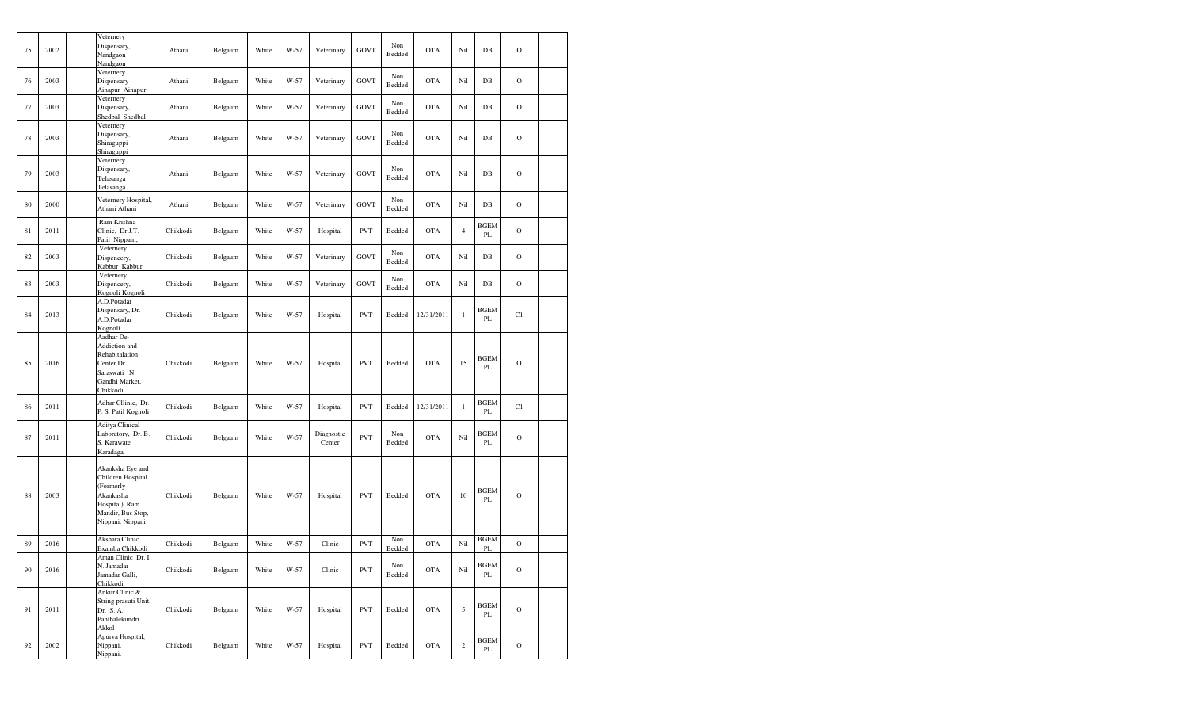| 75 | 2002 | Veternery<br>Dispensary,<br>Nandgaon<br>Nandgaon                                                                           | Athani   | Belgaum | White | W-57 | Veterinary           | <b>GOVT</b> | Non<br>Bedded | <b>OTA</b> | Nil            | $DB$              | $\circ$       |  |
|----|------|----------------------------------------------------------------------------------------------------------------------------|----------|---------|-------|------|----------------------|-------------|---------------|------------|----------------|-------------------|---------------|--|
| 76 | 2003 | Veternery<br>Dispensary<br>Ainapur Ainapur                                                                                 | Athani   | Belgaum | White | W-57 | Veterinary           | <b>GOVT</b> | Non<br>Bedded | <b>OTA</b> | Nil            | $DB$              | $\mathbf O$   |  |
| 77 | 2003 | Veternery<br>Dispensary,<br>Shedbal Shedbal                                                                                | Athani   | Belgaum | White | W-57 | Veterinary           | <b>GOVT</b> | Non<br>Bedded | <b>OTA</b> | Nil            | $DB$              | $\circ$       |  |
| 78 | 2003 | Veternery<br>Dispensary,<br>Shiraguppi<br>Shiraguppi                                                                       | Athani   | Belgaum | White | W-57 | Veterinary           | <b>GOVT</b> | Non<br>Bedded | <b>OTA</b> | Nil            | $DB$              | $\mathbf O$   |  |
| 79 | 2003 | Veternery<br>Dispensary,<br>Telasanga<br>Telasanga                                                                         | Athani   | Belgaum | White | W-57 | Veterinary           | <b>GOVT</b> | Non<br>Bedded | <b>OTA</b> | Nil            | $DB$              | $\circ$       |  |
| 80 | 2000 | Veternery Hospital,<br>Athani Athani                                                                                       | Athani   | Belgaum | White | W-57 | Veterinary           | <b>GOVT</b> | Non<br>Bedded | <b>OTA</b> | Nil            | DB                | $\mathbf O$   |  |
| 81 | 2011 | Ram Krishna<br>Clinic, Dr J.T.<br>Patil Nippani,                                                                           | Chikkodi | Belgaum | White | W-57 | Hospital             | <b>PVT</b>  | Bedded        | <b>OTA</b> | $\overline{4}$ | <b>BGEM</b><br>PL | $\mathbf O$   |  |
| 82 | 2003 | Veternery<br>Dispencery,<br>Kabbur Kabbur                                                                                  | Chikkodi | Belgaum | White | W-57 | Veterinary           | <b>GOVT</b> | Non<br>Bedded | <b>OTA</b> | Nil            | $DB$              | $\mathbf O$   |  |
| 83 | 2003 | Veternery<br>Dispencery,<br>Kognoli Kognoli                                                                                | Chikkodi | Belgaum | White | W-57 | Veterinary           | <b>GOVT</b> | Non<br>Bedded | <b>OTA</b> | Nil            | $DB$              | $\circ$       |  |
| 84 | 2013 | A.D.Potadar<br>Dispensary, Dr.<br>A.D.Potadar<br>Kognoli                                                                   | Chikkodi | Belgaum | White | W-57 | Hospital             | <b>PVT</b>  | Bedded        | 12/31/2011 | $\,1$          | <b>BGEM</b><br>PL | C1            |  |
| 85 | 2016 | Aadhar De-<br>Addiction and<br>Rehabitalation<br>Center Dr.<br>Saraswati N.<br>Gandhi Market,<br>Chikkodi                  | Chikkodi | Belgaum | White | W-57 | Hospital             | <b>PVT</b>  | Bedded        | <b>OTA</b> | 15             | <b>BGEM</b><br>PL | $\circ$       |  |
| 86 | 2011 | Adhar Cllinic, Dr.<br>P. S. Patil Kognoli                                                                                  | Chikkodi | Belgaum | White | W-57 | Hospital             | <b>PVT</b>  | Bedded        | 12/31/2011 | $\,1$          | <b>BGEM</b><br>PL | C1            |  |
| 87 | 2011 | Aditya Clinical<br>Laboratory, Dr. B.<br>S. Karawate<br>Karadaga                                                           | Chikkodi | Belgaum | White | W-57 | Diagnostic<br>Center | <b>PVT</b>  | Non<br>Bedded | <b>OTA</b> | Nil            | <b>BGEM</b><br>PL | $\mathbf O$   |  |
| 88 | 2003 | Akanksha Eye and<br>Children Hospital<br>(Formerly<br>Akankasha<br>Hospital), Ram<br>Mandir, Bus Stop,<br>Nippani. Nippani | Chikkodi | Belgaum | White | W-57 | Hospital             | <b>PVT</b>  | Bedded        | <b>OTA</b> | 10             | <b>BGEM</b><br>PL | $\circ$       |  |
| 89 | 2016 | Akshara Clinic<br>Examba Chikkodi                                                                                          | Chikkodi | Belgaum | White | W-57 | Clinic               | <b>PVT</b>  | Non<br>Bedded | <b>OTA</b> | Nil            | <b>BGEM</b><br>PL | $\circ$       |  |
| 90 | 2016 | Aman Clinic Dr. I.<br>N. Jamadar<br>Jamadar Galli,<br>Chikkodi                                                             | Chikkodi | Belgaum | White | W-57 | Clinic               | <b>PVT</b>  | Non<br>Bedded | <b>OTA</b> | Nil            | <b>BGEM</b><br>PL | $\circ$       |  |
| 91 | 2011 | Ankur Clinic &<br>String prasuti Unit,<br>Dr. S.A.<br>Pantbalekundri<br>Akkol                                              | Chikkodi | Belgaum | White | W-57 | Hospital             | <b>PVT</b>  | Bedded        | <b>OTA</b> | 5              | <b>BGEM</b><br>PL | $\mathbf O$   |  |
| 92 | 2002 | Apurva Hospital,<br>Nippani.<br>Nippani.                                                                                   | Chikkodi | Belgaum | White | W-57 | Hospital             | <b>PVT</b>  | Bedded        | <b>OTA</b> | $\,2$          | <b>BGEM</b><br>PL | $\mathcal{O}$ |  |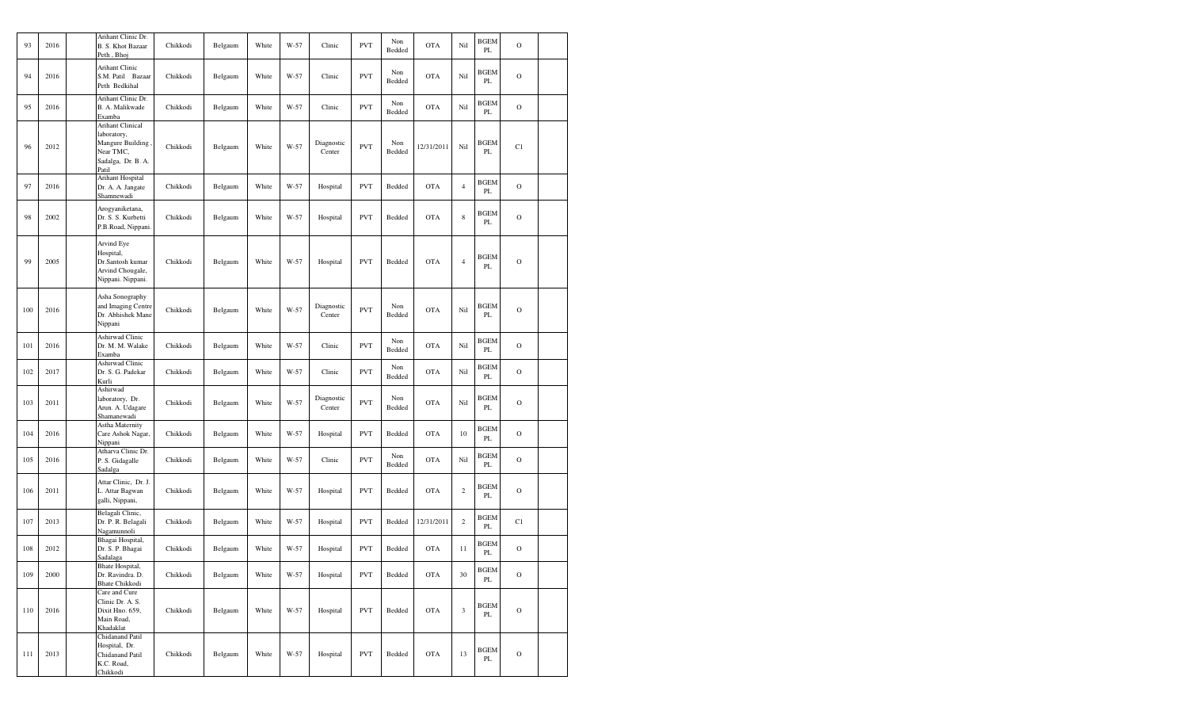| 93  | 2016 | Arihant Clinic Dr.<br><b>B. S. Khot Bazaar</b><br>Peth, Bhoj                                    | Chikkodi | Belgaum | White | W-57 | Clinic               | <b>PVT</b> | Non<br>Bedded | <b>OTA</b> | Nil            | <b>BGEM</b><br>PL            | $\mathcal{O}$  |  |
|-----|------|-------------------------------------------------------------------------------------------------|----------|---------|-------|------|----------------------|------------|---------------|------------|----------------|------------------------------|----------------|--|
| 94  | 2016 | <b>Arihant Clinic</b><br>S.M. Patil Bazaar<br>Peth Bedkihal                                     | Chikkodi | Belgaum | White | W-57 | Clinic               | <b>PVT</b> | Non<br>Bedded | <b>OTA</b> | Nil            | <b>BGEM</b><br>PL            | $\mathbf O$    |  |
| 95  | 2016 | Arihant Clinic Dr.<br>B. A. Malikwade<br>Examba                                                 | Chikkodi | Belgaum | White | W-57 | Clinic               | <b>PVT</b> | Non<br>Bedded | <b>OTA</b> | Nil            | BGEM<br>PL                   | $\overline{O}$ |  |
| 96  | 2012 | Arihant Clinical<br>laboratory,<br>Mangure Building<br>Near TMC,<br>Sadalga, Dr. B. A.<br>Patil | Chikkodi | Belgaum | White | W-57 | Diagnostic<br>Center | <b>PVT</b> | Non<br>Bedded | 12/31/2011 | Nil            | <b>BGEM</b><br>PL            | C1             |  |
| 97  | 2016 | Arihant Hospital<br>Dr. A. A. Jangate<br>Shamnewadi                                             | Chikkodi | Belgaum | White | W-57 | Hospital             | <b>PVT</b> | Bedded        | <b>OTA</b> | $\overline{4}$ | <b>BGEM</b><br>PL            | $\overline{O}$ |  |
| 98  | 2002 | Arogyaniketana,<br>Dr. S. S. Kurbetti<br>P.B.Road, Nippani.                                     | Chikkodi | Belgaum | White | W-57 | Hospital             | <b>PVT</b> | Bedded        | <b>OTA</b> | $\,$ 8 $\,$    | BGEM<br>PL                   | $\mathbf O$    |  |
| 99  | 2005 | Arvind Eye<br>Hospital,<br>Dr.Santosh kumar<br>Arvind Chougale,<br>Nippani. Nippani.            | Chikkodi | Belgaum | White | W-57 | Hospital             | <b>PVT</b> | Bedded        | <b>OTA</b> | $\overline{4}$ | <b>BGEM</b><br>PL            | $\mathcal{O}$  |  |
| 100 | 2016 | Asha Sonography<br>and Imaging Centre<br>Dr. Abhishek Mane<br>Nippani                           | Chikkodi | Belgaum | White | W-57 | Diagnostic<br>Center | <b>PVT</b> | Non<br>Bedded | <b>OTA</b> | Nil            | <b>BGEM</b><br>PL            | $\mathbf O$    |  |
| 101 | 2016 | Ashirwad Clinic<br>Dr. M. M. Walake<br>Examba                                                   | Chikkodi | Belgaum | White | W-57 | Clinic               | <b>PVT</b> | Non<br>Bedded | <b>OTA</b> | Nil            | <b>BGEM</b><br>PL            | $\mathbf O$    |  |
| 102 | 2017 | Ashirwad Clinic<br>Dr. S. G. Padekar<br>Kurli                                                   | Chikkodi | Belgaum | White | W-57 | Clinic               | <b>PVT</b> | Non<br>Bedded | <b>OTA</b> | Nil            | <b>BGEM</b><br>PL            | $\mathcal{O}$  |  |
| 103 | 2011 | Ashirwad<br>laboratory, Dr.<br>Arun. A. Udagare<br>Shamanewadi                                  | Chikkodi | Belgaum | White | W-57 | Diagnostic<br>Center | <b>PVT</b> | Non<br>Bedded | <b>OTA</b> | Nil            | <b>BGEM</b><br>PL            | $\mathcal{O}$  |  |
| 104 | 2016 | Astha Maternity<br>Care Ashok Nagar,<br>Nippani                                                 | Chikkodi | Belgaum | White | W-57 | Hospital             | <b>PVT</b> | Bedded        | <b>OTA</b> | 10             | <b>BGEM</b><br>PL            | $\mathcal{O}$  |  |
| 105 | 2016 | Atharva Clinic Dr.<br>P. S. Gidagalle<br>Sadalga                                                | Chikkodi | Belgaum | White | W-57 | Clinic               | <b>PVT</b> | Non<br>Bedded | <b>OTA</b> | Nil            | <b>BGEM</b><br>PL            | $\mathcal{O}$  |  |
| 106 | 2011 | Attar Clinic, Dr. J.<br>L. Attar Bagwan<br>galli, Nippani,                                      | Chikkodi | Belgaum | White | W-57 | Hospital             | <b>PVT</b> | Bedded        | <b>OTA</b> | $\sqrt{2}$     | BGEM<br>PL                   | $\mathcal{O}$  |  |
| 107 | 2013 | Belagali Clinic,<br>Dr. P. R. Belagali<br>Nagamunnoli                                           | Chikkodi | Belgaum | White | W-57 | Hospital             | <b>PVT</b> | Bedded        | 12/31/2011 | $\sqrt{2}$     | <b>BGEM</b><br>PL            | C1             |  |
| 108 | 2012 | Bhagai Hospital,<br>Dr. S. P. Bhagai<br>Sadalaga                                                | Chikkodi | Belgaum | White | W-57 | Hospital             | <b>PVT</b> | Bedded        | <b>OTA</b> | 11             | <b>BGEM</b><br>PL            | $\Omega$       |  |
| 109 | 2000 | Bhate Hospital,<br>Dr. Ravindra. D.<br><b>Bhate Chikkodi</b>                                    | Chikkodi | Belgaum | White | W-57 | Hospital             | <b>PVT</b> | Bedded        | <b>OTA</b> | 30             | <b>BGEM</b><br>$\mathbf{PL}$ | $\mathcal{O}$  |  |
| 110 | 2016 | Care and Cure<br>Clinic Dr. A. S.<br>Dixit Hno. 659,<br>Main Road,<br>Khadaklat                 | Chikkodi | Belgaum | White | W-57 | Hospital             | <b>PVT</b> | Bedded        | <b>OTA</b> | $\mathfrak z$  | <b>BGEM</b><br>PL            | $\mathbf O$    |  |
| 111 | 2013 | Chidanand Patil<br>Hospital, Dr.<br>Chidanand Patil<br>K.C. Road,<br>Chikkodi                   | Chikkodi | Belgaum | White | W-57 | Hospital             | <b>PVT</b> | Bedded        | <b>OTA</b> | 13             | <b>BGEM</b><br>PL            | $\circ$        |  |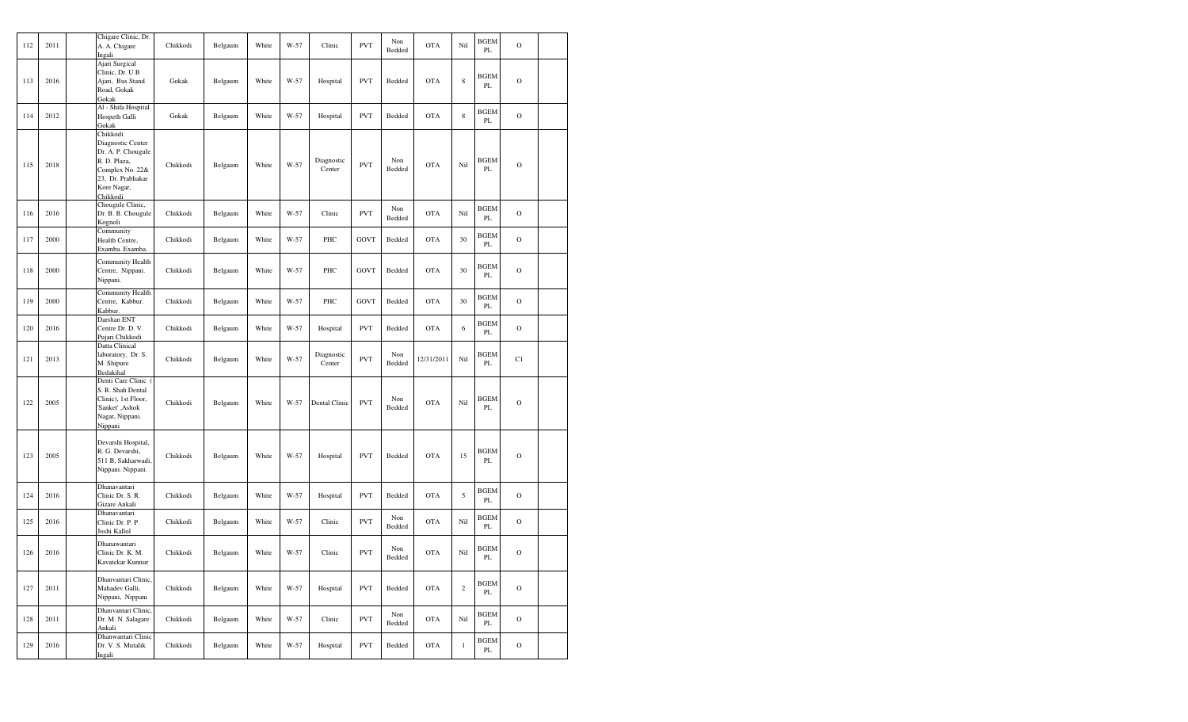| 112 | 2011 | Chigare Clinic, Dr.<br>A. A. Chigare<br>Ingali                                                                                         | Chikkodi | Belgaum | White | W-57 | Clinic               | <b>PVT</b>  | Non<br>Bedded | <b>OTA</b> | Nil          | <b>BGEM</b><br>PL | $\mathbf O$   |  |
|-----|------|----------------------------------------------------------------------------------------------------------------------------------------|----------|---------|-------|------|----------------------|-------------|---------------|------------|--------------|-------------------|---------------|--|
| 113 | 2016 | Ajari Surgical<br>Clinic, Dr. U B<br>Ajari, Bus Stand<br>Road, Gokak<br>Gokak                                                          | Gokak    | Belgaum | White | W-57 | Hospital             | <b>PVT</b>  | Bedded        | <b>OTA</b> | $\,$ 8 $\,$  | <b>BGEM</b><br>PL | $\mathbf O$   |  |
| 114 | 2012 | Al - Shifa Hospital<br>Hospeth Galli<br>Gokak                                                                                          | Gokak    | Belgaum | White | W-57 | Hospital             | <b>PVT</b>  | Bedded        | <b>OTA</b> | $\,$ 8 $\,$  | <b>BGEM</b><br>PL | $\mathbf O$   |  |
| 115 | 2018 | Chikkodi<br>Diagnostic Center<br>Dr. A. P. Chougule<br>R. D. Plaza,<br>Complex No. 22&<br>23, Dr. Prabhakar<br>Kore Nagar,<br>Chikkodi | Chikkodi | Belgaum | White | W-57 | Diagnostic<br>Center | <b>PVT</b>  | Non<br>Bedded | <b>OTA</b> | Nil          | BGEM<br>PL        | $\mathbf O$   |  |
| 116 | 2016 | Chougule Clinic,<br>Dr. B. B. Chougule<br>Kognoli                                                                                      | Chikkodi | Belgaum | White | W-57 | Clinic               | <b>PVT</b>  | Non<br>Bedded | <b>OTA</b> | Nil          | <b>BGEM</b><br>PL | $\mathcal{O}$ |  |
| 117 | 2000 | Community<br>Health Centre,<br>Examba. Examba.                                                                                         | Chikkodi | Belgaum | White | W-57 | PHC                  | GOVT        | Bedded        | <b>OTA</b> | 30           | <b>BGEM</b><br>PL | $\mathbf O$   |  |
| 118 | 2000 | Community Health<br>Centre, Nippani.<br>Nippani.                                                                                       | Chikkodi | Belgaum | White | W-57 | PHC                  | <b>GOVT</b> | Bedded        | <b>OTA</b> | 30           | BGEM<br>PL        | $\mathbf O$   |  |
| 119 | 2000 | Community Health<br>Centre, Kabbur.<br>Kabbur.                                                                                         | Chikkodi | Belgaum | White | W-57 | PHC                  | <b>GOVT</b> | Bedded        | <b>OTA</b> | 30           | <b>BGEM</b><br>PL | $\mathbf O$   |  |
| 120 | 2016 | Darshan ENT<br>Centre Dr. D. V.<br>Pujari Chikkodi                                                                                     | Chikkodi | Belgaum | White | W-57 | Hospital             | <b>PVT</b>  | Bedded        | <b>OTA</b> | $\sqrt{6}$   | <b>BGEM</b><br>PL | $\mathbf O$   |  |
| 121 | 2013 | Datta Clinical<br>laboratory, Dr. S.<br>M. Shipure<br>Bedakihal                                                                        | Chikkodi | Belgaum | White | W-57 | Diagnostic<br>Center | <b>PVT</b>  | Non<br>Bedded | 12/31/2011 | Nil          | <b>BGEM</b><br>PL | C1            |  |
| 122 | 2005 | Denti Care Clinic<br>S. R. Shah Dental<br>Clinic), 1st Floor,<br>'Sanket', Ashok<br>Nagar, Nippani.<br>Nippani                         | Chikkodi | Belgaum | White | W-57 | Dental Clinic        | <b>PVT</b>  | Non<br>Bedded | <b>OTA</b> | Nil          | <b>BGEM</b><br>PL | $\mathbf O$   |  |
| 123 | 2005 | Devarshi Hospital,<br>R. G. Devarshi,<br>511 B, Sakharwadi,<br>Nippani. Nippani.                                                       | Chikkodi | Belgaum | White | W-57 | Hospital             | <b>PVT</b>  | Bedded        | <b>OTA</b> | 15           | <b>BGEM</b><br>PL | $\mathbf O$   |  |
| 124 | 2016 | Dhanavantari<br>Clinic Dr. S. R.<br>Gizare Ankali                                                                                      | Chikkodi | Belgaum | White | W-57 | Hospital             | <b>PVT</b>  | Bedded        | <b>OTA</b> | 5            | <b>BGEM</b><br>PL | $\mathbf O$   |  |
| 125 | 2016 | Dhanavantari<br>Clinic Dr. P. P.<br>Joshi Kallol                                                                                       | Chikkodi | Belgaum | White | W-57 | Clinic               | <b>PVT</b>  | Non<br>Bedded | <b>OTA</b> | Nil          | BGEM<br>PL        | $\mathbf O$   |  |
| 126 | 2016 | Dhanawantari<br>Clinic Dr. K. M.<br>Kavatekar Kunnur                                                                                   | Chikkodi | Belgaum | White | W-57 | Clinic               | <b>PVT</b>  | Non<br>Bedded | <b>OTA</b> | Nil          | <b>BGEM</b><br>PL | $\mathcal{O}$ |  |
| 127 | 2011 | Dhanvantari Clinic,<br>Mahadev Galli,<br>Nippani, Nippani                                                                              | Chikkodi | Belgaum | White | W-57 | Hospital             | <b>PVT</b>  | Bedded        | <b>OTA</b> | $\,2\,$      | <b>BGEM</b><br>PL | $\mathbf O$   |  |
| 128 | 2011 | Dhanvantari Clinic.<br>Dr. M. N. Salagare<br>Ankali                                                                                    | Chikkodi | Belgaum | White | W-57 | Clinic               | <b>PVT</b>  | Non<br>Bedded | OTA        | Nil          | <b>BGEM</b><br>PL | $\mathbf O$   |  |
| 129 | 2016 | Dhanwantari Clinic<br>Dr. V. S. Mutalik<br>Ingali                                                                                      | Chikkodi | Belgaum | White | W-57 | Hospital             | <b>PVT</b>  | Bedded        | <b>OTA</b> | $\mathbf{1}$ | <b>BGEM</b><br>PL | $\mathcal O$  |  |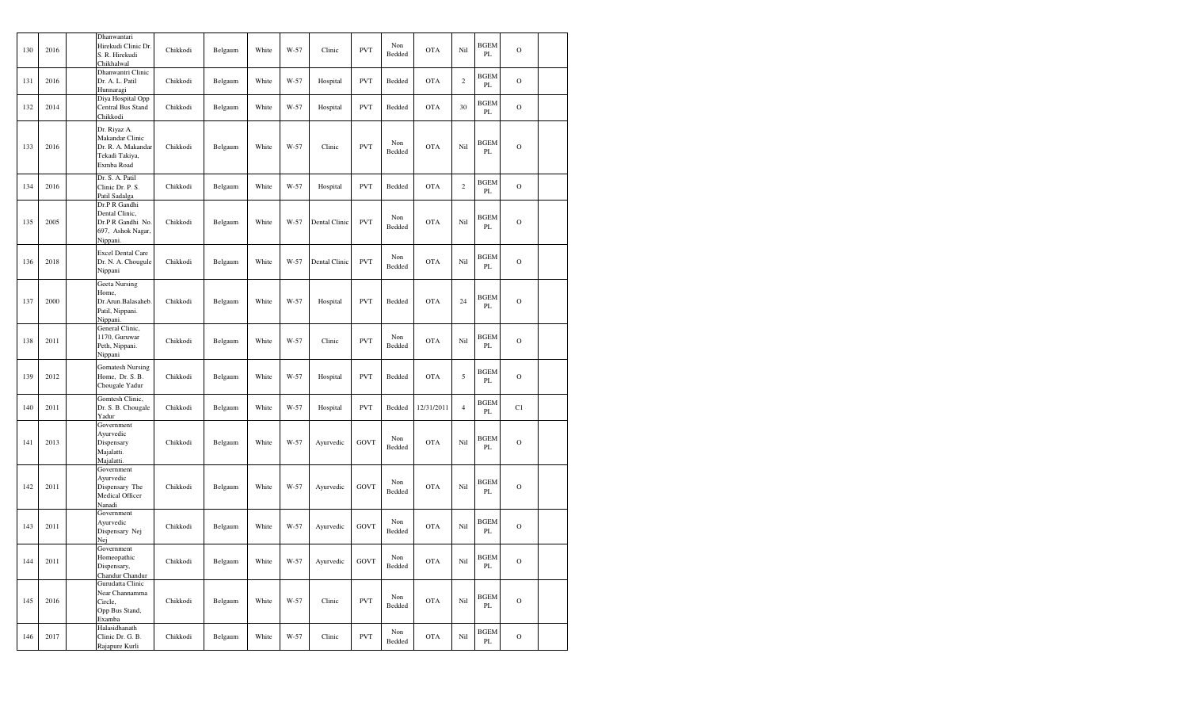| 130 | 2016 | Dhanwantari<br>Hirekudi Clinic Dr.<br>S. R. Hirekudi<br>Chikhalwal                    | Chikkodi | Belgaum | White | W-57 | Clinic        | <b>PVT</b>  | Non<br>Bedded | <b>OTA</b> | Nil        | <b>BGEM</b><br>PL            | $\circ$       |  |
|-----|------|---------------------------------------------------------------------------------------|----------|---------|-------|------|---------------|-------------|---------------|------------|------------|------------------------------|---------------|--|
| 131 | 2016 | Dhanwantri Clinic<br>Dr. A. L. Patil<br>Hunnaragi                                     | Chikkodi | Belgaum | White | W-57 | Hospital      | <b>PVT</b>  | Bedded        | <b>OTA</b> | $\sqrt{2}$ | <b>BGEM</b><br>PL            | $\circ$       |  |
| 132 | 2014 | Diya Hospital Opp<br>Central Bus Stand<br>Chikkodi                                    | Chikkodi | Belgaum | White | W-57 | Hospital      | <b>PVT</b>  | Bedded        | <b>OTA</b> | 30         | <b>BGEM</b><br>PL            | $\mathbf O$   |  |
| 133 | 2016 | Dr. Riyaz A.<br>Makandar Clinic<br>Dr. R. A. Makandar<br>Tekadi Takiya,<br>Exmba Road | Chikkodi | Belgaum | White | W-57 | Clinic        | <b>PVT</b>  | Non<br>Bedded | <b>OTA</b> | Nil        | <b>BGEM</b><br>PL            | $\circ$       |  |
| 134 | 2016 | Dr. S. A. Patil<br>Clinic Dr. P. S.<br>Patil Sadalga                                  | Chikkodi | Belgaum | White | W-57 | Hospital      | <b>PVT</b>  | Bedded        | <b>OTA</b> | $\sqrt{2}$ | <b>BGEM</b><br>$\mathbf{PL}$ | $\mathbf O$   |  |
| 135 | 2005 | Dr.P R Gandhi<br>Dental Clinic,<br>Dr.P R Gandhi No.<br>697, Ashok Nagar,<br>Nippani. | Chikkodi | Belgaum | White | W-57 | Dental Clinic | <b>PVT</b>  | Non<br>Bedded | <b>OTA</b> | Nil        | <b>BGEM</b><br>PL            | $\mathcal{O}$ |  |
| 136 | 2018 | Excel Dental Care<br>Dr. N. A. Chougule<br>Nippani                                    | Chikkodi | Belgaum | White | W-57 | Dental Clinic | <b>PVT</b>  | Non<br>Bedded | <b>OTA</b> | Nil        | <b>BGEM</b><br>PL            | $\mathcal{O}$ |  |
| 137 | 2000 | Geeta Nursing<br>Home,<br>Dr.Arun.Balasaheb.<br>Patil, Nippani.<br>Nippani.           | Chikkodi | Belgaum | White | W-57 | Hospital      | <b>PVT</b>  | Bedded        | <b>OTA</b> | 24         | <b>BGEM</b><br>PL            | $\mathcal{O}$ |  |
| 138 | 2011 | General Clinic,<br>1170, Guruwar<br>Peth, Nippani.<br>Nippani                         | Chikkodi | Belgaum | White | W-57 | Clinic        | <b>PVT</b>  | Non<br>Bedded | <b>OTA</b> | Nil        | <b>BGEM</b><br>PL            | $\mathcal{O}$ |  |
| 139 | 2012 | <b>Gomatesh Nursing</b><br>Home, Dr. S. B.<br>Chougale Yadur                          | Chikkodi | Belgaum | White | W-57 | Hospital      | <b>PVT</b>  | Bedded        | <b>OTA</b> | $\sqrt{5}$ | <b>BGEM</b><br>PL            | $\mathbf O$   |  |
| 140 | 2011 | Gomtesh Clinic,<br>Dr. S. B. Chougale<br>Yadur                                        | Chikkodi | Belgaum | White | W-57 | Hospital      | <b>PVT</b>  | Bedded        | 12/31/2011 | $\sqrt{4}$ | <b>BGEM</b><br>PL            | C1            |  |
| 141 | 2013 | Government<br>Ayurvedic<br>Dispensary<br>Majalatti.<br>Majalatti.                     | Chikkodi | Belgaum | White | W-57 | Ayurvedic     | <b>GOVT</b> | Non<br>Bedded | <b>OTA</b> | Nil        | <b>BGEM</b><br>PL            | $\mathbf O$   |  |
| 142 | 2011 | Government<br>Ayurvedic<br>Dispensary The<br>Medical Officer<br>Nanadi                | Chikkodi | Belgaum | White | W-57 | Ayurvedic     | GOVT        | Non<br>Bedded | <b>OTA</b> | Nil        | <b>BGEM</b><br>PL            | $\mathcal{O}$ |  |
| 143 | 2011 | Government<br>Ayurvedic<br>Dispensary Nej<br>Nej                                      | Chikkodi | Belgaum | White | W-57 | Ayurvedic     | <b>GOVT</b> | Non<br>Bedded | <b>OTA</b> | Nil        | <b>BGEM</b><br>PL            | $\mathcal{O}$ |  |
| 144 | 2011 | Government<br>Homeopathic<br>Dispensary,<br>Chandur Chandur                           | Chikkodi | Belgaum | White | W-57 | Ayurvedic     | GOVT        | Non<br>Bedded | <b>OTA</b> | Nil        | <b>BGEM</b><br>PL            | $\circ$       |  |
| 145 | 2016 | Gurudatta Clinic<br>Near Channamma<br>Circle,<br>Opp Bus Stand,<br>Examba             | Chikkodi | Belgaum | White | W-57 | Clinic        | <b>PVT</b>  | Non<br>Bedded | <b>OTA</b> | Nil        | <b>BGEM</b><br>PL            | $\mathbf O$   |  |
| 146 | 2017 | Halasidhanath<br>Clinic Dr. G. B.<br>Rajapure Kurli                                   | Chikkodi | Belgaum | White | W-57 | Clinic        | <b>PVT</b>  | Non<br>Bedded | <b>OTA</b> | Nil        | <b>BGEM</b><br>PL            | $\mathcal{O}$ |  |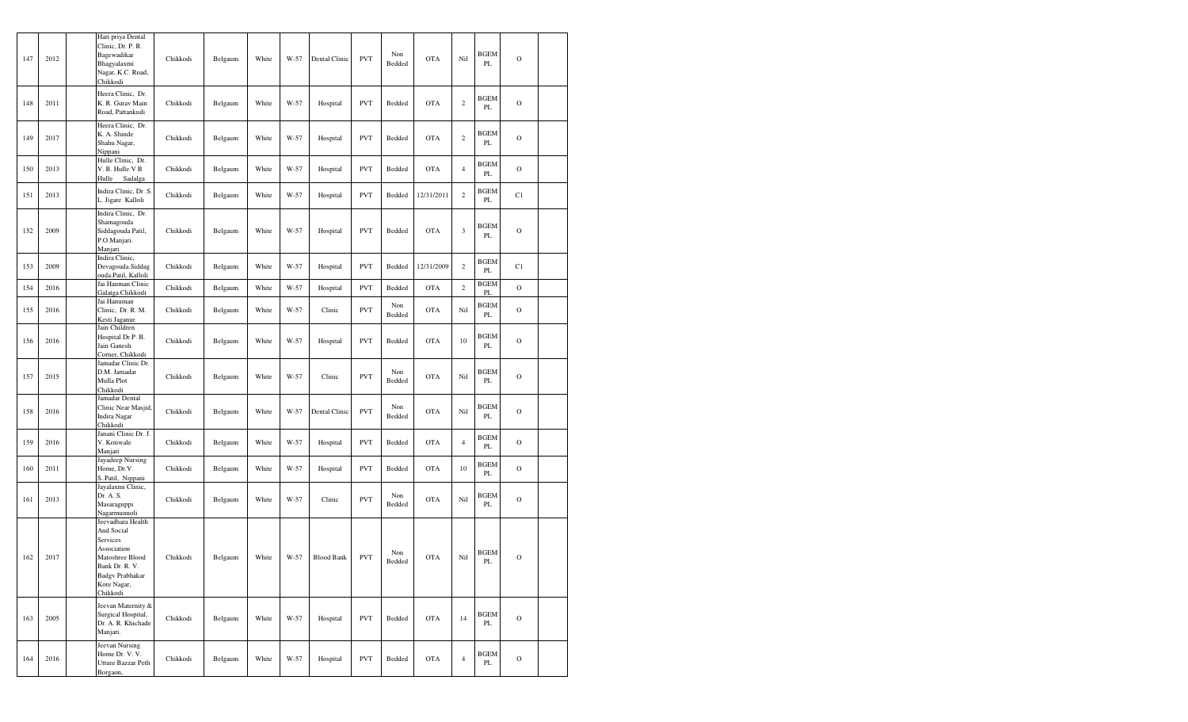| 147 | 2012 | Chikkodi                           | Hari priya Dental<br>Clinic, Dr. P. R.<br>Bagewadikar<br>Bhagyalaxmi<br>Nagar, K.C. Road,                      | Chikkodi | Belgaum | White | W-57   | Dental Clinic     | <b>PVT</b> | Non<br>Bedded | <b>OTA</b> | Nil            | <b>BGEM</b><br>PL | $\circ$        |  |
|-----|------|------------------------------------|----------------------------------------------------------------------------------------------------------------|----------|---------|-------|--------|-------------------|------------|---------------|------------|----------------|-------------------|----------------|--|
| 148 | 2011 |                                    | Heera Clinic, Dr.<br>K. R. Gurav Main<br>Road, Pattankudi                                                      | Chikkodi | Belgaum | White | W-57   | Hospital          | <b>PVT</b> | Bedded        | <b>OTA</b> | $\,2$          | <b>BGEM</b><br>PL | $\circ$        |  |
| 149 | 2017 | Nippani                            | Heera Clinic, Dr.<br>K. A. Shinde<br>Shahu Nagar,                                                              | Chikkodi | Belgaum | White | W-57   | Hospital          | <b>PVT</b> | Bedded        | <b>OTA</b> | $\,2$          | <b>BGEM</b><br>PL | $\overline{O}$ |  |
| 150 | 2013 | Hulle                              | Hulle Clinic, Dr.<br>V. B. Hulle V B<br>Sadalga                                                                | Chikkodi | Belgaum | White | W-57   | Hospital          | <b>PVT</b> | Bedded        | <b>OTA</b> | $\overline{4}$ | <b>BGEM</b><br>PL | $\circ$        |  |
| 151 | 2013 |                                    | Indira Clinic, Dr. S.<br>L. Jigare Kalloli                                                                     | Chikkodi | Belgaum | White | W-57   | Hospital          | <b>PVT</b> | Bedded        | 12/31/2011 | $\,2$          | BGEM<br>PL        | C1             |  |
| 152 | 2009 | Manjari                            | Indira Clinic, Dr.<br>Shamagouda<br>Siddagouda Patil,<br>P.O.Manjari.                                          | Chikkodi | Belgaum | White | $W-57$ | Hospital          | <b>PVT</b> | Bedded        | <b>OTA</b> | 3              | <b>BGEM</b><br>PL | $\circ$        |  |
| 153 | 2009 |                                    | Indira Clinic,<br>Devagouda.Siddag<br>ouda.Patil, Kalloli                                                      | Chikkodi | Belgaum | White | W-57   | Hospital          | <b>PVT</b> | Bedded        | 12/31/2009 | $\,2$          | BGEM<br>PL        | C1             |  |
| 154 | 2016 |                                    | Jai Hanman Clinic<br>Galatga Chikkodi                                                                          | Chikkodi | Belgaum | White | W-57   | Hospital          | <b>PVT</b> | Bedded        | <b>OTA</b> | $\,2\,$        | <b>BGEM</b><br>PL | $\circ$        |  |
| 155 | 2016 |                                    | Jai Hanuman<br>Clinic, Dr. R. M.<br>Kesti Jaganur.                                                             | Chikkodi | Belgaum | White | W-57   | Clinic            | <b>PVT</b> | Non<br>Bedded | <b>OTA</b> | Nil            | <b>BGEM</b><br>PL | $\circ$        |  |
| 156 | 2016 |                                    | Jain Children<br>Hospital Dr.P. B.<br>Jain Ganesh<br>Corner, Chikkodi                                          | Chikkodi | Belgaum | White | $W-57$ | Hospital          | <b>PVT</b> | Bedded        | <b>OTA</b> | 10             | BGEM<br>PL        | $\overline{O}$ |  |
| 157 | 2015 | Mulla Plot<br>Chikkodi             | Jamadar Clinic Dr.<br>D.M. Jamadar                                                                             | Chikkodi | Belgaum | White | $W-57$ | Clinic            | <b>PVT</b> | Non<br>Bedded | <b>OTA</b> | Nil            | <b>BGEM</b><br>PL | $\overline{O}$ |  |
| 158 | 2016 | Chikkodi                           | Jamadar Dental<br>Clinic Near Masjid,<br>Indira Nagar                                                          | Chikkodi | Belgaum | White | $W-57$ | Dental Clinic     | <b>PVT</b> | Non<br>Bedded | <b>OTA</b> | Nil            | <b>BGEM</b><br>PL | $\circ$        |  |
| 159 | 2016 | Manjari                            | Janani Clinic Dr. J.<br>V. Kotiwale                                                                            | Chikkodi | Belgaum | White | W-57   | Hospital          | <b>PVT</b> | Bedded        | <b>OTA</b> | $\overline{4}$ | <b>BGEM</b><br>PL | $\overline{O}$ |  |
| 160 | 2011 |                                    | Jayadeep Nursing<br>Home, Dr.V.<br>S.,Patil, Nippani                                                           | Chikkodi | Belgaum | White | W-57   | Hospital          | <b>PVT</b> | Bedded        | <b>OTA</b> | 10             | BGEM<br>PL        | $\circ$        |  |
| 161 | 2013 | Dr. A. S.                          | Jayalaxmi Clinic,<br>Masaraguppi<br>Nagarmunnoli                                                               | Chikkodi | Belgaum | White | W-57   | Clinic            | <b>PVT</b> | Non<br>Bedded | <b>OTA</b> | Nil            | BGEM<br>PL        | $\circ$        |  |
| 162 | 2017 | And Social<br>Services<br>Chikkodi | Jeevadhara Health<br>Association<br>Matoshree Blood<br>Bank Dr. R. V.<br><b>Badgv Prabhakar</b><br>Kore Nagar, | Chikkodi | Belgaum | White | W-57   | <b>Blood Bank</b> | <b>PVT</b> | Non<br>Bedded | <b>OTA</b> | Nil            | <b>BGEM</b><br>PL | $\circ$        |  |
| 163 | 2005 | Manjari.                           | Jeevan Maternity &<br>Surgical Hospital,<br>Dr. A. R. Khichade                                                 | Chikkodi | Belgaum | White | W-57   | Hospital          | <b>PVT</b> | Bedded        | <b>OTA</b> | 14             | <b>BGEM</b><br>PL | $\mathbf O$    |  |
| 164 | 2016 | Borgaon,                           | Jeevan Nursing<br>Home Dr. V. V.<br>Utture Bazzar Peth                                                         | Chikkodi | Belgaum | White | W-57   | Hospital          | <b>PVT</b> | Bedded        | <b>OTA</b> | $\overline{4}$ | <b>BGEM</b><br>PL | $\mathcal{O}$  |  |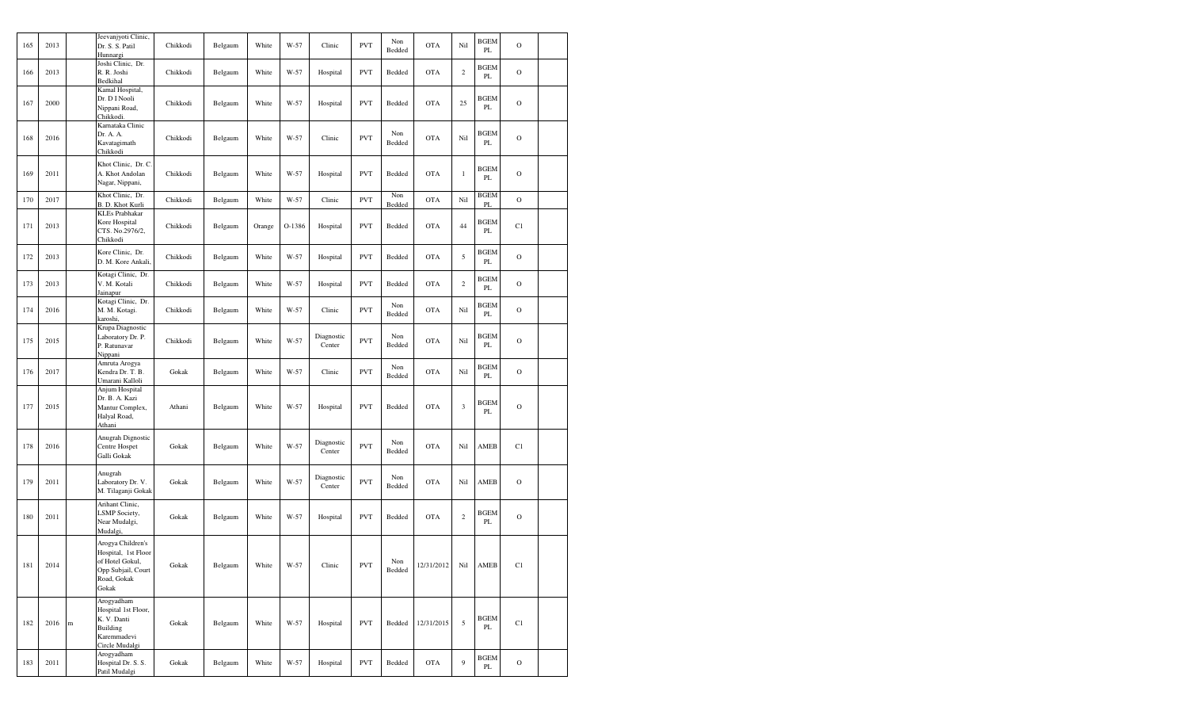| 165 | 2013 |   | Jeevanjyoti Clinic,<br>Dr. S. S. Patil<br>Hunnargi                                                        | Chikkodi | Belgaum | White  | W-57   | Clinic               | <b>PVT</b> | Non<br>Bedded | <b>OTA</b> | Nil            | <b>BGEM</b><br>PL     | $\mathcal{O}$ |  |
|-----|------|---|-----------------------------------------------------------------------------------------------------------|----------|---------|--------|--------|----------------------|------------|---------------|------------|----------------|-----------------------|---------------|--|
| 166 | 2013 |   | Joshi Clinic, Dr.<br>R. R. Joshi<br>Bedkihal                                                              | Chikkodi | Belgaum | White  | W-57   | Hospital             | <b>PVT</b> | Bedded        | <b>OTA</b> | $\overline{c}$ | BGEM<br>PL            | $\mathbf O$   |  |
| 167 | 2000 |   | Kamal Hospital,<br>Dr. D I Nooli<br>Nippani Road,<br>Chikkodi.                                            | Chikkodi | Belgaum | White  | W-57   | Hospital             | <b>PVT</b> | Bedded        | <b>OTA</b> | 25             | <b>BGEM</b><br>PL     | $\mathcal{O}$ |  |
| 168 | 2016 |   | Karnataka Clinic<br>Dr. A. A.<br>Kavatagimath<br>Chikkodi                                                 | Chikkodi | Belgaum | White  | W-57   | Clinic               | <b>PVT</b> | Non<br>Bedded | <b>OTA</b> | Nil            | <b>BGEM</b><br>PL     | $\mathcal{O}$ |  |
| 169 | 2011 |   | Khot Clinic, Dr. C.<br>A. Khot Andolan<br>Nagar, Nippani,                                                 | Chikkodi | Belgaum | White  | W-57   | Hospital             | <b>PVT</b> | Bedded        | <b>OTA</b> | $\,1$          | <b>BGEM</b><br>PL     | $\mathcal{O}$ |  |
| 170 | 2017 |   | Khot Clinic, Dr.<br>B. D. Khot Kurli                                                                      | Chikkodi | Belgaum | White  | W-57   | Clinic               | <b>PVT</b> | Non<br>Bedded | <b>OTA</b> | Nil            | BGEM<br>PL            | $\mathbf O$   |  |
| 171 | 2013 |   | <b>KLEs Prabhakar</b><br>Kore Hospital<br>CTS. No.2976/2,<br>Chikkodi                                     | Chikkodi | Belgaum | Orange | O-1386 | Hospital             | <b>PVT</b> | Bedded        | <b>OTA</b> | 44             | <b>BGEM</b><br>PL     | C1            |  |
| 172 | 2013 |   | Kore Clinic, Dr.<br>D. M. Kore Ankali,                                                                    | Chikkodi | Belgaum | White  | W-57   | Hospital             | <b>PVT</b> | Bedded        | <b>OTA</b> | 5              | BGEM<br>PL            | $\mathcal{O}$ |  |
| 173 | 2013 |   | Kotagi Clinic, Dr.<br>V. M. Kotali<br>Jainapur                                                            | Chikkodi | Belgaum | White  | W-57   | Hospital             | <b>PVT</b> | Bedded        | <b>OTA</b> | $\overline{c}$ | BGEM<br>PL            | $\mathcal{O}$ |  |
| 174 | 2016 |   | Kotagi Clinic, Dr.<br>M. M. Kotagi.<br>karoshi,                                                           | Chikkodi | Belgaum | White  | W-57   | Clinic               | <b>PVT</b> | Non<br>Bedded | <b>OTA</b> | Nil            | <b>BGEM</b><br>PL     | $\mathcal{O}$ |  |
| 175 | 2015 |   | Krupa Diagnostic<br>Laboratory Dr. P.<br>P. Ratunavar<br>Nippani                                          | Chikkodi | Belgaum | White  | W-57   | Diagnostic<br>Center | <b>PVT</b> | Non<br>Bedded | <b>OTA</b> | Nil            | BGEM<br>PL            | $\mathbf O$   |  |
| 176 | 2017 |   | Amruta Arogya<br>Kendra Dr. T. B.<br>Umarani Kalloli                                                      | Gokak    | Belgaum | White  | W-57   | Clinic               | <b>PVT</b> | Non<br>Bedded | <b>OTA</b> | Nil            | <b>BGEM</b><br>PL     | $\mathcal{O}$ |  |
| 177 | 2015 |   | Anjum Hospital<br>Dr. B. A. Kazi<br>Mantur Complex,<br>Halyal Road,<br>Athani                             | Athani   | Belgaum | White  | W-57   | Hospital             | <b>PVT</b> | Bedded        | <b>OTA</b> | 3              | <b>BGEM</b><br>PL     | $\mathcal{O}$ |  |
| 178 | 2016 |   | Anugrah Dignostic<br>Centre Hospet<br>Galli Gokak                                                         | Gokak    | Belgaum | White  | W-57   | Diagnostic<br>Center | <b>PVT</b> | Non<br>Bedded | <b>OTA</b> | Nil            | AMEB                  | C1            |  |
| 179 | 2011 |   | Anugrah<br>Laboratory Dr. V.<br>M. Tilaganji Gokak                                                        | Gokak    | Belgaum | White  | $W-57$ | Diagnostic<br>Center | <b>PVT</b> | Non<br>Bedded | <b>OTA</b> | Nil            | AMEB                  | $\mathbf O$   |  |
| 180 | 2011 |   | Arihant Clinic,<br>LSMP Society,<br>Near Mudalgi,<br>Mudalgi,                                             | Gokak    | Belgaum | White  | W-57   | Hospital             | <b>PVT</b> | Bedded        | <b>OTA</b> | $\,2$          | BGEM<br>PL            | $\mathcal{O}$ |  |
| 181 | 2014 |   | Arogya Children's<br>Hospital, 1st Floor<br>of Hotel Gokul,<br>Opp Subjail, Court<br>Road, Gokak<br>Gokak | Gokak    | Belgaum | White  | W-57   | Clinic               | <b>PVT</b> | Non<br>Bedded | 12/31/2012 | Nil            | $\operatorname{AMEB}$ | C1            |  |
| 182 | 2016 | m | Arogyadham<br>Hospital 1st Floor,<br>K. V. Danti<br>Building<br>Karemmadevi<br>Circle Mudalgi             | Gokak    | Belgaum | White  | W-57   | Hospital             | <b>PVT</b> | Bedded        | 12/31/2015 | 5              | <b>BGEM</b><br>PL     | C1            |  |
| 183 | 2011 |   | Arogyadham<br>Hospital Dr. S. S.<br>Patil Mudalgi                                                         | Gokak    | Belgaum | White  | W-57   | Hospital             | <b>PVT</b> | Bedded        | <b>OTA</b> | 9              | <b>BGEM</b><br>PL     | $\mathcal{O}$ |  |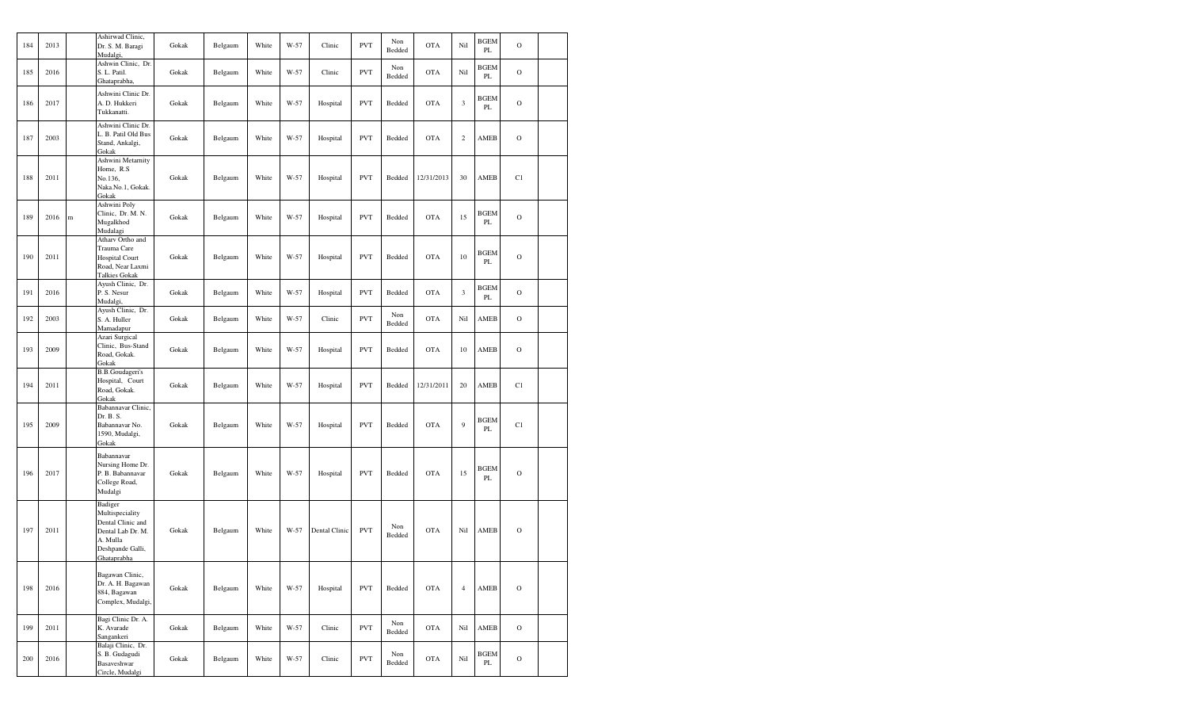| 184 | 2013 |   | Ashirwad Clinic,<br>Dr. S. M. Baragi<br>Mudalgi,                                                                    | Gokak | Belgaum | White | W-57 | Clinic        | <b>PVT</b> | Non<br>Bedded | <b>OTA</b> | Nil                     | <b>BGEM</b><br>PL | $\circ$        |  |
|-----|------|---|---------------------------------------------------------------------------------------------------------------------|-------|---------|-------|------|---------------|------------|---------------|------------|-------------------------|-------------------|----------------|--|
| 185 | 2016 |   | Ashwin Clinic, Dr.<br>S. L. Patil.<br>Ghataprabha,                                                                  | Gokak | Belgaum | White | W-57 | Clinic        | <b>PVT</b> | Non<br>Bedded | <b>OTA</b> | Nil                     | <b>BGEM</b><br>PL | $\mathcal{O}$  |  |
| 186 | 2017 |   | Ashwini Clinic Dr.<br>A. D. Hukkeri<br>Tukkanatti.                                                                  | Gokak | Belgaum | White | W-57 | Hospital      | <b>PVT</b> | Bedded        | <b>OTA</b> | $\mathfrak z$           | BGEM<br>PL        | $\circ$        |  |
| 187 | 2003 |   | Ashwini Clinic Dr.<br>L. B. Patil Old Bus<br>Stand, Ankalgi,<br>Gokak                                               | Gokak | Belgaum | White | W-57 | Hospital      | <b>PVT</b> | Bedded        | <b>OTA</b> | $\,2$                   | AMEB              | $\circ$        |  |
| 188 | 2011 |   | Ashwini Metarnity<br>Home, R.S.<br>No.136,<br>Naka.No.1, Gokak.<br>Gokak                                            | Gokak | Belgaum | White | W-57 | Hospital      | <b>PVT</b> | Bedded        | 12/31/2013 | 30                      | AMEB              | C1             |  |
| 189 | 2016 | m | Ashwini Poly<br>Clinic, Dr. M. N.<br>Mugalkhod<br>Mudalagi                                                          | Gokak | Belgaum | White | W-57 | Hospital      | <b>PVT</b> | Bedded        | <b>OTA</b> | 15                      | <b>BGEM</b><br>PL | $\circ$        |  |
| 190 | 2011 |   | Atharv Ortho and<br>Trauma Care<br><b>Hospital Court</b><br>Road, Near Laxmi<br><b>Talkies Gokak</b>                | Gokak | Belgaum | White | W-57 | Hospital      | <b>PVT</b> | Bedded        | <b>OTA</b> | 10                      | <b>BGEM</b><br>PL | $\circ$        |  |
| 191 | 2016 |   | Ayush Clinic, Dr.<br>P. S. Nesur<br>Mudalgi,                                                                        | Gokak | Belgaum | White | W-57 | Hospital      | <b>PVT</b> | Bedded        | <b>OTA</b> | $\overline{\mathbf{3}}$ | BGEM<br>PL        | $\mathbf O$    |  |
| 192 | 2003 |   | Ayush Clinic, Dr.<br>S. A. Huller<br>Mamadapur                                                                      | Gokak | Belgaum | White | W-57 | Clinic        | <b>PVT</b> | Non<br>Bedded | <b>OTA</b> | Nil                     | AMEB              | $\overline{O}$ |  |
| 193 | 2009 |   | Azari Surgical<br>Clinic, Bus-Stand<br>Road, Gokak.<br>Gokak                                                        | Gokak | Belgaum | White | W-57 | Hospital      | <b>PVT</b> | Bedded        | <b>OTA</b> | 10                      | AMEB              | $\circ$        |  |
| 194 | 2011 |   | <b>B.B.Goudageri's</b><br>Hospital, Court<br>Road, Gokak.<br>Gokak                                                  | Gokak | Belgaum | White | W-57 | Hospital      | <b>PVT</b> | Bedded        | 12/31/2011 | 20                      | AMEB              | C1             |  |
| 195 | 2009 |   | Babannavar Clinic,<br>Dr. B. S.<br>Babannavar No.<br>1590, Mudalgi,<br>Gokak                                        | Gokak | Belgaum | White | W-57 | Hospital      | <b>PVT</b> | Bedded        | <b>OTA</b> | 9                       | <b>BGEM</b><br>PL | C1             |  |
| 196 | 2017 |   | Babannavar<br>Nursing Home Dr.<br>P. B. Babannavar<br>College Road,<br>Mudalgi                                      | Gokak | Belgaum | White | W-57 | Hospital      | <b>PVT</b> | Bedded        | <b>OTA</b> | 15                      | <b>BGEM</b><br>PL | $\overline{O}$ |  |
| 197 | 2011 |   | Badiger<br>Multispeciality<br>Dental Clinic and<br>Dental Lab Dr. M.<br>A. Mulla<br>Deshpande Galli,<br>Ghataprabha | Gokak | Belgaum | White | W-57 | Dental Clinic | <b>PVT</b> | Non<br>Bedded | <b>OTA</b> | Nil                     | AMEB              | $\circ$        |  |
| 198 | 2016 |   | Bagawan Clinic,<br>Dr. A. H. Bagawan<br>884, Bagawan<br>Complex, Mudalgi,                                           | Gokak | Belgaum | White | W-57 | Hospital      | <b>PVT</b> | Bedded        | <b>OTA</b> | $\overline{4}$          | AMEB              | $\overline{O}$ |  |
| 199 | 2011 |   | Bagi Clinic Dr. A.<br>K. Avarade<br>Sangankeri                                                                      | Gokak | Belgaum | White | W-57 | Clinic        | <b>PVT</b> | Non<br>Bedded | <b>OTA</b> | Nil                     | AMEB              | $\mathcal{O}$  |  |
| 200 | 2016 |   | Balaji Clinic, Dr.<br>S. B. Gudagudi<br>Basaveshwar<br>Circle, Mudalgi                                              | Gokak | Belgaum | White | W-57 | Clinic        | <b>PVT</b> | Non<br>Bedded | <b>OTA</b> | Nil                     | BGEM<br>PL        | $\mathbf O$    |  |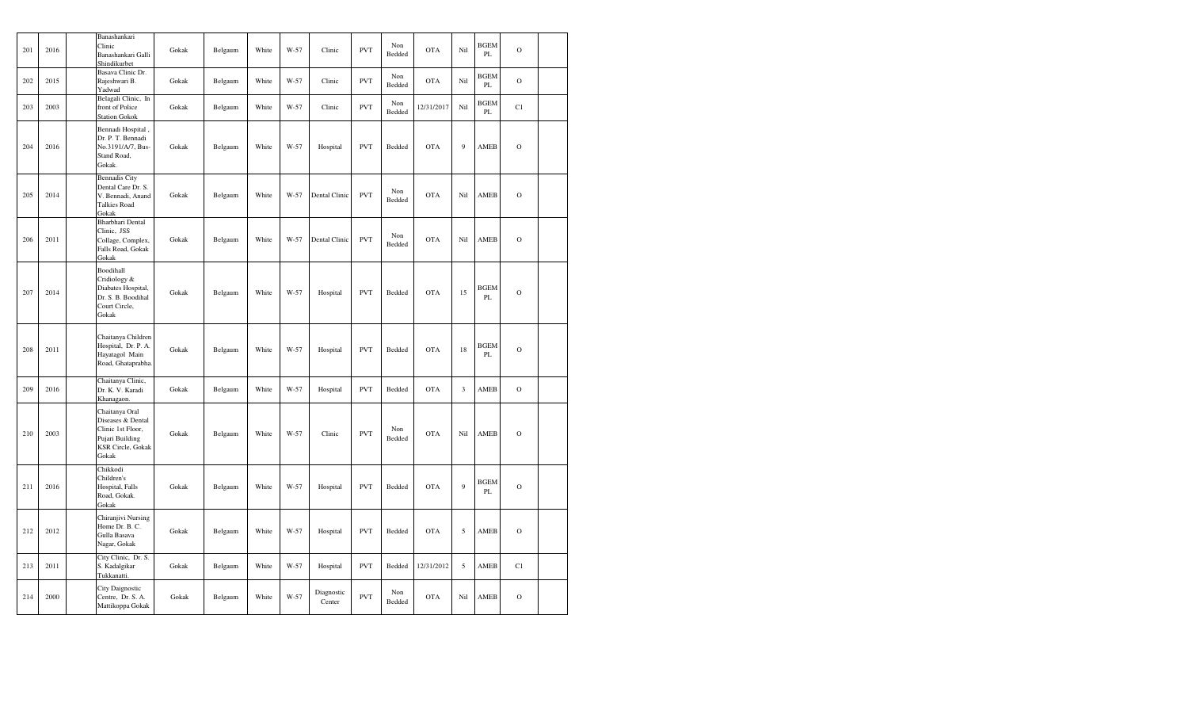| 201 | 2016 | Banashankari<br>Clinic<br>Banashankari Galli<br>Shindikurbet                                                     | Gokak         | Belgaum | White | $W-57$ | Clinic               | <b>PVT</b> | Non<br>Bedded | OTA        | Nil            | <b>BGEM</b><br>PL | $\mathbf O$   |  |
|-----|------|------------------------------------------------------------------------------------------------------------------|---------------|---------|-------|--------|----------------------|------------|---------------|------------|----------------|-------------------|---------------|--|
| 202 | 2015 | Basava Clinic Dr.<br>Rajeshwari B.<br>Yadwad                                                                     | Gokak         | Belgaum | White | $W-57$ | Clinic               | <b>PVT</b> | Non<br>Bedded | OTA        | Nil            | <b>BGEM</b><br>PL | $\mathbf O$   |  |
| 203 | 2003 | Belagali Clinic, In<br>front of Police<br><b>Station Gokok</b>                                                   | Gokak         | Belgaum | White | W-57   | Clinic               | <b>PVT</b> | Non<br>Bedded | 12/31/2017 | Nil            | BGEM<br>PL        | C1            |  |
| 204 | 2016 | Bennadi Hospital,<br>Dr. P. T. Bennadi<br>No.3191/A/7, Bus-<br>Stand Road,<br>Gokak.                             | Gokak         | Belgaum | White | W-57   | Hospital             | <b>PVT</b> | Bedded        | <b>OTA</b> | 9              | AMEB              | $\mathcal{O}$ |  |
| 205 | 2014 | <b>Bennadis City</b><br>Dental Care Dr. S.<br>V. Bennadi, Anand<br><b>Talkies Road</b><br>Gokak                  | Gokak         | Belgaum | White | W-57   | Dental Clinic        | <b>PVT</b> | Non<br>Bedded | <b>OTA</b> | Nil            | AMEB              | $\mathcal{O}$ |  |
| 206 | 2011 | Bharbhari Dental<br>Clinic, JSS<br>Collage, Complex,<br>Falls Road, Gokak<br>Gokak                               | Gokak         | Belgaum | White | W-57   | Dental Clinic        | <b>PVT</b> | Non<br>Bedded | <b>OTA</b> | Nil            | AMEB              | $\mathcal{O}$ |  |
| 207 | 2014 | Boodihall<br>Cridiology &<br>Diabates Hospital,<br>Dr. S. B. Boodihal<br>Court Circle,<br>Gokak                  | Gokak         | Belgaum | White | $W-57$ | Hospital             | <b>PVT</b> | Bedded        | <b>OTA</b> | 15             | <b>BGEM</b><br>PL | $\mathbf O$   |  |
| 208 | 2011 | Chaitanya Children<br>Hospital, Dr. P. A.<br>Hayatagol Main<br>Road, Ghataprabha.                                | ${\rm Gokak}$ | Belgaum | White | W-57   | Hospital             | <b>PVT</b> | Bedded        | <b>OTA</b> | 18             | <b>BGEM</b><br>PL | $\mathbf O$   |  |
| 209 | 2016 | Chaitanya Clinic,<br>Dr. K. V. Karadi<br>Khanagaon.                                                              | Gokak         | Belgaum | White | $W-57$ | Hospital             | <b>PVT</b> | Bedded        | <b>OTA</b> | $\mathfrak{Z}$ | AMEB              | $\mathbf O$   |  |
| 210 | 2003 | Chaitanya Oral<br>Diseases & Dental<br>Clinic 1st Floor,<br>Pujari Building<br><b>KSR Circle, Gokak</b><br>Gokak | Gokak         | Belgaum | White | $W-57$ | Clinic               | <b>PVT</b> | Non<br>Bedded | <b>OTA</b> | Nil            | AMEB              | $\mathcal{O}$ |  |
| 211 | 2016 | Chikkodi<br>Children's<br>Hospital, Falls<br>Road, Gokak.<br>Gokak                                               | Gokak         | Belgaum | White | W-57   | Hospital             | <b>PVT</b> | Bedded        | <b>OTA</b> | 9              | <b>BGEM</b><br>PL | $\mathcal{O}$ |  |
| 212 | 2012 | Chiranjivi Nursing<br>Home Dr. B. C.<br>Gulla Basava<br>Nagar, Gokak                                             | Gokak         | Belgaum | White | $W-57$ | Hospital             | <b>PVT</b> | Bedded        | <b>OTA</b> | 5              | AMEB              | $\circ$       |  |
| 213 | 2011 | City Clinic, Dr. S.<br>S. Kadalgikar<br>Tukkanatti.                                                              | Gokak         | Belgaum | White | W-57   | Hospital             | <b>PVT</b> | Bedded        | 12/31/2012 | 5              | AMEB              | C1            |  |
| 214 | 2000 | City Daignostic<br>Centre, Dr. S. A.<br>Mattikoppa Gokak                                                         | Gokak         | Belgaum | White | $W-57$ | Diagnostic<br>Center | <b>PVT</b> | Non<br>Bedded | <b>OTA</b> | Nil            | AMEB              | $\mathbf O$   |  |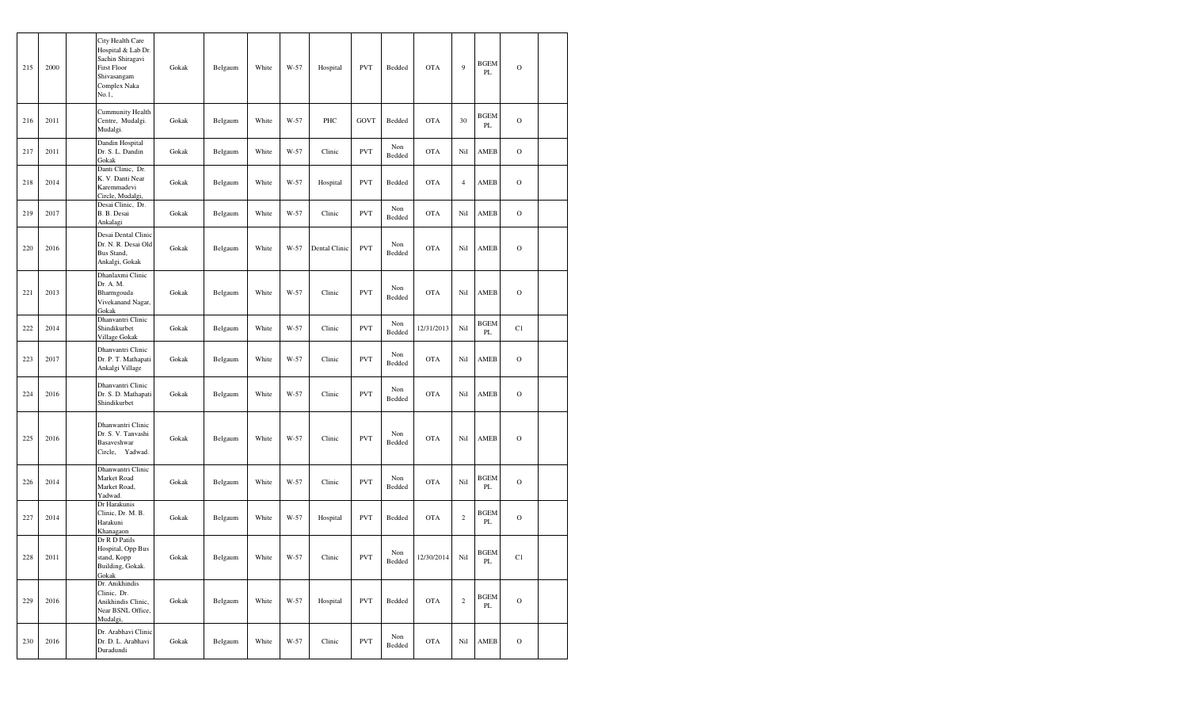| 215 | 2000 | City Health Care<br>Hospital & Lab Dr.<br>Sachin Shiragavi<br><b>First Floor</b><br>Shivasangam<br>Complex Naka<br>No.1, | Gokak | Belgaum | White | W-57 | Hospital      | <b>PVT</b> | Bedded        | <b>OTA</b> | 9                       | <b>BGEM</b><br>PL | $\circ$       |  |
|-----|------|--------------------------------------------------------------------------------------------------------------------------|-------|---------|-------|------|---------------|------------|---------------|------------|-------------------------|-------------------|---------------|--|
| 216 | 2011 | <b>Cummunity Health</b><br>Centre, Mudalgi.<br>Mudalgi.                                                                  | Gokak | Belgaum | White | W-57 | PHC           | GOVT       | Bedded        | <b>OTA</b> | 30                      | <b>BGEM</b><br>PL | $\mathbf{O}$  |  |
| 217 | 2011 | Dandin Hospital<br>Dr. S. L. Dandin<br>Gokak                                                                             | Gokak | Belgaum | White | W-57 | Clinic        | <b>PVT</b> | Non<br>Bedded | <b>OTA</b> | Nil                     | AMEB              | $\circ$       |  |
| 218 | 2014 | Danti Clinic, Dr.<br>K. V. Danti Near<br>Karemmadevi<br>Circle, Mudalgi,                                                 | Gokak | Belgaum | White | W-57 | Hospital      | <b>PVT</b> | Bedded        | <b>OTA</b> | $\overline{4}$          | AMEB              | $\circ$       |  |
| 219 | 2017 | Desai Clinic, Dr.<br>B. B. Desai<br>Ankalagi                                                                             | Gokak | Belgaum | White | W-57 | Clinic        | <b>PVT</b> | Non<br>Bedded | <b>OTA</b> | Nil                     | AMEB              | $\circ$       |  |
| 220 | 2016 | Desai Dental Clinic<br>Dr. N. R. Desai Old<br>Bus Stand,<br>Ankalgi, Gokak                                               | Gokak | Belgaum | White | W-57 | Dental Clinic | <b>PVT</b> | Non<br>Bedded | <b>OTA</b> | Nil                     | AMEB              | $\circ$       |  |
| 221 | 2013 | Dhanlaxmi Clinic<br>Dr. A. M.<br>Bharmgouda<br>Vivekanand Nagar,<br>Gokak                                                | Gokak | Belgaum | White | W-57 | Clinic        | <b>PVT</b> | Non<br>Bedded | <b>OTA</b> | Nil                     | AMEB              | $\circ$       |  |
| 222 | 2014 | Dhanvantri Clinic<br>Shindikurbet<br>Village Gokak                                                                       | Gokak | Belgaum | White | W-57 | Clinic        | <b>PVT</b> | Non<br>Bedded | 12/31/2013 | Nil                     | <b>BGEM</b><br>PL | C1            |  |
| 223 | 2017 | Dhanvantri Clinic<br>Dr. P. T. Mathapati<br>Ankalgi Village                                                              | Gokak | Belgaum | White | W-57 | Clinic        | <b>PVT</b> | Non<br>Bedded | <b>OTA</b> | Nil                     | AMEB              | $\circ$       |  |
| 224 | 2016 | Dhanvantri Clinic<br>Dr. S. D. Mathapati<br>Shindikurbet                                                                 | Gokak | Belgaum | White | W-57 | Clinic        | <b>PVT</b> | Non<br>Bedded | <b>OTA</b> | Nil                     | AMEB              | $\circ$       |  |
| 225 | 2016 | Dhanwantri Clinic<br>Dr. S. V. Tanvashi<br>Basaveshwar<br>Circle,<br>Yadwad.                                             | Gokak | Belgaum | White | W-57 | Clinic        | <b>PVT</b> | Non<br>Bedded | <b>OTA</b> | Nil                     | AMEB              | $\circ$       |  |
| 226 | 2014 | Dhanwantri Clinic<br>Market Road<br>Market Road,<br>Yadwad.                                                              | Gokak | Belgaum | White | W-57 | Clinic        | <b>PVT</b> | Non<br>Bedded | <b>OTA</b> | Nil                     | <b>BGEM</b><br>PL | $\circ$       |  |
| 227 | 2014 | Dr Harakunis<br>Clinic, Dr. M. B.<br>Harakuni<br>Khanagaon                                                               | Gokak | Belgaum | White | W-57 | Hospital      | <b>PVT</b> | Bedded        | <b>OTA</b> | $\overline{\mathbf{c}}$ | <b>BGEM</b><br>PL | $\circ$       |  |
| 228 | 2011 | Dr R D Patils<br>Hospital, Opp Bus<br>stand, Kopp<br>Building, Gokak.<br>Gokak                                           | Gokak | Belgaum | White | W-57 | Clinic        | <b>PVT</b> | Non<br>Bedded | 12/30/2014 | Nil                     | <b>BGEM</b><br>PL | C1            |  |
| 229 | 2016 | Dr. Anikhindis<br>Clinic, Dr.<br>Anikhindis Clinic,<br>Near BSNL Office,<br>Mudalgi,                                     | Gokak | Belgaum | White | W-57 | Hospital      | <b>PVT</b> | Bedded        | <b>OTA</b> | $\,2$                   | <b>BGEM</b><br>PL | $\mathbf O$   |  |
| 230 | 2016 | Dr. Arabhavi Clinic<br>Dr. D. L. Arabhavi<br>Duradundi                                                                   | Gokak | Belgaum | White | W-57 | Clinic        | <b>PVT</b> | Non<br>Bedded | <b>OTA</b> | Nil                     | AMEB              | $\mathcal{O}$ |  |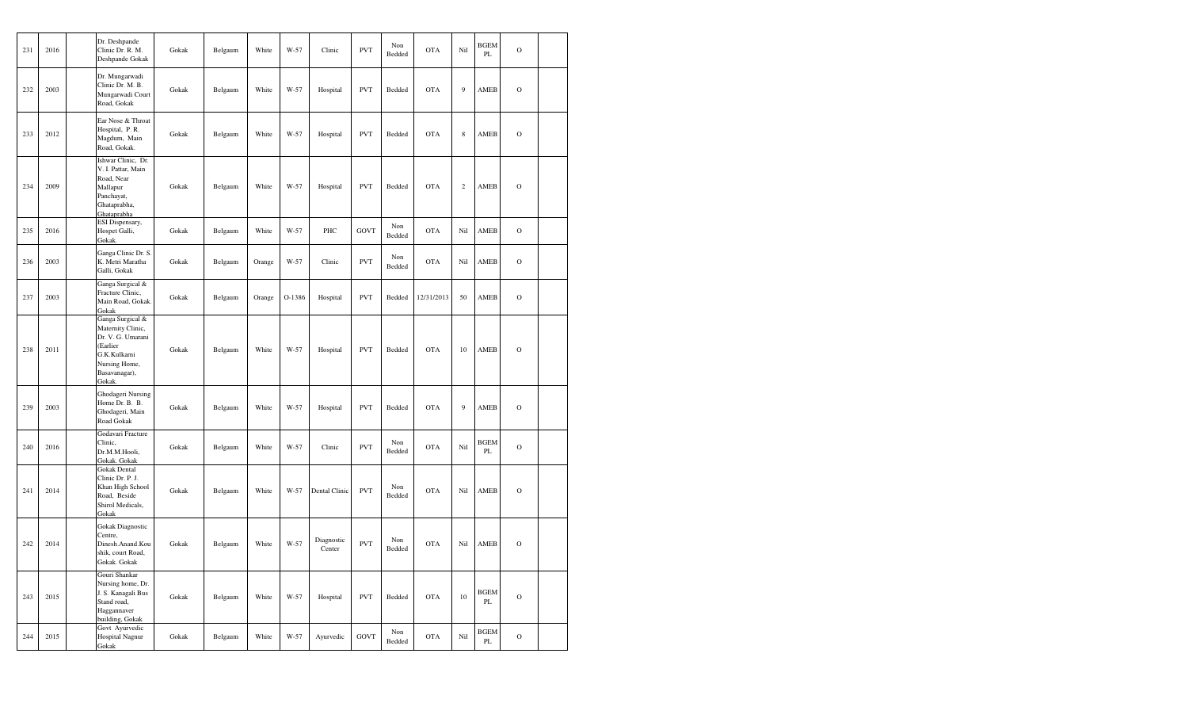| 231 | 2016 | Dr. Deshpande<br>Clinic Dr. R. M.<br>Deshpande Gokak                                                                               | Gokak | Belgaum | White  | W-57   | Clinic               | <b>PVT</b>  | Non<br>Bedded | <b>OTA</b> | Nil            | <b>BGEM</b><br>PL | $\mathbf O$   |  |
|-----|------|------------------------------------------------------------------------------------------------------------------------------------|-------|---------|--------|--------|----------------------|-------------|---------------|------------|----------------|-------------------|---------------|--|
| 232 | 2003 | Dr. Mungarwadi<br>Clinic Dr. M. B.<br>Mungarwadi Court<br>Road, Gokak                                                              | Gokak | Belgaum | White  | $W-57$ | Hospital             | <b>PVT</b>  | Bedded        | <b>OTA</b> | $\overline{9}$ | AMEB              | $\circ$       |  |
| 233 | 2012 | Ear Nose & Throat<br>Hospital, P.R.<br>Magdum, Main<br>Road, Gokak.                                                                | Gokak | Belgaum | White  | W-57   | Hospital             | <b>PVT</b>  | Bedded        | <b>OTA</b> | $\,$ 8 $\,$    | <b>AMEB</b>       | $\mathbf O$   |  |
| 234 | 2009 | Ishwar Clinic, Dr.<br>V. I. Pattar, Main<br>Road, Near<br>Mallapur<br>Panchayat,<br>Ghataprabha,<br>Ghataprabha                    | Gokak | Belgaum | White  | W-57   | Hospital             | <b>PVT</b>  | Bedded        | <b>OTA</b> | $\sqrt{2}$     | AMEB              | $\mathbf O$   |  |
| 235 | 2016 | ESI Dispensary,<br>Hospet Galli,<br>Gokak.                                                                                         | Gokak | Belgaum | White  | W-57   | PHC                  | <b>GOVT</b> | Non<br>Bedded | <b>OTA</b> | Nil            | AMEB              | $\mathcal{O}$ |  |
| 236 | 2003 | Ganga Clinic Dr. S.<br>K. Metri Maratha<br>Galli, Gokak                                                                            | Gokak | Belgaum | Orange | W-57   | Clinic               | <b>PVT</b>  | Non<br>Bedded | OTA        | Nil            | AMEB              | $\mathbf O$   |  |
| 237 | 2003 | Ganga Surgical &<br>Fracture Clinic,<br>Main Road, Gokak.<br>Gokak                                                                 | Gokak | Belgaum | Orange | O-1386 | Hospital             | <b>PVT</b>  | Bedded        | 12/31/2013 | 50             | AMEB              | $\mathbf O$   |  |
| 238 | 2011 | Ganga Surgical &<br>Maternity Clinic,<br>Dr. V. G. Umarani<br>(Earlier<br>G.K.Kulkarni<br>Nursing Home,<br>Basavanagar),<br>Gokak. | Gokak | Belgaum | White  | W-57   | Hospital             | <b>PVT</b>  | Bedded        | <b>OTA</b> | 10             | AMEB              | $\mathbf O$   |  |
| 239 | 2003 | Ghodageri Nursing<br>Home Dr. B. B.<br>Ghodageri, Main<br>Road Gokak                                                               | Gokak | Belgaum | White  | W-57   | Hospital             | <b>PVT</b>  | Bedded        | <b>OTA</b> | $\overline{9}$ | AMEB              | $\mathbf O$   |  |
| 240 | 2016 | Godavari Fracture<br>Clinic,<br>Dr.M.M.Hooli,<br>Gokak. Gokak                                                                      | Gokak | Belgaum | White  | W-57   | Clinic               | <b>PVT</b>  | Non<br>Bedded | OTA        | Nil            | <b>BGEM</b><br>PL | $\circ$       |  |
| 241 | 2014 | Gokak Dental<br>Clinic Dr. P. J.<br>Khan High School<br>Road, Beside<br>Shirol Medicals,<br>Gokak                                  | Gokak | Belgaum | White  | W-57   | Dental Clinic        | <b>PVT</b>  | Non<br>Bedded | <b>OTA</b> | Nil            | AMEB              | $\mathbf O$   |  |
| 242 | 2014 | Gokak Diagnostic<br>Centre,<br>Dinesh.Anand.Kou<br>shik, court Road,<br>Gokak. Gokak                                               | Gokak | Belgaum | White  | W-57   | Diagnostic<br>Center | <b>PVT</b>  | Non<br>Bedded | <b>OTA</b> | Nil            | AMEB              | $\mathbf O$   |  |
| 243 | 2015 | Gouri Shankar<br>Nursing home, Dr.<br>J. S. Kanagali Bus<br>Stand road,<br>Haggannaver<br>building, Gokak                          | Gokak | Belgaum | White  | W-57   | Hospital             | <b>PVT</b>  | Bedded        | <b>OTA</b> | 10             | <b>BGEM</b><br>PL | $\circ$       |  |
| 244 | 2015 | Govt Ayurvedic<br><b>Hospital Nagnur</b><br>Gokak                                                                                  | Gokak | Belgaum | White  | W-57   | Ayurvedic            | <b>GOVT</b> | Non<br>Bedded | <b>OTA</b> | Nil            | <b>BGEM</b><br>PL | $\mathbf O$   |  |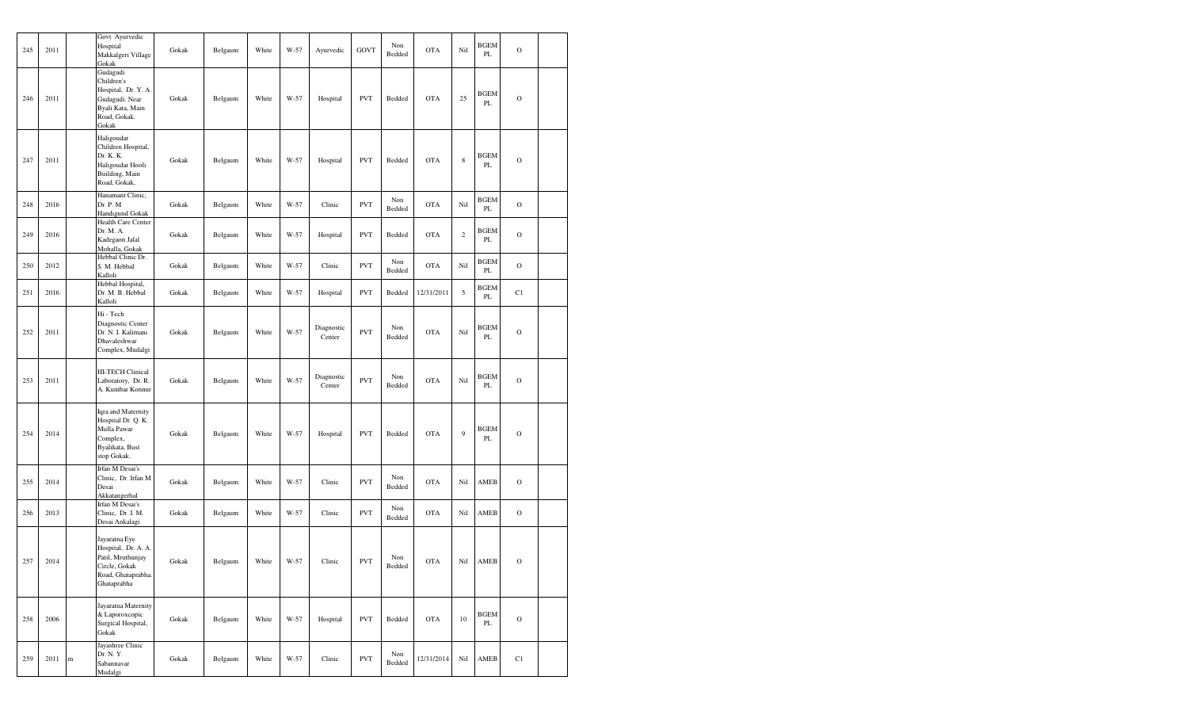| 245 | 2011 |           | Govt Ayurvedic<br>Hospital<br>Makkalgeri Village<br>Gokak                                                       | Gokak         | Belgaum | White      | W-57 | Ayurvedic            | GOVT       | Non<br>Bedded | <b>OTA</b> | Nil         | <b>BGEM</b><br>PL            | $\mathbf O$    |  |
|-----|------|-----------|-----------------------------------------------------------------------------------------------------------------|---------------|---------|------------|------|----------------------|------------|---------------|------------|-------------|------------------------------|----------------|--|
| 246 | 2011 |           | Gudagudi<br>Children's<br>Hospital, Dr. Y. A.<br>Gudagudi. Near<br>Byali Kata, Main<br>Road, Gokak.<br>Gokak    | Gokak         | Belgaum | White      | W-57 | Hospital             | <b>PVT</b> | Bedded        | <b>OTA</b> | 25          | <b>BGEM</b><br>PL            | $\mathcal{O}$  |  |
| 247 | 2011 |           | Haligoudar<br>Children Hospital,<br>Dr. K. K.<br>Haligoudar Hooli<br>Building, Main<br>Road, Gokak,             | Gokak         | Belgaum | White      | W-57 | Hospital             | <b>PVT</b> | Bedded        | <b>OTA</b> | $\,$ 8 $\,$ | <b>BGEM</b><br>PL            | $\mathcal{O}$  |  |
| 248 | 2016 |           | Hanamant Clinic,<br>Dr. P. M<br>Handigund Gokak                                                                 | Gokak         | Belgaum | White      | W-57 | Clinic               | <b>PVT</b> | Non<br>Bedded | <b>OTA</b> | Nil         | <b>BGEM</b><br>PL            | $\mathbf O$    |  |
| 249 | 2016 |           | Health Care Center<br>Dr. M. A.<br>Kadegaon Jalal<br>Mohalla, Gokak                                             | Gokak         | Belgaum | White      | W-57 | Hospital             | <b>PVT</b> | Bedded        | <b>OTA</b> | $\sqrt{2}$  | <b>BGEM</b><br>PL            | $\overline{O}$ |  |
| 250 | 2012 |           | Hebbal Clinic Dr.<br>S. M. Hebbal<br>Kalloli                                                                    | Gokak         | Belgaum | White      | W-57 | Clinic               | <b>PVT</b> | Non<br>Bedded | <b>OTA</b> | Nil         | <b>BGEM</b><br>$\mathbf{PL}$ | $\circ$        |  |
| 251 | 2016 |           | Hebbal Hospital,<br>Dr. M. B. Hebbal<br>Kalloli                                                                 | Gokak         | Belgaum | White      | W-57 | Hospital             | <b>PVT</b> | Bedded        | 12/31/2011 | 5           | <b>BGEM</b><br>PL            | C1             |  |
| 252 | 2011 |           | Hi - Tech<br>Diagnostic Center<br>Dr. N. I. Kalimani<br>Dhavaleshwar<br>Complex, Mudalgi                        | Gokak         | Belgaum | White      | W-57 | Diagnostic<br>Center | <b>PVT</b> | Non<br>Bedded | <b>OTA</b> | Nil         | <b>BGEM</b><br>PL            | $\mathcal{O}$  |  |
| 253 | 2011 |           | HI-TECH Clinical<br>Laboratory, Dr. R.<br>A. Kumbar Konnur                                                      | Gokak         | Belgaum | White      | W-57 | Diagnostic<br>Center | <b>PVT</b> | Non<br>Bedded | <b>OTA</b> | Nil         | <b>BGEM</b><br>$\mathbf{PL}$ | $\mathcal{O}$  |  |
| 254 | 2014 |           | Iqra and Maternity<br>Hospital Dr. Q. K.<br>Mulla Pawar<br>Complex,<br>Byalikata, Bust<br>stop Gokak.           | Gokak         | Belgaum | White      | W-57 | Hospital             | <b>PVT</b> | Bedded        | <b>OTA</b> | 9           | <b>BGEM</b><br>$\mathbf{PL}$ | $\overline{O}$ |  |
| 255 | 2014 |           | Irfan M Desai's<br>Clinic, Dr. Irfan M<br>Desai<br>Akkatangerhal                                                | Gokak         | Belgaum | White      | W-57 | Clinic               | <b>PVT</b> | Non<br>Bedded | <b>OTA</b> | Nil         | AMEB                         | $\mathbf O$    |  |
| 256 | 2013 |           | Irfan M Desai's<br>Clinic, Dr. I. M.<br>Desai Ankalagi                                                          | Gokak         | Belgaum | White      | W-57 | Clinic               | <b>PVT</b> | Non<br>Bedded | <b>OTA</b> | Nil         | AMEB                         | $\mathcal{O}$  |  |
| 257 | 2014 |           | Jayaratna Eye<br>Hospital, Dr. A. A.<br>Patil, Mruthunjay<br>Circle, Gokak<br>Road, Ghataprabha.<br>Ghataprabha | Gokak         | Belgaum | White W-57 |      | Clinic               | <b>PVT</b> | Non<br>Bedded | <b>OTA</b> |             | Nil AMEB                     | $\mathcal{O}$  |  |
| 258 | 2006 |           | Jayaratna Maternity<br>& Laporoxcopic<br>Surgical Hospital,<br>Gokak                                            | Gokak         | Belgaum | White      | W-57 | Hospital             | <b>PVT</b> | Bedded        | OTA        | 10          | <b>BGEM</b><br>PL            | $\mathbf O$    |  |
| 259 | 2011 | ${\bf m}$ | Jayashree Clinic<br>Dr. N. Y.<br>Sabannavar<br>Mudalgi                                                          | ${\rm Gokak}$ | Belgaum | White      | W-57 | Clinic               | <b>PVT</b> | Non<br>Bedded | 12/31/2014 | Nil         | AMEB                         | C1             |  |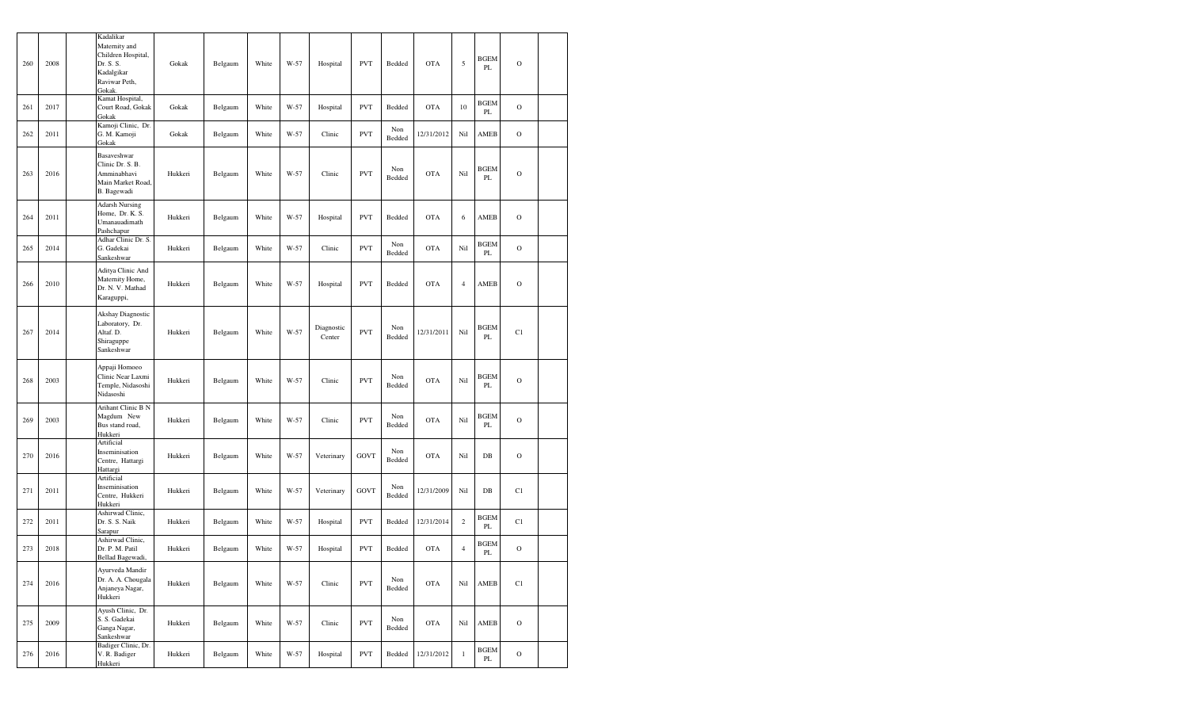| 260 | 2008 | Kadalikar<br>Maternity and<br>Children Hospital,<br>Dr. S. S.<br>Kadalgikar<br>Raviwar Peth,<br>Gokak. | Gokak   | Belgaum | White | W-57 | Hospital             | <b>PVT</b>  | Bedded        | <b>OTA</b> | 5              | <b>BGEM</b><br>PL | $\mathcal{O}$ |  |
|-----|------|--------------------------------------------------------------------------------------------------------|---------|---------|-------|------|----------------------|-------------|---------------|------------|----------------|-------------------|---------------|--|
| 261 | 2017 | Kamat Hospital,<br>Court Road, Gokak<br>Gokak                                                          | Gokak   | Belgaum | White | W-57 | Hospital             | <b>PVT</b>  | Bedded        | <b>OTA</b> | 10             | <b>BGEM</b><br>PL | $\mathcal{O}$ |  |
| 262 | 2011 | Kamoji Clinic, Dr.<br>G. M. Kamoji<br>Gokak                                                            | Gokak   | Belgaum | White | W-57 | Clinic               | <b>PVT</b>  | Non<br>Bedded | 12/31/2012 | Nil            | AMEB              | $\mathbf O$   |  |
| 263 | 2016 | Basaveshwar<br>Clinic Dr. S. B.<br>Amminabhavi<br>Main Market Road,<br>B. Bagewadi                     | Hukkeri | Belgaum | White | W-57 | Clinic               | <b>PVT</b>  | Non<br>Bedded | <b>OTA</b> | Nil            | BGEM<br>PL        | $\mathcal{O}$ |  |
| 264 | 2011 | <b>Adarsh Nursing</b><br>Home, Dr. K. S.<br>Umanauadimath<br>Pashchapur                                | Hukkeri | Belgaum | White | W-57 | Hospital             | <b>PVT</b>  | Bedded        | <b>OTA</b> | 6              | AMEB              | $\mathcal{O}$ |  |
| 265 | 2014 | Adhar Clinic Dr. S.<br>G. Gadekai<br>Sankeshwar                                                        | Hukkeri | Belgaum | White | W-57 | Clinic               | <b>PVT</b>  | Non<br>Bedded | <b>OTA</b> | Nil            | <b>BGEM</b><br>PL | $\mathcal{O}$ |  |
| 266 | 2010 | Aditya Clinic And<br>Maternity Home,<br>Dr. N. V. Mathad<br>Karaguppi,                                 | Hukkeri | Belgaum | White | W-57 | Hospital             | <b>PVT</b>  | Bedded        | <b>OTA</b> | $\overline{4}$ | AMEB              | $\mathcal{O}$ |  |
| 267 | 2014 | Akshay Diagnostic<br>Laboratory, Dr.<br>Altaf. D.<br>Shiraguppe<br>Sankeshwar                          | Hukkeri | Belgaum | White | W-57 | Diagnostic<br>Center | <b>PVT</b>  | Non<br>Bedded | 12/31/2011 | Nil            | <b>BGEM</b><br>PL | C1            |  |
| 268 | 2003 | Appaji Homoeo<br>Clinic Near Laxmi<br>Temple, Nidasoshi<br>Nidasoshi                                   | Hukkeri | Belgaum | White | W-57 | Clinic               | <b>PVT</b>  | Non<br>Bedded | <b>OTA</b> | Nil            | <b>BGEM</b><br>PL | $\circ$       |  |
| 269 | 2003 | Arihant Clinic B N<br>Magdum New<br>Bus stand road,<br>Hukkeri                                         | Hukkeri | Belgaum | White | W-57 | Clinic               | <b>PVT</b>  | Non<br>Bedded | <b>OTA</b> | Nil            | <b>BGEM</b><br>PL | $\mathcal{O}$ |  |
| 270 | 2016 | Artificial<br>Inseminisation<br>Centre, Hattargi<br>Hattargi                                           | Hukkeri | Belgaum | White | W-57 | Veterinary           | <b>GOVT</b> | Non<br>Bedded | <b>OTA</b> | Nil            | DB                | $\mathbf O$   |  |
| 271 | 2011 | Artificial<br>Inseminisation<br>Centre, Hukkeri<br>Hukkeri                                             | Hukkeri | Belgaum | White | W-57 | Veterinary           | <b>GOVT</b> | Non<br>Bedded | 12/31/2009 | Nil            | DB                | C1            |  |
| 272 | 2011 | Ashirwad Clinic,<br>Dr. S. S. Naik<br>Sarapur                                                          | Hukkeri | Belgaum | White | W-57 | Hospital             | <b>PVT</b>  | Bedded        | 12/31/2014 | $\sqrt{2}$     | <b>BGEM</b><br>PL | C1            |  |
| 273 | 2018 | Ashirwad Clinic,<br>Dr. P. M. Patil<br>Bellad Bagewadi,                                                | Hukkeri | Belgaum | White | W-57 | Hospital             | <b>PVT</b>  | Bedded        | <b>OTA</b> | $\overline{4}$ | BGEM<br>PL        | $\mathcal{O}$ |  |
| 274 | 2016 | Ayurveda Mandir<br>Dr. A. A. Chougala<br>Anjaneya Nagar,<br>Hukkeri                                    | Hukkeri | Belgaum | White | W-57 | Clinic               | <b>PVT</b>  | Non<br>Bedded | <b>OTA</b> | Nil            | AMEB              | C1            |  |
| 275 | 2009 | Ayush Clinic, Dr.<br>S. S. Gadekai<br>Ganga Nagar,<br>Sankeshwar                                       | Hukkeri | Belgaum | White | W-57 | Clinic               | <b>PVT</b>  | Non<br>Bedded | OTA        | Nil            | AMEB              | $\mathcal{O}$ |  |
| 276 | 2016 | Badiger Clinic, Dr.<br>V. R. Badiger<br>Hukkeri                                                        | Hukkeri | Belgaum | White | W-57 | Hospital             | <b>PVT</b>  | Bedded        | 12/31/2012 | $\,1$          | <b>BGEM</b><br>PL | $\mathbf O$   |  |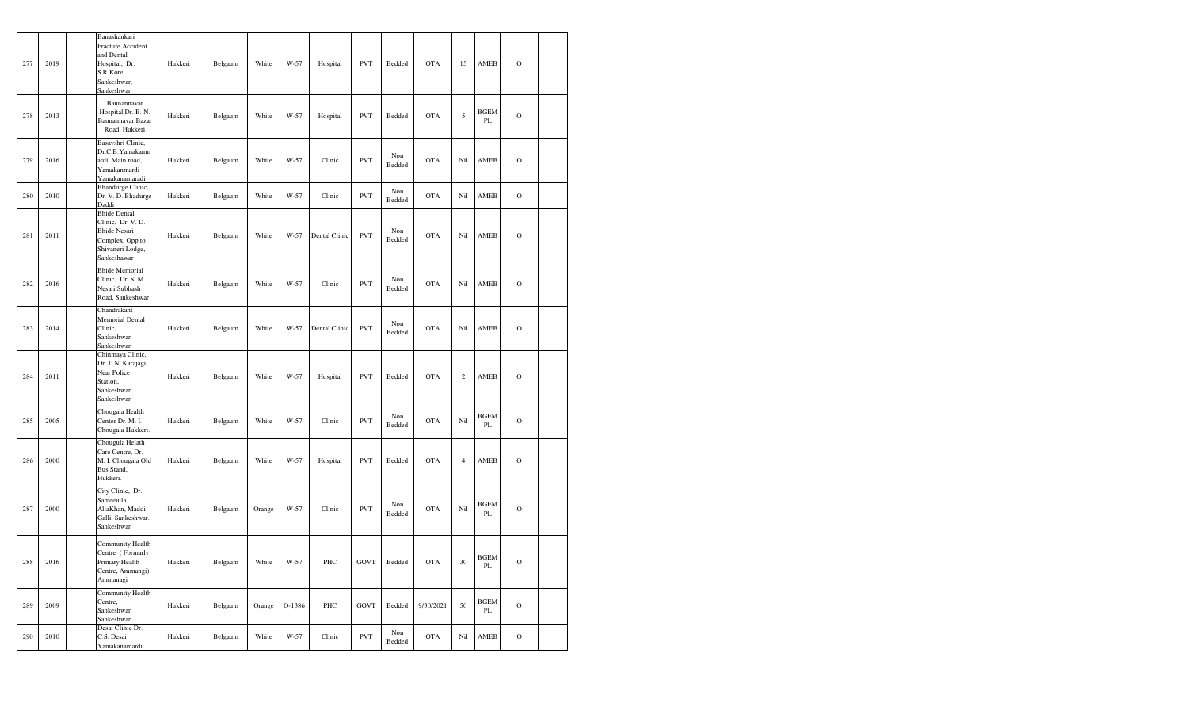| 277 | 2019 | Banashankari<br>Fracture Accident<br>and Dental<br>Hospital, Dr.<br>S.R.Kore<br>Sankeshwar,<br>Sankeshwar             | Hukkeri | Belgaum | White  | W-57   | Hospital      | <b>PVT</b> | Bedded        | <b>OTA</b> | 15               | AMEB              | $\Omega$      |  |
|-----|------|-----------------------------------------------------------------------------------------------------------------------|---------|---------|--------|--------|---------------|------------|---------------|------------|------------------|-------------------|---------------|--|
| 278 | 2013 | Bannannavar<br>Hospital Dr. B. N.<br>Bannannavar Bazar<br>Road, Hukkeri                                               | Hukkeri | Belgaum | White  | W-57   | Hospital      | <b>PVT</b> | Bedded        | <b>OTA</b> | 5                | <b>BGEM</b><br>PL | $\mathcal{O}$ |  |
| 279 | 2016 | Basavshri Clinic,<br>Dr.C.B. Yamakanm<br>ardi, Main road,<br>Yamakanmardi<br>Yamakanamaradi                           | Hukkeri | Belgaum | White  | W-57   | Clinic        | <b>PVT</b> | Non<br>Bedded | <b>OTA</b> | Nil              | AMEB              | $\circ$       |  |
| 280 | 2010 | Bhandurge Clinic,<br>Dr. V. D. Bhadurge<br>Daddi                                                                      | Hukkeri | Belgaum | White  | W-57   | Clinic        | <b>PVT</b> | Non<br>Bedded | <b>OTA</b> | Nil              | AMEB              | $\mathbf O$   |  |
| 281 | 2011 | <b>Bhide Dental</b><br>Clinic, Dr. V. D.<br><b>Bhide Nesari</b><br>Complex, Opp to<br>Shivaneri Lodge,<br>Sankeshawar | Hukkeri | Belgaum | White  | W-57   | Dental Clinic | <b>PVT</b> | Non<br>Bedded | <b>OTA</b> | Nil              | AMEB              | $\circ$       |  |
| 282 | 2016 | <b>Bhide Memorial</b><br>Clinic, Dr. S. M.<br>Nesari Subhash<br>Road, Sankeshwar                                      | Hukkeri | Belgaum | White  | $W-57$ | Clinic        | <b>PVT</b> | Non<br>Bedded | <b>OTA</b> | Nil              | AMEB              | $\mathbf O$   |  |
| 283 | 2014 | Chandrakant<br>Memorial Dental<br>Clinic,<br>Sankeshwar<br>Sankeshwar                                                 | Hukkeri | Belgaum | White  | $W-57$ | Dental Clinic | <b>PVT</b> | Non<br>Bedded | <b>OTA</b> | Nil              | AMEB              | $\mathcal{O}$ |  |
| 284 | 2011 | Chinmaya Clinic,<br>Dr. J. N. Karajagi.<br>Near Police<br>Station,<br>Sankeshwar.<br>Sankeshwar                       | Hukkeri | Belgaum | White  | W-57   | Hospital      | <b>PVT</b> | Bedded        | <b>OTA</b> | $\boldsymbol{2}$ | <b>AMEB</b>       | $\circ$       |  |
| 285 | 2005 | Chougala Health<br>Center Dr. M. I.<br>Chougala Hukkeri.                                                              | Hukkeri | Belgaum | White  | W-57   | Clinic        | <b>PVT</b> | Non<br>Bedded | <b>OTA</b> | Nil              | <b>BGEM</b><br>PL | $\circ$       |  |
| 286 | 2000 | Chougula Helath<br>Care Centre, Dr.<br>M. I. Chougala Old<br>Bus Stand,<br>Hukkeri.                                   | Hukkeri | Belgaum | White  | $W-57$ | Hospital      | <b>PVT</b> | Bedded        | <b>OTA</b> | $\overline{4}$   | AMEB              | $\circ$       |  |
| 287 | 2000 | City Clinic, Dr.<br>Sameeulla<br>AllaKhan, Maddi<br>Galli, Sankeshwar.<br>Sankeshwar                                  | Hukkeri | Belgaum | Orange | W-57   | Clinic        | <b>PVT</b> | Non<br>Bedded | <b>OTA</b> | $\rm Ni1$        | <b>BGEM</b><br>PL | $\circ$       |  |
| 288 | 2016 | Community Health<br>Centre (Formarly<br>Primary Health<br>Centre, Ammangi).<br>Ammanagi                               | Hukkeri | Belgaum | White  | W-57   | PHC           | GOVT       | Bedded        | <b>OTA</b> | 30               | <b>BGEM</b><br>PL | $\circ$       |  |
| 289 | 2009 | Community Health<br>Centre,<br>Sankeshwar<br>Sankeshwar                                                               | Hukkeri | Belgaum | Orange | O-1386 | PHC           | GOVT       | Bedded        | 9/30/2021  | 50               | <b>BGEM</b><br>PL | $\mathcal{O}$ |  |
| 290 | 2010 | Desai Clinic Dr.<br>C.S. Desai<br>Yamakanamardi                                                                       | Hukkeri | Belgaum | White  | W-57   | Clinic        | <b>PVT</b> | Non<br>Bedded | <b>OTA</b> | Nil              | AMEB              | $\mathbf O$   |  |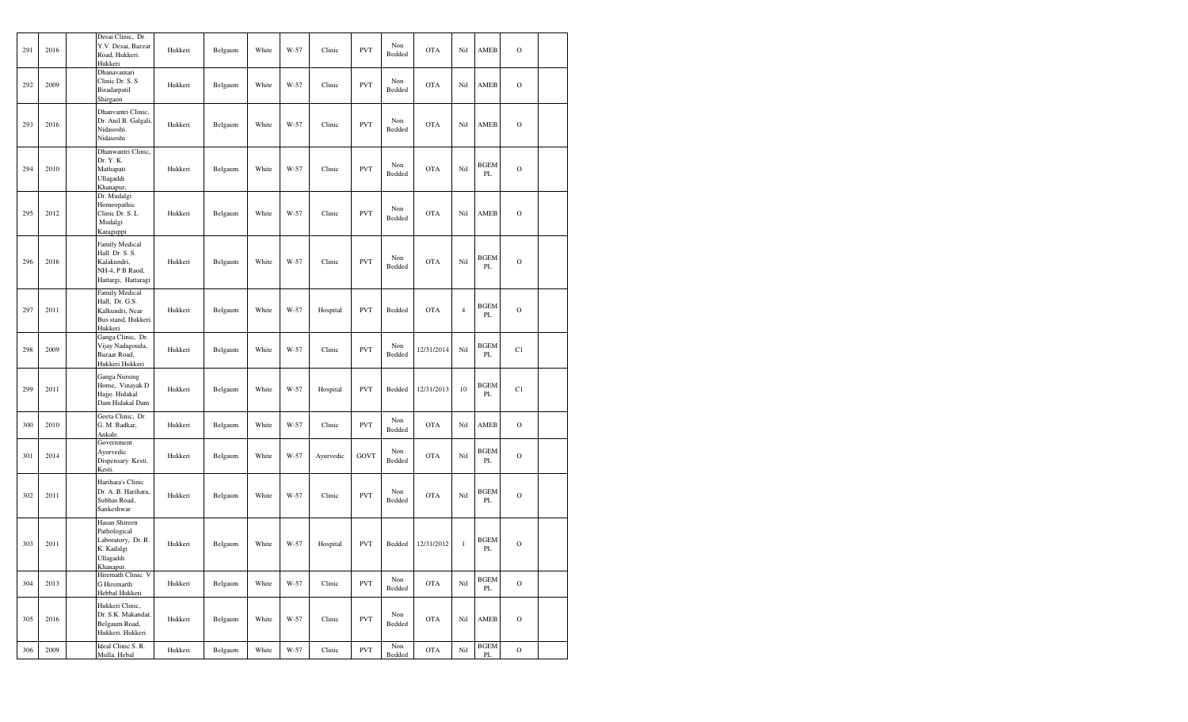| 291 | 2016 | Desai Clinic, Dr.<br>Y.V. Desai, Bazzar<br>Road, Hukkeri.<br>Hukkeri                             | Hukkeri | Belgaum | White | W-57 | Clinic    | <b>PVT</b>  | Non<br>Bedded | <b>OTA</b> | Nil            | AMEB                    | $\mathcal{O}$ |  |
|-----|------|--------------------------------------------------------------------------------------------------|---------|---------|-------|------|-----------|-------------|---------------|------------|----------------|-------------------------|---------------|--|
| 292 | 2009 | Dhanavantari<br>Clinic Dr. S. S.<br>Biradarpatil<br>Shirgaon                                     | Hukkeri | Belgaum | White | W-57 | Clinic    | <b>PVT</b>  | Non<br>Bedded | <b>OTA</b> | Nil            | AMEB                    | $\mathcal{O}$ |  |
| 293 | 2016 | Dhanvantri Clinic,<br>Dr. Anil B. Galgali,<br>Nidasoshi.<br>Nidasoshi                            | Hukkeri | Belgaum | White | W-57 | Clinic    | <b>PVT</b>  | Non<br>Bedded | <b>OTA</b> | Nil            | AMEB                    | $\mathcal{O}$ |  |
| 294 | 2010 | Dhanwantri Clinic,<br>Dr. Y. K.<br>Mathapati<br>Ullagaddi<br>Khanapur,                           | Hukkeri | Belgaum | White | W-57 | Clinic    | <b>PVT</b>  | Non<br>Bedded | <b>OTA</b> | Nil            | <b>BGEM</b><br>PL       | $\mathcal{O}$ |  |
| 295 | 2012 | Dr. Mudalgi<br>Homeopathic<br>Clinic Dr. S. L<br>Mudalgi.<br>Karaguppi                           | Hukkeri | Belgaum | White | W-57 | Clinic    | <b>PVT</b>  | Non<br>Bedded | <b>OTA</b> | Nil            | AMEB                    | $\mathcal{O}$ |  |
| 296 | 2016 | <b>Family Medical</b><br>Hall Dr. S. S.<br>Kalakundri,<br>NH-4, P B Raod,<br>Hattargi, Hattaragi | Hukkeri | Belgaum | White | W-57 | Clinic    | <b>PVT</b>  | Non<br>Bedded | <b>OTA</b> | Nil            | <b>BGEM</b><br>PL       | $\mathcal{O}$ |  |
| 297 | 2011 | Family Medical<br>Hall, Dr. G.S.<br>Kalkundri, Near<br>Bus stand, Hukkeri.<br>Hukkeri            | Hukkeri | Belgaum | White | W-57 | Hospital  | <b>PVT</b>  | Bedded        | <b>OTA</b> | $\overline{4}$ | BGEM<br>PL              | $\mathcal{O}$ |  |
| 298 | 2009 | Ganga Clinic, Dr.<br>Vijay Nadagouda,<br>Bazaar Road,<br>Hukkeri Hukkeri                         | Hukkeri | Belgaum | White | W-57 | Clinic    | <b>PVT</b>  | Non<br>Bedded | 12/31/2014 | Nil            | BGEM<br>PL              | C1            |  |
| 299 | 2011 | Ganga Nursing<br>Home, Vinayak D<br>Hajje. Hidakal<br>Dam Hidakal Dam                            | Hukkeri | Belgaum | White | W-57 | Hospital  | <b>PVT</b>  | Bedded        | 12/31/2013 | 10             | <b>BGEM</b><br>PL       | C1            |  |
| 300 | 2010 | Geeta Clinic, Dr.<br>G. M. Badkar,<br>Ankale.                                                    | Hukkeri | Belgaum | White | W-57 | Clinic    | <b>PVT</b>  | Non<br>Bedded | <b>OTA</b> | Nil            | AMEB                    | $\mathcal{O}$ |  |
| 301 | 2014 | Government<br>Ayurvedic<br>Dispensary Kesti.<br>Kesti.                                           | Hukkeri | Belgaum | White | W-57 | Ayurvedic | <b>GOVT</b> | Non<br>Bedded | <b>OTA</b> | Nil            | <b>BGEM</b><br>PL       | $\mathcal{O}$ |  |
| 302 | 2011 | Harihara's Clinic<br>Dr. A. B. Harihara,<br>Subhas Road,<br>Sankeshwar                           | Hukkeri | Belgaum | White | W-57 | Clinic    | <b>PVT</b>  | Non<br>Bedded | <b>OTA</b> | Nil            | <b>BGEM</b><br>PL       | $\mathcal{O}$ |  |
| 303 | 2011 | Hasan Shireen<br>Pathological<br>Laboratory, Dr. R.<br>K. Kadalgi<br>Ullagaddi<br>Khanapur.      | Hukkeri | Belgaum | White | W-57 | Hospital  | <b>PVT</b>  | Bedded        | 12/31/2012 | $\mathbf{1}$   | <b>BGEM</b><br>PL       | $\mathcal{O}$ |  |
| 304 | 2013 | Hiremath Clinic V<br>G Hiremarth<br>Hebbal Hukkeri                                               | Hukkeri | Belgaum | White | W-57 | Clinic    | <b>PVT</b>  | Non<br>Bedded | <b>OTA</b> | Nil            | <b>BGEM</b><br>$\rm PL$ | $\mathbf O$   |  |
| 305 | 2016 | Hukkeri Clinic,<br>Dr. S.K. Makandar,<br>Belgaum Road,<br>Hukkeri. Hukkeri                       | Hukkeri | Belgaum | White | W-57 | Clinic    | <b>PVT</b>  | Non<br>Bedded | <b>OTA</b> | Nil            | AMEB                    | $\mathcal{O}$ |  |
| 306 | 2009 | Ideal Clinic S. R.<br>Mulla. Hebal                                                               | Hukkeri | Belgaum | White | W-57 | Clinic    | <b>PVT</b>  | Non<br>Bedded | <b>OTA</b> | Nil            | <b>BGEM</b><br>$\rm PL$ | $\rm{O}$      |  |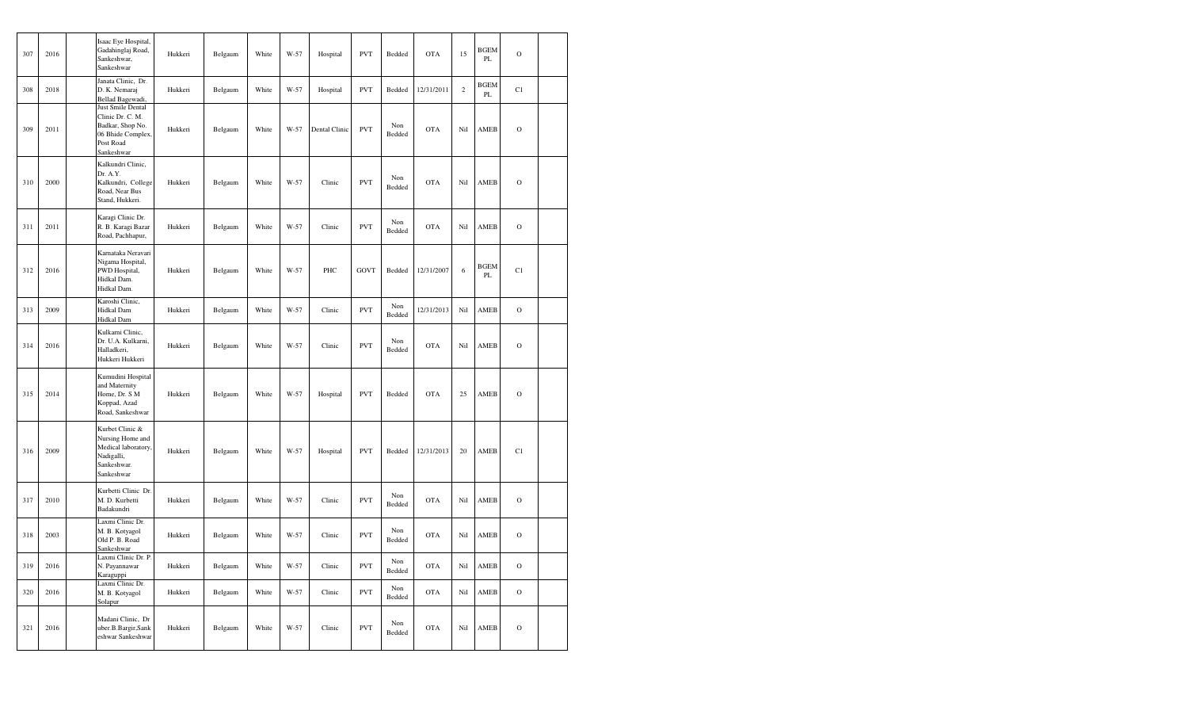| 307 | 2016 | Isaac Eye Hospital,<br>Gadahinglaj Road,<br>Sankeshwar,<br>Sankeshwar                                     | Hukkeri | Belgaum | White | W-57   | Hospital      | <b>PVT</b>  | Bedded        | <b>OTA</b> | 15             | <b>BGEM</b><br>PL | $\mathbf O$   |  |
|-----|------|-----------------------------------------------------------------------------------------------------------|---------|---------|-------|--------|---------------|-------------|---------------|------------|----------------|-------------------|---------------|--|
| 308 | 2018 | Janata Clinic, Dr.<br>D. K. Nemaraj<br>Bellad Bagewadi,                                                   | Hukkeri | Belgaum | White | W-57   | Hospital      | <b>PVT</b>  | Bedded        | 12/31/2011 | $\overline{c}$ | <b>BGEM</b><br>PL | C1            |  |
| 309 | 2011 | Just Smile Dental<br>Clinic Dr. C. M.<br>Badkar, Shop No.<br>06 Bhide Complex,<br>Post Road<br>Sankeshwar | Hukkeri | Belgaum | White | W-57   | Dental Clinic | <b>PVT</b>  | Non<br>Bedded | <b>OTA</b> | Nil            | AMEB              | $\mathcal{O}$ |  |
| 310 | 2000 | Kalkundri Clinic,<br>Dr. A.Y.<br>Kalkundri, College<br>Road, Near Bus<br>Stand, Hukkeri.                  | Hukkeri | Belgaum | White | W-57   | Clinic        | <b>PVT</b>  | Non<br>Bedded | <b>OTA</b> | Nil            | AMEB              | $\mathbf O$   |  |
| 311 | 2011 | Karagi Clinic Dr.<br>R. B. Karagi Bazar<br>Road, Pachhapur,                                               | Hukkeri | Belgaum | White | W-57   | Clinic        | <b>PVT</b>  | Non<br>Bedded | <b>OTA</b> | Nil            | AMEB              | $\mathbf O$   |  |
| 312 | 2016 | Karnataka Neravari<br>Nigama Hospital,<br>PWD Hospital,<br>Hidkal Dam.<br>Hidkal Dam.                     | Hukkeri | Belgaum | White | $W-57$ | PHC           | <b>GOVT</b> | Bedded        | 12/31/2007 | 6              | <b>BGEM</b><br>PL | C1            |  |
| 313 | 2009 | Karoshi Clinic,<br>Hidkal Dam<br>Hidkal Dam                                                               | Hukkeri | Belgaum | White | W-57   | Clinic        | <b>PVT</b>  | Non<br>Bedded | 12/31/2013 | Nil            | AMEB              | $\mathbf O$   |  |
| 314 | 2016 | Kulkarni Clinic,<br>Dr. U.A. Kulkarni,<br>Halladkeri,<br>Hukkeri Hukkeri                                  | Hukkeri | Belgaum | White | $W-57$ | Clinic        | <b>PVT</b>  | Non<br>Bedded | <b>OTA</b> | Nil            | AMEB              | $\mathcal{O}$ |  |
| 315 | 2014 | Kumudini Hospital<br>and Maternity<br>Home, Dr. S M<br>Koppad, Azad<br>Road, Sankeshwar                   | Hukkeri | Belgaum | White | W-57   | Hospital      | <b>PVT</b>  | Bedded        | <b>OTA</b> | 25             | AMEB              | O             |  |
| 316 | 2009 | Kurbet Clinic &<br>Nursing Home and<br>Medical laboratory,<br>Nadigalli,<br>Sankeshwar.<br>Sankeshwar     | Hukkeri | Belgaum | White | W-57   | Hospital      | <b>PVT</b>  | Bedded        | 12/31/2013 | 20             | AMEB              | C1            |  |
| 317 | 2010 | Kurbetti Clinic Dr.<br>M. D. Kurbetti<br>Badakundri                                                       | Hukkeri | Belgaum | White | $W-57$ | Clinic        | <b>PVT</b>  | Non<br>Bedded | <b>OTA</b> | Nil            | AMEB              | $\rm{O}$      |  |
| 318 | 2003 | Laxmi Clinic Dr.<br>M. B. Kotyagol<br>Old P. B. Road<br>Sankeshwar                                        | Hukkeri | Belgaum | White | W-57   | Clinic        | <b>PVT</b>  | Non<br>Bedded | <b>OTA</b> | Nil            | AMEB              | $\mathcal{O}$ |  |
| 319 | 2016 | Laxmi Clinic Dr. P.<br>N. Payannawar<br>Karaguppi                                                         | Hukkeri | Belgaum | White | W-57   | Clinic        | <b>PVT</b>  | Non<br>Bedded | <b>OTA</b> | Nil            | AMEB              | $\mathbf O$   |  |
| 320 | 2016 | Laxmi Clinic Dr.<br>M. B. Kotyagol<br>Solapur                                                             | Hukkeri | Belgaum | White | W-57   | Clinic        | <b>PVT</b>  | Non<br>Bedded | <b>OTA</b> | Nil            | AMEB              | $\mathcal{O}$ |  |
| 321 | 2016 | Madani Clinic, Dr<br>uber.B.Bargir,Sank<br>eshwar Sankeshwar                                              | Hukkeri | Belgaum | White | W-57   | Clinic        | <b>PVT</b>  | Non<br>Bedded | <b>OTA</b> | Nil            | AMEB              | $\mathcal{O}$ |  |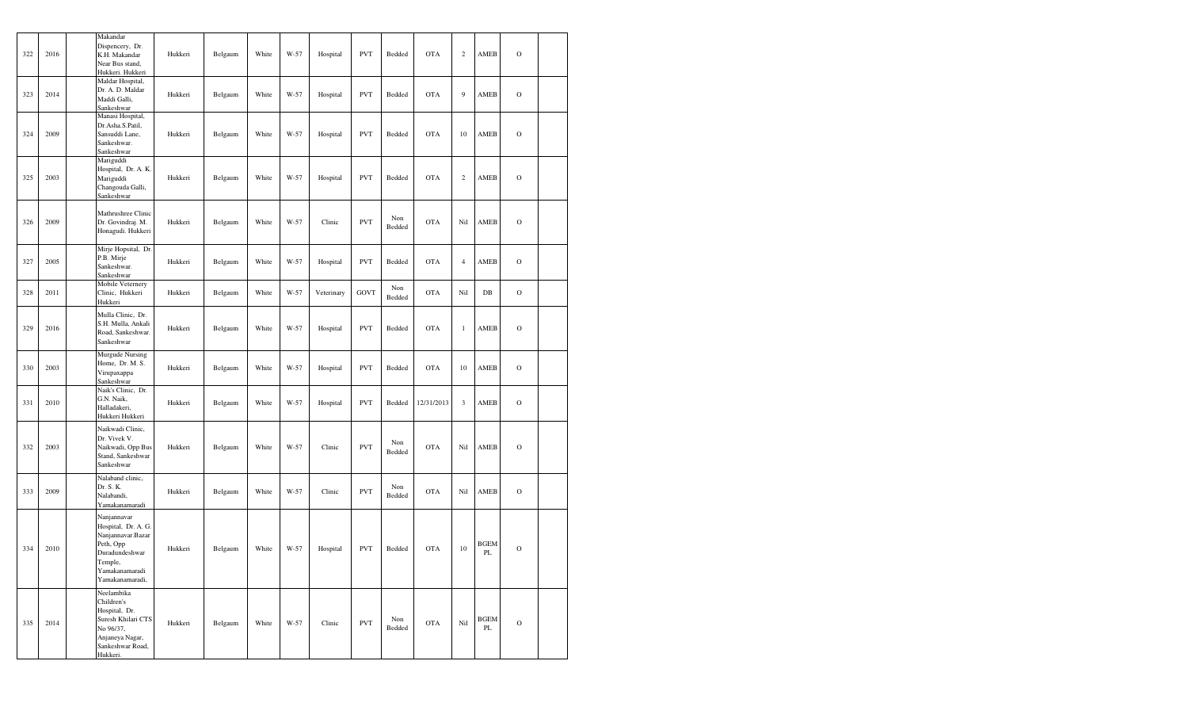| 322 | 2016 | Makandar<br>Dispencery, Dr.<br>K.H. Makandar<br>Near Bus stand,<br>Hukkeri. Hukkeri                                                    | Hukkeri | Belgaum | White | W-57 | Hospital   | <b>PVT</b> | Bedded        | <b>OTA</b> | $\mathbf{2}$   | AMEB                    | $\circ$       |  |
|-----|------|----------------------------------------------------------------------------------------------------------------------------------------|---------|---------|-------|------|------------|------------|---------------|------------|----------------|-------------------------|---------------|--|
| 323 | 2014 | Maldar Hospital,<br>Dr. A. D. Maldar<br>Maddi Galli,<br>Sankeshwar                                                                     | Hukkeri | Belgaum | White | W-57 | Hospital   | <b>PVT</b> | Bedded        | <b>OTA</b> | 9              | AMEB                    | $\mathcal{O}$ |  |
| 324 | 2009 | Manasi Hospital,<br>Dr.Asha.S.Patil,<br>Sansuddi Lane,<br>Sankeshwar.<br>Sankeshwar                                                    | Hukkeri | Belgaum | White | W-57 | Hospital   | <b>PVT</b> | Bedded        | <b>OTA</b> | 10             | AMEB                    | $\circ$       |  |
| 325 | 2003 | Mariguddi<br>Hospital, Dr. A. K.<br>Mariguddi<br>Changouda Galli,<br>Sankeshwar                                                        | Hukkeri | Belgaum | White | W-57 | Hospital   | <b>PVT</b> | Bedded        | <b>OTA</b> | $\,2$          | AMEB                    | $\circ$       |  |
| 326 | 2009 | Mathrushree Clinic<br>Dr. Govindraj. M.<br>Honagudi. Hukkeri                                                                           | Hukkeri | Belgaum | White | W-57 | Clinic     | <b>PVT</b> | Non<br>Bedded | <b>OTA</b> | Nil            | AMEB                    | $\circ$       |  |
| 327 | 2005 | Mirje Hopsital, Dr.<br>P.B. Mirje<br>Sankeshwar.<br>Sankeshwar                                                                         | Hukkeri | Belgaum | White | W-57 | Hospital   | <b>PVT</b> | Bedded        | <b>OTA</b> | $\overline{4}$ | AMEB                    | $\circ$       |  |
| 328 | 2011 | Mobile Veternery<br>Clinic, Hukkeri<br>Hukkeri                                                                                         | Hukkeri | Belgaum | White | W-57 | Veterinary | GOVT       | Non<br>Bedded | <b>OTA</b> | Nil            | $DB$                    | $\circ$       |  |
| 329 | 2016 | Mulla Clinic, Dr.<br>S.H. Mulla, Ankali<br>Road, Sankeshwar.<br>Sankeshwar                                                             | Hukkeri | Belgaum | White | W-57 | Hospital   | <b>PVT</b> | Bedded        | <b>OTA</b> | $\,1$          | AMEB                    | $\circ$       |  |
| 330 | 2003 | Murgude Nursing<br>Home, Dr. M. S.<br>Virupaxappa<br>Sankeshwar                                                                        | Hukkeri | Belgaum | White | W-57 | Hospital   | <b>PVT</b> | Bedded        | <b>OTA</b> | 10             | AMEB                    | $\circ$       |  |
| 331 | 2010 | Naik's Clinic, Dr.<br>G.N. Naik,<br>Halladakeri,<br>Hukkeri Hukkeri                                                                    | Hukkeri | Belgaum | White | W-57 | Hospital   | <b>PVT</b> | Bedded        | 12/31/2013 | $\mathfrak z$  | AMEB                    | $\circ$       |  |
| 332 | 2003 | Naikwadi Clinic,<br>Dr. Vivek V.<br>Naikwadi, Opp Bus<br>Stand, Sankeshwar<br>Sankeshwar                                               | Hukkeri | Belgaum | White | W-57 | Clinic     | <b>PVT</b> | Non<br>Bedded | <b>OTA</b> | Nil            | AMEB                    | $\circ$       |  |
| 333 | 2009 | Nalaband clinic,<br>Dr. S. K.<br>Nalabandi.<br>Yamakanamaradi                                                                          | Hukkeri | Belgaum | White | W-57 | Clinic     | <b>PVT</b> | Non<br>Bedded | <b>OTA</b> | Nil            | AMEB                    | $\circ$       |  |
| 334 | 2010 | Nanjannavar<br>Hospital, Dr. A. G.<br>Nanjannavar.Bazar<br>Peth, Opp<br>Duradundeshwar<br>Temple,<br>Yamakanamaradi<br>Yamakanamaradi, | Hukkeri | Belgaum | White | W-57 | Hospital   | <b>PVT</b> | Bedded        | <b>OTA</b> | 10             | <b>BGEM</b><br>PL       | $\circ$       |  |
| 335 | 2014 | Neelambika<br>Children's<br>Hospital, Dr.<br>Suresh Khilari CTS<br>No 96/37,<br>Anjaneya Nagar,<br>Sankeshwar Road,<br>Hukkeri.        | Hukkeri | Belgaum | White | W-57 | Clinic     | <b>PVT</b> | Non<br>Bedded | <b>OTA</b> | Nil            | <b>BGEM</b><br>$\rm PL$ | $\mathcal{O}$ |  |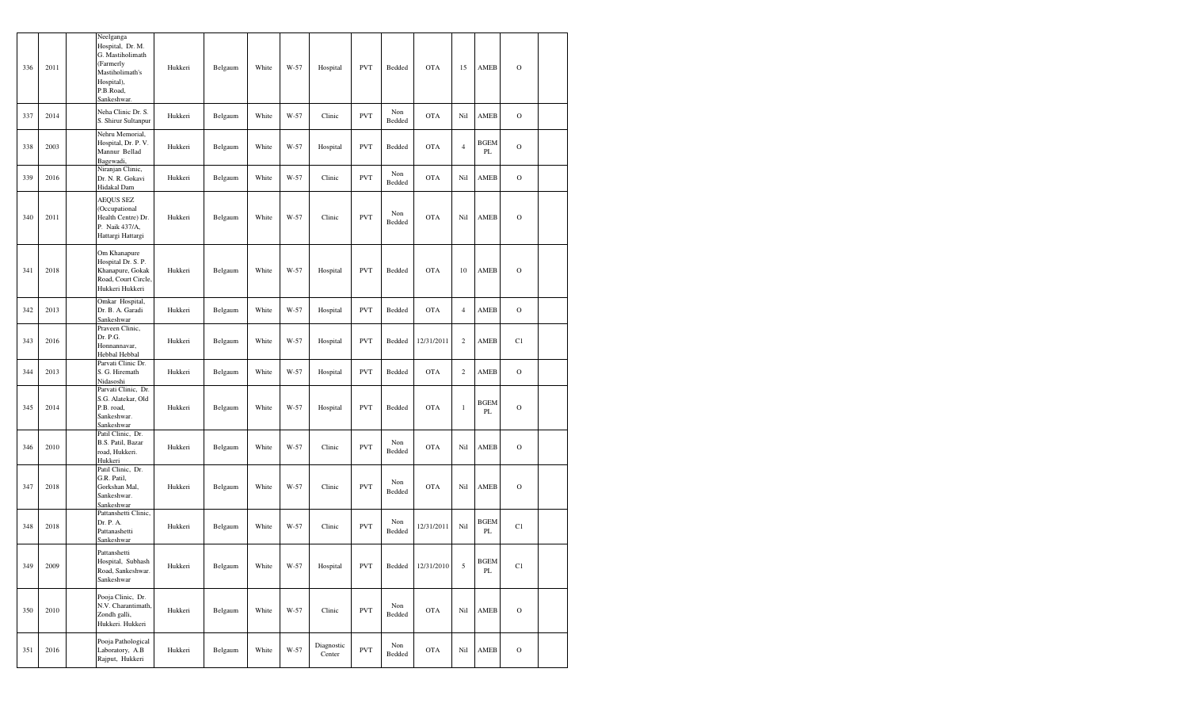| 336 | 2011 | Neelganga<br>Hospital, Dr. M.<br>G. Mastiholimath<br>(Farmerly<br>Mastiholimath's<br>Hospital),<br>P.B.Road,<br>Sankeshwar. | Hukkeri | Belgaum | White | W-57 | Hospital             | <b>PVT</b> | Bedded        | <b>OTA</b> | 15             | AMEB              | $\mathcal{O}$ |  |
|-----|------|-----------------------------------------------------------------------------------------------------------------------------|---------|---------|-------|------|----------------------|------------|---------------|------------|----------------|-------------------|---------------|--|
| 337 | 2014 | Neha Clinic Dr. S.<br>S. Shirur Sultanpur                                                                                   | Hukkeri | Belgaum | White | W-57 | Clinic               | <b>PVT</b> | Non<br>Bedded | <b>OTA</b> | Nil            | AMEB              | $\mathcal{O}$ |  |
| 338 | 2003 | Nehru Memorial,<br>Hospital, Dr. P. V.<br>Mannur Bellad<br>Bagewadi,                                                        | Hukkeri | Belgaum | White | W-57 | Hospital             | <b>PVT</b> | Bedded        | <b>OTA</b> | $\overline{4}$ | <b>BGEM</b><br>PL | $\mathcal{O}$ |  |
| 339 | 2016 | Niranjan Clinic,<br>Dr. N. R. Gokavi<br>Hidakal Dam                                                                         | Hukkeri | Belgaum | White | W-57 | Clinic               | <b>PVT</b> | Non<br>Bedded | <b>OTA</b> | Nil            | AMEB              | $\mathbf O$   |  |
| 340 | 2011 | <b>AEQUS SEZ</b><br>(Occupational<br>Health Centre) Dr.<br>P. Naik 437/A,<br>Hattargi Hattargi                              | Hukkeri | Belgaum | White | W-57 | Clinic               | <b>PVT</b> | Non<br>Bedded | <b>OTA</b> | Nil            | AMEB              | $\mathcal{O}$ |  |
| 341 | 2018 | Om Khanapure<br>Hospital Dr. S. P.<br>Khanapure, Gokak<br>Road, Court Circle,<br>Hukkeri Hukkeri                            | Hukkeri | Belgaum | White | W-57 | Hospital             | <b>PVT</b> | Bedded        | <b>OTA</b> | 10             | AMEB              | $\mathcal{O}$ |  |
| 342 | 2013 | Omkar Hospital,<br>Dr. B. A. Garadi<br>Sankeshwar                                                                           | Hukkeri | Belgaum | White | W-57 | Hospital             | <b>PVT</b> | Bedded        | <b>OTA</b> | $\overline{4}$ | AMEB              | $\mathbf O$   |  |
| 343 | 2016 | Praveen Clinic,<br>Dr. P.G.<br>Honnannavar,<br>Hebbal Hebbal                                                                | Hukkeri | Belgaum | White | W-57 | Hospital             | <b>PVT</b> | Bedded        | 12/31/2011 | $\sqrt{2}$     | AMEB              | C1            |  |
| 344 | 2013 | Parvati Clinic Dr.<br>S. G. Hiremath<br>Nidasoshi                                                                           | Hukkeri | Belgaum | White | W-57 | Hospital             | <b>PVT</b> | Bedded        | <b>OTA</b> | $\overline{c}$ | AMEB              | $\mathcal{O}$ |  |
| 345 | 2014 | Parvati Clinic, Dr.<br>S.G. Alatekar, Old<br>P.B. road,<br>Sankeshwar.<br>Sankeshwar                                        | Hukkeri | Belgaum | White | W-57 | Hospital             | <b>PVT</b> | Bedded        | <b>OTA</b> | $\mathbf{1}$   | <b>BGEM</b><br>PL | $\mathcal{O}$ |  |
| 346 | 2010 | Patil Clinic, Dr.<br>B.S. Patil, Bazar<br>road, Hukkeri.<br>Hukkeri                                                         | Hukkeri | Belgaum | White | W-57 | Clinic               | <b>PVT</b> | Non<br>Bedded | <b>OTA</b> | Nil            | AMEB              | $\mathcal{O}$ |  |
| 347 | 2018 | Patil Clinic, Dr.<br>G.R. Patil,<br>Gorkshan Mal,<br>Sankeshwar.<br>Sankeshwar                                              | Hukkeri | Belgaum | White | W-57 | Clinic               | <b>PVT</b> | Non<br>Bedded | <b>OTA</b> | Nil            | AMEB              | $\mathcal{O}$ |  |
| 348 | 2018 | Pattanshetti Clinic,<br>Dr. P. A.<br>Pattanashetti<br>Sankeshwar                                                            | Hukkeri | Belgaum | White | W-57 | Clinic               | <b>PVT</b> | Non<br>Bedded | 12/31/2011 | Nil            | <b>BGEM</b><br>PL | C1            |  |
| 349 | 2009 | Pattanshetti<br>Hospital, Subhash<br>Road, Sankeshwar.<br>Sankeshwar                                                        | Hukkeri | Belgaum | White | W-57 | Hospital             | <b>PVT</b> | Bedded        | 12/31/2010 | 5              | <b>BGEM</b><br>PL | C1            |  |
| 350 | 2010 | Pooja Clinic, Dr.<br>N.V. Charantimath,<br>Zondh galli,<br>Hukkeri. Hukkeri                                                 | Hukkeri | Belgaum | White | W-57 | Clinic               | <b>PVT</b> | Non<br>Bedded | <b>OTA</b> | Nil            | AMEB              | $\mathcal O$  |  |
| 351 | 2016 | Pooja Pathological<br>Laboratory, A.B<br>Rajput, Hukkeri                                                                    | Hukkeri | Belgaum | White | W-57 | Diagnostic<br>Center | <b>PVT</b> | Non<br>Bedded | <b>OTA</b> | Nil            | AMEB              | $\mathbf O$   |  |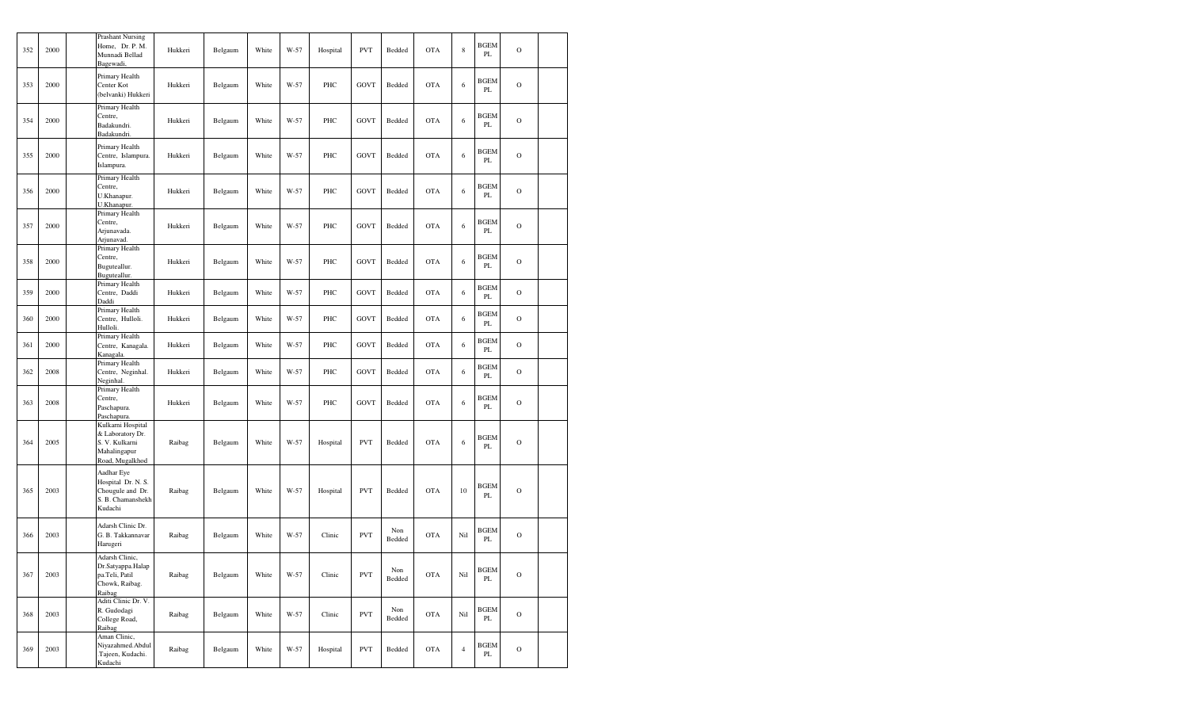| 352 | 2000 | <b>Prashant Nursing</b><br>Home. Dr. P. M.<br>Munnadi Bellad<br>Bagewadi,                  | Hukkeri | Belgaum | White | W-57 | Hospital | <b>PVT</b>  | Bedded        | <b>OTA</b> | $\,$ 8 $\,$    | <b>BGEM</b><br>PL | $\overline{O}$ |  |
|-----|------|--------------------------------------------------------------------------------------------|---------|---------|-------|------|----------|-------------|---------------|------------|----------------|-------------------|----------------|--|
| 353 | 2000 | Primary Health<br>Center Kot<br>(belvanki) Hukkeri                                         | Hukkeri | Belgaum | White | W-57 | PHC      | <b>GOVT</b> | Bedded        | <b>OTA</b> | 6              | <b>BGEM</b><br>PL | $\circ$        |  |
| 354 | 2000 | Primary Health<br>Centre.<br>Badakundri.<br>Badakundri.                                    | Hukkeri | Belgaum | White | W-57 | PHC      | GOVT        | Bedded        | <b>OTA</b> | 6              | <b>BGEM</b><br>PL | $\overline{O}$ |  |
| 355 | 2000 | Primary Health<br>Centre, Islampura.<br>Islampura.                                         | Hukkeri | Belgaum | White | W-57 | PHC      | GOVT        | Bedded        | <b>OTA</b> | 6              | <b>BGEM</b><br>PL | $\overline{O}$ |  |
| 356 | 2000 | Primary Health<br>Centre,<br>U.Khanapur.<br>U.Khanapur.                                    | Hukkeri | Belgaum | White | W-57 | PHC      | GOVT        | Bedded        | <b>OTA</b> | 6              | <b>BGEM</b><br>PL | $\overline{O}$ |  |
| 357 | 2000 | Primary Health<br>Centre,<br>Arjunavada.<br>Arjunavad.                                     | Hukkeri | Belgaum | White | W-57 | PHC      | GOVT        | Bedded        | <b>OTA</b> | 6              | <b>BGEM</b><br>PL | $\overline{O}$ |  |
| 358 | 2000 | Primary Health<br>Centre,<br>Buguteallur.<br>Buguteallur.                                  | Hukkeri | Belgaum | White | W-57 | PHC      | GOVT        | Bedded        | <b>OTA</b> | 6              | <b>BGEM</b><br>PL | $\overline{O}$ |  |
| 359 | 2000 | Primary Health<br>Centre, Daddi<br>Daddi                                                   | Hukkeri | Belgaum | White | W-57 | PHC      | <b>GOVT</b> | Bedded        | <b>OTA</b> | 6              | <b>BGEM</b><br>PL | $\overline{O}$ |  |
| 360 | 2000 | Primary Health<br>Centre, Hulloli.<br>Hulloli.                                             | Hukkeri | Belgaum | White | W-57 | PHC      | GOVT        | Bedded        | <b>OTA</b> | 6              | <b>BGEM</b><br>PL | $\circ$        |  |
| 361 | 2000 | Primary Health<br>Centre, Kanagala.<br>Kanagala.                                           | Hukkeri | Belgaum | White | W-57 | PHC      | GOVT        | Bedded        | <b>OTA</b> | 6              | <b>BGEM</b><br>PL | $\circ$        |  |
| 362 | 2008 | Primary Health<br>Centre, Neginhal.<br>Neginhal.                                           | Hukkeri | Belgaum | White | W-57 | PHC      | GOVT        | Bedded        | <b>OTA</b> | 6              | <b>BGEM</b><br>PL | $\circ$        |  |
| 363 | 2008 | Primary Health<br>Centre,<br>Paschapura.<br>Paschapura.                                    | Hukkeri | Belgaum | White | W-57 | PHC      | GOVT        | Bedded        | <b>OTA</b> | 6              | <b>BGEM</b><br>PL | $\overline{O}$ |  |
| 364 | 2005 | Kulkarni Hospital<br>& Laboratory Dr.<br>S. V. Kulkarni<br>Mahalingapur<br>Road, Mugalkhod | Raibag  | Belgaum | White | W-57 | Hospital | <b>PVT</b>  | Bedded        | <b>OTA</b> | 6              | <b>BGEM</b><br>PL | $\circ$        |  |
| 365 | 2003 | Aadhar Eye<br>Hospital Dr. N. S.<br>Chougule and Dr.<br>S. B. Chamanshekh<br>Kudachi       | Raibag  | Belgaum | White | W-57 | Hospital | <b>PVT</b>  | Bedded        | <b>OTA</b> | 10             | <b>BGEM</b><br>PL | $\overline{O}$ |  |
| 366 | 2003 | Adarsh Clinic Dr.<br>G. B. Takkannavar<br>Harugeri                                         | Raibag  | Belgaum | White | W-57 | Clinic   | <b>PVT</b>  | Non<br>Bedded | <b>OTA</b> | Nil            | <b>BGEM</b><br>PL | $\circ$        |  |
| 367 | 2003 | Adarsh Clinic,<br>Dr.Satyappa.Halap<br>pa.Teli, Patil<br>Chowk, Raibag.<br>Raibag          | Raibag  | Belgaum | White | W-57 | Clinic   | <b>PVT</b>  | Non<br>Bedded | <b>OTA</b> | Nil            | <b>BGEM</b><br>PL | $\overline{O}$ |  |
| 368 | 2003 | Aditi Clinic Dr. V.<br>R. Gudodagi<br>College Road,<br>Raibag                              | Raibag  | Belgaum | White | W-57 | Clinic   | <b>PVT</b>  | Non<br>Bedded | <b>OTA</b> | Nil            | <b>BGEM</b><br>PL | $\overline{O}$ |  |
| 369 | 2003 | Aman Clinic,<br>Niyazahmed.Abdul<br>.Tajeen, Kudachi.<br>Kudachi                           | Raibag  | Belgaum | White | W-57 | Hospital | <b>PVT</b>  | Bedded        | <b>OTA</b> | $\overline{4}$ | <b>BGEM</b><br>PL | $\mathbf O$    |  |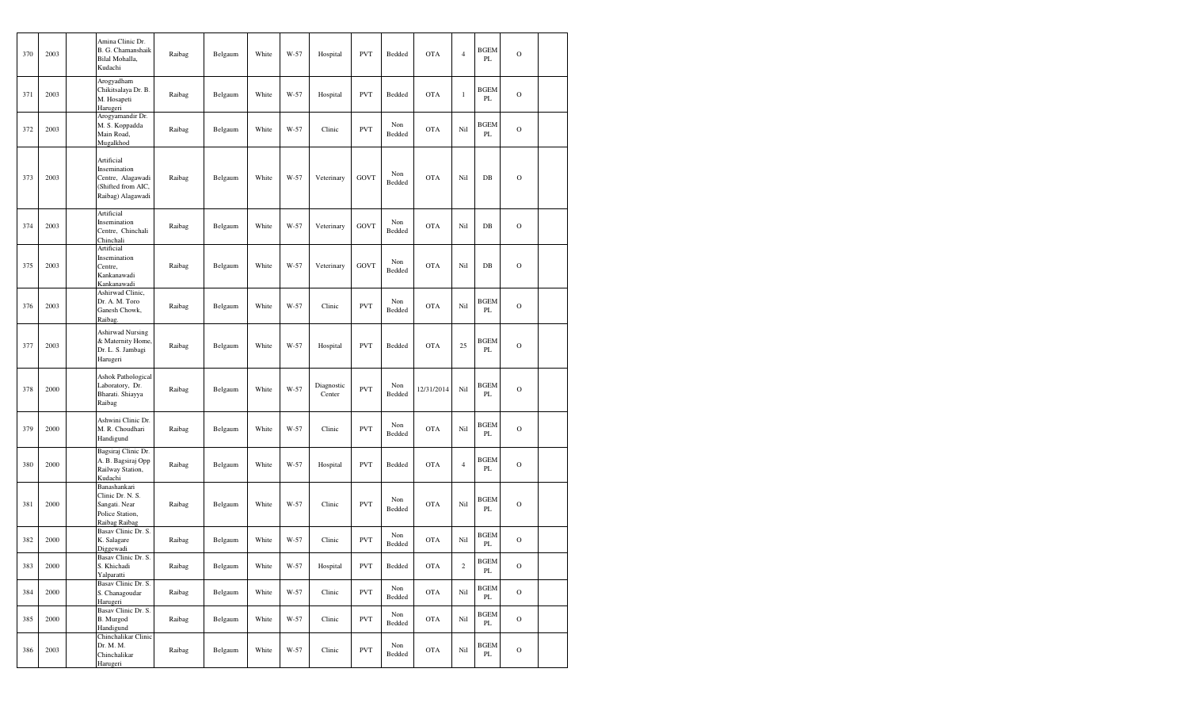| 370 | 2003     | Amina Clinic Dr.<br>B. G. Chamanshaik<br>Bilal Mohalla,<br>Kudachi                         | Raibag | Belgaum | White | W-57 | Hospital             | <b>PVT</b>  | Bedded        | <b>OTA</b> | $\overline{4}$ | <b>BGEM</b><br>PL | $\mathcal{O}$ |  |
|-----|----------|--------------------------------------------------------------------------------------------|--------|---------|-------|------|----------------------|-------------|---------------|------------|----------------|-------------------|---------------|--|
| 371 | 2003     | Arogyadham<br>Chikitsalaya Dr. B.<br>M. Hosapeti<br>Harugeri                               | Raibag | Belgaum | White | W-57 | Hospital             | <b>PVT</b>  | Bedded        | <b>OTA</b> | $\mathbf{1}$   | BGEM<br>PL        | $\mathcal{O}$ |  |
| 372 | 2003     | Arogyamandir Dr.<br>M. S. Koppadda<br>Main Road,<br>Mugalkhod                              | Raibag | Belgaum | White | W-57 | Clinic               | <b>PVT</b>  | Non<br>Bedded | <b>OTA</b> | Nil            | <b>BGEM</b><br>PL | $\mathcal{O}$ |  |
| 373 | 2003     | Artificial<br>Insemination<br>Centre, Alagawadi<br>(Shifted from AIC,<br>Raibag) Alagawadi | Raibag | Belgaum | White | W-57 | Veterinary           | GOVT        | Non<br>Bedded | <b>OTA</b> | Nil            | $DB$              | $\mathcal{O}$ |  |
| 374 | 2003     | Artificial<br>Insemination<br>Centre, Chinchali<br>Chinchali                               | Raibag | Belgaum | White | W-57 | Veterinary           | GOVT        | Non<br>Bedded | <b>OTA</b> | Nil            | DB                | $\mathcal{O}$ |  |
| 375 | 2003     | Artificial<br>Insemination<br>Centre,<br>Kankanawadi<br>Kankanawadi                        | Raibag | Belgaum | White | W-57 | Veterinary           | <b>GOVT</b> | Non<br>Bedded | <b>OTA</b> | Nil            | $DB$              | $\mathbf O$   |  |
| 376 | 2003     | Ashirwad Clinic,<br>Dr. A. M. Toro<br>Ganesh Chowk,<br>Raibag.                             | Raibag | Belgaum | White | W-57 | Clinic               | <b>PVT</b>  | Non<br>Bedded | <b>OTA</b> | Nil            | <b>BGEM</b><br>PL | $\mathbf O$   |  |
| 377 | 2003     | <b>Ashirwad Nursing</b><br>& Maternity Home,<br>Dr. L. S. Jambagi<br>Harugeri              | Raibag | Belgaum | White | W-57 | Hospital             | <b>PVT</b>  | Bedded        | <b>OTA</b> | 25             | <b>BGEM</b><br>PL | $\mathbf O$   |  |
| 378 | 2000     | Ashok Pathological<br>Laboratory, Dr.<br>Bharati. Shiayya<br>Raibag                        | Raibag | Belgaum | White | W-57 | Diagnostic<br>Center | <b>PVT</b>  | Non<br>Bedded | 12/31/2014 | Nil            | <b>BGEM</b><br>PL | $\mathcal{O}$ |  |
| 379 | 2000     | Ashwini Clinic Dr.<br>M. R. Choudhari<br>Handigund                                         | Raibag | Belgaum | White | W-57 | Clinic               | <b>PVT</b>  | Non<br>Bedded | <b>OTA</b> | Nil            | <b>BGEM</b><br>PL | $\mathbf O$   |  |
| 380 | 2000     | Bagsiraj Clinic Dr.<br>A. B. Bagsiraj Opp<br>Railway Station,<br>Kudachi                   | Raibag | Belgaum | White | W-57 | Hospital             | <b>PVT</b>  | Bedded        | <b>OTA</b> | $\overline{4}$ | <b>BGEM</b><br>PL | $\mathbf O$   |  |
| 381 | 2000     | Banashankari<br>Clinic Dr. N. S.<br>Sangati. Near<br>Police Station,<br>Raibag Raibag      | Raibag | Belgaum | White | W-57 | Clinic               | <b>PVT</b>  | Non<br>Bedded | <b>OTA</b> | Nil            | <b>BGEM</b><br>PL | $\mathbf O$   |  |
| 382 | 2000     | Basav Clinic Dr. S.<br>K. Salagare<br>Diggewadi                                            | Raibag | Belgaum | White | W-57 | Clinic               | <b>PVT</b>  | Non<br>Bedded | <b>OTA</b> | Nil            | <b>BGEM</b><br>PL | $\mathbf O$   |  |
| 383 | $2000\,$ | Basav Clinic Dr. S.<br>S. Khichadi<br>Yalparatti                                           | Raibag | Belgaum | White | W-57 | Hospital             | <b>PVT</b>  | Bedded        | <b>OTA</b> | $\sqrt{2}$     | <b>BGEM</b><br>PL | $\rm{O}$      |  |
| 384 | 2000     | Basav Clinic Dr. S.<br>S. Chanagoudar<br>Harugeri                                          | Raibag | Belgaum | White | W-57 | Clinic               | <b>PVT</b>  | Non<br>Bedded | <b>OTA</b> | Nil            | <b>BGEM</b><br>PL | $\mathbf O$   |  |
| 385 | 2000     | Basav Clinic Dr. S.<br>B. Murgod<br>Handigund                                              | Raibag | Belgaum | White | W-57 | Clinic               | <b>PVT</b>  | Non<br>Bedded | <b>OTA</b> | Nil            | <b>BGEM</b><br>PL | $\mathcal{O}$ |  |
| 386 | 2003     | Chinchalikar Clinic<br>Dr. M. M.<br>Chinchalikar<br>Harugeri                               | Raibag | Belgaum | White | W-57 | Clinic               | <b>PVT</b>  | Non<br>Bedded | <b>OTA</b> | Nil            | <b>BGEM</b><br>PL | $\mathcal{O}$ |  |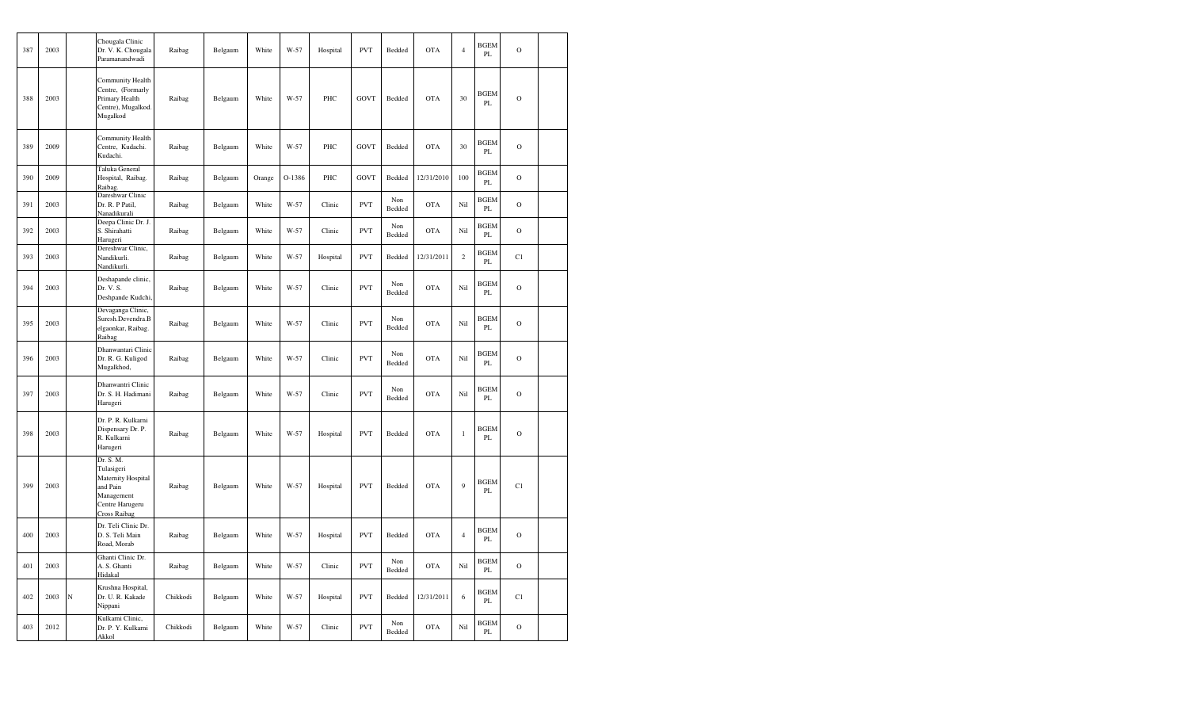| 387 | 2003 |   | Chougala Clinic<br>Dr. V. K. Chougala<br>Paramanandwadi                                                           | Raibag   | Belgaum | White  | W-57   | Hospital | <b>PVT</b>  | Bedded        | <b>OTA</b> | $\overline{4}$ | <b>BGEM</b><br>PL | $\mathbf O$   |  |
|-----|------|---|-------------------------------------------------------------------------------------------------------------------|----------|---------|--------|--------|----------|-------------|---------------|------------|----------------|-------------------|---------------|--|
| 388 | 2003 |   | Community Health<br>Centre, (Formarly<br>Primary Health<br>Centre), Mugalkod.<br>Mugalkod                         | Raibag   | Belgaum | White  | $W-57$ | PHC      | <b>GOVT</b> | Bedded        | <b>OTA</b> | 30             | <b>BGEM</b><br>PL | $\mathbf O$   |  |
| 389 | 2009 |   | Community Health<br>Centre, Kudachi.<br>Kudachi.                                                                  | Raibag   | Belgaum | White  | $W-57$ | PHC      | <b>GOVT</b> | Bedded        | <b>OTA</b> | 30             | <b>BGEM</b><br>PL | $\mathbf O$   |  |
| 390 | 2009 |   | Taluka General<br>Hospital, Raibag.<br>Raibag.                                                                    | Raibag   | Belgaum | Orange | O-1386 | PHC      | <b>GOVT</b> | Bedded        | 12/31/2010 | 100            | <b>BGEM</b><br>PL | $\mathbf O$   |  |
| 391 | 2003 |   | Dareshwar Clinic<br>Dr. R. P Patil,<br>Nanadikurali                                                               | Raibag   | Belgaum | White  | W-57   | Clinic   | <b>PVT</b>  | Non<br>Bedded | <b>OTA</b> | Nil            | <b>BGEM</b><br>PL | $\mathbf O$   |  |
| 392 | 2003 |   | Deepa Clinic Dr. J.<br>S. Shirahatti<br>Harugeri                                                                  | Raibag   | Belgaum | White  | W-57   | Clinic   | <b>PVT</b>  | Non<br>Bedded | <b>OTA</b> | Nil            | <b>BGEM</b><br>PL | $\mathbf O$   |  |
| 393 | 2003 |   | Dereshwar Clinic,<br>Nandikurli.<br>Nandikurli.                                                                   | Raibag   | Belgaum | White  | W-57   | Hospital | <b>PVT</b>  | Bedded        | 12/31/2011 | $\sqrt{2}$     | <b>BGEM</b><br>PL | C1            |  |
| 394 | 2003 |   | Deshapande clinic,<br>Dr. V. S.<br>Deshpande Kudchi,                                                              | Raibag   | Belgaum | White  | $W-57$ | Clinic   | <b>PVT</b>  | Non<br>Bedded | <b>OTA</b> | Nil            | BGEM<br>PL        | $\circ$       |  |
| 395 | 2003 |   | Devaganga Clinic,<br>Suresh.Devendra.B<br>elgaonkar, Raibag.<br>Raibag                                            | Raibag   | Belgaum | White  | W-57   | Clinic   | <b>PVT</b>  | Non<br>Bedded | <b>OTA</b> | Nil            | <b>BGEM</b><br>PL | $\mathbf O$   |  |
| 396 | 2003 |   | Dhanwantari Clinic<br>Dr. R. G. Kuligod<br>Mugalkhod,                                                             | Raibag   | Belgaum | White  | W-57   | Clinic   | <b>PVT</b>  | Non<br>Bedded | <b>OTA</b> | Nil            | BGEM<br>PL        | $\mathbf O$   |  |
| 397 | 2003 |   | Dhanwantri Clinic<br>Dr. S. H. Hadimani<br>Harugeri                                                               | Raibag   | Belgaum | White  | $W-57$ | Clinic   | <b>PVT</b>  | Non<br>Bedded | <b>OTA</b> | Nil            | <b>BGEM</b><br>PL | $\mathbf O$   |  |
| 398 | 2003 |   | Dr. P. R. Kulkarni<br>Dispensary Dr. P.<br>R. Kulkarni<br>Harugeri                                                | Raibag   | Belgaum | White  | W-57   | Hospital | <b>PVT</b>  | Bedded        | <b>OTA</b> | $\,1\,$        | <b>BGEM</b><br>PL | $\mathbf O$   |  |
| 399 | 2003 |   | Dr. S. M.<br>Tulasigeri<br>Maternity Hospital<br>and Pain<br>Management<br>Centre Harugeru<br><b>Cross Raibag</b> | Raibag   | Belgaum | White  | $W-57$ | Hospital | <b>PVT</b>  | Bedded        | <b>OTA</b> | 9              | <b>BGEM</b><br>PL | C1            |  |
| 400 | 2003 |   | Dr. Teli Clinic Dr.<br>D. S. Teli Main<br>Road, Morab                                                             | Raibag   | Belgaum | White  | W-57   | Hospital | <b>PVT</b>  | Bedded        | <b>OTA</b> | $\overline{4}$ | <b>BGEM</b><br>PL | $\mathcal{O}$ |  |
| 401 | 2003 |   | Ghanti Clinic Dr.<br>A. S. Ghanti<br>Hidakal                                                                      | Raibag   | Belgaum | White  | $W-57$ | Clinic   | <b>PVT</b>  | Non<br>Bedded | <b>OTA</b> | Nil            | <b>BGEM</b><br>PL | $\mathbf O$   |  |
| 402 | 2003 | N | Krushna Hospital,<br>Dr. U. R. Kakade<br>Nippani                                                                  | Chikkodi | Belgaum | White  | $W-57$ | Hospital | <b>PVT</b>  | Bedded        | 12/31/2011 | $\sqrt{6}$     | <b>BGEM</b><br>PL | C1            |  |
| 403 | 2012 |   | Kulkarni Clinic,<br>Dr. P. Y. Kulkarni<br>Akkol                                                                   | Chikkodi | Belgaum | White  | W-57   | Clinic   | <b>PVT</b>  | Non<br>Bedded | <b>OTA</b> | Nil            | <b>BGEM</b><br>PL | $\mathcal{O}$ |  |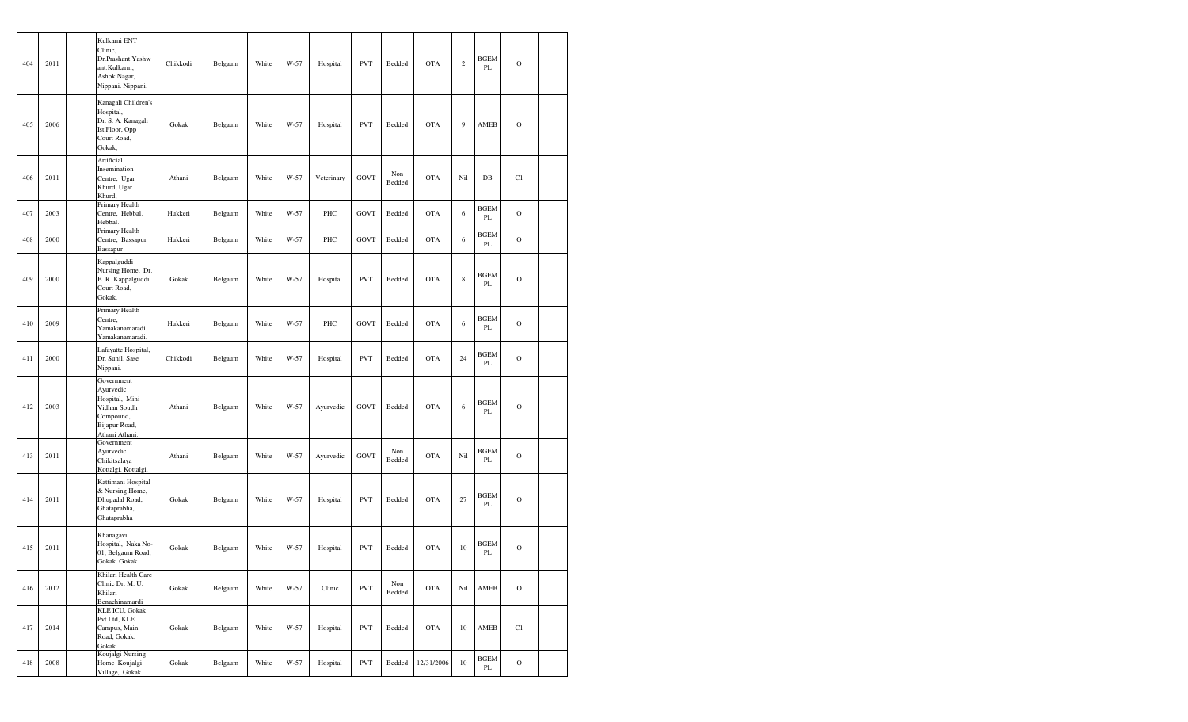| 404 | 2011 | Kulkarni ENT<br>Clinic,<br>ant.Kulkarni,<br>Ashok Nagar,                                | Dr.Prashant.Yashw<br>Nippani. Nippani.                    | Chikkodi | Belgaum | White | W-57 | Hospital   | <b>PVT</b>  | Bedded        | <b>OTA</b> | $\sqrt{2}$  | <b>BGEM</b><br>PL       | $\mathbf O$ |  |
|-----|------|-----------------------------------------------------------------------------------------|-----------------------------------------------------------|----------|---------|-------|------|------------|-------------|---------------|------------|-------------|-------------------------|-------------|--|
| 405 | 2006 | Hospital,<br>Ist Floor, Opp<br>Court Road,<br>Gokak,                                    | Kanagali Children's<br>Dr. S. A. Kanagali                 | Gokak    | Belgaum | White | W-57 | Hospital   | <b>PVT</b>  | Bedded        | <b>OTA</b> | 9           | AMEB                    | $\mathbf O$ |  |
| 406 | 2011 | Artificial<br>Insemination<br>Centre, Ugar<br>Khurd, Ugar<br>Khurd,                     |                                                           | Athani   | Belgaum | White | W-57 | Veterinary | <b>GOVT</b> | Non<br>Bedded | <b>OTA</b> | Nil         | $DB$                    | C1          |  |
| 407 | 2003 | Hebbal.                                                                                 | Primary Health<br>Centre, Hebbal.                         | Hukkeri  | Belgaum | White | W-57 | PHC        | <b>GOVT</b> | Bedded        | <b>OTA</b> | 6           | <b>BGEM</b><br>PL       | $\mathbf O$ |  |
| 408 | 2000 | Bassapur                                                                                | Primary Health<br>Centre, Bassapur                        | Hukkeri  | Belgaum | White | W-57 | PHC        | <b>GOVT</b> | Bedded        | <b>OTA</b> | 6           | <b>BGEM</b><br>PL       | $\mathbf O$ |  |
| 409 | 2000 | Kappalguddi<br>Court Road,<br>Gokak.                                                    | Nursing Home, Dr.<br>B. R. Kappalguddi                    | Gokak    | Belgaum | White | W-57 | Hospital   | <b>PVT</b>  | Bedded        | <b>OTA</b> | $\,$ 8 $\,$ | <b>BGEM</b><br>PL       | $\circ$     |  |
| 410 | 2009 | Centre,                                                                                 | Primary Health<br>Yamakanamaradi.<br>Yamakanamaradi.      | Hukkeri  | Belgaum | White | W-57 | PHC        | <b>GOVT</b> | Bedded        | OTA        | 6           | <b>BGEM</b><br>PL       | $\mathbf O$ |  |
| 411 | 2000 | Nippani.                                                                                | Lafayatte Hospital,<br>Dr. Sunil. Sase                    | Chikkodi | Belgaum | White | W-57 | Hospital   | <b>PVT</b>  | Bedded        | OTA        | 24          | <b>BGEM</b><br>PL       | $\mathbf O$ |  |
| 412 | 2003 | Government<br>Ayurvedic<br>Vidhan Soudh<br>Compound,<br>Bijapur Road,<br>Athani Athani. | Hospital, Mini                                            | Athani   | Belgaum | White | W-57 | Ayurvedic  | <b>GOVT</b> | Bedded        | <b>OTA</b> | 6           | <b>BGEM</b><br>PL       | $\mathbf O$ |  |
| 413 | 2011 | Government<br>Ayurvedic<br>Chikitsalaya                                                 | Kottalgi. Kottalgi.                                       | Athani   | Belgaum | White | W-57 | Ayurvedic  | <b>GOVT</b> | Non<br>Bedded | <b>OTA</b> | Nil         | <b>BGEM</b><br>PL       | $\mathbf O$ |  |
| 414 | 2011 | Ghataprabha,<br>Ghataprabha                                                             | Kattimani Hospital<br>& Nursing Home,<br>Dhupadal Road,   | Gokak    | Belgaum | White | W-57 | Hospital   | <b>PVT</b>  | Bedded        | OTA        | 27          | <b>BGEM</b><br>PL       | $\mathbf O$ |  |
| 415 | 2011 | Khanagavi<br>Gokak. Gokak                                                               | Hospital, Naka No-<br>01, Belgaum Road,                   | Gokak    | Belgaum | White | W-57 | Hospital   | <b>PVT</b>  | Bedded        | <b>OTA</b> | 10          | <b>BGEM</b><br>PL       | $\circ$     |  |
| 416 | 2012 | Khilari                                                                                 | Khilari Health Care<br>Clinic Dr. M. U.<br>Benachinamardi | Gokak    | Belgaum | White | W-57 | Clinic     | <b>PVT</b>  | Non<br>Bedded | OTA        | Nil         | AMEB                    | $\mathbf O$ |  |
| 417 | 2014 | Pvt Ltd, KLE<br>Campus, Main<br>Road, Gokak.<br>Gokak                                   | <b>KLE ICU, Gokak</b>                                     | Gokak    | Belgaum | White | W-57 | Hospital   | <b>PVT</b>  | Bedded        | <b>OTA</b> | 10          | AMEB                    | C1          |  |
| 418 | 2008 |                                                                                         | Koujalgi Nursing<br>Home Koujalgi<br>Village, Gokak       | Gokak    | Belgaum | White | W-57 | Hospital   | <b>PVT</b>  | Bedded        | 12/31/2006 | 10          | <b>BGEM</b><br>$\rm PL$ | $\mathbf O$ |  |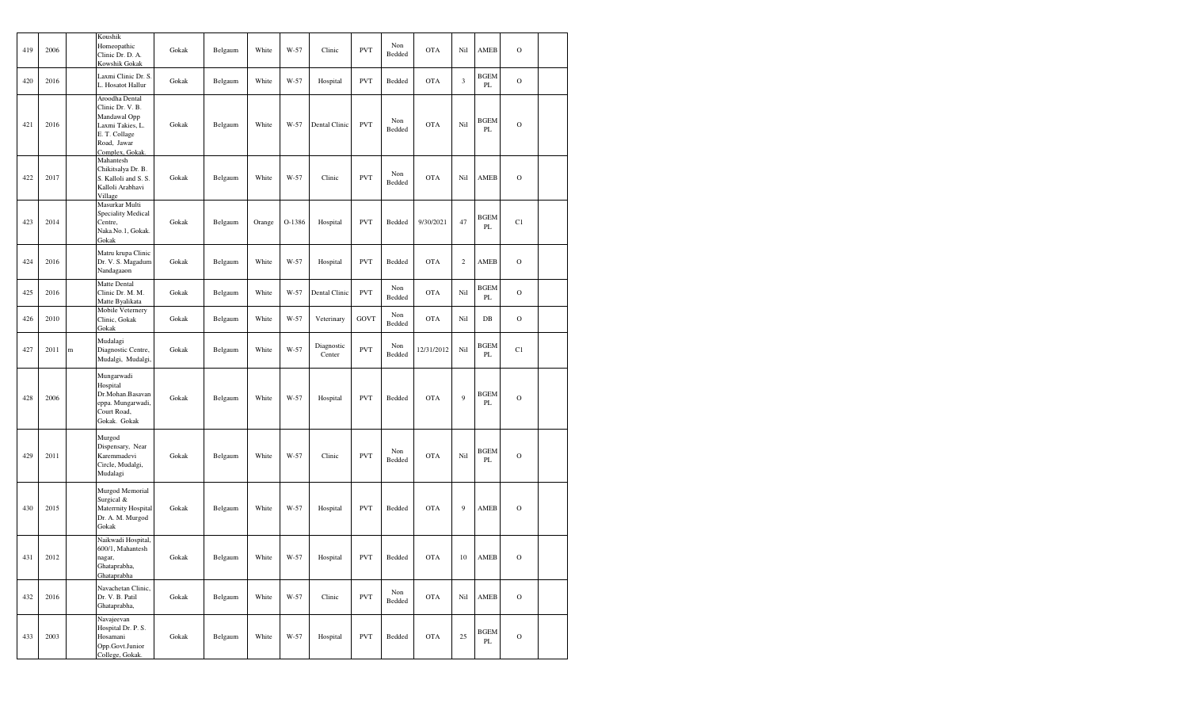| 419 | 2006 |   | Koushik<br>Homeopathic<br>Clinic Dr. D. A.<br>Kowshik Gokak                                                               | Gokak | Belgaum | White  | W-57   | Clinic               | <b>PVT</b>  | Non<br>Bedded | <b>OTA</b> | Nil            | AMEB                         | $\mathbf O$   |  |
|-----|------|---|---------------------------------------------------------------------------------------------------------------------------|-------|---------|--------|--------|----------------------|-------------|---------------|------------|----------------|------------------------------|---------------|--|
| 420 | 2016 |   | Laxmi Clinic Dr. S.<br>L. Hosatot Hallur                                                                                  | Gokak | Belgaum | White  | W-57   | Hospital             | <b>PVT</b>  | Bedded        | <b>OTA</b> | 3              | <b>BGEM</b><br>PL            | $\mathcal{O}$ |  |
| 421 | 2016 |   | Aroodha Dental<br>Clinic Dr. V. B.<br>Mandawal Opp<br>Laxmi Takies, L.<br>E. T. Collage<br>Road, Jawar<br>Complex, Gokak. | Gokak | Belgaum | White  | W-57   | Dental Clinic        | <b>PVT</b>  | Non<br>Bedded | <b>OTA</b> | Nil            | <b>BGEM</b><br>PL            | $\mathbf O$   |  |
| 422 | 2017 |   | Mahantesh<br>Chikitsalya Dr. B.<br>S. Kalloli and S. S.<br>Kalloli Arabhavi<br>Village                                    | Gokak | Belgaum | White  | $W-57$ | Clinic               | <b>PVT</b>  | Non<br>Bedded | <b>OTA</b> | Nil            | AMEB                         | $\mathcal{O}$ |  |
| 423 | 2014 |   | Masurkar Multi<br>Speciality Medical<br>Centre,<br>Naka.No.1, Gokak.<br>Gokak                                             | Gokak | Belgaum | Orange | O-1386 | Hospital             | <b>PVT</b>  | Bedded        | 9/30/2021  | 47             | <b>BGEM</b><br>PL            | C1            |  |
| 424 | 2016 |   | Matru krupa Clinic<br>Dr. V. S. Magadum<br>Nandagaaon                                                                     | Gokak | Belgaum | White  | W-57   | Hospital             | <b>PVT</b>  | Bedded        | <b>OTA</b> | $\overline{c}$ | AMEB                         | $\mathcal{O}$ |  |
| 425 | 2016 |   | Matte Dental<br>Clinic Dr. M. M.<br>Matte Byalikata                                                                       | Gokak | Belgaum | White  | $W-57$ | Dental Clinic        | <b>PVT</b>  | Non<br>Bedded | <b>OTA</b> | Nil            | <b>BGEM</b><br>PL            | $\mathcal{O}$ |  |
| 426 | 2010 |   | Mobile Veternery<br>Clinic, Gokak<br>Gokak                                                                                | Gokak | Belgaum | White  | W-57   | Veterinary           | <b>GOVT</b> | Non<br>Bedded | <b>OTA</b> | Nil            | $DB$                         | $\mathbf O$   |  |
| 427 | 2011 | m | Mudalagi<br>Diagnostic Centre,<br>Mudalgi, Mudalgi,                                                                       | Gokak | Belgaum | White  | W-57   | Diagnostic<br>Center | <b>PVT</b>  | Non<br>Bedded | 12/31/2012 | Nil            | <b>BGEM</b><br>PL            | C1            |  |
| 428 | 2006 |   | Mungarwadi<br>Hospital<br>Dr.Mohan.Basavan<br>eppa. Mungarwadi,<br>Court Road,<br>Gokak. Gokak                            | Gokak | Belgaum | White  | W-57   | Hospital             | <b>PVT</b>  | Bedded        | <b>OTA</b> | 9              | <b>BGEM</b><br>PL            | $\mathcal{O}$ |  |
| 429 | 2011 |   | Murgod<br>Dispensary, Near<br>Karemmadevi<br>Circle, Mudalgi,<br>Mudalagi                                                 | Gokak | Belgaum | White  | $W-57$ | Clinic               | <b>PVT</b>  | Non<br>Bedded | <b>OTA</b> | Nil            | <b>BGEM</b><br>PL            | $\mathcal{O}$ |  |
| 430 | 2015 |   | Murgod Memorial<br>Surgical &<br>Materrnity Hospital<br>Dr. A. M. Murgod<br>Gokak                                         | Gokak | Belgaum | White  | W-57   | Hospital             | <b>PVT</b>  | Bedded        | <b>OTA</b> | 9              | AMEB                         | $\mathcal{O}$ |  |
| 431 | 2012 |   | Naikwadi Hospital,<br>600/1, Mahantesh<br>nagar,<br>Ghataprabha,<br>Ghataprabha                                           | Gokak | Belgaum | White  | W-57   | Hospital             | <b>PVT</b>  | Bedded        | <b>OTA</b> | 10             | AMEB                         | O             |  |
| 432 | 2016 |   | Navachetan Clinic,<br>Dr. V. B. Patil<br>Ghataprabha,                                                                     | Gokak | Belgaum | White  | W-57   | Clinic               | <b>PVT</b>  | Non<br>Bedded | <b>OTA</b> | Nil            | AMEB                         | $\mathbf O$   |  |
| 433 | 2003 |   | Navajeevan<br>Hospital Dr. P. S.<br>Hosamani<br>Opp.Govt.Junior<br>College, Gokak.                                        | Gokak | Belgaum | White  | W-57   | Hospital             | <b>PVT</b>  | Bedded        | <b>OTA</b> | 25             | <b>BGEM</b><br>$\mathbf{PL}$ | $\mathbf O$   |  |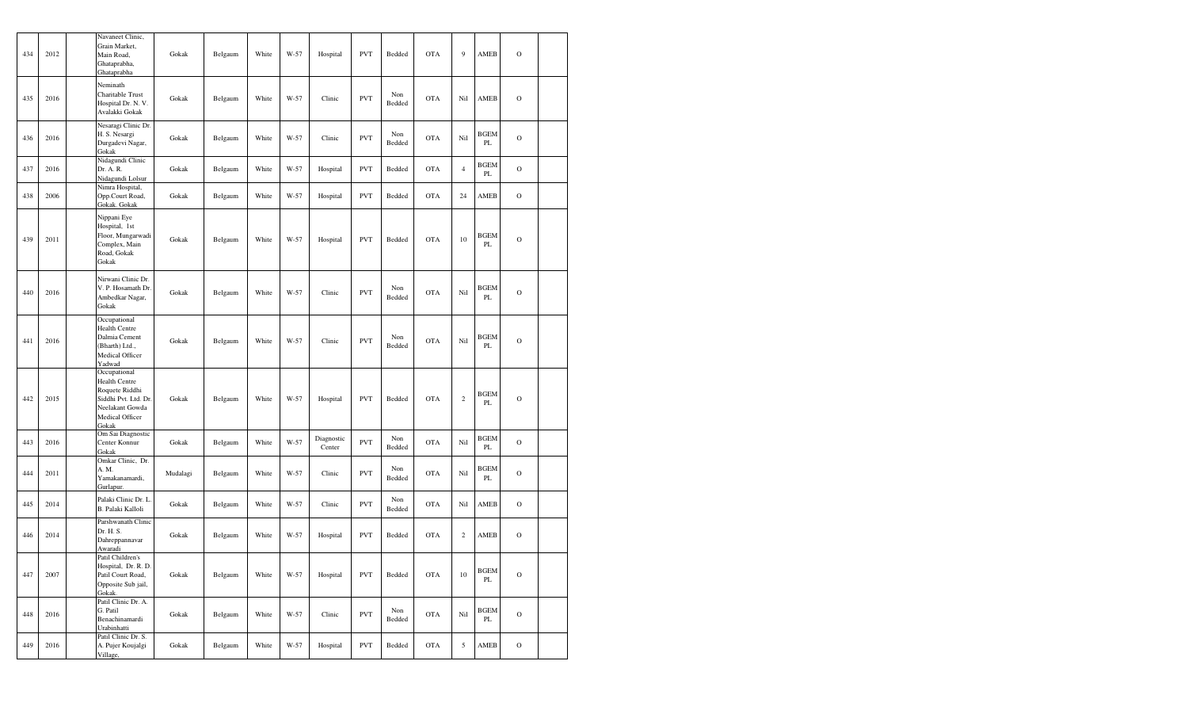| 434 | 2012 | Navaneet Clinic,<br>Grain Market,<br>Main Road,<br>Ghataprabha,<br>Ghataprabha                                         | Gokak    | Belgaum | White | W-57 | Hospital             | <b>PVT</b> | Bedded        | <b>OTA</b> | $\overline{9}$ | AMEB              | $\mathcal{O}$ |  |
|-----|------|------------------------------------------------------------------------------------------------------------------------|----------|---------|-------|------|----------------------|------------|---------------|------------|----------------|-------------------|---------------|--|
| 435 | 2016 | Neminath<br>Charitable Trust<br>Hospital Dr. N. V.<br>Avalakki Gokak                                                   | Gokak    | Belgaum | White | W-57 | Clinic               | <b>PVT</b> | Non<br>Bedded | <b>OTA</b> | Nil            | AMEB              | $\mathbf O$   |  |
| 436 | 2016 | Nesaragi Clinic Dr.<br>H. S. Nesargi<br>Durgadevi Nagar,<br>Gokak                                                      | Gokak    | Belgaum | White | W-57 | Clinic               | <b>PVT</b> | Non<br>Bedded | <b>OTA</b> | Nil            | <b>BGEM</b><br>PL | $\circ$       |  |
| 437 | 2016 | Nidagundi Clinic<br>Dr. A. R.<br>Nidagundi Lolsur                                                                      | Gokak    | Belgaum | White | W-57 | Hospital             | <b>PVT</b> | Bedded        | <b>OTA</b> | $\overline{4}$ | <b>BGEM</b><br>PL | $\Omega$      |  |
| 438 | 2006 | Nimra Hospital,<br>Opp.Court Road,<br>Gokak. Gokak                                                                     | Gokak    | Belgaum | White | W-57 | Hospital             | <b>PVT</b> | Bedded        | <b>OTA</b> | 24             | AMEB              | $\Omega$      |  |
| 439 | 2011 | Nippani Eye<br>Hospital, 1st<br>Floor, Mungarwadi<br>Complex, Main<br>Road, Gokak<br>Gokak                             | Gokak    | Belgaum | White | W-57 | Hospital             | <b>PVT</b> | Bedded        | <b>OTA</b> | 10             | <b>BGEM</b><br>PL | $\mathbf O$   |  |
| 440 | 2016 | Nirwani Clinic Dr.<br>V. P. Hosamath Dr.<br>Ambedkar Nagar,<br>Gokak                                                   | Gokak    | Belgaum | White | W-57 | Clinic               | <b>PVT</b> | Non<br>Bedded | <b>OTA</b> | Nil            | <b>BGEM</b><br>PL | $\circ$       |  |
| 441 | 2016 | Occupational<br><b>Health Centre</b><br>Dalmia Cement<br>(Bharth) Ltd.,<br>Medical Officer<br>Yadwad                   | Gokak    | Belgaum | White | W-57 | Clinic               | <b>PVT</b> | Non<br>Bedded | <b>OTA</b> | Nil            | <b>BGEM</b><br>PL | $\mathcal{O}$ |  |
| 442 | 2015 | Occupational<br>Health Centre<br>Roquete Riddhi<br>Siddhi Pvt. Ltd. Dr.<br>Neelakant Gowda<br>Medical Officer<br>Gokak | Gokak    | Belgaum | White | W-57 | Hospital             | <b>PVT</b> | Bedded        | <b>OTA</b> | $\sqrt{2}$     | <b>BGEM</b><br>PL | $\mathbf O$   |  |
| 443 | 2016 | Om Sai Diagnostic<br>Center Konnur<br>Gokak                                                                            | Gokak    | Belgaum | White | W-57 | Diagnostic<br>Center | <b>PVT</b> | Non<br>Bedded | <b>OTA</b> | Nil            | <b>BGEM</b><br>PL | $\Omega$      |  |
| 444 | 2011 | Omkar Clinic, Dr.<br>A. M.<br>Yamakanamardi,<br>Gurlapur.                                                              | Mudalagi | Belgaum | White | W-57 | Clinic               | <b>PVT</b> | Non<br>Bedded | <b>OTA</b> | Nil            | <b>BGEM</b><br>PL | $\mathbf O$   |  |
| 445 | 2014 | Palaki Clinic Dr. L.<br>B. Palaki Kalloli                                                                              | Gokak    | Belgaum | White | W-57 | Clinic               | <b>PVT</b> | Non<br>Bedded | <b>OTA</b> | Nil            | AMEB              | $\mathcal{O}$ |  |
| 446 | 2014 | Parshwanath Clinic<br>Dr. H. S.<br>Dahreppannavar<br>Awaradi                                                           | Gokak    | Belgaum | White | W-57 | Hospital             | <b>PVT</b> | Bedded        | <b>OTA</b> | $\sqrt{2}$     | AMEB              | $\Omega$      |  |
| 447 | 2007 | Patil Children's<br>Hospital, Dr. R. D.<br>Patil Court Road,<br>Opposite Sub jail,<br>Gokak.                           | Gokak    | Belgaum | White | W-57 | Hospital             | <b>PVT</b> | Bedded        | <b>OTA</b> | 10             | <b>BGEM</b><br>PL | $\mathbf O$   |  |
| 448 | 2016 | Patil Clinic Dr. A.<br>G. Patil<br>Benachinamardi<br>Urabinhatti                                                       | Gokak    | Belgaum | White | W-57 | Clinic               | <b>PVT</b> | Non<br>Bedded | <b>OTA</b> | Nil            | <b>BGEM</b><br>PL | $\mathcal{O}$ |  |
| 449 | 2016 | Patil Clinic Dr. S.<br>A. Pujer Koujalgi<br>Village,                                                                   | Gokak    | Belgaum | White | W-57 | Hospital             | <b>PVT</b> | Bedded        | <b>OTA</b> | 5              | AMEB              | $\mathcal O$  |  |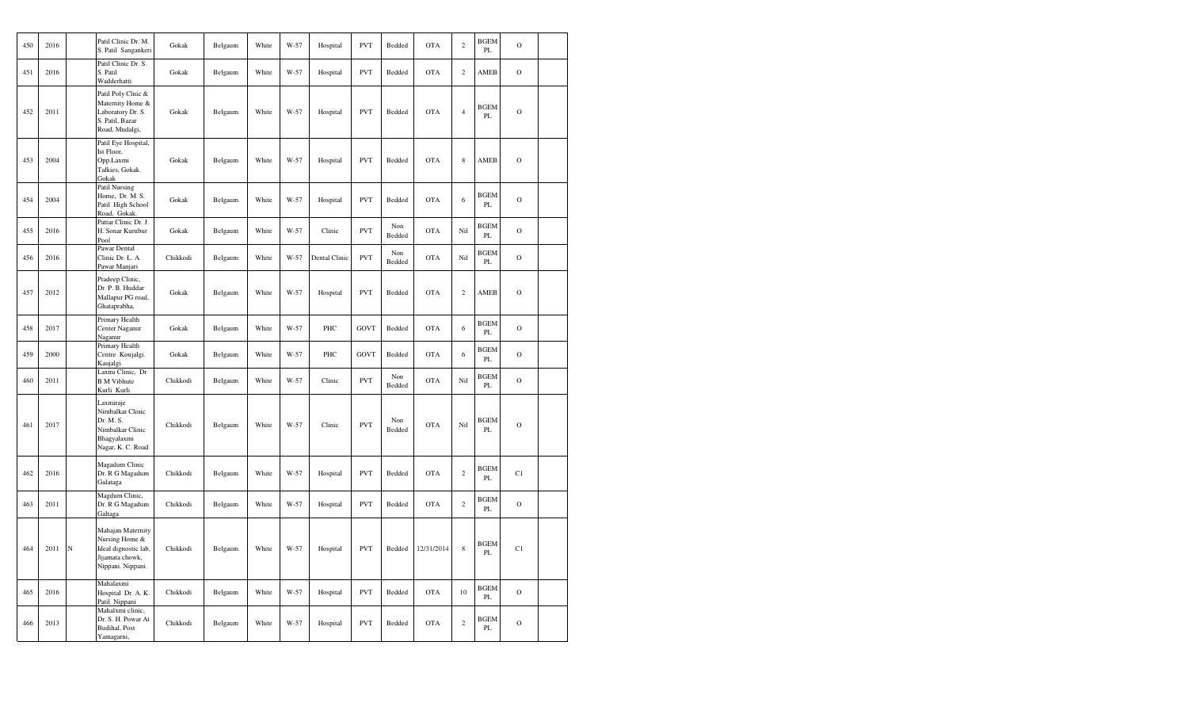| 450 | 2016 |             | Patil Clinic Dr. M.<br>S. Patil Sangankeri                                                          | Gokak    | Belgaum | White | W-57 | Hospital      | <b>PVT</b>  | Bedded        | <b>OTA</b> | $\overline{c}$ | <b>BGEM</b><br>PL       | $\mathbf O$   |  |
|-----|------|-------------|-----------------------------------------------------------------------------------------------------|----------|---------|-------|------|---------------|-------------|---------------|------------|----------------|-------------------------|---------------|--|
| 451 | 2016 |             | Patil Clinic Dr. S.<br>S. Patil<br>Wadderhatti                                                      | Gokak    | Belgaum | White | W-57 | Hospital      | <b>PVT</b>  | Bedded        | <b>OTA</b> | $\overline{c}$ | AMEB                    | $\mathcal O$  |  |
| 452 | 2011 |             | Patil Poly Clnic &<br>Maternity Home &<br>Laboratory Dr. S.<br>S. Patil, Bazar<br>Road, Mudalgi,    | Gokak    | Belgaum | White | W-57 | Hospital      | <b>PVT</b>  | Bedded        | <b>OTA</b> | $\overline{4}$ | <b>BGEM</b><br>PL       | $\mathcal{O}$ |  |
| 453 | 2004 |             | Patil Eye Hospital,<br>Ist Floor,<br>Opp.Laxmi<br>Talkies, Gokak.<br>Gokak                          | Gokak    | Belgaum | White | W-57 | Hospital      | <b>PVT</b>  | Bedded        | <b>OTA</b> | $\,$ 8 $\,$    | AMEB                    | $\mathcal{O}$ |  |
| 454 | 2004 |             | Patil Nursing<br>Home, Dr. M. S.<br>Patil High School<br>Road, Gokak.                               | Gokak    | Belgaum | White | W-57 | Hospital      | <b>PVT</b>  | Bedded        | <b>OTA</b> | 6              | <b>BGEM</b><br>PL       | $\mathbf O$   |  |
| 455 | 2016 |             | Pattar Clinic Dr. J.<br>H. Sonar Kurubur<br>Pool                                                    | Gokak    | Belgaum | White | W-57 | Clinic        | <b>PVT</b>  | Non<br>Bedded | <b>OTA</b> | Nil            | <b>BGEM</b><br>PL       | $\mathcal{O}$ |  |
| 456 | 2016 |             | Pawar Dental<br>Clinic Dr. L. A.<br>Pawar Manjari                                                   | Chikkodi | Belgaum | White | W-57 | Dental Clinic | <b>PVT</b>  | Non<br>Bedded | <b>OTA</b> | Nil            | <b>BGEM</b><br>PL       | $\mathcal{O}$ |  |
| 457 | 2012 |             | Pradeep Clinic,<br>Dr. P. B. Huddar<br>Mallapur PG road,<br>Ghataprabha,                            | Gokak    | Belgaum | White | W-57 | Hospital      | <b>PVT</b>  | Bedded        | <b>OTA</b> | $\overline{c}$ | AMEB                    | $\mathcal O$  |  |
| 458 | 2017 |             | Primary Health<br>Center Naganur<br>Naganur                                                         | Gokak    | Belgaum | White | W-57 | PHC           | GOVT        | Bedded        | <b>OTA</b> | 6              | <b>BGEM</b><br>PL       | $\mathcal O$  |  |
| 459 | 2000 |             | Primary Health<br>Centre Koujalgi.<br>Kaujalgi.                                                     | Gokak    | Belgaum | White | W-57 | PHC           | <b>GOVT</b> | Bedded        | <b>OTA</b> | 6              | <b>BGEM</b><br>PL       | $\mathbf O$   |  |
| 460 | 2011 |             | Laxmi Clinic, Dr<br><b>B</b> M Vibhute<br>Kurli Kurli                                               | Chikkodi | Belgaum | White | W-57 | Clinic        | <b>PVT</b>  | Non<br>Bedded | <b>OTA</b> | Nil            | <b>BGEM</b><br>PL       | $\mathbf O$   |  |
| 461 | 2017 |             | Laxmiraje<br>Nimbalkar Clinic<br>Dr. M. S.<br>Nimbalkar Clinic<br>Bhagyalaxmi<br>Nagar, K. C. Road  | Chikkodi | Belgaum | White | W-57 | Clinic        | <b>PVT</b>  | Non<br>Bedded | <b>OTA</b> | Nil            | <b>BGEM</b><br>PL       | $\mathcal{O}$ |  |
| 462 | 2016 |             | Magadum Clinic<br>Dr. R G Magadum<br>Galataga                                                       | Chikkodi | Belgaum | White | W-57 | Hospital      | <b>PVT</b>  | Bedded        | <b>OTA</b> | $\,2$          | <b>BGEM</b><br>$\rm PL$ | C1            |  |
| 463 | 2011 |             | Magdum Clinic,<br>Dr. R G Magadum<br>Galtaga                                                        | Chikkodi | Belgaum | White | W-57 | Hospital      | <b>PVT</b>  | Bedded        | <b>OTA</b> | $\mathbf{2}$   | <b>BGEM</b><br>$\rm PL$ | $\mathbf O$   |  |
| 464 | 2011 | $\mathbf N$ | Mahajan Maternity<br>Nursing Home &<br>Ideal dignostic lab,<br>Jijamata chowk,<br>Nippani. Nippani. | Chikkodi | Belgaum | White | W-57 | Hospital      | <b>PVT</b>  | Bedded        | 12/31/2014 | $\,$ 8 $\,$    | <b>BGEM</b><br>PL       | C1            |  |
| 465 | 2016 |             | Mahalaxmi<br>Hospital Dr. A. K.<br>Patil Nippani                                                    | Chikkodi | Belgaum | White | W-57 | Hospital      | <b>PVT</b>  | Bedded        | <b>OTA</b> | 10             | <b>BGEM</b><br>PL       | $\circ$       |  |
| 466 | 2013 |             | Mahalxmi clinic,<br>Dr. S. H. Powar At<br>Budihal, Post<br>Yamagarni,                               | Chikkodi | Belgaum | White | W-57 | Hospital      | <b>PVT</b>  | Bedded        | <b>OTA</b> | $\overline{c}$ | <b>BGEM</b><br>PL       | $\circ$       |  |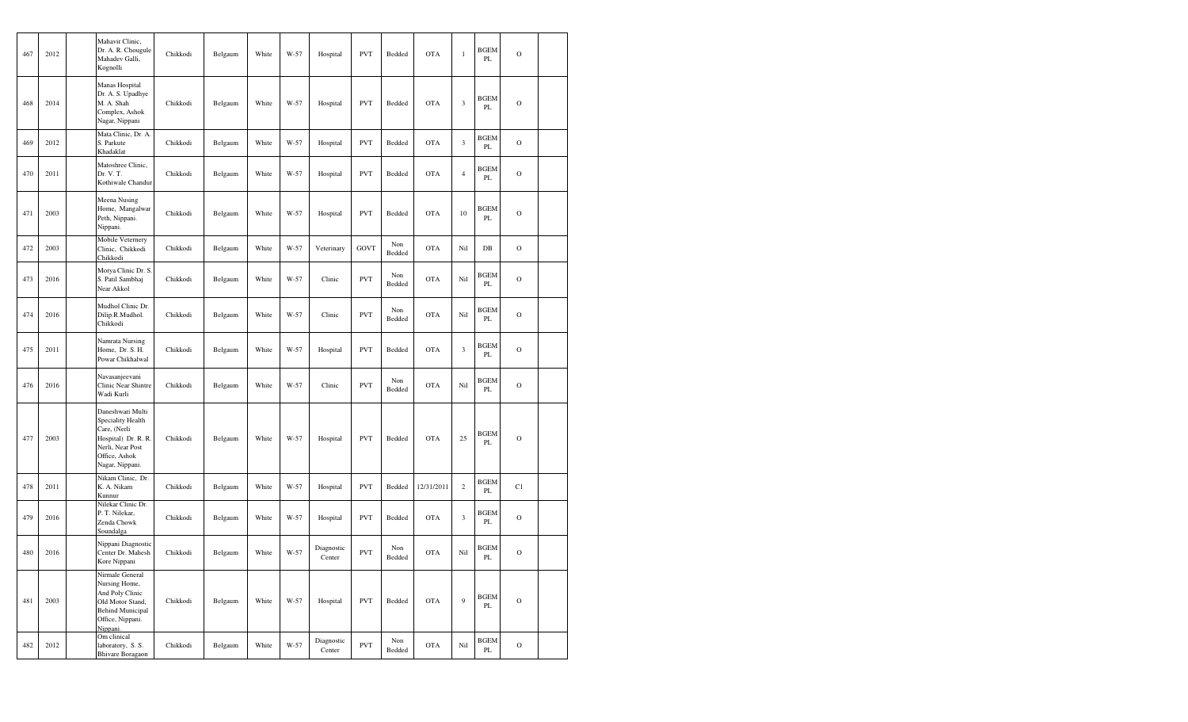| 467 | 2012 | Mahavir Clinic,<br>Dr. A. R. Chougule<br>Mahadev Galli,<br>Kognolli                                                                  | Chikkodi | Belgaum | White | W-57 | Hospital             | <b>PVT</b>  | Bedded        | <b>OTA</b> | $\,1$          | <b>BGEM</b><br>PL            | $\mathbf O$  |  |
|-----|------|--------------------------------------------------------------------------------------------------------------------------------------|----------|---------|-------|------|----------------------|-------------|---------------|------------|----------------|------------------------------|--------------|--|
| 468 | 2014 | Manas Hospital<br>Dr. A. S. Upadhye<br>M. A. Shah<br>Complex, Ashok<br>Nagar, Nippani                                                | Chikkodi | Belgaum | White | W-57 | Hospital             | <b>PVT</b>  | Bedded        | <b>OTA</b> | 3              | <b>BGEM</b><br>PL            | $\mathbf O$  |  |
| 469 | 2012 | Mata Clinic, Dr. A.<br>S. Parkute<br>Khadaklat                                                                                       | Chikkodi | Belgaum | White | W-57 | Hospital             | <b>PVT</b>  | Bedded        | <b>OTA</b> | $\mathfrak{Z}$ | <b>BGEM</b><br>PL            | $\mathbf O$  |  |
| 470 | 2011 | Matoshree Clinic,<br>Dr. V. T.<br>Kothiwale Chandur                                                                                  | Chikkodi | Belgaum | White | W-57 | Hospital             | <b>PVT</b>  | Bedded        | <b>OTA</b> | $\overline{4}$ | <b>BGEM</b><br>PL            | $\circ$      |  |
| 471 | 2003 | Meena Nusing<br>Home, Mangalwar<br>Peth, Nippani.<br>Nippani.                                                                        | Chikkodi | Belgaum | White | W-57 | Hospital             | <b>PVT</b>  | Bedded        | <b>OTA</b> | 10             | <b>BGEM</b><br>PL            | $\circ$      |  |
| 472 | 2003 | Mobile Veternery<br>Clinic, Chikkodi<br>Chikkodi                                                                                     | Chikkodi | Belgaum | White | W-57 | Veterinary           | <b>GOVT</b> | Non<br>Bedded | <b>OTA</b> | Nil            | $DB$                         | $\circ$      |  |
| 473 | 2016 | Morya Clinic Dr. S.<br>S. Patil Sambhaj<br>Near Akkol                                                                                | Chikkodi | Belgaum | White | W-57 | Clinic               | <b>PVT</b>  | Non<br>Bedded | <b>OTA</b> | Nil            | <b>BGEM</b><br>PL            | $\circ$      |  |
| 474 | 2016 | Mudhol Clinic Dr.<br>Dilip.R.Mudhol.<br>Chikkodi                                                                                     | Chikkodi | Belgaum | White | W-57 | Clinic               | <b>PVT</b>  | Non<br>Bedded | <b>OTA</b> | Nil            | <b>BGEM</b><br>PL            | $\circ$      |  |
| 475 | 2011 | Namrata Nursing<br>Home, Dr. S. H.<br>Powar Chikhalwal                                                                               | Chikkodi | Belgaum | White | W-57 | Hospital             | <b>PVT</b>  | Bedded        | <b>OTA</b> | 3              | <b>BGEM</b><br>PL            | $\mathbf O$  |  |
| 476 | 2016 | Navasanjeevani<br>Clinic Near Shintre<br>Wadi Kurli                                                                                  | Chikkodi | Belgaum | White | W-57 | Clinic               | <b>PVT</b>  | Non<br>Bedded | <b>OTA</b> | Nil            | <b>BGEM</b><br>PL            | $\circ$      |  |
| 477 | 2003 | Daneshwari Multi<br>Speciality Health<br>Care, (Nerli<br>Hospital) Dr. R. R.<br>Nerli, Near Post<br>Office, Ashok<br>Nagar, Nippani. | Chikkodi | Belgaum | White | W-57 | Hospital             | <b>PVT</b>  | Bedded        | <b>OTA</b> | 25             | <b>BGEM</b><br>PL            | $\circ$      |  |
| 478 | 2011 | Nikam Clinic, Dr.<br>K. A. Nikam<br>Kunnur                                                                                           | Chikkodi | Belgaum | White | W-57 | Hospital             | <b>PVT</b>  | Bedded        | 12/31/2011 | $\sqrt{2}$     | <b>BGEM</b><br>$\mathbf{PL}$ | C1           |  |
| 479 | 2016 | Nilekar Clinic Dr.<br>P. T. Nilekar,<br>Zenda Chowk<br>Soundalga                                                                     | Chikkodi | Belgaum | White | W-57 | Hospital             | <b>PVT</b>  | Bedded        | <b>OTA</b> | 3              | BGEM<br>PL                   | $\mathbf O$  |  |
| 480 | 2016 | Nippani Diagnostic<br>Center Dr. Mahesh<br>Kore Nippani                                                                              | Chikkodi | Belgaum | White | W-57 | Diagnostic<br>Center | <b>PVT</b>  | Non<br>Bedded | <b>OTA</b> | Nil            | <b>BGEM</b><br>PL            | $\mathbf O$  |  |
| 481 | 2003 | Nirmale General<br>Nursing Home,<br>And Poly Clinic<br>Old Motor Stand,<br><b>Behind Municipal</b><br>Office, Nippani.<br>Nippani.   | Chikkodi | Belgaum | White | W-57 | Hospital             | <b>PVT</b>  | Bedded        | <b>OTA</b> | 9              | <b>BGEM</b><br>PL            | $\mathbf O$  |  |
| 482 | 2012 | Om clinical<br>laboratory, S.S.<br><b>Bhivare Boragaon</b>                                                                           | Chikkodi | Belgaum | White | W-57 | Diagnostic<br>Center | <b>PVT</b>  | Non<br>Bedded | <b>OTA</b> | Nil            | <b>BGEM</b><br>PL            | $\mathcal O$ |  |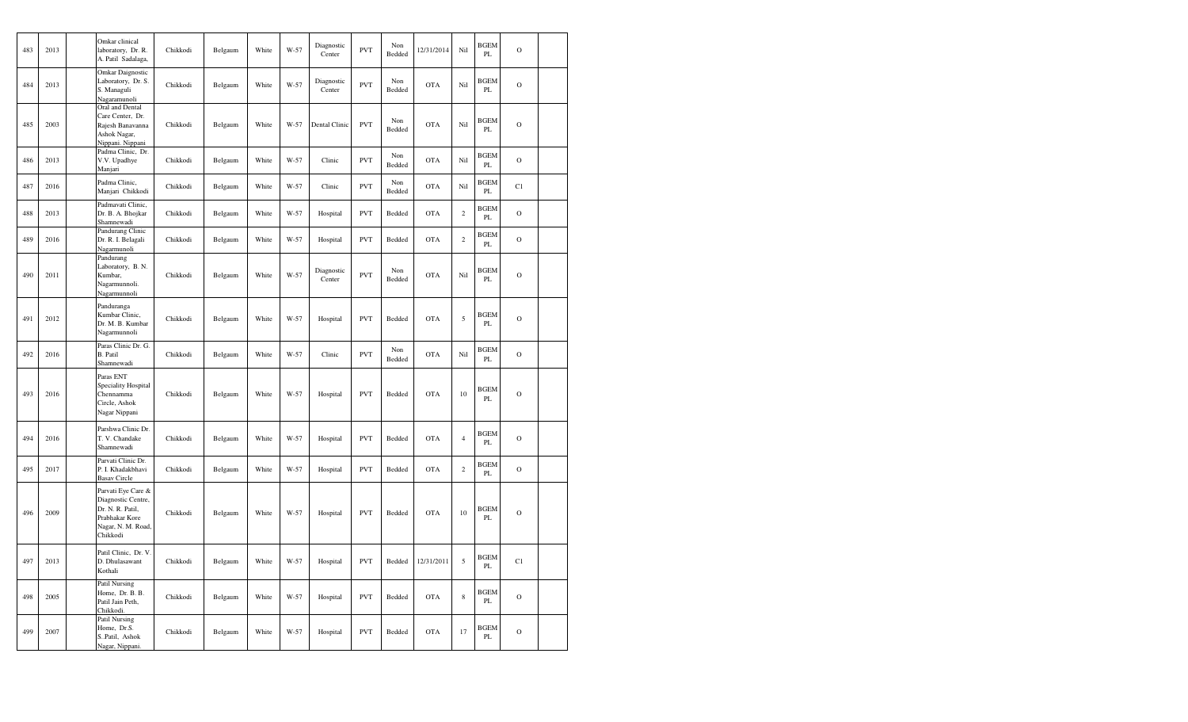| 483 | 2013 | Omkar clinical<br>laboratory, Dr. R.<br>A. Patil Sadalaga,                                                       | Chikkodi | Belgaum | White | W-57   | Diagnostic<br>Center | <b>PVT</b> | Non<br>Bedded | 12/31/2014 | Nil            | <b>BGEM</b><br>PL       | $\circ$        |  |
|-----|------|------------------------------------------------------------------------------------------------------------------|----------|---------|-------|--------|----------------------|------------|---------------|------------|----------------|-------------------------|----------------|--|
| 484 | 2013 | Omkar Daignostic<br>Laboratory, Dr. S.<br>S. Managuli<br>Nagaramunoli                                            | Chikkodi | Belgaum | White | W-57   | Diagnostic<br>Center | <b>PVT</b> | Non<br>Bedded | <b>OTA</b> | Nil            | <b>BGEM</b><br>PL       | $\overline{O}$ |  |
| 485 | 2003 | Oral and Dental<br>Care Center, Dr.<br>Rajesh Banavanna<br>Ashok Nagar,<br>Nippani. Nippani                      | Chikkodi | Belgaum | White | W-57   | Dental Clinic        | <b>PVT</b> | Non<br>Bedded | <b>OTA</b> | Nil            | BGEM<br>$\rm PL$        | $\circ$        |  |
| 486 | 2013 | Padma Clinic, Dr.<br>V.V. Upadhye<br>Manjari                                                                     | Chikkodi | Belgaum | White | W-57   | Clinic               | <b>PVT</b> | Non<br>Bedded | <b>OTA</b> | Nil            | <b>BGEM</b><br>PL       | $\overline{O}$ |  |
| 487 | 2016 | Padma Clinic,<br>Manjari Chikkodi                                                                                | Chikkodi | Belgaum | White | $W-57$ | Clinic               | <b>PVT</b> | Non<br>Bedded | <b>OTA</b> | Nil            | <b>BGEM</b><br>PL       | C1             |  |
| 488 | 2013 | Padmavati Clinic,<br>Dr. B. A. Bhojkar<br>Shamnewadi                                                             | Chikkodi | Belgaum | White | W-57   | Hospital             | <b>PVT</b> | Bedded        | <b>OTA</b> | $\overline{2}$ | <b>BGEM</b><br>PL       | $\circ$        |  |
| 489 | 2016 | Pandurang Clinic<br>Dr. R. I. Belagali<br>Nagarmunoli                                                            | Chikkodi | Belgaum | White | W-57   | Hospital             | <b>PVT</b> | Bedded        | <b>OTA</b> | $\overline{c}$ | <b>BGEM</b><br>PL       | $\overline{O}$ |  |
| 490 | 2011 | Pandurang<br>Laboratory, B.N.<br>Kumbar,<br>Nagarmunnoli.<br>Nagarmunnoli                                        | Chikkodi | Belgaum | White | W-57   | Diagnostic<br>Center | <b>PVT</b> | Non<br>Bedded | <b>OTA</b> | Nil            | <b>BGEM</b><br>PL       | $\circ$        |  |
| 491 | 2012 | Panduranga<br>Kumbar Clinic,<br>Dr. M. B. Kumbar<br>Nagarmunnoli                                                 | Chikkodi | Belgaum | White | W-57   | Hospital             | <b>PVT</b> | Bedded        | <b>OTA</b> | $\sqrt{5}$     | <b>BGEM</b><br>PL       | $\overline{O}$ |  |
| 492 | 2016 | Paras Clinic Dr. G.<br>B. Patil<br>Shamnewadi                                                                    | Chikkodi | Belgaum | White | W-57   | Clinic               | <b>PVT</b> | Non<br>Bedded | <b>OTA</b> | Nil            | <b>BGEM</b><br>PL       | $\overline{O}$ |  |
| 493 | 2016 | Paras ENT<br>Speciality Hospital<br>Chennamma<br>Circle, Ashok<br>Nagar Nippani                                  | Chikkodi | Belgaum | White | W-57   | Hospital             | <b>PVT</b> | Bedded        | <b>OTA</b> | 10             | <b>BGEM</b><br>PL       | $\circ$        |  |
| 494 | 2016 | Parshwa Clinic Dr.<br>T. V. Chandake<br>Shamnewadi                                                               | Chikkodi | Belgaum | White | W-57   | Hospital             | <b>PVT</b> | Bedded        | <b>OTA</b> | $\overline{4}$ | <b>BGEM</b><br>$\rm PL$ | $\overline{O}$ |  |
| 495 | 2017 | Parvati Clinic Dr.<br>P. I. Khadakbhavi<br><b>Basav Circle</b>                                                   | Chikkodi | Belgaum | White | W-57   | Hospital             | <b>PVT</b> | Bedded        | <b>OTA</b> | $\sqrt{2}$     | <b>BGEM</b><br>$\rm PL$ | $\overline{O}$ |  |
| 496 | 2009 | Parvati Eye Care &<br>Diagnostic Centre,<br>Dr. N. R. Patil,<br>Prabhakar Kore<br>Nagar, N. M. Road,<br>Chikkodi | Chikkodi | Belgaum | White | W-57   | Hospital             | <b>PVT</b> | Bedded        | <b>OTA</b> | 10             | <b>BGEM</b><br>PL       | $\circ$        |  |
| 497 | 2013 | Patil Clinic, Dr. V.<br>D. Dhulasawant<br>Kothali                                                                | Chikkodi | Belgaum | White | W-57   | Hospital             | <b>PVT</b> | Bedded        | 12/31/2011 | $\sqrt{5}$     | <b>BGEM</b><br>$\rm PL$ | C1             |  |
| 498 | 2005 | Patil Nursing<br>Home, Dr. B. B.<br>Patil Jain Peth,<br>Chikkodi.                                                | Chikkodi | Belgaum | White | W-57   | Hospital             | <b>PVT</b> | Bedded        | <b>OTA</b> | $\,$ 8 $\,$    | <b>BGEM</b><br>PL       | $\overline{O}$ |  |
| 499 | 2007 | Patil Nursing<br>Home, Dr.S.<br>S.,Patil, Ashok<br>Nagar, Nippani.                                               | Chikkodi | Belgaum | White | W-57   | Hospital             | <b>PVT</b> | Bedded        | <b>OTA</b> | 17             | BGEM<br>PL              | $\overline{O}$ |  |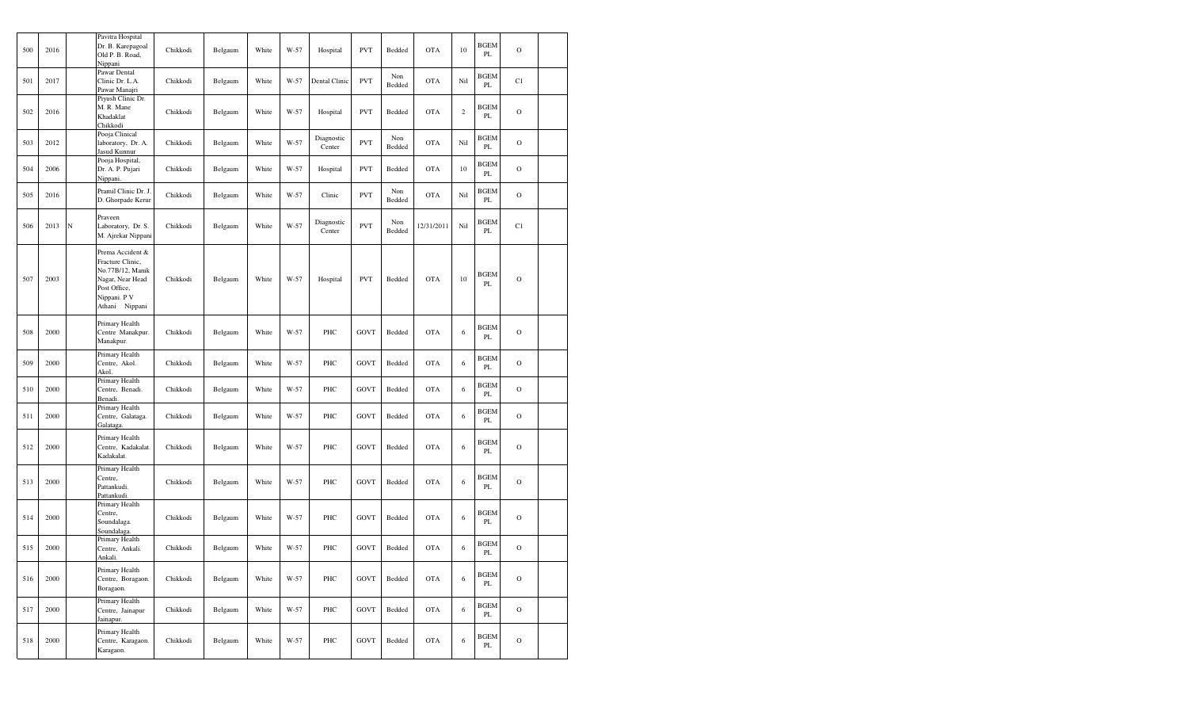| 500 | 2016 |             | Pavitra Hospital<br>Dr. B. Karepagoal<br>Old P. B. Road,<br>Nippani                                                            | Chikkodi | Belgaum | White | W-57 | Hospital             | <b>PVT</b>  | Bedded        | <b>OTA</b> | 10             | BGEM<br>PL         | $\mathbf O$   |  |
|-----|------|-------------|--------------------------------------------------------------------------------------------------------------------------------|----------|---------|-------|------|----------------------|-------------|---------------|------------|----------------|--------------------|---------------|--|
| 501 | 2017 |             | Pawar Dental<br>Clinic Dr. L.A.<br>Pawar Manajri                                                                               | Chikkodi | Belgaum | White | W-57 | Dental Clinic        | <b>PVT</b>  | Non<br>Bedded | <b>OTA</b> | Nil            | <b>BGEM</b><br>PL  | C1            |  |
| 502 | 2016 |             | Piyush Clinic Dr.<br>M. R. Mane<br>Khadaklat<br>Chikkodi                                                                       | Chikkodi | Belgaum | White | W-57 | Hospital             | <b>PVT</b>  | Bedded        | <b>OTA</b> | $\overline{2}$ | BGEM<br>PL         | $\mathbf O$   |  |
| 503 | 2012 |             | Pooja Clinical<br>laboratory, Dr. A.<br>Jasud Kunnur                                                                           | Chikkodi | Belgaum | White | W-57 | Diagnostic<br>Center | <b>PVT</b>  | Non<br>Bedded | <b>OTA</b> | Nil            | BGEM<br>PL         | $\mathbf O$   |  |
| 504 | 2006 |             | Pooja Hospital,<br>Dr. A. P. Pujari<br>Nippani.                                                                                | Chikkodi | Belgaum | White | W-57 | Hospital             | <b>PVT</b>  | Bedded        | <b>OTA</b> | 10             | <b>BGEM</b><br>PL  | $\mathbf O$   |  |
| 505 | 2016 |             | Pramil Clinic Dr. J.<br>D. Ghorpade Kerur                                                                                      | Chikkodi | Belgaum | White | W-57 | Clinic               | <b>PVT</b>  | Non<br>Bedded | <b>OTA</b> | Nil            | <b>BGEM</b><br>PL  | $\mathbf O$   |  |
| 506 | 2013 | $\mathbf N$ | Praveen<br>Laboratory, Dr. S.<br>M. Ajrekar Nippani                                                                            | Chikkodi | Belgaum | White | W-57 | Diagnostic<br>Center | <b>PVT</b>  | Non<br>Bedded | 12/31/2011 | Nil            | <b>BGEM</b><br>PL  | C1            |  |
| 507 | 2003 |             | Prema Accident &<br>Fracture Clinic,<br>No.77B/12, Manik<br>Nagar, Near Head<br>Post Office,<br>Nippani. P V<br>Athani Nippani | Chikkodi | Belgaum | White | W-57 | Hospital             | <b>PVT</b>  | Bedded        | <b>OTA</b> | 10             | <b>BGEM</b><br>PL  | $\mathbf O$   |  |
| 508 | 2000 |             | Primary Health<br>Centre Manakpur.<br>Manakpur.                                                                                | Chikkodi | Belgaum | White | W-57 | PHC                  | <b>GOVT</b> | Bedded        | <b>OTA</b> | 6              | <b>BGEM</b><br>PL  | $\mathbf O$   |  |
| 509 | 2000 |             | Primary Health<br>Centre, Akol.<br>Akol.                                                                                       | Chikkodi | Belgaum | White | W-57 | PHC                  | <b>GOVT</b> | Bedded        | <b>OTA</b> | 6              | BGEM<br>PL         | $\mathbf O$   |  |
| 510 | 2000 |             | Primary Health<br>Centre, Benadi.<br>Benadi.                                                                                   | Chikkodi | Belgaum | White | W-57 | PHC                  | <b>GOVT</b> | Bedded        | <b>OTA</b> | 6              | <b>BGEM</b><br>PL  | $\mathbf O$   |  |
| 511 | 2000 |             | Primary Health<br>Centre, Galataga.<br>Galataga.                                                                               | Chikkodi | Belgaum | White | W-57 | PHC                  | GOVT        | Bedded        | <b>OTA</b> | 6              | <b>BGEM</b><br>PL  | $\mathbf O$   |  |
| 512 | 2000 |             | Primary Health<br>Centre, Kadakalat.<br>Kadakalat.                                                                             | Chikkodi | Belgaum | White | W-57 | PHC                  | <b>GOVT</b> | Bedded        | <b>OTA</b> | 6              | BGEM<br>PL         | $\mathbf O$   |  |
| 513 | 2000 |             | Primary Health<br>Centre,<br>Pattankudi.<br>Pattankudi.                                                                        | Chikkodi | Belgaum | White | W-57 | PHC                  | <b>GOVT</b> | Bedded        | <b>OTA</b> | 6              | <b>BGEM</b><br>PL  | $\mathbf O$   |  |
| 514 | 2000 |             | Primary Health<br>Centre,<br>Soundalaga.<br>Soundalaga.                                                                        | Chikkodi | Belgaum | White | W-57 | PHC                  | <b>GOVT</b> | Bedded        | <b>OTA</b> | 6              | BGEM<br>PL         | $\mathbf O$   |  |
| 515 | 2000 |             | Primary Health<br>Centre, Ankali.<br>Ankali.                                                                                   | Chikkodi | Belgaum | White | W-57 | PHC                  | <b>GOVT</b> | Bedded        | <b>OTA</b> | 6              | <b>BGEM</b><br>PL  | $\Omega$      |  |
| 516 | 2000 |             | Primary Health<br>Centre, Boragaon.<br>Boragaon.                                                                               | Chikkodi | Belgaum | White | W-57 | PHC                  | <b>GOVT</b> | Bedded        | <b>OTA</b> | 6              | <b>BGEM</b><br>PL  | $\mathbf O$   |  |
| 517 | 2000 |             | Primary Health<br>Centre, Jainapur<br>Jainapur.                                                                                | Chikkodi | Belgaum | White | W-57 | PHC                  | <b>GOVT</b> | Bedded        | <b>OTA</b> | $\sqrt{6}$     | <b>BGEM</b><br>PL  | $\mathbf O$   |  |
| 518 | 2000 |             | Primary Health<br>Centre, Karagaon.<br>Karagaon.                                                                               | Chikkodi | Belgaum | White | W-57 | PHC                  | <b>GOVT</b> | Bedded        | <b>OTA</b> | $\sqrt{6}$     | <b>BGEM</b><br>PL. | $\mathcal{O}$ |  |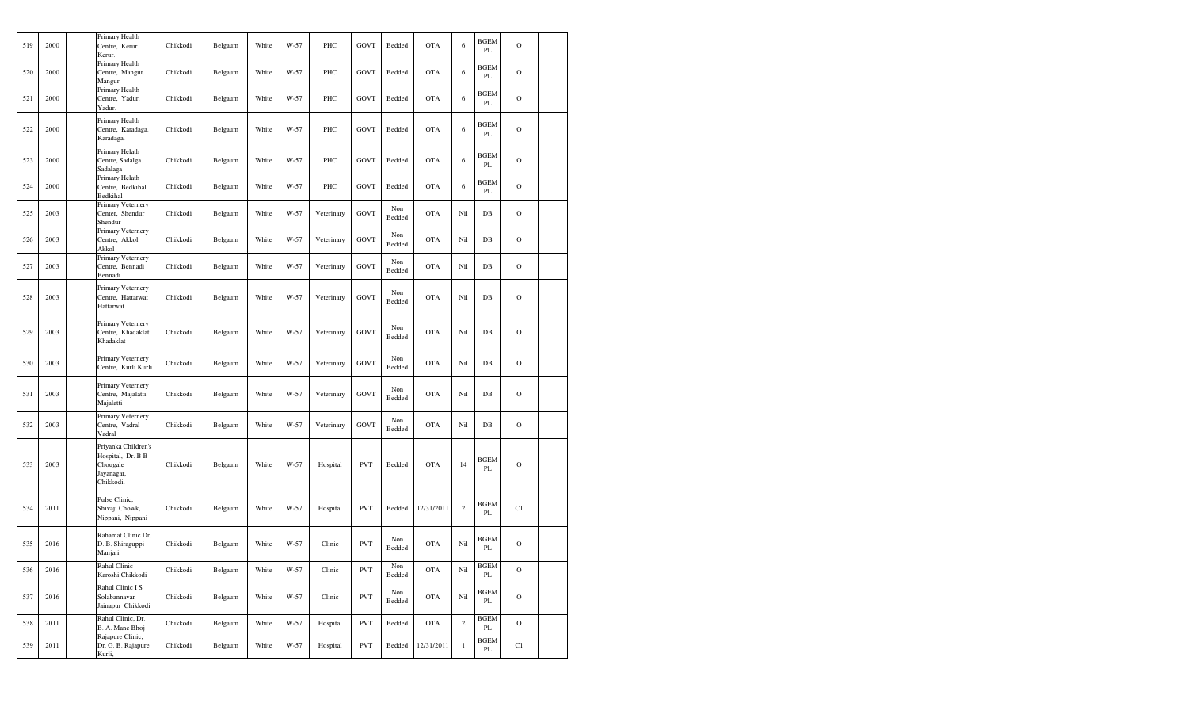| 519 | 2000 | Primary Health<br>Centre, Kerur.<br>Kerur.                                      | Chikkodi | Belgaum | White | W-57 | PHC        | <b>GOVT</b> | Bedded        | <b>OTA</b> | 6            | <b>BGEM</b><br>PL            | $\mathcal{O}$ |  |
|-----|------|---------------------------------------------------------------------------------|----------|---------|-------|------|------------|-------------|---------------|------------|--------------|------------------------------|---------------|--|
| 520 | 2000 | Primary Health<br>Centre, Mangur.<br>Mangur.                                    | Chikkodi | Belgaum | White | W-57 | PHC        | <b>GOVT</b> | Bedded        | <b>OTA</b> | 6            | <b>BGEM</b><br>PL            | $\mathbf O$   |  |
| 521 | 2000 | Primary Health<br>Centre, Yadur.<br>Yadur.                                      | Chikkodi | Belgaum | White | W-57 | PHC        | <b>GOVT</b> | Bedded        | <b>OTA</b> | 6            | <b>BGEM</b><br>PL            | $\mathcal{O}$ |  |
| 522 | 2000 | Primary Health<br>Centre, Karadaga.<br>Karadaga.                                | Chikkodi | Belgaum | White | W-57 | PHC        | <b>GOVT</b> | Bedded        | <b>OTA</b> | 6            | BGEM<br>PL                   | $\mathcal{O}$ |  |
| 523 | 2000 | Primary Helath<br>Centre, Sadalga.<br>Sadalaga                                  | Chikkodi | Belgaum | White | W-57 | PHC        | <b>GOVT</b> | Bedded        | <b>OTA</b> | 6            | BGEM<br>PL                   | $\circ$       |  |
| 524 | 2000 | Primary Helath<br>Centre, Bedkihal<br>Bedkihal                                  | Chikkodi | Belgaum | White | W-57 | PHC        | <b>GOVT</b> | Bedded        | <b>OTA</b> | 6            | BGEM<br>PL                   | $\mathcal{O}$ |  |
| 525 | 2003 | Primary Veternery<br>Center, Shendur<br>Shendur                                 | Chikkodi | Belgaum | White | W-57 | Veterinary | <b>GOVT</b> | Non<br>Bedded | <b>OTA</b> | Nil          | $_{\rm DB}$                  | $\mathbf O$   |  |
| 526 | 2003 | Primary Veternery<br>Centre, Akkol<br>Akkol                                     | Chikkodi | Belgaum | White | W-57 | Veterinary | <b>GOVT</b> | Non<br>Bedded | <b>OTA</b> | Nil          | DB                           | $\mathbf O$   |  |
| 527 | 2003 | Primary Veternery<br>Centre, Bennadi<br>Bennadi                                 | Chikkodi | Belgaum | White | W-57 | Veterinary | <b>GOVT</b> | Non<br>Bedded | <b>OTA</b> | Nil          | $DB$                         | $\mathcal{O}$ |  |
| 528 | 2003 | Primary Veternery<br>Centre, Hattarwat<br>Hattarwat                             | Chikkodi | Belgaum | White | W-57 | Veterinary | <b>GOVT</b> | Non<br>Bedded | <b>OTA</b> | Nil          | $DB$                         | $\mathcal{O}$ |  |
| 529 | 2003 | Primary Veternery<br>Centre, Khadaklat<br>Khadaklat                             | Chikkodi | Belgaum | White | W-57 | Veterinary | <b>GOVT</b> | Non<br>Bedded | <b>OTA</b> | Nil          | $DB$                         | $\mathcal{O}$ |  |
| 530 | 2003 | Primary Veternery<br>Centre, Kurli Kurli                                        | Chikkodi | Belgaum | White | W-57 | Veterinary | <b>GOVT</b> | Non<br>Bedded | <b>OTA</b> | Nil          | $_{\rm DB}$                  | $\mathcal{O}$ |  |
| 531 | 2003 | Primary Veternery<br>Centre, Majalatti<br>Majalatti                             | Chikkodi | Belgaum | White | W-57 | Veterinary | GOVT        | Non<br>Bedded | <b>OTA</b> | Nil          | $_{\rm DB}$                  | $\mathcal{O}$ |  |
| 532 | 2003 | Primary Veternery<br>Centre, Vadral<br>Vadral                                   | Chikkodi | Belgaum | White | W-57 | Veterinary | <b>GOVT</b> | Non<br>Bedded | <b>OTA</b> | Nil          | $DB$                         | $\mathbf O$   |  |
| 533 | 2003 | Priyanka Children's<br>Hospital, Dr. B B<br>Chougale<br>Jayanagar,<br>Chikkodi. | Chikkodi | Belgaum | White | W-57 | Hospital   | <b>PVT</b>  | Bedded        | <b>OTA</b> | 14           | <b>BGEM</b><br>PL            | $\circ$       |  |
| 534 | 2011 | Pulse Clinic,<br>Shivaji Chowk,<br>Nippani, Nippani                             | Chikkodi | Belgaum | White | W-57 | Hospital   | <b>PVT</b>  | Bedded        | 12/31/2011 | $\mathbf{2}$ | <b>BGEM</b><br>PL            | C1            |  |
| 535 | 2016 | Rahamat Clinic Dr.<br>D. B. Shiraguppi<br>Manjari                               | Chikkodi | Belgaum | White | W-57 | Clinic     | <b>PVT</b>  | Non<br>Bedded | <b>OTA</b> | Nil          | <b>BGEM</b><br>PL            | $\mathbf O$   |  |
| 536 | 2016 | Rahul Clinic<br>Karoshi Chikkodi                                                | Chikkodi | Belgaum | White | W-57 | Clinic     | <b>PVT</b>  | Non<br>Bedded | OTA        | Nil          | <b>BGEM</b><br>$\mathbf{PL}$ | $\mathbf O$   |  |
| 537 | 2016 | Rahul Clinic I S<br>Solabannavar<br>Jainapur Chikkodi                           | Chikkodi | Belgaum | White | W-57 | Clinic     | <b>PVT</b>  | Non<br>Bedded | OTA        | Nil          | <b>BGEM</b><br>PL            | $\mathbf O$   |  |
| 538 | 2011 | Rahul Clinic, Dr.<br>B. A. Mane Bhoj                                            | Chikkodi | Belgaum | White | W-57 | Hospital   | <b>PVT</b>  | Bedded        | <b>OTA</b> | $\mathbf{2}$ | <b>BGEM</b><br>$\rm PL$      | $\mathbf O$   |  |
| 539 | 2011 | Rajapure Clinic,<br>Dr. G. B. Rajapure<br>Kurli,                                | Chikkodi | Belgaum | White | W-57 | Hospital   | <b>PVT</b>  | Bedded        | 12/31/2011 | $\,1$        | <b>BGEM</b><br>PL            | C1            |  |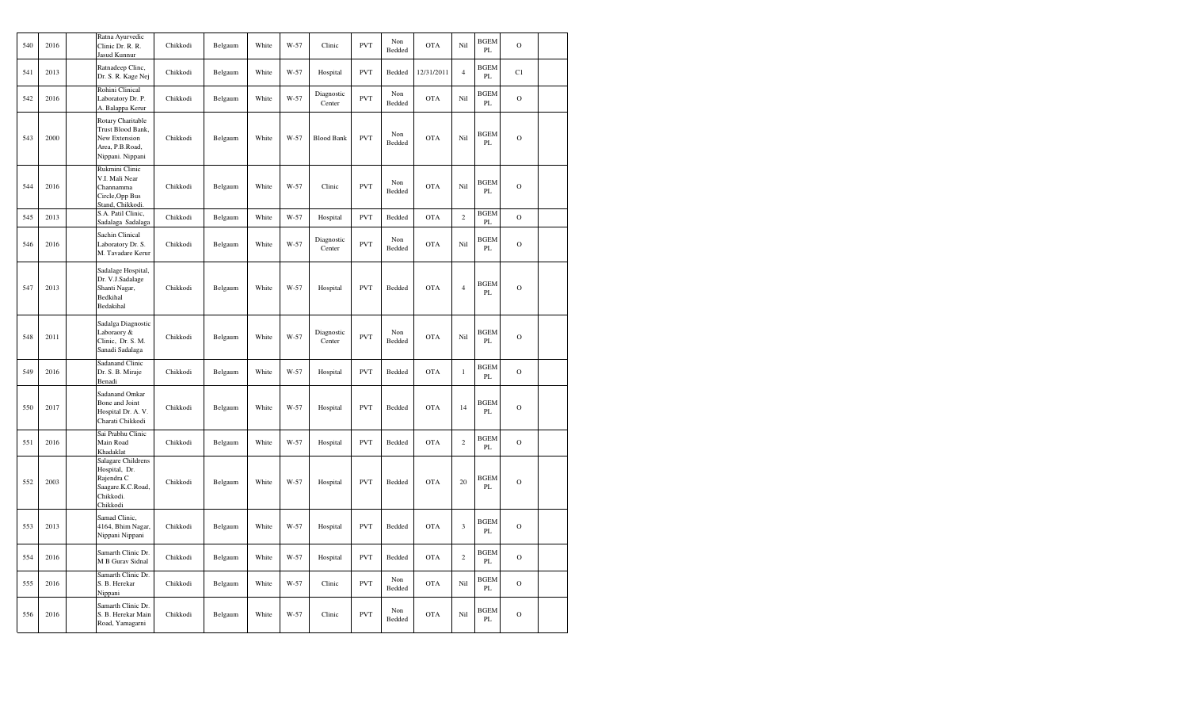| 540 | 2016 | Ratna Ayurvedic<br>Clinic Dr. R. R.<br>Jasud Kunnur                                             | Chikkodi | Belgaum | White | W-57   | Clinic               | <b>PVT</b> | Non<br>Bedded | <b>OTA</b> | Nil            | <b>BGEM</b><br>PL            | $\mathbf O$ |  |
|-----|------|-------------------------------------------------------------------------------------------------|----------|---------|-------|--------|----------------------|------------|---------------|------------|----------------|------------------------------|-------------|--|
| 541 | 2013 | Ratnadeep Clinc,<br>Dr. S. R. Kage Nej                                                          | Chikkodi | Belgaum | White | W-57   | Hospital             | <b>PVT</b> | Bedded        | 12/31/2011 | $\overline{4}$ | <b>BGEM</b><br>PL            | C1          |  |
| 542 | 2016 | Rohini Clinical<br>Laboratory Dr. P.<br>A. Balappa Kerur                                        | Chikkodi | Belgaum | White | W-57   | Diagnostic<br>Center | <b>PVT</b> | Non<br>Bedded | <b>OTA</b> | Nil            | <b>BGEM</b><br>PL            | $\mathbf O$ |  |
| 543 | 2000 | Rotary Charitable<br>Trust Blood Bank,<br>New Extension<br>Area, P.B.Road,<br>Nippani. Nippani  | Chikkodi | Belgaum | White | $W-57$ | <b>Blood Bank</b>    | <b>PVT</b> | Non<br>Bedded | <b>OTA</b> | Nil            | <b>BGEM</b><br>PL            | $\mathbf O$ |  |
| 544 | 2016 | Rukmini Clinic<br>V.I. Mali Near<br>Channamma<br>Circle, Opp Bus<br>Stand, Chikkodi.            | Chikkodi | Belgaum | White | $W-57$ | Clinic               | <b>PVT</b> | Non<br>Bedded | <b>OTA</b> | Nil            | <b>BGEM</b><br>PL            | $\circ$     |  |
| 545 | 2013 | S.A. Patil Clinic,<br>Sadalaga Sadalaga                                                         | Chikkodi | Belgaum | White | $W-57$ | Hospital             | <b>PVT</b> | Bedded        | <b>OTA</b> | $\,2\,$        | <b>BGEM</b><br>PL            | $\mathbf O$ |  |
| 546 | 2016 | Sachin Clinical<br>Laboratory Dr. S.<br>M. Tavadare Kerur                                       | Chikkodi | Belgaum | White | $W-57$ | Diagnostic<br>Center | <b>PVT</b> | Non<br>Bedded | <b>OTA</b> | Nil            | <b>BGEM</b><br>$\mathbf{PL}$ | $\mathbf O$ |  |
| 547 | 2013 | Sadalage Hospital,<br>Dr. V.J.Sadalage<br>Shanti Nagar,<br>Bedkihal<br>Bedakihal                | Chikkodi | Belgaum | White | W-57   | Hospital             | <b>PVT</b> | Bedded        | <b>OTA</b> | $\overline{4}$ | <b>BGEM</b><br>PL            | $\mathbf O$ |  |
| 548 | 2011 | Sadalga Diagnostic<br>Laboraory &<br>Clinic, Dr. S. M.<br>Sanadi Sadalaga                       | Chikkodi | Belgaum | White | W-57   | Diagnostic<br>Center | <b>PVT</b> | Non<br>Bedded | <b>OTA</b> | Nil            | <b>BGEM</b><br>PL            | O           |  |
| 549 | 2016 | <b>Sadanand Clinic</b><br>Dr. S. B. Miraje<br>Benadi                                            | Chikkodi | Belgaum | White | W-57   | Hospital             | <b>PVT</b> | Bedded        | <b>OTA</b> | $\,1$          | <b>BGEM</b><br>$\mathbf{PL}$ | $\mathbf O$ |  |
| 550 | 2017 | Sadanand Omkar<br>Bone and Joint<br>Hospital Dr. A. V.<br>Charati Chikkodi                      | Chikkodi | Belgaum | White | W-57   | Hospital             | <b>PVT</b> | Bedded        | <b>OTA</b> | 14             | <b>BGEM</b><br>PL            | $\mathbf O$ |  |
| 551 | 2016 | Sai Prabhu Clinic<br>Main Road<br>Khadaklat                                                     | Chikkodi | Belgaum | White | W-57   | Hospital             | <b>PVT</b> | Bedded        | <b>OTA</b> | $\mathbf{2}$   | <b>BGEM</b><br>PL            | $\mathbf O$ |  |
| 552 | 2003 | Salagare Childrens<br>Hospital, Dr.<br>Rajendra C<br>Saagare.K.C.Road,<br>Chikkodi.<br>Chikkodi | Chikkodi | Belgaum | White | $W-57$ | Hospital             | <b>PVT</b> | Bedded        | <b>OTA</b> | 20             | <b>BGEM</b><br>PL            | $\mathbf O$ |  |
| 553 | 2013 | Samad Clinic,<br>4164, Bhim Nagar,<br>Nippani Nippani                                           | Chikkodi | Belgaum | White | W-57   | Hospital             | <b>PVT</b> | Bedded        | <b>OTA</b> | $\mathfrak{Z}$ | BGEM<br>PL                   | $\mathbf O$ |  |
| 554 | 2016 | Samarth Clinic Dr.<br>M B Gurav Sidnal                                                          | Chikkodi | Belgaum | White | W-57   | Hospital             | <b>PVT</b> | Bedded        | <b>OTA</b> | $\mathbf{2}$   | <b>BGEM</b><br>PL            | $\mathbf O$ |  |
| 555 | 2016 | Samarth Clinic Dr.<br>S. B. Herekar<br>Nippani                                                  | Chikkodi | Belgaum | White | W-57   | Clinic               | <b>PVT</b> | Non<br>Bedded | <b>OTA</b> | Nil            | <b>BGEM</b><br>PL            | $\mathbf O$ |  |
| 556 | 2016 | Samarth Clinic Dr.<br>S. B. Herekar Main<br>Road, Yamagarni                                     | Chikkodi | Belgaum | White | $W-57$ | Clinic               | <b>PVT</b> | Non<br>Bedded | <b>OTA</b> | Nil            | <b>BGEM</b><br>PL            | $\circ$     |  |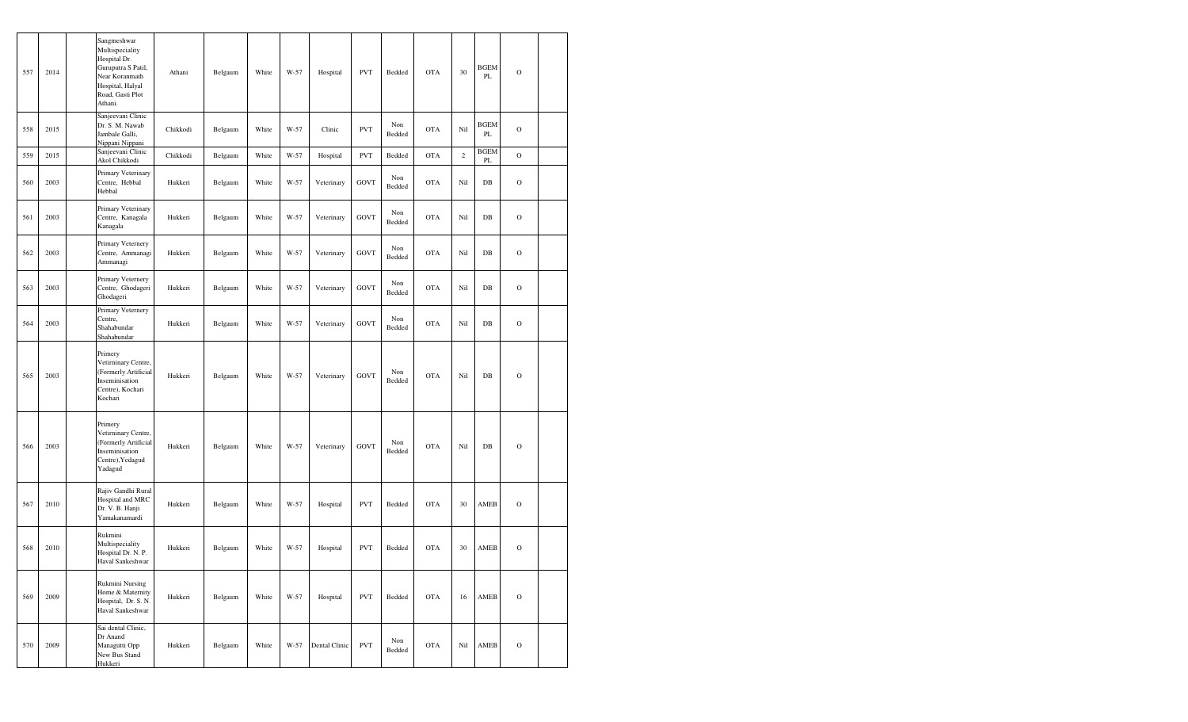| 557 | 2014 | Sangmeshwar<br>Multispeciality<br>Hospital Dr.<br>Guruputra S Patil,<br>Near Koranmath<br>Hospital, Halyal<br>Road, Gasti Plot<br>Athani. | Athani   | Belgaum | White | W-57 | Hospital      | <b>PVT</b>  | Bedded        | <b>OTA</b> | 30      | <b>BGEM</b><br>PL | $\mathbf O$   |  |
|-----|------|-------------------------------------------------------------------------------------------------------------------------------------------|----------|---------|-------|------|---------------|-------------|---------------|------------|---------|-------------------|---------------|--|
| 558 | 2015 | Sanjeevani Clinic<br>Dr. S. M. Nawab<br>Jambale Galli,<br>Nippani Nippani                                                                 | Chikkodi | Belgaum | White | W-57 | Clinic        | <b>PVT</b>  | Non<br>Bedded | <b>OTA</b> | Nil     | <b>BGEM</b><br>PL | $\circ$       |  |
| 559 | 2015 | Sanjeevani Clinic<br>Akol Chikkodi                                                                                                        | Chikkodi | Belgaum | White | W-57 | Hospital      | <b>PVT</b>  | Bedded        | <b>OTA</b> | $\,2\,$ | <b>BGEM</b><br>PL | $\mathbf O$   |  |
| 560 | 2003 | Primary Veterinary<br>Centre, Hebbal<br>Hebbal                                                                                            | Hukkeri  | Belgaum | White | W-57 | Veterinary    | <b>GOVT</b> | Non<br>Bedded | <b>OTA</b> | Nil     | $DB$              | $\mathbf O$   |  |
| 561 | 2003 | Primary Veterinary<br>Centre, Kanagala<br>Kanagala                                                                                        | Hukkeri  | Belgaum | White | W-57 | Veterinary    | <b>GOVT</b> | Non<br>Bedded | <b>OTA</b> | Nil     | $DB$              | $\mathbf O$   |  |
| 562 | 2003 | Primary Veternery<br>Centre, Ammanagi<br>Ammanagi                                                                                         | Hukkeri  | Belgaum | White | W-57 | Veterinary    | <b>GOVT</b> | Non<br>Bedded | <b>OTA</b> | Nil     | $DB$              | $\mathbf O$   |  |
| 563 | 2003 | Primary Veternery<br>Centre, Ghodageri<br>Ghodageri                                                                                       | Hukkeri  | Belgaum | White | W-57 | Veterinary    | <b>GOVT</b> | Non<br>Bedded | <b>OTA</b> | Nil     | $DB$              | $\mathcal{O}$ |  |
| 564 | 2003 | Primary Veternery<br>Centre,<br>Shahabundar<br>Shahabundar                                                                                | Hukkeri  | Belgaum | White | W-57 | Veterinary    | <b>GOVT</b> | Non<br>Bedded | <b>OTA</b> | Nil     | $DB$              | $\mathcal{O}$ |  |
| 565 | 2003 | Primery<br>Vetirninary Centre,<br>(Formerly Artificial<br>Inseminisation<br>Centre), Kochari<br>Kochari                                   | Hukkeri  | Belgaum | White | W-57 | Veterinary    | <b>GOVT</b> | Non<br>Bedded | <b>OTA</b> | Nil     | $DB$              | $\mathbf O$   |  |
| 566 | 2003 | Primery<br>Vetirninary Centre,<br>(Formerly Artificial<br>Inseminisation<br>Centre), Yedagud<br>Yadagud                                   | Hukkeri  | Belgaum | White | W-57 | Veterinary    | <b>GOVT</b> | Non<br>Bedded | <b>OTA</b> | Nil     | $DB$              | $\mathbf O$   |  |
| 567 | 2010 | Rajiv Gandhi Rural<br>Hospital and MRC<br>Dr. V. B. Hanji<br>Yamakanamardi                                                                | Hukkeri  | Belgaum | White | W-57 | Hospital      | <b>PVT</b>  | Bedded        | <b>OTA</b> | 30      | AMEB              | $\mathbf O$   |  |
| 568 | 2010 | Rukmini<br>Multispeciality<br>Hospital Dr. N. P.<br>Haval Sankeshwar                                                                      | Hukkeri  | Belgaum | White | W-57 | Hospital      | <b>PVT</b>  | Bedded        | <b>OTA</b> | 30      | AMEB              | $\mathbf O$   |  |
| 569 | 2009 | Rukmini Nursing<br>Home & Maternity<br>Hospital, Dr. S. N.<br>Haval Sankeshwar                                                            | Hukkeri  | Belgaum | White | W-57 | Hospital      | <b>PVT</b>  | Bedded        | <b>OTA</b> | 16      | AMEB              | $\mathbf O$   |  |
| 570 | 2009 | Sai dental Clinic,<br>Dr Anand<br>Managutti Opp<br>New Bus Stand<br>Hukkeri                                                               | Hukkeri  | Belgaum | White | W-57 | Dental Clinic | <b>PVT</b>  | Non<br>Bedded | OTA        | Nil     | AMEB              | $\mathbf O$   |  |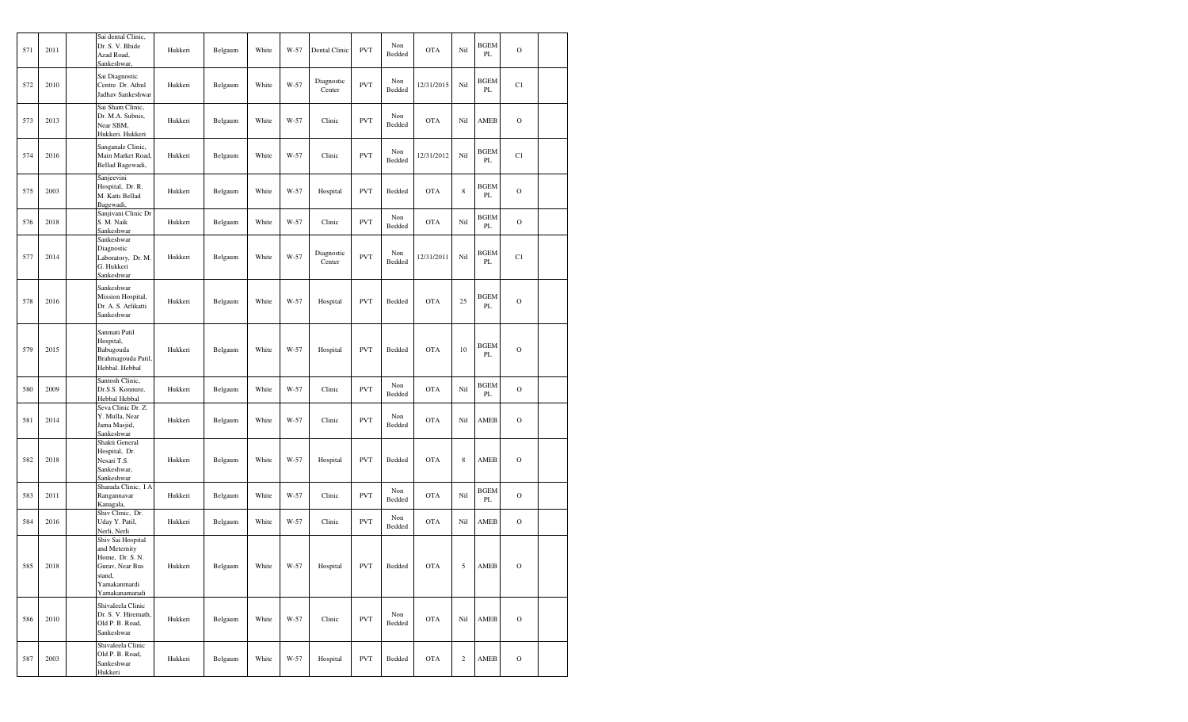| 571 | 2011 | Sai dental Clinic,<br>Dr. S. V. Bhide<br>Azad Road,<br>Sankeshwar,                                                   | Hukkeri | Belgaum | White | W-57 | Dental Clinic        | <b>PVT</b> | Non<br>Bedded | <b>OTA</b> | Nil         | <b>BGEM</b><br>PL | $\mathbf O$   |  |
|-----|------|----------------------------------------------------------------------------------------------------------------------|---------|---------|-------|------|----------------------|------------|---------------|------------|-------------|-------------------|---------------|--|
| 572 | 2010 | Sai Diagnostic<br>Centre Dr. Athul<br>Jadhav Sankeshwar                                                              | Hukkeri | Belgaum | White | W-57 | Diagnostic<br>Center | <b>PVT</b> | Non<br>Bedded | 12/31/2015 | Nil         | <b>BGEM</b><br>PL | C1            |  |
| 573 | 2013 | Sai Sham Clinic,<br>Dr. M.A. Subnis,<br>Near SBM,<br>Hukkeri. Hukkeri                                                | Hukkeri | Belgaum | White | W-57 | Clinic               | <b>PVT</b> | Non<br>Bedded | <b>OTA</b> | Nil         | AMEB              | $\mathcal{O}$ |  |
| 574 | 2016 | Sanganale Clinic,<br>Main Market Road,<br>Bellad Bagewadi,                                                           | Hukkeri | Belgaum | White | W-57 | Clinic               | <b>PVT</b> | Non<br>Bedded | 12/31/2012 | Nil         | <b>BGEM</b><br>PL | C1            |  |
| 575 | 2003 | Sanjeevini<br>Hospital, Dr. R.<br>M. Katti Bellad<br>Bagewadi,                                                       | Hukkeri | Belgaum | White | W-57 | Hospital             | <b>PVT</b> | Bedded        | <b>OTA</b> | $\,$ 8 $\,$ | <b>BGEM</b><br>PL | $\mathbf O$   |  |
| 576 | 2018 | Sanjivani Clinic Dr<br>S. M. Naik<br>Sankeshwar                                                                      | Hukkeri | Belgaum | White | W-57 | Clinic               | <b>PVT</b> | Non<br>Bedded | <b>OTA</b> | Nil         | <b>BGEM</b><br>PL | $\mathbf O$   |  |
| 577 | 2014 | Sankeshwar<br>Diagnostic<br>Laboratory, Dr. M.<br>G. Hukkeri<br>Sankeshwar                                           | Hukkeri | Belgaum | White | W-57 | Diagnostic<br>Center | <b>PVT</b> | Non<br>Bedded | 12/31/2011 | Nil         | BGEM<br>PL        | C1            |  |
| 578 | 2016 | Sankeshwar<br>Mission Hospital,<br>Dr. A. S. Arlikatti<br>Sankeshwar                                                 | Hukkeri | Belgaum | White | W-57 | Hospital             | <b>PVT</b> | Bedded        | <b>OTA</b> | 25          | <b>BGEM</b><br>PL | $\mathbf O$   |  |
| 579 | 2015 | Sanmati Patil<br>Hospital,<br>Babugouda<br>Brahmagouda Patil<br>Hebbal. Hebbal                                       | Hukkeri | Belgaum | White | W-57 | Hospital             | <b>PVT</b> | Bedded        | <b>OTA</b> | 10          | <b>BGEM</b><br>PL | $\mathbf O$   |  |
| 580 | 2009 | Santosh Clinic,<br>Dr.S.S. Konnure,<br>Hebbal Hebbal                                                                 | Hukkeri | Belgaum | White | W-57 | Clinic               | <b>PVT</b> | Non<br>Bedded | <b>OTA</b> | Nil         | <b>BGEM</b><br>PL | $\mathbf O$   |  |
| 581 | 2014 | Seva Clinic Dr. Z.<br>Y. Mulla, Near<br>Jama Masjid,<br>Sankeshwar                                                   | Hukkeri | Belgaum | White | W-57 | Clinic               | <b>PVT</b> | Non<br>Bedded | <b>OTA</b> | Nil         | AMEB              | $\mathbf O$   |  |
| 582 | 2018 | Shakti General<br>Hospital, Dr.<br>Nesari T.S.<br>Sankeshwar,<br>Sankeshwar                                          | Hukkeri | Belgaum | White | W-57 | Hospital             | <b>PVT</b> | Bedded        | <b>OTA</b> | $\,$ 8 $\,$ | AMEB              | $\mathcal{O}$ |  |
| 583 | 2011 | Sharada Clinic, I A<br>Rangannavar<br>Kanagala.                                                                      | Hukkeri | Belgaum | White | W-57 | Clinic               | <b>PVT</b> | Non<br>Bedded | <b>OTA</b> | Nil         | <b>BGEM</b><br>PL | $\mathbf O$   |  |
| 584 | 2016 | Shiv Clinic, Dr.<br>Uday Y. Patil,<br>Nerli, Nerli                                                                   | Hukkeri | Belgaum | White | W-57 | Clinic               | <b>PVT</b> | Non<br>Bedded | <b>OTA</b> | Nil         | AMEB              | $\mathcal{O}$ |  |
| 585 | 2018 | Shiv Sai Hospital<br>and Meternity<br>Home, Dr. S. N.<br>Gurav, Near Bus<br>stand,<br>Yamakanmardi<br>Yamakanamaradi | Hukkeri | Belgaum | White | W-57 | Hospital             | <b>PVT</b> | Bedded        | <b>OTA</b> | 5           | AMEB              | $\mathcal{O}$ |  |
| 586 | 2010 | Shivaleela Clinic<br>Dr. S. V. Hiremath,<br>Old P. B. Road,<br>Sankeshwar                                            | Hukkeri | Belgaum | White | W-57 | Clinic               | <b>PVT</b> | Non<br>Bedded | <b>OTA</b> | Nil         | AMEB              | $\mathbf O$   |  |
| 587 | 2003 | Shivaleela Clinic<br>Old P. B. Road,<br>Sankeshwar<br>Hukkeri                                                        | Hukkeri | Belgaum | White | W-57 | Hospital             | <b>PVT</b> | Bedded        | <b>OTA</b> | $\sqrt{2}$  | AMEB              | $\mathcal{O}$ |  |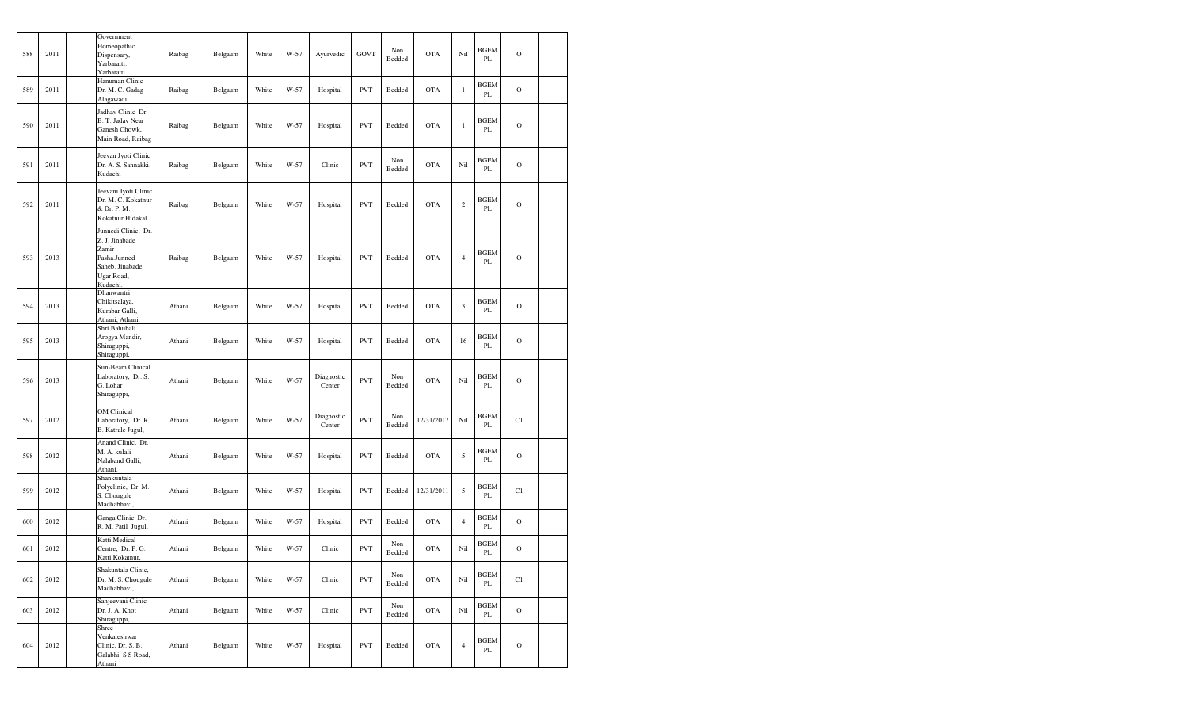| 588 | 2011 | Government<br>Homeopathic<br>Dispensary,<br>Yarbaratti.<br>Yarbaratti.                                       | Raibag | Belgaum | White | W-57 | Ayurvedic            | GOVT       | Non<br>Bedded | <b>OTA</b> | Nil            | <b>BGEM</b><br>PL       | $\Omega$      |  |
|-----|------|--------------------------------------------------------------------------------------------------------------|--------|---------|-------|------|----------------------|------------|---------------|------------|----------------|-------------------------|---------------|--|
| 589 | 2011 | Hanuman Clinic<br>Dr. M. C. Gadag<br>Alagawadi                                                               | Raibag | Belgaum | White | W-57 | Hospital             | <b>PVT</b> | Bedded        | <b>OTA</b> | $\mathbf{1}$   | <b>BGEM</b><br>PL       | $\mathcal{O}$ |  |
| 590 | 2011 | Jadhav Clinic Dr.<br>B. T. Jadav Near<br>Ganesh Chowk,<br>Main Road, Raibag                                  | Raibag | Belgaum | White | W-57 | Hospital             | <b>PVT</b> | Bedded        | <b>OTA</b> | $\mathbf{1}$   | <b>BGEM</b><br>PL       | $\mathcal{O}$ |  |
| 591 | 2011 | Jeevan Jyoti Clinic<br>Dr. A. S. Sannakki.<br>Kudachi                                                        | Raibag | Belgaum | White | W-57 | Clinic               | <b>PVT</b> | Non<br>Bedded | <b>OTA</b> | Nil            | <b>BGEM</b><br>PL       | $\mathcal{O}$ |  |
| 592 | 2011 | Jeevani Jyoti Clinic<br>Dr. M. C. Kokatnur<br>& Dr. P. M.<br>Kokatnur Hidakal                                | Raibag | Belgaum | White | W-57 | Hospital             | <b>PVT</b> | Bedded        | <b>OTA</b> | $\sqrt{2}$     | <b>BGEM</b><br>PL       | $\mathcal{O}$ |  |
| 593 | 2013 | Junnedi Clinic, Dr.<br>Z. J. Jinabade<br>Zamir<br>Pasha.Junned<br>Saheb. Jinabade.<br>Ugar Road,<br>Kudachi. | Raibag | Belgaum | White | W-57 | Hospital             | <b>PVT</b> | Bedded        | <b>OTA</b> | $\overline{4}$ | <b>BGEM</b><br>PL       | $\mathcal{O}$ |  |
| 594 | 2013 | Dhanwantri<br>Chikitsalaya,<br>Kurabar Galli,<br>Athani, Athani.                                             | Athani | Belgaum | White | W-57 | Hospital             | <b>PVT</b> | Bedded        | <b>OTA</b> | $\mathfrak z$  | <b>BGEM</b><br>PL       | $\mathcal{O}$ |  |
| 595 | 2013 | Shri Bahubali<br>Arogya Mandir,<br>Shiraguppi,<br>Shiraguppi,                                                | Athani | Belgaum | White | W-57 | Hospital             | <b>PVT</b> | Bedded        | <b>OTA</b> | 16             | <b>BGEM</b><br>PL       | $\mathcal{O}$ |  |
| 596 | 2013 | Sun-Beam Clinical<br>Laboratory, Dr. S.<br>G. Lohar<br>Shiraguppi,                                           | Athani | Belgaum | White | W-57 | Diagnostic<br>Center | <b>PVT</b> | Non<br>Bedded | <b>OTA</b> | Nil            | <b>BGEM</b><br>PL       | $\mathcal{O}$ |  |
| 597 | 2012 | OM Clinical<br>Laboratory, Dr. R.<br>B. Katrale Jugul,                                                       | Athani | Belgaum | White | W-57 | Diagnostic<br>Center | <b>PVT</b> | Non<br>Bedded | 12/31/2017 | Nil            | <b>BGEM</b><br>PL       | C1            |  |
| 598 | 2012 | Anand Clinic, Dr.<br>M. A. kulali<br>Nalaband Galli,<br>Athani.                                              | Athani | Belgaum | White | W-57 | Hospital             | <b>PVT</b> | Bedded        | <b>OTA</b> | $\sqrt{5}$     | <b>BGEM</b><br>PL       | $\mathbf O$   |  |
| 599 | 2012 | Shankuntala<br>Polyclinic, Dr. M.<br>S. Chougule<br>Madhabhavi,                                              | Athani | Belgaum | White | W-57 | Hospital             | <b>PVT</b> | Bedded        | 12/31/2011 | 5              | <b>BGEM</b><br>PL       | C1            |  |
| 600 | 2012 | Ganga Clinic Dr.<br>R. M. Patil Jugul,                                                                       | Athani | Belgaum | White | W-57 | Hospital             | <b>PVT</b> | Bedded        | <b>OTA</b> | $\overline{4}$ | <b>BGEM</b><br>PL       | $\Omega$      |  |
| 601 | 2012 | Katti Medical<br>Centre, Dr. P. G.<br>Katti Kokatnur,                                                        | Athani | Belgaum | White | W-57 | Clinic               | <b>PVT</b> | Non<br>Bedded | <b>OTA</b> | Nil            | <b>BGEM</b><br>PL       | $\Omega$      |  |
| 602 | 2012 | Shakuntala Clinic,<br>Dr. M. S. Chougule<br>Madhabhavi,                                                      | Athani | Belgaum | White | W-57 | Clinic               | <b>PVT</b> | Non<br>Bedded | <b>OTA</b> | Nil            | <b>BGEM</b><br>PL       | C1            |  |
| 603 | 2012 | Sanjeevani Clinic<br>Dr. J. A. Khot<br>Shiraguppi,                                                           | Athani | Belgaum | White | W-57 | Clinic               | <b>PVT</b> | Non<br>Bedded | <b>OTA</b> | Nil            | <b>BGEM</b><br>PL       | $\mathcal{O}$ |  |
| 604 | 2012 | Shree<br>Venkateshwar<br>Clinic, Dr. S. B.<br>Galabhi S S Road,<br>Athani                                    | Athani | Belgaum | White | W-57 | Hospital             | <b>PVT</b> | Bedded        | <b>OTA</b> | $\overline{4}$ | <b>BGEM</b><br>$\rm PL$ | $\mathcal{O}$ |  |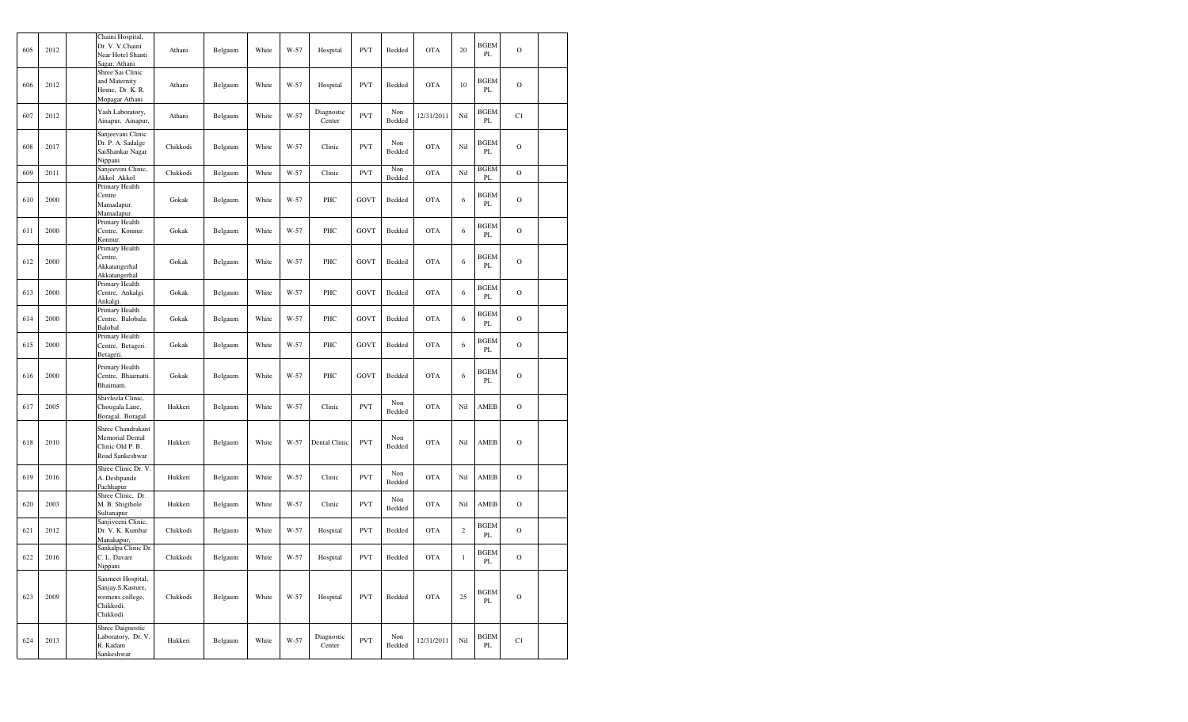| 605 | 2012 | Chaini Hospital,<br>Dr. V. V.Chaini<br>Near Hotel Shanti<br>Sagar, Athani          | Athani   | Belgaum | White | W-57 | Hospital             | <b>PVT</b>  | Bedded        | <b>OTA</b> | 20             | <b>BGEM</b><br>PL | $\mathbf O$ |  |
|-----|------|------------------------------------------------------------------------------------|----------|---------|-------|------|----------------------|-------------|---------------|------------|----------------|-------------------|-------------|--|
| 606 | 2012 | Shree Sai Clinic<br>and Maternity<br>Home, Dr. K. R.<br>Mopagar Athani             | Athani   | Belgaum | White | W-57 | Hospital             | <b>PVT</b>  | Bedded        | <b>OTA</b> | 10             | <b>BGEM</b><br>PL | $\mathbf O$ |  |
| 607 | 2012 | Yash Laboratory,<br>Ainapur, Ainapur,                                              | Athani   | Belgaum | White | W-57 | Diagnostic<br>Center | <b>PVT</b>  | Non<br>Bedded | 12/31/2011 | Nil            | BGEM<br>PL        | C1          |  |
| 608 | 2017 | Sanjeevani Clinic<br>Dr. P. A. Sadalge<br>SaiShankar Nagar<br>Nippani              | Chikkodi | Belgaum | White | W-57 | Clinic               | <b>PVT</b>  | Non<br>Bedded | <b>OTA</b> | Nil            | <b>BGEM</b><br>PL | $\mathbf O$ |  |
| 609 | 2011 | Sanjeevini Clinic,<br>Akkol Akkol                                                  | Chikkodi | Belgaum | White | W-57 | Clinic               | <b>PVT</b>  | Non<br>Bedded | <b>OTA</b> | Nil            | <b>BGEM</b><br>PL | $\mathbf O$ |  |
| 610 | 2000 | Primary Health<br>Centre<br>Mamadapur.<br>Mamadapur.                               | Gokak    | Belgaum | White | W-57 | PHC                  | <b>GOVT</b> | Bedded        | <b>OTA</b> | 6              | BGEM<br>PL        | $\mathbf O$ |  |
| 611 | 2000 | Primary Health<br>Centre, Konnur.<br>Konnur.                                       | Gokak    | Belgaum | White | W-57 | PHC                  | GOVT        | Bedded        | <b>OTA</b> | 6              | BGEM<br>PL        | $\mathbf O$ |  |
| 612 | 2000 | Primary Health<br>Centre,<br>Akkatangerhal<br>Akkatangerhal                        | Gokak    | Belgaum | White | W-57 | PHC                  | <b>GOVT</b> | Bedded        | <b>OTA</b> | $\sqrt{6}$     | <b>BGEM</b><br>PL | $\mathbf O$ |  |
| 613 | 2000 | Primary Health<br>Centre, Ankalgi.<br>Ankalgi.                                     | Gokak    | Belgaum | White | W-57 | PHC                  | GOVT        | Bedded        | <b>OTA</b> | 6              | BGEM<br>PL        | $\mathbf O$ |  |
| 614 | 2000 | Primary Health<br>Centre, Balobala.<br>Balobal.                                    | Gokak    | Belgaum | White | W-57 | PHC                  | GOVT        | Bedded        | <b>OTA</b> | 6              | <b>BGEM</b><br>PL | $\mathbf O$ |  |
| 615 | 2000 | Primary Health<br>Centre, Betageri.<br>Betageri.                                   | Gokak    | Belgaum | White | W-57 | PHC                  | GOVT        | Bedded        | <b>OTA</b> | 6              | <b>BGEM</b><br>PL | $\mathbf O$ |  |
| 616 | 2000 | Primary Health<br>Centre, Bhairnatti.<br>Bhairnatti.                               | Gokak    | Belgaum | White | W-57 | PHC                  | GOVT        | Bedded        | <b>OTA</b> | 6              | BGEM<br>PL        | $\mathbf O$ |  |
| 617 | 2005 | Shivleela Clinic,<br>Chougala Lane,<br>Boragal, Boragal                            | Hukkeri  | Belgaum | White | W-57 | Clinic               | <b>PVT</b>  | Non<br>Bedded | <b>OTA</b> | Nil            | AMEB              | $\mathbf O$ |  |
| 618 | 2010 | Shree Chandrakant<br>Memorial Dental<br>Clinic Old P. B.<br>Road Sankeshwar        | Hukkeri  | Belgaum | White | W-57 | Dental Clinic        | <b>PVT</b>  | Non<br>Bedded | <b>OTA</b> | Nil            | AMEB              | $\mathbf O$ |  |
| 619 | 2016 | Shree Clinic Dr. V<br>A. Deshpande<br>Pachhapur                                    | Hukkeri  | Belgaum | White | W-57 | Clinic               | <b>PVT</b>  | Non<br>Bedded | <b>OTA</b> | Nil            | AMEB              | $\mathbf O$ |  |
| 620 | 2003 | Shree Clinic, Dr.<br>M. B. Shigihole<br>Sultanapur                                 | Hukkeri  | Belgaum | White | W-57 | Clinic               | <b>PVT</b>  | Non<br>Bedded | <b>OTA</b> | Nil            | AMEB              | $\mathbf O$ |  |
| 621 | 2012 | Sanjiveeni Clinic,<br>Dr. V. K. Kumbar<br>Manakapur,                               | Chikkodi | Belgaum | White | W-57 | Hospital             | <b>PVT</b>  | Bedded        | <b>OTA</b> | $\overline{c}$ | <b>BGEM</b><br>PL | $\mathbf O$ |  |
| 622 | 2016 | Sankalpa Clinic Dr.<br>C. L. Davare<br>Nippani                                     | Chikkodi | Belgaum | White | W-57 | Hospital             | <b>PVT</b>  | Bedded        | <b>OTA</b> | $\mathbf{1}$   | <b>BGEM</b><br>PL | $\mathbf O$ |  |
| 623 | 2009 | Sanmeet Hospital,<br>Sanjay.S.Kasture,<br>womens college,<br>Chikkodi.<br>Chikkodi | Chikkodi | Belgaum | White | W-57 | Hospital             | <b>PVT</b>  | Bedded        | <b>OTA</b> | 25             | <b>BGEM</b><br>PL | $\circ$     |  |
| 624 | 2013 | Shree Daignostic<br>Laboratory, Dr. V.<br>R. Kadam<br>Sankeshwar                   | Hukkeri  | Belgaum | White | W-57 | Diagnostic<br>Center | <b>PVT</b>  | Non<br>Bedded | 12/31/2011 | Nil            | <b>BGEM</b><br>PL | C1          |  |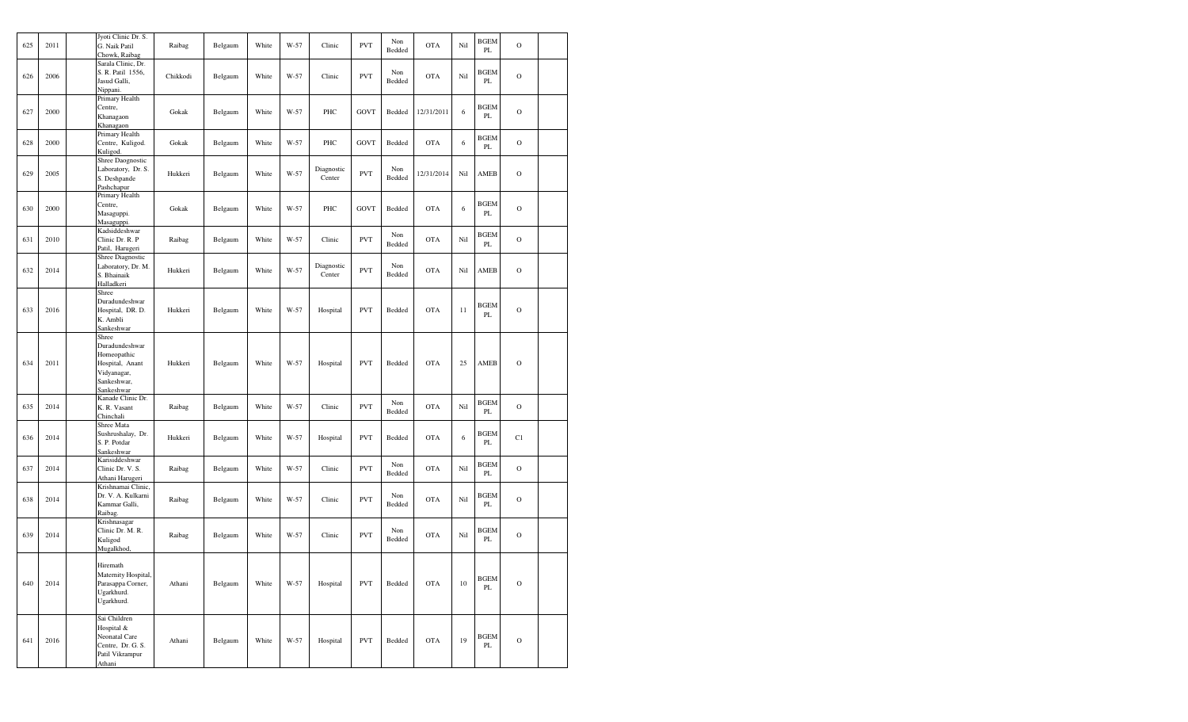| 625 | 2011 | Jyoti Clinic Dr. S.<br>G. Naik Patil<br>Chowk, Raibag                                                 | Raibag   | Belgaum | White | W-57 | Clinic               | <b>PVT</b>  | Non<br>Bedded | <b>OTA</b> | Nil | <b>BGEM</b><br>PL | $\mathbf O$   |  |
|-----|------|-------------------------------------------------------------------------------------------------------|----------|---------|-------|------|----------------------|-------------|---------------|------------|-----|-------------------|---------------|--|
| 626 | 2006 | Sarala Clinic, Dr.<br>S. R. Patil 1556,<br>Jasud Galli,<br>Nippani.                                   | Chikkodi | Belgaum | White | W-57 | Clinic               | <b>PVT</b>  | Non<br>Bedded | <b>OTA</b> | Nil | <b>BGEM</b><br>PL | $\mathbf O$   |  |
| 627 | 2000 | Primary Health<br>Centre,<br>Khanagaon<br>Khanagaon                                                   | Gokak    | Belgaum | White | W-57 | PHC                  | GOVT        | Bedded        | 12/31/2011 | 6   | <b>BGEM</b><br>PL | $\mathbf O$   |  |
| 628 | 2000 | Primary Health<br>Centre, Kuligod.<br>Kuligod.                                                        | Gokak    | Belgaum | White | W-57 | PHC                  | <b>GOVT</b> | Bedded        | <b>OTA</b> | 6   | <b>BGEM</b><br>PL | $\mathbf O$   |  |
| 629 | 2005 | Shree Daognostic<br>Laboratory, Dr. S.<br>S. Deshpande<br>Pashchapur                                  | Hukkeri  | Belgaum | White | W-57 | Diagnostic<br>Center | <b>PVT</b>  | Non<br>Bedded | 12/31/2014 | Nil | AMEB              | $\mathbf O$   |  |
| 630 | 2000 | Primary Health<br>Centre,<br>Masaguppi.<br>Masaguppi.                                                 | Gokak    | Belgaum | White | W-57 | PHC                  | <b>GOVT</b> | Bedded        | <b>OTA</b> | 6   | <b>BGEM</b><br>PL | $\circ$       |  |
| 631 | 2010 | Kadsiddeshwar<br>Clinic Dr. R. P<br>Patil, Harugeri                                                   | Raibag   | Belgaum | White | W-57 | Clinic               | <b>PVT</b>  | Non<br>Bedded | <b>OTA</b> | Nil | <b>BGEM</b><br>PL | $\mathbf O$   |  |
| 632 | 2014 | Shree Diagnostic<br>Laboratory, Dr. M.<br>S. Bhainaik<br>Halladkeri                                   | Hukkeri  | Belgaum | White | W-57 | Diagnostic<br>Center | <b>PVT</b>  | Non<br>Bedded | <b>OTA</b> | Nil | AMEB              | $\mathbf O$   |  |
| 633 | 2016 | Shree<br>Duradundeshwar<br>Hospital, DR. D.<br>K. Ambli<br>Sankeshwar                                 | Hukkeri  | Belgaum | White | W-57 | Hospital             | <b>PVT</b>  | Bedded        | <b>OTA</b> | 11  | <b>BGEM</b><br>PL | $\mathbf O$   |  |
| 634 | 2011 | Shree<br>Duradundeshwar<br>Homeopathic<br>Hospital, Anant<br>Vidyanagar,<br>Sankeshwar,<br>Sankeshwar | Hukkeri  | Belgaum | White | W-57 | Hospital             | <b>PVT</b>  | Bedded        | <b>OTA</b> | 25  | AMEB              | $\mathcal{O}$ |  |
| 635 | 2014 | Kanade Clinic Dr.<br>K. R. Vasant<br>Chinchali                                                        | Raibag   | Belgaum | White | W-57 | Clinic               | <b>PVT</b>  | Non<br>Bedded | <b>OTA</b> | Nil | <b>BGEM</b><br>PL | $\circ$       |  |
| 636 | 2014 | Shree Mata<br>Sushrushalay, Dr.<br>S. P. Potdar<br>Sankeshwar                                         | Hukkeri  | Belgaum | White | W-57 | Hospital             | <b>PVT</b>  | Bedded        | <b>OTA</b> | 6   | <b>BGEM</b><br>PL | C1            |  |
| 637 | 2014 | Karisiddeshwar<br>Clinic Dr. V. S.<br>Athani Harugeri                                                 | Raibag   | Belgaum | White | W-57 | Clinic               | <b>PVT</b>  | Non<br>Bedded | <b>OTA</b> | Nil | <b>BGEM</b><br>PL | $\mathcal{O}$ |  |
| 638 | 2014 | Krishnamai Clinic,<br>Dr. V. A. Kulkarni<br>Kammar Galli,<br>Raibag.                                  | Raibag   | Belgaum | White | W-57 | Clinic               | <b>PVT</b>  | Non<br>Bedded | <b>OTA</b> | Nil | <b>BGEM</b><br>PL | $\mathcal{O}$ |  |
| 639 | 2014 | Krishnasagar<br>Clinic Dr. M. R.<br>Kuligod<br>Mugalkhod,                                             | Raibag   | Belgaum | White | W-57 | Clinic               | <b>PVT</b>  | Non<br>Bedded | <b>OTA</b> | Nil | <b>BGEM</b><br>PL | $\mathcal{O}$ |  |
| 640 | 2014 | Hiremath<br>Maternity Hospital,<br>Parasappa Corner,<br>Ugarkhurd.<br>Ugarkhurd.                      | Athani   | Belgaum | White | W-57 | Hospital             | <b>PVT</b>  | Bedded        | <b>OTA</b> | 10  | <b>BGEM</b><br>PL | $\circ$       |  |
| 641 | 2016 | Sai Children<br>Hospital &<br>Neonatal Care<br>Centre, Dr. G. S.<br>Patil Vikrampur<br>Athani         | Athani   | Belgaum | White | W-57 | Hospital             | <b>PVT</b>  | Bedded        | <b>OTA</b> | 19  | <b>BGEM</b><br>PL | $\circ$       |  |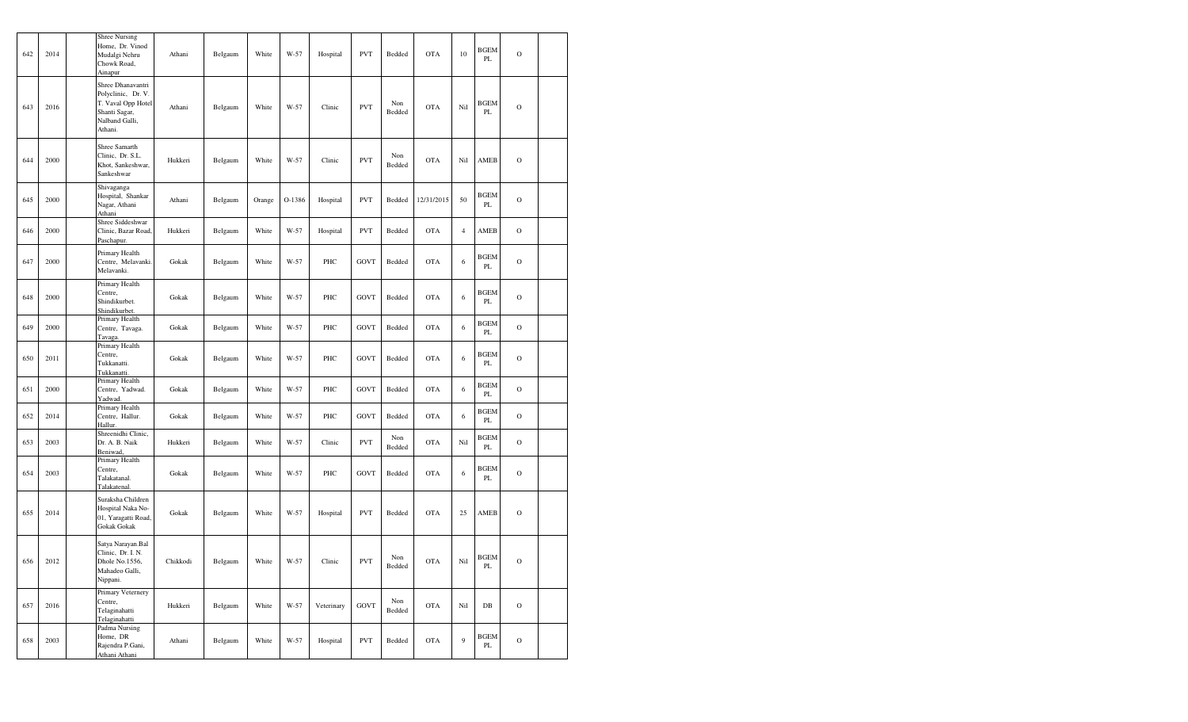| 642 | 2014 | <b>Shree Nursing</b><br>Home, Dr. Vinod<br>Mudalgi Nehru<br>Chowk Road,<br>Ainapur                          | Athani   | Belgaum                  | White  | W-57   | Hospital   | <b>PVT</b>  | Bedded        | <b>OTA</b> | 10             | <b>BGEM</b><br>PL | $\mathbf O$   |  |
|-----|------|-------------------------------------------------------------------------------------------------------------|----------|--------------------------|--------|--------|------------|-------------|---------------|------------|----------------|-------------------|---------------|--|
| 643 | 2016 | Shree Dhanavantri<br>Polyclinic, Dr. V.<br>T. Vaval Opp Hotel<br>Shanti Sagar,<br>Nalband Galli,<br>Athani. | Athani   | Belgaum                  | White  | W-57   | Clinic     | <b>PVT</b>  | Non<br>Bedded | <b>OTA</b> | Nil            | BGEM<br>PL        | $\mathcal{O}$ |  |
| 644 | 2000 | Shree Samarth<br>Clinic, Dr. S.L.<br>Khot, Sankeshwar,<br>Sankeshwar                                        | Hukkeri  | Belgaum                  | White  | W-57   | Clinic     | <b>PVT</b>  | Non<br>Bedded | <b>OTA</b> | Nil            | AMEB              | $\mathcal{O}$ |  |
| 645 | 2000 | Shivaganga<br>Hospital, Shankar<br>Nagar, Athani<br>Athani                                                  | Athani   | Belgaum                  | Orange | O-1386 | Hospital   | <b>PVT</b>  | Bedded        | 12/31/2015 | 50             | <b>BGEM</b><br>PL | $\mathcal{O}$ |  |
| 646 | 2000 | Shree Siddeshwar<br>Clinic, Bazar Road,<br>Paschapur.                                                       | Hukkeri  | Belgaum                  | White  | W-57   | Hospital   | <b>PVT</b>  | Bedded        | <b>OTA</b> | $\overline{4}$ | AMEB              | $\mathcal{O}$ |  |
| 647 | 2000 | Primary Health<br>Centre, Melavanki.<br>Melavanki.                                                          | Gokak    | Belgaum                  | White  | W-57   | PHC        | GOVT        | Bedded        | <b>OTA</b> | 6              | <b>BGEM</b><br>PL | $\mathcal{O}$ |  |
| 648 | 2000 | Primary Health<br>Centre,<br>Shindikurbet.<br>Shindikurbet.                                                 | Gokak    | Belgaum                  | White  | W-57   | PHC        | GOVT        | Bedded        | <b>OTA</b> | 6              | <b>BGEM</b><br>PL | $\mathcal{O}$ |  |
| 649 | 2000 | Primary Health<br>Centre, Tavaga.<br>Tavaga.                                                                | Gokak    | Belgaum                  | White  | W-57   | PHC        | <b>GOVT</b> | Bedded        | <b>OTA</b> | 6              | BGEM<br>PL        | $\mathcal{O}$ |  |
| 650 | 2011 | Primary Health<br>Centre,<br>Tukkanatti.<br>Tukkanatti.                                                     | Gokak    | Belgaum                  | White  | W-57   | PHC        | GOVT        | Bedded        | <b>OTA</b> | 6              | <b>BGEM</b><br>PL | $\mathcal{O}$ |  |
| 651 | 2000 | Primary Health<br>Centre, Yadwad.<br>Yadwad.                                                                | Gokak    | Belgaum                  | White  | W-57   | PHC        | GOVT        | Bedded        | <b>OTA</b> | 6              | BGEM<br>PL        | $\mathcal{O}$ |  |
| 652 | 2014 | Primary Health<br>Centre, Hallur.<br>Hallur.                                                                | Gokak    | Belgaum                  | White  | W-57   | PHC        | GOVT        | Bedded        | <b>OTA</b> | 6              | <b>BGEM</b><br>PL | $\mathcal{O}$ |  |
| 653 | 2003 | Shreenidhi Clinic,<br>Dr. A. B. Naik<br>Beniwad,                                                            | Hukkeri  | Belgaum                  | White  | W-57   | Clinic     | <b>PVT</b>  | Non<br>Bedded | <b>OTA</b> | Nil            | <b>BGEM</b><br>PL | $\mathcal{O}$ |  |
| 654 | 2003 | Primary Health<br>Centre,<br>Talakatanal.<br>Talakatenal.                                                   | Gokak    | Belgaum                  | White  | W-57   | PHC        | GOVT        | Bedded        | <b>OTA</b> | 6              | BGEM<br>PL        | $\mathcal{O}$ |  |
| 655 | 2014 | Suraksha Children<br>Hospital Naka No-<br>01, Yaragatti Road,<br>Gokak Gokak                                | Gokak    | Belgaum                  | White  | W-57   | Hospital   | <b>PVT</b>  | Bedded        | <b>OTA</b> | 25             | AMEB              | $\mathbf O$   |  |
| 656 | 2012 | Satya Narayan.Bal<br>Clinic, Dr. I. N.<br>Dhole No.1556,<br>Mahadeo Galli,<br>Nippani.                      | Chikkodi | $\operatorname{Belgaum}$ | White  | W-57   | Clinic     | <b>PVT</b>  | Non<br>Bedded | <b>OTA</b> | Nil            | <b>BGEM</b><br>PL | $\circ$       |  |
| 657 | 2016 | Primary Veternery<br>Centre,<br>Telaginahatti<br>Telaginahatti                                              | Hukkeri  | Belgaum                  | White  | W-57   | Veterinary | <b>GOVT</b> | Non<br>Bedded | <b>OTA</b> | Nil            | DB                | $\mathcal{O}$ |  |
| 658 | 2003 | Padma Nursing<br>Home, DR<br>Rajendra P.Gani,<br>Athani Athani                                              | Athani   | Belgaum                  | White  | W-57   | Hospital   | <b>PVT</b>  | Bedded        | <b>OTA</b> | 9              | <b>BGEM</b><br>PL | $\mathcal{O}$ |  |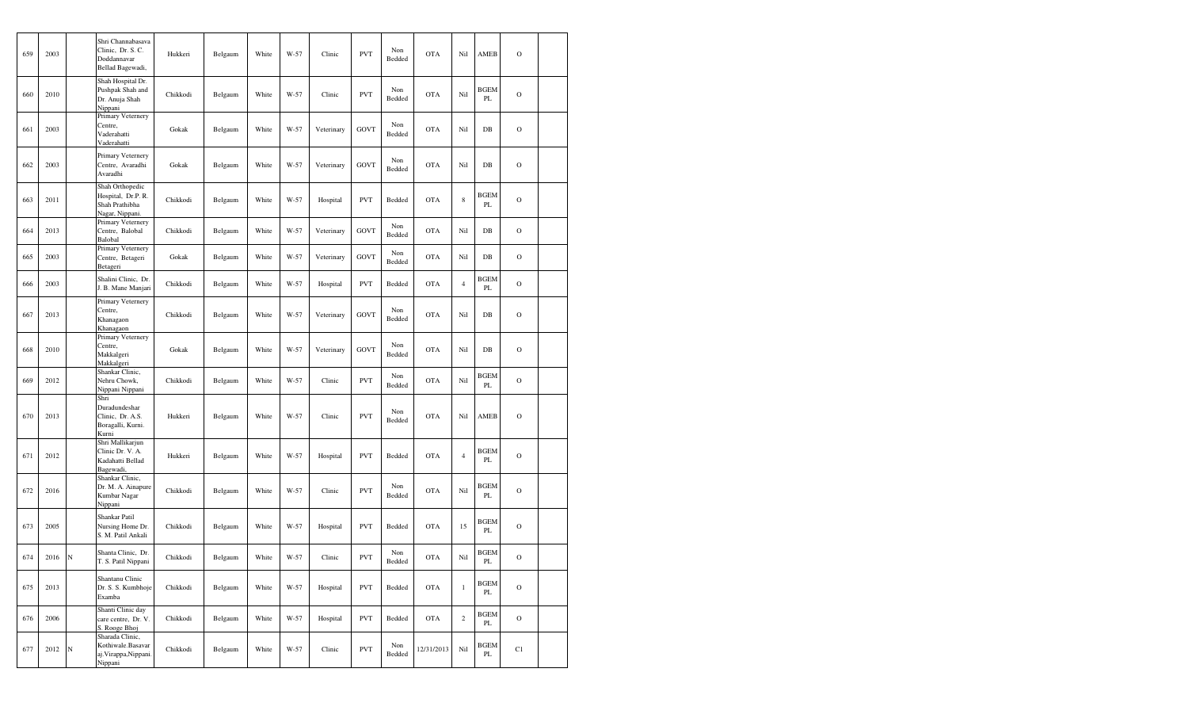| 659 | 2003 |             | Shri Channabasava<br>Clinic. Dr. S. C.<br>Doddannavar<br>Bellad Bagewadi,  | Hukkeri  | Belgaum | White | W-57 | Clinic     | <b>PVT</b>  | Non<br>Bedded | <b>OTA</b> | Nil            | AMEB                         | $\mathcal{O}$ |  |
|-----|------|-------------|----------------------------------------------------------------------------|----------|---------|-------|------|------------|-------------|---------------|------------|----------------|------------------------------|---------------|--|
| 660 | 2010 |             | Shah Hospital Dr.<br>Pushpak Shah and<br>Dr. Anuja Shah<br>Nippani         | Chikkodi | Belgaum | White | W-57 | Clinic     | <b>PVT</b>  | Non<br>Bedded | <b>OTA</b> | Nil            | BGEM<br>PL                   | $\mathcal{O}$ |  |
| 661 | 2003 |             | Primary Veternery<br>Centre,<br>Vaderahatti<br>Vaderahatti                 | Gokak    | Belgaum | White | W-57 | Veterinary | <b>GOVT</b> | Non<br>Bedded | <b>OTA</b> | Nil            | DB                           | $\mathbf O$   |  |
| 662 | 2003 |             | Primary Veternery<br>Centre, Avaradhi<br>Avaradhi                          | Gokak    | Belgaum | White | W-57 | Veterinary | <b>GOVT</b> | Non<br>Bedded | <b>OTA</b> | Nil            | DB                           | $\mathcal{O}$ |  |
| 663 | 2011 |             | Shah Orthopedic<br>Hospital, Dr.P. R.<br>Shah Prathibha<br>Nagar, Nippani. | Chikkodi | Belgaum | White | W-57 | Hospital   | <b>PVT</b>  | Bedded        | <b>OTA</b> | $\,$ 8 $\,$    | <b>BGEM</b><br>PL            | $\mathcal{O}$ |  |
| 664 | 2013 |             | Primary Veternery<br>Centre, Balobal<br>Balobal                            | Chikkodi | Belgaum | White | W-57 | Veterinary | <b>GOVT</b> | Non<br>Bedded | <b>OTA</b> | Nil            | $DB$                         | $\mathcal{O}$ |  |
| 665 | 2003 |             | Primary Veternery<br>Centre, Betageri<br>Betageri                          | Gokak    | Belgaum | White | W-57 | Veterinary | <b>GOVT</b> | Non<br>Bedded | <b>OTA</b> | Nil            | $DB$                         | $\mathcal{O}$ |  |
| 666 | 2003 |             | Shalini Clinic, Dr.<br>J. B. Mane Manjari                                  | Chikkodi | Belgaum | White | W-57 | Hospital   | <b>PVT</b>  | Bedded        | <b>OTA</b> | $\overline{4}$ | <b>BGEM</b><br>PL            | $\mathcal{O}$ |  |
| 667 | 2013 |             | Primary Veternery<br>Centre,<br>Khanagaon<br>Khanagaon                     | Chikkodi | Belgaum | White | W-57 | Veterinary | <b>GOVT</b> | Non<br>Bedded | <b>OTA</b> | Nil            | DB                           | $\mathcal{O}$ |  |
| 668 | 2010 |             | Primary Veternery<br>Centre,<br>Makkalgeri<br>Makkalgeri                   | Gokak    | Belgaum | White | W-57 | Veterinary | <b>GOVT</b> | Non<br>Bedded | <b>OTA</b> | Nil            | DB                           | $\mathcal{O}$ |  |
| 669 | 2012 |             | Shankar Clinic,<br>Nehru Chowk,<br>Nippani Nippani                         | Chikkodi | Belgaum | White | W-57 | Clinic     | <b>PVT</b>  | Non<br>Bedded | <b>OTA</b> | Nil            | <b>BGEM</b><br>$\mathbf{PL}$ | $\mathcal{O}$ |  |
| 670 | 2013 |             | Shri<br>Duradundeshar<br>Clinic, Dr. A.S.<br>Boragalli, Kurni.<br>Kurni    | Hukkeri  | Belgaum | White | W-57 | Clinic     | <b>PVT</b>  | Non<br>Bedded | <b>OTA</b> | Nil            | AMEB                         | $\mathbf O$   |  |
| 671 | 2012 |             | Shri Mallikarjun<br>Clinic Dr. V. A.<br>Kadahatti Bellad<br>Bagewadi,      | Hukkeri  | Belgaum | White | W-57 | Hospital   | <b>PVT</b>  | Bedded        | <b>OTA</b> | $\overline{4}$ | <b>BGEM</b><br>PL            | $\mathcal{O}$ |  |
| 672 | 2016 |             | Shankar Clinic,<br>Dr. M. A. Ainapure<br>Kumbar Nagar<br>Nippani           | Chikkodi | Belgaum | White | W-57 | Clinic     | <b>PVT</b>  | Non<br>Bedded | <b>OTA</b> | Nil            | BGEM<br>PL                   | $\mathcal{O}$ |  |
| 673 | 2005 |             | Shankar Patil<br>Nursing Home Dr.<br>S. M. Patil Ankali                    | Chikkodi | Belgaum | White | W-57 | Hospital   | <b>PVT</b>  | Bedded        | <b>OTA</b> | 15             | <b>BGEM</b><br>PL            | $\mathcal{O}$ |  |
| 674 | 2016 | $\mathbb N$ | Shanta Clinic, Dr.<br>T. S. Patil Nippani                                  | Chikkodi | Belgaum | White | W-57 | Clinic     | <b>PVT</b>  | Non<br>Bedded | <b>OTA</b> | Nil            | <b>BGEM</b><br>PL            | $\mathbf O$   |  |
| 675 | 2013 |             | Shantanu Clinic<br>Dr. S. S. Kumbhoje<br>Examba                            | Chikkodi | Belgaum | White | W-57 | Hospital   | <b>PVT</b>  | Bedded        | <b>OTA</b> | $\mathbf{1}$   | <b>BGEM</b><br>PL            | $\mathbf O$   |  |
| 676 | 2006 |             | Shanti Clinic day<br>care centre, Dr. V.<br>S. Rooge Bhoj                  | Chikkodi | Belgaum | White | W-57 | Hospital   | <b>PVT</b>  | Bedded        | <b>OTA</b> | $\sqrt{2}$     | BGEM<br>PL                   | $\mathbf O$   |  |
| 677 | 2012 | N           | Sharada Clinic,<br>Kothiwale.Basavar<br>aj. Virappa, Nippani.<br>Nippani   | Chikkodi | Belgaum | White | W-57 | Clinic     | <b>PVT</b>  | Non<br>Bedded | 12/31/2013 | Nil            | <b>BGEM</b><br>PL            | C1            |  |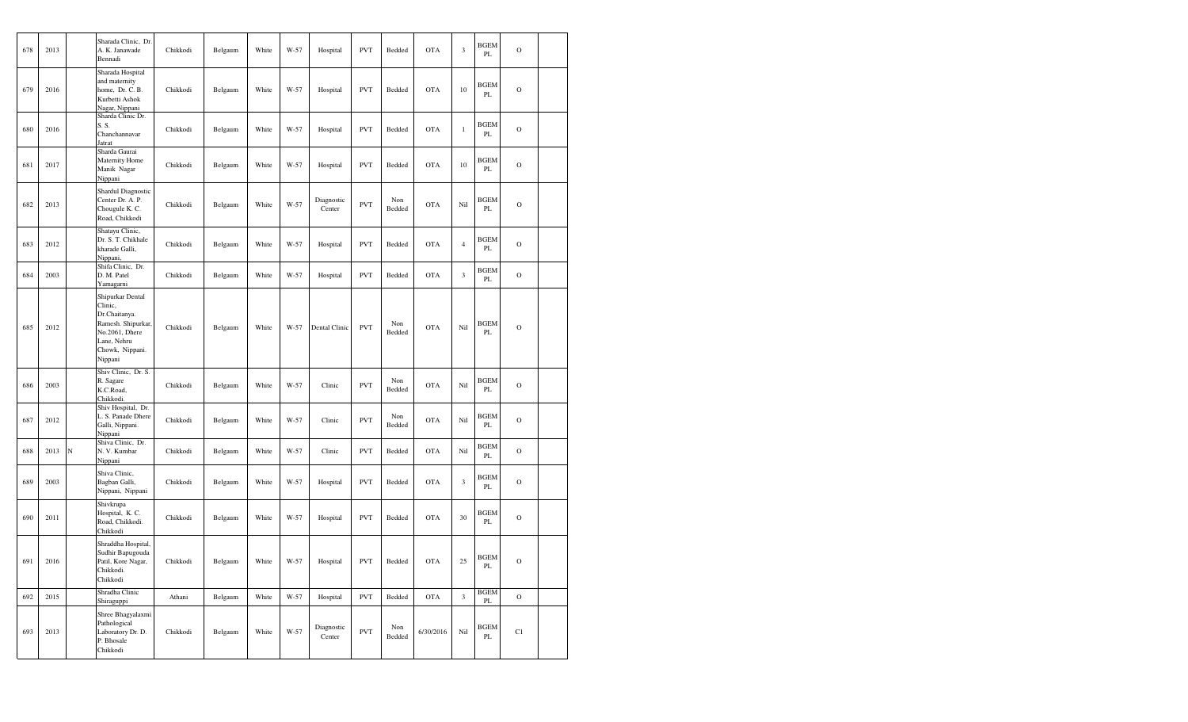| 678 | 2013 |             | Sharada Clinic, Dr.<br>A. K. Janawade<br>Bennadi                                                                                  | Chikkodi | Belgaum | White | W-57 | Hospital             | <b>PVT</b> | Bedded        | <b>OTA</b> | $\mathfrak z$  | <b>BGEM</b><br>PL                      | $\mathcal{O}$ |  |
|-----|------|-------------|-----------------------------------------------------------------------------------------------------------------------------------|----------|---------|-------|------|----------------------|------------|---------------|------------|----------------|----------------------------------------|---------------|--|
| 679 | 2016 |             | Sharada Hospital<br>and maternity<br>home, Dr. C. B.<br>Kurbetti Ashok<br>Nagar, Nippani                                          | Chikkodi | Belgaum | White | W-57 | Hospital             | <b>PVT</b> | Bedded        | <b>OTA</b> | $10\,$         | BGEM<br>PL                             | $\mathcal{O}$ |  |
| 680 | 2016 |             | Sharda Clinic Dr.<br>S.S.<br>Chanchannavar<br>Jatrat                                                                              | Chikkodi | Belgaum | White | W-57 | Hospital             | <b>PVT</b> | Bedded        | <b>OTA</b> | $\,1\,$        | <b>BGEM</b><br>PL                      | $\mathcal{O}$ |  |
| 681 | 2017 |             | Sharda Gaurai<br>Maternity Home<br>Manik Nagar<br>Nippani                                                                         | Chikkodi | Belgaum | White | W-57 | Hospital             | <b>PVT</b> | Bedded        | <b>OTA</b> | 10             | BGEM<br>PL                             | $\mathcal{O}$ |  |
| 682 | 2013 |             | Shardul Diagnostic<br>Center Dr. A. P.<br>Chougule K. C.<br>Road, Chikkodi                                                        | Chikkodi | Belgaum | White | W-57 | Diagnostic<br>Center | <b>PVT</b> | Non<br>Bedded | <b>OTA</b> | Nil            | BGEM<br>PL                             | $\mathcal{O}$ |  |
| 683 | 2012 |             | Shatayu Clinic,<br>Dr. S. T. Chikhale<br>kharade Galli,<br>Nippani,                                                               | Chikkodi | Belgaum | White | W-57 | Hospital             | <b>PVT</b> | Bedded        | <b>OTA</b> | $\overline{4}$ | BGEM<br>PL                             | $\mathcal{O}$ |  |
| 684 | 2003 |             | Shifa Clinic, Dr.<br>D. M. Patel<br>Yamagarni                                                                                     | Chikkodi | Belgaum | White | W-57 | Hospital             | <b>PVT</b> | Bedded        | <b>OTA</b> | $\mathfrak z$  | <b>BGEM</b><br>$\mathbf{PL}$           | $\mathcal{O}$ |  |
| 685 | 2012 |             | Shipurkar Dental<br>Clinic,<br>Dr.Chaitanya.<br>Ramesh. Shipurkar,<br>No.2061, Dhere<br>Lane, Nehru<br>Chowk, Nippani.<br>Nippani | Chikkodi | Belgaum | White | W-57 | Dental Clinic        | <b>PVT</b> | Non<br>Bedded | <b>OTA</b> | Nil            | <b>BGEM</b><br>PL                      | $\mathbf O$   |  |
| 686 | 2003 |             | Shiv Clinic, Dr. S.<br>R. Sagare<br>K.C.Road,<br>Chikkodi.                                                                        | Chikkodi | Belgaum | White | W-57 | Clinic               | <b>PVT</b> | Non<br>Bedded | <b>OTA</b> | Nil            | BGEM<br>PL                             | $\mathcal{O}$ |  |
| 687 | 2012 |             | Shiv Hospital, Dr.<br>L. S. Panade Dhere<br>Galli, Nippani.<br>Nippani                                                            | Chikkodi | Belgaum | White | W-57 | Clinic               | <b>PVT</b> | Non<br>Bedded | <b>OTA</b> | Nil            | BGEM<br>PL                             | $\mathcal{O}$ |  |
| 688 | 2013 | $\mathbb N$ | Shiva Clinic, Dr.<br>N. V. Kumbar<br>Nippani                                                                                      | Chikkodi | Belgaum | White | W-57 | Clinic               | <b>PVT</b> | Bedded        | <b>OTA</b> | Nil            | <b>BGEM</b><br>PL                      | $\mathcal{O}$ |  |
| 689 | 2003 |             | Shiva Clinic,<br>Bagban Galli,<br>Nippani, Nippani                                                                                | Chikkodi | Belgaum | White | W-57 | Hospital             | <b>PVT</b> | Bedded        | <b>OTA</b> | $\mathfrak z$  | BGEM<br>PL                             | $\mathcal{O}$ |  |
| 690 | 2011 |             | Shivkrupa<br>Hospital, K. C.<br>Road, Chikkodi.<br>Chikkodi                                                                       | Chikkodi | Belgaum | White | W-57 | Hospital             | <b>PVT</b> | Bedded        | <b>OTA</b> | 30             | <b>BGEM</b><br>PL                      | $\mathcal{O}$ |  |
| 691 | 2016 |             | Shraddha Hospital,<br>Sudhir Bapugouda<br>Patil, Kore Nagar,<br>Chikkodi.<br>Chikkodi                                             | Chikkodi | Belgaum | White | W-57 | Hospital             | PVT        | Bedded        | <b>OTA</b> | 25             | $\operatorname{BGEM}$<br>$\mathbf{PL}$ | $\rm ^O$      |  |
| 692 | 2015 |             | Shradha Clinic<br>Shiraguppi                                                                                                      | Athani   | Belgaum | White | W-57 | Hospital             | <b>PVT</b> | Bedded        | <b>OTA</b> | $\mathfrak z$  | <b>BGEM</b><br>$\rm PL$                | $\mathbf O$   |  |
| 693 | 2013 |             | Shree Bhagyalaxmi<br>Pathological<br>Laboratory Dr. D.<br>P. Bhosale<br>Chikkodi                                                  | Chikkodi | Belgaum | White | W-57 | Diagnostic<br>Center | <b>PVT</b> | Non<br>Bedded | 6/30/2016  | Nil            | <b>BGEM</b><br>PL.                     | C1            |  |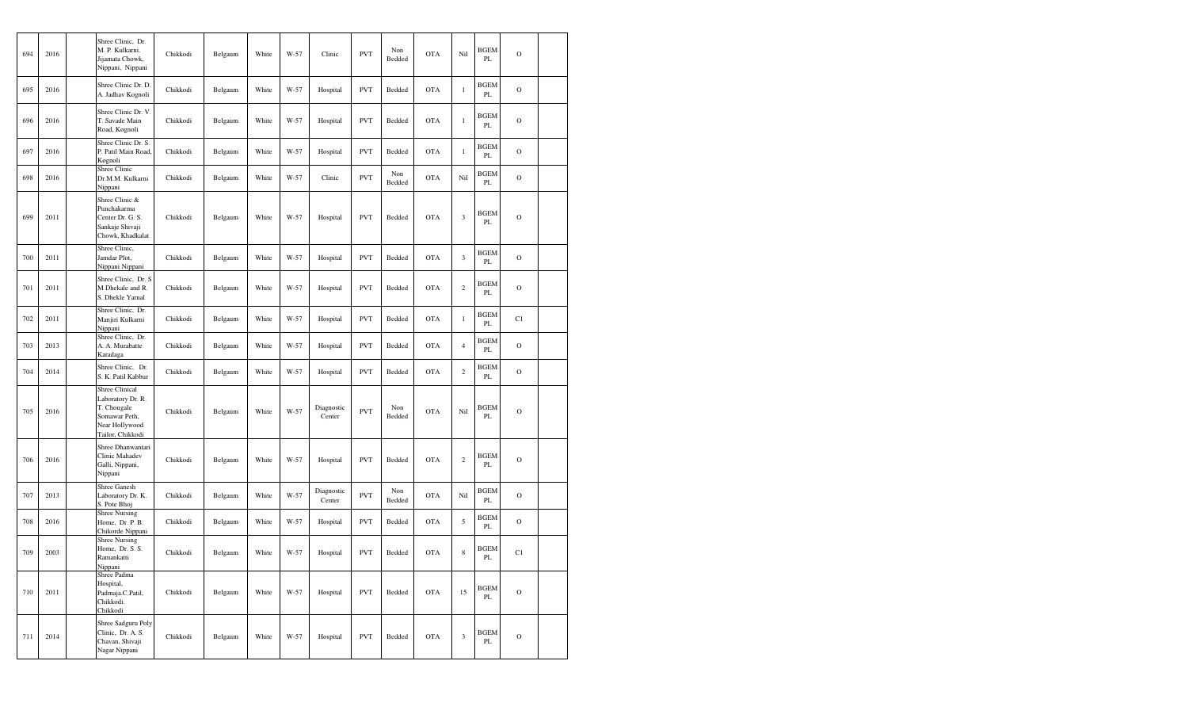| 694 | 2016 | Shree Clinic, Dr.<br>M. P. Kulkarni.<br>Jijamata Chowk,<br>Nippani, Nippani                                      | Chikkodi | Belgaum | White | W-57 | Clinic               | <b>PVT</b> | Non<br>Bedded | <b>OTA</b> | Nil            | <b>BGEM</b><br>PL       | $\overline{O}$ |  |
|-----|------|------------------------------------------------------------------------------------------------------------------|----------|---------|-------|------|----------------------|------------|---------------|------------|----------------|-------------------------|----------------|--|
| 695 | 2016 | Shree Clinic Dr. D.<br>A. Jadhav Kognoli                                                                         | Chikkodi | Belgaum | White | W-57 | Hospital             | <b>PVT</b> | Bedded        | <b>OTA</b> | $\mathbf{1}$   | <b>BGEM</b><br>PL       | $\mathcal{O}$  |  |
| 696 | 2016 | Shree Clinic Dr. V.<br>T. Savade Main<br>Road, Kognoli                                                           | Chikkodi | Belgaum | White | W-57 | Hospital             | <b>PVT</b> | Bedded        | <b>OTA</b> | $\mathbf{1}$   | BGEM<br>PL              | $\mathcal{O}$  |  |
| 697 | 2016 | Shree Clinic Dr. S.<br>P. Patil Main Road.<br>Kognoli                                                            | Chikkodi | Belgaum | White | W-57 | Hospital             | <b>PVT</b> | Bedded        | <b>OTA</b> | $\,1$          | BGEM<br>PL              | $\mathbf O$    |  |
| 698 | 2016 | Shree Clinic<br>Dr.M.M. Kulkarni<br>Nippani                                                                      | Chikkodi | Belgaum | White | W-57 | Clinic               | <b>PVT</b> | Non<br>Bedded | <b>OTA</b> | Nil            | BGEM<br>PL              | $\mathcal{O}$  |  |
| 699 | 2011 | Shree Clinic &<br>Punchakarma<br>Center Dr. G. S.<br>Sankaje Shivaji<br>Chowk, Khadkalat                         | Chikkodi | Belgaum | White | W-57 | Hospital             | <b>PVT</b> | Bedded        | <b>OTA</b> | 3              | <b>BGEM</b><br>PL       | $\overline{O}$ |  |
| 700 | 2011 | Shree Clinic,<br>Jamdar Plot,<br>Nippani Nippani                                                                 | Chikkodi | Belgaum | White | W-57 | Hospital             | <b>PVT</b> | Bedded        | <b>OTA</b> | 3              | BGEM<br>PL              | $\mathcal{O}$  |  |
| 701 | 2011 | Shree Clinic, Dr. S<br>M Dhekale and R.<br>S. Dhekle Yarnal                                                      | Chikkodi | Belgaum | White | W-57 | Hospital             | <b>PVT</b> | Bedded        | <b>OTA</b> | $\sqrt{2}$     | <b>BGEM</b><br>PL       | $\mathbf O$    |  |
| 702 | 2011 | Shree Clinic, Dr.<br>Manjiri Kulkarni<br>Nippani                                                                 | Chikkodi | Belgaum | White | W-57 | Hospital             | <b>PVT</b> | Bedded        | <b>OTA</b> | $\,1$          | BGEM<br>PL              | C1             |  |
| 703 | 2013 | Shree Clinic, Dr.<br>A. A. Murabatte<br>Karadaga                                                                 | Chikkodi | Belgaum | White | W-57 | Hospital             | <b>PVT</b> | Bedded        | <b>OTA</b> | $\overline{4}$ | BGEM<br>PL              | $\mathbf O$    |  |
| 704 | 2014 | Shree Clinic, Dr.<br>S. K. Patil Kabbur                                                                          | Chikkodi | Belgaum | White | W-57 | Hospital             | <b>PVT</b> | Bedded        | <b>OTA</b> | $\overline{c}$ | BGEM<br>PL              | $\mathcal{O}$  |  |
| 705 | 2016 | <b>Shree Clinical</b><br>Laboratory Dr. R.<br>T. Chougale<br>Somawar Peth,<br>Near Hollywood<br>Tailor, Chikkodi | Chikkodi | Belgaum | White | W-57 | Diagnostic<br>Center | <b>PVT</b> | Non<br>Bedded | <b>OTA</b> | Nil            | <b>BGEM</b><br>PL       | $\overline{O}$ |  |
| 706 | 2016 | Shree Dhanwantari<br>Clinic Mahadev<br>Galli, Nippani,<br>Nippani                                                | Chikkodi | Belgaum | White | W-57 | Hospital             | <b>PVT</b> | Bedded        | <b>OTA</b> | $\overline{c}$ | BGEM<br>PL              | $\mathcal{O}$  |  |
| 707 | 2013 | <b>Shree Ganesh</b><br>Laboratory Dr. K.<br>S. Pote Bhoj                                                         | Chikkodi | Belgaum | White | W-57 | Diagnostic<br>Center | <b>PVT</b> | Non<br>Bedded | <b>OTA</b> | Nil            | <b>BGEM</b><br>PL       | $\mathcal{O}$  |  |
| 708 | 2016 | <b>Shree Nursing</b><br>Home, Dr. P. B.<br>Chikorde Nippani                                                      | Chikkodi | Belgaum | White | W-57 | Hospital             | <b>PVT</b> | Bedded        | <b>OTA</b> | 5              | <b>BGEM</b><br>PL       | $\mathcal{O}$  |  |
| 709 | 2003 | <b>Shree Nursing</b><br>Home, Dr. S. S.<br>Ramankatti<br>Nippani                                                 | Chikkodi | Belgaum | White | W-57 | Hospital             | <b>PVT</b> | Bedded        | <b>OTA</b> | 8              | <b>BGEM</b><br>PL       | C1             |  |
| 710 | 2011 | Shree Padma<br>Hospital,<br>Padmaja.C.Patil,<br>Chikkodi.<br>Chikkodi                                            | Chikkodi | Belgaum | White | W-57 | Hospital             | <b>PVT</b> | Bedded        | <b>OTA</b> | 15             | <b>BGEM</b><br>PL       | $\mathcal{O}$  |  |
| 711 | 2014 | Shree Sadguru Poly<br>Clinic, Dr. A. S.<br>Chavan, Shivaji<br>Nagar Nippani                                      | Chikkodi | Belgaum | White | W-57 | Hospital             | <b>PVT</b> | Bedded        | <b>OTA</b> | 3              | <b>BGEM</b><br>$\rm PL$ | $\mathbf O$    |  |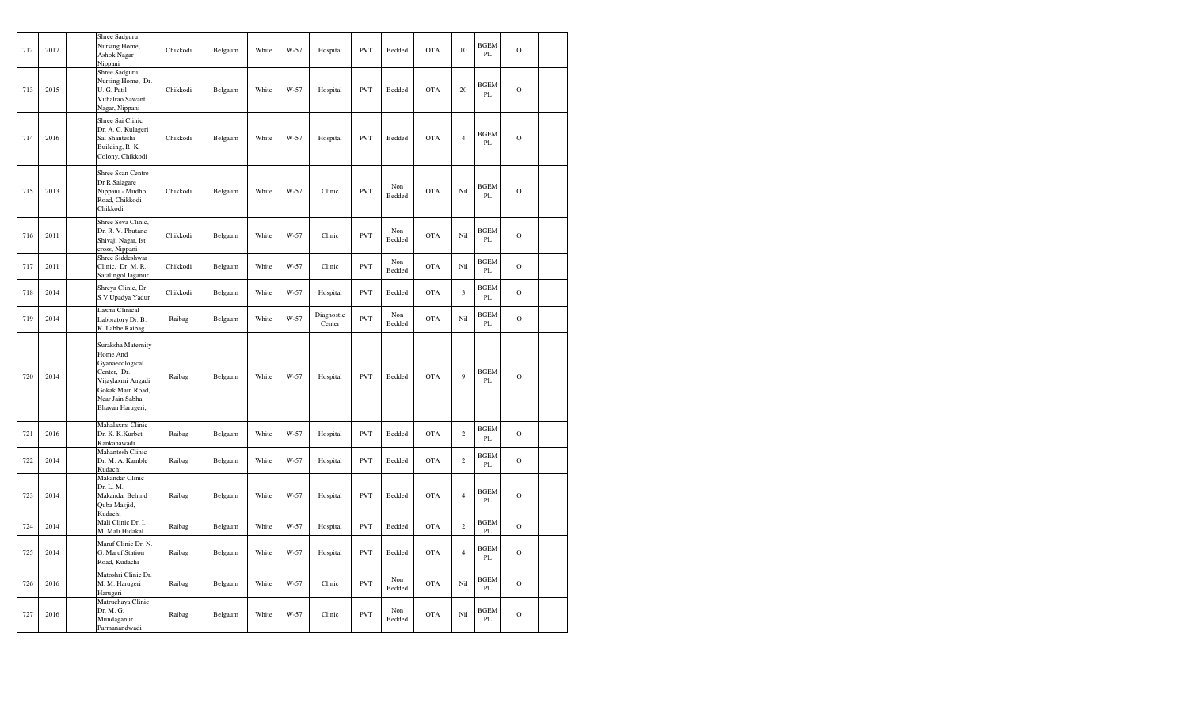| 712 | 2017 | Shree Sadguru<br>Nursing Home,<br>Ashok Nagar<br>Nippani                                                                                         | Chikkodi | Belgaum | White | $W-57$ | Hospital             | <b>PVT</b> | Bedded        | <b>OTA</b> | 10             | <b>BGEM</b><br>PL            | $\mathbf O$   |  |
|-----|------|--------------------------------------------------------------------------------------------------------------------------------------------------|----------|---------|-------|--------|----------------------|------------|---------------|------------|----------------|------------------------------|---------------|--|
| 713 | 2015 | Shree Sadguru<br>Nursing Home, Dr.<br>U. G. Patil<br>Vithalrao Sawant<br>Nagar, Nippani                                                          | Chikkodi | Belgaum | White | W-57   | Hospital             | <b>PVT</b> | Bedded        | <b>OTA</b> | 20             | BGEM<br>PL                   | $\circ$       |  |
| 714 | 2016 | Shree Sai Clinic<br>Dr. A. C. Kulageri<br>Sai Shanteshi<br>Building, R. K.<br>Colony, Chikkodi                                                   | Chikkodi | Belgaum | White | W-57   | Hospital             | <b>PVT</b> | Bedded        | <b>OTA</b> | $\overline{4}$ | <b>BGEM</b><br>PL            | $\mathbf O$   |  |
| 715 | 2013 | Shree Scan Centre<br>Dr R Salagare<br>Nippani - Mudhol<br>Road, Chikkodi<br>Chikkodi                                                             | Chikkodi | Belgaum | White | W-57   | Clinic               | <b>PVT</b> | Non<br>Bedded | <b>OTA</b> | Nil            | BGEM<br>PL                   | $\mathbf O$   |  |
| 716 | 2011 | Shree Seva Clinic,<br>Dr. R. V. Phutane<br>Shivaji Nagar, Ist<br>cross, Nippani                                                                  | Chikkodi | Belgaum | White | W-57   | Clinic               | <b>PVT</b> | Non<br>Bedded | <b>OTA</b> | Nil            | <b>BGEM</b><br>$\mathbf{PL}$ | $\mathbf O$   |  |
| 717 | 2011 | Shree Siddeshwar<br>Clinic, Dr. M. R.<br>Satalingol Jaganur                                                                                      | Chikkodi | Belgaum | White | W-57   | Clinic               | <b>PVT</b> | Non<br>Bedded | <b>OTA</b> | Nil            | <b>BGEM</b><br>PL            | $\mathbf O$   |  |
| 718 | 2014 | Shreya Clinic, Dr.<br>S V Upadya Yadur                                                                                                           | Chikkodi | Belgaum | White | W-57   | Hospital             | <b>PVT</b> | Bedded        | <b>OTA</b> | $\mathfrak z$  | <b>BGEM</b><br>PL            | $\mathcal{O}$ |  |
| 719 | 2014 | Laxmi Clinical<br>Laboratory Dr. B.<br>K. Labbe Raibag                                                                                           | Raibag   | Belgaum | White | W-57   | Diagnostic<br>Center | <b>PVT</b> | Non<br>Bedded | <b>OTA</b> | Nil            | <b>BGEM</b><br>PL            | $\mathbf O$   |  |
| 720 | 2014 | Suraksha Maternity<br>Home And<br>Gyanaecological<br>Center, Dr.<br>Vijaylaxmi Angadi<br>Gokak Main Road,<br>Near Jain Sabha<br>Bhavan Harugeri, | Raibag   | Belgaum | White | W-57   | Hospital             | <b>PVT</b> | Bedded        | <b>OTA</b> | $\overline{9}$ | <b>BGEM</b><br>PL            | $\mathbf O$   |  |
| 721 | 2016 | Mahalaxmi Clinic<br>Dr. K. K. Kurbet<br>Kankanawadi                                                                                              | Raibag   | Belgaum | White | W-57   | Hospital             | <b>PVT</b> | Bedded        | <b>OTA</b> | $\sqrt{2}$     | <b>BGEM</b><br>$\mathbf{PL}$ | $\mathbf O$   |  |
| 722 | 2014 | Mahantesh Clinic<br>Dr. M. A. Kamble<br>Kudachi                                                                                                  | Raibag   | Belgaum | White | W-57   | Hospital             | <b>PVT</b> | Bedded        | <b>OTA</b> | $\sqrt{2}$     | <b>BGEM</b><br>PL            | $\mathcal{O}$ |  |
| 723 | 2014 | Makandar Clinic<br>Dr. L. M.<br>Makandar Behind<br>Quba Masjid,<br>Kudachi                                                                       | Raibag   | Belgaum | White | W-57   | Hospital             | <b>PVT</b> | Bedded        | <b>OTA</b> | $\overline{4}$ | <b>BGEM</b><br>PL            | $\Omega$      |  |
| 724 | 2014 | Mali Clinic Dr. I.<br>M. Mali Hidakal                                                                                                            | Raibag   | Belgaum | White | W-57   | Hospital             | <b>PVT</b> | Bedded        | <b>OTA</b> | $\overline{c}$ | <b>BGEM</b><br>PL            | $\circ$       |  |
| 725 | 2014 | Maruf Clinic Dr. N.<br>G. Maruf Station<br>Road, Kudachi                                                                                         | Raibag   | Belgaum | White | W-57   | Hospital             | <b>PVT</b> | Bedded        | <b>OTA</b> | $\overline{4}$ | BGEM<br>$\mathbf{PL}$        | $\Omega$      |  |
| 726 | 2016 | Matoshri Clinic Dr.<br>M. M. Harugeri<br>Harugeri                                                                                                | Raibag   | Belgaum | White | W-57   | Clinic               | <b>PVT</b> | Non<br>Bedded | <b>OTA</b> | Nil            | <b>BGEM</b><br>PL            | $\mathcal{O}$ |  |
| 727 | 2016 | Matruchaya Clinic<br>Dr. M. G.<br>Mundaganur<br>Parmanandwadi                                                                                    | Raibag   | Belgaum | White | W-57   | Clinic               | <b>PVT</b> | Non<br>Bedded | <b>OTA</b> | Nil            | <b>BGEM</b><br>PL            | $\Omega$      |  |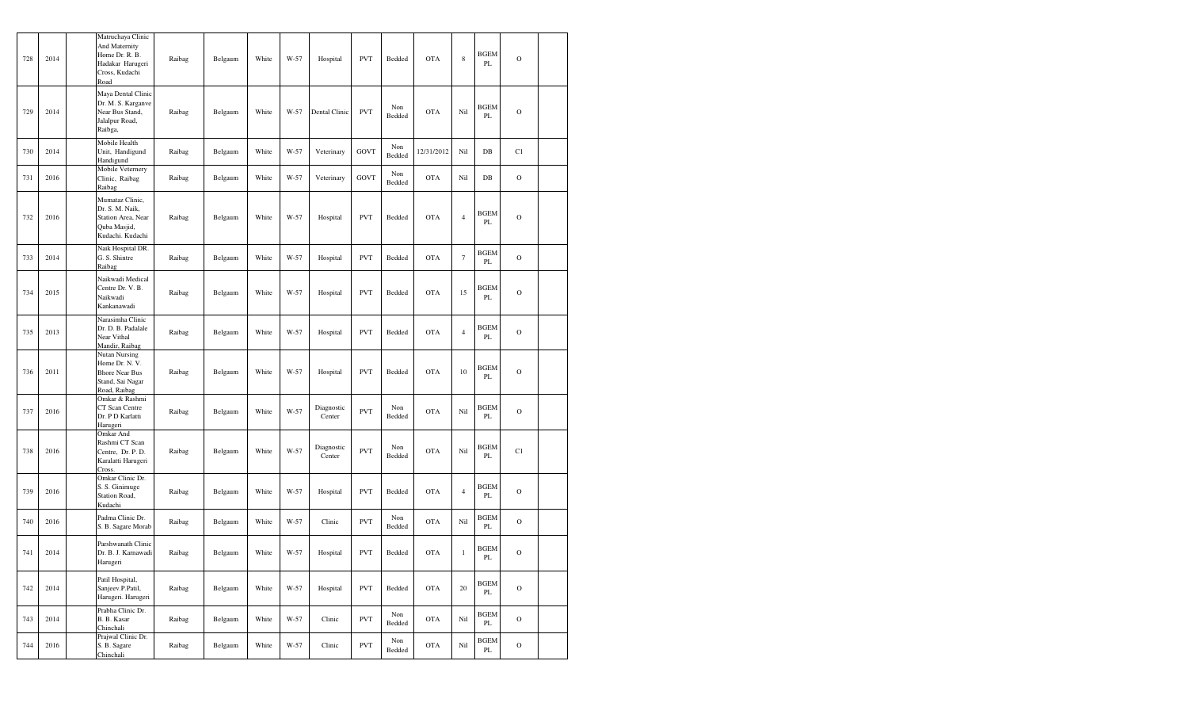| 728 | 2014 | Matruchaya Clinic<br>And Maternity<br>Home Dr. R. B.<br>Hadakar Harugeri<br>Cross, Kudachi<br>Road  | Raibag | Belgaum | White | W-57 | Hospital             | <b>PVT</b> | Bedded        | <b>OTA</b> | $\,$ 8 $\,$    | <b>BGEM</b><br>PL            | $\overline{O}$ |  |
|-----|------|-----------------------------------------------------------------------------------------------------|--------|---------|-------|------|----------------------|------------|---------------|------------|----------------|------------------------------|----------------|--|
| 729 | 2014 | Maya Dental Clinic<br>Dr. M. S. Karganve<br>Near Bus Stand,<br>Jalalpur Road,<br>Raibga,            | Raibag | Belgaum | White | W-57 | Dental Clinic        | <b>PVT</b> | Non<br>Bedded | <b>OTA</b> | Nil            | <b>BGEM</b><br>PL            | $\mathcal{O}$  |  |
| 730 | 2014 | Mobile Health<br>Unit, Handigund<br>Handigund                                                       | Raibag | Belgaum | White | W-57 | Veterinary           | GOVT       | Non<br>Bedded | 12/31/2012 | Nil            | $_{\rm DB}$                  | C1             |  |
| 731 | 2016 | Mobile Veternery<br>Clinic, Raibag<br>Raibag                                                        | Raibag | Belgaum | White | W-57 | Veterinary           | GOVT       | Non<br>Bedded | <b>OTA</b> | Nil            | $DB$                         | $\mathcal{O}$  |  |
| 732 | 2016 | Mumataz Clinic,<br>Dr. S. M. Naik,<br>Station Area, Near<br>Quba Masjid,<br>Kudachi. Kudachi        | Raibag | Belgaum | White | W-57 | Hospital             | <b>PVT</b> | Bedded        | <b>OTA</b> | $\overline{4}$ | <b>BGEM</b><br>PL            | $\mathbf{O}$   |  |
| 733 | 2014 | Naik Hospital DR.<br>G. S. Shintre<br>Raibag                                                        | Raibag | Belgaum | White | W-57 | Hospital             | <b>PVT</b> | Bedded        | <b>OTA</b> | $\tau$         | <b>BGEM</b><br>PL            | $\mathcal{O}$  |  |
| 734 | 2015 | Naikwadi Medical<br>Centre Dr. V. B.<br>Naikwadi<br>Kankanawadi                                     | Raibag | Belgaum | White | W-57 | Hospital             | <b>PVT</b> | Bedded        | <b>OTA</b> | 15             | <b>BGEM</b><br>PL            | $\mathcal{O}$  |  |
| 735 | 2013 | Narasimha Clinic<br>Dr. D. B. Padalale<br>Near Vithal<br>Mandir, Raibag                             | Raibag | Belgaum | White | W-57 | Hospital             | <b>PVT</b> | Bedded        | <b>OTA</b> | $\overline{4}$ | <b>BGEM</b><br>PL            | $\mathcal{O}$  |  |
| 736 | 2011 | <b>Nutan Nursing</b><br>Home Dr. N. V.<br><b>Bhore Near Bus</b><br>Stand, Sai Nagar<br>Road, Raibag | Raibag | Belgaum | White | W-57 | Hospital             | <b>PVT</b> | Bedded        | <b>OTA</b> | 10             | <b>BGEM</b><br>PL            | $\overline{O}$ |  |
| 737 | 2016 | Omkar & Rashmi<br>CT Scan Centre<br>Dr. P D Karlatti<br>Harugeri                                    | Raibag | Belgaum | White | W-57 | Diagnostic<br>Center | <b>PVT</b> | Non<br>Bedded | <b>OTA</b> | Nil            | <b>BGEM</b><br>PL            | $\mathcal{O}$  |  |
| 738 | 2016 | Omkar And<br>Rashmi CT Scan<br>Centre, Dr. P. D.<br>Karalatti Harugeri<br>Cross                     | Raibag | Belgaum | White | W-57 | Diagnostic<br>Center | <b>PVT</b> | Non<br>Bedded | <b>OTA</b> | Nil            | <b>BGEM</b><br>PL            | C1             |  |
| 739 | 2016 | Omkar Clinic Dr.<br>S. S. Ginimuge<br>Station Road,<br>Kudachi                                      | Raibag | Belgaum | White | W-57 | Hospital             | <b>PVT</b> | Bedded        | <b>OTA</b> | $\overline{4}$ | <b>BGEM</b><br>PL            | $\mathbf O$    |  |
| 740 | 2016 | Padma Clinic Dr.<br>S. B. Sagare Morab                                                              | Raibag | Belgaum | White | W-57 | Clinic               | <b>PVT</b> | Non<br>Bedded | <b>OTA</b> | Nil            | <b>BGEM</b><br>$\mathbf{PL}$ | $\mathcal{O}$  |  |
| 741 | 2014 | Parshwanath Clinic<br>Dr. B. J. Karnawadi<br>Harugeri                                               | Raibag | Belgaum | White | W-57 | Hospital             | <b>PVT</b> | Bedded        | <b>OTA</b> | $\,1$          | <b>BGEM</b><br>PL            | $\mathbf O$    |  |
| 742 | 2014 | Patil Hospital,<br>Sanjeev.P.Patil,<br>Harugeri. Harugeri                                           | Raibag | Belgaum | White | W-57 | Hospital             | <b>PVT</b> | Bedded        | <b>OTA</b> | 20             | <b>BGEM</b><br>PL            | $\mathbf O$    |  |
| 743 | 2014 | Prabha Clinic Dr.<br>B. B. Kasar<br>Chinchali                                                       | Raibag | Belgaum | White | W-57 | Clinic               | <b>PVT</b> | Non<br>Bedded | <b>OTA</b> | Nil            | <b>BGEM</b><br>PL            | $\mathbf O$    |  |
| 744 | 2016 | Prajwal Clinic Dr.<br>S. B. Sagare<br>Chinchali                                                     | Raibag | Belgaum | White | W-57 | Clinic               | <b>PVT</b> | Non<br>Bedded | <b>OTA</b> | Nil            | <b>BGEM</b><br>PL            | $\mathbf O$    |  |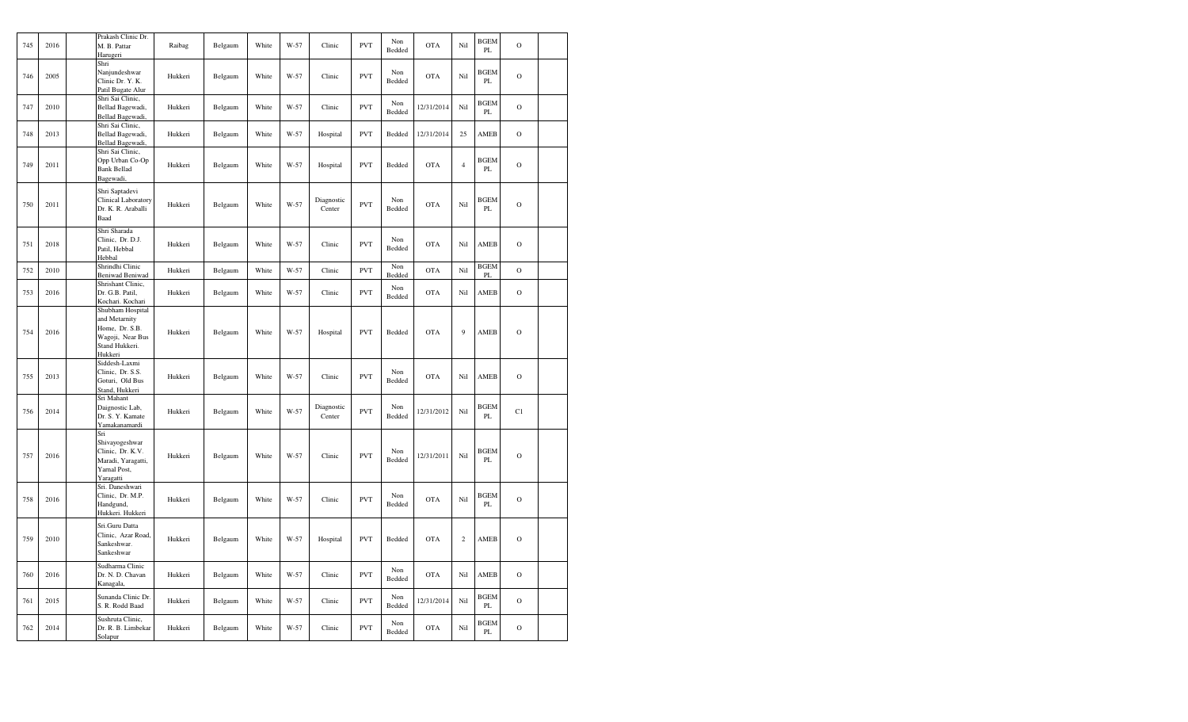| 745 | 2016 | Prakash Clinic Dr.<br>M. B. Pattar<br>Harugeri                                                       | Raibag  | Belgaum | White | W-57 | Clinic               | <b>PVT</b> | Non<br>Bedded | <b>OTA</b> | Nil            | <b>BGEM</b><br>PL | $\mathbf O$    |  |
|-----|------|------------------------------------------------------------------------------------------------------|---------|---------|-------|------|----------------------|------------|---------------|------------|----------------|-------------------|----------------|--|
| 746 | 2005 | Shri<br>Nanjundeshwar<br>Clinic Dr. Y. K.<br>Patil Bugate Alur                                       | Hukkeri | Belgaum | White | W-57 | Clinic               | <b>PVT</b> | Non<br>Bedded | <b>OTA</b> | Nil            | <b>BGEM</b><br>PL | $\mathbf O$    |  |
| 747 | 2010 | Shri Sai Clinic,<br>Bellad Bagewadi,<br>Bellad Bagewadi,                                             | Hukkeri | Belgaum | White | W-57 | Clinic               | <b>PVT</b> | Non<br>Bedded | 12/31/2014 | Nil            | <b>BGEM</b><br>PL | $\overline{O}$ |  |
| 748 | 2013 | Shri Sai Clinic,<br>Bellad Bagewadi,<br>Bellad Bagewadi,                                             | Hukkeri | Belgaum | White | W-57 | Hospital             | <b>PVT</b> | Bedded        | 12/31/2014 | 25             | AMEB              | $\mathbf O$    |  |
| 749 | 2011 | Shri Sai Clinic,<br>Opp Urban Co-Op<br><b>Bank Bellad</b><br>Bagewadi,                               | Hukkeri | Belgaum | White | W-57 | Hospital             | <b>PVT</b> | Bedded        | <b>OTA</b> | $\overline{4}$ | <b>BGEM</b><br>PL | $\mathbf O$    |  |
| 750 | 2011 | Shri Saptadevi<br>Clinical Laboratory<br>Dr. K. R. Araballi<br>Baad                                  | Hukkeri | Belgaum | White | W-57 | Diagnostic<br>Center | <b>PVT</b> | Non<br>Bedded | <b>OTA</b> | Nil            | <b>BGEM</b><br>PL | $\mathbf O$    |  |
| 751 | 2018 | Shri Sharada<br>Clinic, Dr. D.J.<br>Patil, Hebbal<br>Hebbal                                          | Hukkeri | Belgaum | White | W-57 | Clinic               | <b>PVT</b> | Non<br>Bedded | <b>OTA</b> | Nil            | AMEB              | $\mathcal{O}$  |  |
| 752 | 2010 | Shrindhi Clinic<br><b>Beniwad Beniwad</b>                                                            | Hukkeri | Belgaum | White | W-57 | Clinic               | <b>PVT</b> | Non<br>Bedded | <b>OTA</b> | Nil            | <b>BGEM</b><br>PL | $\mathbf O$    |  |
| 753 | 2016 | Shrishant Clinic,<br>Dr. G.B. Patil,<br>Kochari. Kochari                                             | Hukkeri | Belgaum | White | W-57 | Clinic               | <b>PVT</b> | Non<br>Bedded | <b>OTA</b> | Nil            | AMEB              | $\mathcal{O}$  |  |
| 754 | 2016 | Shubham Hospital<br>and Metarnity<br>Home, Dr. S.B.<br>Wagoji, Near Bus<br>Stand Hukkeri.<br>Hukkeri | Hukkeri | Belgaum | White | W-57 | Hospital             | <b>PVT</b> | Bedded        | <b>OTA</b> | 9              | AMEB              | $\mathbf O$    |  |
| 755 | 2013 | Siddesh-Laxmi<br>Clinic, Dr. S.S.<br>Goturi, Old Bus<br>Stand, Hukkeri                               | Hukkeri | Belgaum | White | W-57 | Clinic               | <b>PVT</b> | Non<br>Bedded | <b>OTA</b> | Nil            | AMEB              | $\mathcal{O}$  |  |
| 756 | 2014 | Sri Mahant<br>Daignostic Lab,<br>Dr. S. Y. Kamate<br>Yamakanamardi                                   | Hukkeri | Belgaum | White | W-57 | Diagnostic<br>Center | <b>PVT</b> | Non<br>Bedded | 12/31/2012 | Nil            | <b>BGEM</b><br>PL | C1             |  |
| 757 | 2016 | Sri<br>Shivayogeshwar<br>Clinic, Dr. K.V.<br>Maradi, Yaragatti,<br>Yarnal Post,<br>Yaragatti         | Hukkeri | Belgaum | White | W-57 | Clinic               | <b>PVT</b> | Non<br>Bedded | 12/31/2011 | Nil            | <b>BGEM</b><br>PL | $\mathbf O$    |  |
| 758 | 2016 | Sri. Daneshwari<br>Clinic, Dr. M.P.<br>Handgund,<br>Hukkeri. Hukkeri                                 | Hukkeri | Belgaum | White | W-57 | Clinic               | <b>PVT</b> | Non<br>Bedded | <b>OTA</b> | Nil            | <b>BGEM</b><br>PL | $\mathbf O$    |  |
| 759 | 2010 | Sri.Guru Datta<br>Clinic, Azar Road,<br>Sankeshwar.<br>Sankeshwar                                    | Hukkeri | Belgaum | White | W-57 | Hospital             | <b>PVT</b> | Bedded        | <b>OTA</b> | $\overline{c}$ | AMEB              | $\mathbf O$    |  |
| 760 | 2016 | Sudharma Clinic<br>Dr. N. D. Chavan<br>Kanagala,                                                     | Hukkeri | Belgaum | White | W-57 | Clinic               | <b>PVT</b> | Non<br>Bedded | <b>OTA</b> | Nil            | <b>AMEB</b>       | $\mathbf O$    |  |
| 761 | 2015 | Sunanda Clinic Dr.<br>S. R. Rodd Baad                                                                | Hukkeri | Belgaum | White | W-57 | Clinic               | <b>PVT</b> | Non<br>Bedded | 12/31/2014 | Nil            | <b>BGEM</b><br>PL | $\mathbf O$    |  |
| 762 | 2014 | Sushruta Clinic,<br>Dr. R. B. Limbekar<br>Solapur                                                    | Hukkeri | Belgaum | White | W-57 | Clinic               | <b>PVT</b> | Non<br>Bedded | OTA        | Nil            | <b>BGEM</b><br>PL | $\rm{O}$       |  |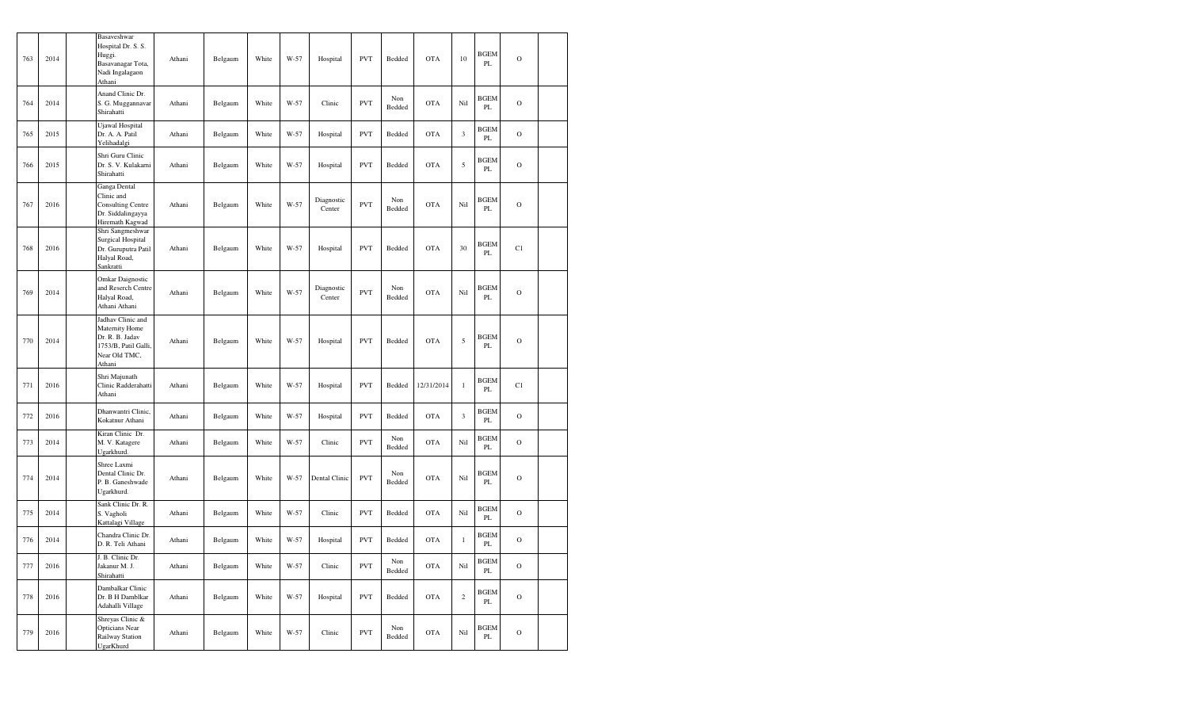| 763 | 2014 | Basaveshwar<br>Hospital Dr. S. S.<br>Huggi.<br>Basavanagar Tota,<br>Nadi Ingalagaon<br>Athani             | Athani | Belgaum | White | W-57 | Hospital             | <b>PVT</b> | Bedded        | <b>OTA</b> | 10                   | BGEM<br>PL                   | $\circ$        |  |
|-----|------|-----------------------------------------------------------------------------------------------------------|--------|---------|-------|------|----------------------|------------|---------------|------------|----------------------|------------------------------|----------------|--|
| 764 | 2014 | Anand Clinic Dr.<br>S. G. Muggannavar<br>Shirahatti                                                       | Athani | Belgaum | White | W-57 | Clinic               | <b>PVT</b> | Non<br>Bedded | <b>OTA</b> | Nil                  | <b>BGEM</b><br>PL            | $\circ$        |  |
| 765 | 2015 | Ujawal Hospital<br>Dr. A. A. Patil<br>Yelihadalgi                                                         | Athani | Belgaum | White | W-57 | Hospital             | <b>PVT</b> | Bedded        | <b>OTA</b> | $\boldsymbol{\beta}$ | <b>BGEM</b><br>PL            | $\circ$        |  |
| 766 | 2015 | Shri Guru Clinic<br>Dr. S. V. Kulakarni<br>Shirahatti                                                     | Athani | Belgaum | White | W-57 | Hospital             | <b>PVT</b> | Bedded        | <b>OTA</b> | 5                    | BGEM<br>PL                   | $\overline{O}$ |  |
| 767 | 2016 | Ganga Dental<br>Clinic and<br><b>Consulting Centre</b><br>Dr. Siddalingayya<br>Hiremath Kagwad            | Athani | Belgaum | White | W-57 | Diagnostic<br>Center | <b>PVT</b> | Non<br>Bedded | <b>OTA</b> | Nil                  | <b>BGEM</b><br>PL            | $\circ$        |  |
| 768 | 2016 | Shri Sangmeshwar<br><b>Surgical Hospital</b><br>Dr. Guruputra Patil<br>Halyal Road,<br>Sankratti          | Athani | Belgaum | White | W-57 | Hospital             | <b>PVT</b> | Bedded        | <b>OTA</b> | 30                   | <b>BGEM</b><br>PL            | C1             |  |
| 769 | 2014 | Omkar Daignostic<br>and Reserch Centre<br>Halyal Road,<br>Athani Athani                                   | Athani | Belgaum | White | W-57 | Diagnostic<br>Center | <b>PVT</b> | Non<br>Bedded | <b>OTA</b> | Nil                  | BGEM<br>PL                   | $\circ$        |  |
| 770 | 2014 | Jadhav Clinic and<br>Maternity Home<br>Dr. R. B. Jadav<br>1753/B, Patil Galli,<br>Near Old TMC,<br>Athani | Athani | Belgaum | White | W-57 | Hospital             | <b>PVT</b> | Bedded        | <b>OTA</b> | 5                    | <b>BGEM</b><br>PL            | $\circ$        |  |
| 771 | 2016 | Shri Majunath<br>Clinic Radderahatti<br>Athani                                                            | Athani | Belgaum | White | W-57 | Hospital             | <b>PVT</b> | Bedded        | 12/31/2014 | $\mathbf{1}$         | BGEM<br>PL                   | C1             |  |
| 772 | 2016 | Dhanwantri Clinic,<br>Kokatnur Athani                                                                     | Athani | Belgaum | White | W-57 | Hospital             | <b>PVT</b> | Bedded        | <b>OTA</b> | $\mathfrak z$        | <b>BGEM</b><br>$\mathbf{PL}$ | $\circ$        |  |
| 773 | 2014 | Kiran Clinic Dr.<br>M. V. Katagere<br>Ugarkhurd.                                                          | Athani | Belgaum | White | W-57 | Clinic               | <b>PVT</b> | Non<br>Bedded | <b>OTA</b> | Nil                  | <b>BGEM</b><br>PL            | $\circ$        |  |
| 774 | 2014 | Shree Laxmi<br>Dental Clinic Dr.<br>P. B. Ganeshwade<br>Ugarkhurd.                                        | Athani | Belgaum | White | W-57 | Dental Clinic        | <b>PVT</b> | Non<br>Bedded | <b>OTA</b> | Nil                  | <b>BGEM</b><br>PL            | $\circ$        |  |
| 775 | 2014 | Sank Clinic Dr. R.<br>S. Vagholi<br>Kattalagi Village                                                     | Athani | Belgaum | White | W-57 | Clinic               | <b>PVT</b> | Bedded        | <b>OTA</b> | Nil                  | <b>BGEM</b><br>PL            | $\circ$        |  |
| 776 | 2014 | Chandra Clinic Dr.<br>D. R. Teli Athani                                                                   | Athani | Belgaum | White | W-57 | Hospital             | <b>PVT</b> | Bedded        | <b>OTA</b> | $\,1$                | BGEM<br>PL                   | $\circ$        |  |
| 777 | 2016 | J. B. Clinic Dr.<br>Jakanur M. J.<br>Shirahatti                                                           | Athani | Belgaum | White | W-57 | Clinic               | <b>PVT</b> | Non<br>Bedded | <b>OTA</b> | Nil                  | BGEM<br>$\rm PL$             | $\mathbf O$    |  |
| 778 | 2016 | Dambalkar Clinic<br>Dr. B H Damblkar<br>Adahalli Village                                                  | Athani | Belgaum | White | W-57 | Hospital             | <b>PVT</b> | Bedded        | <b>OTA</b> | $\sqrt{2}$           | BGEM<br>PL                   | $\mathbf O$    |  |
| 779 | 2016 | Shreyas Clinic &<br><b>Opticians Near</b><br>Railway Station<br>UgarKhurd                                 | Athani | Belgaum | White | W-57 | Clinic               | <b>PVT</b> | Non<br>Bedded | <b>OTA</b> | Nil                  | <b>BGEM</b><br>PL            | $\mathcal O$   |  |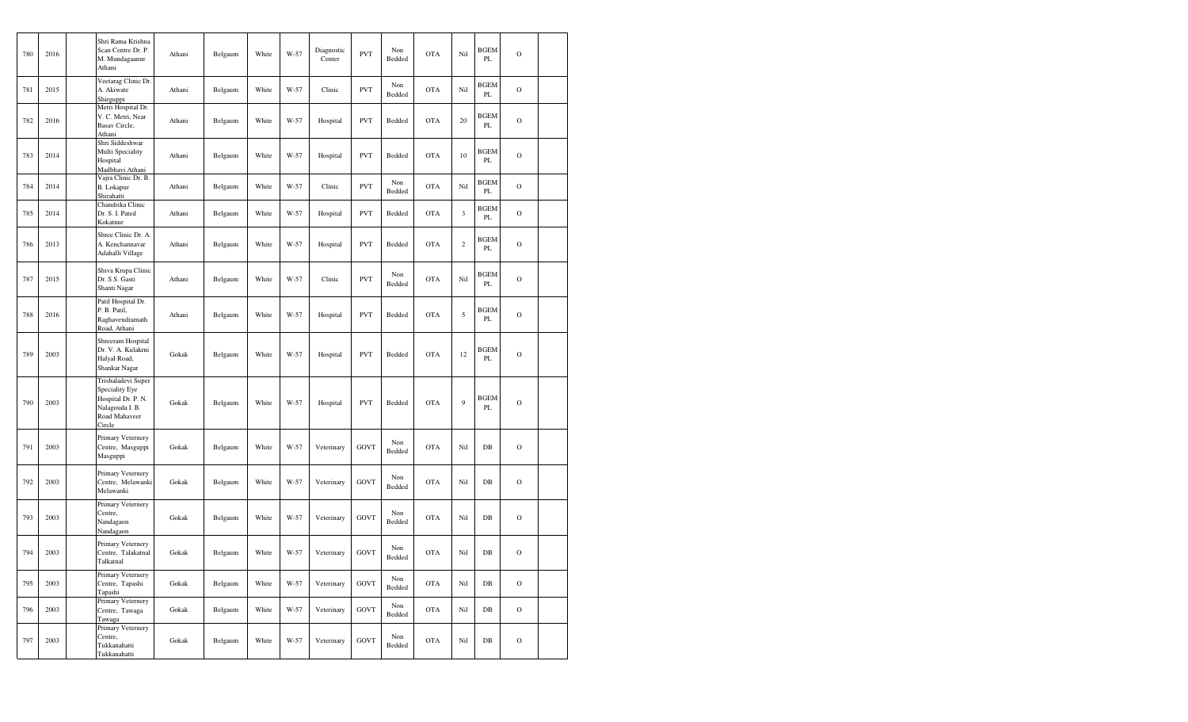| 780 | 2016 | Shri Rama Krishna<br>Scan Centre Dr. P.<br>M. Mundagaanur<br>Athani                                      | Athani | Belgaum | White | W-57 | Diagnostic<br>Center | <b>PVT</b>  | Non<br>Bedded | <b>OTA</b> | Nil            | <b>BGEM</b><br>PL | $\mathcal{O}$ |  |
|-----|------|----------------------------------------------------------------------------------------------------------|--------|---------|-------|------|----------------------|-------------|---------------|------------|----------------|-------------------|---------------|--|
| 781 | 2015 | Veetarag Clinic Dr.<br>A. Akiwate<br>Shirguppi                                                           | Athani | Belgaum | White | W-57 | Clinic               | <b>PVT</b>  | Non<br>Bedded | <b>OTA</b> | Nil            | <b>BGEM</b><br>PL | $\mathcal{O}$ |  |
| 782 | 2016 | Metri Hospital Dr.<br>V. C. Metri, Near<br>Basav Circle,<br>Athani                                       | Athani | Belgaum | White | W-57 | Hospital             | <b>PVT</b>  | Bedded        | <b>OTA</b> | 20             | <b>BGEM</b><br>PL | $\mathcal{O}$ |  |
| 783 | 2014 | Shri Siddeshwar<br>Multi Speciality<br>Hospital<br>Madbhavi Athani                                       | Athani | Belgaum | White | W-57 | Hospital             | <b>PVT</b>  | Bedded        | <b>OTA</b> | 10             | <b>BGEM</b><br>PL | $\mathcal{O}$ |  |
| 784 | 2014 | Vajra Clinic Dr. B.<br>B. Lokapur<br>Shirahatti                                                          | Athani | Belgaum | White | W-57 | Clinic               | <b>PVT</b>  | Non<br>Bedded | <b>OTA</b> | Nil            | BGEM<br>PL        | $\mathcal{O}$ |  |
| 785 | 2014 | Chandrika Clinic<br>Dr. S. I. Pated<br>Kokatnur                                                          | Athani | Belgaum | White | W-57 | Hospital             | <b>PVT</b>  | Bedded        | <b>OTA</b> | $\mathfrak{Z}$ | <b>BGEM</b><br>PL | $\mathcal{O}$ |  |
| 786 | 2013 | Shree Clinic Dr. A.<br>A. Kenchannavar<br>Adahalli Village                                               | Athani | Belgaum | White | W-57 | Hospital             | <b>PVT</b>  | Bedded        | <b>OTA</b> | $\sqrt{2}$     | BGEM<br>PL        | $\mathbf O$   |  |
| 787 | 2015 | Shiva Krupa Clinic<br>Dr. S S. Gasti<br>Shanti Nagar                                                     | Athani | Belgaum | White | W-57 | Clinic               | <b>PVT</b>  | Non<br>Bedded | <b>OTA</b> | Nil            | <b>BGEM</b><br>PL | $\mathcal{O}$ |  |
| 788 | 2016 | Patil Hospital Dr.<br>P. B. Patil,<br>Raghavendramath<br>Road, Athani                                    | Athani | Belgaum | White | W-57 | Hospital             | <b>PVT</b>  | Bedded        | <b>OTA</b> | $\sqrt{5}$     | <b>BGEM</b><br>PL | $\mathbf O$   |  |
| 789 | 2003 | Shreeram Hospital<br>Dr. V. A. Kulakrni<br>Halyal Road,<br>Shankar Nagar                                 | Gokak  | Belgaum | White | W-57 | Hospital             | <b>PVT</b>  | Bedded        | <b>OTA</b> | 12             | <b>BGEM</b><br>PL | $\mathcal{O}$ |  |
| 790 | 2003 | Trishaladevi Super<br>Speciality Eye<br>Hospital Dr. P. N.<br>Nalagouda I. B.<br>Road Mahaveer<br>Circle | Gokak  | Belgaum | White | W-57 | Hospital             | <b>PVT</b>  | Bedded        | <b>OTA</b> | 9              | <b>BGEM</b><br>PL | $\mathcal{O}$ |  |
| 791 | 2003 | Primary Veternery<br>Centre, Masguppi<br>Masguppi                                                        | Gokak  | Belgaum | White | W-57 | Veterinary           | GOVT        | Non<br>Bedded | <b>OTA</b> | Nil            | $DB$              | $\mathcal{O}$ |  |
| 792 | 2003 | Primary Veternery<br>Centre, Melawanki<br>Melawanki                                                      | Gokak  | Belgaum | White | W-57 | Veterinary           | GOVT        | Non<br>Bedded | <b>OTA</b> | Nil            | $DB$              | $\mathbf O$   |  |
| 793 | 2003 | Primary Veternery<br>Centre,<br>Nandagaon<br>Nandagaon                                                   | Gokak  | Belgaum | White | W-57 | Veterinary           | GOVT        | Non<br>Bedded | <b>OTA</b> | Nil            | $DB$              | $\mathcal{O}$ |  |
| 794 | 2003 | Primary Veternery<br>Centre, Talakatnal<br>Talkatnal                                                     | Gokak  | Belgaum | White | W-57 | Veterinary           | <b>GOVT</b> | Non<br>Bedded | <b>OTA</b> | Nil            | $DB$              | $\mathcal{O}$ |  |
| 795 | 2003 | Primary Veternery<br>Centre, Tapashi<br>Tapashi                                                          | Gokak  | Belgaum | White | W-57 | Veterinary           | <b>GOVT</b> | Non<br>Bedded | <b>OTA</b> | Nil            | $DB$              | $\mathcal{O}$ |  |
| 796 | 2003 | Primary Veternery<br>Centre, Tawaga<br>Tawaga                                                            | Gokak  | Belgaum | White | W-57 | Veterinary           | <b>GOVT</b> | Non<br>Bedded | <b>OTA</b> | Nil            | $DB$              | $\mathcal{O}$ |  |
| 797 | 2003 | Primary Veternery<br>Centre,<br>Tukkanahatti<br>Tukkanahatti                                             | Gokak  | Belgaum | White | W-57 | Veterinary           | <b>GOVT</b> | Non<br>Bedded | <b>OTA</b> | Nil            | $_{\rm DB}$       | $\mathcal O$  |  |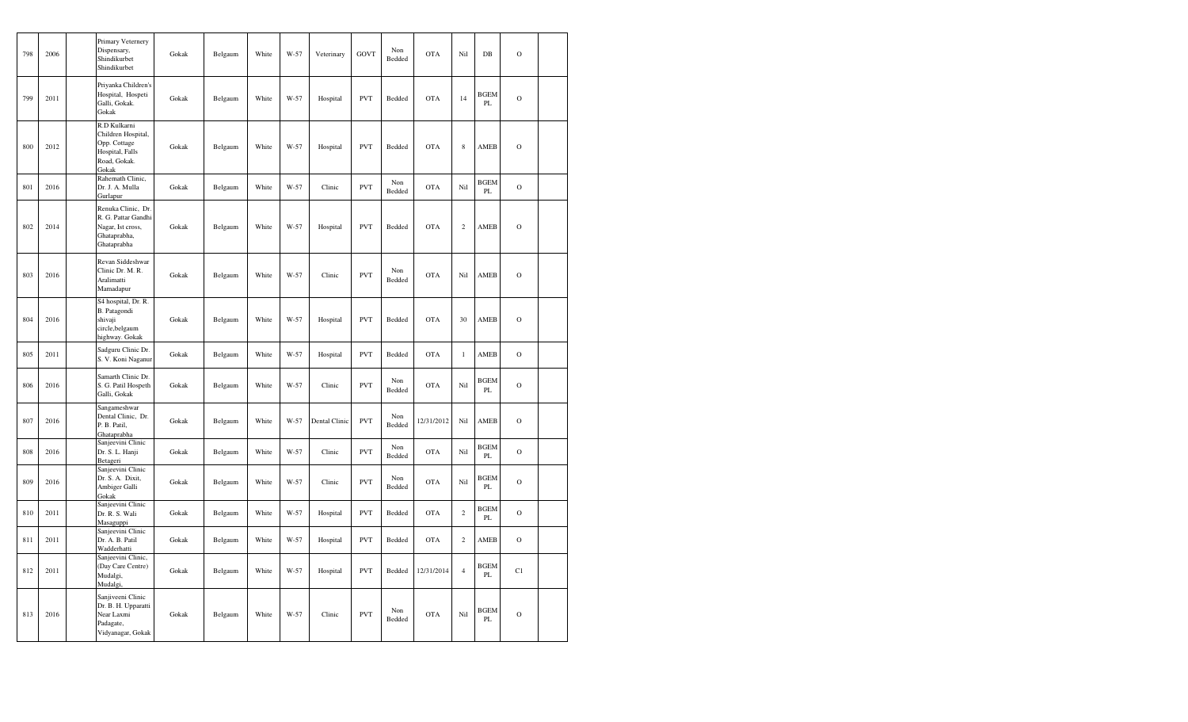| 798 | 2006 | Primary Veternery<br>Dispensary,<br>Shindikurbet<br>Shindikurbet                               | Gokak | Belgaum | White | W-57 | Veterinary    | <b>GOVT</b> | Non<br>Bedded | <b>OTA</b> | Nil            | $DB$              | $\mathbf O$   |  |
|-----|------|------------------------------------------------------------------------------------------------|-------|---------|-------|------|---------------|-------------|---------------|------------|----------------|-------------------|---------------|--|
| 799 | 2011 | Priyanka Children's<br>Hospital, Hospeti<br>Galli, Gokak.<br>Gokak                             | Gokak | Belgaum | White | W-57 | Hospital      | <b>PVT</b>  | Bedded        | <b>OTA</b> | 14             | <b>BGEM</b><br>PL | $\mathbf O$   |  |
| 800 | 2012 | R.D Kulkarni<br>Children Hospital,<br>Opp. Cottage<br>Hospital, Falls<br>Road, Gokak.<br>Gokak | Gokak | Belgaum | White | W-57 | Hospital      | <b>PVT</b>  | Bedded        | <b>OTA</b> | $\,$ 8 $\,$    | AMEB              | $\mathcal{O}$ |  |
| 801 | 2016 | Rahemath Clinic,<br>Dr. J. A. Mulla<br>Gurlapur                                                | Gokak | Belgaum | White | W-57 | Clinic        | <b>PVT</b>  | Non<br>Bedded | <b>OTA</b> | Nil            | <b>BGEM</b><br>PL | $\mathbf O$   |  |
| 802 | 2014 | Renuka Clinic, Dr.<br>R. G. Pattar Gandhi<br>Nagar, Ist cross,<br>Ghataprabha,<br>Ghataprabha  | Gokak | Belgaum | White | W-57 | Hospital      | <b>PVT</b>  | Bedded        | <b>OTA</b> | $\sqrt{2}$     | AMEB              | $\mathbf O$   |  |
| 803 | 2016 | Revan Siddeshwar<br>Clinic Dr. M. R.<br>Aralimatti<br>Mamadapur                                | Gokak | Belgaum | White | W-57 | Clinic        | <b>PVT</b>  | Non<br>Bedded | <b>OTA</b> | Nil            | AMEB              | $\mathcal{O}$ |  |
| 804 | 2016 | S4 hospital, Dr. R.<br>B. Patagondi<br>shivaji<br>circle, belgaum<br>highway. Gokak            | Gokak | Belgaum | White | W-57 | Hospital      | <b>PVT</b>  | Bedded        | <b>OTA</b> | 30             | AMEB              | $\mathcal{O}$ |  |
| 805 | 2011 | Sadguru Clinic Dr.<br>S. V. Koni Naganur                                                       | Gokak | Belgaum | White | W-57 | Hospital      | <b>PVT</b>  | Bedded        | <b>OTA</b> | $\mathbf{1}$   | AMEB              | $\mathcal{O}$ |  |
| 806 | 2016 | Samarth Clinic Dr.<br>S. G. Patil Hospeth<br>Galli, Gokak                                      | Gokak | Belgaum | White | W-57 | Clinic        | <b>PVT</b>  | Non<br>Bedded | <b>OTA</b> | Nil            | <b>BGEM</b><br>PL | $\circ$       |  |
| 807 | 2016 | Sangameshwar<br>Dental Clinic, Dr.<br>P. B. Patil,<br>Ghataprabha                              | Gokak | Belgaum | White | W-57 | Dental Clinic | <b>PVT</b>  | Non<br>Bedded | 12/31/2012 | Nil            | AMEB              | $\mathbf O$   |  |
| 808 | 2016 | Sanjeevini Clinic<br>Dr. S. L. Hanji<br>Betageri                                               | Gokak | Belgaum | White | W-57 | Clinic        | <b>PVT</b>  | Non<br>Bedded | <b>OTA</b> | Nil            | <b>BGEM</b><br>PL | $\mathcal{O}$ |  |
| 809 | 2016 | Sanjeevini Clinic<br>Dr. S. A. Dixit,<br>Ambiger Galli<br>Gokak                                | Gokak | Belgaum | White | W-57 | Clinic        | <b>PVT</b>  | Non<br>Bedded | <b>OTA</b> | Nil            | <b>BGEM</b><br>PL | $\circ$       |  |
| 810 | 2011 | Sanjeevini Clinic<br>Dr. R. S. Wali<br>Masaguppi                                               | Gokak | Belgaum | White | W-57 | Hospital      | <b>PVT</b>  | Bedded        | <b>OTA</b> | $\sqrt{2}$     | <b>BGEM</b><br>PL | $\circ$       |  |
| 811 | 2011 | Sanjeevini Clinic<br>Dr. A. B. Patil<br>Wadderhatti                                            | Gokak | Belgaum | White | W-57 | Hospital      | <b>PVT</b>  | Bedded        | <b>OTA</b> | $\sqrt{2}$     | AMEB              | $\mathbf O$   |  |
| 812 | 2011 | Sanjeevini Clinic,<br>(Day Care Centre)<br>Mudalgi,<br>Mudalgi,                                | Gokak | Belgaum | White | W-57 | Hospital      | <b>PVT</b>  | Bedded        | 12/31/2014 | $\overline{4}$ | <b>BGEM</b><br>PL | C1            |  |
| 813 | 2016 | Sanjiveeni Clinic<br>Dr. B. H. Upparatti<br>Near Laxmi<br>Padagate,<br>Vidyanagar, Gokak       | Gokak | Belgaum | White | W-57 | Clinic        | <b>PVT</b>  | Non<br>Bedded | <b>OTA</b> | Nil            | <b>BGEM</b><br>PL | $\mathbf O$   |  |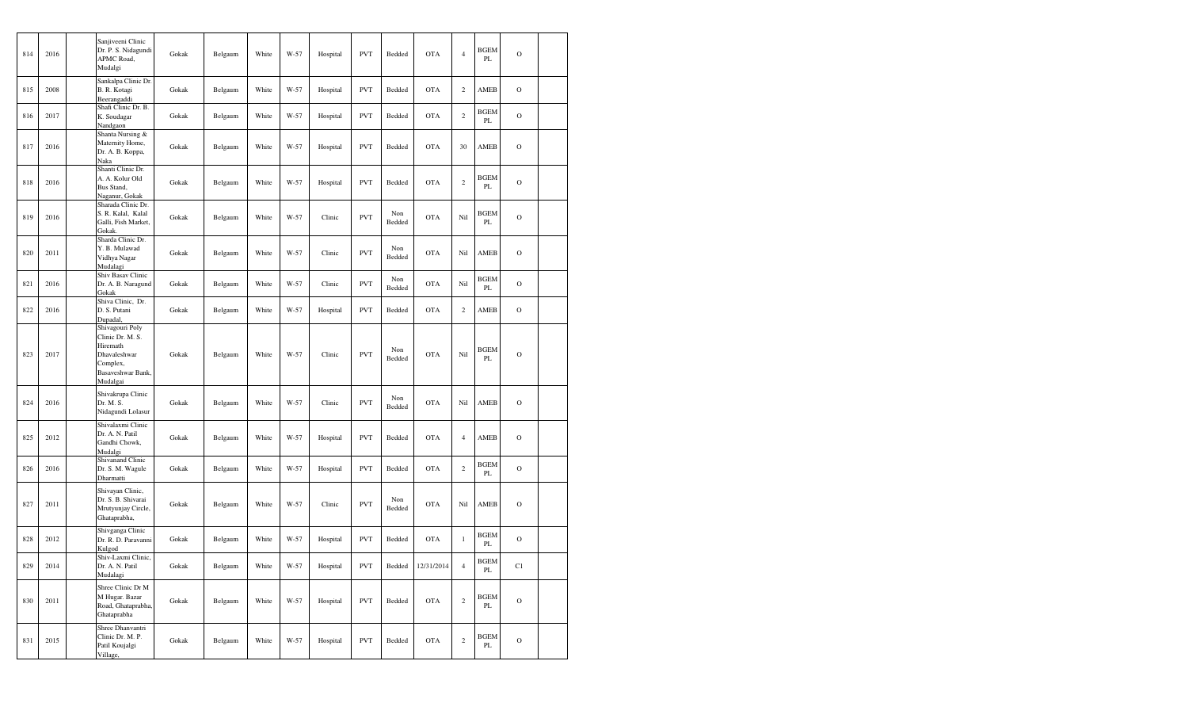| 814 | 2016 | Sanjiveeni Clinic<br>Dr. P. S. Nidagundi<br>APMC Road,<br>Mudalgi                                            | Gokak | Belgaum | White | W-57 | Hospital | <b>PVT</b> | Bedded        | <b>OTA</b> | $\overline{4}$ | <b>BGEM</b><br>PL | $\mathbf O$   |  |
|-----|------|--------------------------------------------------------------------------------------------------------------|-------|---------|-------|------|----------|------------|---------------|------------|----------------|-------------------|---------------|--|
| 815 | 2008 | Sankalpa Clinic Dr.<br>B. R. Kotagi<br>Beerangaddi                                                           | Gokak | Belgaum | White | W-57 | Hospital | <b>PVT</b> | Bedded        | <b>OTA</b> | $\overline{c}$ | AMEB              | $\mathbf O$   |  |
| 816 | 2017 | Shafi Clinic Dr. B.<br>K. Soudagar<br>Nandgaon                                                               | Gokak | Belgaum | White | W-57 | Hospital | <b>PVT</b> | Bedded        | <b>OTA</b> | $\overline{c}$ | BGEM<br>PL        | $\mathbf O$   |  |
| 817 | 2016 | Shanta Nursing &<br>Maternity Home,<br>Dr. A. B. Koppa,<br>Naka                                              | Gokak | Belgaum | White | W-57 | Hospital | <b>PVT</b> | Bedded        | <b>OTA</b> | 30             | AMEB              | $\mathcal{O}$ |  |
| 818 | 2016 | Shanti Clinic Dr.<br>A. A. Kolur Old<br>Bus Stand,<br>Naganur, Gokak                                         | Gokak | Belgaum | White | W-57 | Hospital | <b>PVT</b> | Bedded        | <b>OTA</b> | $\,2$          | <b>BGEM</b><br>PL | $\mathcal{O}$ |  |
| 819 | 2016 | Sharada Clinic Dr.<br>S. R. Kalal, Kalal<br>Galli, Fish Market,<br><b>Gokak</b>                              | Gokak | Belgaum | White | W-57 | Clinic   | <b>PVT</b> | Non<br>Bedded | <b>OTA</b> | Nil            | <b>BGEM</b><br>PL | $\mathbf O$   |  |
| 820 | 2011 | Sharda Clinic Dr.<br>Y. B. Mulawad<br>Vidhya Nagar<br>Mudalagi                                               | Gokak | Belgaum | White | W-57 | Clinic   | <b>PVT</b> | Non<br>Bedded | <b>OTA</b> | Nil            | AMEB              | $\Omega$      |  |
| 821 | 2016 | Shiv Basav Clinic<br>Dr. A. B. Naragund<br>Gokak                                                             | Gokak | Belgaum | White | W-57 | Clinic   | <b>PVT</b> | Non<br>Bedded | <b>OTA</b> | Nil            | <b>BGEM</b><br>PL | $\circ$       |  |
| 822 | 2016 | Shiva Clinic, Dr.<br>D. S. Putani<br>Dupadal,                                                                | Gokak | Belgaum | White | W-57 | Hospital | <b>PVT</b> | Bedded        | <b>OTA</b> | $\,2$          | AMEB              | $\mathcal{O}$ |  |
| 823 | 2017 | Shivagouri Poly<br>Clinic Dr. M. S.<br>Hiremath<br>Dhavaleshwar<br>Complex,<br>Basaveshwar Bank,<br>Mudalgai | Gokak | Belgaum | White | W-57 | Clinic   | <b>PVT</b> | Non<br>Bedded | <b>OTA</b> | Nil            | <b>BGEM</b><br>PL | $\mathcal{O}$ |  |
| 824 | 2016 | Shivakrupa Clinic<br>Dr. M. S.<br>Nidagundi Lolasur                                                          | Gokak | Belgaum | White | W-57 | Clinic   | <b>PVT</b> | Non<br>Bedded | <b>OTA</b> | Nil            | AMEB              | $\mathcal{O}$ |  |
| 825 | 2012 | Shivalaxmi Clinic<br>Dr. A. N. Patil<br>Gandhi Chowk,<br>Mudalgi                                             | Gokak | Belgaum | White | W-57 | Hospital | <b>PVT</b> | Bedded        | <b>OTA</b> | $\overline{4}$ | AMEB              | $\mathcal{O}$ |  |
| 826 | 2016 | Shivanand Clinic<br>Dr. S. M. Wagule<br>Dharmatti                                                            | Gokak | Belgaum | White | W-57 | Hospital | <b>PVT</b> | Bedded        | <b>OTA</b> | $\overline{c}$ | <b>BGEM</b><br>PL | $\mathcal{O}$ |  |
| 827 | 2011 | Shivayan Clinic,<br>Dr. S. B. Shivarai<br>Mrutyunjay Circle,<br>Ghataprabha,                                 | Gokak | Belgaum | White | W-57 | Clinic   | <b>PVT</b> | Non<br>Bedded | <b>OTA</b> | Nil            | AMEB              | $\mathcal{O}$ |  |
| 828 | 2012 | Shivganga Clinic<br>Dr. R. D. Paravanni<br>Kulgod                                                            | Gokak | Belgaum | White | W-57 | Hospital | PVT        | Bedded        | <b>OTA</b> | $\,1$          | <b>BGEM</b><br>PL | $\mathbf O$   |  |
| 829 | 2014 | Shiv-Laxmi Clinic,<br>Dr. A. N. Patil<br>Mudalagi                                                            | Gokak | Belgaum | White | W-57 | Hospital | <b>PVT</b> | Bedded        | 12/31/2014 | $\overline{4}$ | <b>BGEM</b><br>PL | C1            |  |
| 830 | 2011 | Shree Clinic Dr M<br>M Hugar. Bazar<br>Road, Ghataprabha,<br>Ghataprabha                                     | Gokak | Belgaum | White | W-57 | Hospital | <b>PVT</b> | Bedded        | <b>OTA</b> | $\sqrt{2}$     | <b>BGEM</b><br>PL | $\mathcal O$  |  |
| 831 | 2015 | Shree Dhanvantri<br>Clinic Dr. M. P.<br>Patil Koujalgi<br>Village,                                           | Gokak | Belgaum | White | W-57 | Hospital | <b>PVT</b> | Bedded        | <b>OTA</b> | $\,2$          | <b>BGEM</b><br>PL | $\circ$       |  |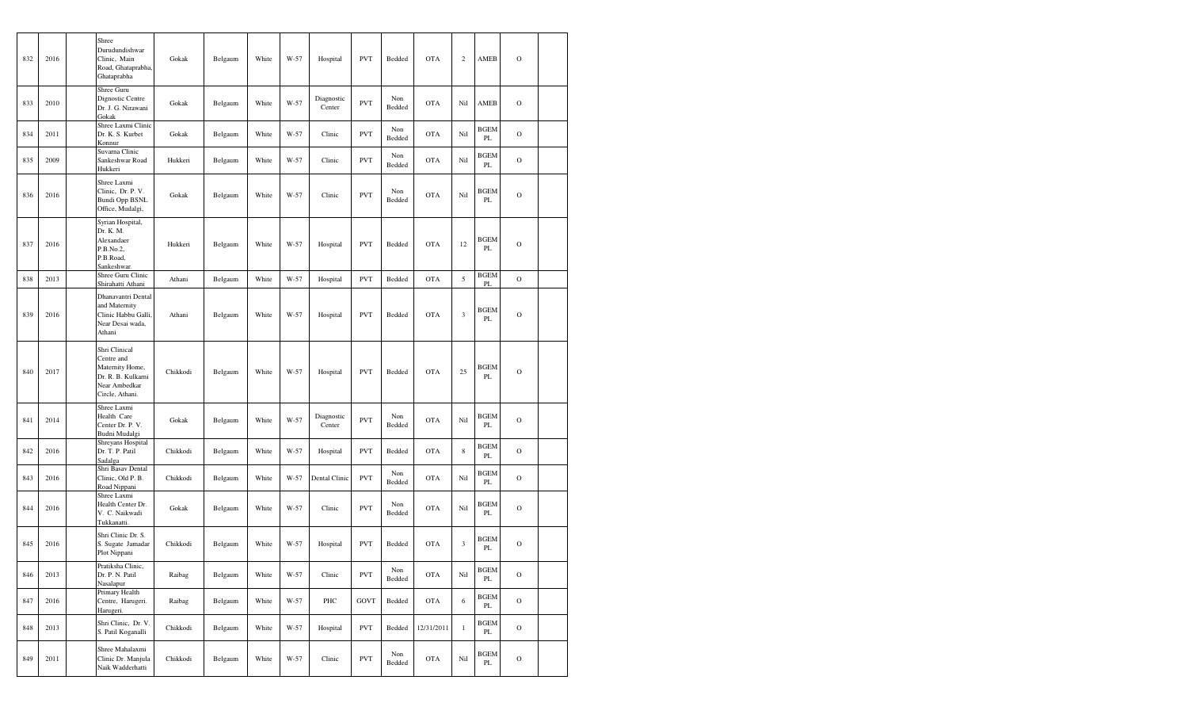| 832 | 2016 | Shree<br>Durudundishwar<br>Clinic, Main<br>Road, Ghataprabha,<br>Ghataprabha                             | Gokak    | Belgaum | White | W-57 | Hospital             | <b>PVT</b> | Bedded        | <b>OTA</b> | $\boldsymbol{2}$ | AMEB              | $\mathcal{O}$ |  |
|-----|------|----------------------------------------------------------------------------------------------------------|----------|---------|-------|------|----------------------|------------|---------------|------------|------------------|-------------------|---------------|--|
| 833 | 2010 | Shree Guru<br>Dignostic Centre<br>Dr. J. G. Nirawani<br>Gokak                                            | Gokak    | Belgaum | White | W-57 | Diagnostic<br>Center | <b>PVT</b> | Non<br>Bedded | <b>OTA</b> | Nil              | AMEB              | $\Omega$      |  |
| 834 | 2011 | Shree Laxmi Clinic<br>Dr. K. S. Kurbet<br>Konnur                                                         | Gokak    | Belgaum | White | W-57 | Clinic               | <b>PVT</b> | Non<br>Bedded | <b>OTA</b> | Nil              | <b>BGEM</b><br>PL | $\mathcal{O}$ |  |
| 835 | 2009 | Suvarna Clinic<br>Sankeshwar Road<br>Hukkeri                                                             | Hukkeri  | Belgaum | White | W-57 | Clinic               | <b>PVT</b> | Non<br>Bedded | <b>OTA</b> | Nil              | BGEM<br>PL        | $\mathcal{O}$ |  |
| 836 | 2016 | Shree Laxmi<br>Clinic. Dr. P. V.<br><b>Bundi Opp BSNL</b><br>Office, Mudalgi,                            | Gokak    | Belgaum | White | W-57 | Clinic               | <b>PVT</b> | Non<br>Bedded | <b>OTA</b> | Nil              | <b>BGEM</b><br>PL | $\mathcal{O}$ |  |
| 837 | 2016 | Syrian Hospital,<br>Dr. K. M.<br>Alexandaer<br>P.B.No.2,<br>P.B.Road,<br>Sankeshwar.                     | Hukkeri  | Belgaum | White | W-57 | Hospital             | <b>PVT</b> | Bedded        | <b>OTA</b> | 12               | <b>BGEM</b><br>PL | $\mathbf O$   |  |
| 838 | 2013 | Shree Guru Clinic<br>Shirahatti Athani                                                                   | Athani   | Belgaum | White | W-57 | Hospital             | <b>PVT</b> | Bedded        | <b>OTA</b> | 5                | <b>BGEM</b><br>PL | $\rm{O}$      |  |
| 839 | 2016 | Dhanavantri Dental<br>and Maternity<br>Clinic Habbu Galli,<br>Near Desai wada,<br>Athani                 | Athani   | Belgaum | White | W-57 | Hospital             | <b>PVT</b> | Bedded        | <b>OTA</b> | 3                | BGEM<br>PL        | $\mathbf O$   |  |
| 840 | 2017 | Shri Clinical<br>Centre and<br>Maternity Home,<br>Dr. R. B. Kulkarni<br>Near Ambedkar<br>Circle, Athani. | Chikkodi | Belgaum | White | W-57 | Hospital             | <b>PVT</b> | Bedded        | <b>OTA</b> | 25               | <b>BGEM</b><br>PL | $\circ$       |  |
| 841 | 2014 | Shree Laxmi<br>Health Care<br>Center Dr. P. V.<br>Budni Mudalgi                                          | Gokak    | Belgaum | White | W-57 | Diagnostic<br>Center | <b>PVT</b> | Non<br>Bedded | <b>OTA</b> | Nil              | <b>BGEM</b><br>PL | $\mathcal{O}$ |  |
| 842 | 2016 | Shreyans Hospital<br>Dr. T. P. Patil<br>Sadalga                                                          | Chikkodi | Belgaum | White | W-57 | Hospital             | <b>PVT</b> | Bedded        | <b>OTA</b> | 8                | <b>BGEM</b><br>PL | $\circ$       |  |
| 843 | 2016 | Shri Basav Dental<br>Clinic, Old P. B.<br>Road Nippani                                                   | Chikkodi | Belgaum | White | W-57 | Dental Clinic        | <b>PVT</b> | Non<br>Bedded | <b>OTA</b> | Nil              | <b>BGEM</b><br>PL | $\mathcal{O}$ |  |
| 844 | 2016 | Shree Laxmi<br>Health Center Dr.<br>V. C. Naikwadi<br>Tukkanatti.                                        | Gokak    | Belgaum | White | W-57 | Clinic               | <b>PVT</b> | Non<br>Bedded | <b>OTA</b> | Nil              | BGEM<br>PL        | $\mathcal{O}$ |  |
| 845 | 2016 | Shri Clinic Dr. S.<br>S. Sugate Jamadar<br>Plot Nippani                                                  | Chikkodi | Belgaum | White | W-57 | Hospital             | <b>PVT</b> | Bedded        | <b>OTA</b> | 3                | BGEM<br>PL        | $\mathcal{O}$ |  |
| 846 | 2013 | Pratiksha Clinic,<br>Dr. P. N. Patil<br>Nasalapur                                                        | Raibag   | Belgaum | White | W-57 | Clinic               | <b>PVT</b> | Non<br>Bedded | OTA        | Nil              | <b>BGEM</b><br>PL | $\mathbf O$   |  |
| 847 | 2016 | Primary Health<br>Centre, Harugeri.<br>Harugeri.                                                         | Raibag   | Belgaum | White | W-57 | PHC                  | GOVT       | Bedded        | <b>OTA</b> | 6                | <b>BGEM</b><br>PL | $\mathbf O$   |  |
| 848 | 2013 | Shri Clinic, Dr. V.<br>S. Patil Koganalli                                                                | Chikkodi | Belgaum | White | W-57 | Hospital             | <b>PVT</b> | Bedded        | 12/31/2011 | $\,1$            | <b>BGEM</b><br>PL | $\mathbf O$   |  |
| 849 | 2011 | Shree Mahalaxmi<br>Clinic Dr. Manjula<br>Naik Wadderhatti                                                | Chikkodi | Belgaum | White | W-57 | Clinic               | <b>PVT</b> | Non<br>Bedded | OTA        | Nil              | <b>BGEM</b><br>PL | $\mathcal{O}$ |  |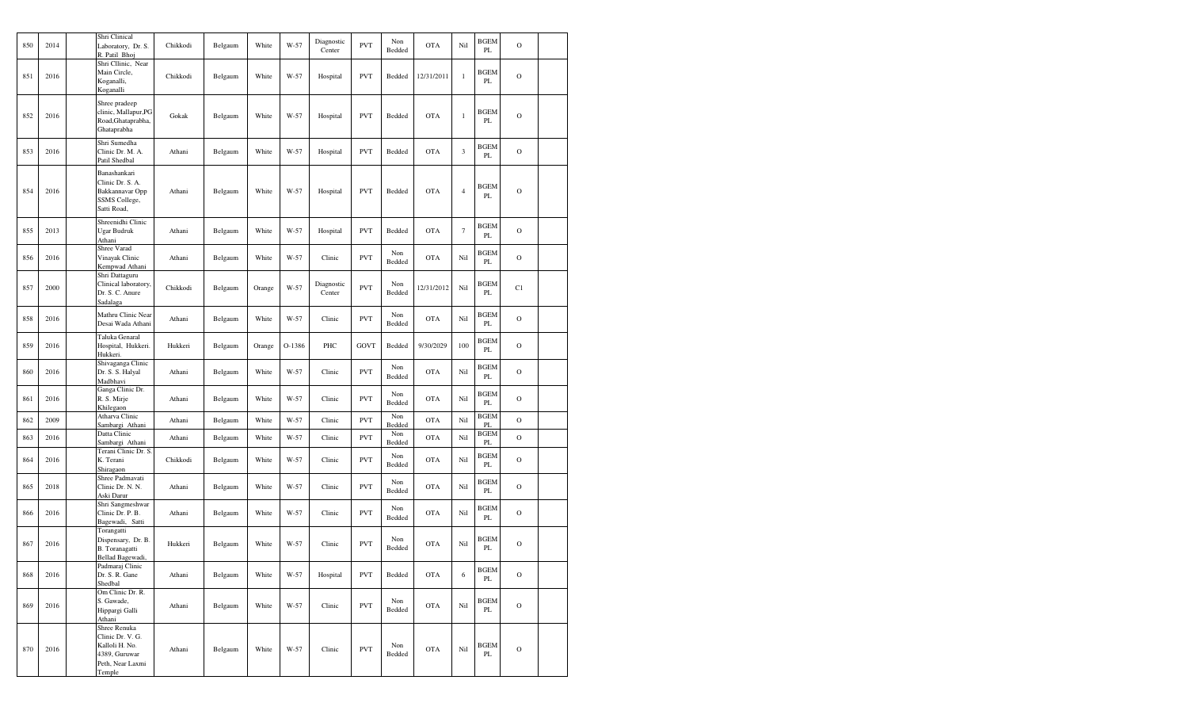| 850 | 2014 | Shri Clinical<br>Laboratory, Dr. S.<br>R. Patil Bhoj                                              | Chikkodi | Belgaum | White  | W-57   | Diagnostic<br>Center | <b>PVT</b> | Non<br>Bedded | <b>OTA</b> | Nil                  | <b>BGEM</b><br>PL       | $\mathbf O$    |  |
|-----|------|---------------------------------------------------------------------------------------------------|----------|---------|--------|--------|----------------------|------------|---------------|------------|----------------------|-------------------------|----------------|--|
| 851 | 2016 | Shri Cllinic, Near<br>Main Circle,<br>Koganalli,<br>Koganalli                                     | Chikkodi | Belgaum | White  | W-57   | Hospital             | <b>PVT</b> | Bedded        | 12/31/2011 | $\mathbf{1}$         | <b>BGEM</b><br>PL       | $\mathcal{O}$  |  |
| 852 | 2016 | Shree pradeep<br>clinic, Mallapur, PG<br>Road, Ghataprabha,<br>Ghataprabha                        | Gokak    | Belgaum | White  | W-57   | Hospital             | <b>PVT</b> | Bedded        | <b>OTA</b> | $\mathbf{1}$         | <b>BGEM</b><br>PL       | $\mathcal{O}$  |  |
| 853 | 2016 | Shri Sumedha<br>Clinic Dr. M. A.<br>Patil Shedbal                                                 | Athani   | Belgaum | White  | W-57   | Hospital             | <b>PVT</b> | Bedded        | <b>OTA</b> | $\boldsymbol{\beta}$ | <b>BGEM</b><br>PL       | $\mathcal{O}$  |  |
| 854 | 2016 | Banashankari<br>Clinic Dr. S. A.<br>Bakkannavar Opp<br>SSMS College,<br>Satti Road,               | Athani   | Belgaum | White  | $W-57$ | Hospital             | <b>PVT</b> | Bedded        | <b>OTA</b> | $\overline{4}$       | <b>BGEM</b><br>PL       | $\mathcal{O}$  |  |
| 855 | 2013 | Shreenidhi Clinic<br>Ugar Budruk<br>Athani                                                        | Athani   | Belgaum | White  | W-57   | Hospital             | <b>PVT</b> | Bedded        | <b>OTA</b> | $\boldsymbol{7}$     | <b>BGEM</b><br>PL       | $\overline{O}$ |  |
| 856 | 2016 | Shree Varad<br>Vinayak Clinic<br>Kempwad Athani                                                   | Athani   | Belgaum | White  | W-57   | Clinic               | <b>PVT</b> | Non<br>Bedded | <b>OTA</b> | Nil                  | <b>BGEM</b><br>PL       | $\mathcal{O}$  |  |
| 857 | 2000 | Shri Dattaguru<br>Clinical laboratory,<br>Dr. S. C. Anure<br>Sadalaga                             | Chikkodi | Belgaum | Orange | W-57   | Diagnostic<br>Center | <b>PVT</b> | Non<br>Bedded | 12/31/2012 | Nil                  | BGEM<br>PL              | C1             |  |
| 858 | 2016 | Mathru Clinic Near<br>Desai Wada Athani                                                           | Athani   | Belgaum | White  | W-57   | Clinic               | <b>PVT</b> | Non<br>Bedded | <b>OTA</b> | Nil                  | <b>BGEM</b><br>PL       | $\mathcal{O}$  |  |
| 859 | 2016 | Taluka Genaral<br>Hospital, Hukkeri.<br>Hukkeri.                                                  | Hukkeri  | Belgaum | Orange | O-1386 | PHC                  | GOVT       | Bedded        | 9/30/2029  | 100                  | <b>BGEM</b><br>PL       | $\mathcal{O}$  |  |
| 860 | 2016 | Shivaganga Clinic<br>Dr. S. S. Halyal<br>Madbhavi                                                 | Athani   | Belgaum | White  | W-57   | Clinic               | <b>PVT</b> | Non<br>Bedded | <b>OTA</b> | Nil                  | <b>BGEM</b><br>PL       | $\mathcal{O}$  |  |
| 861 | 2016 | Ganga Clinic Dr.<br>R. S. Mirje<br>Khilegaon                                                      | Athani   | Belgaum | White  | W-57   | Clinic               | <b>PVT</b> | Non<br>Bedded | <b>OTA</b> | Nil                  | <b>BGEM</b><br>PL       | $\overline{O}$ |  |
| 862 | 2009 | Atharva Clinic<br>Sambargi Athani                                                                 | Athani   | Belgaum | White  | W-57   | Clinic               | <b>PVT</b> | Non<br>Bedded | <b>OTA</b> | Nil                  | <b>BGEM</b><br>PL       | $\overline{O}$ |  |
| 863 | 2016 | Datta Clinic<br>Sambargi Athani                                                                   | Athani   | Belgaum | White  | W-57   | Clinic               | <b>PVT</b> | Non<br>Bedded | <b>OTA</b> | Nil                  | <b>BGEM</b><br>PL       | $\mathcal{O}$  |  |
| 864 | 2016 | Terani Clinic Dr. S.<br>K. Terani<br>Shiragaon                                                    | Chikkodi | Belgaum | White  | W-57   | Clinic               | <b>PVT</b> | Non<br>Bedded | <b>OTA</b> | Nil                  | <b>BGEM</b><br>PL       | $\mathcal{O}$  |  |
| 865 | 2018 | Shree Padmavati<br>Clinic Dr. N. N.<br>Aski Darur                                                 | Athani   | Belgaum | White  | $W-57$ | Clinic               | <b>PVT</b> | Non<br>Bedded | <b>OTA</b> | Nil                  | <b>BGEM</b><br>PL       | $\mathcal{O}$  |  |
| 866 | 2016 | Shri Sangmeshwar<br>Clinic Dr. P. B.<br>Bagewadi, Satti                                           | Athani   | Belgaum | White  | W-57   | Clinic               | <b>PVT</b> | Non<br>Bedded | <b>OTA</b> | Nil                  | <b>BGEM</b><br>PL       | $\mathcal{O}$  |  |
| 867 | 2016 | Torangatti<br>Dispensary, Dr. B.<br>B. Toranagatti<br>Bellad Bagewadi,                            | Hukkeri  | Belgaum | White  | W-57   | Clinic               | <b>PVT</b> | Non<br>Bedded | <b>OTA</b> | Nil                  | <b>BGEM</b><br>PL       | $\mathcal{O}$  |  |
| 868 | 2016 | Padmaraj Clinic<br>Dr. S. R. Gane<br>Shedbal                                                      | Athani   | Belgaum | White  | W-57   | Hospital             | <b>PVT</b> | Bedded        | <b>OTA</b> | 6                    | <b>BGEM</b><br>PL       | $\mathcal{O}$  |  |
| 869 | 2016 | Om Clinic Dr. R.<br>S. Gawade,<br>Hippargi Galli<br>Athani                                        | Athani   | Belgaum | White  | W-57   | Clinic               | <b>PVT</b> | Non<br>Bedded | <b>OTA</b> | Nil                  | <b>BGEM</b><br>PL       | $\mathcal{O}$  |  |
| 870 | 2016 | Shree Renuka<br>Clinic Dr. V. G.<br>Kalloli H. No.<br>4389, Guruwar<br>Peth, Near Laxmi<br>Temple | Athani   | Belgaum | White  | W-57   | Clinic               | <b>PVT</b> | Non<br>Bedded | <b>OTA</b> | Nil                  | <b>BGEM</b><br>$\rm PL$ | $\mathcal{O}$  |  |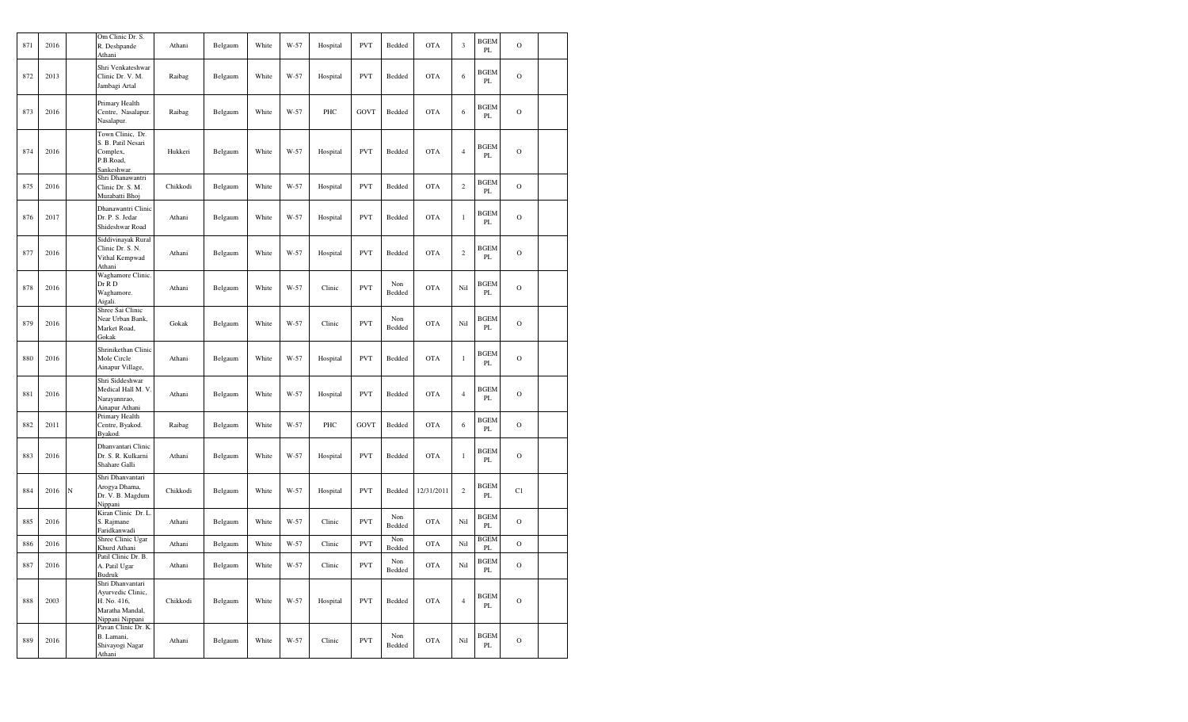| 871 | 2016 |   | Om Clinic Dr. S.<br>R. Deshpande<br>Athani                                                 | Athani   | Belgaum | White | W-57 | Hospital | <b>PVT</b> | Bedded        | <b>OTA</b> | 3              | <b>BGEM</b><br>$\mathbf{PL}$ | $\mathbf O$    |  |
|-----|------|---|--------------------------------------------------------------------------------------------|----------|---------|-------|------|----------|------------|---------------|------------|----------------|------------------------------|----------------|--|
| 872 | 2013 |   | Shri Venkateshwar<br>Clinic Dr. V. M.<br>Jambagi Artal                                     | Raibag   | Belgaum | White | W-57 | Hospital | <b>PVT</b> | Bedded        | <b>OTA</b> | 6              | <b>BGEM</b><br>PL            | $\mathcal{O}$  |  |
| 873 | 2016 |   | Primary Health<br>Centre, Nasalapur.<br>Nasalapur.                                         | Raibag   | Belgaum | White | W-57 | PHC      | GOVT       | Bedded        | <b>OTA</b> | 6              | <b>BGEM</b><br>PL            | $\mathbf O$    |  |
| 874 | 2016 |   | Town Clinic, Dr.<br>S. B. Patil Nesari<br>Complex,<br>P.B.Road,<br>Sankeshwar.             | Hukkeri  | Belgaum | White | W-57 | Hospital | <b>PVT</b> | Bedded        | <b>OTA</b> | $\overline{4}$ | <b>BGEM</b><br>PL            | $\mathcal{O}$  |  |
| 875 | 2016 |   | Shri Dhanawantri<br>Clinic Dr. S. M.<br>Murabatti Bhoj                                     | Chikkodi | Belgaum | White | W-57 | Hospital | <b>PVT</b> | Bedded        | <b>OTA</b> | $\overline{c}$ | BGEM<br>PL                   | $\mathbf O$    |  |
| 876 | 2017 |   | Dhanawantri Clinic<br>Dr. P. S. Jedar<br>Shideshwar Road                                   | Athani   | Belgaum | White | W-57 | Hospital | <b>PVT</b> | Bedded        | <b>OTA</b> | $\,1\,$        | BGEM<br>PL                   | $\mathcal{O}$  |  |
| 877 | 2016 |   | Siddivinayak Rural<br>Clinic Dr. S. N.<br>Vithal Kempwad<br>Athani                         | Athani   | Belgaum | White | W-57 | Hospital | <b>PVT</b> | Bedded        | <b>OTA</b> | $\,2$          | <b>BGEM</b><br>PL            | $\mathcal{O}$  |  |
| 878 | 2016 |   | Waghamore Clinic.<br>Dr R D<br>Waghamore.<br>Aigali.                                       | Athani   | Belgaum | White | W-57 | Clinic   | <b>PVT</b> | Non<br>Bedded | <b>OTA</b> | Nil            | <b>BGEM</b><br>PL            | $\mathcal{O}$  |  |
| 879 | 2016 |   | Shree Sai Clinic<br>Near Urban Bank,<br>Market Road,<br>Gokak                              | Gokak    | Belgaum | White | W-57 | Clinic   | <b>PVT</b> | Non<br>Bedded | <b>OTA</b> | Nil            | <b>BGEM</b><br>PL            | $\mathcal{O}$  |  |
| 880 | 2016 |   | Shrinikethan Clinic<br>Mole Circle<br>Ainapur Village,                                     | Athani   | Belgaum | White | W-57 | Hospital | <b>PVT</b> | Bedded        | <b>OTA</b> | $\mathbf{1}$   | <b>BGEM</b><br>PL            | $\overline{O}$ |  |
| 881 | 2016 |   | Shri Siddeshwar<br>Medical Hall M. V.<br>Narayannrao,<br>Ainapur Athani                    | Athani   | Belgaum | White | W-57 | Hospital | <b>PVT</b> | Bedded        | <b>OTA</b> | $\overline{4}$ | <b>BGEM</b><br>PL            | $\mathbf O$    |  |
| 882 | 2011 |   | Primary Health<br>Centre, Byakod.<br>Byakod.                                               | Raibag   | Belgaum | White | W-57 | PHC      | GOVT       | Bedded        | <b>OTA</b> | 6              | <b>BGEM</b><br>PL            | $\mathbf O$    |  |
| 883 | 2016 |   | Dhanvantari Clinic<br>Dr. S. R. Kulkarni<br>Shahare Galli                                  | Athani   | Belgaum | White | W-57 | Hospital | <b>PVT</b> | Bedded        | <b>OTA</b> | $\,1$          | <b>BGEM</b><br>PL            | $\mathcal{O}$  |  |
| 884 | 2016 | N | Shri Dhanvantari<br>Arogya Dhama,<br>Dr. V. B. Magdum<br>Nippani                           | Chikkodi | Belgaum | White | W-57 | Hospital | <b>PVT</b> | Bedded        | 12/31/2011 | $\overline{c}$ | BGEM<br>PL                   | C1             |  |
| 885 | 2016 |   | Kiran Clinic Dr. L<br>S. Rajmane<br>Faridkanwadi                                           | Athani   | Belgaum | White | W-57 | Clinic   | <b>PVT</b> | Non<br>Bedded | <b>OTA</b> | Nil            | <b>BGEM</b><br>$\mathbf{PL}$ | $\mathbf O$    |  |
| 886 | 2016 |   | Shree Clinic Ugar<br>Khurd Athani                                                          | Athani   | Belgaum | White | W-57 | Clinic   | <b>PVT</b> | Non<br>Bedded | <b>OTA</b> | Nil            | <b>BGEM</b><br>PL            | $\mathcal{O}$  |  |
| 887 | 2016 |   | Patil Clinic Dr. B.<br>A. Patil Ugar<br>Budruk                                             | Athani   | Belgaum | White | W-57 | Clinic   | <b>PVT</b> | Non<br>Bedded | <b>OTA</b> | Nil            | <b>BGEM</b><br>$\mathbf{PL}$ | $\mathcal{O}$  |  |
| 888 | 2003 |   | Shri Dhanvantari<br>Ayurvedic Clinic,<br>H. No. 416,<br>Maratha Mandal,<br>Nippani Nippani | Chikkodi | Belgaum | White | W-57 | Hospital | <b>PVT</b> | Bedded        | <b>OTA</b> | $\overline{4}$ | <b>BGEM</b><br>$\rm PL$      | $\mathbf O$    |  |
| 889 | 2016 |   | Pavan Clinic Dr. K.<br>B. Lamani,<br>Shivayogi Nagar<br>Athani                             | Athani   | Belgaum | White | W-57 | Clinic   | <b>PVT</b> | Non<br>Bedded | <b>OTA</b> | Nil            | <b>BGEM</b><br>PL            | $\mathbf O$    |  |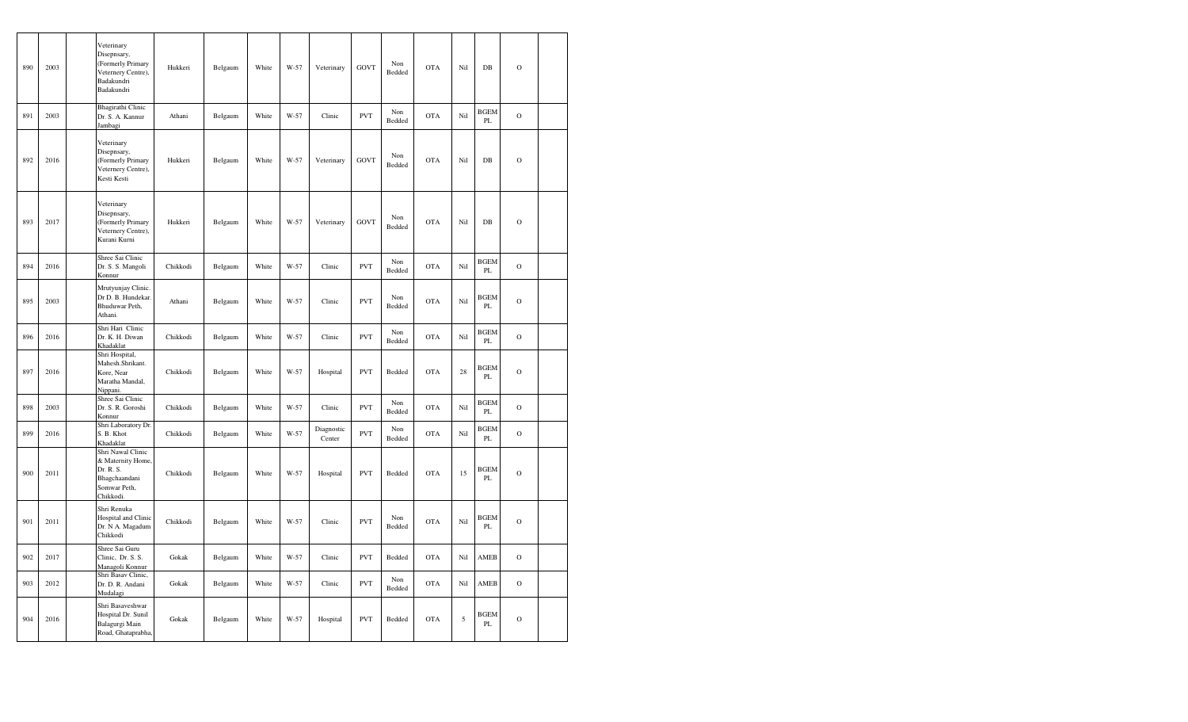| 890 | 2003 | Veterinary<br>Disepnsary,<br>(Formerly Primary<br>Veternery Centre),<br>Badakundri<br>Badakundri  | Hukkeri  | Belgaum | White | W-57 | Veterinary           | <b>GOVT</b> | Non<br>Bedded | <b>OTA</b> | Nil | $DB$                         | $\mathcal{O}$ |  |
|-----|------|---------------------------------------------------------------------------------------------------|----------|---------|-------|------|----------------------|-------------|---------------|------------|-----|------------------------------|---------------|--|
| 891 | 2003 | Bhagirathi Clinic<br>Dr. S. A. Kannur<br>Jambagi                                                  | Athani   | Belgaum | White | W-57 | Clinic               | <b>PVT</b>  | Non<br>Bedded | <b>OTA</b> | Nil | <b>BGEM</b><br>PL            | $\mathcal{O}$ |  |
| 892 | 2016 | Veterinary<br>Disepnsary,<br>(Formerly Primary<br>Veternery Centre),<br>Kesti Kesti               | Hukkeri  | Belgaum | White | W-57 | Veterinary           | <b>GOVT</b> | Non<br>Bedded | <b>OTA</b> | Nil | $DB$                         | $\mathcal{O}$ |  |
| 893 | 2017 | Veterinary<br>Disepnsary,<br>(Formerly Primary<br>Veternery Centre),<br>Kurani Kurni              | Hukkeri  | Belgaum | White | W-57 | Veterinary           | <b>GOVT</b> | Non<br>Bedded | <b>OTA</b> | Nil | DB                           | $\mathcal{O}$ |  |
| 894 | 2016 | Shree Sai Clinic<br>Dr. S. S. Mangoli<br>Konnur                                                   | Chikkodi | Belgaum | White | W-57 | Clinic               | <b>PVT</b>  | Non<br>Bedded | <b>OTA</b> | Nil | <b>BGEM</b><br>PL            | $\mathbf O$   |  |
| 895 | 2003 | Mrutyunjay Clinic.<br>Dr D. B. Hundekar.<br>Bhuduwar Peth,<br>Athani.                             | Athani   | Belgaum | White | W-57 | Clinic               | <b>PVT</b>  | Non<br>Bedded | <b>OTA</b> | Nil | <b>BGEM</b><br>$\mathbf{PL}$ | $\mathcal{O}$ |  |
| 896 | 2016 | Shri Hari Clinic<br>Dr. K. H. Diwan<br>Khadaklat                                                  | Chikkodi | Belgaum | White | W-57 | Clinic               | <b>PVT</b>  | Non<br>Bedded | <b>OTA</b> | Nil | <b>BGEM</b><br>PL            | $\mathbf O$   |  |
| 897 | 2016 | Shri Hospital,<br>Mahesh.Shrikant.<br>Kore, Near<br>Maratha Mandal,<br>Nippani.                   | Chikkodi | Belgaum | White | W-57 | Hospital             | <b>PVT</b>  | Bedded        | <b>OTA</b> | 28  | <b>BGEM</b><br>PL            | $\mathbf O$   |  |
| 898 | 2003 | Shree Sai Clinic<br>Dr. S. R. Goroshi<br>Konnur                                                   | Chikkodi | Belgaum | White | W-57 | Clinic               | <b>PVT</b>  | Non<br>Bedded | <b>OTA</b> | Nil | <b>BGEM</b><br>$\mathbf{PL}$ | $\mathcal{O}$ |  |
| 899 | 2016 | Shri Laboratory Dr.<br>S. B. Khot<br>Khadaklat                                                    | Chikkodi | Belgaum | White | W-57 | Diagnostic<br>Center | <b>PVT</b>  | Non<br>Bedded | <b>OTA</b> | Nil | <b>BGEM</b><br>PL            | $\circ$       |  |
| 900 | 2011 | Shri Nawal Clinic<br>& Maternity Home,<br>Dr. R. S.<br>Bhagchaandani<br>Somwar Peth,<br>Chikkodi. | Chikkodi | Belgaum | White | W-57 | Hospital             | <b>PVT</b>  | Bedded        | <b>OTA</b> | 15  | <b>BGEM</b><br>PL            | $\mathbf O$   |  |
| 901 | 2011 | Shri Renuka<br>Hospital and Clinic<br>Dr. N A. Magadum<br>Chikkodi                                | Chikkodi | Belgaum | White | W-57 | Clinic               | <b>PVT</b>  | Non<br>Bedded | <b>OTA</b> | Nil | <b>BGEM</b><br>$\mathbf{PL}$ | $\mathbf O$   |  |
| 902 | 2017 | Shree Sai Guru<br>Clinic, Dr. S. S.<br>Managoli Konnur                                            | Gokak    | Belgaum | White | W-57 | Clinic               | <b>PVT</b>  | Bedded        | <b>OTA</b> | Nil | AMEB                         | $\mathcal{O}$ |  |
| 903 | 2012 | Shri Basav Clinic,<br>Dr. D. R. Andani<br>Mudalagi                                                | Gokak    | Belgaum | White | W-57 | Clinic               | <b>PVT</b>  | Non<br>Bedded | <b>OTA</b> | Nil | AMEB                         | $\mathcal{O}$ |  |
| 904 | 2016 | Shri Basaveshwar<br>Hospital Dr. Sunil<br>Balagurgi Main<br>Road, Ghataprabha,                    | Gokak    | Belgaum | White | W-57 | Hospital             | <b>PVT</b>  | Bedded        | <b>OTA</b> | 5   | <b>BGEM</b><br>$\mathbf{PL}$ | $\mathbf O$   |  |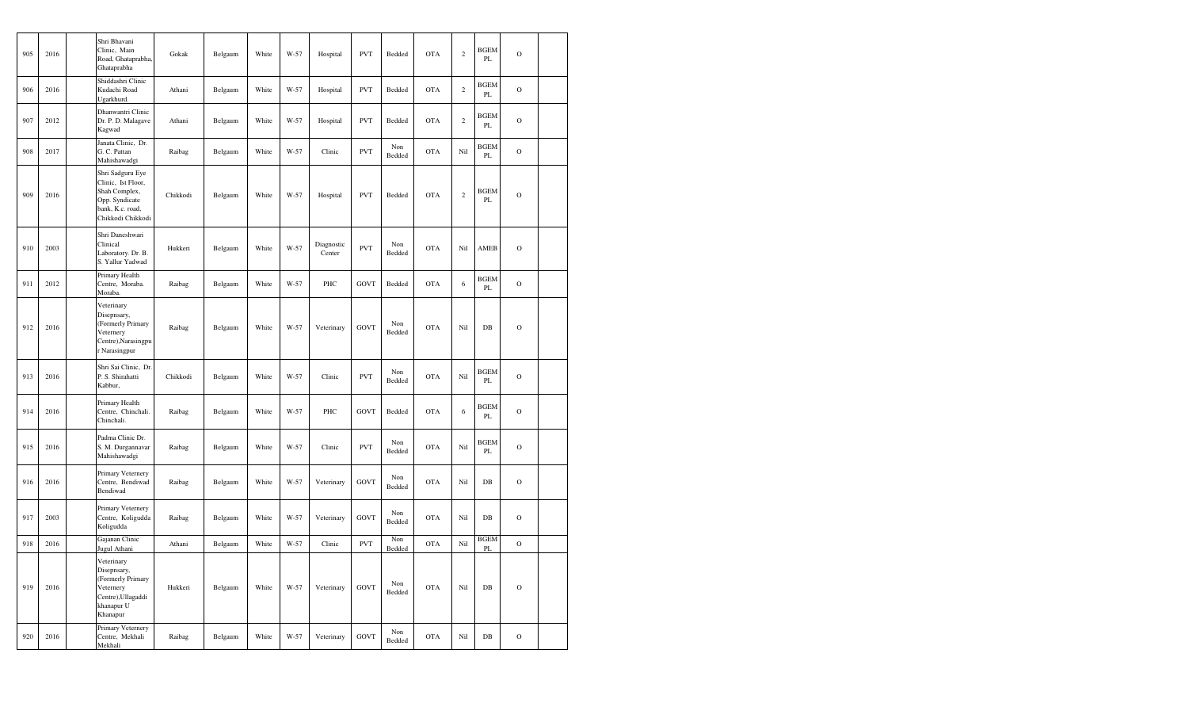| 905 | 2016 | Shri Bhavani<br>Clinic, Main<br>Road, Ghataprabha,<br>Ghataprabha                                                  | Gokak    | Belgaum | White | W-57   | Hospital             | <b>PVT</b>  | Bedded        | <b>OTA</b> | $\sqrt{2}$ | <b>BGEM</b><br>PL            | $\mathcal{O}$ |  |
|-----|------|--------------------------------------------------------------------------------------------------------------------|----------|---------|-------|--------|----------------------|-------------|---------------|------------|------------|------------------------------|---------------|--|
| 906 | 2016 | Shiddashri Clinic<br>Kudachi Road<br>Ugarkhurd.                                                                    | Athani   | Belgaum | White | W-57   | Hospital             | <b>PVT</b>  | Bedded        | <b>OTA</b> | $\sqrt{2}$ | <b>BGEM</b><br>PL            | $\mathbf O$   |  |
| 907 | 2012 | Dhanwantri Clinic<br>Dr. P. D. Malagave<br>Kagwad                                                                  | Athani   | Belgaum | White | W-57   | Hospital             | <b>PVT</b>  | Bedded        | <b>OTA</b> | $\,2\,$    | <b>BGEM</b><br>PL            | $\circ$       |  |
| 908 | 2017 | Janata Clinic, Dr.<br>G. C. Pattan<br>Mahishawadgi                                                                 | Raibag   | Belgaum | White | $W-57$ | Clinic               | <b>PVT</b>  | Non<br>Bedded | <b>OTA</b> | Nil        | <b>BGEM</b><br>$\mathbf{PL}$ | $\mathbf O$   |  |
| 909 | 2016 | Shri Sadguru Eye<br>Clinic, Ist Floor,<br>Shah Complex,<br>Opp. Syndicate<br>bank, K.c. road,<br>Chikkodi Chikkodi | Chikkodi | Belgaum | White | W-57   | Hospital             | <b>PVT</b>  | Bedded        | <b>OTA</b> | $\sqrt{2}$ | <b>BGEM</b><br>PL            | $\mathcal{O}$ |  |
| 910 | 2003 | Shri Daneshwari<br>Clinical<br>Laboratory. Dr. B.<br>S. Yallur Yadwad                                              | Hukkeri  | Belgaum | White | W-57   | Diagnostic<br>Center | <b>PVT</b>  | Non<br>Bedded | <b>OTA</b> | Nil        | AMEB                         | $\mathcal{O}$ |  |
| 911 | 2012 | Primary Health<br>Centre, Moraba.<br>Moraba.                                                                       | Raibag   | Belgaum | White | W-57   | PHC                  | <b>GOVT</b> | Bedded        | <b>OTA</b> | 6          | <b>BGEM</b><br>PL            | $\mathcal{O}$ |  |
| 912 | 2016 | Veterinary<br>Disepnsary,<br>(Formerly Primary<br>Veternery<br>Centre), Narasingpu<br>r Narasingpur                | Raibag   | Belgaum | White | W-57   | Veterinary           | <b>GOVT</b> | Non<br>Bedded | <b>OTA</b> | Nil        | $DB$                         | $\mathcal{O}$ |  |
| 913 | 2016 | Shri Sai Clinic, Dr.<br>P. S. Shirahatti<br>Kabbur,                                                                | Chikkodi | Belgaum | White | W-57   | Clinic               | <b>PVT</b>  | Non<br>Bedded | <b>OTA</b> | Nil        | <b>BGEM</b><br>PL            | $\mathcal{O}$ |  |
| 914 | 2016 | Primary Health<br>Centre, Chinchali.<br>Chinchali.                                                                 | Raibag   | Belgaum | White | $W-57$ | PHC                  | <b>GOVT</b> | Bedded        | <b>OTA</b> | $\sqrt{6}$ | <b>BGEM</b><br>PL            | $\mathcal{O}$ |  |
| 915 | 2016 | Padma Clinic Dr.<br>S. M. Durgannavar<br>Mahishawadgi                                                              | Raibag   | Belgaum | White | $W-57$ | Clinic               | <b>PVT</b>  | Non<br>Bedded | <b>OTA</b> | Nil        | <b>BGEM</b><br>PL            | $\mathbf O$   |  |
| 916 | 2016 | Primary Veternery<br>Centre, Bendiwad<br>Bendiwad                                                                  | Raibag   | Belgaum | White | $W-57$ | Veterinary           | <b>GOVT</b> | Non<br>Bedded | <b>OTA</b> | Nil        | $DB$                         | $\mathbf O$   |  |
| 917 | 2003 | Primary Veternery<br>Centre, Koligudda<br>Koligudda                                                                | Raibag   | Belgaum | White | W-57   | Veterinary           | GOVT        | Non<br>Bedded | <b>OTA</b> | Nil        | $\rm DB$                     | $\mathbf O$   |  |
| 918 | 2016 | Gajanan Clinic<br>Jugul Athani                                                                                     | Athani   | Belgaum | White | W-57   | Clinic               | <b>PVT</b>  | Non<br>Bedded | <b>OTA</b> | Nil        | <b>BGEM</b><br>PL            | $\mathcal{O}$ |  |
| 919 | 2016 | Veterinary<br>Disepnsary,<br>(Formerly Primary<br>Veternery<br>Centre), Ullagaddi<br>khanapur U<br>Khanapur        | Hukkeri  | Belgaum | White | W-57   | Veterinary           | GOVT        | Non<br>Bedded | <b>OTA</b> | Nil        | DB                           | $\mathbf O$   |  |
| 920 | 2016 | Primary Veternery<br>Centre, Mekhali<br>Mekhali                                                                    | Raibag   | Belgaum | White | $W-57$ | Veterinary           | GOVT        | Non<br>Bedded | <b>OTA</b> | Nil        | $DB$                         | $\mathcal{O}$ |  |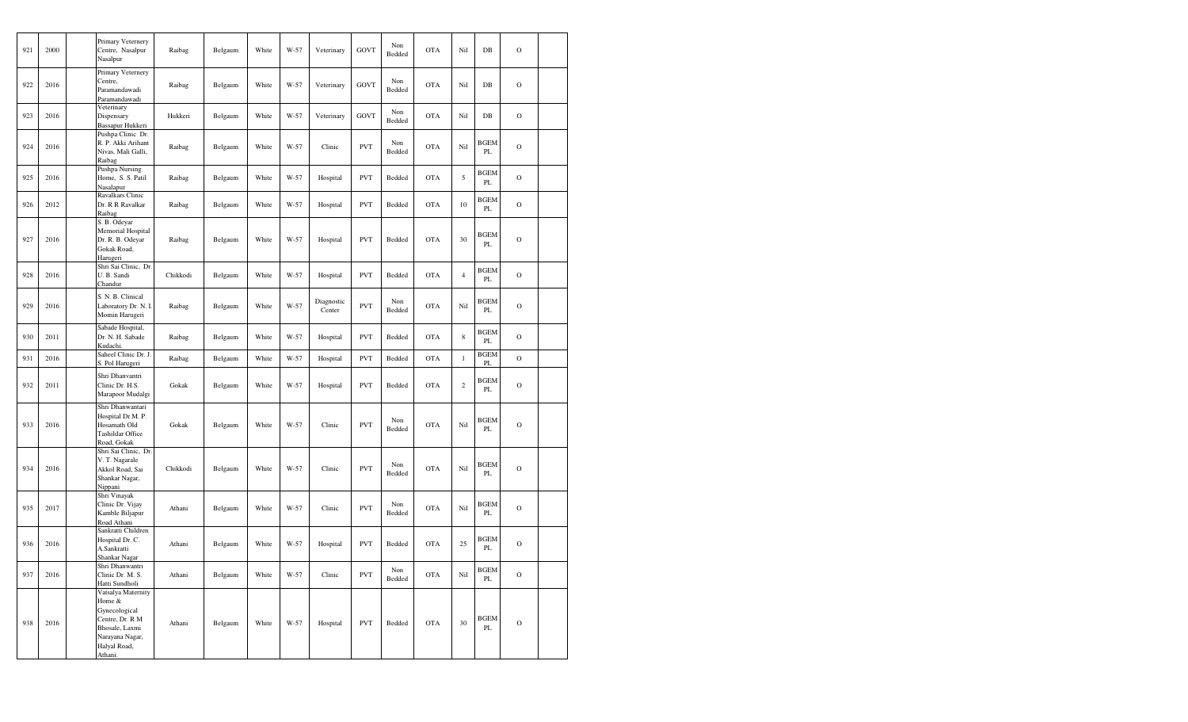| 921 | 2000 | Primary Veternery<br>Centre, Nasalpur<br>Nasalpur                                                                                | Raibag   | Belgaum | White | W-57 | Veterinary           | <b>GOVT</b> | Non<br>Bedded | <b>OTA</b> | Nil            | DB                           | $\circ$        |  |
|-----|------|----------------------------------------------------------------------------------------------------------------------------------|----------|---------|-------|------|----------------------|-------------|---------------|------------|----------------|------------------------------|----------------|--|
| 922 | 2016 | Primary Veternery<br>Centre,<br>Paramandawadi<br>Paramandawadi                                                                   | Raibag   | Belgaum | White | W-57 | Veterinary           | <b>GOVT</b> | Non<br>Bedded | <b>OTA</b> | Nil            | DB                           | $\circ$        |  |
| 923 | 2016 | Veterinary<br>Dispensary<br>Bassapur Hukkeri                                                                                     | Hukkeri  | Belgaum | White | W-57 | Veterinary           | <b>GOVT</b> | Non<br>Bedded | <b>OTA</b> | Nil            | DB                           | $\circ$        |  |
| 924 | 2016 | Pushpa Clinic Dr.<br>R. P. Akki Arihant<br>Nivas, Mali Galli,<br>Raibag                                                          | Raibag   | Belgaum | White | W-57 | Clinic               | <b>PVT</b>  | Non<br>Bedded | <b>OTA</b> | Nil            | <b>BGEM</b><br>PL            | $\overline{O}$ |  |
| 925 | 2016 | Pushpa Nursing<br>Home, S. S. Patil<br>Nasalapur                                                                                 | Raibag   | Belgaum | White | W-57 | Hospital             | <b>PVT</b>  | Bedded        | <b>OTA</b> | 5              | BGEM<br>PL                   | $\mathcal{O}$  |  |
| 926 | 2012 | Ravalkars Clinic<br>Dr. R R Ravalkar<br>Raibag                                                                                   | Raibag   | Belgaum | White | W-57 | Hospital             | <b>PVT</b>  | Bedded        | <b>OTA</b> | 10             | <b>BGEM</b><br>PL            | $\circ$        |  |
| 927 | 2016 | S. B. Odeyar<br>Memorial Hospital<br>Dr. R. B. Odeyar<br>Gokak Road,<br>Harugeri                                                 | Raibag   | Belgaum | White | W-57 | Hospital             | <b>PVT</b>  | Bedded        | <b>OTA</b> | 30             | <b>BGEM</b><br>PL            | $\circ$        |  |
| 928 | 2016 | Shri Sai Clinic, Dr.<br>U.B. Sandi<br>Chandur                                                                                    | Chikkodi | Belgaum | White | W-57 | Hospital             | <b>PVT</b>  | Bedded        | <b>OTA</b> | $\overline{4}$ | <b>BGEM</b><br>PL            | $\circ$        |  |
| 929 | 2016 | S. N. B. Clinical<br>Laboratory Dr. N. I.<br>Momin Harugeri                                                                      | Raibag   | Belgaum | White | W-57 | Diagnostic<br>Center | <b>PVT</b>  | Non<br>Bedded | <b>OTA</b> | Nil            | BGEM<br>PL                   | $\circ$        |  |
| 930 | 2011 | Sabade Hospital,<br>Dr. N. H. Sabade<br>Kudachi.                                                                                 | Raibag   | Belgaum | White | W-57 | Hospital             | <b>PVT</b>  | Bedded        | <b>OTA</b> | 8              | <b>BGEM</b><br>$\mathbf{PL}$ | $\circ$        |  |
| 931 | 2016 | Saheel Clinic Dr. J.<br>S. Pol Harugeri                                                                                          | Raibag   | Belgaum | White | W-57 | Hospital             | <b>PVT</b>  | Bedded        | <b>OTA</b> | $\mathbf{1}$   | <b>BGEM</b><br>PL            | $\overline{O}$ |  |
| 932 | 2011 | Shri Dhanvantri<br>Clinic Dr. H.S.<br>Marapoor Mudalgi                                                                           | Gokak    | Belgaum | White | W-57 | Hospital             | <b>PVT</b>  | Bedded        | <b>OTA</b> | $\,2$          | BGEM<br>PL                   | $\circ$        |  |
| 933 | 2016 | Shri Dhanwantari<br>Hospital Dr.M. P.<br>Hosamath Old<br>Tashildar Office<br>Road, Gokak                                         | Gokak    | Belgaum | White | W-57 | Clinic               | <b>PVT</b>  | Non<br>Bedded | <b>OTA</b> | Nil            | <b>BGEM</b><br>PL            | $\circ$        |  |
| 934 | 2016 | Shri Sai Clinic, Dr.<br>V. T. Nagarale<br>Akkol Road, Sai<br>Shankar Nagar,<br>Nippani                                           | Chikkodi | Belgaum | White | W-57 | Clinic               | <b>PVT</b>  | Non<br>Bedded | <b>OTA</b> | Nil            | <b>BGEM</b><br>PL            | $\circ$        |  |
| 935 | 2017 | Shri Vinayak<br>Clinic Dr. Vijay<br>Kamble Biljapur<br>Road Athani                                                               | Athani   | Belgaum | White | W-57 | Clinic               | <b>PVT</b>  | Non<br>Bedded | <b>OTA</b> | Nil            | <b>BGEM</b><br>PL            | $\circ$        |  |
| 936 | 2016 | Sankratti Children<br>Hospital Dr. C.<br>A.Sankratti<br>Shankar Nagar                                                            | Athani   | Belgaum | White | W-57 | Hospital             | <b>PVT</b>  | Bedded        | <b>OTA</b> | 25             | <b>BGEM</b><br>PL            | $\mathbf O$    |  |
| 937 | 2016 | Shri Dhanwantri<br>Clinic Dr. M. S.<br>Hatti Sundholi                                                                            | Athani   | Belgaum | White | W-57 | Clinic               | <b>PVT</b>  | Non<br>Bedded | <b>OTA</b> | Nil            | <b>BGEM</b><br>PL            | $\mathbf O$    |  |
| 938 | 2016 | Vatsalya Maternity<br>Home &<br>Gynecological<br>Centre, Dr. R M<br>Bhosale, Laxmi<br>Narayana Nagar,<br>Halyal Road,<br>Athani. | Athani   | Belgaum | White | W-57 | Hospital             | <b>PVT</b>  | Bedded        | <b>OTA</b> | 30             | <b>BGEM</b><br>PL            | $\mathbf O$    |  |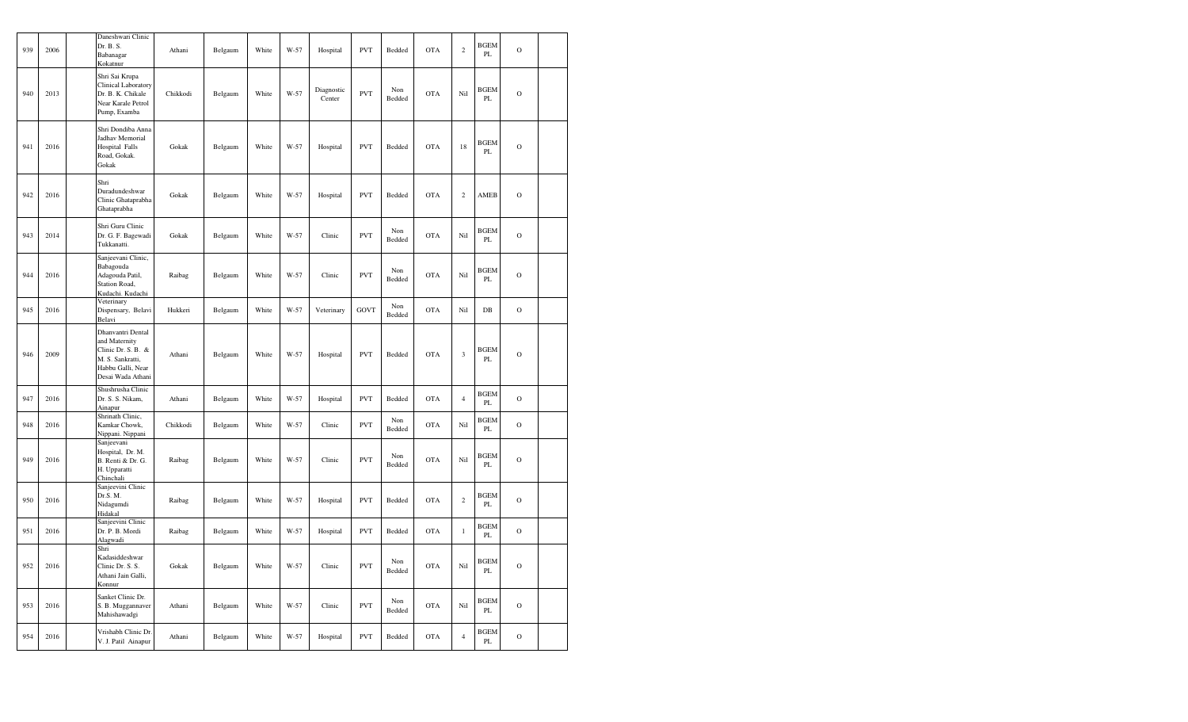| 939 | 2006 | Daneshwari Clinic<br>Dr. B. S.<br>Babanagar<br>Kokatnur                                                                | Athani   | Belgaum | White | W-57   | Hospital             | <b>PVT</b> | Bedded        | <b>OTA</b> | $\mathbf{2}$   | <b>BGEM</b><br>PL | $\mathcal{O}$  |  |
|-----|------|------------------------------------------------------------------------------------------------------------------------|----------|---------|-------|--------|----------------------|------------|---------------|------------|----------------|-------------------|----------------|--|
| 940 | 2013 | Shri Sai Krupa<br><b>Clinical Laboratory</b><br>Dr. B. K. Chikale<br>Near Karale Petrol<br>Pump, Examba                | Chikkodi | Belgaum | White | W-57   | Diagnostic<br>Center | <b>PVT</b> | Non<br>Bedded | <b>OTA</b> | Nil            | <b>BGEM</b><br>PL | $\overline{O}$ |  |
| 941 | 2016 | Shri Dondiba Anna<br>Jadhav Memorial<br>Hospital Falls<br>Road, Gokak.<br>Gokak                                        | Gokak    | Belgaum | White | $W-57$ | Hospital             | <b>PVT</b> | Bedded        | <b>OTA</b> | 18             | <b>BGEM</b><br>PL | $\mathcal{O}$  |  |
| 942 | 2016 | Shri<br>Duradundeshwar<br>Clinic Ghataprabha<br>Ghataprabha                                                            | Gokak    | Belgaum | White | W-57   | Hospital             | <b>PVT</b> | Bedded        | <b>OTA</b> | $\sqrt{2}$     | AMEB              | $\mathbf O$    |  |
| 943 | 2014 | Shri Guru Clinic<br>Dr. G. F. Bagewadi<br>Tukkanatti.                                                                  | Gokak    | Belgaum | White | W-57   | Clinic               | <b>PVT</b> | Non<br>Bedded | <b>OTA</b> | Nil            | <b>BGEM</b><br>PL | $\mathcal{O}$  |  |
| 944 | 2016 | Sanjeevani Clinic,<br>Babagouda<br>Adagouda Patil,<br>Station Road,<br>Kudachi. Kudachi                                | Raibag   | Belgaum | White | W-57   | Clinic               | <b>PVT</b> | Non<br>Bedded | <b>OTA</b> | Nil            | <b>BGEM</b><br>PL | $\overline{O}$ |  |
| 945 | 2016 | Veterinary<br>Dispensary, Belavi<br>Belavi                                                                             | Hukkeri  | Belgaum | White | W-57   | Veterinary           | GOVT       | Non<br>Bedded | <b>OTA</b> | Nil            | DB                | $\mathbf O$    |  |
| 946 | 2009 | Dhanvantri Dental<br>and Maternity<br>Clinic Dr. S. B. &<br>M. S. Sankratti,<br>Habbu Galli, Near<br>Desai Wada Athani | Athani   | Belgaum | White | W-57   | Hospital             | <b>PVT</b> | Bedded        | <b>OTA</b> | $\mathfrak{Z}$ | <b>BGEM</b><br>PL | $\mathbf O$    |  |
| 947 | 2016 | Shushrusha Clinic<br>Dr. S. S. Nikam,<br>Ainapur                                                                       | Athani   | Belgaum | White | W-57   | Hospital             | <b>PVT</b> | Bedded        | <b>OTA</b> | $\overline{4}$ | <b>BGEM</b><br>PL | $\overline{O}$ |  |
| 948 | 2016 | Shrinath Clinic,<br>Kamkar Chowk,<br>Nippani. Nippani                                                                  | Chikkodi | Belgaum | White | W-57   | Clinic               | <b>PVT</b> | Non<br>Bedded | <b>OTA</b> | Nil            | <b>BGEM</b><br>PL | $\mathcal{O}$  |  |
| 949 | 2016 | Sanjeevani<br>Hospital, Dr. M.<br>B. Renti & Dr. G.<br>H. Upparatti<br>Chinchali                                       | Raibag   | Belgaum | White | W-57   | Clinic               | <b>PVT</b> | Non<br>Bedded | <b>OTA</b> | Nil            | <b>BGEM</b><br>PL | $\mathcal{O}$  |  |
| 950 | 2016 | Sanjeevini Clinic<br>Dr.S. M.<br>Nidagumdi<br>Hidakal                                                                  | Raibag   | Belgaum | White | W-57   | Hospital             | <b>PVT</b> | Bedded        | <b>OTA</b> | $\,2$          | <b>BGEM</b><br>PL | $\circ$        |  |
| 951 | 2016 | Sanjeevini Clinic<br>Dr. P. B. Mordi<br>Alagwadi                                                                       | Raibag   | Belgaum | White | W-57   | Hospital             | <b>PVT</b> | Bedded        | <b>OTA</b> | $\,1$          | <b>BGEM</b><br>PL | $\overline{O}$ |  |
| 952 | 2016 | Shri<br>Kadasiddeshwar<br>Clinic Dr. S. S.<br>Athani Jain Galli,<br>Konnur                                             | Gokak    | Belgaum | White | W-57   | Clinic               | <b>PVT</b> | Non<br>Bedded | <b>OTA</b> | Nil            | <b>BGEM</b><br>PL | $\mathbf O$    |  |
| 953 | 2016 | Sanket Clinic Dr.<br>S. B. Muggannaver<br>Mahishawadgi                                                                 | Athani   | Belgaum | White | W-57   | Clinic               | <b>PVT</b> | Non<br>Bedded | <b>OTA</b> | Nil            | <b>BGEM</b><br>PL | $\mathbf O$    |  |
| 954 | 2016 | Vrishabh Clinic Dr.<br>V. J. Patil Ainapur                                                                             | Athani   | Belgaum | White | W-57   | Hospital             | <b>PVT</b> | Bedded        | <b>OTA</b> | $\sqrt{4}$     | <b>BGEM</b><br>PL | $\mathbf O$    |  |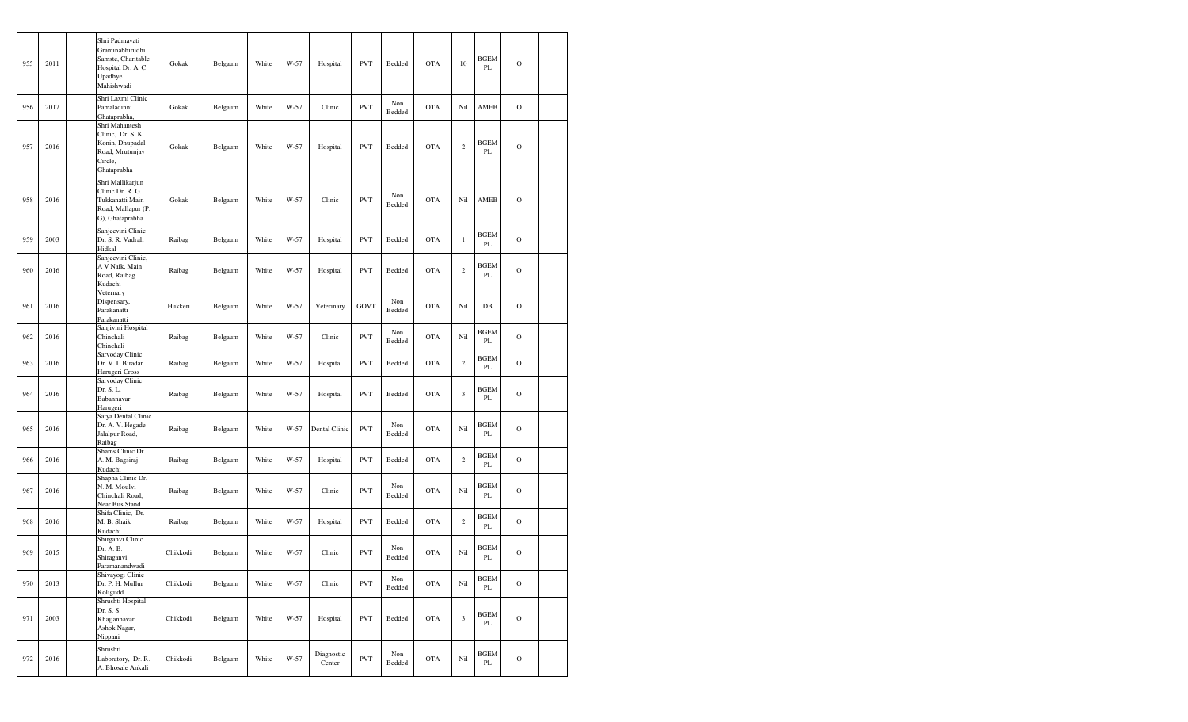| 955 | 2011 | Shri Padmavati<br>Graminabhirudhi<br>Samste, Charitable<br>Hospital Dr. A. C.<br>Upadhye<br>Mahishwadi | Gokak    | Belgaum | White | W-57 | Hospital             | <b>PVT</b> | Bedded        | <b>OTA</b> | 10             | <b>BGEM</b><br>PL | $\mathbf O$   |  |
|-----|------|--------------------------------------------------------------------------------------------------------|----------|---------|-------|------|----------------------|------------|---------------|------------|----------------|-------------------|---------------|--|
| 956 | 2017 | Shri Laxmi Clinic<br>Pamaladinni<br>Ghataprabha,                                                       | Gokak    | Belgaum | White | W-57 | Clinic               | <b>PVT</b> | Non<br>Bedded | <b>OTA</b> | Nil            | AMEB              | $\mathbf O$   |  |
| 957 | 2016 | Shri Mahantesh<br>Clinic, Dr. S. K.<br>Konin, Dhupadal<br>Road, Mrutunjay<br>Circle,<br>Ghataprabha    | Gokak    | Belgaum | White | W-57 | Hospital             | <b>PVT</b> | Bedded        | <b>OTA</b> | $\sqrt{2}$     | <b>BGEM</b><br>PL | $\mathbf O$   |  |
| 958 | 2016 | Shri Mallikarjun<br>Clinic Dr. R. G.<br>Tukkanatti Main<br>Road, Mallapur (P.<br>G), Ghataprabha       | Gokak    | Belgaum | White | W-57 | Clinic               | <b>PVT</b> | Non<br>Bedded | <b>OTA</b> | Nil            | <b>AMEB</b>       | $\mathbf O$   |  |
| 959 | 2003 | Sanjeevini Clinic<br>Dr. S. R. Vadrali<br>Hidkal                                                       | Raibag   | Belgaum | White | W-57 | Hospital             | <b>PVT</b> | Bedded        | <b>OTA</b> | $\mathbf{1}$   | <b>BGEM</b><br>PL | $\mathbf O$   |  |
| 960 | 2016 | Sanjeevini Clinic,<br>A V Naik, Main<br>Road, Raibag.<br>Kudachi                                       | Raibag   | Belgaum | White | W-57 | Hospital             | <b>PVT</b> | Bedded        | <b>OTA</b> | $\sqrt{2}$     | <b>BGEM</b><br>PL | $\mathbf O$   |  |
| 961 | 2016 | Veternary<br>Dispensary,<br>Parakanatti<br>Parakanatti                                                 | Hukkeri  | Belgaum | White | W-57 | Veterinary           | GOVT       | Non<br>Bedded | <b>OTA</b> | Nil            | DB                | $\mathbf O$   |  |
| 962 | 2016 | Sanjivini Hospital<br>Chinchali<br>Chinchali                                                           | Raibag   | Belgaum | White | W-57 | Clinic               | <b>PVT</b> | Non<br>Bedded | <b>OTA</b> | Nil            | <b>BGEM</b><br>PL | $\mathbf O$   |  |
| 963 | 2016 | Sarvoday Clinic<br>Dr. V. L.Biradar<br>Harugeri Cross                                                  | Raibag   | Belgaum | White | W-57 | Hospital             | <b>PVT</b> | Bedded        | <b>OTA</b> | $\mathbf{2}$   | <b>BGEM</b><br>PL | $\mathcal{O}$ |  |
| 964 | 2016 | Sarvoday Clinic<br>Dr. S. L.<br>Babannavar<br>Harugeri                                                 | Raibag   | Belgaum | White | W-57 | Hospital             | <b>PVT</b> | Bedded        | <b>OTA</b> | $\mathfrak{Z}$ | <b>BGEM</b><br>PL | $\mathcal{O}$ |  |
| 965 | 2016 | Satya Dental Clinic<br>Dr. A. V. Hegade<br>Jalalpur Road,<br>Raibag                                    | Raibag   | Belgaum | White | W-57 | Dental Clinic        | <b>PVT</b> | Non<br>Bedded | <b>OTA</b> | Nil            | <b>BGEM</b><br>PL | $\mathbf O$   |  |
| 966 | 2016 | Shams Clinic Dr.<br>A. M. Bagsiraj<br>Kudachi                                                          | Raibag   | Belgaum | White | W-57 | Hospital             | <b>PVT</b> | Bedded        | <b>OTA</b> | $\mathbf{2}$   | <b>BGEM</b><br>PL | $\mathcal{O}$ |  |
| 967 | 2016 | Shapha Clinic Dr.<br>N. M. Moulvi<br>Chinchali Road,<br>Near Bus Stand                                 | Raibag   | Belgaum | White | W-57 | Clinic               | <b>PVT</b> | Non<br>Bedded | <b>OTA</b> | Nil            | <b>BGEM</b><br>PL | $\mathcal{O}$ |  |
| 968 | 2016 | Shifa Clinic, Dr.<br>M. B. Shaik<br>Kudachi                                                            | Raibag   | Belgaum | White | W-57 | Hospital             | <b>PVT</b> | Bedded        | <b>OTA</b> | $\mathbf{2}$   | <b>BGEM</b><br>PL | $\mathcal{O}$ |  |
| 969 | 2015 | Shirganvi Clinic<br>Dr. A. B.<br>Shiraganvi<br>Paramanandwadi                                          | Chikkodi | Belgaum | White | W-57 | Clinic               | <b>PVT</b> | Non<br>Bedded | <b>OTA</b> | Nil            | <b>BGEM</b><br>PL | $\mathcal{O}$ |  |
| 970 | 2013 | Shivayogi Clinic<br>Dr. P. H. Mullur<br>Koligudd                                                       | Chikkodi | Belgaum | White | W-57 | Clinic               | <b>PVT</b> | Non<br>Bedded | <b>OTA</b> | Nil            | <b>BGEM</b><br>PL | $\mathbf O$   |  |
| 971 | 2003 | Shrushti Hospital<br>Dr. S. S.<br>Khajjannavar<br>Ashok Nagar,<br>Nippani                              | Chikkodi | Belgaum | White | W-57 | Hospital             | <b>PVT</b> | Bedded        | <b>OTA</b> | $\mathfrak z$  | <b>BGEM</b><br>PL | $\mathcal{O}$ |  |
| 972 | 2016 | Shrushti<br>Laboratory, Dr. R.<br>A. Bhosale Ankali                                                    | Chikkodi | Belgaum | White | W-57 | Diagnostic<br>Center | <b>PVT</b> | Non<br>Bedded | <b>OTA</b> | Nil            | <b>BGEM</b><br>PL | $\mathbf O$   |  |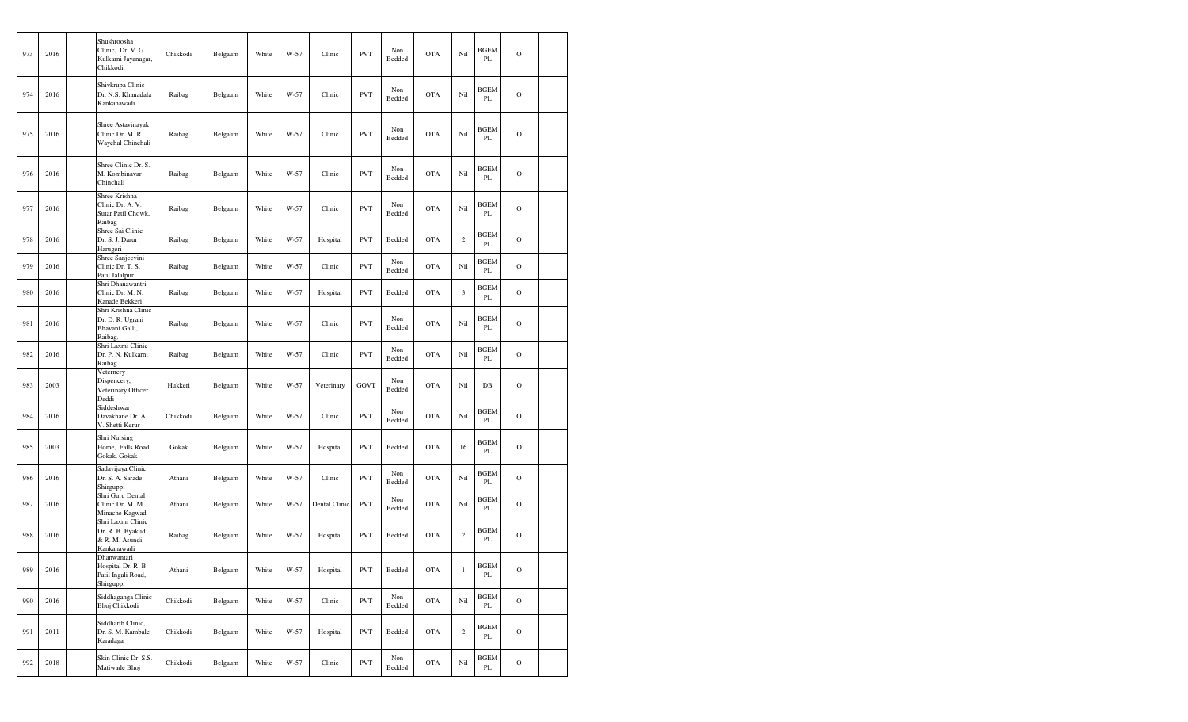| 973 | 2016 | Shushroosha<br>Clinic, Dr. V. G.<br>Kulkarni Jayanagar,<br>Chikkodi.   | Chikkodi | Belgaum | White | W-57 | Clinic        | <b>PVT</b> | Non<br>Bedded | <b>OTA</b> | Nil            | <b>BGEM</b><br>PL | $\mathcal{O}$ |  |
|-----|------|------------------------------------------------------------------------|----------|---------|-------|------|---------------|------------|---------------|------------|----------------|-------------------|---------------|--|
| 974 | 2016 | Shivkrupa Clinic<br>Dr. N.S. Khanadala<br>Kankanawadi                  | Raibag   | Belgaum | White | W-57 | Clinic        | <b>PVT</b> | Non<br>Bedded | <b>OTA</b> | Nil            | <b>BGEM</b><br>PL | $\circ$       |  |
| 975 | 2016 | Shree Astavinayak<br>Clinic Dr. M. R.<br>Waychal Chinchali             | Raibag   | Belgaum | White | W-57 | Clinic        | <b>PVT</b> | Non<br>Bedded | <b>OTA</b> | Nil            | <b>BGEM</b><br>PL | $\circ$       |  |
| 976 | 2016 | Shree Clinic Dr. S.<br>M. Kombinavar<br>Chinchali                      | Raibag   | Belgaum | White | W-57 | Clinic        | <b>PVT</b> | Non<br>Bedded | <b>OTA</b> | Nil            | BGEM<br>PL        | $\mathcal{O}$ |  |
| 977 | 2016 | Shree Krishna<br>Clinic Dr. A. V.<br>Sutar Patil Chowk,<br>Raibag      | Raibag   | Belgaum | White | W-57 | Clinic        | <b>PVT</b> | Non<br>Bedded | <b>OTA</b> | Nil            | BGEM<br>PL        | $\circ$       |  |
| 978 | 2016 | Shree Sai Clinic<br>Dr. S. J. Darur<br>Harugeri                        | Raibag   | Belgaum | White | W-57 | Hospital      | <b>PVT</b> | Bedded        | <b>OTA</b> | $\overline{c}$ | <b>BGEM</b><br>PL | $\circ$       |  |
| 979 | 2016 | Shree Sanjeevini<br>Clinic Dr. T. S.<br>Patil Jalalpur                 | Raibag   | Belgaum | White | W-57 | Clinic        | <b>PVT</b> | Non<br>Bedded | <b>OTA</b> | Nil            | <b>BGEM</b><br>PL | $\circ$       |  |
| 980 | 2016 | Shri Dhanawantri<br>Clinic Dr. M. N.<br>Kanade Bekkeri                 | Raibag   | Belgaum | White | W-57 | Hospital      | <b>PVT</b> | Bedded        | <b>OTA</b> | 3              | <b>BGEM</b><br>PL | $\circ$       |  |
| 981 | 2016 | Shri Krishna Clinic<br>Dr. D. R. Ugrani<br>Bhavani Galli,<br>Raibag.   | Raibag   | Belgaum | White | W-57 | Clinic        | <b>PVT</b> | Non<br>Bedded | <b>OTA</b> | Nil            | <b>BGEM</b><br>PL | $\mathbf O$   |  |
| 982 | 2016 | Shri Laxmi Clinic<br>Dr. P. N. Kulkarni<br>Raibag                      | Raibag   | Belgaum | White | W-57 | Clinic        | <b>PVT</b> | Non<br>Bedded | <b>OTA</b> | Nil            | <b>BGEM</b><br>PL | $\circ$       |  |
| 983 | 2003 | Veternery<br>Dispencery,<br>Veterinary Officer<br>Daddi                | Hukkeri  | Belgaum | White | W-57 | Veterinary    | GOVT       | Non<br>Bedded | <b>OTA</b> | Nil            | $DB$              | $\circ$       |  |
| 984 | 2016 | Siddeshwar<br>Davakhane Dr. A.<br>V. Shetti Kerur                      | Chikkodi | Belgaum | White | W-57 | Clinic        | <b>PVT</b> | Non<br>Bedded | <b>OTA</b> | Nil            | <b>BGEM</b><br>PL | $\mathbf O$   |  |
| 985 | 2003 | Shri Nursing<br>Home, Falls Road,<br>Gokak. Gokak                      | Gokak    | Belgaum | White | W-57 | Hospital      | <b>PVT</b> | Bedded        | <b>OTA</b> | 16             | BGEM<br>PL        | $\circ$       |  |
| 986 | 2016 | Sadavijaya Clinic<br>Dr. S. A. Sarade<br>Shirguppi                     | Athani   | Belgaum | White | W-57 | Clinic        | <b>PVT</b> | Non<br>Bedded | <b>OTA</b> | Nil            | <b>BGEM</b><br>PL | $\mathbf O$   |  |
| 987 | 2016 | Shri Guru Dental<br>Clinic Dr. M. M.<br>Minache Kagwad                 | Athani   | Belgaum | White | W-57 | Dental Clinic | <b>PVT</b> | Non<br>Bedded | <b>OTA</b> | Nil            | BGEM<br>PL        | $\mathcal{O}$ |  |
| 988 | 2016 | Shri Laxmi Clinic<br>Dr. R. B. Byakud<br>& R. M. Asundi<br>Kankanawadi | Raibag   | Belgaum | White | W-57 | Hospital      | <b>PVT</b> | Bedded        | <b>OTA</b> | $\overline{c}$ | <b>BGEM</b><br>PL | $\circ$       |  |
| 989 | 2016 | Dhanwantari<br>Hospital Dr. R. B.<br>Patil Ingali Road,<br>Shirguppi   | Athani   | Belgaum | White | W-57 | Hospital      | <b>PVT</b> | Bedded        | OTA        | $\mathbf{1}$   | <b>BGEM</b><br>PL | $\mathbf O$   |  |
| 990 | 2016 | Siddhaganga Clinic<br>Bhoj Chikkodi                                    | Chikkodi | Belgaum | White | W-57 | Clinic        | <b>PVT</b> | Non<br>Bedded | OTA        | Nil            | <b>BGEM</b><br>PL | $\mathcal O$  |  |
| 991 | 2011 | Siddharth Clinic,<br>Dr. S. M. Kambale<br>Karadaga                     | Chikkodi | Belgaum | White | W-57 | Hospital      | <b>PVT</b> | Bedded        | <b>OTA</b> | $\,2\,$        | <b>BGEM</b><br>PL | $\mathbf O$   |  |
| 992 | 2018 | Skin Clinic Dr. S.S.<br>Matiwade Bhoj                                  | Chikkodi | Belgaum | White | W-57 | Clinic        | <b>PVT</b> | Non<br>Bedded | <b>OTA</b> | Nil            | <b>BGEM</b><br>PL | $\mathbf O$   |  |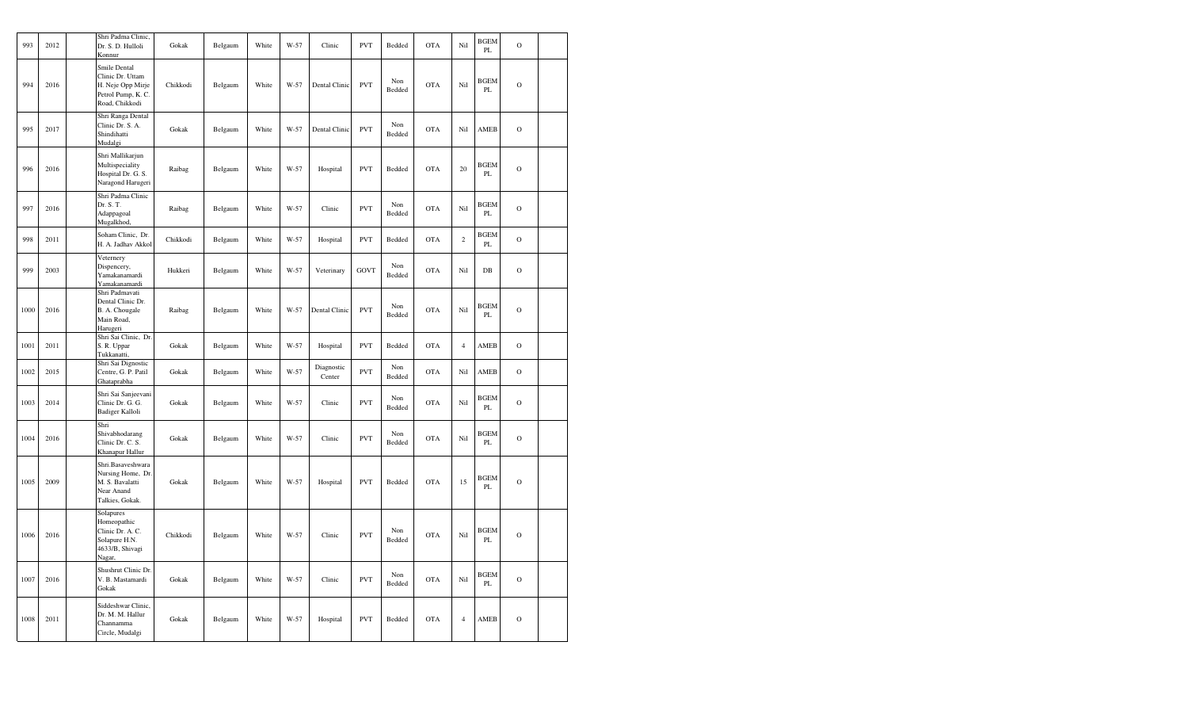| 993  | 2012 | Shri Padma Clinic.<br>Dr. S. D. Hulloli<br>Konnur                                             | Gokak    | Belgaum | White | W-57   | Clinic               | <b>PVT</b> | Bedded        | <b>OTA</b> | Nil            | <b>BGEM</b><br>PL | $\mathcal{O}$ |  |
|------|------|-----------------------------------------------------------------------------------------------|----------|---------|-------|--------|----------------------|------------|---------------|------------|----------------|-------------------|---------------|--|
| 994  | 2016 | Smile Dental<br>Clinic Dr. Uttam<br>H. Neje Opp Mirje<br>Petrol Pump, K. C.<br>Road, Chikkodi | Chikkodi | Belgaum | White | W-57   | Dental Clinic        | <b>PVT</b> | Non<br>Bedded | <b>OTA</b> | Nil            | <b>BGEM</b><br>PL | $\mathcal{O}$ |  |
| 995  | 2017 | Shri Ranga Dental<br>Clinic Dr. S. A.<br>Shindihatti<br>Mudalgi                               | Gokak    | Belgaum | White | W-57   | Dental Clinic        | <b>PVT</b> | Non<br>Bedded | <b>OTA</b> | Nil            | AMEB              | $\mathcal{O}$ |  |
| 996  | 2016 | Shri Mallikarjun<br>Multispeciality<br>Hospital Dr. G. S.<br>Naragond Harugeri                | Raibag   | Belgaum | White | W-57   | Hospital             | <b>PVT</b> | Bedded        | <b>OTA</b> | 20             | <b>BGEM</b><br>PL | $\mathcal{O}$ |  |
| 997  | 2016 | Shri Padma Clinic<br>Dr. S. T.<br>Adappagoal<br>Mugalkhod,                                    | Raibag   | Belgaum | White | W-57   | Clinic               | <b>PVT</b> | Non<br>Bedded | <b>OTA</b> | Nil            | <b>BGEM</b><br>PL | $\mathcal{O}$ |  |
| 998  | 2011 | Soham Clinic, Dr.<br>H. A. Jadhav Akkol                                                       | Chikkodi | Belgaum | White | W-57   | Hospital             | <b>PVT</b> | Bedded        | <b>OTA</b> | $\sqrt{2}$     | BGEM<br>PL        | $\mathcal{O}$ |  |
| 999  | 2003 | Veternery<br>Dispencery,<br>Yamakanamardi<br>Yamakanamardi                                    | Hukkeri  | Belgaum | White | W-57   | Veterinary           | GOVT       | Non<br>Bedded | <b>OTA</b> | Nil            | $DB$              | $\mathcal{O}$ |  |
| 1000 | 2016 | Shri Padmavati<br>Dental Clinic Dr.<br>B. A. Chougale<br>Main Road,<br>Harugeri               | Raibag   | Belgaum | White | W-57   | Dental Clinic        | <b>PVT</b> | Non<br>Bedded | <b>OTA</b> | Nil            | <b>BGEM</b><br>PL | $\mathcal{O}$ |  |
| 1001 | 2011 | Shri Sai Clinic, Dr.<br>S. R. Uppar<br>Tukkanatti,                                            | Gokak    | Belgaum | White | W-57   | Hospital             | <b>PVT</b> | Bedded        | <b>OTA</b> | $\overline{4}$ | AMEB              | $\mathbf O$   |  |
| 1002 | 2015 | Shri Sai Dignostic<br>Centre, G. P. Patil<br>Ghataprabha                                      | Gokak    | Belgaum | White | W-57   | Diagnostic<br>Center | <b>PVT</b> | Non<br>Bedded | <b>OTA</b> | Nil            | AMEB              | $\circ$       |  |
| 1003 | 2014 | Shri Sai Sanjeevani<br>Clinic Dr. G. G.<br>Badiger Kalloli                                    | Gokak    | Belgaum | White | W-57   | Clinic               | <b>PVT</b> | Non<br>Bedded | <b>OTA</b> | Nil            | <b>BGEM</b><br>PL | $\mathbf O$   |  |
| 1004 | 2016 | Shri<br>Shivabhodarang<br>Clinic Dr. C. S.<br>Khanapur Hallur                                 | Gokak    | Belgaum | White | W-57   | Clinic               | <b>PVT</b> | Non<br>Bedded | <b>OTA</b> | Nil            | <b>BGEM</b><br>PL | $\mathbf O$   |  |
| 1005 | 2009 | Shri.Basaveshwara<br>Nursing Home, Dr.<br>M. S. Bavalatti<br>Near Anand<br>Talkies, Gokak.    | Gokak    | Belgaum | White | W-57   | Hospital             | <b>PVT</b> | Bedded        | <b>OTA</b> | 15             | <b>BGEM</b><br>PL | $\mathbf O$   |  |
| 1006 | 2016 | Solapures<br>Homeopathic<br>Clinic Dr. A. C.<br>Solapure H.N.<br>4633/B, Shivagi<br>Nagar,    | Chikkodi | Belgaum | White | W-57   | Clinic               | <b>PVT</b> | Non<br>Bedded | <b>OTA</b> | Nil            | <b>BGEM</b><br>PL | $\mathbf O$   |  |
| 1007 | 2016 | Shushrut Clinic Dr.<br>V. B. Mastamardi<br>Gokak                                              | Gokak    | Belgaum | White | $W-57$ | Clinic               | <b>PVT</b> | Non<br>Bedded | <b>OTA</b> | Nil            | <b>BGEM</b><br>PL | $\mathcal{O}$ |  |
| 1008 | 2011 | Siddeshwar Clinic,<br>Dr. M. M. Hallur<br>Channamma<br>Circle, Mudalgi                        | Gokak    | Belgaum | White | W-57   | Hospital             | <b>PVT</b> | Bedded        | <b>OTA</b> | $\overline{4}$ | AMEB              | $\mathbf O$   |  |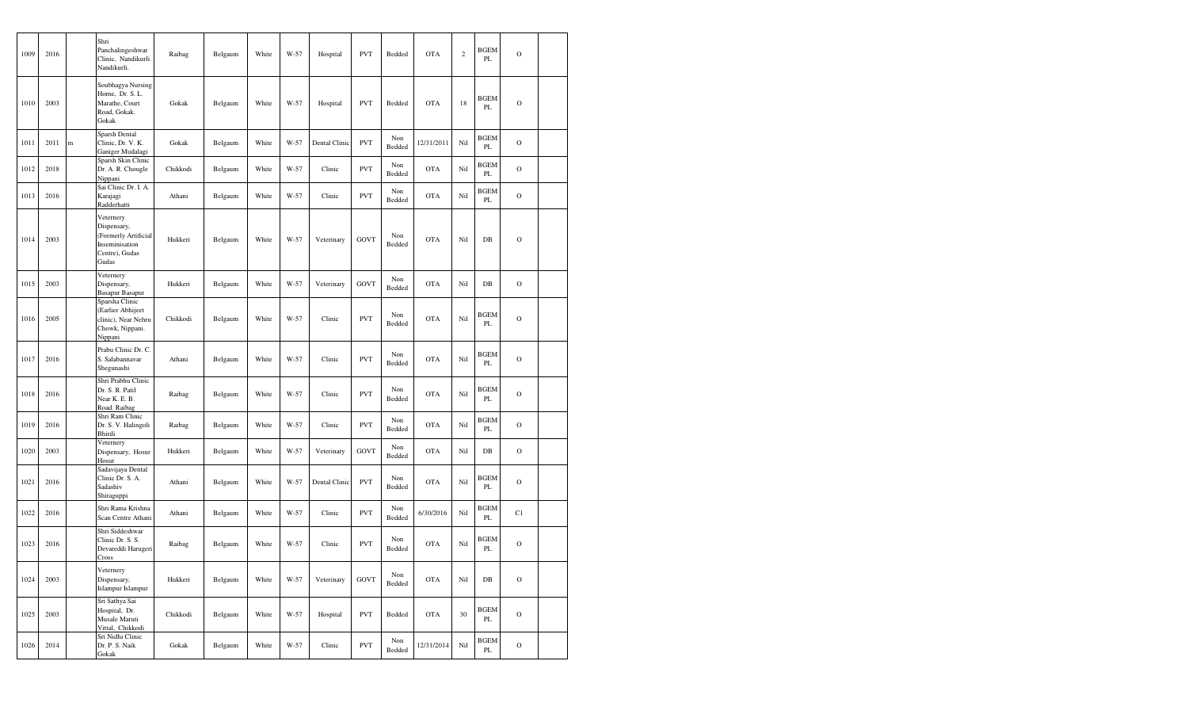| 1009 | 2016 |   | Shri<br>Panchalingeshwar<br>Clinic, Nandikurli.<br>Nandikurli.                                | Raibag   | Belgaum | White | W-57 | Hospital      | <b>PVT</b>  | Bedded        | <b>OTA</b> | $\mathbf{2}$ | <b>BGEM</b><br>PL | $\mathcal{O}$  |  |
|------|------|---|-----------------------------------------------------------------------------------------------|----------|---------|-------|------|---------------|-------------|---------------|------------|--------------|-------------------|----------------|--|
| 1010 | 2003 |   | Soubhagya Nursing<br>Home, Dr. S. L.<br>Marathe, Court<br>Road, Gokak.<br>Gokak               | Gokak    | Belgaum | White | W-57 | Hospital      | <b>PVT</b>  | Bedded        | <b>OTA</b> | 18           | BGEM<br>PL        | $\mathcal{O}$  |  |
| 1011 | 2011 | m | Sparsh Dental<br>Clinic, Dr. V. K.<br>Ganiger Mudalagi                                        | Gokak    | Belgaum | White | W-57 | Dental Clinic | <b>PVT</b>  | Non<br>Bedded | 12/31/2011 | Nil          | <b>BGEM</b><br>PL | $\mathcal{O}$  |  |
| 1012 | 2018 |   | Sparsh Skin Clinic<br>Dr. A. R. Chougle<br>Nippani                                            | Chikkodi | Belgaum | White | W-57 | Clinic        | <b>PVT</b>  | Non<br>Bedded | <b>OTA</b> | Nil          | <b>BGEM</b><br>PL | $\circ$        |  |
| 1013 | 2016 |   | Sai Clinic Dr. I. A.<br>Karajagi<br>Radderhatti                                               | Athani   | Belgaum | White | W-57 | Clinic        | <b>PVT</b>  | Non<br>Bedded | <b>OTA</b> | Nil          | <b>BGEM</b><br>PL | $\circ$        |  |
| 1014 | 2003 |   | Veternery<br>Dispensary,<br>(Formerly Artificial<br>Inseminisation<br>Centre), Gudas<br>Gudas | Hukkeri  | Belgaum | White | W-57 | Veterinary    | GOVT        | Non<br>Bedded | <b>OTA</b> | Nil          | DB                | $\mathbf O$    |  |
| 1015 | 2003 |   | Veternery<br>Dispensary,<br><b>Basapur Basapur</b>                                            | Hukkeri  | Belgaum | White | W-57 | Veterinary    | GOVT        | Non<br>Bedded | <b>OTA</b> | Nil          | DB                | $\mathcal{O}$  |  |
| 1016 | 2005 |   | Sparsha Clinic<br>(Earlier Abhijeet<br>clinic), Near Nehru<br>Chowk, Nippani.<br>Nippani      | Chikkodi | Belgaum | White | W-57 | Clinic        | <b>PVT</b>  | Non<br>Bedded | <b>OTA</b> | Nil          | BGEM<br>PL        | $\mathcal{O}$  |  |
| 1017 | 2016 |   | Prabu Clinic Dr. C.<br>S. Salabannavar<br>Shegunashi                                          | Athani   | Belgaum | White | W-57 | Clinic        | <b>PVT</b>  | Non<br>Bedded | <b>OTA</b> | Nil          | <b>BGEM</b><br>PL | $\overline{O}$ |  |
| 1018 | 2016 |   | Shri Prabhu Clinic<br>Dr. S. R. Patil<br>Near K. E. B.<br>Road. Raibag                        | Raibag   | Belgaum | White | W-57 | Clinic        | <b>PVT</b>  | Non<br>Bedded | <b>OTA</b> | Nil          | <b>BGEM</b><br>PL | $\circ$        |  |
| 1019 | 2016 |   | Shri Ram Clinic<br>Dr. S. V. Halingoli<br>Bhirdi                                              | Raibag   | Belgaum | White | W-57 | Clinic        | <b>PVT</b>  | Non<br>Bedded | <b>OTA</b> | Nil          | <b>BGEM</b><br>PL | $\overline{O}$ |  |
| 1020 | 2003 |   | Veternery<br>Dispensary, Hosur<br>Hosur                                                       | Hukkeri  | Belgaum | White | W-57 | Veterinary    | GOVT        | Non<br>Bedded | <b>OTA</b> | Nil          | DB                | $\mathcal{O}$  |  |
| 1021 | 2016 |   | Sadavijaya Dental<br>Clinic Dr. S. A.<br>Sadashiv<br>Shiraguppi                               | Athani   | Belgaum | White | W-57 | Dental Clinic | <b>PVT</b>  | Non<br>Bedded | <b>OTA</b> | Nil          | <b>BGEM</b><br>PL | $\circ$        |  |
| 1022 | 2016 |   | Shri Rama Krishna<br>Scan Centre Athani                                                       | Athani   | Belgaum | White | W-57 | Clinic        | <b>PVT</b>  | Non<br>Bedded | 6/30/2016  | Nil          | BGEM<br>PL        | C1             |  |
| 1023 | 2016 |   | Shri Siddeshwar<br>Clinic Dr. S. S.<br>Devareddi Harugeri<br>Cross                            | Raibag   | Belgaum | White | W-57 | Clinic        | <b>PVT</b>  | Non<br>Bedded | <b>OTA</b> | Nil          | <b>BGEM</b><br>PL | $\mathbf O$    |  |
| 1024 | 2003 |   | Veternery<br>Dispensary,<br>Islampur Islampur                                                 | Hukkeri  | Belgaum | White | W-57 | Veterinary    | <b>GOVT</b> | Non<br>Bedded | <b>OTA</b> | Nil          | DB                | $\overline{O}$ |  |
| 1025 | 2003 |   | Sri Sathya Sai<br>Hospital, Dr.<br>Musale Maruti<br>Vittal, Chikkodi                          | Chikkodi | Belgaum | White | W-57 | Hospital      | <b>PVT</b>  | Bedded        | <b>OTA</b> | 30           | <b>BGEM</b><br>PL | $\overline{O}$ |  |
| 1026 | 2014 |   | Sri Nidhi Clinic<br>Dr. P. S. Naik<br>Gokak                                                   | Gokak    | Belgaum | White | W-57 | Clinic        | <b>PVT</b>  | Non<br>Bedded | 12/31/2014 | Nil          | BGEM<br>PL        | $\mathbf O$    |  |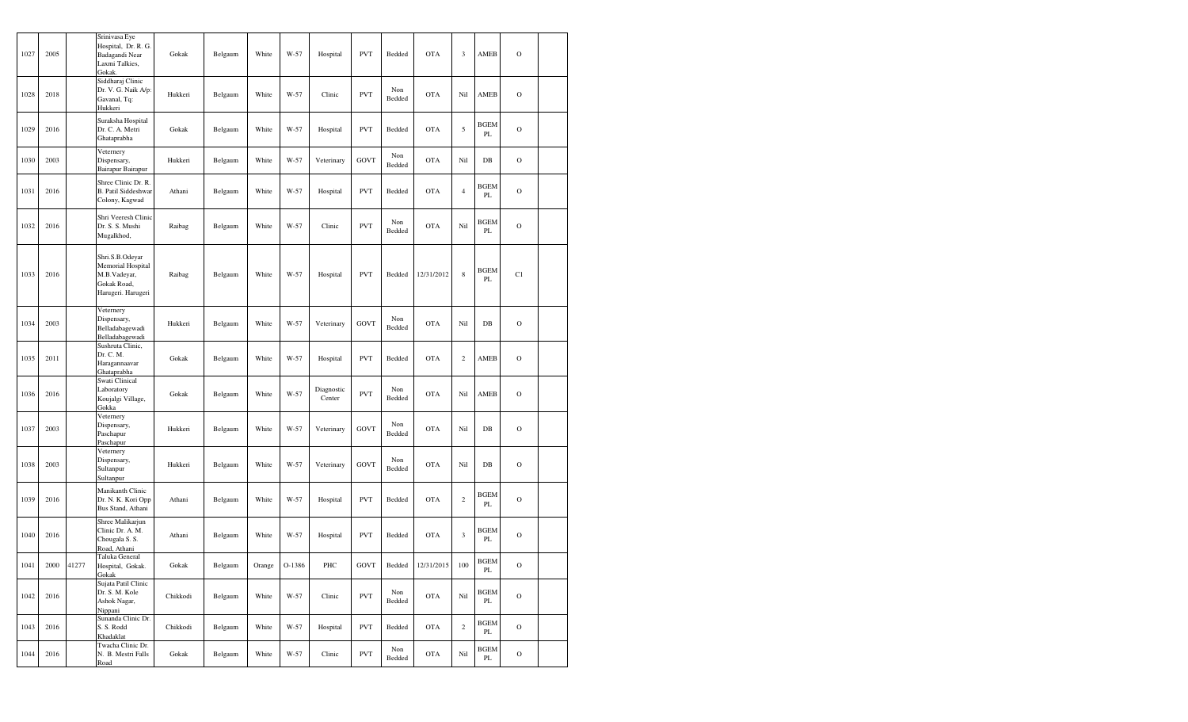| 1027 | 2005 |       | Srinivasa Eye<br>Hospital, Dr. R. G.<br>Badagandi Near<br>Laxmi Talkies,<br>Gokak.        | Gokak    | Belgaum | White  | W-57   | Hospital             | <b>PVT</b>  | Bedded        | <b>OTA</b> | $\mathfrak{Z}$          | AMEB              | $\mathbf O$   |  |
|------|------|-------|-------------------------------------------------------------------------------------------|----------|---------|--------|--------|----------------------|-------------|---------------|------------|-------------------------|-------------------|---------------|--|
| 1028 | 2018 |       | Siddharaj Clinic<br>Dr. V. G. Naik A/p:<br>Gavanal, Tq:<br>Hukkeri                        | Hukkeri  | Belgaum | White  | W-57   | Clinic               | <b>PVT</b>  | Non<br>Bedded | <b>OTA</b> | Nil                     | AMEB              | $\mathbf O$   |  |
| 1029 | 2016 |       | Suraksha Hospital<br>Dr. C. A. Metri<br>Ghataprabha                                       | Gokak    | Belgaum | White  | W-57   | Hospital             | <b>PVT</b>  | Bedded        | <b>OTA</b> | $\sqrt{5}$              | <b>BGEM</b><br>PL | $\mathbf O$   |  |
| 1030 | 2003 |       | Veternery<br>Dispensary,<br>Bairapur Bairapur                                             | Hukkeri  | Belgaum | White  | W-57   | Veterinary           | <b>GOVT</b> | Non<br>Bedded | <b>OTA</b> | Nil                     | DB                | $\mathbf O$   |  |
| 1031 | 2016 |       | Shree Clinic Dr. R.<br><b>B.</b> Patil Siddeshwar<br>Colony, Kagwad                       | Athani   | Belgaum | White  | W-57   | Hospital             | <b>PVT</b>  | Bedded        | <b>OTA</b> | $\overline{4}$          | BGEM<br>PL        | $\mathbf O$   |  |
| 1032 | 2016 |       | Shri Veeresh Clinic<br>Dr. S. S. Mushi<br>Mugalkhod,                                      | Raibag   | Belgaum | White  | W-57   | Clinic               | <b>PVT</b>  | Non<br>Bedded | <b>OTA</b> | Nil                     | <b>BGEM</b><br>PL | $\mathbf O$   |  |
| 1033 | 2016 |       | Shri.S.B.Odeyar<br>Memorial Hospital<br>M.B.Vadeyar,<br>Gokak Road,<br>Harugeri. Harugeri | Raibag   | Belgaum | White  | W-57   | Hospital             | <b>PVT</b>  | Bedded        | 12/31/2012 | $\,$ 8 $\,$             | <b>BGEM</b><br>PL | C1            |  |
| 1034 | 2003 |       | Veternery<br>Dispensary,<br>Belladabagewadi<br>Belladabagewadi                            | Hukkeri  | Belgaum | White  | W-57   | Veterinary           | <b>GOVT</b> | Non<br>Bedded | <b>OTA</b> | Nil                     | $DB$              | $\mathbf O$   |  |
| 1035 | 2011 |       | Sushruta Clinic,<br>Dr. C. M.<br>Haragannaavar<br>Ghataprabha                             | Gokak    | Belgaum | White  | W-57   | Hospital             | <b>PVT</b>  | Bedded        | <b>OTA</b> | $\mathbf{2}$            | AMEB              | $\mathbf O$   |  |
| 1036 | 2016 |       | Swati Clinical<br>Laboratory<br>Koujalgi Village,<br>Gokka                                | Gokak    | Belgaum | White  | W-57   | Diagnostic<br>Center | <b>PVT</b>  | Non<br>Bedded | <b>OTA</b> | Nil                     | AMEB              | $\circ$       |  |
| 1037 | 2003 |       | Veternery<br>Dispensary,<br>Paschapur<br>Paschapur                                        | Hukkeri  | Belgaum | White  | W-57   | Veterinary           | <b>GOVT</b> | Non<br>Bedded | <b>OTA</b> | Nil                     | DB                | $\mathbf O$   |  |
| 1038 | 2003 |       | Veternery<br>Dispensary,<br>Sultanpur<br>Sultanpur                                        | Hukkeri  | Belgaum | White  | W-57   | Veterinary           | <b>GOVT</b> | Non<br>Bedded | <b>OTA</b> | Nil                     | DB                | $\mathbf O$   |  |
| 1039 | 2016 |       | Manikanth Clinic<br>Dr. N. K. Kori Opp<br>Bus Stand, Athani                               | Athani   | Belgaum | White  | W-57   | Hospital             | PVT         | Bedded        | <b>OTA</b> | $\sqrt{2}$              | <b>BGEM</b><br>PL | $\mathbf O$   |  |
| 1040 | 2016 |       | Shree Malikarjun<br>Clinic Dr. A. M.<br>Chougala S. S.<br>Road, Athani                    | Athani   | Belgaum | White  | W-57   | Hospital             | <b>PVT</b>  | Bedded        | <b>OTA</b> | $\overline{\mathbf{3}}$ | <b>BGEM</b><br>PL | $\circ$       |  |
| 1041 | 2000 | 41277 | Taluka General<br>Hospital, Gokak.<br>Gokak                                               | Gokak    | Belgaum | Orange | O-1386 | PHC                  | GOVT        | Bedded        | 12/31/2015 | 100                     | <b>BGEM</b><br>PL | $\mathcal O$  |  |
| 1042 | 2016 |       | Sujata Patil Clinic<br>Dr. S. M. Kole<br>Ashok Nagar,<br>Nippani                          | Chikkodi | Belgaum | White  | W-57   | Clinic               | <b>PVT</b>  | Non<br>Bedded | <b>OTA</b> | Nil                     | BGEM<br>PL        | $\mathbf O$   |  |
| 1043 | 2016 |       | Sunanda Clinic Dr.<br>S. S. Rodd<br>Khadaklat                                             | Chikkodi | Belgaum | White  | W-57   | Hospital             | <b>PVT</b>  | Bedded        | <b>OTA</b> | $\sqrt{2}$              | <b>BGEM</b><br>PL | $\mathcal{O}$ |  |
| 1044 | 2016 |       | Twacha Clinic Dr.<br>N. B. Mestri Falls<br>Road                                           | Gokak    | Belgaum | White  | W-57   | Clinic               | <b>PVT</b>  | Non<br>Bedded | <b>OTA</b> | Nil                     | BGEM<br>PL        | $\mathcal{O}$ |  |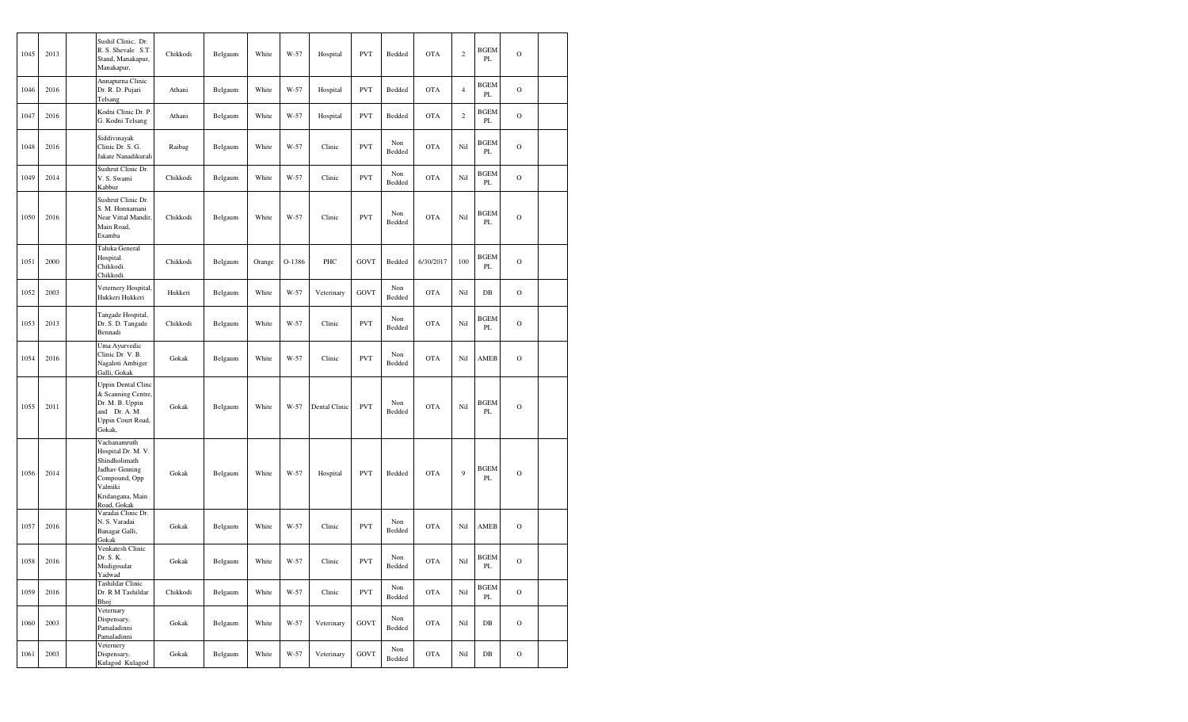| 1045 | 2013 | Sushil Clinic, Dr.<br>R. S. Shevale S.T.<br>Stand, Manakapur,<br>Manakapur,                                                          | Chikkodi | Belgaum | White  | W-57   | Hospital      | <b>PVT</b>  | Bedded        | <b>OTA</b> | $\sqrt{2}$     | <b>BGEM</b><br>PL            | $\circ$        |  |
|------|------|--------------------------------------------------------------------------------------------------------------------------------------|----------|---------|--------|--------|---------------|-------------|---------------|------------|----------------|------------------------------|----------------|--|
| 1046 | 2016 | Annapurna Clinic<br>Dr. R. D. Pujari<br>Telsang                                                                                      | Athani   | Belgaum | White  | W-57   | Hospital      | <b>PVT</b>  | Bedded        | <b>OTA</b> | $\overline{4}$ | <b>BGEM</b><br>PL            | $\circ$        |  |
| 1047 | 2016 | Kodni Clinic Dr. P.<br>G. Kodni Telsang                                                                                              | Athani   | Belgaum | White  | W-57   | Hospital      | <b>PVT</b>  | Bedded        | <b>OTA</b> | $\mathbf{2}$   | <b>BGEM</b><br>$\mathbf{PL}$ | $\circ$        |  |
| 1048 | 2016 | Siddivinayak<br>Clinic Dr. S. G.<br>Jakate Nanadikurali                                                                              | Raibag   | Belgaum | White  | W-57   | Clinic        | <b>PVT</b>  | Non<br>Bedded | <b>OTA</b> | Nil            | BGEM<br>PL                   | $\circ$        |  |
| 1049 | 2014 | Sushrut Clinic Dr.<br>V. S. Swami<br>Kabbur                                                                                          | Chikkodi | Belgaum | White  | W-57   | Clinic        | <b>PVT</b>  | Non<br>Bedded | <b>OTA</b> | Nil            | <b>BGEM</b><br>PL            | $\overline{O}$ |  |
| 1050 | 2016 | Sushrut Clinic Dr.<br>S. M. Honnamani<br>Near Vittal Mandir,<br>Main Road,<br>Examba                                                 | Chikkodi | Belgaum | White  | W-57   | Clinic        | <b>PVT</b>  | Non<br>Bedded | <b>OTA</b> | Nil            | BGEM<br>PL                   | $\circ$        |  |
| 1051 | 2000 | Taluka General<br>Hospital.<br>Chikkodi.<br>Chikkodi.                                                                                | Chikkodi | Belgaum | Orange | O-1386 | PHC           | <b>GOVT</b> | Bedded        | 6/30/2017  | 100            | <b>BGEM</b><br>PL            | $\circ$        |  |
| 1052 | 2003 | Veternery Hospital,<br>Hukkeri Hukkeri                                                                                               | Hukkeri  | Belgaum | White  | W-57   | Veterinary    | <b>GOVT</b> | Non<br>Bedded | <b>OTA</b> | Nil            | DB                           | $\overline{O}$ |  |
| 1053 | 2013 | Tangade Hospital,<br>Dr. S. D. Tangade<br>Bennadi                                                                                    | Chikkodi | Belgaum | White  | W-57   | Clinic        | <b>PVT</b>  | Non<br>Bedded | <b>OTA</b> | Nil            | <b>BGEM</b><br>PL            | $\circ$        |  |
| 1054 | 2016 | Uma Ayurvedic<br>Clinic Dr. V. B.<br>Nagaloti Ambiger<br>Galli, Gokak                                                                | Gokak    | Belgaum | White  | W-57   | Clinic        | <b>PVT</b>  | Non<br>Bedded | <b>OTA</b> | Nil            | AMEB                         | $\circ$        |  |
| 1055 | 2011 | <b>Uppin Dental Clinc</b><br>& Scanning Centre,<br>Dr. M. B. Uppin<br>and<br>Dr. A. M.<br>Uppin Court Road,<br>Gokak,                | Gokak    | Belgaum | White  | W-57   | Dental Clinic | <b>PVT</b>  | Non<br>Bedded | <b>OTA</b> | Nil            | <b>BGEM</b><br>PL            | $\circ$        |  |
| 1056 | 2014 | Vachanamruth<br>Hospital Dr. M. V.<br>Shindholimath<br>Jadhav Ginning<br>Compound, Opp<br>Valmiki<br>Kridangana, Main<br>Road, Gokak | Gokak    | Belgaum | White  | W-57   | Hospital      | <b>PVT</b>  | Bedded        | <b>OTA</b> | 9              | BGEM<br>PL                   | $\circ$        |  |
| 1057 | 2016 | Varadai Clinic Dr.<br>N. S. Varadai<br>Banagar Galli,<br>Gokak                                                                       | Gokak    | Belgaum | White  | W-57   | Clinic        | <b>PVT</b>  | Non<br>Bedded | <b>OTA</b> | Ni1            | AMEB                         | $\circ$        |  |
| 1058 | 2016 | Venkatesh Clinic<br>Dr. S. K.<br>Mudigoudar<br>Yadwad                                                                                | Gokak    | Belgaum | White  | W-57   | Clinic        | <b>PVT</b>  | Non<br>Bedded | <b>OTA</b> | Ni1            | <b>BGEM</b><br>PL            | $\mathbf O$    |  |
| 1059 | 2016 | Tashildar Clinic<br>Dr. R M Tashildar<br>Bhoj                                                                                        | Chikkodi | Belgaum | White  | W-57   | Clinic        | <b>PVT</b>  | Non<br>Bedded | <b>OTA</b> | Nil            | <b>BGEM</b><br>$\mathbf{PL}$ | $\mathbf O$    |  |
| 1060 | 2003 | Veternary<br>Dispensary,<br>Pamaladinni<br>Pamaladinni                                                                               | Gokak    | Belgaum | White  | W-57   | Veterinary    | <b>GOVT</b> | Non<br>Bedded | <b>OTA</b> | Nil            | $_{\rm DB}$                  | $\rm{O}$       |  |
| 1061 | 2003 | Veternery<br>Dispensary,<br>Kulagod Kulagod                                                                                          | Gokak    | Belgaum | White  | W-57   | Veterinary    | <b>GOVT</b> | Non<br>Bedded | <b>OTA</b> | Nil            | $DB$                         | $\mathcal{O}$  |  |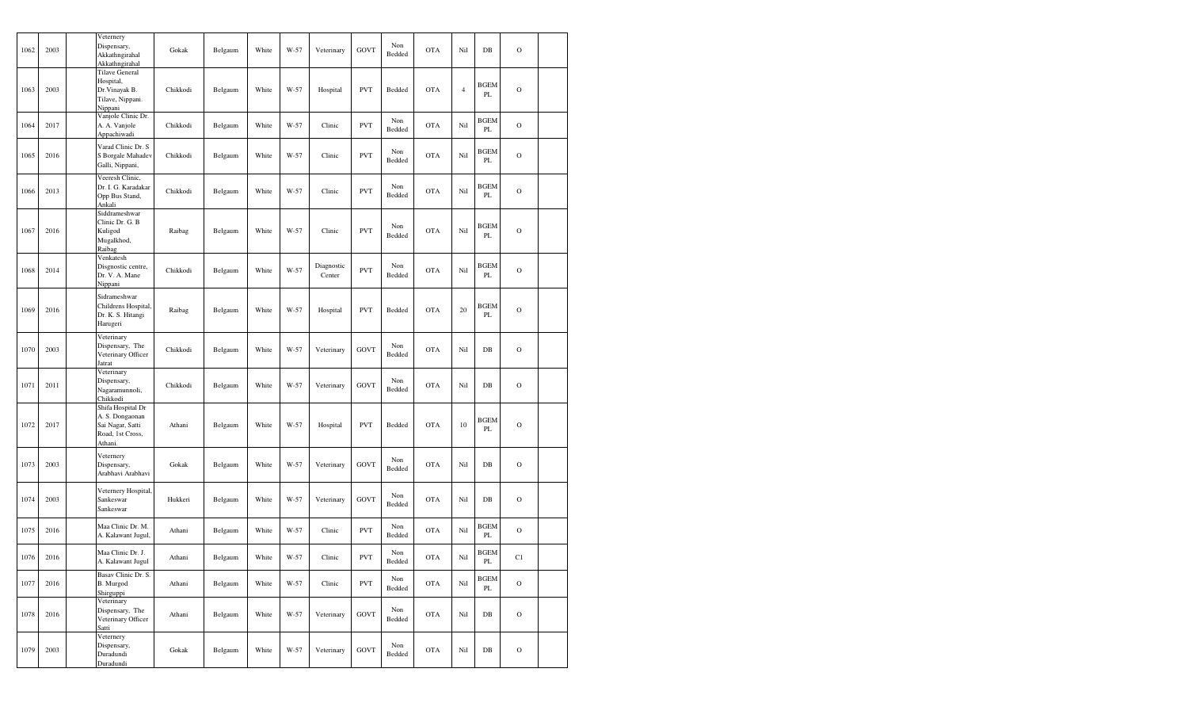| 1062 | 2003 | Veternery<br>Dispensary,<br>Akkathngirahal<br>Akkathngirahal                            | Gokak    | Belgaum | White | W-57 | Veterinary           | GOVT        | Non<br>Bedded | <b>OTA</b> | Nil            | $_{\rm DB}$       | $\mathbf O$   |  |
|------|------|-----------------------------------------------------------------------------------------|----------|---------|-------|------|----------------------|-------------|---------------|------------|----------------|-------------------|---------------|--|
| 1063 | 2003 | <b>Tilave General</b><br>Hospital,<br>Dr.Vinayak B.<br>Tilave, Nippani.<br>Nippani      | Chikkodi | Belgaum | White | W-57 | Hospital             | <b>PVT</b>  | Bedded        | <b>OTA</b> | $\overline{4}$ | <b>BGEM</b><br>PL | $\mathbf O$   |  |
| 1064 | 2017 | Vanjole Clinic Dr.<br>A. A. Vanjole<br>Appachiwadi                                      | Chikkodi | Belgaum | White | W-57 | Clinic               | <b>PVT</b>  | Non<br>Bedded | <b>OTA</b> | Nil            | <b>BGEM</b><br>PL | $\mathbf O$   |  |
| 1065 | 2016 | Varad Clinic Dr. S<br>S Borgale Mahadev<br>Galli, Nippani,                              | Chikkodi | Belgaum | White | W-57 | Clinic               | <b>PVT</b>  | Non<br>Bedded | <b>OTA</b> | Nil            | <b>BGEM</b><br>PL | $\mathbf O$   |  |
| 1066 | 2013 | Veeresh Clinic,<br>Dr. I. G. Karadakar<br>Opp Bus Stand,<br>Ankali                      | Chikkodi | Belgaum | White | W-57 | Clinic               | <b>PVT</b>  | Non<br>Bedded | <b>OTA</b> | Nil            | <b>BGEM</b><br>PL | $\mathbf O$   |  |
| 1067 | 2016 | Siddrameshwar<br>Clinic Dr. G. B<br>Kuligod<br>Mugalkhod,<br>Raibag                     | Raibag   | Belgaum | White | W-57 | Clinic               | <b>PVT</b>  | Non<br>Bedded | <b>OTA</b> | Nil            | <b>BGEM</b><br>PL | $\mathbf O$   |  |
| 1068 | 2014 | Venkatesh<br>Disgnostic centre,<br>Dr. V. A. Mane<br>Nippani                            | Chikkodi | Belgaum | White | W-57 | Diagnostic<br>Center | <b>PVT</b>  | Non<br>Bedded | <b>OTA</b> | Nil            | <b>BGEM</b><br>PL | $\mathbf O$   |  |
| 1069 | 2016 | Sidrameshwar<br>Childrens Hospital,<br>Dr. K. S. Hitangi<br>Harugeri                    | Raibag   | Belgaum | White | W-57 | Hospital             | <b>PVT</b>  | Bedded        | <b>OTA</b> | 20             | <b>BGEM</b><br>PL | $\mathbf O$   |  |
| 1070 | 2003 | Veterinary<br>Dispensary, The<br>Veterinary Officer<br>Jatrat                           | Chikkodi | Belgaum | White | W-57 | Veterinary           | <b>GOVT</b> | Non<br>Bedded | <b>OTA</b> | Nil            | $DB$              | $\mathbf O$   |  |
| 1071 | 2011 | Veterinary<br>Dispensary,<br>Nagaramunnoli,<br>Chikkodi                                 | Chikkodi | Belgaum | White | W-57 | Veterinary           | GOVT        | Non<br>Bedded | <b>OTA</b> | Nil            | $DB$              | $\circ$       |  |
| 1072 | 2017 | Shifa Hospital Dr<br>A. S. Dongaonan<br>Sai Nagar, Satti<br>Road, 1st Cross,<br>Athani. | Athani   | Belgaum | White | W-57 | Hospital             | <b>PVT</b>  | Bedded        | <b>OTA</b> | 10             | <b>BGEM</b><br>PL | $\circ$       |  |
| 1073 | 2003 | Veternery<br>Dispensary,<br>Arabhavi Arabhavi                                           | Gokak    | Belgaum | White | W-57 | Veterinary           | GOVT        | Non<br>Bedded | <b>OTA</b> | Nil            | $_{\rm DB}$       | $\mathcal{O}$ |  |
| 1074 | 2003 | Veternery Hospital,<br>Sankeswar<br>Sankeswar                                           | Hukkeri  | Belgaum | White | W-57 | Veterinary           | GOVT        | Non<br>Bedded | <b>OTA</b> | Nil            | $_{\rm DB}$       | $\mathbf{O}$  |  |
| 1075 | 2016 | Maa Clinic Dr. M.<br>A. Kalawant Jugul,                                                 | Athani   | Belgaum | White | W-57 | Clinic               | <b>PVT</b>  | Non<br>Bedded | <b>OTA</b> | Nil            | <b>BGEM</b><br>PL | $\mathcal{O}$ |  |
| 1076 | 2016 | Maa Clinic Dr. J.<br>A. Kalawant Jugul                                                  | Athani   | Belgaum | White | W-57 | Clinic               | <b>PVT</b>  | Non<br>Bedded | <b>OTA</b> | Nil            | <b>BGEM</b><br>PL | C1            |  |
| 1077 | 2016 | Basav Clinic Dr. S.<br>B. Murgod<br>Shirguppi                                           | Athani   | Belgaum | White | W-57 | Clinic               | <b>PVT</b>  | Non<br>Bedded | <b>OTA</b> | Nil            | <b>BGEM</b><br>PL | $\mathcal O$  |  |
| 1078 | 2016 | Veterinary<br>Dispensary, The<br>Veterinary Officer<br>Satti                            | Athani   | Belgaum | White | W-57 | Veterinary           | <b>GOVT</b> | Non<br>Bedded | <b>OTA</b> | Nil            | $_{\rm DB}$       | $\mathcal O$  |  |
| 1079 | 2003 | Veternery<br>Dispensary,<br>Duradundi<br>Duradundi                                      | Gokak    | Belgaum | White | W-57 | Veterinary           | GOVT        | Non<br>Bedded | <b>OTA</b> | Nil            | $_{\rm DB}$       | $\mathcal O$  |  |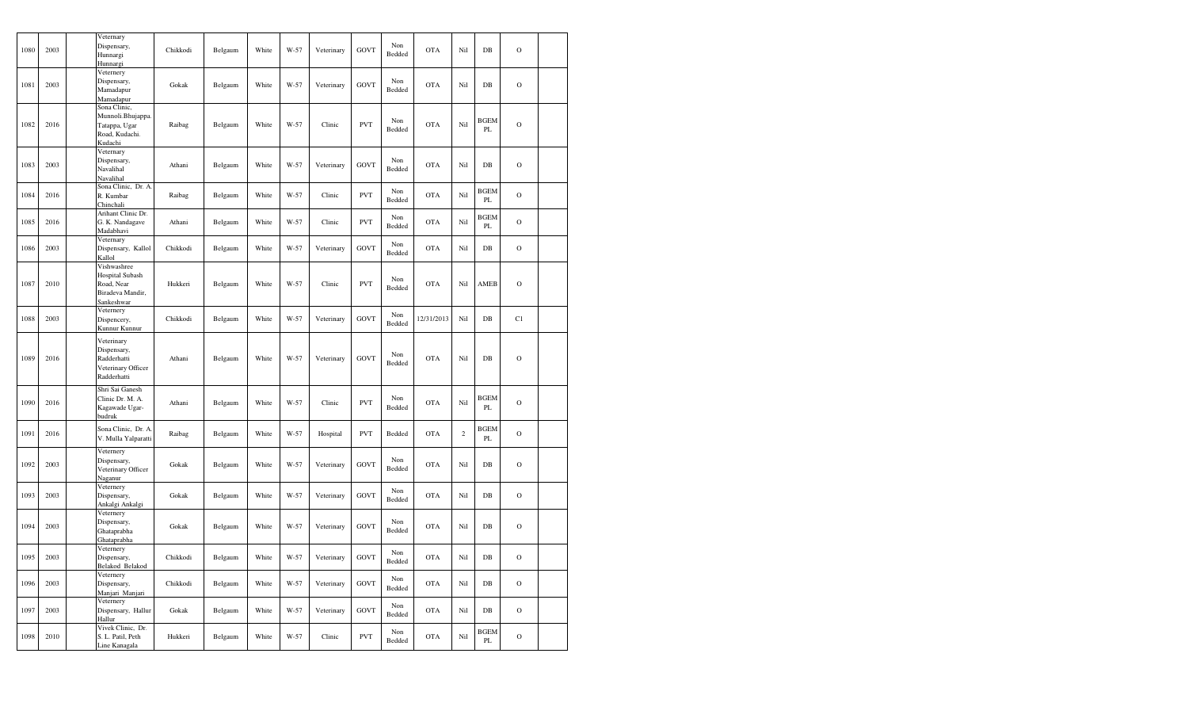| 1080 | 2003 | Veternary<br>Dispensary,<br>Hunnargi<br>Hunnargi                                | Chikkodi | Belgaum | White | W-57 | Veterinary | <b>GOVT</b> | Non<br>Bedded | <b>OTA</b> | Nil            | $DB$                    | $\mathbf O$ |  |
|------|------|---------------------------------------------------------------------------------|----------|---------|-------|------|------------|-------------|---------------|------------|----------------|-------------------------|-------------|--|
| 1081 | 2003 | Veternery<br>Dispensary,<br>Mamadapur<br>Mamadapur                              | Gokak    | Belgaum | White | W-57 | Veterinary | <b>GOVT</b> | Non<br>Bedded | <b>OTA</b> | Nil            | DB                      | $\mathbf O$ |  |
| 1082 | 2016 | Sona Clinic,<br>Munnoli.Bhujappa.<br>Tatappa, Ugar<br>Road, Kudachi.<br>Kudachi | Raibag   | Belgaum | White | W-57 | Clinic     | <b>PVT</b>  | Non<br>Bedded | <b>OTA</b> | Nil            | <b>BGEM</b><br>$\rm PL$ | $\mathbf O$ |  |
| 1083 | 2003 | Veternary<br>Dispensary,<br>Navalihal<br>Navalihal                              | Athani   | Belgaum | White | W-57 | Veterinary | <b>GOVT</b> | Non<br>Bedded | <b>OTA</b> | Nil            | DB                      | $\circ$     |  |
| 1084 | 2016 | Sona Clinic, Dr. A<br>R. Kumbar<br>Chinchali                                    | Raibag   | Belgaum | White | W-57 | Clinic     | <b>PVT</b>  | Non<br>Bedded | <b>OTA</b> | Nil            | <b>BGEM</b><br>PL       | $\mathbf O$ |  |
| 1085 | 2016 | Arihant Clinic Dr.<br>G. K. Nandagave<br>Madabhavi                              | Athani   | Belgaum | White | W-57 | Clinic     | <b>PVT</b>  | Non<br>Bedded | <b>OTA</b> | Nil            | <b>BGEM</b><br>PL       | $\mathbf O$ |  |
| 1086 | 2003 | Veternary<br>Dispensary, Kallol<br>Kallol                                       | Chikkodi | Belgaum | White | W-57 | Veterinary | <b>GOVT</b> | Non<br>Bedded | <b>OTA</b> | Nil            | DB                      | $\mathbf O$ |  |
| 1087 | 2010 | Vishwashree<br>Hospital Subash<br>Road, Near<br>Biradeva Mandir,<br>Sankeshwar  | Hukkeri  | Belgaum | White | W-57 | Clinic     | <b>PVT</b>  | Non<br>Bedded | <b>OTA</b> | Nil            | AMEB                    | $\circ$     |  |
| 1088 | 2003 | Veternery<br>Dispencery,<br>Kunnur Kunnur                                       | Chikkodi | Belgaum | White | W-57 | Veterinary | <b>GOVT</b> | Non<br>Bedded | 12/31/2013 | Nil            | DB                      | C1          |  |
| 1089 | 2016 | Veterinary<br>Dispensary,<br>Radderhatti<br>Veterinary Officer<br>Radderhatti   | Athani   | Belgaum | White | W-57 | Veterinary | <b>GOVT</b> | Non<br>Bedded | <b>OTA</b> | Nil            | DB                      | $\mathbf O$ |  |
| 1090 | 2016 | Shri Sai Ganesh<br>Clinic Dr. M. A.<br>Kagawade Ugar-<br>budruk                 | Athani   | Belgaum | White | W-57 | Clinic     | <b>PVT</b>  | Non<br>Bedded | <b>OTA</b> | Nil            | <b>BGEM</b><br>PL       | $\circ$     |  |
| 1091 | 2016 | Sona Clinic, Dr. A.<br>V. Mulla Yalparatti                                      | Raibag   | Belgaum | White | W-57 | Hospital   | <b>PVT</b>  | Bedded        | <b>OTA</b> | $\overline{2}$ | BGEM<br>PL              | $\mathbf O$ |  |
| 1092 | 2003 | Veternery<br>Dispensary,<br>Veterinary Officer<br>Naganur                       | Gokak    | Belgaum | White | W-57 | Veterinary | GOVT        | Non<br>Bedded | <b>OTA</b> | Nil            | DB                      | $\mathbf O$ |  |
| 1093 | 2003 | Veternery<br>Dispensary,<br>Ankalgi Ankalgi                                     | Gokak    | Belgaum | White | W-57 | Veterinary | <b>GOVT</b> | Non<br>Bedded | <b>OTA</b> | Nil            | DB                      | $\circ$     |  |
| 1094 | 2003 | Veternery<br>Dispensary,<br>Ghataprabha<br>Ghataprabha                          | Gokak    | Belgaum | White | W-57 | Veterinary | <b>GOVT</b> | Non<br>Bedded | <b>OTA</b> | Nil            | DB                      | $\circ$     |  |
| 1095 | 2003 | Veternery<br>Dispensary,<br>Belakod Belakod                                     | Chikkodi | Belgaum | White | W-57 | Veterinary | <b>GOVT</b> | Non<br>Bedded | <b>OTA</b> | Nil            | DB                      | $\mathbf O$ |  |
| 1096 | 2003 | Veternery<br>Dispensary,<br>Manjari Manjari                                     | Chikkodi | Belgaum | White | W-57 | Veterinary | <b>GOVT</b> | Non<br>Bedded | <b>OTA</b> | Nil            | DB                      | $\mathbf O$ |  |
| 1097 | 2003 | Veternery<br>Dispensary, Hallur<br>Hallur                                       | Gokak    | Belgaum | White | W-57 | Veterinary | <b>GOVT</b> | Non<br>Bedded | <b>OTA</b> | Nil            | DB                      | $\mathbf O$ |  |
| 1098 | 2010 | Vivek Clinic, Dr.<br>S. L. Patil, Peth<br>Line Kanagala                         | Hukkeri  | Belgaum | White | W-57 | Clinic     | <b>PVT</b>  | Non<br>Bedded | <b>OTA</b> | Nil            | <b>BGEM</b><br>PL       | $\mathbf O$ |  |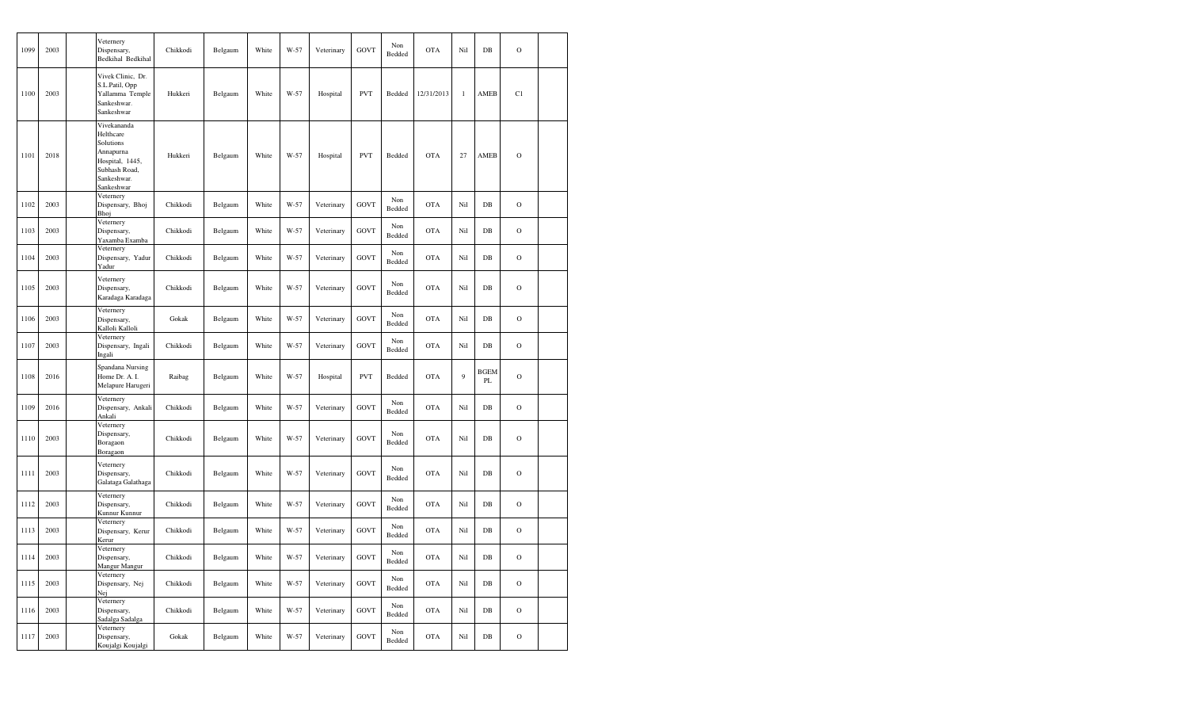| 1099 | 2003 | Veternery<br>Dispensary,<br>Bedkihal Bedkihal                                                                       | Chikkodi | Belgaum | White | W-57   | Veterinary | GOVT        | Non<br>Bedded | <b>OTA</b> | Nil   | $DB$              | $\mathbf O$   |  |
|------|------|---------------------------------------------------------------------------------------------------------------------|----------|---------|-------|--------|------------|-------------|---------------|------------|-------|-------------------|---------------|--|
| 1100 | 2003 | Vivek Clinic, Dr.<br>S.L.Patil, Opp<br>Yallamma Temple<br>Sankeshwar.<br>Sankeshwar                                 | Hukkeri  | Belgaum | White | W-57   | Hospital   | <b>PVT</b>  | Bedded        | 12/31/2013 | $\,1$ | AMEB              | C1            |  |
| 1101 | 2018 | Vivekananda<br>Helthcare<br>Solutions<br>Annapurna<br>Hospital, 1445,<br>Subhash Road,<br>Sankeshwar.<br>Sankeshwar | Hukkeri  | Belgaum | White | W-57   | Hospital   | <b>PVT</b>  | Bedded        | <b>OTA</b> | 27    | AMEB              | $\mathbf O$   |  |
| 1102 | 2003 | Veternery<br>Dispensary, Bhoj<br>Bhoj                                                                               | Chikkodi | Belgaum | White | W-57   | Veterinary | <b>GOVT</b> | Non<br>Bedded | <b>OTA</b> | Nil   | $DB$              | $\mathbf O$   |  |
| 1103 | 2003 | Veternery<br>Dispensary,<br>Yaxamba Examba                                                                          | Chikkodi | Belgaum | White | W-57   | Veterinary | <b>GOVT</b> | Non<br>Bedded | <b>OTA</b> | Nil   | $DB$              | $\mathbf O$   |  |
| 1104 | 2003 | Veternery<br>Dispensary, Yadur<br>Yadur                                                                             | Chikkodi | Belgaum | White | W-57   | Veterinary | <b>GOVT</b> | Non<br>Bedded | <b>OTA</b> | Nil   | $DB$              | $\mathbf O$   |  |
| 1105 | 2003 | Veternery<br>Dispensary,<br>Karadaga Karadaga                                                                       | Chikkodi | Belgaum | White | W-57   | Veterinary | <b>GOVT</b> | Non<br>Bedded | <b>OTA</b> | Nil   | $DB$              | $\mathbf O$   |  |
| 1106 | 2003 | Veternery<br>Dispensary,<br>Kalloli Kalloli                                                                         | Gokak    | Belgaum | White | W-57   | Veterinary | <b>GOVT</b> | Non<br>Bedded | <b>OTA</b> | Nil   | DB                | $\circ$       |  |
| 1107 | 2003 | Veternery<br>Dispensary, Ingali<br>Ingali                                                                           | Chikkodi | Belgaum | White | W-57   | Veterinary | GOVT        | Non<br>Bedded | <b>OTA</b> | Nil   | $DB$              | $\mathbf O$   |  |
| 1108 | 2016 | Spandana Nursing<br>Home Dr. A. I.<br>Melapure Harugeri                                                             | Raibag   | Belgaum | White | $W-57$ | Hospital   | <b>PVT</b>  | Bedded        | <b>OTA</b> | 9     | <b>BGEM</b><br>PL | $\circ$       |  |
| 1109 | 2016 | Veternery<br>Dispensary, Ankali<br>Ankali                                                                           | Chikkodi | Belgaum | White | W-57   | Veterinary | <b>GOVT</b> | Non<br>Bedded | <b>OTA</b> | Nil   | DB                | $\circ$       |  |
| 1110 | 2003 | Veternery<br>Dispensary,<br>Boragaon<br>Boragaon                                                                    | Chikkodi | Belgaum | White | W-57   | Veterinary | GOVT        | Non<br>Bedded | <b>OTA</b> | Nil   | $DB$              | $\mathbf O$   |  |
| 1111 | 2003 | Veternery<br>Dispensary,<br>Galataga Galathaga                                                                      | Chikkodi | Belgaum | White | W-57   | Veterinary | <b>GOVT</b> | Non<br>Bedded | <b>OTA</b> | Nil   | $DB$              | $\mathbf O$   |  |
| 1112 | 2003 | Veternery<br>Dispensary,<br>Kunnur Kunnur                                                                           | Chikkodi | Belgaum | White | W-57   | Veterinary | GOVT        | Non<br>Bedded | <b>OTA</b> | Nil   | $DB$              | $\mathbf O$   |  |
| 1113 | 2003 | Veternery<br>Dispensary, Kerur<br>Kerur                                                                             | Chikkodi | Belgaum | White | W-57   | Veterinary | <b>GOVT</b> | Non<br>Bedded | <b>OTA</b> | Nil   | DB                | $\mathbf O$   |  |
| 1114 | 2003 | Veternery<br>Dispensary,<br>Mangur Mangur                                                                           | Chikkodi | Belgaum | White | W-57   | Veterinary | GOVT        | Non<br>Bedded | <b>OTA</b> | Nil   | DB                | $\circ$       |  |
| 1115 | 2003 | Veternery<br>Dispensary, Nej<br>Nej                                                                                 | Chikkodi | Belgaum | White | W-57   | Veterinary | <b>GOVT</b> | Non<br>Bedded | <b>OTA</b> | Nil   | DB                | $\mathcal O$  |  |
| 1116 | 2003 | Veternery<br>Dispensary,<br>Sadalga Sadalga                                                                         | Chikkodi | Belgaum | White | W-57   | Veterinary | GOVT        | Non<br>Bedded | <b>OTA</b> | Nil   | DB                | $\mathcal{O}$ |  |
| 1117 | 2003 | Veternery<br>Dispensary,<br>Koujalgi Koujalgi                                                                       | Gokak    | Belgaum | White | W-57   | Veterinary | <b>GOVT</b> | Non<br>Bedded | <b>OTA</b> | Nil   | $DB$              | $\mathbf O$   |  |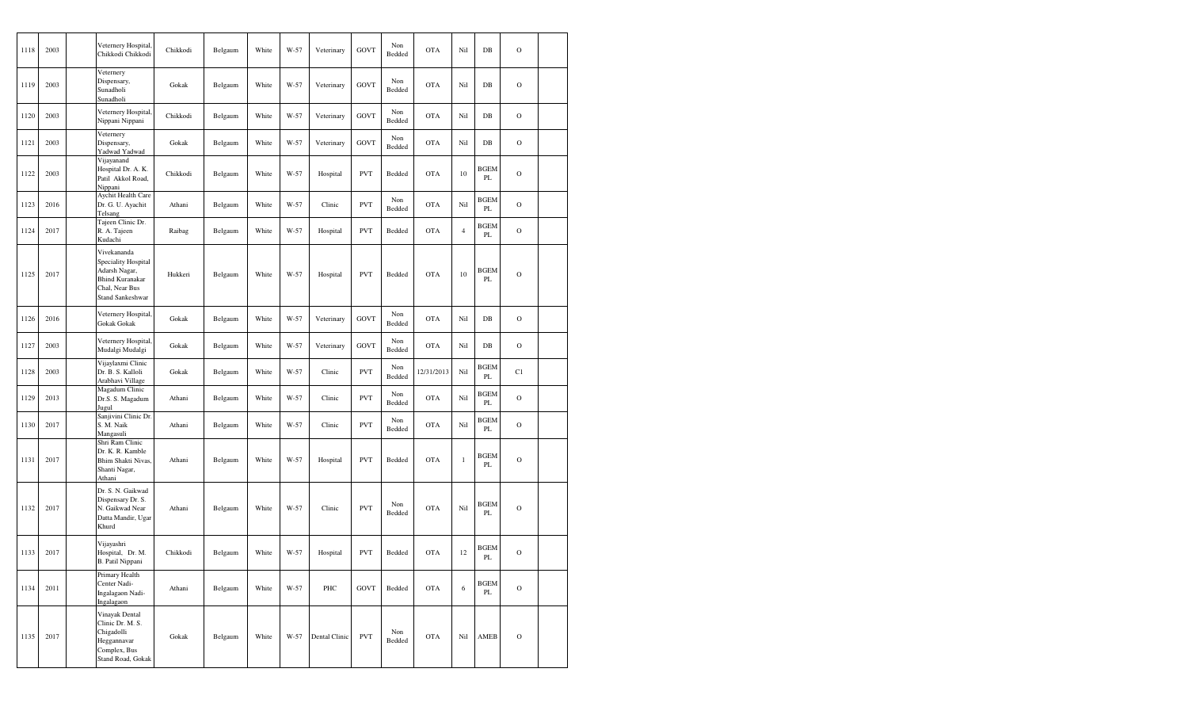| 1118 | 2003 | Veternery Hospital,<br>Chikkodi Chikkodi                                                                                   | Chikkodi | Belgaum | White | W-57 | Veterinary    | <b>GOVT</b> | Non<br>Bedded | <b>OTA</b> | Nil            | DB                           | $\mathcal{O}$ |  |
|------|------|----------------------------------------------------------------------------------------------------------------------------|----------|---------|-------|------|---------------|-------------|---------------|------------|----------------|------------------------------|---------------|--|
| 1119 | 2003 | Veternery<br>Dispensary,<br>Sunadholi<br>Sunadholi                                                                         | Gokak    | Belgaum | White | W-57 | Veterinary    | <b>GOVT</b> | Non<br>Bedded | <b>OTA</b> | Nil            | $DB$                         | $\mathcal{O}$ |  |
| 1120 | 2003 | Veternery Hospital,<br>Nippani Nippani                                                                                     | Chikkodi | Belgaum | White | W-57 | Veterinary    | <b>GOVT</b> | Non<br>Bedded | <b>OTA</b> | Nil            | $DB$                         | $\mathcal{O}$ |  |
| 1121 | 2003 | Veternery<br>Dispensary,<br>Yadwad Yadwad                                                                                  | Gokak    | Belgaum | White | W-57 | Veterinary    | <b>GOVT</b> | Non<br>Bedded | <b>OTA</b> | Nil            | $DB$                         | $\mathcal{O}$ |  |
| 1122 | 2003 | Vijayanand<br>Hospital Dr. A. K.<br>Patil Akkol Road,<br>Nippani                                                           | Chikkodi | Belgaum | White | W-57 | Hospital      | <b>PVT</b>  | Bedded        | <b>OTA</b> | 10             | <b>BGEM</b><br>PL            | $\mathbf O$   |  |
| 1123 | 2016 | Aychit Health Care<br>Dr. G. U. Ayachit<br>Telsang                                                                         | Athani   | Belgaum | White | W-57 | Clinic        | <b>PVT</b>  | Non<br>Bedded | <b>OTA</b> | Nil            | <b>BGEM</b><br>PL            | $\mathcal{O}$ |  |
| 1124 | 2017 | Tajeen Clinic Dr.<br>R. A. Tajeen<br>Kudachi                                                                               | Raibag   | Belgaum | White | W-57 | Hospital      | <b>PVT</b>  | Bedded        | <b>OTA</b> | $\overline{4}$ | <b>BGEM</b><br>PL            | $\mathcal{O}$ |  |
| 1125 | 2017 | Vivekananda<br>Speciality Hospital<br>Adarsh Nagar,<br><b>Bhind Kuranakar</b><br>Chal, Near Bus<br><b>Stand Sankeshwar</b> | Hukkeri  | Belgaum | White | W-57 | Hospital      | <b>PVT</b>  | Bedded        | <b>OTA</b> | 10             | <b>BGEM</b><br>PL            | $\mathcal{O}$ |  |
| 1126 | 2016 | Veternery Hospital,<br>Gokak Gokak                                                                                         | Gokak    | Belgaum | White | W-57 | Veterinary    | <b>GOVT</b> | Non<br>Bedded | <b>OTA</b> | Nil            | $_{\rm DB}$                  | $\mathcal{O}$ |  |
| 1127 | 2003 | Veternery Hospital,<br>Mudalgi Mudalgi                                                                                     | Gokak    | Belgaum | White | W-57 | Veterinary    | GOVT        | Non<br>Bedded | <b>OTA</b> | Nil            | $_{\rm DB}$                  | $\mathcal{O}$ |  |
| 1128 | 2003 | Vijaylaxmi Clinic<br>Dr. B. S. Kalloli<br>Arabhavi Village                                                                 | Gokak    | Belgaum | White | W-57 | Clinic        | <b>PVT</b>  | Non<br>Bedded | 12/31/2013 | Nil            | BGEM<br>PL                   | C1            |  |
| 1129 | 2013 | Magadum Clinic<br>Dr.S. S. Magadum<br>Jugul                                                                                | Athani   | Belgaum | White | W-57 | Clinic        | <b>PVT</b>  | Non<br>Bedded | <b>OTA</b> | Nil            | <b>BGEM</b><br>PL            | $\mathcal{O}$ |  |
| 1130 | 2017 | Sanjivini Clinic Dr.<br>S. M. Naik<br>Mangasuli                                                                            | Athani   | Belgaum | White | W-57 | Clinic        | <b>PVT</b>  | Non<br>Bedded | <b>OTA</b> | Nil            | <b>BGEM</b><br>PL            | $\mathcal{O}$ |  |
| 1131 | 2017 | Shri Ram Clinic<br>Dr. K. R. Kamble<br>Bhim Shakti Nivas,<br>Shanti Nagar,<br>Athani                                       | Athani   | Belgaum | White | W-57 | Hospital      | <b>PVT</b>  | Bedded        | <b>OTA</b> | $\mathbf{1}$   | <b>BGEM</b><br>PL            | $\mathbf O$   |  |
| 1132 | 2017 | Dr. S. N. Gaikwad<br>Dispensary Dr. S.<br>N. Gaikwad Near<br>Datta Mandir, Ugar<br>Khurd                                   | Athani   | Belgaum | White | W-57 | Clinic        | <b>PVT</b>  | Non<br>Bedded | <b>OTA</b> | Nil            | <b>BGEM</b><br>PL            | $\mathcal{O}$ |  |
| 1133 | 2017 | Vijayashri<br>Hospital, Dr. M.<br>B. Patil Nippani                                                                         | Chikkodi | Belgaum | White | W-57 | Hospital      | <b>PVT</b>  | Bedded        | <b>OTA</b> | 12             | <b>BGEM</b><br>PL            | $\mathbf O$   |  |
| 1134 | 2011 | Primary Health<br>Center Nadi-<br>Ingalagaon Nadi-<br>Ingalagaon                                                           | Athani   | Belgaum | White | W-57 | PHC           | GOVT        | Bedded        | <b>OTA</b> | 6              | <b>BGEM</b><br>$\mathbf{PL}$ | $\rm{O}$      |  |
| 1135 | 2017 | Vinayak Dental<br>Clinic Dr. M. S.<br>Chigadolli<br>Heggannavar<br>Complex, Bus<br><b>Stand Road, Gokak</b>                | Gokak    | Belgaum | White | W-57 | Dental Clinic | <b>PVT</b>  | Non<br>Bedded | <b>OTA</b> | Nil            | AMEB                         | $\mathcal{O}$ |  |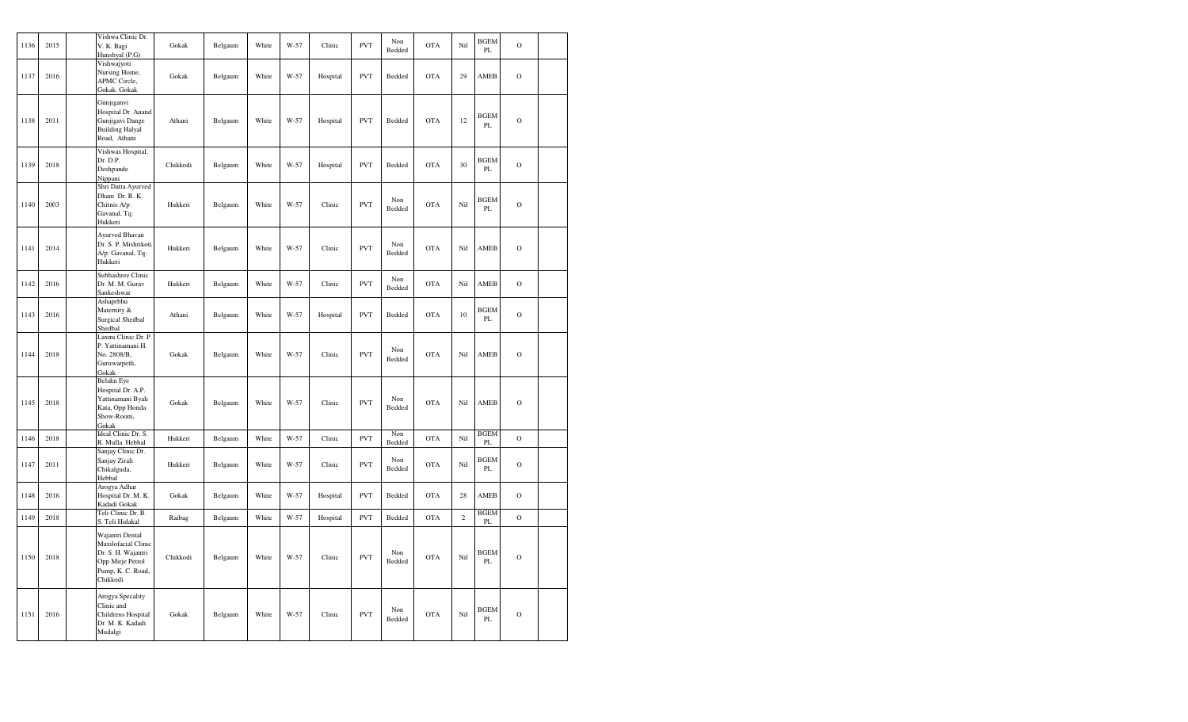| 1136 | 2015 | Vishwa Clinic Dr.<br>V. K. Bagi<br>Hunshyal (P.G)                                                                 | Gokak    | Belgaum | White | W-57 | Clinic   | <b>PVT</b> | Non<br>Bedded | <b>OTA</b> | Nil            | <b>BGEM</b><br>PL            | $\circ$        |  |
|------|------|-------------------------------------------------------------------------------------------------------------------|----------|---------|-------|------|----------|------------|---------------|------------|----------------|------------------------------|----------------|--|
| 1137 | 2016 | Vishwajyoti<br>Nursing Home,<br>APMC Circle,<br>Gokak. Gokak                                                      | Gokak    | Belgaum | White | W-57 | Hospital | <b>PVT</b> | Bedded        | <b>OTA</b> | 29             | AMEB                         | $\circ$        |  |
| 1138 | 2011 | Gunjiganvi<br>Hospital Dr. Anand<br>Gunjigavi Dange<br><b>Building Halyal</b><br>Road, Athani                     | Athani   | Belgaum | White | W-57 | Hospital | <b>PVT</b> | Bedded        | OTA        | 12             | <b>BGEM</b><br>PL            | $\circ$        |  |
| 1139 | 2018 | Vishwas Hospital,<br>Dr. D.P.<br>Deshpande<br>Nippani                                                             | Chikkodi | Belgaum | White | W-57 | Hospital | <b>PVT</b> | Bedded        | OTA        | 30             | <b>BGEM</b><br>PL            | $\overline{O}$ |  |
| 1140 | 2003 | Shri Datta Ayurved<br>Dham Dr. R. K.<br>Chitnis A/p:<br>Gavanal, Tq:<br>Hukkeri                                   | Hukkeri  | Belgaum | White | W-57 | Clinic   | <b>PVT</b> | Non<br>Bedded | <b>OTA</b> | Nil            | <b>BGEM</b><br>$\mathbf{PL}$ | $\circ$        |  |
| 1141 | 2014 | Ayurved Bhavan<br>Dr. S. P. Mishrikoti<br>A/p: Gavanal, Tq:<br>Hukkeri                                            | Hukkeri  | Belgaum | White | W-57 | Clinic   | <b>PVT</b> | Non<br>Bedded | <b>OTA</b> | Nil            | AMEB                         | $\Omega$       |  |
| 1142 | 2016 | Subhashree Clinic<br>Dr. M. M. Gurav<br>Sankeshwar                                                                | Hukkeri  | Belgaum | White | W-57 | Clinic   | <b>PVT</b> | Non<br>Bedded | <b>OTA</b> | Nil            | AMEB                         | $\mathbf O$    |  |
| 1143 | 2016 | Ashaprbhu<br>Maternity &<br>Surgical Shedbal<br>Shedbal                                                           | Athani   | Belgaum | White | W-57 | Hospital | <b>PVT</b> | Bedded        | <b>OTA</b> | 10             | <b>BGEM</b><br>PL            | $\overline{O}$ |  |
| 1144 | 2018 | Laxmi Clinic Dr. P.<br>P. Yattinamani H.<br>No. 2808/B,<br>Guruwarpeth,<br>Gokak                                  | Gokak    | Belgaum | White | W-57 | Clinic   | <b>PVT</b> | Non<br>Bedded | <b>OTA</b> | Nil            | AMEB                         | $\circ$        |  |
| 1145 | 2018 | Belaku Eye<br>Hospital Dr. A.P.<br>Yattinamani Byali<br>Kata, Opp Honda<br>Show-Room,<br>Gokak                    | Gokak    | Belgaum | White | W-57 | Clinic   | <b>PVT</b> | Non<br>Bedded | <b>OTA</b> | Nil            | AMEB                         | $\circ$        |  |
| 1146 | 2018 | Ideal Clinic Dr. S.<br>R. Mulla Hebbal                                                                            | Hukkeri  | Belgaum | White | W-57 | Clinic   | <b>PVT</b> | Non<br>Bedded | <b>OTA</b> | Nil            | <b>BGEM</b><br>PL            | $\mathbf O$    |  |
| 1147 | 2011 | Sanjay Clinic Dr.<br>Sanjay Zirali<br>Chikalguda,<br>Hebbal                                                       | Hukkeri  | Belgaum | White | W-57 | Clinic   | <b>PVT</b> | Non<br>Bedded | <b>OTA</b> | Nil            | <b>BGEM</b><br>$\mathbf{PL}$ | $\overline{O}$ |  |
| 1148 | 2016 | Arogya Adhar<br>Hospital Dr. M. K.<br>Kadadi Gokak                                                                | Gokak    | Belgaum | White | W-57 | Hospital | <b>PVT</b> | Bedded        | <b>OTA</b> | 28             | AMEB                         | $\mathbf{O}$   |  |
| 1149 | 2018 | Teli Clinic Dr. B.<br>S. Teli Hidakal                                                                             | Raibag   | Belgaum | White | W-57 | Hospital | <b>PVT</b> | Bedded        | <b>OTA</b> | $\overline{c}$ | <b>BGEM</b><br>PL            | $\mathbf{o}$   |  |
| 1150 | 2018 | Wajantri Dental<br>Maxilofacial Clinic<br>Dr. S. H. Wajantri<br>Opp Mirje Petrol<br>Pump, K. C. Road,<br>Chikkodi | Chikkodi | Belgaum | White | W-57 | Clinic   | <b>PVT</b> | Non<br>Bedded | <b>OTA</b> | Nil            | <b>BGEM</b><br>PL            | $\circ$        |  |
| 1151 | 2016 | Arogya Specality<br>Clinic and<br>Childrens Hospital<br>Dr. M. K. Kadadi<br>Mudalgi                               | Gokak    | Belgaum | White | W-57 | Clinic   | <b>PVT</b> | Non<br>Bedded | <b>OTA</b> | Nil            | <b>BGEM</b><br>PL            | $\mathbf{O}$   |  |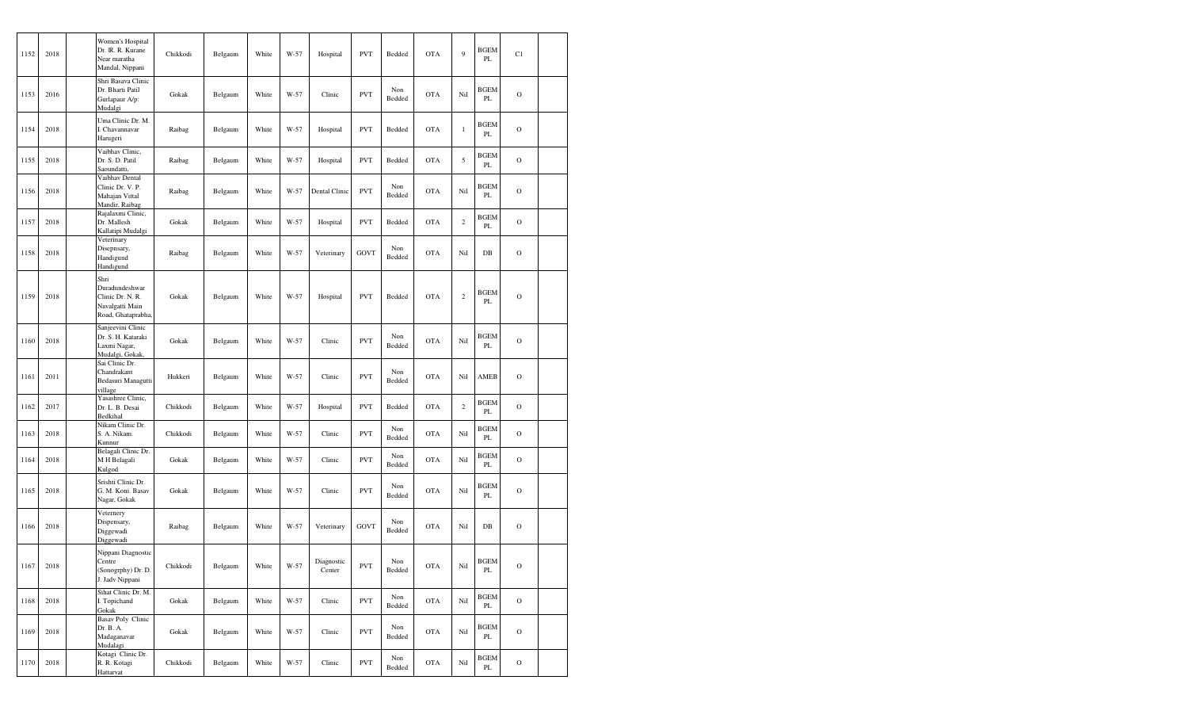| 1152 | 2018 | Women's Hospital<br>Dr. IR. R. Kurane<br>Near maratha<br>Mandal, Nippani            | Chikkodi | Belgaum | White | W-57 | Hospital             | <b>PVT</b>  | Bedded        | <b>OTA</b> | 9              | <b>BGEM</b><br>PL | C1            |  |
|------|------|-------------------------------------------------------------------------------------|----------|---------|-------|------|----------------------|-------------|---------------|------------|----------------|-------------------|---------------|--|
| 1153 | 2016 | Shri Basava Clinic<br>Dr. Bharti Patil<br>Gurlapaur A/p:<br>Mudalgi                 | Gokak    | Belgaum | White | W-57 | Clinic               | <b>PVT</b>  | Non<br>Bedded | <b>OTA</b> | Nil            | BGEM<br>PL        | $\mathcal{O}$ |  |
| 1154 | 2018 | Uma Clinic Dr. M.<br>I. Chavannavar<br>Harugeri                                     | Raibag   | Belgaum | White | W-57 | Hospital             | <b>PVT</b>  | Bedded        | <b>OTA</b> | $\mathbf{1}$   | <b>BGEM</b><br>PL | $\mathcal{O}$ |  |
| 1155 | 2018 | Vaibhav Clinic,<br>Dr. S. D. Patil<br>Saoundatti.                                   | Raibag   | Belgaum | White | W-57 | Hospital             | <b>PVT</b>  | Bedded        | <b>OTA</b> | 5              | BGEM<br>PL        | $\mathcal{O}$ |  |
| 1156 | 2018 | Vaibhav Dental<br>Clinic Dr. V. P.<br>Mahajan Vittal<br>Mandir, Raibag              | Raibag   | Belgaum | White | W-57 | Dental Clinic        | <b>PVT</b>  | Non<br>Bedded | <b>OTA</b> | Nil            | BGEM<br>PL        | $\mathcal{O}$ |  |
| 1157 | 2018 | Rajalaxmi Clinic,<br>Dr. Mallesh<br>Kallatipi Mudalgi                               | Gokak    | Belgaum | White | W-57 | Hospital             | <b>PVT</b>  | Bedded        | <b>OTA</b> | $\overline{c}$ | BGEM<br>PL        | $\mathcal{O}$ |  |
| 1158 | 2018 | Veterinary<br>Disepnsary,<br>Handigund<br>Handigund                                 | Raibag   | Belgaum | White | W-57 | Veterinary           | <b>GOVT</b> | Non<br>Bedded | <b>OTA</b> | Nil            | $DB$              | $\mathcal{O}$ |  |
| 1159 | 2018 | Shri<br>Duradundeshwar<br>Clinic Dr. N. R.<br>Navalgatti Main<br>Road, Ghataprabha, | Gokak    | Belgaum | White | W-57 | Hospital             | <b>PVT</b>  | Bedded        | <b>OTA</b> | $\overline{c}$ | <b>BGEM</b><br>PL | $\mathcal{O}$ |  |
| 1160 | 2018 | Sanjeevini Clinic<br>Dr. S. H. Kataraki<br>Laxmi Nagar,<br>Mudalgi, Gokak,          | Gokak    | Belgaum | White | W-57 | Clinic               | <b>PVT</b>  | Non<br>Bedded | <b>OTA</b> | Nil            | <b>BGEM</b><br>PL | $\mathcal{O}$ |  |
| 1161 | 2011 | Sai Clinic Dr.<br>Chandrakant<br>Bedasuri Managutti<br>village                      | Hukkeri  | Belgaum | White | W-57 | Clinic               | <b>PVT</b>  | Non<br>Bedded | <b>OTA</b> | Nil            | AMEB              | $\mathcal{O}$ |  |
| 1162 | 2017 | Yasashree Clinic,<br>Dr. L. B. Desai<br>Bedkihal                                    | Chikkodi | Belgaum | White | W-57 | Hospital             | <b>PVT</b>  | Bedded        | <b>OTA</b> | $\overline{c}$ | <b>BGEM</b><br>PL | $\mathcal{O}$ |  |
| 1163 | 2018 | Nikam Clinic Dr.<br>S. A. Nikam.<br>Kunnur                                          | Chikkodi | Belgaum | White | W-57 | Clinic               | <b>PVT</b>  | Non<br>Bedded | <b>OTA</b> | Nil            | BGEM<br>PL        | $\mathcal{O}$ |  |
| 1164 | 2018 | Belagali Clinic Dr.<br>M H Belagali<br>Kulgod                                       | Gokak    | Belgaum | White | W-57 | Clinic               | <b>PVT</b>  | Non<br>Bedded | <b>OTA</b> | Nil            | <b>BGEM</b><br>PL | $\mathcal{O}$ |  |
| 1165 | 2018 | Srishti Clinic Dr.<br>G. M. Koni. Basav<br>Nagar, Gokak                             | Gokak    | Belgaum | White | W-57 | Clinic               | <b>PVT</b>  | Non<br>Bedded | <b>OTA</b> | Nil            | BGEM<br>PL        | $\mathcal{O}$ |  |
| 1166 | 2018 | Veternery<br>Dispensary,<br>Diggewadi<br>Diggewadi                                  | Raibag   | Belgaum | White | W-57 | Veterinary           | GOVT        | Non<br>Bedded | <b>OTA</b> | Nil            | $DB$              | $\mathbf O$   |  |
| 1167 | 2018 | Nippani Diagnostic<br>Centre<br>(Sonogrphy) Dr. D.<br>J. Jadv Nippani               | Chikkodi | Belgaum | White | W-57 | Diagnostic<br>Center | <b>PVT</b>  | Non<br>Bedded | OTA        | Nil            | <b>BGEM</b><br>PL | $\rm{O}$      |  |
| 1168 | 2018 | Sihat Clinic Dr. M.<br>I. Topichand<br>Gokak                                        | Gokak    | Belgaum | White | W-57 | Clinic               | <b>PVT</b>  | Non<br>Bedded | OTA        | Nil            | <b>BGEM</b><br>PL | $\mathcal O$  |  |
| 1169 | 2018 | <b>Basav Poly Clinic</b><br>Dr. B. A.<br>Madaganavar<br>Mudalagi                    | Gokak    | Belgaum | White | W-57 | Clinic               | <b>PVT</b>  | Non<br>Bedded | <b>OTA</b> | Nil            | <b>BGEM</b><br>PL | $\mathbf O$   |  |
| 1170 | 2018 | Kotagi Clinic Dr.<br>R. R. Kotagi<br>Hattarvat                                      | Chikkodi | Belgaum | White | W-57 | Clinic               | <b>PVT</b>  | Non<br>Bedded | <b>OTA</b> | Nil            | <b>BGEM</b><br>PL | $\rm{O}$      |  |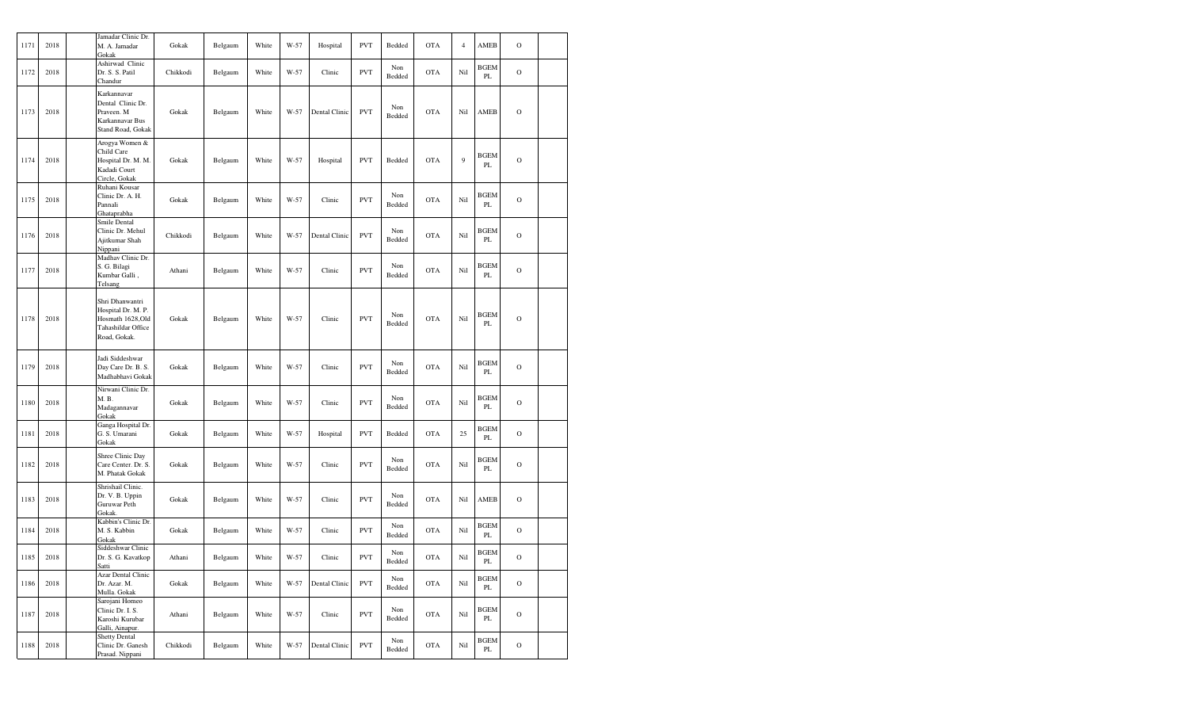| 1171 | 2018 | Gokak          | Jamadar Clinic Dr.<br>M. A. Jamadar                                                             | Gokak    | Belgaum | White | W-57 | Hospital      | <b>PVT</b> | Bedded        | <b>OTA</b> | $\overline{4}$ | AMEB                         | $\mathbf O$   |  |
|------|------|----------------|-------------------------------------------------------------------------------------------------|----------|---------|-------|------|---------------|------------|---------------|------------|----------------|------------------------------|---------------|--|
| 1172 | 2018 | Chandur        | Ashirwad Clinic<br>Dr. S. S. Patil                                                              | Chikkodi | Belgaum | White | W-57 | Clinic        | <b>PVT</b> | Non<br>Bedded | <b>OTA</b> | Nil            | <b>BGEM</b><br>PL            | $\mathcal{O}$ |  |
| 1173 | 2018 |                | Karkannavar<br>Dental Clinic Dr.<br>Praveen. M<br>Karkannavar Bus<br>Stand Road, Gokak          | Gokak    | Belgaum | White | W-57 | Dental Clinic | <b>PVT</b> | Non<br>Bedded | <b>OTA</b> | Nil            | AMEB                         | $\mathcal{O}$ |  |
| 1174 | 2018 |                | Arogya Women &<br>Child Care<br>Hospital Dr. M. M.<br>Kadadi Court<br>Circle, Gokak             | Gokak    | Belgaum | White | W-57 | Hospital      | <b>PVT</b> | Bedded        | <b>OTA</b> | 9              | <b>BGEM</b><br>PL            | $\mathcal{O}$ |  |
| 1175 | 2018 | Pannali        | Ruhani Kousar<br>Clinic Dr. A. H.<br>Ghataprabha                                                | Gokak    | Belgaum | White | W-57 | Clinic        | <b>PVT</b> | Non<br>Bedded | <b>OTA</b> | Nil            | <b>BGEM</b><br>PL            | $\mathcal{O}$ |  |
| 1176 | 2018 | Nippani        | Smile Dental<br>Clinic Dr. Mehul<br>Ajitkumar Shah                                              | Chikkodi | Belgaum | White | W-57 | Dental Clinic | <b>PVT</b> | Non<br>Bedded | <b>OTA</b> | Nil            | <b>BGEM</b><br>PL            | $\mathcal{O}$ |  |
| 1177 | 2018 | Telsang        | Madhav Clinic Dr.<br>S. G. Bilagi<br>Kumbar Galli,                                              | Athani   | Belgaum | White | W-57 | Clinic        | <b>PVT</b> | Non<br>Bedded | <b>OTA</b> | Nil            | <b>BGEM</b><br>PL            | $\mathcal{O}$ |  |
| 1178 | 2018 |                | Shri Dhanwantri<br>Hospital Dr. M. P.<br>Hosmath 1628,Old<br>Tahashildar Office<br>Road, Gokak. | Gokak    | Belgaum | White | W-57 | Clinic        | <b>PVT</b> | Non<br>Bedded | <b>OTA</b> | Nil            | <b>BGEM</b><br>PL            | $\mathcal{O}$ |  |
| 1179 | 2018 |                | Jadi Siddeshwar<br>Day Care Dr. B. S.<br>Madhabhavi Gokak                                       | Gokak    | Belgaum | White | W-57 | Clinic        | <b>PVT</b> | Non<br>Bedded | <b>OTA</b> | Nil            | <b>BGEM</b><br>PL            | $\mathcal{O}$ |  |
| 1180 | 2018 | M. B.<br>Gokak | Nirwani Clinic Dr.<br>Madagannavar                                                              | Gokak    | Belgaum | White | W-57 | Clinic        | <b>PVT</b> | Non<br>Bedded | <b>OTA</b> | Nil            | <b>BGEM</b><br>PL            | $\mathcal{O}$ |  |
| 1181 | 2018 | Gokak          | Ganga Hospital Dr.<br>G. S. Umarani                                                             | Gokak    | Belgaum | White | W-57 | Hospital      | <b>PVT</b> | Bedded        | <b>OTA</b> | 25             | <b>BGEM</b><br>PL            | $\mathcal{O}$ |  |
| 1182 | 2018 |                | Shree Clinic Day<br>Care Center. Dr. S.<br>M. Phatak Gokak                                      | Gokak    | Belgaum | White | W-57 | Clinic        | <b>PVT</b> | Non<br>Bedded | <b>OTA</b> | Nil            | <b>BGEM</b><br>PL            | $\mathcal{O}$ |  |
| 1183 | 2018 | Gokak.         | Shrishail Clinic.<br>Dr. V. B. Uppin<br>Guruwar Peth                                            | Gokak    | Belgaum | White | W-57 | Clinic        | <b>PVT</b> | Non<br>Bedded | <b>OTA</b> | Nil            | AMEB                         | $\mathbf O$   |  |
| 1184 | 2018 | Gokak          | Kabbin's Clinic Dr.<br>M. S. Kabbin                                                             | Gokak    | Belgaum | White | W-57 | Clinic        | <b>PVT</b> | Non<br>Bedded | <b>OTA</b> | Nil            | <b>BGEM</b><br>PL            | $\mathcal{O}$ |  |
| 1185 | 2018 | Satti          | Siddeshwar Clinic<br>Dr. S. G. Kavatkop                                                         | Athani   | Belgaum | White | W-57 | Clinic        | <b>PVT</b> | Non<br>Bedded | <b>OTA</b> | Nil            | <b>BGEM</b><br>PL            | $\circ$       |  |
| 1186 | 2018 |                | Azar Dental Clinic<br>Dr. Azar. M.<br>Mulla. Gokak                                              | Gokak    | Belgaum | White | W-57 | Dental Clinic | <b>PVT</b> | Non<br>Bedded | <b>OTA</b> | Nil            | <b>BGEM</b><br>$\mathbf{PL}$ | $\mathbf O$   |  |
| 1187 | 2018 |                | Sarojani Homeo<br>Clinic Dr. I. S.<br>Karoshi Kurubar<br>Galli, Ainapur.                        | Athani   | Belgaum | White | W-57 | Clinic        | <b>PVT</b> | Non<br>Bedded | <b>OTA</b> | Nil            | <b>BGEM</b><br>PL            | $\mathcal{O}$ |  |
| 1188 | 2018 |                | <b>Shetty Dental</b><br>Clinic Dr. Ganesh<br>Prasad. Nippani                                    | Chikkodi | Belgaum | White | W-57 | Dental Clinic | <b>PVT</b> | Non<br>Bedded | <b>OTA</b> | Nil            | <b>BGEM</b><br>$\mathbf{PL}$ | $\rm{O}$      |  |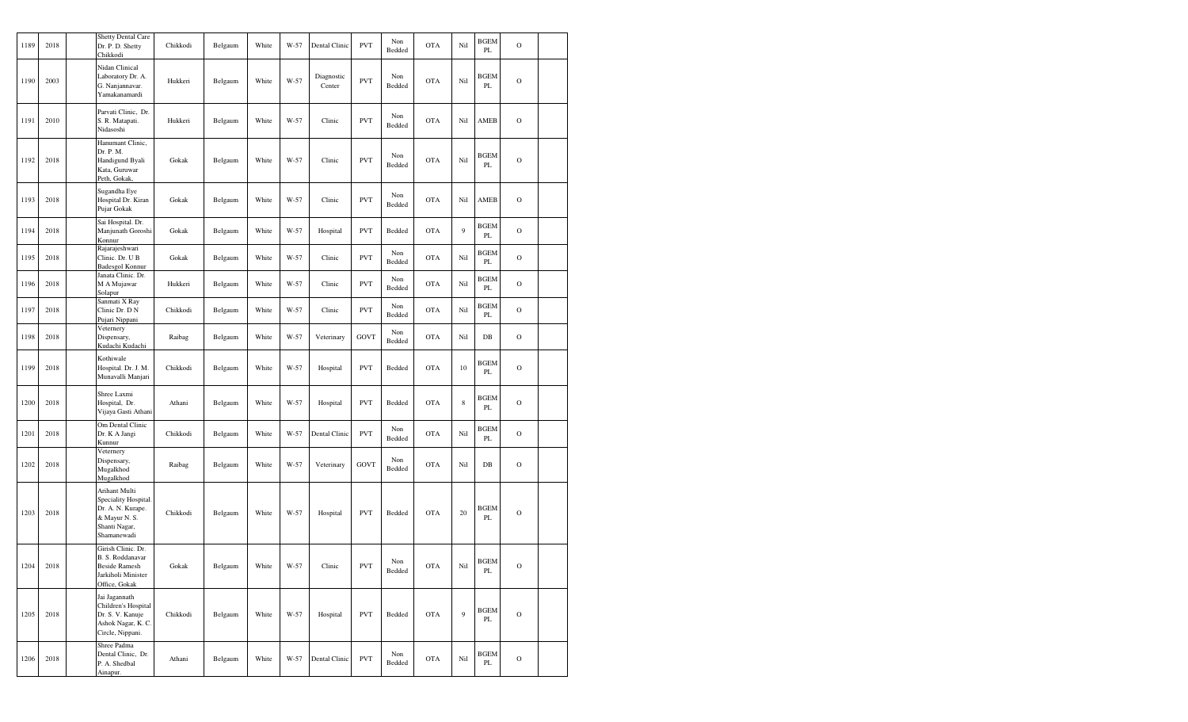| 1189 | 2018 | <b>Shetty Dental Care</b><br>Dr. P. D. Shetty<br>Chikkodi                                                   | Chikkodi | Belgaum | White | W-57 | Dental Clinic        | <b>PVT</b> | Non<br>Bedded | <b>OTA</b> | Nil         | <b>BGEM</b><br>PL | $\mathcal{O}$  |  |
|------|------|-------------------------------------------------------------------------------------------------------------|----------|---------|-------|------|----------------------|------------|---------------|------------|-------------|-------------------|----------------|--|
| 1190 | 2003 | Nidan Clinical<br>Laboratory Dr. A.<br>G. Nanjannavar.<br>Yamakanamardi                                     | Hukkeri  | Belgaum | White | W-57 | Diagnostic<br>Center | <b>PVT</b> | Non<br>Bedded | <b>OTA</b> | Nil         | BGEM<br>PL        | $\overline{O}$ |  |
| 1191 | 2010 | Parvati Clinic, Dr.<br>S. R. Matapati.<br>Nidasoshi                                                         | Hukkeri  | Belgaum | White | W-57 | Clinic               | <b>PVT</b> | Non<br>Bedded | <b>OTA</b> | Nil         | AMEB              | $\circ$        |  |
| 1192 | 2018 | Hanumant Clinic,<br>Dr. P. M.<br>Handigund Byali<br>Kata, Guruwar<br>Peth, Gokak,                           | Gokak    | Belgaum | White | W-57 | Clinic               | <b>PVT</b> | Non<br>Bedded | <b>OTA</b> | Nil         | <b>BGEM</b><br>PL | $\mathcal{O}$  |  |
| 1193 | 2018 | Sugandha Eye<br>Hospital Dr. Kiran<br>Pujar Gokak                                                           | Gokak    | Belgaum | White | W-57 | Clinic               | <b>PVT</b> | Non<br>Bedded | <b>OTA</b> | Nil         | AMEB              | $\mathcal{O}$  |  |
| 1194 | 2018 | Sai Hospital. Dr.<br>Manjunath Goroshi<br>Konnur                                                            | Gokak    | Belgaum | White | W-57 | Hospital             | <b>PVT</b> | Bedded        | <b>OTA</b> | 9           | <b>BGEM</b><br>PL | $\mathcal{O}$  |  |
| 1195 | 2018 | Rajarajeshwari<br>Clinic. Dr. U B<br>Badesgol Konnur                                                        | Gokak    | Belgaum | White | W-57 | Clinic               | <b>PVT</b> | Non<br>Bedded | <b>OTA</b> | Nil         | BGEM<br>PL        | $\mathcal{O}$  |  |
| 1196 | 2018 | Janata Clinic. Dr.<br>M A Mujawar<br>Solapur                                                                | Hukkeri  | Belgaum | White | W-57 | Clinic               | <b>PVT</b> | Non<br>Bedded | <b>OTA</b> | Nil         | <b>BGEM</b><br>PL | $\mathcal{O}$  |  |
| 1197 | 2018 | Sanmati X Ray<br>Clinic Dr. D N<br>Pujari Nippani                                                           | Chikkodi | Belgaum | White | W-57 | Clinic               | <b>PVT</b> | Non<br>Bedded | <b>OTA</b> | Nil         | <b>BGEM</b><br>PL | $\mathcal{O}$  |  |
| 1198 | 2018 | Veternery<br>Dispensary,<br>Kudachi Kudachi                                                                 | Raibag   | Belgaum | White | W-57 | Veterinary           | GOVT       | Non<br>Bedded | <b>OTA</b> | Nil         | $DB$              | $\mathcal{O}$  |  |
| 1199 | 2018 | Kothiwale<br>Hospital. Dr. J. M.<br>Munavalli Manjari                                                       | Chikkodi | Belgaum | White | W-57 | Hospital             | <b>PVT</b> | Bedded        | <b>OTA</b> | 10          | <b>BGEM</b><br>PL | $\mathbf O$    |  |
| 1200 | 2018 | Shree Laxmi<br>Hospital, Dr.<br>Vijaya Gasti Athani                                                         | Athani   | Belgaum | White | W-57 | Hospital             | <b>PVT</b> | Bedded        | <b>OTA</b> | $\,$ 8 $\,$ | <b>BGEM</b><br>PL | $\mathbf O$    |  |
| 1201 | 2018 | Om Dental Clinic<br>Dr. K A Jangi<br>Kunnur                                                                 | Chikkodi | Belgaum | White | W-57 | Dental Clinic        | <b>PVT</b> | Non<br>Bedded | <b>OTA</b> | Nil         | <b>BGEM</b><br>PL | $\mathcal{O}$  |  |
| 1202 | 2018 | Veternery<br>Dispensary,<br>Mugalkhod<br>Mugalkhod                                                          | Raibag   | Belgaum | White | W-57 | Veterinary           | GOVT       | Non<br>Bedded | <b>OTA</b> | Nil         | $DB$              | $\mathcal{O}$  |  |
| 1203 | 2018 | Arihant Multi<br>Speciality Hospital.<br>Dr. A. N. Kurape.<br>& Mayur N. S.<br>Shanti Nagar,<br>Shamanewadi | Chikkodi | Belgaum | White | W-57 | Hospital             | <b>PVT</b> | Bedded        | <b>OTA</b> | 20          | BGEM<br>PL        | $\mathbf O$    |  |
| 1204 | 2018 | Girish Clinic. Dr.<br>B. S. Roddanavar<br><b>Beside Ramesh</b><br>Jarkiholi Minister<br>Office, Gokak       | Gokak    | Belgaum | White | W-57 | Clinic               | <b>PVT</b> | Non<br>Bedded | <b>OTA</b> | Nil         | <b>BGEM</b><br>PL | $\mathcal{O}$  |  |
| 1205 | 2018 | Jai Jagannath<br>Children's Hospital<br>Dr. S. V. Kanuje<br>Ashok Nagar, K. C.<br>Circle, Nippani.          | Chikkodi | Belgaum | White | W-57 | Hospital             | <b>PVT</b> | Bedded        | <b>OTA</b> | 9           | <b>BGEM</b><br>PL | $\circ$        |  |
| 1206 | 2018 | Shree Padma<br>Dental Clinic, Dr.<br>P. A. Shedbal<br>Ainapur.                                              | Athani   | Belgaum | White | W-57 | Dental Clinic        | <b>PVT</b> | Non<br>Bedded | <b>OTA</b> | Nil         | <b>BGEM</b><br>PL | $\mathbf{O}$   |  |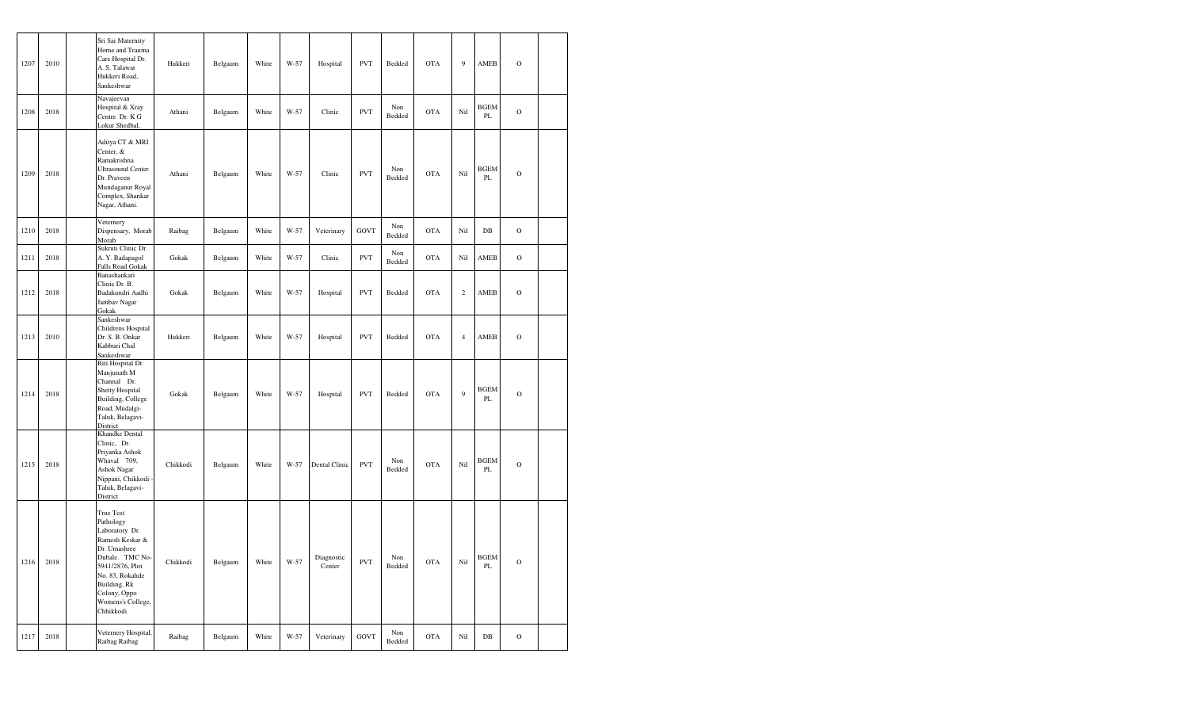| 1207 | 2010 | Sri Sai Maternity<br>Home and Trauma<br>Care Hospital Dr.<br>A. S. Talawar<br>Hukkeri Road,<br>Sankeshwar                                                                                               | Hukkeri  | Belgaum | White | W-57 | Hospital             | <b>PVT</b>  | Bedded        | <b>OTA</b> | $\boldsymbol{9}$ | ${\bf AMEB}$      | $\mathcal{O}$ |  |
|------|------|---------------------------------------------------------------------------------------------------------------------------------------------------------------------------------------------------------|----------|---------|-------|------|----------------------|-------------|---------------|------------|------------------|-------------------|---------------|--|
| 1208 | 2018 | Navajeevan<br>Hospital & Xray<br>Centre Dr. K G<br>Lokur Shedbal,                                                                                                                                       | Athani   | Belgaum | White | W-57 | Clinic               | <b>PVT</b>  | Non<br>Bedded | <b>OTA</b> | Nil              | <b>BGEM</b><br>PL | $\mathcal{O}$ |  |
| 1209 | 2018 | Aditya CT & MRI<br>Center, &<br>Ramakrishna<br>Ultrasound Center.<br>Dr. Praveen<br>Mundaganur Royal<br>Complex, Shankar<br>Nagar, Athani.                                                              | Athani   | Belgaum | White | W-57 | Clinic               | <b>PVT</b>  | Non<br>Bedded | <b>OTA</b> | Nil              | <b>BGEM</b><br>PL | $\mathcal{O}$ |  |
| 1210 | 2018 | Veternery<br>Dispensary, Morab<br>Morab                                                                                                                                                                 | Raibag   | Belgaum | White | W-57 | Veterinary           | <b>GOVT</b> | Non<br>Bedded | <b>OTA</b> | Nil              | $DB$              | $\mathcal{O}$ |  |
| 1211 | 2018 | Sukruti Clinic Dr.<br>A. Y. Badapagol<br>Falls Road Gokak                                                                                                                                               | Gokak    | Belgaum | White | W-57 | Clinic               | <b>PVT</b>  | Non<br>Bedded | <b>OTA</b> | Nil              | AMEB              | $\mathbf O$   |  |
| 1212 | 2018 | Banashankari<br>Clinic Dr. B.<br>Badakundri Aadhi<br>Jambav Nagar<br>Gokak                                                                                                                              | Gokak    | Belgaum | White | W-57 | Hospital             | <b>PVT</b>  | Bedded        | <b>OTA</b> | $\sqrt{2}$       | <b>AMEB</b>       | $\mathbf O$   |  |
| 1213 | 2010 | Sankeshwar<br>Childrens Hospital<br>Dr. S. B. Onkar<br>Kabburi Chal<br>Sankeshwar                                                                                                                       | Hukkeri  | Belgaum | White | W-57 | Hospital             | <b>PVT</b>  | Bedded        | <b>OTA</b> | $\sqrt{4}$       | AMEB              | $\mathbf O$   |  |
| 1214 | 2018 | Riti Hospital Dr.<br>Manjunath M<br>Channal Dr.<br><b>Shetty Hospital</b><br>Building, College<br>Road, Mudalgi-<br>Taluk, Belagavi-<br>District                                                        | Gokak    | Belgaum | White | W-57 | Hospital             | <b>PVT</b>  | Bedded        | <b>OTA</b> | $\overline{9}$   | <b>BGEM</b><br>PL | $\mathcal{O}$ |  |
| 1215 | 2018 | Khandke Dental<br>Clinic, Dr.<br>Priyanka Ashok<br>Whaval 709,<br><b>Ashok Nagar</b><br>Nippani, Chikkodi<br>Taluk, Belagavi-<br>District                                                               | Chikkodi | Belgaum | White | W-57 | Dental Clinic        | <b>PVT</b>  | Non<br>Bedded | <b>OTA</b> | Nil              | <b>BGEM</b><br>PL | $\mathcal{O}$ |  |
| 1216 | 2018 | True Test<br>Pathology<br>Laboratory Dr.<br>Ramesh Keskar &<br>Dr. Umashree<br>Dubale. TMC No-<br>5941/2876, Plot<br>No. 83, Rokahde<br>Building, Rk<br>Colony, Oppo<br>Womens's College,<br>Chhikkodi. | Chikkodi | Belgaum | White | W-57 | Diagnostic<br>Center | <b>PVT</b>  | Non<br>Bedded | <b>OTA</b> | Nil              | <b>BGEM</b><br>PL | $\mathbf O$   |  |
| 1217 | 2018 | Veternery Hospital,<br>Raibag Raibag                                                                                                                                                                    | Raibag   | Belgaum | White | W-57 | Veterinary           | <b>GOVT</b> | Non<br>Bedded | <b>OTA</b> | Nil              | $_{\rm DB}$       | $\mathcal{O}$ |  |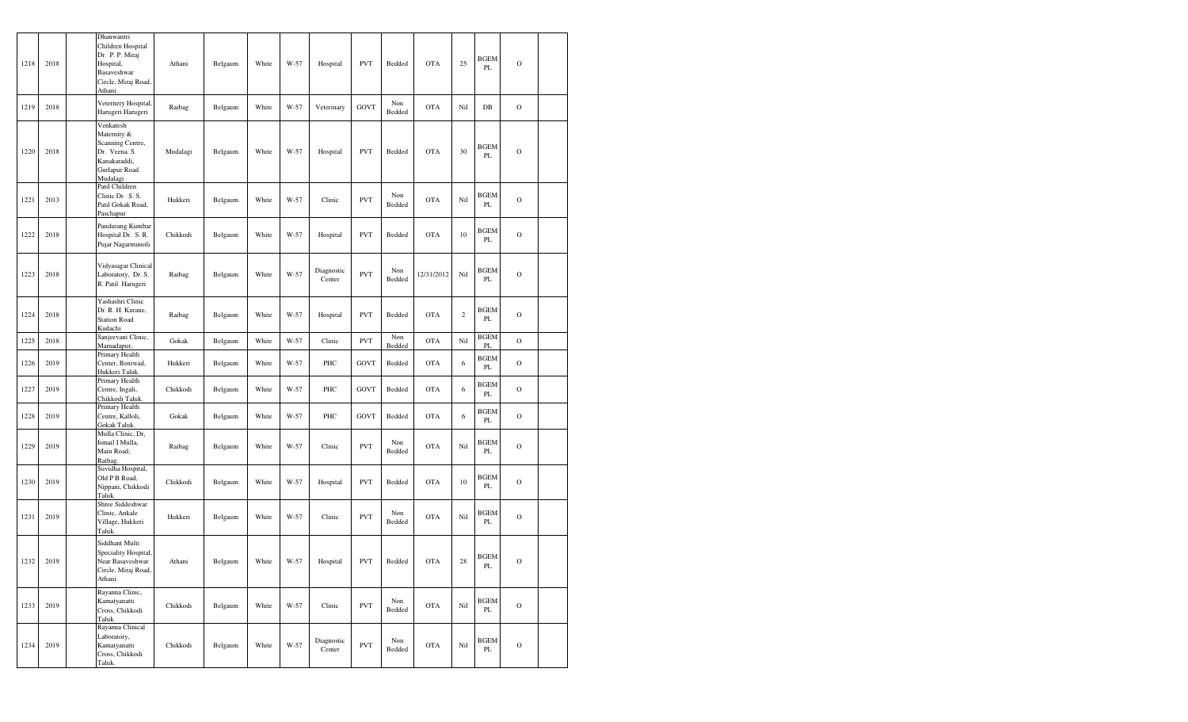| 1218 | 2018 | Dhanwantri<br>Children Hospital<br>Dr. P. P. Miraj<br>Hospital,<br>Basaveshwar<br>Circle, Miraj Road,<br>Athani | Athani   | Belgaum                  | White | W-57 | Hospital             | <b>PVT</b>                  | Bedded        | <b>OTA</b> | 25         | <b>BGEM</b><br>PL | $\mathbf O$   |  |
|------|------|-----------------------------------------------------------------------------------------------------------------|----------|--------------------------|-------|------|----------------------|-----------------------------|---------------|------------|------------|-------------------|---------------|--|
| 1219 | 2018 | Veternery Hospital,<br>Harugeri Harugeri                                                                        | Raibag   | Belgaum                  | White | W-57 | Veterinary           | <b>GOVT</b>                 | Non<br>Bedded | <b>OTA</b> | Nil        | $DB$              | $\mathbf O$   |  |
| 1220 | 2018 | Venkatesh<br>Maternity &<br>Scanning Centre,<br>Dr. Veena. S.<br>Kanakaraddi,<br>Gurlapur Road<br>Mudalagi      | Mudalagi | Belgaum                  | White | W-57 | Hospital             | <b>PVT</b>                  | Bedded        | <b>OTA</b> | 30         | BGEM<br>PL        | $\mathcal{O}$ |  |
| 1221 | 2013 | Patil Children<br>Clinic Dr. S. S.<br>Patil Gokak Road,<br>Paschapur                                            | Hukkeri  | Belgaum                  | White | W-57 | Clinic               | <b>PVT</b>                  | Non<br>Bedded | <b>OTA</b> | Nil        | BGEM<br>PL        | $\mathcal{O}$ |  |
| 1222 | 2018 | Pandurang Kumbar<br>Hospital Dr. S.R.<br>Pujar Nagarmunoli                                                      | Chikkodi | Belgaum                  | White | W-57 | Hospital             | <b>PVT</b>                  | Bedded        | <b>OTA</b> | 10         | <b>BGEM</b><br>PL | $\mathcal{O}$ |  |
| 1223 | 2018 | Vidyasagar Clinical<br>Laboratory, Dr. S.<br>R. Patil Harugeri                                                  | Raibag   | Belgaum                  | White | W-57 | Diagnostic<br>Center | <b>PVT</b>                  | Non<br>Bedded | 12/31/2012 | Nil        | BGEM<br>PL        | $\mathcal{O}$ |  |
| 1224 | 2018 | Yashashri Clinic<br>Dr. R. H. Kurane,<br><b>Station Road</b><br>Kudachi                                         | Raibag   | Belgaum                  | White | W-57 | Hospital             | <b>PVT</b>                  | Bedded        | <b>OTA</b> | $\sqrt{2}$ | BGEM<br>PL        | $\mathbf O$   |  |
| 1225 | 2018 | Sanjeevani Clinic,<br>Mamadapur,                                                                                | Gokak    | Belgaum                  | White | W-57 | Clinic               | <b>PVT</b>                  | Non<br>Bedded | <b>OTA</b> | Nil        | <b>BGEM</b><br>PL | $\mathcal{O}$ |  |
| 1226 | 2019 | Primary Health<br>Center, Beniwad,<br>Hukkeri Taluk.                                                            | Hukkeri  | Belgaum                  | White | W-57 | PHC                  | <b>GOVT</b>                 | Bedded        | <b>OTA</b> | 6          | BGEM<br>PL        | $\mathcal{O}$ |  |
| 1227 | 2019 | Primary Health<br>Centre, Ingali,<br>Chikkodi Taluk                                                             | Chikkodi | Belgaum                  | White | W-57 | PHC                  | GOVT                        | Bedded        | <b>OTA</b> | 6          | BGEM<br>PL        | $\mathcal{O}$ |  |
| 1228 | 2019 | Primary Health<br>Centre, Kalloli,<br>Gokak Taluk.                                                              | Gokak    | Belgaum                  | White | W-57 | PHC                  | GOVT                        | Bedded        | <b>OTA</b> | 6          | <b>BGEM</b><br>PL | $\mathcal{O}$ |  |
| 1229 | 2019 | Mulla Clinic, Dr,<br>Ismail I Mulla,<br>Main Road,<br>Raibag.                                                   | Raibag   | Belgaum                  | White | W-57 | Clinic               | <b>PVT</b>                  | Non<br>Bedded | <b>OTA</b> | Nil        | BGEM<br>PL        | $\mathcal{O}$ |  |
| 1230 | 2019 | Suvidha Hospital,<br>Old P B Road,<br>Nippani, Chikkodi<br>Taluk.                                               | Chikkodi | Belgaum                  | White | W-57 | Hospital             | <b>PVT</b>                  | Bedded        | <b>OTA</b> | $10\,$     | BGEM<br>PL        | $\mathcal{O}$ |  |
| 1231 | 2019 | Shree Siddeshwar<br>Clinic, Ankale<br>Village, Hukkeri<br>Taluk.                                                | Hukkeri  | Belgaum                  | White | W-57 | Clinic               | <b>PVT</b>                  | Non<br>Bedded | <b>OTA</b> | Nil        | BGEM<br>PL        | $\mathcal{O}$ |  |
| 1232 | 2019 | Siddhant Multi<br>Speciality Hospital,<br>Near Basaveshwar<br>Circle, Miraj Road,<br>Athani.                    | Athani   | $\operatorname{Belgaum}$ | White | W-57 | Hospital             | $\ensuremath{\mathrm{PVT}}$ | Bedded        | <b>OTA</b> | $28\,$     | <b>BGEM</b><br>PL | $\mathcal O$  |  |
| 1233 | 2019 | Rayanna Clinic,<br>Kamatyanatti<br>Cross, Chikkodi<br>Taluk.                                                    | Chikkodi | Belgaum                  | White | W-57 | Clinic               | <b>PVT</b>                  | Non<br>Bedded | <b>OTA</b> | Nil        | <b>BGEM</b><br>PL | $\mathbf O$   |  |
| 1234 | 2019 | Rayanna Clinical<br>Laboratory,<br>Kamatyanatti<br>Cross, Chikkodi<br>Taluk.                                    | Chikkodi | Belgaum                  | White | W-57 | Diagnostic<br>Center | <b>PVT</b>                  | Non<br>Bedded | <b>OTA</b> | Nil        | <b>BGEM</b><br>PL | $\mathbf O$   |  |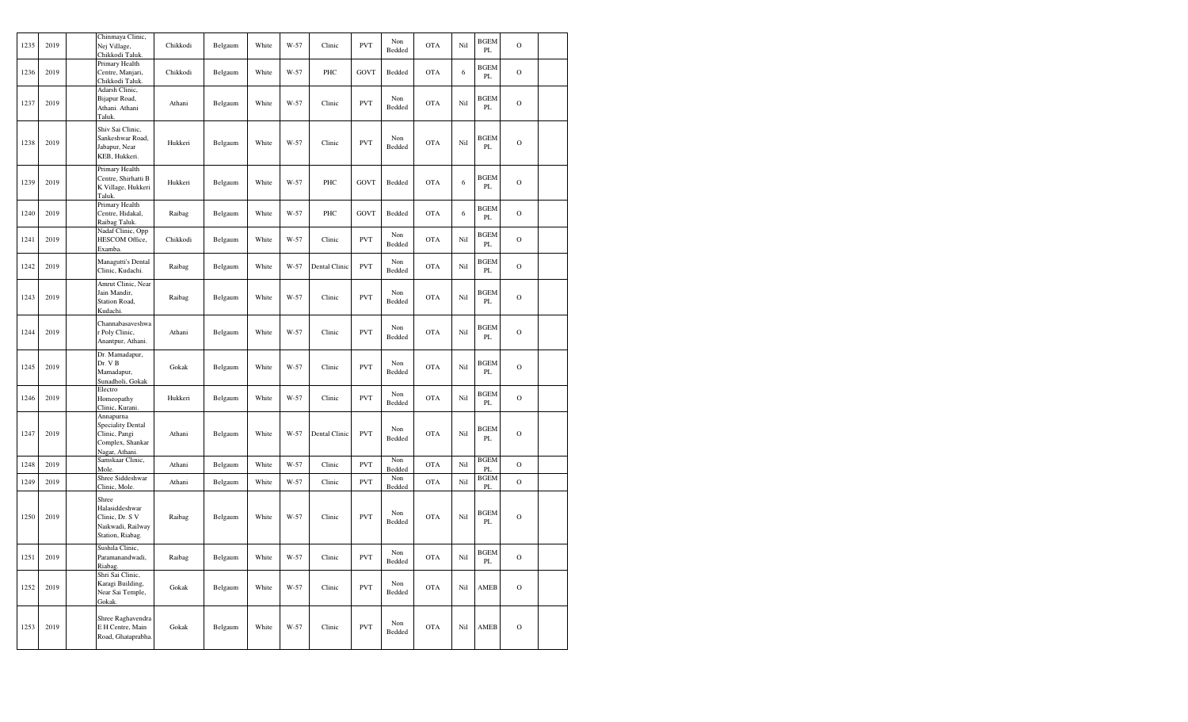| 1235 | 2019 | Chinmaya Clinic,<br>Nej Village,<br>Chikkodi Taluk                                          | Chikkodi | Belgaum | White | W-57 | Clinic        | <b>PVT</b>  | Non<br>Bedded | <b>OTA</b> | Nil | <b>BGEM</b><br>PL            | $\mathbf{O}$   |  |
|------|------|---------------------------------------------------------------------------------------------|----------|---------|-------|------|---------------|-------------|---------------|------------|-----|------------------------------|----------------|--|
| 1236 | 2019 | Primary Health<br>Centre, Manjari,<br>Chikkodi Taluk                                        | Chikkodi | Belgaum | White | W-57 | PHC           | GOVT        | Bedded        | <b>OTA</b> | 6   | <b>BGEM</b><br>PL            | $\overline{O}$ |  |
| 1237 | 2019 | Adarsh Clinic,<br>Bijapur Road,<br>Athani. Athani<br>Taluk.                                 | Athani   | Belgaum | White | W-57 | Clinic        | <b>PVT</b>  | Non<br>Bedded | <b>OTA</b> | Nil | <b>BGEM</b><br>PL            | $\overline{O}$ |  |
| 1238 | 2019 | Shiv Sai Clinic,<br>Sankeshwar Road,<br>Jabapur, Near<br>KEB, Hukkeri.                      | Hukkeri  | Belgaum | White | W-57 | Clinic        | <b>PVT</b>  | Non<br>Bedded | <b>OTA</b> | Nil | <b>BGEM</b><br>PL            | $\circ$        |  |
| 1239 | 2019 | Primary Health<br>Centre, Shirhatti B<br>K Village, Hukkeri<br>Taluk.                       | Hukkeri  | Belgaum | White | W-57 | PHC           | <b>GOVT</b> | Bedded        | <b>OTA</b> | 6   | <b>BGEM</b><br>PL            | $\circ$        |  |
| 1240 | 2019 | Primary Health<br>Centre, Hidakal,<br>Raibag Taluk                                          | Raibag   | Belgaum | White | W-57 | PHC           | GOVT        | Bedded        | <b>OTA</b> | 6   | <b>BGEM</b><br>PL            | $\overline{O}$ |  |
| 1241 | 2019 | Nadaf Clinic, Opp<br>HESCOM Office,<br>Examba                                               | Chikkodi | Belgaum | White | W-57 | Clinic        | <b>PVT</b>  | Non<br>Bedded | <b>OTA</b> | Nil | <b>BGEM</b><br>$\mathbf{PL}$ | $\circ$        |  |
| 1242 | 2019 | Managutti's Dental<br>Clinic, Kudachi.                                                      | Raibag   | Belgaum | White | W-57 | Dental Clinic | <b>PVT</b>  | Non<br>Bedded | <b>OTA</b> | Nil | <b>BGEM</b><br>PL            | $\circ$        |  |
| 1243 | 2019 | Amrut Clinic, Near<br>Jain Mandir,<br>Station Road,<br>Kudachi                              | Raibag   | Belgaum | White | W-57 | Clinic        | <b>PVT</b>  | Non<br>Bedded | <b>OTA</b> | Nil | <b>BGEM</b><br>PL            | $\overline{O}$ |  |
| 1244 | 2019 | Channabasaveshwa<br>r Poly Clinic,<br>Anantpur, Athani.                                     | Athani   | Belgaum | White | W-57 | Clinic        | <b>PVT</b>  | Non<br>Bedded | <b>OTA</b> | Nil | <b>BGEM</b><br>PL            | $\overline{O}$ |  |
| 1245 | 2019 | Dr. Mamadapur,<br>Dr. VB<br>Mamadapur,<br>Sunadholi, Gokak                                  | Gokak    | Belgaum | White | W-57 | Clinic        | <b>PVT</b>  | Non<br>Bedded | <b>OTA</b> | Nil | <b>BGEM</b><br>PL            | $\circ$        |  |
| 1246 | 2019 | Electro<br>Homeopathy<br>Clinic, Kurani.                                                    | Hukkeri  | Belgaum | White | W-57 | Clinic        | <b>PVT</b>  | Non<br>Bedded | <b>OTA</b> | Nil | <b>BGEM</b><br>PL            | $\circ$        |  |
| 1247 | 2019 | Annapurna<br><b>Speciality Dental</b><br>Clinic, Pangi<br>Complex, Shankar<br>Nagar, Athani | Athani   | Belgaum | White | W-57 | Dental Clinic | <b>PVT</b>  | Non<br>Bedded | <b>OTA</b> | Nil | <b>BGEM</b><br>PL            | $\circ$        |  |
| 1248 | 2019 | Samskaar Clinic,<br>Mole                                                                    | Athani   | Belgaum | White | W-57 | Clinic        | <b>PVT</b>  | Non<br>Bedded | <b>OTA</b> | Nil | <b>BGEM</b><br>PL.           | $\mathcal{O}$  |  |
| 1249 | 2019 | Shree Siddeshwar<br>Clinic, Mole.                                                           | Athani   | Belgaum | White | W-57 | Clinic        | <b>PVT</b>  | Non<br>Bedded | <b>OTA</b> | Nil | <b>BGEM</b><br>PL            | $\mathbf 0$    |  |
| 1250 | 2019 | Shree<br>Halasiddeshwar<br>Clinic, Dr. S V<br>Naikwadi, Railway<br>Station, Riabag.         | Raibag   | Belgaum | White | W-57 | Clinic        | <b>PVT</b>  | Non<br>Bedded | <b>OTA</b> | Nil | <b>BGEM</b><br>PL            | $\circ$        |  |
| 1251 | 2019 | Sushila Clinic,<br>Paramanandwadi,<br>Riabag.                                               | Raibag   | Belgaum | White | W-57 | Clinic        | <b>PVT</b>  | Non<br>Bedded | <b>OTA</b> | Nil | <b>BGEM</b><br>PL            | $\circ$        |  |
| 1252 | 2019 | Shri Sai Clinic,<br>Karagi Building,<br>Near Sai Temple,<br>Gokak                           | Gokak    | Belgaum | White | W-57 | Clinic        | <b>PVT</b>  | Non<br>Bedded | <b>OTA</b> | Nil | AMEB                         | $\circ$        |  |
| 1253 | 2019 | Shree Raghavendra<br>E H Centre, Main<br>Road, Ghataprabha.                                 | Gokak    | Belgaum | White | W-57 | Clinic        | <b>PVT</b>  | Non<br>Bedded | <b>OTA</b> | Nil | AMEB                         | $\mathbf{O}$   |  |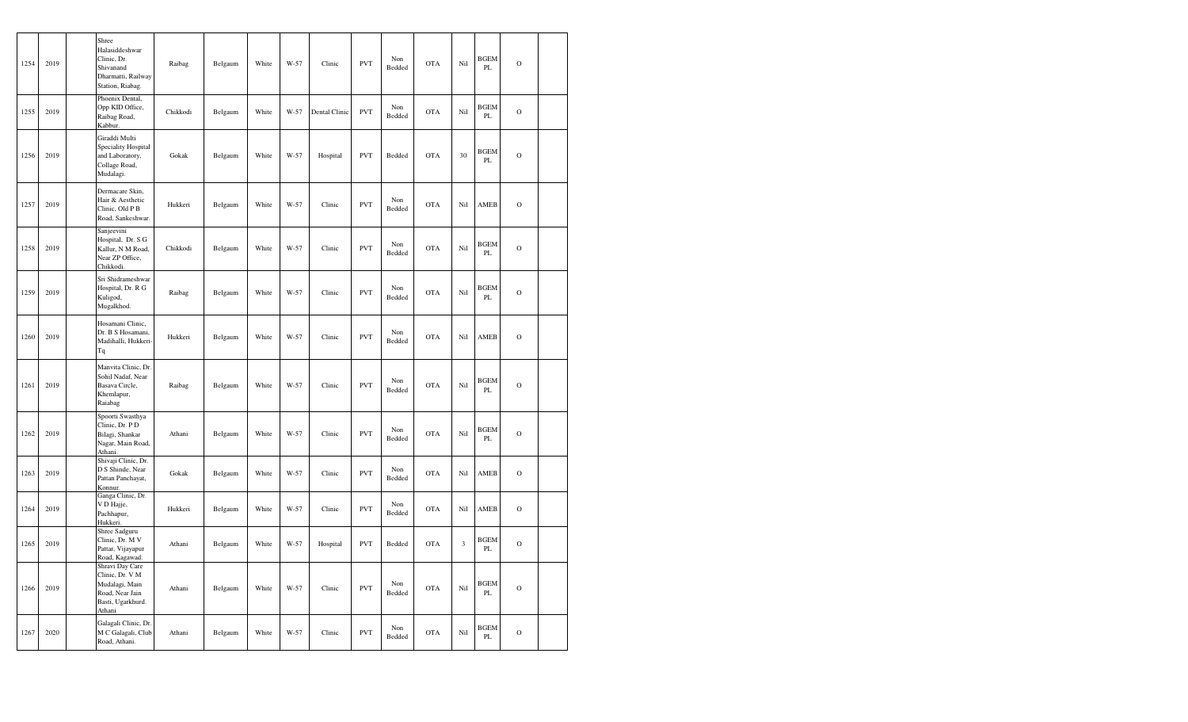| 1254 | 2019 | Shree<br>Halasiddeshwar<br>Clinic, Dr.<br>Shivanand<br>Dharmatti, Railway<br>Station, Riabag.          | Raibag   | Belgaum | White | $W-57$ | Clinic        | <b>PVT</b> | Non<br>Bedded | <b>OTA</b> | Nil                  | <b>BGEM</b><br>PL | $\mathbf O$   |  |
|------|------|--------------------------------------------------------------------------------------------------------|----------|---------|-------|--------|---------------|------------|---------------|------------|----------------------|-------------------|---------------|--|
| 1255 | 2019 | Phoenix Dental,<br>Opp KID Office,<br>Raibag Road,<br>Kabbur.                                          | Chikkodi | Belgaum | White | W-57   | Dental Clinic | <b>PVT</b> | Non<br>Bedded | <b>OTA</b> | Nil                  | <b>BGEM</b><br>PL | $\mathcal{O}$ |  |
| 1256 | 2019 | Giraddi Multi<br>Speciality Hospital<br>and Laboratory,<br>Collage Road,<br>Mudalagi.                  | Gokak    | Belgaum | White | $W-57$ | Hospital      | <b>PVT</b> | Bedded        | <b>OTA</b> | 30                   | <b>BGEM</b><br>PL | $\circ$       |  |
| 1257 | 2019 | Dermacare Skin,<br>Hair & Aesthetic<br>Clinic, Old P B<br>Road, Sankeshwar.                            | Hukkeri  | Belgaum | White | W-57   | Clinic        | <b>PVT</b> | Non<br>Bedded | <b>OTA</b> | Nil                  | AMEB              | $\mathcal{O}$ |  |
| 1258 | 2019 | Sanjeevini<br>Hospital, Dr. S G<br>Kallur, N M Road,<br>Near ZP Office,<br>Chikkodi.                   | Chikkodi | Belgaum | White | W-57   | Clinic        | <b>PVT</b> | Non<br>Bedded | <b>OTA</b> | Nil                  | <b>BGEM</b><br>PL | $\mathcal{O}$ |  |
| 1259 | 2019 | Sri Shidrameshwar<br>Hospital, Dr. R G<br>Kuligod,<br>Mugalkhod.                                       | Raibag   | Belgaum | White | $W-57$ | Clinic        | <b>PVT</b> | Non<br>Bedded | <b>OTA</b> | Nil                  | <b>BGEM</b><br>PL | $\mathbf O$   |  |
| 1260 | 2019 | Hosamani Clinic,<br>Dr. B S Hosamani,<br>Madihalli, Hukkeri-<br>Tq                                     | Hukkeri  | Belgaum | White | W-57   | Clinic        | <b>PVT</b> | Non<br>Bedded | <b>OTA</b> | Nil                  | AMEB              | $\circ$       |  |
| 1261 | 2019 | Manvita Clinic, Dr.<br>Sohil Nadaf, Near<br>Basava Circle,<br>Khemlapur,<br>Raiabag                    | Raibag   | Belgaum | White | W-57   | Clinic        | <b>PVT</b> | Non<br>Bedded | <b>OTA</b> | Nil                  | <b>BGEM</b><br>PL | $\mathcal{O}$ |  |
| 1262 | 2019 | Spoorti Swasthya<br>Clinic, Dr. PD<br>Bilagi, Shankar<br>Nagar, Main Road,<br>Athani.                  | Athani   | Belgaum | White | W-57   | Clinic        | <b>PVT</b> | Non<br>Bedded | <b>OTA</b> | Nil                  | <b>BGEM</b><br>PL | $\mathbf O$   |  |
| 1263 | 2019 | Shivaji Clinic, Dr.<br>D S Shinde, Near<br>Pattan Panchayat,<br>Konnur.                                | Gokak    | Belgaum | White | W-57   | Clinic        | <b>PVT</b> | Non<br>Bedded | <b>OTA</b> | Nil                  | AMEB              | $\mathbf O$   |  |
| 1264 | 2019 | Ganga Clinic, Dr.<br>V D Hajje,<br>Pachhapur,<br>Hukkeri.                                              | Hukkeri  | Belgaum | White | W-57   | Clinic        | <b>PVT</b> | Non<br>Bedded | <b>OTA</b> | Nil                  | AMEB              | $\mathbf O$   |  |
| 1265 | 2019 | Shree Sadguru<br>Clinic, Dr. M V<br>Pattar, Vijayapur<br>Road, Kagawad.                                | Athani   | Belgaum | White | $W-57$ | Hospital      | <b>PVT</b> | Bedded        | <b>OTA</b> | $\boldsymbol{\beta}$ | <b>BGEM</b><br>PL | $\Omega$      |  |
| 1266 | 2019 | Shravi Day Care<br>Clinic, Dr. V M<br>Mudalagi, Main<br>Road, Near Jain<br>Basti, Ugarkhurd.<br>Athani | Athani   | Belgaum | White | $W-57$ | Clinic        | <b>PVT</b> | Non<br>Bedded | <b>OTA</b> | Nil                  | <b>BGEM</b><br>PL | $\mathbf O$   |  |
| 1267 | 2020 | Galagali Clinic, Dr.<br>M C Galagali, Club<br>Road, Athani.                                            | Athani   | Belgaum | White | W-57   | Clinic        | <b>PVT</b> | Non<br>Bedded | <b>OTA</b> | Nil                  | <b>BGEM</b><br>PL | $\circ$       |  |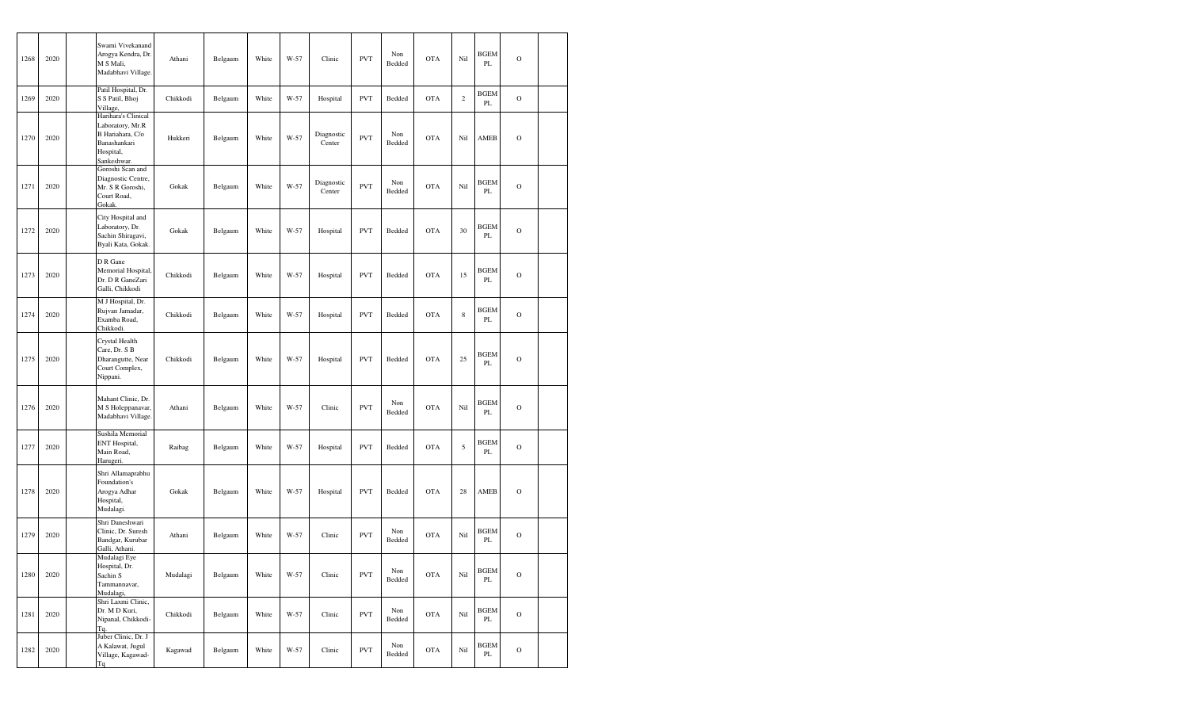| 1268 | 2020 | Swami Vivekanand<br>Arogya Kendra, Dr.<br>M S Mali,<br>Madabhavi Village.                               | Athani   | Belgaum | White | W-57 | Clinic               | <b>PVT</b> | Non<br>Bedded | <b>OTA</b> | Nil            | <b>BGEM</b><br>PL       | $\mathbf O$    |  |
|------|------|---------------------------------------------------------------------------------------------------------|----------|---------|-------|------|----------------------|------------|---------------|------------|----------------|-------------------------|----------------|--|
| 1269 | 2020 | Patil Hospital, Dr.<br>S S Patil, Bhoj<br>Village,                                                      | Chikkodi | Belgaum | White | W-57 | Hospital             | <b>PVT</b> | Bedded        | <b>OTA</b> | $\overline{c}$ | <b>BGEM</b><br>PL       | $\circ$        |  |
| 1270 | 2020 | Harihara's Clinical<br>Laboratory, Mr.R<br>B Hariahara, C/o<br>Banashankari<br>Hospital,<br>Sankeshwar. | Hukkeri  | Belgaum | White | W-57 | Diagnostic<br>Center | <b>PVT</b> | Non<br>Bedded | <b>OTA</b> | Nil            | AMEB                    | $\circ$        |  |
| 1271 | 2020 | Goroshi Scan and<br>Diagnostic Centre,<br>Mr. S R Goroshi,<br>Court Road,<br>Gokak.                     | Gokak    | Belgaum | White | W-57 | Diagnostic<br>Center | <b>PVT</b> | Non<br>Bedded | <b>OTA</b> | Nil            | <b>BGEM</b><br>PL       | $\overline{O}$ |  |
| 1272 | 2020 | City Hospital and<br>Laboratory, Dr.<br>Sachin Shiragavi,<br>Byali Kata, Gokak.                         | Gokak    | Belgaum | White | W-57 | Hospital             | <b>PVT</b> | Bedded        | <b>OTA</b> | 30             | <b>BGEM</b><br>PL       | $\Omega$       |  |
| 1273 | 2020 | D R Gane<br>Memorial Hospital.<br>Dr. D R GaneZari<br>Galli, Chikkodi                                   | Chikkodi | Belgaum | White | W-57 | Hospital             | <b>PVT</b> | Bedded        | <b>OTA</b> | 15             | <b>BGEM</b><br>PL       | $\circ$        |  |
| 1274 | 2020 | M J Hospital, Dr.<br>Rujvan Jamadar,<br>Examba Road,<br>Chikkodi.                                       | Chikkodi | Belgaum | White | W-57 | Hospital             | <b>PVT</b> | Bedded        | <b>OTA</b> | $\,$ 8 $\,$    | <b>BGEM</b><br>PL       | $\mathbf O$    |  |
| 1275 | 2020 | Crystal Health<br>Care, Dr. S B<br>Dharangutte, Near<br>Court Complex,<br>Nippani.                      | Chikkodi | Belgaum | White | W-57 | Hospital             | <b>PVT</b> | Bedded        | <b>OTA</b> | 25             | <b>BGEM</b><br>PL       | $\mathbf O$    |  |
| 1276 | 2020 | Mahant Clinic, Dr.<br>M S Holeppanavar,<br>Madabhavi Village.                                           | Athani   | Belgaum | White | W-57 | Clinic               | <b>PVT</b> | Non<br>Bedded | <b>OTA</b> | Nil            | <b>BGEM</b><br>PL       | $\circ$        |  |
| 1277 | 2020 | Sushila Memorial<br>ENT Hospital,<br>Main Road,<br>Harugeri.                                            | Raibag   | Belgaum | White | W-57 | Hospital             | <b>PVT</b> | Bedded        | <b>OTA</b> | 5              | BGEM<br>PL              | $\circ$        |  |
| 1278 | 2020 | Shri Allamaprabhu<br>Foundation's<br>Arogya Adhar<br>Hospital,<br>Mudalagi.                             | Gokak    | Belgaum | White | W-57 | Hospital             | <b>PVT</b> | Bedded        | <b>OTA</b> | 28             | AMEB                    | $\circ$        |  |
| 1279 | 2020 | Shri Daneshwari<br>Clinic, Dr. Suresh<br>Bandgar, Kurubar<br>Galli, Athani.                             | Athani   | Belgaum | White | W-57 | Clinic               | <b>PVT</b> | Non<br>Bedded | <b>OTA</b> | Nil            | <b>BGEM</b><br>PL       | $\Omega$       |  |
| 1280 | 2020 | Mudalagi Eye<br>Hospital, Dr.<br>Sachin S<br>Tammannavar,<br>Mudalagi,                                  | Mudalagi | Belgaum | White | W-57 | Clinic               | <b>PVT</b> | Non<br>Bedded | <b>OTA</b> | Nil            | <b>BGEM</b><br>PL       | $\mathbf O$    |  |
| 1281 | 2020 | Shri Laxmi Clinic,<br>Dr. M D Kuri,<br>Nipanal, Chikkodi-<br>Tq.                                        | Chikkodi | Belgaum | White | W-57 | Clinic               | <b>PVT</b> | Non<br>Bedded | <b>OTA</b> | Nil            | <b>BGEM</b><br>PL.      | $\circ$        |  |
| 1282 | 2020 | Juber Clinic, Dr. J<br>A Kalawat, Jugul<br>Village, Kagawad-<br>Tq                                      | Kagawad  | Belgaum | White | W-57 | Clinic               | <b>PVT</b> | Non<br>Bedded | <b>OTA</b> | Nil            | <b>BGEM</b><br>$\rm PL$ | $\mathcal O$   |  |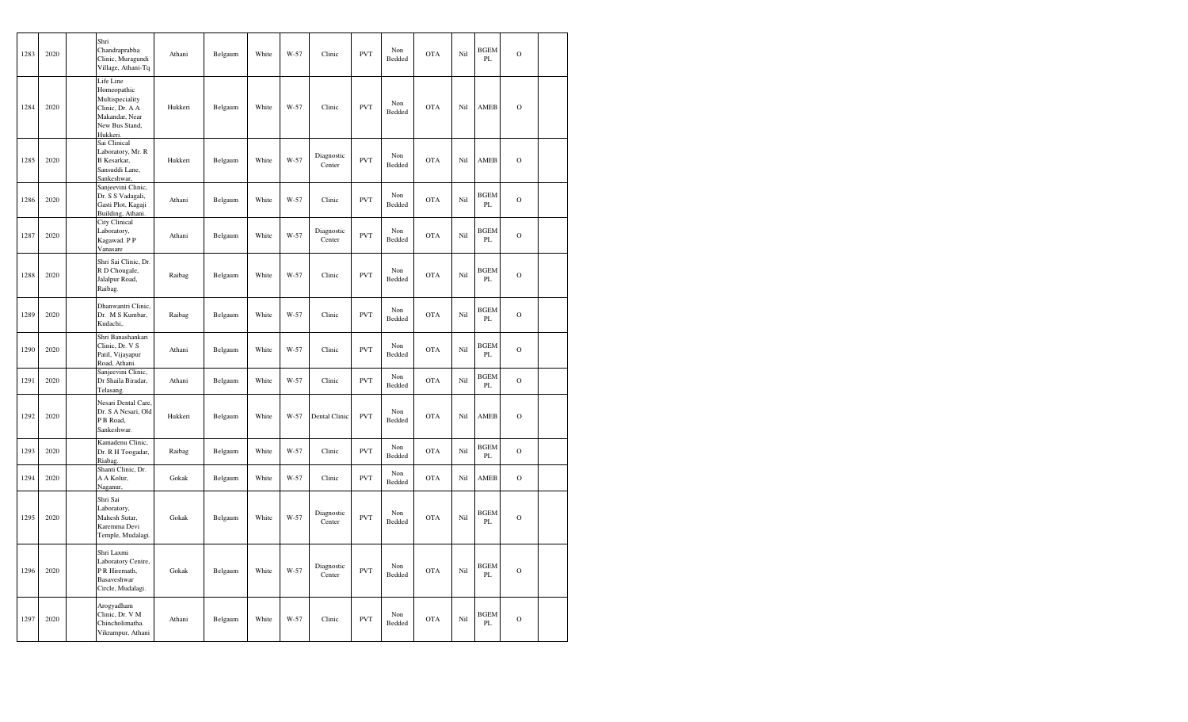| 1283 | 2020 | Shri<br>Chandraprabha<br>Clinic, Muragundi<br>Village, Athani-Tq                                               | Athani  | Belgaum | White | W-57 | Clinic               | <b>PVT</b> | Non<br>Bedded | <b>OTA</b> | Nil | <b>BGEM</b><br>PL            | $\mathcal{O}$  |  |
|------|------|----------------------------------------------------------------------------------------------------------------|---------|---------|-------|------|----------------------|------------|---------------|------------|-----|------------------------------|----------------|--|
| 1284 | 2020 | Life Line<br>Homeopathic<br>Multispeciality<br>Clinic, Dr. A A<br>Makandar, Near<br>New Bus Stand,<br>Hukkeri. | Hukkeri | Belgaum | White | W-57 | Clinic               | <b>PVT</b> | Non<br>Bedded | <b>OTA</b> | Nil | <b>AMEB</b>                  | $\circ$        |  |
| 1285 | 2020 | Sai Clinical<br>Laboratory, Mr. R<br>B Kesarkar,<br>Sansuddi Lane,<br>Sankeshwar,                              | Hukkeri | Belgaum | White | W-57 | Diagnostic<br>Center | <b>PVT</b> | Non<br>Bedded | <b>OTA</b> | Nil | AMEB                         | $\Omega$       |  |
| 1286 | 2020 | Sanjeevini Clinic,<br>Dr. S S Vadagali,<br>Gasti Plot, Kagaji<br>Building, Athani.                             | Athani  | Belgaum | White | W-57 | Clinic               | <b>PVT</b> | Non<br>Bedded | <b>OTA</b> | Nil | <b>BGEM</b><br>PL            | $\mathcal{O}$  |  |
| 1287 | 2020 | City Clinical<br>Laboratory,<br>Kagawad. PP<br>Vanasare                                                        | Athani  | Belgaum | White | W-57 | Diagnostic<br>Center | <b>PVT</b> | Non<br>Bedded | <b>OTA</b> | Nil | <b>BGEM</b><br>PL            | $\overline{O}$ |  |
| 1288 | 2020 | Shri Sai Clinic, Dr.<br>R D Chougale,<br>Jalalpur Road,<br>Raibag.                                             | Raibag  | Belgaum | White | W-57 | Clinic               | <b>PVT</b> | Non<br>Bedded | <b>OTA</b> | Nil | <b>BGEM</b><br>PL            | $\mathcal{O}$  |  |
| 1289 | 2020 | Dhanwantri Clinic,<br>Dr. M S Kumbar,<br>Kudachi,.                                                             | Raibag  | Belgaum | White | W-57 | Clinic               | <b>PVT</b> | Non<br>Bedded | <b>OTA</b> | Nil | <b>BGEM</b><br>PL            | $\mathbf O$    |  |
| 1290 | 2020 | Shri Banashankari<br>Clinic, Dr. V S<br>Patil, Vijayapur<br>Road, Athani.                                      | Athani  | Belgaum | White | W-57 | Clinic               | <b>PVT</b> | Non<br>Bedded | <b>OTA</b> | Nil | <b>BGEM</b><br>PL            | $\circ$        |  |
| 1291 | 2020 | Sanjeevini Clinic,<br>Dr Shaila Biradar,<br>Telasang.                                                          | Athani  | Belgaum | White | W-57 | Clinic               | <b>PVT</b> | Non<br>Bedded | <b>OTA</b> | Nil | <b>BGEM</b><br>PL            | $\mathbf O$    |  |
| 1292 | 2020 | Nesari Dental Care,<br>Dr. S A Nesari, Old<br>P B Road,<br>Sankeshwar.                                         | Hukkeri | Belgaum | White | W-57 | Dental Clinic        | <b>PVT</b> | Non<br>Bedded | <b>OTA</b> | Nil | AMEB                         | $\circ$        |  |
| 1293 | 2020 | Kamadenu Clinic,<br>Dr. R H Toogadar,<br>Riabag.                                                               | Raibag  | Belgaum | White | W-57 | Clinic               | <b>PVT</b> | Non<br>Bedded | <b>OTA</b> | Nil | <b>BGEM</b><br>PL            | $\mathcal{O}$  |  |
| 1294 | 2020 | Shanti Clinic, Dr.<br>A A Kolur,<br>Naganur,                                                                   | Gokak   | Belgaum | White | W-57 | Clinic               | <b>PVT</b> | Non<br>Bedded | <b>OTA</b> | Nil | AMEB                         | $\mathbf O$    |  |
| 1295 | 2020 | Shri Sai<br>Laboratory,<br>Mahesh Sutar,<br>Karemma Devi<br>Temple, Mudalagi.                                  | Gokak   | Belgaum | White | W-57 | Diagnostic<br>Center | <b>PVT</b> | Non<br>Bedded | <b>OTA</b> | Nil | <b>BGEM</b><br>PL            | $\mathbf O$    |  |
| 1296 | 2020 | Shri Laxmi<br>Laboratory Centre,<br>P R Hiremath,<br>Basaveshwar<br>Circle, Mudalagi.                          | Gokak   | Belgaum | White | W-57 | Diagnostic<br>Center | <b>PVT</b> | Non<br>Bedded | <b>OTA</b> | Nil | <b>BGEM</b><br>PL            | $\mathbf O$    |  |
| 1297 | 2020 | Arogyadham<br>Clinic, Dr. V M<br>Chincholimatha.<br>Vikrampur, Athani                                          | Athani  | Belgaum | White | W-57 | Clinic               | <b>PVT</b> | Non<br>Bedded | <b>OTA</b> | Nil | <b>BGEM</b><br>$\mathbf{PL}$ | $\mathbf O$    |  |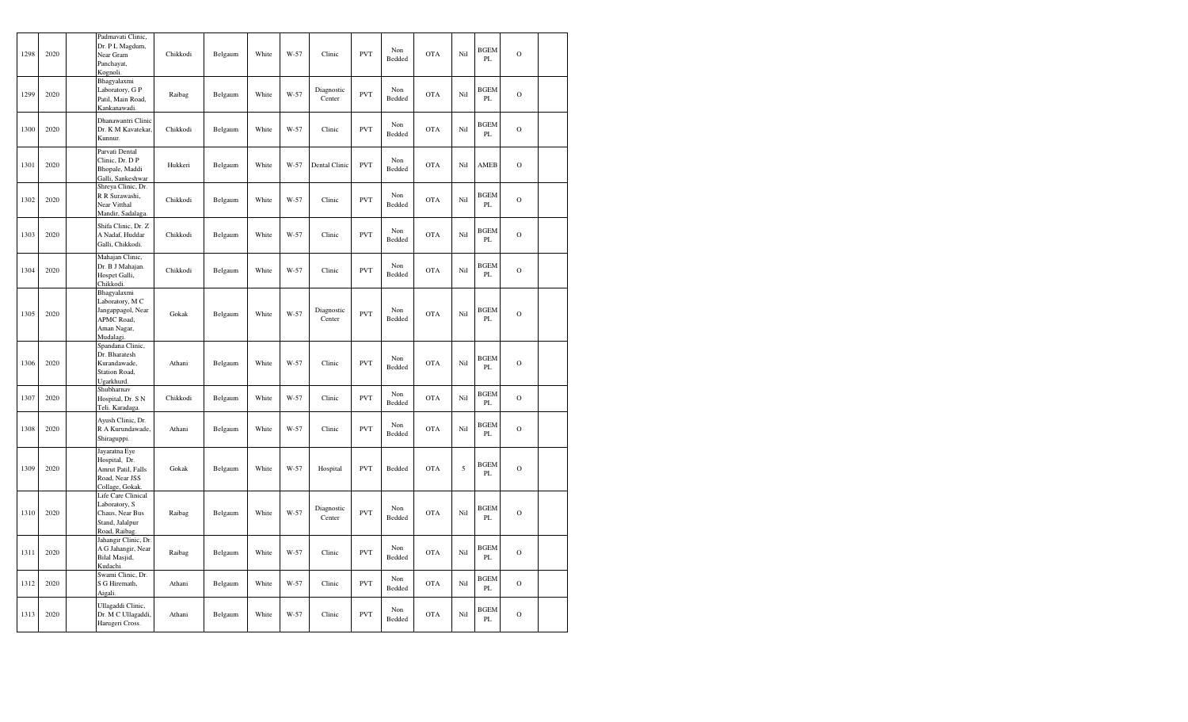| 1298 | 2020 | Padmavati Clinic,<br>Dr. PL Magdum,<br>Near Gram<br>Panchayat,<br>Kognoli.                    | Chikkodi | Belgaum | White | $W-57$ | Clinic               | <b>PVT</b> | Non<br>Bedded | <b>OTA</b> | Nil        | <b>BGEM</b><br>PL | $\mathbf O$    |  |
|------|------|-----------------------------------------------------------------------------------------------|----------|---------|-------|--------|----------------------|------------|---------------|------------|------------|-------------------|----------------|--|
| 1299 | 2020 | Bhagyalaxmi<br>Laboratory, G P<br>Patil, Main Road,<br>Kankanawadi.                           | Raibag   | Belgaum | White | $W-57$ | Diagnostic<br>Center | <b>PVT</b> | Non<br>Bedded | <b>OTA</b> | Nil        | <b>BGEM</b><br>PL | $\mathbf O$    |  |
| 1300 | 2020 | Dhanawantri Clinic<br>Dr. K M Kavatekar,<br>Kunnur.                                           | Chikkodi | Belgaum | White | W-57   | Clinic               | <b>PVT</b> | Non<br>Bedded | <b>OTA</b> | Nil        | <b>BGEM</b><br>PL | $\mathbf O$    |  |
| 1301 | 2020 | Parvati Dental<br>Clinic, Dr. DP<br>Bhopale, Maddi<br>Galli, Sankeshwar                       | Hukkeri  | Belgaum | White | $W-57$ | Dental Clinic        | <b>PVT</b> | Non<br>Bedded | <b>OTA</b> | Nil        | AMEB              | $\mathbf O$    |  |
| 1302 | 2020 | Shreya Clinic, Dr.<br>R R Surawashi,<br>Near Vitthal<br>Mandir, Sadalaga.                     | Chikkodi | Belgaum | White | W-57   | Clinic               | <b>PVT</b> | Non<br>Bedded | <b>OTA</b> | Nil        | <b>BGEM</b><br>PL | $\overline{O}$ |  |
| 1303 | 2020 | Shifa Clinic, Dr. Z<br>A Nadaf, Huddar<br>Galli, Chikkodi.                                    | Chikkodi | Belgaum | White | $W-57$ | Clinic               | <b>PVT</b> | Non<br>Bedded | <b>OTA</b> | Nil        | <b>BGEM</b><br>PL | $\circ$        |  |
| 1304 | 2020 | Mahajan Clinic,<br>Dr. B J Mahajan.<br>Hospet Galli,<br>Chikkodi.                             | Chikkodi | Belgaum | White | W-57   | Clinic               | <b>PVT</b> | Non<br>Bedded | <b>OTA</b> | Nil        | <b>BGEM</b><br>PL | $\mathbf O$    |  |
| 1305 | 2020 | Bhagyalaxmi<br>Laboratory, M C<br>Jangappagol, Near<br>APMC Road,<br>Aman Nagar,<br>Mudalagi. | Gokak    | Belgaum | White | $W-57$ | Diagnostic<br>Center | <b>PVT</b> | Non<br>Bedded | <b>OTA</b> | Nil        | <b>BGEM</b><br>PL | $\mathbf O$    |  |
| 1306 | 2020 | Spandana Clinic,<br>Dr. Bharatesh<br>Kurandawade,<br>Station Road,<br>Ugarkhurd.              | Athani   | Belgaum | White | W-57   | Clinic               | <b>PVT</b> | Non<br>Bedded | <b>OTA</b> | Nil        | <b>BGEM</b><br>PL | $\overline{O}$ |  |
| 1307 | 2020 | Shubharnav<br>Hospital, Dr. S N<br>Teli. Karadaga.                                            | Chikkodi | Belgaum | White | W-57   | Clinic               | <b>PVT</b> | Non<br>Bedded | <b>OTA</b> | Nil        | <b>BGEM</b><br>PL | $\circ$        |  |
| 1308 | 2020 | Ayush Clinic, Dr.<br>R A Kurundawade,<br>Shiraguppi.                                          | Athani   | Belgaum | White | W-57   | Clinic               | <b>PVT</b> | Non<br>Bedded | <b>OTA</b> | Nil        | <b>BGEM</b><br>PL | $\mathbf O$    |  |
| 1309 | 2020 | Jayaratna Eye<br>Hospital, Dr.<br>Amrut Patil, Falls<br>Road, Near JSS<br>Collage, Gokak.     | Gokak    | Belgaum | White | $W-57$ | Hospital             | <b>PVT</b> | Bedded        | <b>OTA</b> | $\sqrt{5}$ | <b>BGEM</b><br>PL | $\mathbf O$    |  |
| 1310 | 2020 | Life Care Clinical<br>Laboratory, S<br>Chaus, Near Bus<br>Stand, Jalalpur<br>Road, Raibag     | Raibag   | Belgaum | White | W-57   | Diagnostic<br>Center | <b>PVT</b> | Non<br>Bedded | <b>OTA</b> | Nil        | <b>BGEM</b><br>PL | $\mathbf O$    |  |
| 1311 | 2020 | Jahangir Clinic, Dr.<br>A G Jahangir, Near<br>Bilal Masjid,<br>Kudachi.                       | Raibag   | Belgaum | White | W-57   | Clinic               | <b>PVT</b> | Non<br>Bedded | <b>OTA</b> | Nil        | <b>BGEM</b><br>PL | $\mathbf O$    |  |
| 1312 | 2020 | Swami Clinic, Dr.<br>S G Hiremath,<br>Aigali                                                  | Athani   | Belgaum | White | W-57   | Clinic               | <b>PVT</b> | Non<br>Bedded | <b>OTA</b> | Nil        | <b>BGEM</b><br>PL | $\mathbf O$    |  |
| 1313 | 2020 | Ullagaddi Clinic,<br>Dr. M C Ullagaddi,<br>Harugeri Cross.                                    | Athani   | Belgaum | White | $W-57$ | Clinic               | <b>PVT</b> | Non<br>Bedded | <b>OTA</b> | Nil        | <b>BGEM</b><br>PL | $\mathbf O$    |  |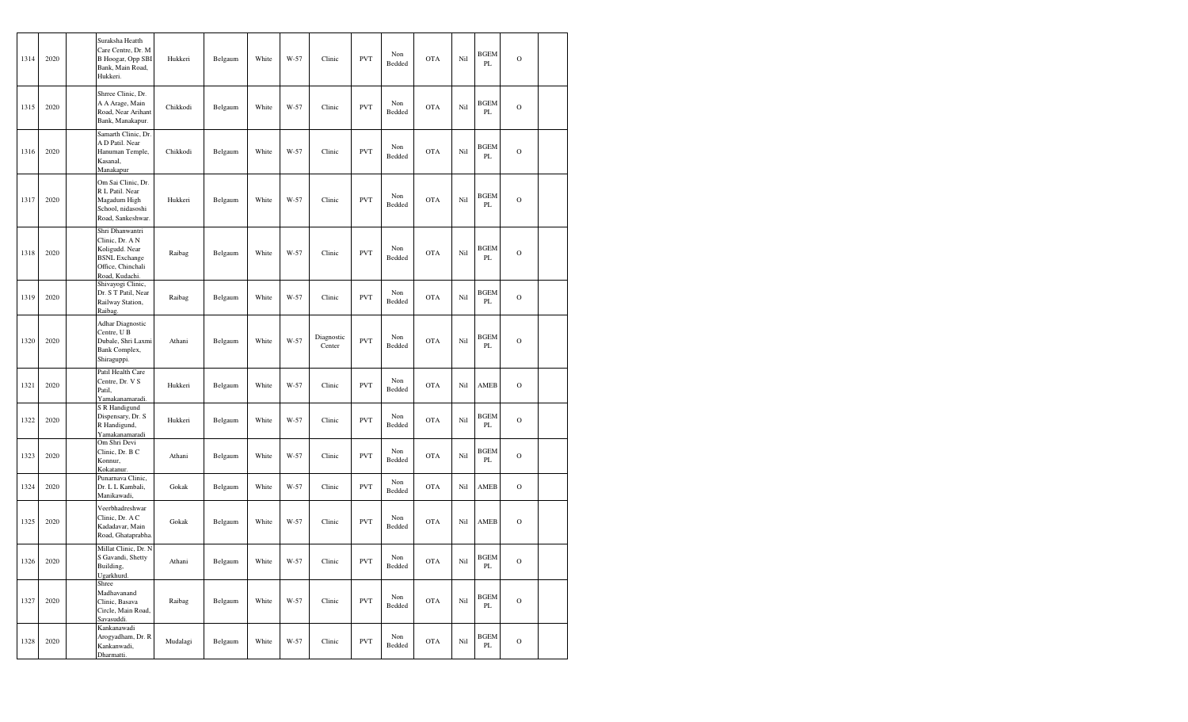| 1314 | 2020 | Suraksha Heatth<br>Care Centre, Dr. M<br>B Hoogar, Opp SBI<br>Bank, Main Road,<br>Hukkeri.                          | Hukkeri  | Belgaum | White | W-57   | Clinic               | <b>PVT</b> | Non<br>Bedded | <b>OTA</b> | Nil | <b>BGEM</b><br>PL       | $\circ$        |  |
|------|------|---------------------------------------------------------------------------------------------------------------------|----------|---------|-------|--------|----------------------|------------|---------------|------------|-----|-------------------------|----------------|--|
| 1315 | 2020 | Shrree Clinic, Dr.<br>A A Arage, Main<br>Road, Near Arihant<br>Bank, Manakapur.                                     | Chikkodi | Belgaum | White | W-57   | Clinic               | <b>PVT</b> | Non<br>Bedded | <b>OTA</b> | Nil | <b>BGEM</b><br>PL       | $\mathbf O$    |  |
| 1316 | 2020 | Samarth Clinic, Dr.<br>A D Patil. Near<br>Hanuman Temple,<br>Kasanal,<br>Manakapur                                  | Chikkodi | Belgaum | White | $W-57$ | Clinic               | <b>PVT</b> | Non<br>Bedded | <b>OTA</b> | Nil | <b>BGEM</b><br>PL       | $\overline{O}$ |  |
| 1317 | 2020 | Om Sai Clinic, Dr.<br>R L Patil. Near<br>Magadum High<br>School, nidasoshi<br>Road, Sankeshwar.                     | Hukkeri  | Belgaum | White | W-57   | Clinic               | <b>PVT</b> | Non<br>Bedded | <b>OTA</b> | Nil | <b>BGEM</b><br>PL       | $\overline{O}$ |  |
| 1318 | 2020 | Shri Dhanwantri<br>Clinic, Dr. A N<br>Koligudd. Near<br><b>BSNL</b> Exchange<br>Office, Chinchali<br>Road, Kudachi. | Raibag   | Belgaum | White | W-57   | Clinic               | <b>PVT</b> | Non<br>Bedded | <b>OTA</b> | Nil | <b>BGEM</b><br>PL       | $\overline{O}$ |  |
| 1319 | 2020 | Shivayogi Clinic,<br>Dr. S T Patil, Near<br>Railway Station,<br>Raibag.                                             | Raibag   | Belgaum | White | W-57   | Clinic               | <b>PVT</b> | Non<br>Bedded | <b>OTA</b> | Nil | <b>BGEM</b><br>PL       | $\mathbf O$    |  |
| 1320 | 2020 | <b>Adhar Diagnostic</b><br>Centre, UB<br>Dubale, Shri Laxmi<br>Bank Complex,<br>Shiraguppi.                         | Athani   | Belgaum | White | $W-57$ | Diagnostic<br>Center | <b>PVT</b> | Non<br>Bedded | <b>OTA</b> | Nil | <b>BGEM</b><br>PL       | $\mathbf O$    |  |
| 1321 | 2020 | Patil Health Care<br>Centre, Dr. V S<br>Patil,<br>Yamakanamaradi.                                                   | Hukkeri  | Belgaum | White | $W-57$ | Clinic               | <b>PVT</b> | Non<br>Bedded | <b>OTA</b> | Nil | AMEB                    | $\circ$        |  |
| 1322 | 2020 | S R Handigund<br>Dispensary, Dr. S<br>R Handigund,<br>Yamakanamaradi                                                | Hukkeri  | Belgaum | White | W-57   | Clinic               | <b>PVT</b> | Non<br>Bedded | <b>OTA</b> | Nil | <b>BGEM</b><br>PL       | $\mathbf O$    |  |
| 1323 | 2020 | Om Shri Devi<br>Clinic, Dr. B C<br>Konnur,<br>Kokatanur.                                                            | Athani   | Belgaum | White | $W-57$ | Clinic               | <b>PVT</b> | Non<br>Bedded | <b>OTA</b> | Nil | BGEM<br>PL              | $\mathbf O$    |  |
| 1324 | 2020 | Punarnava Clinic,<br>Dr. L L Kambali,<br>Manikawadi,                                                                | Gokak    | Belgaum | White | W-57   | Clinic               | <b>PVT</b> | Non<br>Bedded | <b>OTA</b> | Nil | AMEB                    | $\circ$        |  |
| 1325 | 2020 | Veerbhadreshwar<br>Clinic, Dr. A C<br>Kadadavar, Main<br>Road, Ghataprabha.                                         | Gokak    | Belgaum | White | W-57   | Clinic               | <b>PVT</b> | Non<br>Bedded | <b>OTA</b> | Nil | AMEB                    | $\circ$        |  |
| 1326 | 2020 | Millat Clinic, Dr. N<br>S Gavandi, Shetty<br>Building,<br>Ugarkhurd.                                                | Athani   | Belgaum | White | W-57   | Clinic               | <b>PVT</b> | Non<br>Bedded | <b>OTA</b> | Nil | <b>BGEM</b><br>PL       | $\mathbf O$    |  |
| 1327 | 2020 | Shree<br>Madhavanand<br>Clinic, Basava<br>Circle, Main Road,<br>Savasuddi.                                          | Raibag   | Belgaum | White | W-57   | Clinic               | <b>PVT</b> | Non<br>Bedded | <b>OTA</b> | Nil | <b>BGEM</b><br>PL       | $\mathcal O$   |  |
| 1328 | 2020 | Kankanawadi<br>Arogyadham, Dr. R<br>Kankanwadi,<br>Dharmatti.                                                       | Mudalagi | Belgaum | White | W-57   | Clinic               | <b>PVT</b> | Non<br>Bedded | <b>OTA</b> | Nil | <b>BGEM</b><br>$\rm PL$ | $\mathbf O$    |  |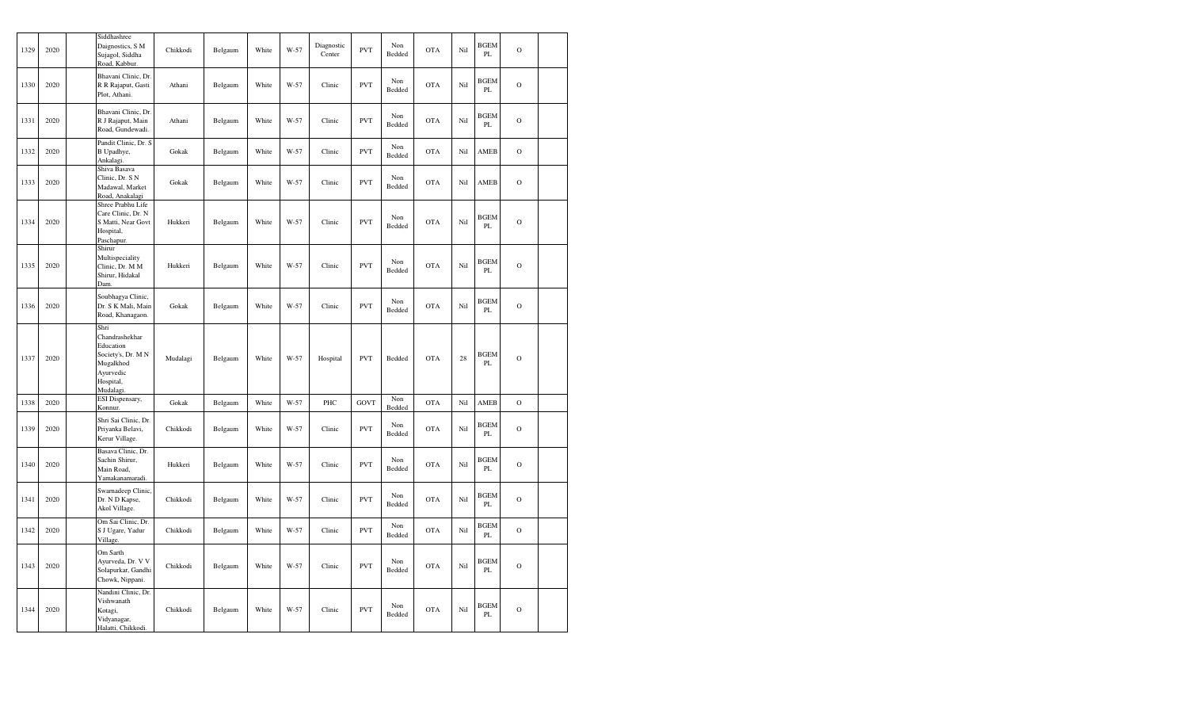| 1329 | 2020 | Siddhashree<br>Daignostics, S M<br>Sujagol, Siddha<br>Road, Kabbur.                                           | Chikkodi | Belgaum | White | W-57 | Diagnostic<br>Center | <b>PVT</b> | Non<br>Bedded | <b>OTA</b> | Nil | <b>BGEM</b><br>PL | $\overline{O}$ |  |
|------|------|---------------------------------------------------------------------------------------------------------------|----------|---------|-------|------|----------------------|------------|---------------|------------|-----|-------------------|----------------|--|
| 1330 | 2020 | Bhavani Clinic, Dr.<br>R R Rajaput, Gasti<br>Plot, Athani.                                                    | Athani   | Belgaum | White | W-57 | Clinic               | <b>PVT</b> | Non<br>Bedded | <b>OTA</b> | Nil | <b>BGEM</b><br>PL | $\mathcal{O}$  |  |
| 1331 | 2020 | Bhavani Clinic, Dr.<br>R J Rajaput, Main<br>Road, Gundewadi.                                                  | Athani   | Belgaum | White | W-57 | Clinic               | <b>PVT</b> | Non<br>Bedded | <b>OTA</b> | Nil | <b>BGEM</b><br>PL | $\overline{O}$ |  |
| 1332 | 2020 | Pandit Clinic, Dr. S<br>B Upadhye,<br>Ankalagi.                                                               | Gokak    | Belgaum | White | W-57 | Clinic               | <b>PVT</b> | Non<br>Bedded | <b>OTA</b> | Nil | AMEB              | $\mathbf O$    |  |
| 1333 | 2020 | Shiva Basava<br>Clinic, Dr. S N<br>Madawal, Market<br>Road, Anakalagi                                         | Gokak    | Belgaum | White | W-57 | Clinic               | <b>PVT</b> | Non<br>Bedded | <b>OTA</b> | Nil | AMEB              | $\mathbf{O}$   |  |
| 1334 | 2020 | Shree Prabhu Life<br>Care Clinic, Dr. N<br>S Matti, Near Govt<br>Hospital,<br>Paschapur.                      | Hukkeri  | Belgaum | White | W-57 | Clinic               | <b>PVT</b> | Non<br>Bedded | <b>OTA</b> | Nil | <b>BGEM</b><br>PL | $\mathbf O$    |  |
| 1335 | 2020 | Shirur<br>Multispeciality<br>Clinic, Dr. M M<br>Shirur, Hidakal<br>Dam.                                       | Hukkeri  | Belgaum | White | W-57 | Clinic               | <b>PVT</b> | Non<br>Bedded | <b>OTA</b> | Nil | <b>BGEM</b><br>PL | $\circ$        |  |
| 1336 | 2020 | Soubhagya Clinic,<br>Dr. S K Mali, Main<br>Road, Khanagaon.                                                   | Gokak    | Belgaum | White | W-57 | Clinic               | <b>PVT</b> | Non<br>Bedded | <b>OTA</b> | Nil | <b>BGEM</b><br>PL | $\mathcal{O}$  |  |
| 1337 | 2020 | Shri<br>Chandrashekhar<br>Education<br>Society's, Dr. M N<br>Mugalkhod<br>Ayurvedic<br>Hospital,<br>Mudalagi. | Mudalagi | Belgaum | White | W-57 | Hospital             | <b>PVT</b> | Bedded        | <b>OTA</b> | 28  | <b>BGEM</b><br>PL | $\mathbf O$    |  |
| 1338 | 2020 | ESI Dispensary,<br>Konnur.                                                                                    | Gokak    | Belgaum | White | W-57 | PHC                  | GOVT       | Non<br>Bedded | <b>OTA</b> | Nil | AMEB              | $\mathbf O$    |  |
| 1339 | 2020 | Shri Sai Clinic, Dr.<br>Priyanka Belavi,<br>Kerur Village.                                                    | Chikkodi | Belgaum | White | W-57 | Clinic               | <b>PVT</b> | Non<br>Bedded | <b>OTA</b> | Nil | <b>BGEM</b><br>PL | $\mathcal{O}$  |  |
| 1340 | 2020 | Basava Clinic, Dr.<br>Sachin Shirur,<br>Main Road,<br>Yamakanamaradi.                                         | Hukkeri  | Belgaum | White | W-57 | Clinic               | <b>PVT</b> | Non<br>Bedded | OTA        | Nil | <b>BGEM</b><br>PL | $\mathbf O$    |  |
| 1341 | 2020 | Swarnadeep Clinic,<br>Dr. N D Kapse,<br>Akol Village.                                                         | Chikkodi | Belgaum | White | W-57 | Clinic               | <b>PVT</b> | Non<br>Bedded | <b>OTA</b> | Nil | <b>BGEM</b><br>PL | $\overline{O}$ |  |
| 1342 | 2020 | Om Sai Clinic, Dr.<br>S J Ugare, Yadur<br>Village.                                                            | Chikkodi | Belgaum | White | W-57 | Clinic               | <b>PVT</b> | Non<br>Bedded | <b>OTA</b> | Nil | <b>BGEM</b><br>PL | $\mathbf O$    |  |
| 1343 | 2020 | Om Sarth<br>Ayurveda, Dr. V V<br>Solapurkar, Gandhi<br>Chowk, Nippani.                                        | Chikkodi | Belgaum | White | W-57 | Clinic               | <b>PVT</b> | Non<br>Bedded | <b>OTA</b> | Nil | BGEM<br>PL        | $\circ$        |  |
| 1344 | 2020 | Nandini Clinic, Dr.<br>Vishwanath<br>Kotagi,<br>Vidyanagar,<br>Halatti, Chikkodi.                             | Chikkodi | Belgaum | White | W-57 | Clinic               | <b>PVT</b> | Non<br>Bedded | <b>OTA</b> | Nil | <b>BGEM</b><br>PL | $\mathcal{O}$  |  |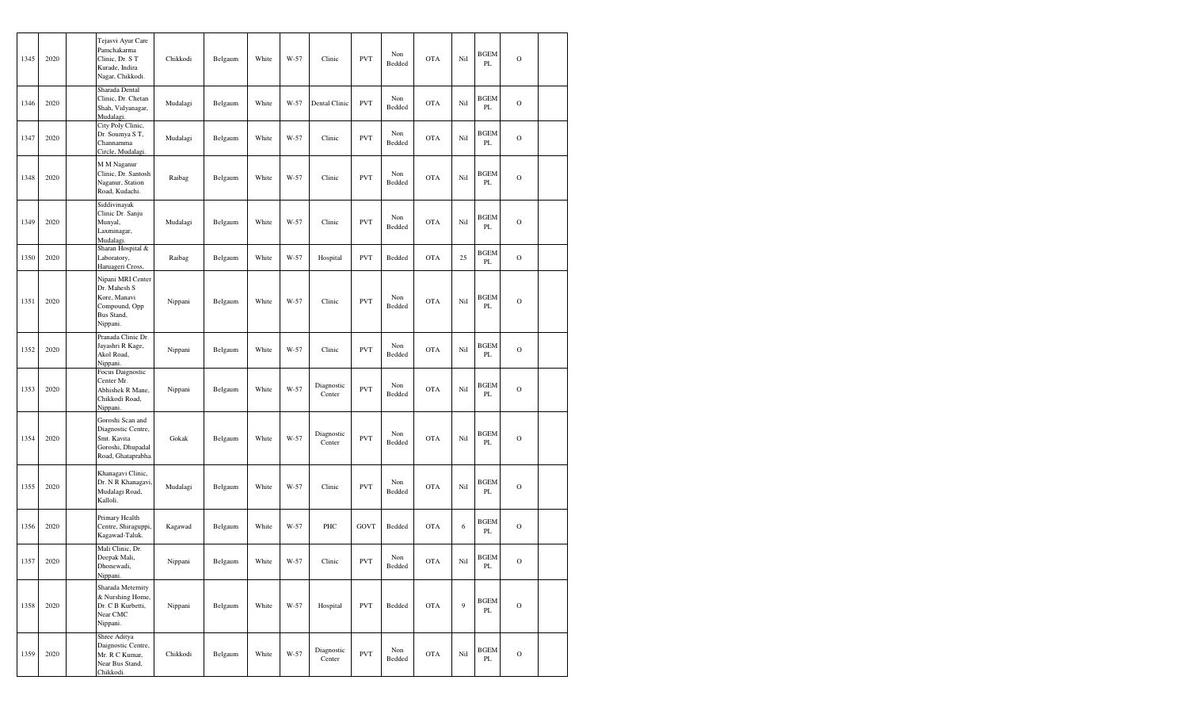| 1345 | 2020 | Tejasvi Ayur Care<br>Pamchakarma<br>Clinic, Dr. S T<br>Kurade, Indira<br>Nagar, Chikkodi.       | Chikkodi | Belgaum | White | W-57   | Clinic               | <b>PVT</b>  | Non<br>Bedded | <b>OTA</b> | Nil | <b>BGEM</b><br>PL | $\circ$        |  |
|------|------|-------------------------------------------------------------------------------------------------|----------|---------|-------|--------|----------------------|-------------|---------------|------------|-----|-------------------|----------------|--|
| 1346 | 2020 | Sharada Dental<br>Clinic, Dr. Chetan<br>Shah, Vidyanagar,<br>Mudalagi.                          | Mudalagi | Belgaum | White | W-57   | Dental Clinic        | <b>PVT</b>  | Non<br>Bedded | <b>OTA</b> | Nil | <b>BGEM</b><br>PL | $\mathcal{O}$  |  |
| 1347 | 2020 | City Poly Clinic,<br>Dr. Soumya S T,<br>Channamma<br>Circle, Mudalagi.                          | Mudalagi | Belgaum | White | W-57   | Clinic               | <b>PVT</b>  | Non<br>Bedded | <b>OTA</b> | Nil | BGEM<br>PL        | $\overline{O}$ |  |
| 1348 | 2020 | M M Naganur<br>Clinic, Dr. Santosh<br>Naganur, Station<br>Road, Kudachi.                        | Raibag   | Belgaum | White | W-57   | Clinic               | <b>PVT</b>  | Non<br>Bedded | <b>OTA</b> | Nil | BGEM<br>PL        | $\mathcal{O}$  |  |
| 1349 | 2020 | Siddivinayak<br>Clinic Dr. Sanju<br>Munyal,<br>Laxminagar,<br>Mudalagi                          | Mudalagi | Belgaum | White | W-57   | Clinic               | <b>PVT</b>  | Non<br>Bedded | <b>OTA</b> | Nil | BGEM<br>PL        | $\circ$        |  |
| 1350 | 2020 | Sharan Hospital &<br>Laboratory,<br>Haruageri Cross,                                            | Raibag   | Belgaum | White | W-57   | Hospital             | <b>PVT</b>  | Bedded        | <b>OTA</b> | 25  | BGEM<br>PL        | $\mathbf O$    |  |
| 1351 | 2020 | Nipani MRI Center<br>Dr. Mahesh S<br>Kore, Manavi<br>Compound, Opp<br>Bus Stand,<br>Nippani.    | Nippani  | Belgaum | White | W-57   | Clinic               | <b>PVT</b>  | Non<br>Bedded | <b>OTA</b> | Nil | <b>BGEM</b><br>PL | $\overline{O}$ |  |
| 1352 | 2020 | Pranada Clinic Dr.<br>Jayashri R Kage,<br>Akol Road,<br>Nippani.                                | Nippani  | Belgaum | White | W-57   | Clinic               | <b>PVT</b>  | Non<br>Bedded | <b>OTA</b> | Nil | BGEM<br>PL        | $\mathbf O$    |  |
| 1353 | 2020 | Focus Daignostic<br>Center Mr.<br>Abhishek R Mane,<br>Chikkodi Road,<br>Nippani.                | Nippani  | Belgaum | White | $W-57$ | Diagnostic<br>Center | <b>PVT</b>  | Non<br>Bedded | <b>OTA</b> | Nil | <b>BGEM</b><br>PL | $\mathcal{O}$  |  |
| 1354 | 2020 | Goroshi Scan and<br>Diagnostic Centre,<br>Smt. Kavita<br>Goroshi, Dhupadal<br>Road, Ghataprabha | Gokak    | Belgaum | White | W-57   | Diagnostic<br>Center | <b>PVT</b>  | Non<br>Bedded | <b>OTA</b> | Nil | <b>BGEM</b><br>PL | $\mathbf O$    |  |
| 1355 | 2020 | Khanagavi Clinic,<br>Dr. N R Khanagavi<br>Mudalagi Road,<br>Kalloli.                            | Mudalagi | Belgaum | White | W-57   | Clinic               | <b>PVT</b>  | Non<br>Bedded | <b>OTA</b> | Nil | <b>BGEM</b><br>PL | $\circ$        |  |
| 1356 | 2020 | Primary Health<br>Centre, Shiraguppi,<br>Kagawad-Taluk.                                         | Kagawad  | Belgaum | White | W-57   | PHC                  | <b>GOVT</b> | Bedded        | <b>OTA</b> | 6   | BGEM<br>PL        | $\mathbf O$    |  |
| 1357 | 2020 | Mali Clinic, Dr.<br>Deepak Mali,<br>Dhonewadi,<br>Nippani.                                      | Nippani  | Belgaum | White | W-57   | Clinic               | <b>PVT</b>  | Non<br>Bedded | OTA        | Nil | <b>BGEM</b><br>PL | $\mathcal{O}$  |  |
| 1358 | 2020 | Sharada Meternity<br>& Nurshing Home,<br>Dr. C B Kurbetti,<br>Near CMC<br>Nippani.              | Nippani  | Belgaum | White | W-57   | Hospital             | <b>PVT</b>  | Bedded        | <b>OTA</b> | 9   | <b>BGEM</b><br>PL | $\mathbf O$    |  |
| 1359 | 2020 | Shree Aditya<br>Daignostic Centre,<br>Mr. R C Kumar,<br>Near Bus Stand,<br>Chikkodi.            | Chikkodi | Belgaum | White | W-57   | Diagnostic<br>Center | <b>PVT</b>  | Non<br>Bedded | <b>OTA</b> | Nil | <b>BGEM</b><br>PL | $\mathbf O$    |  |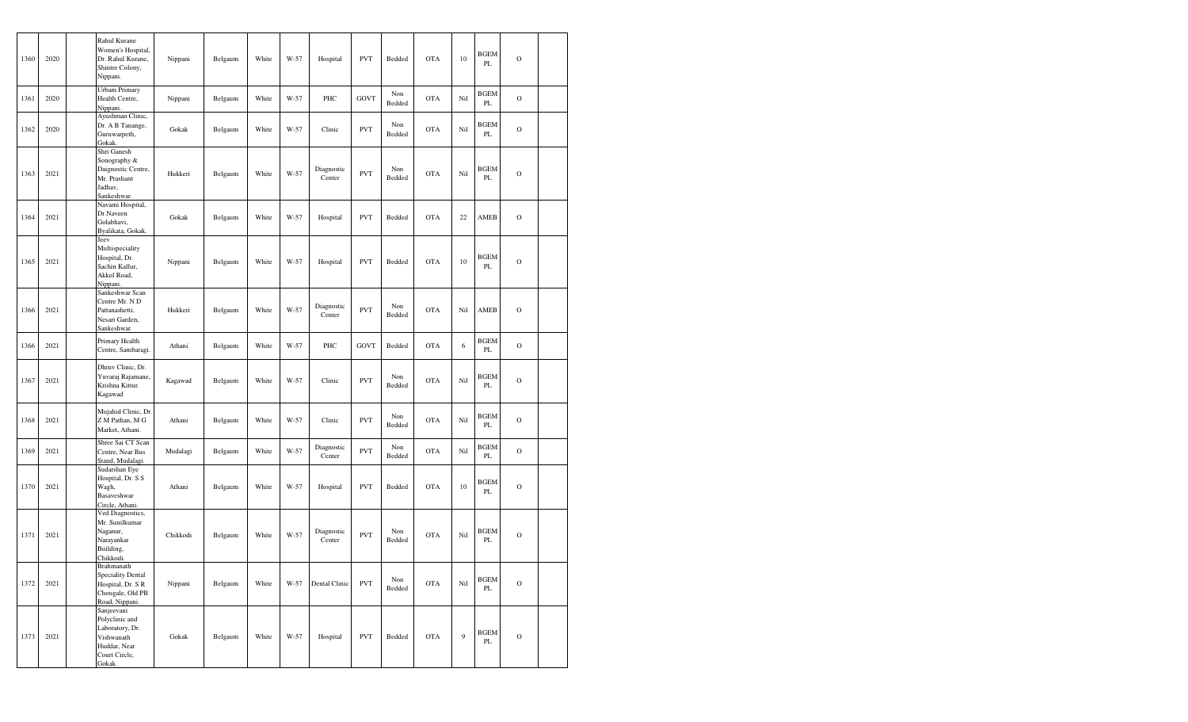| 1360 | 2020 | Rahul Kurane<br>Nippani.                                                             | Women's Hospital,<br>Dr. Rahul Kurane,<br>Shintre Colony,  | Nippani  | Belgaum | White | W-57 | Hospital             | <b>PVT</b>  | Bedded        | <b>OTA</b> | 10  | <b>BGEM</b><br>PL       | $\circ$     |  |
|------|------|--------------------------------------------------------------------------------------|------------------------------------------------------------|----------|---------|-------|------|----------------------|-------------|---------------|------------|-----|-------------------------|-------------|--|
| 1361 | 2020 | Health Centre,<br>Nippani.                                                           | Urbam Primary                                              | Nippani  | Belgaum | White | W-57 | PHC                  | <b>GOVT</b> | Non<br>Bedded | <b>OTA</b> | Nil | <b>BGEM</b><br>PL       | $\mathbf O$ |  |
| 1362 | 2020 | Guruwarpeth,<br>Gokak.                                                               | Ayushman Clinic,<br>Dr. A B Tanange,                       | Gokak    | Belgaum | White | W-57 | Clinic               | <b>PVT</b>  | Non<br>Bedded | <b>OTA</b> | Nil | <b>BGEM</b><br>PL       | $\mathbf O$ |  |
| 1363 | 2021 | Shri Ganesh<br>Sonography &<br>Mr. Prashant<br>Jadhav.<br>Sankeshwar.                | Daignostic Centre,                                         | Hukkeri  | Belgaum | White | W-57 | Diagnostic<br>Center | <b>PVT</b>  | Non<br>Bedded | <b>OTA</b> | Nil | <b>BGEM</b><br>PL       | $\mathbf O$ |  |
| 1364 | 2021 | Dr.Naveen<br>Golabhavi,                                                              | Navami Hospital,<br>Byalikata, Gokak.                      | Gokak    | Belgaum | White | W-57 | Hospital             | <b>PVT</b>  | Bedded        | <b>OTA</b> | 22  | AMEB                    | $\mathbf O$ |  |
| 1365 | 2021 | Jeev<br>Hospital, Dr.<br>Sachin Kallur,<br>Akkol Road,<br>Nippani.                   | Multispeciality                                            | Nippani  | Belgaum | White | W-57 | Hospital             | <b>PVT</b>  | Bedded        | <b>OTA</b> | 10  | <b>BGEM</b><br>PL       | $\mathbf O$ |  |
| 1366 | 2021 | Pattanashetti,<br>Nesari Garden,<br>Sankeshwar.                                      | Sankeshwar Scan<br>Centre Mr. ND                           | Hukkeri  | Belgaum | White | W-57 | Diagnostic<br>Center | <b>PVT</b>  | Non<br>Bedded | <b>OTA</b> | Nil | AMEB                    | $\circ$     |  |
| 1366 | 2021 |                                                                                      | Primary Health<br>Centre, Sambaragi.                       | Athani   | Belgaum | White | W-57 | PHC                  | <b>GOVT</b> | Bedded        | <b>OTA</b> | 6   | <b>BGEM</b><br>$\rm PL$ | $\mathbf O$ |  |
| 1367 | 2021 | Krishna Kittur.<br>Kagawad                                                           | Dhruv Clinic, Dr.<br>Yuvaraj Rajamane,                     | Kagawad  | Belgaum | White | W-57 | Clinic               | <b>PVT</b>  | Non<br>Bedded | <b>OTA</b> | Nil | <b>BGEM</b><br>PL       | $\circ$     |  |
| 1368 | 2021 |                                                                                      | Mujahid Clinic, Dr<br>Z M Pathan, M G<br>Market, Athani.   | Athani   | Belgaum | White | W-57 | Clinic               | <b>PVT</b>  | Non<br>Bedded | <b>OTA</b> | Nil | <b>BGEM</b><br>PL       | $\mathbf O$ |  |
| 1369 | 2021 |                                                                                      | Shree Sai CT Scan<br>Centre, Near Bus<br>Stand, Mudalagi.  | Mudalagi | Belgaum | White | W-57 | Diagnostic<br>Center | <b>PVT</b>  | Non<br>Bedded | <b>OTA</b> | Nil | <b>BGEM</b><br>PL       | $\circ$     |  |
| 1370 | 2021 | Sudarshan Eye<br>Wagh,<br>Basaveshwar<br>Circle, Athani.                             | Hospital, Dr. S S                                          | Athani   | Belgaum | White | W-57 | Hospital             | <b>PVT</b>  | Bedded        | <b>OTA</b> | 10  | <b>BGEM</b><br>PL       | $\mathbf O$ |  |
| 1371 | 2021 | Naganur,<br>Narayankar<br>Building,<br>Chikkodi.                                     | Ved Diagnostics,<br>Mr. Sunilkumar                         | Chikkodi | Belgaum | White | W-57 | Diagnostic<br>Center | <b>PVT</b>  | Non<br>Bedded | <b>OTA</b> | Nil | <b>BGEM</b><br>PL       | $\mathbf O$ |  |
| 1372 | 2021 | Brahmanath<br>Road, Nippani.                                                         | Speciality Dental<br>Hospital, Dr. S R<br>Chougale, Old PB | Nippani  | Belgaum | White | W-57 | Dental Clinic        | <b>PVT</b>  | Non<br>Bedded | <b>OTA</b> | Nil | <b>BGEM</b><br>PL       | $\mathbf O$ |  |
| 1373 | 2021 | Sanjeevani<br>Polyclinic and<br>Vishwanath<br>Huddar, Near<br>Court Circle,<br>Gokak | Laboratory, Dr.                                            | Gokak    | Belgaum | White | W-57 | Hospital             | <b>PVT</b>  | Bedded        | <b>OTA</b> | 9   | <b>BGEM</b><br>PL       | $\circ$     |  |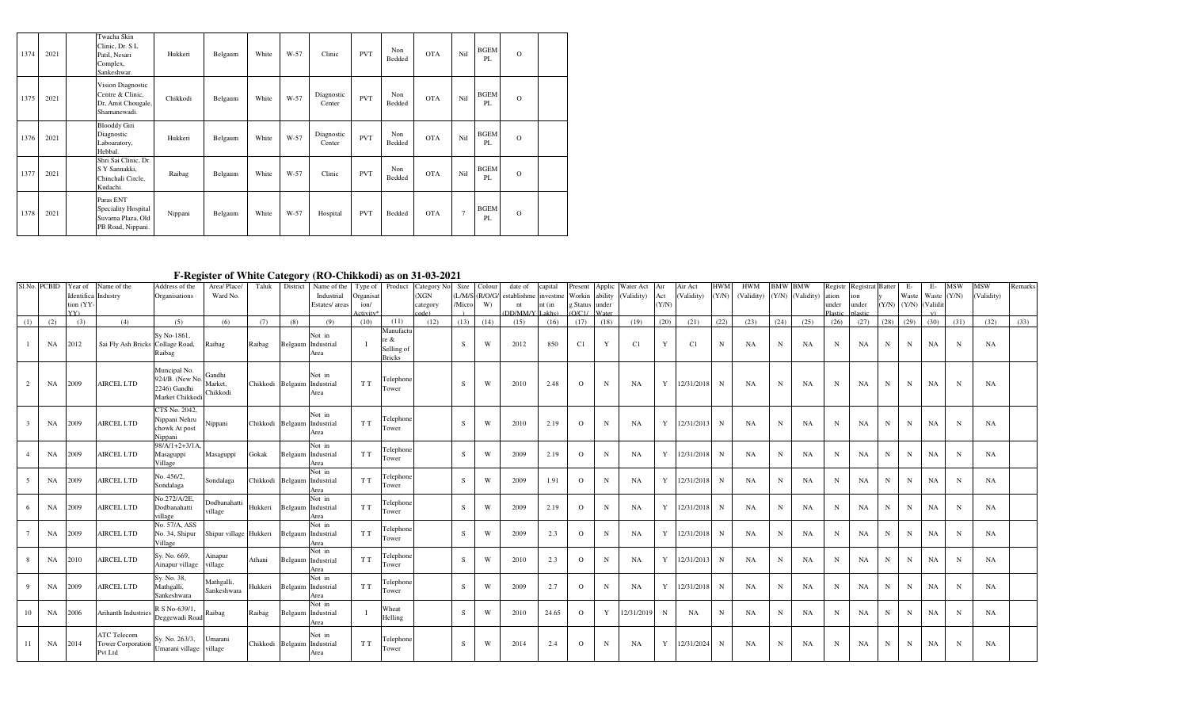| 1374 | 2021 | Twacha Skin<br>Clinic, Dr. S L<br>Patil, Nesari<br>Complex,<br>Sankeshwar.  | Hukkeri  | Belgaum | White | $W-57$ | Clinic               | <b>PVT</b> | Non<br>Bedded | <b>OTA</b> | Nil            | <b>BGEM</b><br>PL | $\circ$  |  |
|------|------|-----------------------------------------------------------------------------|----------|---------|-------|--------|----------------------|------------|---------------|------------|----------------|-------------------|----------|--|
| 1375 | 2021 | Vision Diagnostic<br>Centre & Clinic,<br>Dr, Amit Chougale,<br>Shamanewadi. | Chikkodi | Belgaum | White | W-57   | Diagnostic<br>Center | <b>PVT</b> | Non<br>Bedded | <b>OTA</b> | Nil            | <b>BGEM</b><br>PL | $\Omega$ |  |
| 1376 | 2021 | <b>Blooddy Giri</b><br>Diagnostic<br>Laboaratory,<br>Hebbal.                | Hukkeri  | Belgaum | White | W-57   | Diagnostic<br>Center | <b>PVT</b> | Non<br>Bedded | <b>OTA</b> | Nil            | <b>BGEM</b><br>PL | $\Omega$ |  |
| 1377 | 2021 | Shri Sai Clinic, Dr.<br>S Y Sannakki,<br>Chinchali Circle,<br>Kudachi.      | Raibag   | Belgaum | White | $W-57$ | Clinic               | <b>PVT</b> | Non<br>Bedded | <b>OTA</b> | Nil            | <b>BGEM</b><br>PL | $\Omega$ |  |
| 1378 | 2021 | Paras ENT<br>Speciality Hospital<br>Suvarna Plaza, Old<br>PB Road, Nippani. | Nippani  | Belgaum | White | $W-57$ | Hospital             | <b>PVT</b> | Bedded        | <b>OTA</b> | $\overline{7}$ | <b>BGEM</b><br>PL | $\Omega$ |  |

## **F-Register of White Category (RO-Chikkodi) as on 31-03-2021**

| Sl.No. PCBID |           | Year of      | Name of the                | Address of the            | Area/Place/            | Taluk                       | $\bullet$<br>District       | Name of the Type of Product  |           |               | Category No |              | Size Colour | date of                   | capital  | resent         | Applic       | Water Act  | Air   | Air Act        | HWM         | <b>HWM</b> | <b>BMW BMW</b> |                  |             | Registr Registrat Batter |      | Е-              | E-            | <b>MSW</b>  | <b>MSW</b> | Remarks |
|--------------|-----------|--------------|----------------------------|---------------------------|------------------------|-----------------------------|-----------------------------|------------------------------|-----------|---------------|-------------|--------------|-------------|---------------------------|----------|----------------|--------------|------------|-------|----------------|-------------|------------|----------------|------------------|-------------|--------------------------|------|-----------------|---------------|-------------|------------|---------|
|              |           |              | Identifica Industry        | Organisations             | Ward No.               |                             |                             | Industrial                   | Organisat |               | (XGN)       |              |             | L/M/S (R/O/G/ establishme | investme | Workin ability |              | (Validity) | Act   | (Validity)     | (Y/N)       | (Validity) |                | (Y/N) (Validity) | ation       | ion                      |      | Waste           | Waste $(Y/N)$ |             | (Validity) |         |
|              |           | tion (YY-    |                            |                           |                        |                             |                             | Estates/areas                | ion/      |               | category    | <b>Micro</b> | W)          | nt                        | nt (in   | g Status under |              |            | (Y/N) |                |             |            |                |                  | under       | under                    |      | $(Y/N)$ $(Y/N)$ | (Validit      |             |            |         |
|              |           | $\mathbf{v}$ |                            |                           |                        |                             |                             |                              |           |               |             |              |             | DD/MM/Y                   | akhe)    | O/C1           |              |            |       |                |             |            |                |                  |             |                          |      |                 |               |             |            |         |
| (1)          | (2)       | (3)          | (4)                        | (5)                       | (6)                    | (7)                         | (8)                         | (9)                          | (10)      | (11)          | (12)        | (13)         | (14)        | (15)                      | (16)     | (17)           | (18)         | (19)       | (20)  | (21)           | (22)        | (23)       | (24)           | (25)             | (26)        | (27)                     | (28) | (29)            | (30)          | (31)        | (32)       | (33)    |
|              |           |              |                            | Sy No-1861,               |                        |                             |                             | Not in                       |           | Manufactu     |             |              |             |                           |          |                |              |            |       |                |             |            |                |                  |             |                          |      |                 |               |             |            |         |
|              | <b>NA</b> | 2012         | Sai Fly Ash Bricks         | Collage Road,             | Raibag                 | Raibag                      |                             | Belgaum Industrial           |           | re &          |             | S            | W           | 2012                      | 850      | C1             | $\mathbf{Y}$ | C1         | Y     | C <sub>1</sub> | $\mathbf N$ | NA         | $_{\rm N}$     | <b>NA</b>        | N           | NA                       | N    | N               | <b>NA</b>     | N           | NA         |         |
|              |           |              |                            | Raibag                    |                        |                             |                             | Area                         |           | Selling of    |             |              |             |                           |          |                |              |            |       |                |             |            |                |                  |             |                          |      |                 |               |             |            |         |
|              |           |              |                            |                           |                        |                             |                             |                              |           | <b>Bricks</b> |             |              |             |                           |          |                |              |            |       |                |             |            |                |                  |             |                          |      |                 |               |             |            |         |
|              |           |              |                            | Muncipal No.              |                        |                             |                             |                              |           |               |             |              |             |                           |          |                |              |            |       |                |             |            |                |                  |             |                          |      |                 |               |             |            |         |
| 2            | NA        | 2009         | <b>AIRCEL LTD</b>          | 924/B. (New No. Market,   | Gandhi                 | Chikkodi Belgaum Industrial |                             | Not in                       | T T       | Telephone     |             | S.           | W           | 2010                      | 2.48     | $\Omega$       | N            | <b>NA</b>  | Y     | 12/31/2018     | N           | <b>NA</b>  | N              | <b>NA</b>        | N           | NA                       | N    | N               | <b>NA</b>     | $\mathbf N$ | NA         |         |
|              |           |              |                            | 2246) Gandhi              | Chikkodi               |                             |                             | Area                         |           | Tower         |             |              |             |                           |          |                |              |            |       |                |             |            |                |                  |             |                          |      |                 |               |             |            |         |
|              |           |              |                            | Market Chikkodi           |                        |                             |                             |                              |           |               |             |              |             |                           |          |                |              |            |       |                |             |            |                |                  |             |                          |      |                 |               |             |            |         |
|              |           |              |                            | CTS No. 2042,             |                        |                             |                             | Not in                       |           |               |             |              |             |                           |          |                |              |            |       |                |             |            |                |                  |             |                          |      |                 |               |             |            |         |
|              | NA        | 2009         | <b>AIRCEL LTD</b>          | Nippani Nehru             | Nippani                | Chikkodi Belgaum Industrial |                             |                              | T T       | Telephone     |             | S            | W           | 2010                      | 2.19     | $\Omega$       | N            | NA         | Y     | 12/31/2013     | N           | <b>NA</b>  | N              | <b>NA</b>        | N           | NA                       | N    | N               | <b>NA</b>     | N           | NA         |         |
|              |           |              |                            | chowk At post             |                        |                             |                             | Area                         |           | Tower         |             |              |             |                           |          |                |              |            |       |                |             |            |                |                  |             |                          |      |                 |               |             |            |         |
|              |           |              |                            | Nippani                   |                        |                             |                             |                              |           |               |             |              |             |                           |          |                |              |            |       |                |             |            |                |                  |             |                          |      |                 |               |             |            |         |
|              |           | 2009         | <b>AIRCEL LTD</b>          | $98/A/1+2+3/1A$ ,         |                        | Gokak                       |                             | Not in<br>Belgaum Industrial | T T       | Telephone     |             | S            | W           | 2009                      | 2.19     | $\Omega$       | N            | <b>NA</b>  | Y     | 12/31/2018     | N           |            | $\mathbf N$    |                  |             |                          | N    | $_{\rm N}$      |               |             |            |         |
|              | <b>NA</b> |              |                            | Masaguppi<br>Village      | Masaguppi              |                             |                             | Area                         |           | Tower         |             |              |             |                           |          |                |              |            |       |                |             | <b>NA</b>  |                | <b>NA</b>        | N           | NA                       |      |                 | NA            | N           | NA         |         |
|              |           |              |                            |                           |                        |                             |                             | Not in                       |           |               |             |              |             |                           |          |                |              |            |       |                |             |            |                |                  |             |                          |      |                 |               |             |            |         |
|              | <b>NA</b> | 2009         | <b>AIRCEL LTD</b>          | No. 456/2,                | Sondalaga              | Chikkodi Belgaum Industrial |                             |                              | T T       | Telephone     |             | S.           | W           | 2009                      | 1.91     | $\Omega$       | N            | NA         | Y     | 12/31/2018     | N           | <b>NA</b>  | N              | NA               | N           | NA                       | N    | N               | NA            | N           | NA         |         |
|              |           |              |                            | Sondalaga                 |                        |                             |                             | Area                         |           | Tower         |             |              |             |                           |          |                |              |            |       |                |             |            |                |                  |             |                          |      |                 |               |             |            |         |
|              |           |              |                            | No.272/A/2E               | Dodbanahatti           |                             |                             | Not in                       |           | Telephone     |             |              |             |                           |          |                |              |            |       |                |             |            |                |                  |             |                          |      |                 |               |             |            |         |
| 6            | <b>NA</b> | 2009         | <b>AIRCEL LTD</b>          | Dodbanahatti              | village                | Hukkeri                     |                             | Belgaum Industrial           | T T       | Tower         |             | S            | W           | 2009                      | 2.19     | $\circ$        | N            | NA         | Y     | 12/31/2018     | N           | <b>NA</b>  | $\mathbf N$    | <b>NA</b>        | N           | NA                       | N    | N               | NA            | N           | NA         |         |
|              |           |              |                            | village                   |                        |                             |                             | Area                         |           |               |             |              |             |                           |          |                |              |            |       |                |             |            |                |                  |             |                          |      |                 |               |             |            |         |
|              |           |              | <b>AIRCEL LTD</b>          | No. 57/A, ASS             |                        |                             |                             | Not in                       | T T       | Telephone     |             | S            | W           | 2009                      | 2.3      | $\mathbf{O}$   | $\mathbf N$  | NA         | Y     | 12/31/2018     | N           |            | $\mathbf N$    |                  |             |                          | N    | N               | NA            |             | NA         |         |
|              | <b>NA</b> | 2009         |                            | No. 34, Shipur<br>Village | Shipur village Hukkeri |                             |                             | Belgaum Industrial<br>Area   |           | Tower         |             |              |             |                           |          |                |              |            |       |                |             | <b>NA</b>  |                | NA               | $\mathbf N$ | NA                       |      |                 |               | $\mathbf N$ |            |         |
|              |           |              |                            |                           |                        |                             |                             | Not in                       |           |               |             |              |             |                           |          |                |              |            |       |                |             |            |                |                  |             |                          |      |                 |               |             |            |         |
| 8            | <b>NA</b> | 2010         | <b>AIRCEL LTD</b>          | Sy. No. 669,              | Ainapur                | Athani                      |                             | Belgaum Industrial           | T T       | Telephone     |             | S            | W           | 2010                      | 2.3      | $\Omega$       | N            | NA         | Y     | 12/31/2013     | N           | <b>NA</b>  | $\mathbf N$    | NA               | N           | NA                       | N    | N               | NA            | $\mathbf N$ | NA         |         |
|              |           |              |                            | Ainapur village village   |                        |                             |                             | Area                         |           | Tower         |             |              |             |                           |          |                |              |            |       |                |             |            |                |                  |             |                          |      |                 |               |             |            |         |
|              |           |              |                            | Sy. No. 38,               | Mathgalli.             |                             |                             | Not in                       |           | Telephone     |             |              |             |                           |          |                |              |            |       |                |             |            |                |                  |             |                          |      |                 |               |             |            |         |
| 9            | <b>NA</b> | 2009         | <b>AIRCEL LTD</b>          | Mathgalli,                | Sankeshwara            | Hukkeri                     |                             | Belgaum Industrial           | T T       | Tower         |             | S.           | W           | 2009                      | 2.7      | $\circ$        | N            | NA         | Y     | 12/31/2018     | N           | <b>NA</b>  | $\mathbf N$    | NA               | N           | NA                       | N    | $_{\rm N}$      | NA            | $\mathbf N$ | NA         |         |
|              |           |              |                            | Sankeshwara               |                        |                             |                             | Area                         |           |               |             |              |             |                           |          |                |              |            |       |                |             |            |                |                  |             |                          |      |                 |               |             |            |         |
|              |           |              |                            | R S No-639/1,             |                        |                             |                             | Not in                       |           | Wheat         |             | S            |             |                           |          |                | Y            |            |       |                |             |            |                |                  |             |                          |      |                 |               |             |            |         |
| 10           | NA        | 2006         | <b>Arihanth Industries</b> | Deggewadi Road            | Raibag                 | Raibag                      |                             | Belgaum Industrial<br>Area   |           | Helling       |             |              | W           | 2010                      | 24.65    | $\circ$        |              | 12/31/2019 | N     | <b>NA</b>      | N           | <b>NA</b>  | $\mathbf N$    | NA               | N           | NA                       | N    | N               | NA            | N           | NA         |         |
|              |           |              |                            |                           |                        |                             |                             |                              |           |               |             |              |             |                           |          |                |              |            |       |                |             |            |                |                  |             |                          |      |                 |               |             |            |         |
|              |           |              | <b>ATC Telecom</b>         | Sy. No. 263/3,            | Umarani                |                             |                             | Not in                       |           | Telephone     |             |              |             |                           |          |                |              |            |       |                |             |            |                |                  |             |                          |      |                 |               |             |            |         |
| 11           | <b>NA</b> | 2014         | <b>Tower Corporation</b>   | Umarani village village   |                        |                             | Chikkodi Belgaum Industrial |                              | T T       | Tower         |             | S            | W           | 2014                      | 2.4      | $\Omega$       | N            | <b>NA</b>  | Y     | 12/31/2024     | N           | <b>NA</b>  | N              | <b>NA</b>        | N           | NA                       | N    | ${\bf N}$       | <b>NA</b>     | N           | <b>NA</b>  |         |
|              |           |              | Pvt Ltd                    |                           |                        |                             |                             | Area                         |           |               |             |              |             |                           |          |                |              |            |       |                |             |            |                |                  |             |                          |      |                 |               |             |            |         |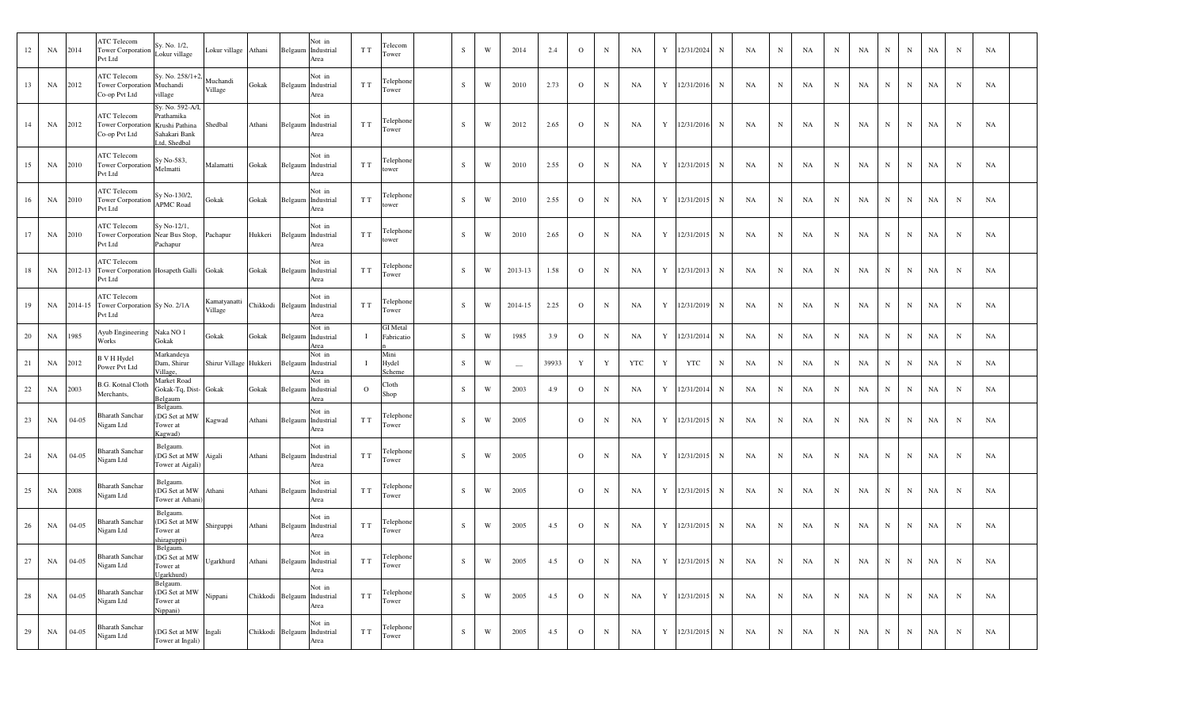| 12 | NA        | 2014      | <b>ATC Telecom</b><br>Tower Corporation<br>Pvt Ltd                | Sy. No. 1/2,<br>Lokur village                                                     | Lokur village           | Athani   |         | Not in<br>Belgaum Industrial<br>Area          | T T     | Telecom<br>Tower              | S         | $\mathbf W$ | 2014                     | 2.4   | $\mathbf{O}$   | $\mathbf N$  | NA         | Y           | 12/31/2024 | $\mathbf N$  | NA        | $\mathbf N$ | NA | $_{\rm N}$  | NA | $\, {\rm N}$ | N           | NA          | ${\bf N}$    | NA |  |
|----|-----------|-----------|-------------------------------------------------------------------|-----------------------------------------------------------------------------------|-------------------------|----------|---------|-----------------------------------------------|---------|-------------------------------|-----------|-------------|--------------------------|-------|----------------|--------------|------------|-------------|------------|--------------|-----------|-------------|----|-------------|----|--------------|-------------|-------------|--------------|----|--|
| 13 | NA        | 2012      | <b>ATC Telecom</b><br>Tower Corporation Muchandi<br>Co-op Pvt Ltd | Sy. No. 258/1+2,<br>village                                                       | Muchandi<br>Village     | Gokak    |         | Not in<br>Belgaum Industrial<br>Area          | T T     | Telephone<br>[ower            | S         | W           | 2010                     | 2.73  | $\overline{O}$ | ${\bf N}$    | NA         | Y           | 12/31/2016 | $\mathbf N$  | NA        | $\mathbf N$ | NA | $_{\rm N}$  | NA | $\mathbf N$  | $\mathbf N$ | NA          | $\mathbf N$  | NA |  |
| 14 | NA        | 2012      | <b>ATC Telecom</b><br>Tower Corporation<br>Co-op Pvt Ltd          | Sy. No. 592-A/I,<br>Prathamika<br>Krushi Pathina<br>Sahakari Bank<br>Ltd, Shedbal | Shedbal                 | Athani   |         | Not in<br>Belgaum Industrial<br>Area          | T T     | Telephone<br>[ower            | $\,$ S    | W           | 2012                     | 2.65  | $\mathbf{O}$   | ${\bf N}$    | <b>NA</b>  | Y           | 12/31/2016 | $\mathbf N$  | NA        | N           | NA | N           | NA | $_{\rm N}$   | $\mathbf N$ | NA          | N            | NA |  |
| 15 | NA        | 2010      | ATC Telecom<br><b>Tower Corporation</b><br>Pvt Ltd                | Sy No-583,<br>Melmatti                                                            | Malamatti               | Gokak    | Belgaum | Not in<br>Industrial<br>Area                  | T T     | Telephone<br>ower             | ${\bf S}$ | W           | 2010                     | 2.55  | $\mathbf{O}$   | $\mathbf N$  | NA         | Y           | 12/31/2015 | $\mathbf N$  | NA        | $\mathbf N$ | NA | N           | NA | $_{\rm N}$   | N           | NA          | $\mathbf N$  | NA |  |
| 16 | NA        | 2010      | ATC Telecom<br><b>Tower Corporation</b><br>Pvt Ltd                | Sy No-130/2,<br><b>APMC Road</b>                                                  | Gokak                   | Gokak    |         | Not in<br>Belgaum Industrial<br>Area          | T T     | Telephone<br>ower             | S         | W           | 2010                     | 2.55  | $\mathbf{O}$   | $\mathbf N$  | NA         | Y           | 12/31/2015 | $\mathbf N$  | NA        | $\mathbf N$ | NA | $_{\rm N}$  | NA | $_{\rm N}$   | $\mathbf N$ | NA          | N            | NA |  |
| 17 | NA        | 2010      | <b>ATC Telecom</b><br>Tower Corporation Near Bus Stop,<br>Pvt Ltd | Sy No-12/1,<br>Pachapur                                                           | Pachapur                | Hukkeri  |         | Not in<br>Belgaum Industrial<br>Area          | T T     | Telephone<br>ower             | S         | W           | 2010                     | 2.65  | $\mathbf{O}$   | $\mathbf N$  | NA         | Y           | 12/31/2015 | $\mathbf N$  | NA        | $_{\rm N}$  | NA | N           | NA | $\mathbf N$  | $\mathbf N$ | NA          | $\mathbf N$  | NA |  |
| 18 | NA        | 2012-13   | <b>ATC Telecom</b><br>Tower Corporation Hosapeth Galli<br>Pvt Ltd |                                                                                   | Gokak                   | Gokak    |         | Not in<br>Belgaum Industrial<br>Area          | T T     | Telephone<br>[ower            | $\,$ S    | W           | 2013-13                  | 1.58  | $\mathbf O$    | ${\bf N}$    | NA         | Y           | 12/31/2013 | $\,$ N       | <b>NA</b> | N           | NA | N           | NA | $\mathbf N$  | ${\bf N}$   | NA          | $\mathbf N$  | NA |  |
| 19 | NA        | 2014-15   | <b>ATC Telecom</b><br>Tower Corporation Sy No. 2/1A<br>Pvt Ltd    |                                                                                   | Kamatyanatti<br>Village | Chikkodi |         | Not in<br>Belgaum Industrial<br>Area          | T T     | Telephone<br>Tower            | S         | W           | 2014-15                  | 2.25  | $\mathbf{O}$   | $\mathbf N$  | NA         | Y           | 12/31/2019 | $\mathbf N$  | NA        | $_{\rm N}$  | NA | $_{\rm N}$  | NA | $\mathbf N$  | N           | NA          | $\, {\bf N}$ | NA |  |
| 20 | NA        | 1985      | Ayub Engineering<br>Works                                         | Naka NO <sub>1</sub><br>Gokak                                                     | Gokak                   | Gokak    |         | Not in<br>Belgaum Industrial<br>Area          |         | <b>GI</b> Metal<br>Fabricatio | $\,$ S    | W           | 1985                     | 3.9   | $\mathbf{O}$   | $\mathbf N$  | NA         | Y           | 12/31/2014 | $\mathbf N$  | NA        | $\mathbf N$ | NA | $_{\rm N}$  | NA | $_{\rm N}$   | N           | NA          | $\, {\bf N}$ | NA |  |
| 21 | NA        | 2012      | B V H Hydel<br>Power Pvt Ltd                                      | Markandeya<br>Dam, Shirur<br>Village,                                             | Shirur Village Hukkeri  |          | Belgaum | Not in<br>Industrial<br>Area                  |         | Mini<br>Hydel<br>Scheme       | S         | W           | $\overline{\phantom{m}}$ | 39933 | $\mathbf Y$    | $\mathbf Y$  | <b>YTC</b> | Y           | <b>YTC</b> | $\, {\bf N}$ | NA        | $_{\rm N}$  | NA | N           | NA | $_{\rm N}$   | ${\bf N}$   | NA          | $\mathbf N$  | NA |  |
| 22 | NA        | 2003      | <b>B.G. Kotnal Cloth</b><br>Merchants,                            | Market Road<br>Gokak-Tq, Dist- Gokak<br>Belgaum                                   |                         | Gokak    |         | Not in<br>Belgaum Industrial<br>Area          | $\circ$ | Cloth<br>Shop                 | $\,$ S    | W           | 2003                     | 4.9   | $\mathbf{O}$   | $\mathbf N$  | NA         | Y           | 12/31/2014 | $\mathbf N$  | NA        | N           | NA | N           | NA | $_{\rm N}$   | ${\bf N}$   | NA          | $\mathbf N$  | NA |  |
| 23 | NA        | $04 - 05$ | <b>Bharath Sanchar</b><br>Vigam Ltd                               | Belgaum.<br>(DG Set at MW<br>Tower at<br>Kagwad)                                  | Kagwad                  | Athani   |         | Not in<br>Belgaum Industrial<br>Area          | T T     | Telephone<br>[ower            | $\,$ S    | W           | 2005                     |       | $\mathbf{O}$   | $\, {\bf N}$ | NA         | Y           | 12/31/2015 | N            | NA        | N           | NA | N           | NA | $_{\rm N}$   | $\mathbf N$ | $_{\rm NA}$ | $\mathbf N$  | NA |  |
| 24 | NA        | $04 - 05$ | <b>Bharath Sanchar</b><br>Nigam Ltd                               | Belgaum.<br>(DG Set at MW<br>Tower at Aigali                                      | Aigali                  | Athani   |         | Not in<br>Belgaum Industrial<br>Area          | T T     | Telephone<br>Tower            | S         | W           | 2005                     |       | $\mathbf{O}$   | $\mathbf N$  | NA         | Y           | 12/31/2015 | $\mathbf N$  | NA        | N           | NA | $_{\rm N}$  | NA | $_{\rm N}$   | $\mathbf N$ | NA          | $_{\rm N}$   | NA |  |
| 25 | NA        | 2008      | <b>Bharath Sanchar</b><br>Vigam Ltd                               | Belgaum.<br>(DG Set at MW<br>Tower at Athani                                      | Athani                  | Athani   |         | Not in<br>Belgaum Industrial<br>Area          | T T     | Felephone<br>Tower            | S         | W           | 2005                     |       | $\mathbf{o}$   | $\mathbf N$  | NA         | Y           | 12/31/2015 | $\mathbf N$  | NA        | $_{\rm N}$  | NA | N           | NA | $_{\rm N}$   | $\mathbf N$ | NA          | $\mathbf N$  | NA |  |
| 26 | NA        | $04 - 05$ | <b>Bharath Sanchar</b><br>Nigam Ltd                               | Belgaum.<br>DG Set at MW<br>Tower at<br>shiraguppi)                               | Shirguppi               | Athani   |         | Not in<br>Belgaum Industrial<br>Area          | T T     | Telephone<br>Tower            | S         | W           | 2005                     | 4.5   | $\mathbf{O}$   | N            | NA         | Y           | 12/31/2015 | $\mathbf N$  | NA        | $\mathbf N$ | NA | $\mathbf N$ | NA | N            | $\mathbf N$ | NA          | $\mathbf N$  | NA |  |
| 27 | NA        | $04 - 05$ | <b>Bharath Sanchar</b><br>Nigam Ltd                               | Belgaum.<br>DG Set at MW<br>Tower at<br>Jgarkhurd)                                | Ugarkhurd               | Athani   |         | Not in<br>Belgaum Industrial<br>Area          | T T     | Telephone<br>Tower            | S         | W           | 2005                     | 4.5   | $\mathbf{O}$   | $\mathbf N$  | NA         | Y           | 12/31/2015 | $\mathbf N$  | NA        | $_{\rm N}$  | NA | $_{\rm N}$  | NA | $\, {\rm N}$ | $\mathbf N$ | NA          | $\mathbf N$  | NA |  |
| 28 | NA        | $04 - 05$ | <b>Bharath Sanchar</b><br>Nigam Ltd                               | Belgaum.<br>(DG Set at MW<br>Tower at<br>Vippani)                                 | Nippani                 | Chikkodi |         | Not in<br>Belgaum Industrial<br>Area          | T T     | Telephone<br>Γower            | S         | $\mathbf W$ | 2005                     | 4.5   | $\mathbf{O}$   | $\,$ N       | NA         | Y           | 12/31/2015 | $\, {\bf N}$ | NA        | $\mathbf N$ | NA | $_{\rm N}$  | NA | $_{\rm N}$   | $\mathbf N$ | NA          | $\, {\bf N}$ | NA |  |
| 29 | <b>NA</b> | $04 - 05$ | <b>Bharath Sanchar</b><br>Nigam Ltd                               | (DG Set at MW<br>Tower at Ingali)                                                 | Ingali                  |          |         | Not in<br>Chikkodi Belgaum Industrial<br>Area | T T     | Telephone<br>Tower            | S         | W           | 2005                     | 4.5   | $\mathbf{O}$   | $\mathbf N$  | NA         | $\mathbf Y$ | 12/31/2015 | $\mathbf N$  | NA        | N           | NA | $_{\rm N}$  | NA | N            | $\mathbf N$ | NA          | ${\bf N}$    | NA |  |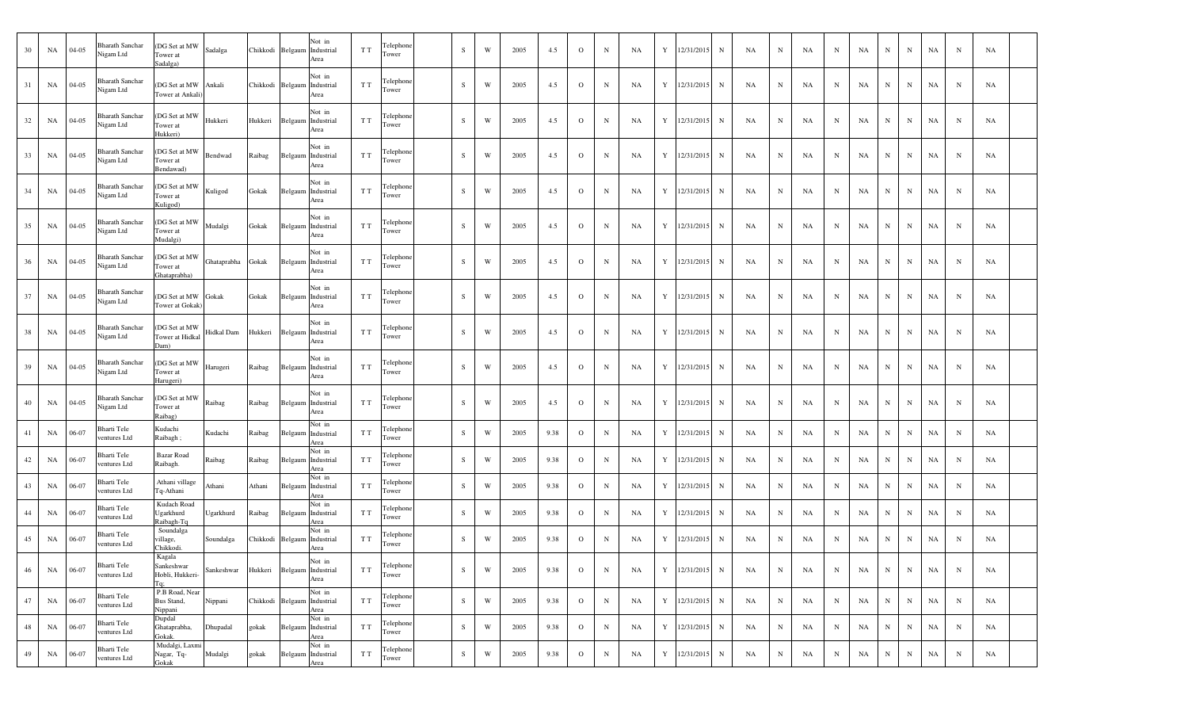| 30 | NA        | $04 - 05$ | <b>Bharath Sanchar</b><br>Nigam Ltd | (DG Set at MW<br>Tower at<br>Sadalga)          | Sadalga            |          | Not in<br>Chikkodi Belgaum Industrial<br>Area | T T | Telephone<br>Tower | S            | W | 2005 | 4.5  | $\overline{O}$ | $\mathbf N$ | NA | Y           | 12/31/2015     | $_{\rm N}$  | NA | N           | NA        | N           | NA | N           | N          | <b>NA</b> | N           | <b>NA</b> |  |
|----|-----------|-----------|-------------------------------------|------------------------------------------------|--------------------|----------|-----------------------------------------------|-----|--------------------|--------------|---|------|------|----------------|-------------|----|-------------|----------------|-------------|----|-------------|-----------|-------------|----|-------------|------------|-----------|-------------|-----------|--|
| 31 | <b>NA</b> | $04 - 05$ | <b>Bharath Sanchar</b><br>Nigam Ltd | (DG Set at MW<br>Tower at Ankali               | Ankali             |          | Not in<br>Chikkodi Belgaum Industrial<br>Area | T T | Telephone<br>Tower | S            | W | 2005 | 4.5  | $\overline{O}$ | $\mathbf N$ | NA | Y           | 12/31/2015     | $_{\rm N}$  | NA | N           | NA        | N           | NA | $_{\rm N}$  | N          | NA        | N           | NA        |  |
| 32 | NA        | $04 - 05$ | <b>Bharath Sanchar</b><br>Nigam Ltd | (DG Set at MW<br>Tower at<br>Hukkeri)          | Hukkeri            | Hukkeri  | Not in<br>Belgaum Industrial<br>Area          | T T | Telephone<br>Tower | S            | W | 2005 | 4.5  | $\overline{O}$ | $_{\rm N}$  | NA | Y           | 12/31/2015     | $_{\rm N}$  | NA | N           | NA        | N           | NA | N           | N          | NA        | N           | NA        |  |
| 33 | NA        | $04 - 05$ | <b>Bharath Sanchar</b><br>Nigam Ltd | (DG Set at MW<br>Tower at<br>Bendawad)         | Bendwad            | Raibag   | Not in<br>Belgaum Industrial<br>Area          | T T | Telephone<br>Tower | S            | W | 2005 | 4.5  | $\overline{O}$ | $\mathbf N$ | NA | Y           | 12/31/2015     | $_{\rm N}$  | NA | N           | NA        | N           | NA | N           | N          | NA        | N           | NA        |  |
| 34 | NA        | $04-05$   | <b>Bharath Sanchar</b><br>Nigam Ltd | (DG Set at MW<br>Tower at<br>Kuligod)          | Kuligod            | Gokak    | Not in<br>Belgaum Industrial<br>Area          | T T | Telephone<br>Tower | S            | W | 2005 | 4.5  | $\overline{O}$ | $\mathbf N$ | NA | Y           | 12/31/2015     | $_{\rm N}$  | NA | N           | NA        | N           | NA | N           | N          | NA        | N           | <b>NA</b> |  |
| 35 | NA        | $04 - 05$ | <b>Bharath Sanchar</b><br>Nigam Ltd | (DG Set at MW<br>Tower at<br>Mudalgi)          | Mudalgi            | Gokak    | Not in<br>Belgaum Industrial<br>Area          | T T | Telephone<br>Tower | S            | W | 2005 | 4.5  | $\overline{O}$ | $_{\rm N}$  | NA | Y           | 12/31/2015     | $_{\rm N}$  | NA | N           | NA        | N           | NA | N           | N          | NA        | N           | <b>NA</b> |  |
| 36 | NA        | $04-05$   | <b>Bharath Sanchar</b><br>Nigam Ltd | (DG Set at MW<br>Tower at<br>Ghataprabha)      | Ghataprabha        | Gokak    | Not in<br>Belgaum Industrial<br>Area          | T T | Telephone<br>Tower | S            | W | 2005 | 4.5  | $\overline{O}$ | N           | NA | Y           | 12/31/2015     | N           | NA | N           | NA        | N           | NA | N           | N          | NA        | N           | <b>NA</b> |  |
| 37 | NA        | $04 - 05$ | <b>Bharath Sanchar</b><br>Nigam Ltd | (DG Set at MW Gokak<br>Tower at Gokak          |                    | Gokak    | Not in<br>Belgaum Industrial<br>Area          | T T | Telephone<br>Tower | S            | W | 2005 | 4.5  | $\overline{O}$ | $\mathbf N$ | NA | Y           | 12/31/2015     | N           | NA | N           | NA        | N           | NA | N           | N          | NA        | N           | <b>NA</b> |  |
| 38 | NA        | $04-05$   | <b>Bharath Sanchar</b><br>Nigam Ltd | (DG Set at MW<br>Tower at Hidkal<br>Dam)       | Hidkal Dam         | Hukkeri  | Not in<br>Belgaum Industrial<br>Area          | T T | Telephone<br>Tower | S            | W | 2005 | 4.5  | $\overline{O}$ | N           | NA | Y           | 12/31/2015     | $_{\rm N}$  | NA | N           | NA        | N           | NA | N           | N          | NA        | N           | NA        |  |
| 39 | NA        | $04-05$   | <b>Bharath Sanchar</b><br>Nigam Ltd | (DG Set at MW<br>Tower at<br>Harugeri)         | Harugeri           | Raibag   | Not in<br>Belgaum Industrial<br>Area          | T T | Telephone<br>Tower | S            | W | 2005 | 4.5  | $\overline{O}$ | $\mathbf N$ | NA | Y           | 12/31/2015     | $_{\rm N}$  | NA | N           | NA        | N           | NA | N           | N          | NA        | N           | <b>NA</b> |  |
| 40 | NA        | $04-05$   | <b>Bharath Sanchar</b><br>Nigam Ltd | (DG Set at MW<br>Tower at<br>Raibag)           | Raibag             | Raibag   | Not in<br>Belgaum Industrial<br>Area          | T T | Telephone<br>Tower | S            | W | 2005 | 4.5  | $\overline{O}$ | N           | NA | Y           | 12/31/2015     | $_{\rm N}$  | NA | N           | NA        | N           | NA | N           | N          | NA        | N           | <b>NA</b> |  |
| 41 | NA        | 06-07     | Bharti Tele<br>ventures Ltd         | Kudachi<br>Raibagh;                            | Kudachi            | Raibag   | Not in<br>Belgaum Industrial<br>Area          | T T | Telephone<br>Tower | <sub>S</sub> | W | 2005 | 9.38 | $\overline{O}$ | $\mathbf N$ | NA | Y           | 12/31/2015     | $_{\rm N}$  | NA | N           | NA        | N           | NA | $_{\rm N}$  | N          | NA        | $\mathbf N$ | NA        |  |
| 42 | NA        | 06-07     | Bharti Tele<br>ventures Ltd         | <b>Bazar Road</b><br>Raibagh.                  | Raibag             | Raibag   | Not in<br>Belgaum Industrial<br>Area          | T T | Telephone<br>Tower | S            | W | 2005 | 9.38 | $\overline{O}$ | $_{\rm N}$  | NA | Y           | 12/31/2015     | $_{\rm N}$  | NA | N           | NA        | N           | NA | N           | N          | NA        | N           | NA        |  |
| 43 | NA        | 06-07     | Bharti Tele<br>ventures Ltd         | Athani village<br>Tq-Athani                    | Athani             | Athani   | Not in<br>Belgaum Industrial<br>Area          | T T | Telephone<br>Tower | S            | W | 2005 | 9.38 | $\overline{O}$ | N           | NA | $\mathbf Y$ | 12/31/2015     | N           | NA | ${\bf N}$   | NA        | N           | NA | $_{\rm N}$  | $_{\rm N}$ | NA        | $_{\rm N}$  | NA        |  |
| 44 | NA        | 06-07     | Bharti Tele<br>ventures Ltd         | Kudach Road<br>Ugarkhurd<br>Raibagh-Tq         | Ugarkhurd          | Raibag   | Not in<br>Belgaum Industrial<br>Area          | T T | Telephone<br>Tower | S            | W | 2005 | 9.38 | $\overline{O}$ | N           | NA |             | Y 12/31/2015   | N           | NA | $\mathbf N$ | NA        | N           | NA | $_{\rm N}$  | $_{\rm N}$ | NA        | $\mathbf N$ | NA        |  |
| 45 | NA        | 06-07     | Bharti Tele<br>ventures Ltd         | Soundalga<br>village,<br>Chikkodi.             | Soundalga          | Chikkodi | Not in<br>Belgaum Industrial<br>Area          | T T | Telephon<br>Tower  | S            | W | 2005 | 9.38 | $\overline{O}$ | $\mathbf N$ | NA | Y           | 12/31/2015     | N           | NA | ${\bf N}$   | NA        | N           | NA | $_{\rm N}$  | N          | NA        | ${\bf N}$   | NA        |  |
| 46 | NA 06-07  |           | Bharti Tele<br>ventures Ltd         | Kagala<br>Sankeshwar<br>Hobli, Hukkeri-<br>Гa: | Sankeshwar Hukkeri |          | Not in<br>Belgaum Industrial<br>Area          | T T | Telephone<br>Tower | S            | W | 2005 | 9.38 | $\overline{O}$ | $\mathbf N$ | NA |             | Y 12/31/2015 N |             | NA | $\mathbf N$ | <b>NA</b> | N           | NA | $\mathbf N$ | ${\bf N}$  | NA        | $\mathbf N$ | NA        |  |
| 47 | NA 06-07  |           | <b>Bharti Tele</b><br>ventures Ltd  | P.B Road, Near<br>Bus Stand,<br>Nippani        | Nippani            |          | Not in<br>Chikkodi Belgaum Industrial<br>Area | T T | Telephone<br>Tower | S            | W | 2005 | 9.38 | $\overline{O}$ | $\mathbf N$ | NA | Y           | 12/31/2015     | $\mathbf N$ | NA | $\mathbf N$ | NA        | N           | NA | $\mathbf N$ | N          | NA        | $\mathbf N$ | NA        |  |
| 48 | NA 06-07  |           | Bharti Tele<br>ventures Ltd         | Dupdal<br>Ghataprabha,<br>Jokak.               | Dhupadal           | gokak    | Not in<br>Belgaum Industrial<br>Area          | T T | Telephone<br>Tower | S            | W | 2005 | 9.38 | $\overline{O}$ | N           | NA |             | Y 12/31/2015 N |             | NA | $\mathbf N$ | NA        | $\mathbf N$ | NA | $\mathbf N$ | N          | NA        | $\mathbf N$ | NA        |  |
| 49 | NA        | 06-07     | Bharti Tele<br>ventures Ltd         | Mudalgi, Laxmi<br>Nagar, Tq-<br>Gokak          | Mudalgi            | gokak    | Not in<br>Belgaum Industrial<br>Area          | T T | Telephone<br>Tower | S            | W | 2005 | 9.38 | $\overline{O}$ | N           | NA |             | Y 12/31/2015   | N           | NA | $\mathbf N$ | NA        | ${\bf N}$   | NA | $\mathbf N$ | N          | <b>NA</b> | N           | NA        |  |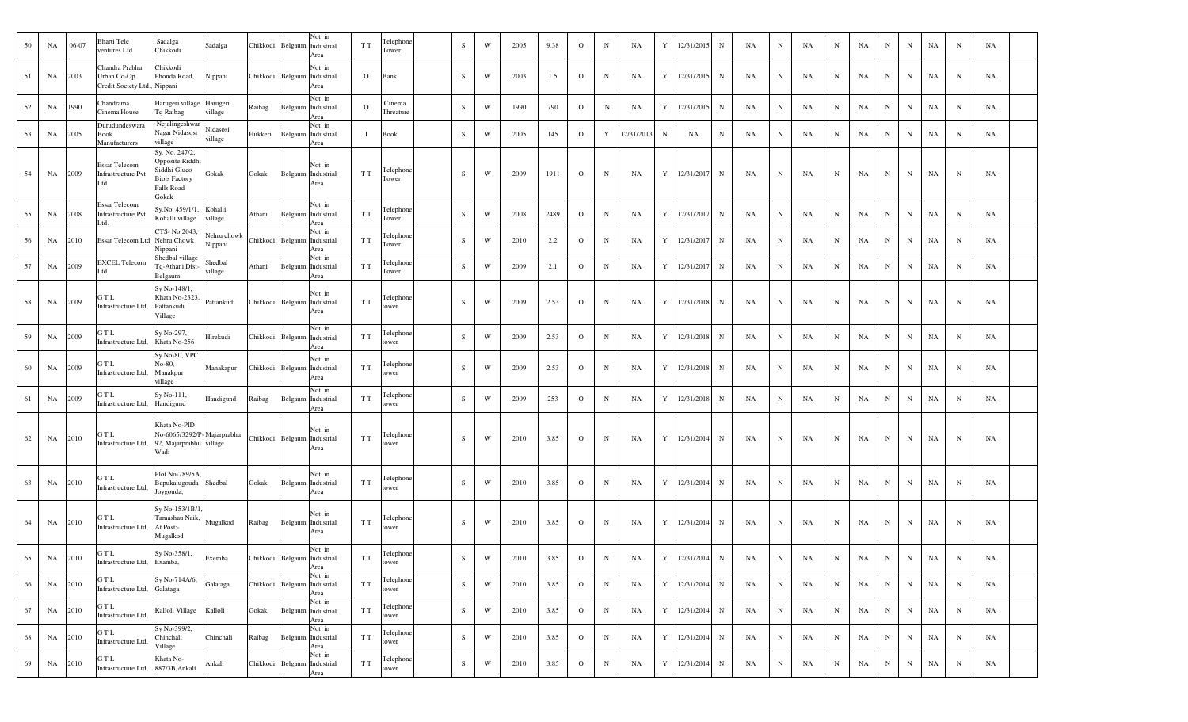| 50 | NA      | 06-07 | Bharti Tele<br>ventures Ltd                                   | Sadalga<br>Sadalga<br>Chikkodi                                                                                   | Chikkodi | Belgaum          | Not in<br>Industrial<br>Area                  | T T            | Telephone<br>Tower  | S         | W                       | 2005 | 9.38 | $\Omega$     | $\mathbf N$ | NA         | Y          | 12/31/2015   | $\mathbf N$ | NA | $\mathbf N$ | NA | $_{\rm N}$ | NA | $_{\rm N}$  | N         | NA | $\mathbf N$ | NA        |  |
|----|---------|-------|---------------------------------------------------------------|------------------------------------------------------------------------------------------------------------------|----------|------------------|-----------------------------------------------|----------------|---------------------|-----------|-------------------------|------|------|--------------|-------------|------------|------------|--------------|-------------|----|-------------|----|------------|----|-------------|-----------|----|-------------|-----------|--|
| 51 | NA      | 2003  | Chandra Prabhu<br>Urban Co-Op<br>Credit Society Ltd., Nippani | Chikkodi<br>Phonda Road,<br>Nippani                                                                              |          |                  | Not in<br>Chikkodi Belgaum Industrial<br>Area | $\overline{O}$ | Bank                | S.        | W                       | 2003 | 1.5  | $\Omega$     | N           | NA         |            | Y 12/31/2015 | $\mathbf N$ | NA | $\mathbf N$ | NA | N          | NA | N           | N         | NA | $\mathbf N$ | NA        |  |
| 52 | NA      | 1990  | Chandrama<br>Cinema House                                     | Harugeri village Harugeri<br>Tq Raibag<br>illage                                                                 | Raibag   | Belgaum          | Not in<br>Industrial<br>Area                  | $\mathbf{O}$   | Cinema<br>Threature | S         | W                       | 1990 | 790  | $\mathbf{O}$ | N           | NA         |            | Y 12/31/2015 | $\mathbf N$ | NA | $\mathbf N$ | NA | N          | NA | $\mathbf N$ | N         | NA | $\mathbf N$ | <b>NA</b> |  |
| 53 | NA      | 2005  | Durudundeswara<br>Book<br>Manufacturers                       | Nejalingeshwar<br>Vidasosi<br>Nagar Nidasosi<br>illage<br>village                                                | Hukkeri  | Belgaum          | Not in<br>Industrial<br>Area                  | Т.             | Book                | S         | W                       | 2005 | 145  | $\circ$      | Y           | 12/31/2013 | $_{\rm N}$ | NA           | N           | NA | N           | NA | N          | NA | N           | N         | NA | $\mathbf N$ | <b>NA</b> |  |
| 54 | NA      | 2009  | Essar Telecom<br><b>Infrastructure Pvt</b><br>Ltd             | Sy. No. 247/2,<br>Opposite Riddhi<br>Siddhi Gluco<br>Gokak<br><b>Biols Factory</b><br><b>Falls Road</b><br>Gokak | Gokak    |                  | Not in<br>Belgaum Industrial<br>Area          | T T            | Telephone<br>Tower  | S.        | W                       | 2009 | 1911 | $\Omega$     | $_{\rm N}$  | NA         |            | Y 12/31/2017 | $\mathbf N$ | NA | $\mathbf N$ | NA | N          | NA | N           | N         | NA | N           | NA        |  |
| 55 | NA      | 2008  | Essar Telecom<br>Infrastructure Pvt                           | Sy.No. 459/1/1, Kohalli<br>Kohalli village<br>illage                                                             | Athani   |                  | Not in<br>Belgaum Industrial<br>Area          | T T            | Telephone<br>Tower  | S         | $\ensuremath{\text{W}}$ | 2008 | 2489 | $\mathbf{O}$ | N           | NA         |            | Y 12/31/2017 | $\mathbf N$ | NA | N           | NA | N          | NA | $\mathbf N$ | ${\bf N}$ | NA | $\mathbf N$ | <b>NA</b> |  |
| 56 | NA      | 2010  | Essar Telecom Ltd                                             | CTS-No.2043,<br>Vehru chowk<br>Nehru Chowk<br>Nippani<br>Vippani                                                 |          |                  | Not in<br>Chikkodi Belgaum Industrial<br>Area | T T            | Telephone<br>Tower  | S         | W                       | 2010 | 2.2  | $\Omega$     | $\,$ N      | NA         | Y          | 12/31/2017   | N           | NA | N           | NA | $_{\rm N}$ | NA | N           | N         | NA | $\mathbf N$ | NA        |  |
| 57 | NA      | 2009  | <b>EXCEL Telecom</b>                                          | Shedbal village<br>Shedbal<br>Tq-Athani Dist-<br>illage<br>Belgaum                                               | Athani   |                  | Not in<br>Belgaum Industrial<br>Area          | T T            | Telephone<br>Tower  | S         | W                       | 2009 | 2.1  | $\Omega$     | N           | NA         |            | Y 12/31/2017 | $\mathbf N$ | NA | $\mathbf N$ | NA | N          | NA | $_{\rm N}$  | N         | NA | $\mathbf N$ | <b>NA</b> |  |
| 58 | NA      | 2009  | GTL<br>Infrastructure Ltd,                                    | Sy No-148/1,<br>Khata No-2323,<br>Pattankudi<br>Pattankudi<br>Village                                            |          | Chikkodi Belgaum | Not in<br>Industrial<br>Area                  | T T            | Telephone<br>tower  | S.        | W                       | 2009 | 2.53 | $\Omega$     | $_{\rm N}$  | NA         |            | Y 12/31/2018 | $\mathbf N$ | NA | N           | NA | N          | NA | N           | N         | NA | $\mathbf N$ | NA        |  |
| 59 | NA      | 2009  | GTL<br>Infrastructure Ltd,                                    | Sy No-297,<br>Hirekudi<br>Khata No-256                                                                           |          |                  | Not in<br>Chikkodi Belgaum Industrial<br>Area | T T            | Telephone<br>tower  | S         | W                       | 2009 | 2.53 | $\Omega$     | N           | NA         |            | Y 12/31/2018 | $\mathbf N$ | NA | $\mathbf N$ | NA | N          | NA | $_{\rm N}$  | N         | NA | $\mathbf N$ | NA        |  |
| 60 | NA      | 2009  | GTL<br>Infrastructure Ltd,                                    | Sy No-80, VPC<br>No-80,<br>Manakapur<br>Manakpur<br>village                                                      |          |                  | Not in<br>Chikkodi Belgaum Industrial<br>Area | T T            | Telephone<br>tower  | S         | W                       | 2009 | 2.53 | $\mathbf{O}$ | N           | NA         |            | Y 12/31/2018 | $\mathbf N$ | NA | N           | NA | N          | NA | N           | N         | NA | $\mathbf N$ | <b>NA</b> |  |
| 61 | NA      | 2009  | GTL<br>Infrastructure Ltd,                                    | Sy No-111,<br>Handigund<br>Handigund                                                                             | Raibag   | Belgaum          | Not in<br>Industrial<br>Area                  | T T            | Telephone<br>ower   | S         | W                       | 2009 | 253  | $\mathbf{O}$ | N           | NA         | Y          | 12/31/2018   | $\mathbf N$ | NA | N           | NA | N          | NA | N           | N         | NA | $\mathbf N$ | NA        |  |
| 62 | NA      | 2010  | GTL<br>Infrastructure Ltd,                                    | Khata No-PID<br>No-6065/3292/P-Majarprabhu<br>92, Majarprabhu village<br>Wadi                                    |          |                  | Not in<br>Chikkodi Belgaum Industrial<br>Area | T T            | Telephone<br>tower  | S.        | W                       | 2010 | 3.85 | $\mathbf{O}$ | $_{\rm N}$  | NA         |            | Y 12/31/2014 | $\mathbf N$ | NA | N           | NA | N          | NA | $\mathbf N$ | N         | NA | $\mathbf N$ | NA        |  |
| 63 | NA      | 2010  | GTL<br>Infrastructure Ltd,                                    | Plot No-789/5A,<br>Bapukalugouda Shedbal<br>Joygouda,                                                            | Gokak    |                  | Not in<br>Belgaum Industrial<br>Area          | T T            | Telephone<br>ower   | S         | W                       | 2010 | 3.85 | $\Omega$     | N           | NA         |            | Y 12/31/2014 | $\mathbf N$ | NA | N           | NA | N          | NA | N           | N         | NA | $\mathbf N$ | NA        |  |
| 64 | NA      | 2010  | GTL<br>Infrastructure Ltd,                                    | Sy No-153/1B/1<br>Tamashau Naik, Mugalkod<br>At Post;-<br>Mugalkod                                               | Raibag   |                  | Not in<br>Belgaum Industrial<br>Area          | T T            | Telephone<br>tower  | S.        | W                       | 2010 | 3.85 | $\Omega$     | N           | NA         |            | Y 12/31/2014 | $\mathbf N$ | NA | $\mathbf N$ | NA | N          | NA | N           | N         | NA | $\mathbf N$ | NA        |  |
| 65 | NA 2010 |       | ${\bf G}$ T L<br>Infrastructure Ltd, Examba,                  | Sy No-358/1,<br>Exemba                                                                                           |          |                  | Not in<br>Chikkodi Belgaum Industrial<br>Area | T T            | Telephone<br>tower  | S         | W                       | 2010 | 3.85 | $\mathbf{O}$ | N           | NA         |            | Y 12/31/2014 | N           | NA | N           | NA | N          | NA | N           | N         | NA | N           | <b>NA</b> |  |
| 66 | NA      | 2010  | G T L<br>Infrastructure Ltd, Galataga                         | Sy No-714A/6,<br>Galataga                                                                                        |          |                  | Not in<br>Chikkodi Belgaum Industrial<br>Area | T T            | Telephone<br>tower  | S         | W                       | 2010 | 3.85 | $\Omega$     | N           | NA         |            | Y 12/31/2014 | $\mathbf N$ | NA | $\mathbf N$ | NA | N          | NA | $\mathbf N$ | N         | NA | $\mathbf N$ | NA        |  |
| 67 | NA      | 2010  | GTL<br>Infrastructure Ltd,                                    | Kalloli Village Kalloli                                                                                          | Gokak    |                  | Not in<br>Belgaum Industrial<br>Area          | T T            | Telephone<br>tower  | S         | $\ensuremath{\text{W}}$ | 2010 | 3.85 | $\mathbf{O}$ | N           | NA         |            | Y 12/31/2014 | $\mathbf N$ | NA | $\mathbf N$ | NA | $_{\rm N}$ | NA | $\mathbf N$ | N         | NA | $\mathbf N$ | NA        |  |
| 68 | NA      | 2010  | GTL<br>Infrastructure Ltd,                                    | Sy No-399/2,<br>Chinchali<br>Chinchali<br>Village                                                                | Raibag   |                  | Not in<br>Belgaum Industrial<br>Area          | T T            | Telephone<br>tower  | ${\bf S}$ | $\ensuremath{\text{W}}$ | 2010 | 3.85 | $\mathbf{O}$ | ${\bf N}$   | NA         | Y          | 12/31/2014   | $\mathbf N$ | NA | N           | NA | $_{\rm N}$ | NA | N           | N         | NA | $\mathbf N$ | NA        |  |
| 69 | NA      | 2010  | GTL<br>Infrastructure Ltd,                                    | Khata No-<br>Ankali<br>887/3B, Ankali                                                                            | Chikkodi |                  | Not in<br>Belgaum Industrial<br>Area          | T T            | Telephone<br>ower   | ${\bf S}$ | $\ensuremath{\text{W}}$ | 2010 | 3.85 | $\mathbf{O}$ | ${\bf N}$   | NA         |            | Y 12/31/2014 | $\mathbf N$ | NA | N           | NA | $_{\rm N}$ | NA | $_{\rm N}$  | N         | NA | $\mathbf N$ | NA        |  |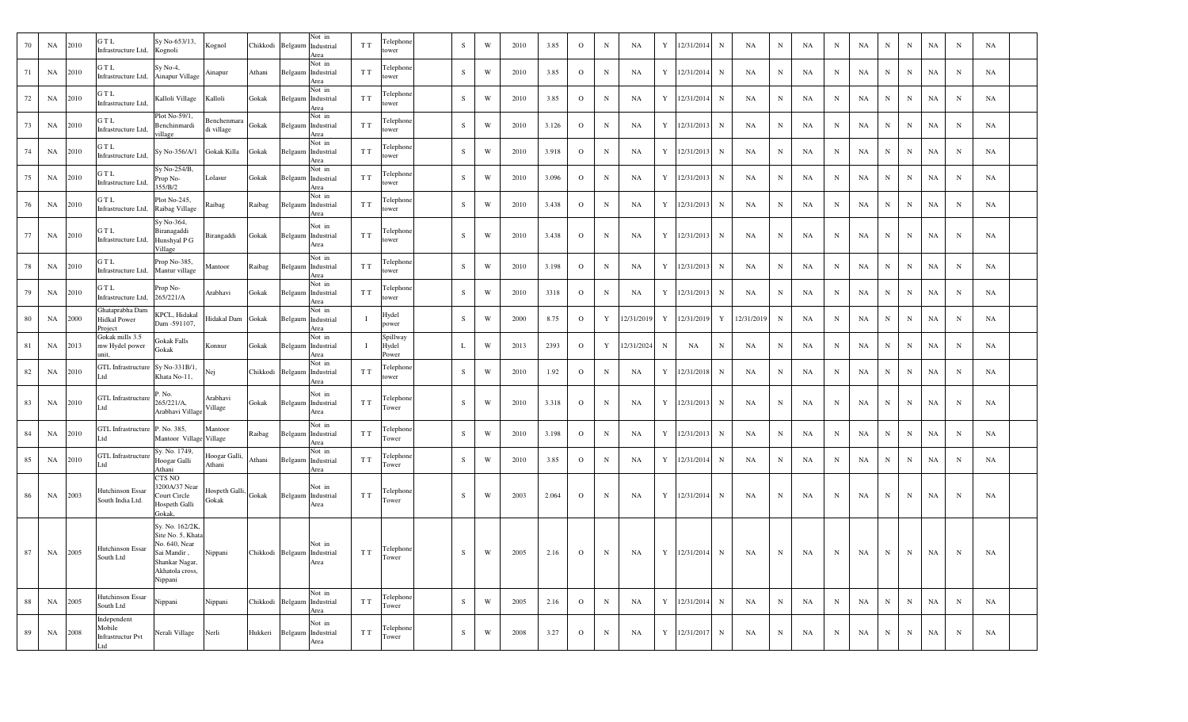| 70 | NA | 2010 | GTL<br>Infrastructure Ltd,                               | Sy No-653/13,<br>Kognoli                                                                                             | Kognol                        | Chikkodi Belgaum            |         | Not in<br>Industrial<br>Area | T T | Telephone<br>tower         | S         | W | 2010 | 3.85  | $\mathbf{O}$ | $\mathbf N$ | NA         | Y | 12/31/2014 | $_{\rm N}$  | NA         | $_{\rm N}$  | NA | N           | NA | N           | $\mathbf N$ | NA | N           | NA        |  |
|----|----|------|----------------------------------------------------------|----------------------------------------------------------------------------------------------------------------------|-------------------------------|-----------------------------|---------|------------------------------|-----|----------------------------|-----------|---|------|-------|--------------|-------------|------------|---|------------|-------------|------------|-------------|----|-------------|----|-------------|-------------|----|-------------|-----------|--|
| 71 | NA | 2010 | GTL<br>Infrastructure Ltd,                               | $Sy No-4,$<br>Ainapur Village                                                                                        | Ainapur                       | Athani                      | Belgaum | Not in<br>Industrial<br>Area | T T | Telephone<br>tower         | S         | W | 2010 | 3.85  | $\mathbf{O}$ | N           | NA         | Y | 12/31/2014 | N           | NA         | N           | NA | N           | NA | N           | $\mathbf N$ | NA | N           | NA        |  |
| 72 | NA | 2010 | GTL<br>Infrastructure Ltd,                               | Kalloli Village                                                                                                      | Kalloli                       | Gokak                       | Belgaum | Not in<br>Industrial<br>Area | T T | Telephone<br>tower         | S         | W | 2010 | 3.85  | $\mathbf{O}$ | $_{\rm N}$  | NA         | Y | 12/31/2014 | N           | NA         | N           | NA | N           | NA | N           | $\mathbf N$ | NA | N           | NA        |  |
| 73 | NA | 2010 | GTL<br>Infrastructure Ltd,                               | Plot No-59/1,<br>Benchinmardi<br>village                                                                             | Benchenmara<br>di village     | Gokak                       | Belgaum | Not in<br>Industrial<br>Area | T T | Telephone<br>tower         | S         | W | 2010 | 3.126 | $\circ$      | N           | <b>NA</b>  | Y | 12/31/2013 | N           | NA         | N           | NA | N           | NA | N           | $\mathbf N$ | NA | $_{\rm N}$  | NA        |  |
| 74 | NA | 2010 | GTL<br>Infrastructure Ltd,                               | Sy No-356/A/1                                                                                                        | Gokak Killa                   | Gokak                       | Belgaum | Not in<br>Industrial<br>Area | TТ  | Telephone<br>tower         | S         | W | 2010 | 3.918 | $\mathbf{O}$ | $\mathbf N$ | NA         | Y | 12/31/2013 | N           | NA         | N           | NA | N           | NA | N           | $\mathbf N$ | NA | N           | NA        |  |
| 75 | NA | 2010 | GTL<br>Infrastructure Ltd,                               | Sy No-254/B,<br>Prop No-<br>355/B/2                                                                                  | Lolasur                       | Gokak                       | Belgaum | Not in<br>Industrial<br>Area | T T | Telephone<br>tower         | S         | W | 2010 | 3.096 | $\mathbf{O}$ | N           | NA         | Y | 12/31/2013 | N           | NA         | N           | NA | N           | NA | N           | $\mathbf N$ | NA | N           | NA        |  |
| 76 | NA | 2010 | GTL<br>Infrastructure Ltd,                               | Plot No-245,<br>Raibag Village                                                                                       | Raibag                        | Raibag                      | Belgaum | Not in<br>Industrial<br>Area | TТ  | Telephone<br>tower         | S.        | W | 2010 | 3.438 | $\mathbf{O}$ | $\mathbf N$ | NA         | Y | 12/31/2013 | N           | NA         | N           | NA | N           | NA | N           | $\mathbf N$ | NA | N           | NA        |  |
| 77 | NA | 2010 | GTL<br>Infrastructure Ltd,                               | Sy No-364,<br>Biranagaddi<br>Hunshyal P G<br>Village                                                                 | Birangaddi                    | Gokak                       | Belgaum | Not in<br>Industrial<br>Area | T T | Telephone<br>tower         | S.        | W | 2010 | 3.438 | $\mathbf{O}$ | $_{\rm N}$  | NA         | Y | 12/31/2013 | N           | NA         | N           | NA | N           | NA | N           | N           | NA | N           | NA        |  |
| 78 | NA | 2010 | GTL<br>Infrastructure Ltd,                               | Prop No-385,<br>Mantur village                                                                                       | Mantoor                       | Raibag                      | Belgaum | Not in<br>Industrial<br>Area | T T | Telephone<br>tower         | S         | W | 2010 | 3.198 | $\circ$      | $\mathbf N$ | NA         | Y | 12/31/2013 | N           | NA         | N           | NA | N           | NA | N           | $\mathbf N$ | NA | N           | <b>NA</b> |  |
| 79 | NA | 2010 | GTL<br>Infrastructure Ltd,                               | Prop No-<br>265/221/A                                                                                                | Arabhavi                      | Gokak                       | Belgaum | Not in<br>Industrial<br>Area | T T | Telephone<br>tower         | S         | W | 2010 | 3318  | $\mathbf{O}$ | $\mathbf N$ | NA         | Y | 12/31/2013 | N           | NA         | $_{\rm N}$  | NA | N           | NA | N           | $\mathbf N$ | NA | N           | NA        |  |
| 80 | NA | 2000 | Ghataprabha Dam<br><b>Hidkal Power</b><br>Project        | KPCL, Hidakal<br>Dam -591107,                                                                                        | Iidakal Dam                   | Gokak                       | Belgaum | Not in<br>Industrial<br>Area |     | Hydel<br>power             | S.        | W | 2000 | 8.75  | $\circ$      | Y           | 12/31/2019 | Y | 12/31/2019 | Y           | 12/31/2019 | $_{\rm N}$  | NA | N           | NA | N           | $\mathbf N$ | NA | N           | NA        |  |
| 81 | NA | 2013 | Gokak mills 3.5<br>mw Hydel power<br>unit.               | Gokak Falls<br>Gokak                                                                                                 | Konnur                        | Gokak                       | Belgaum | Not in<br>Industrial<br>Area |     | Spillway<br>Hydel<br>Power | L         | W | 2013 | 2393  | $\mathbf{O}$ | Y           | 12/31/2024 | N | NA         | N           | NA         | N           | NA | N           | NA | N           | N           | NA | N           | NA        |  |
| 82 | NA | 2010 | GTL Infrastructure Sy No-331B/1,<br>Ltd                  | Khata No-11,                                                                                                         | Nej                           | Chikkodi Belgaum            |         | Not in<br>Industrial<br>Area | T T | Telephone<br>tower         | S.        | W | 2010 | 1.92  | $\circ$      | N           | NA         | Y | 12/31/2018 | N           | NA         | N           | NA | N           | NA | N           | $\mathbf N$ | NA | N           | NA        |  |
| 83 | NA | 2010 | GTL Infrastructure<br>Ltd                                | . No.<br>265/221/A,<br>Arabhavi Village                                                                              | Arabhavi<br>Village           | Gokak                       | Belgaum | Not in<br>Industrial<br>Area | T T | Telephone<br>Tower         | S.        | W | 2010 | 3.318 | $\mathbf{O}$ | N           | NA         | Y | 12/31/2013 | N           | NA         | N           | NA | N           | NA | N           | N           | NA | N           | NA        |  |
| 84 | NA | 2010 | GTL Infrastructure P. No. 385,<br>Ltd                    | Mantoor Village Village                                                                                              | Mantoor                       | Raibag                      | Belgaum | Not in<br>Industrial<br>Area | TТ  | Telephone<br>Tower         | S         | W | 2010 | 3.198 | $\mathbf{O}$ | $\mathbf N$ | NA         | Y | 12/31/2013 | N           | NA         | N           | NA | N           | NA | N           | N           | NA | N           | NA        |  |
| 85 | NA | 2010 | <b>GTL</b> Infrastructure<br>Ltd                         | Sy. No. 1749,<br>Hoogar Galli<br>Athani                                                                              | Hoogar Galli,<br>Athani       | Athani                      | Belgaum | Not in<br>Industrial<br>Area | T T | Telephone<br>Tower         | S         | W | 2010 | 3.85  | $\mathbf{O}$ | $_{\rm N}$  | NA         | Y | 12/31/2014 | N           | NA         | N           | NA | N           | NA | N           | $\mathbf N$ | NA | N           | NA        |  |
| 86 | NA | 2003 | Hutchinson Essar<br>South India Ltd.                     | CTS NO<br>3200A/37 Near<br>Court Circle<br>Hospeth Galli<br>Gokak,                                                   | Hospeth Galli, Gokak<br>Gokak |                             | Belgaum | Not in<br>Industrial<br>Area | T T | Telephone<br>Tower         | S.        | W | 2003 | 2.064 | $\mathbf{O}$ | N           | NA         | Y | 12/31/2014 | $_{\rm N}$  | NA         | N           | NA | N           | NA | N           | N           | NA | N           | NA        |  |
| 87 | NA | 2005 | <b>Hutchinson Essar</b><br>South Ltd                     | Sy. No. 162/2K,<br>Site No. 5, Khata<br>No. 640, Near<br>Sai Mandir,<br>Shankar Nagar,<br>Akhatola cross,<br>Nippani | Nippani                       | Chikkodi Belgaum Industrial |         | Not in<br>Area               | T T | Telephone<br>Tower         | $\,$ S    | W | 2005 | 2.16  | $\mathbf{O}$ | $_{\rm N}$  | NA         | Y | 12/31/2014 | $\mathbf N$ | NA         | $\mathbf N$ | NA | $\mathbf N$ | NA | N           | N           | NA | $\mathbf N$ | NA        |  |
| 88 | NA | 2005 | Hutchinson Essar<br>South Ltd                            | Nippani                                                                                                              | Nippani                       | Chikkodi Belgaum            |         | Not in<br>Industrial<br>Area | T T | Telephone<br>Tower         | S         | W | 2005 | 2.16  | $\mathbf{O}$ | $\,$ N      | NA         | Y | 12/31/2014 | $\mathbf N$ | NA         | $_{\rm N}$  | NA | N           | NA | $\mathbf N$ | N           | NA | $\mathbf N$ | NA        |  |
| 89 | NA | 2008 | Independent<br>Mobile<br><b>Infrastructur Pvt</b><br>Ltd | Nerali Village                                                                                                       | Nerli                         | Hukkeri                     | Belgaum | Not in<br>Industrial<br>Area | T T | Telephone<br>Tower         | ${\bf S}$ | W | 2008 | 3.27  | $\mathbf{o}$ | $\,$ N      | NA         | Y | 12/31/2017 | N           | NA         | $\mathbf N$ | NA | $\mathbf N$ | NA | ${\bf N}$   | $\mathbf N$ | NA | $\mathbf N$ | NA        |  |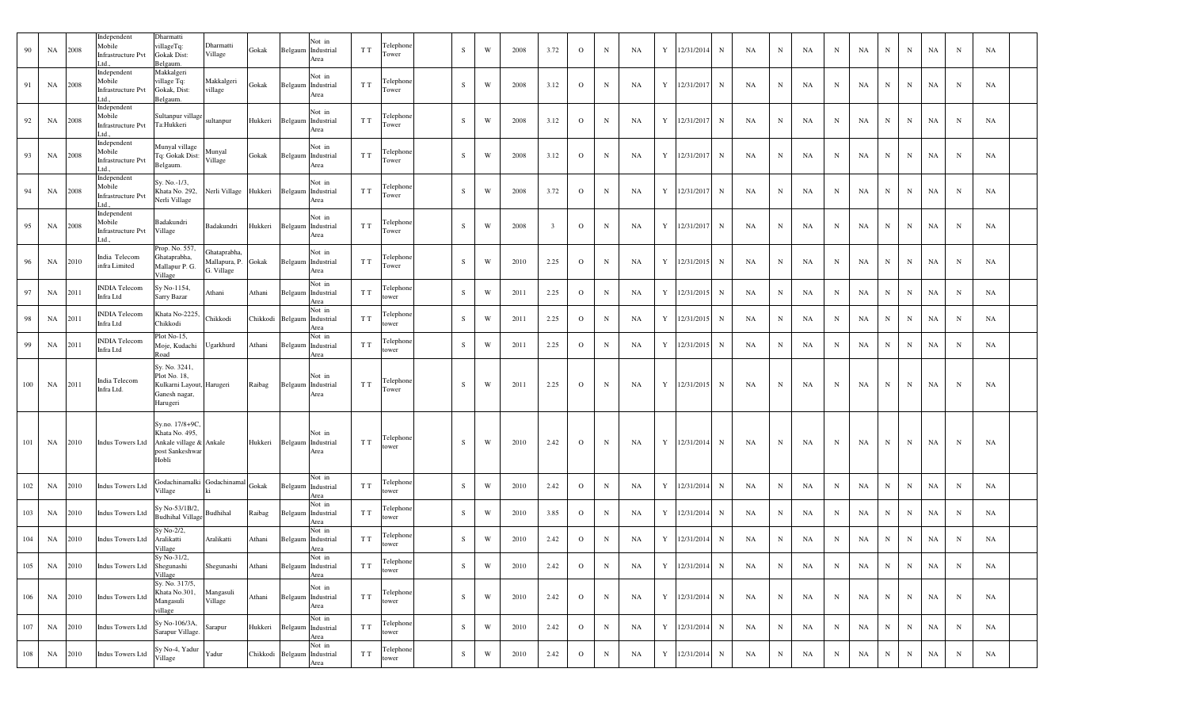| 90  | NA | 2008 | Independent<br>Mobile<br><b>Infrastructure Pvt</b><br>td  | Dharmatti<br>villageTq:<br><b>Gokak Dist:</b><br>Belgaum.                               | Dharmatti<br>Village                              | Gokak   |                             | Not in<br>Belgaum Industrial<br>Area | T T                 | Telephone<br>Tower | S         | W | 2008 | 3.72                    | $\mathbf{O}$   | $\mathbf N$ | NA | Y<br>12/31/2014<br>$\mathbf N$ | NA | N           | NA | $_{\rm N}$  | NA | N | N           | NA | N           | NA        |  |
|-----|----|------|-----------------------------------------------------------|-----------------------------------------------------------------------------------------|---------------------------------------------------|---------|-----------------------------|--------------------------------------|---------------------|--------------------|-----------|---|------|-------------------------|----------------|-------------|----|--------------------------------|----|-------------|----|-------------|----|---|-------------|----|-------------|-----------|--|
| 91  | NA | 2008 | Independent<br>Mobile<br><b>Infrastructure Pvt</b><br>ht  | Makkalgeri<br>village Tq:<br>Gokak, Dist:<br>Belgaum.                                   | Makkalgeri<br>village                             | Gokak   |                             | Not in<br>Belgaum Industrial<br>Area | T T                 | Telephone<br>Tower | S         | W | 2008 | 3.12                    | $\mathbf{O}$   | N           | NA | Y 12/31/2017<br>$\mathbf N$    | NA | $\mathbf N$ | NA | N           | NA | N | N           | NA | N           | NA        |  |
| 92  | NA | 2008 | Independent<br>Mobile<br>Infrastructure Pvt<br>ht         | Sultanpur village<br>Ta:Hukkeri                                                         | sultanpur                                         |         | Hukkeri Belgaum Industrial  | Not in<br>Area                       | T T                 | Telephone<br>Tower | S         | W | 2008 | 3.12                    | $\mathbf{O}$   | $\mathbf N$ | NA | 12/31/2017<br>Y<br>$\mathbf N$ | NA | N           | NA | $_{\rm N}$  | NA | N | N           | NA | N           | NA        |  |
| 93  | NA | 2008 | Independent<br>Mobile<br><b>Infrastructure Pvt</b><br>td  | Munyal village<br>Tq: Gokak Dist:<br>Belgaum.                                           | Munyal<br>Village                                 | Gokak   |                             | Not in<br>Belgaum Industrial<br>Area | T T                 | Telephone<br>Tower | S         | W | 2008 | 3.12                    | $\mathbf{O}$   | N           | NA | Y<br>12/31/2017<br>$\mathbf N$ | NA | $\mathbf N$ | NA | $_{\rm N}$  | NA | N | N           | NA | N           | NA        |  |
| 94  | NA | 2008 | Independent<br>Mobile<br><b>Infrastructure Pvt</b><br>td. | Sy. No.-1/3,<br>Khata No. 292,<br>Nerli Village                                         | Nerli Village Hukkeri Belgaum Industrial          |         |                             | Not in<br>Area                       | T T                 | Telephone<br>Tower | S         | W | 2008 | 3.72                    | $\overline{O}$ | N           | NA | 12/31/2017<br>Y<br>$\mathbf N$ | NA | N           | NA | $_{\rm N}$  | NA | N | N           | NA | N           | NA        |  |
| 95  | NA | 2008 | Independent<br>Mobile<br><b>Infrastructure Pvt</b><br>ht  | Badakundri<br>Village                                                                   | Badakundri                                        | Hukkeri |                             | Not in<br>Belgaum Industrial<br>Area | T T                 | Telephone<br>Tower | S         | W | 2008 | $\overline{\mathbf{3}}$ | $\mathbf{O}$   | N           | NA | 12/31/2017<br>Y<br>$\mathbf N$ | NA | $\mathbf N$ | NA | $_{\rm N}$  | NA | N | N           | NA | N           | NA        |  |
| 96  | NA | 2010 | India Telecom<br>infra Limited                            | Prop. No. 557,<br>Ghataprabha,<br>Mallapur P. G.<br>Village                             | Ghataprabha,<br>Mallapura, P. Gokak<br>G. Village |         |                             | Not in<br>Belgaum Industrial<br>Area | T T                 | Telephone<br>Tower | S         | W | 2010 | 2.25                    | $\overline{O}$ | $_{\rm N}$  | NA | 12/31/2015<br>Y<br>$\mathbf N$ | NA | N           | NA | $_{\rm N}$  | NA | N | N           | NA | N           | NA        |  |
| 97  | NA | 2011 | <b>INDIA Telecom</b><br>Infra Ltd                         | Sy No-1154,<br>Sarry Bazar                                                              | Athani                                            | Athani  | Belgaum                     | Not in<br>Industrial<br>Area         | T T                 | Telephone<br>tower | S         | W | 2011 | 2.25                    | $\overline{O}$ | N           | NA | Y<br>12/31/2015<br>$\mathbf N$ | NA | $\mathbf N$ | NA | $_{\rm N}$  | NA | N | $\mathbf N$ | NA | N           | NA        |  |
| 98  | NA | 2011 | <b>INDIA Telecom</b><br>Infra Ltd                         | Khata No-2225<br>Chikkodi                                                               | Chikkodi                                          |         | Chikkodi Belgaum Industrial | Not in<br>Area                       | T T                 | Telephone<br>ower  | S         | W | 2011 | 2.25                    | $\mathbf{O}$   | N           | NA | Y 12/31/2015<br>$\mathbf N$    | NA | $\mathbf N$ | NA | N           | NA | N | N           | NA | $\mathbf N$ | NA        |  |
| 99  | NA | 2011 | <b>NDIA</b> Telecom<br>Infra Ltd                          | Plot No-15,<br>Moje, Kudachi<br>Road                                                    | Ugarkhurd                                         | Athani  | Belgaum                     | Not in<br>Industrial<br>Area         | T T                 | Telephone<br>tower | S         | W | 2011 | 2.25                    | $\overline{O}$ | N           | NA | 12/31/2015<br>Y<br>$\mathbf N$ | NA | N           | NA | $_{\rm N}$  | NA | N | N           | NA | N           | NA        |  |
| 100 | NA | 2011 | India Telecom<br>Infra Ltd.                               | Sy. No. 3241,<br>Plot No. 18,<br>Kulkarni Layout, Harugeri<br>Ganesh nagar,<br>Harugeri |                                                   | Raibag  | Belgaum                     | Not in<br>Industrial<br>Area         | T T                 | Telephone<br>Tower | S         | W | 2011 | 2.25                    | $\mathbf{O}$   | N           | NA | 12/31/2015<br>Y<br>$\mathbf N$ | NA | $_{\rm N}$  | NA | N           | NA | N | N           | NA | N           | NA        |  |
| 101 | NA | 2010 | Indus Towers Ltd                                          | Sy.no. 17/8+9C<br>Khata No. 495,<br>Ankale village & Ankale<br>post Sankeshwar<br>Hobli |                                                   |         | Hukkeri Belgaum Industrial  | Not in<br>Area                       | T T                 | Telephone<br>tower | S         | W | 2010 | 2.42                    | $\mathbf{O}$   | N           | NA | 12/31/2014<br>Y<br>$\mathbf N$ | NA | $\mathbf N$ | NA | N           | NA | N | N           | NA | N           | <b>NA</b> |  |
| 102 | NA | 2010 | <b>Indus Towers Ltd</b>                                   | Godachinamalki<br>Village                                                               | Godachinamal                                      | Gokak   |                             | Not in<br>Belgaum Industrial<br>Area | T T                 | Telephone<br>tower | S         | W | 2010 | 2.42                    | $\overline{O}$ | $\mathbf N$ | NA | 12/31/2014<br>Y<br>$\mathbf N$ | NA | N           | NA | N           | NA | N | N           | NA | N           | NA        |  |
| 103 | NA | 2010 | <b>Indus Towers Ltd</b>                                   | Sy No-53/1B/2,<br><b>Budhihal Village</b>                                               | Budhihal                                          | Raibag  |                             | Not in<br>Belgaum Industrial<br>Area | T T                 | Telephone<br>tower | S         | W | 2010 | 3.85                    | $\overline{O}$ | $_{\rm N}$  | NA | 12/31/2014<br>Y<br>$\mathbf N$ | NA | $\mathbf N$ | NA | $_{\rm N}$  | NA | N | N           | NA | N           | NA        |  |
| 104 | NA | 2010 | <b>Indus Towers Ltd</b>                                   | Sy No-2/2,<br>Aralikatti<br>Village                                                     | Aralikatti                                        | Athani  |                             | Not in<br>Belgaum Industrial<br>Area | T T                 | Telephone<br>tower | S         | W | 2010 | 2.42                    | $\overline{O}$ | $\mathbf N$ | NA | Y 12/31/2014<br>$\mathbf N$    | NA | $\mathbf N$ | NA | $_{\rm N}$  | NA | N | N           | NA | N           | NA        |  |
| 105 | NA | 2010 | <b>Indus Towers Ltd</b>                                   | Sy No-31/2,<br>Shegunashi<br>Village                                                    | Shegunashi                                        | Athani  |                             | Not in<br>Belgaum Industrial<br>Area | T T                 | Telephone<br>tower | ${\bf S}$ | W | 2010 | 2.42                    | $\mathbf{O}$   | N           | NA | Y<br>12/31/2014<br>$\mathbf N$ | NA | N           | NA | $\mathbf N$ | NA | N | N           | NA | N           | NA        |  |
| 106 | NA | 2010 | <b>Indus Towers Ltd</b>                                   | Sy. No. 317/5,<br>Khata No.301,<br>Mangasuli<br>village                                 | Mangasuli<br>Village                              | Athani  |                             | Not in<br>Belgaum Industrial<br>Area | T T                 | Telephone<br>tower | S         | W | 2010 | 2.42                    | $\overline{O}$ | $\mathbf N$ | NA | Y 12/31/2014<br>$\mathbf N$    | NA | N           | NA | $\mathbf N$ | NA | N | N           | NA | N           | NA        |  |
| 107 | NA | 2010 | <b>Indus Towers Ltd</b>                                   | Sy No-106/3A,<br>Sarapur Village.                                                       | Sarapur                                           |         | Hukkeri Belgaum Industrial  | Not in<br>Area                       | T T                 | Telephone<br>tower | S         | W | 2010 | 2.42                    | $\overline{O}$ | $\mathbf N$ | NA | Y<br>12/31/2014<br>$\mathbf N$ | NA | $\mathbf N$ | NA | $\mathbf N$ | NA | N | N           | NA | N           | NA        |  |
| 108 | NA | 2010 | <b>Indus Towers Ltd</b>                                   | Sy No-4, Yadur<br>Village                                                               | Yadur                                             |         | Chikkodi Belgaum Industrial | Not in<br>Area                       | ${\rm T}$ ${\rm T}$ | Telephone<br>tower | ${\bf S}$ | W | 2010 | 2.42                    | $\mathbf{O}$   | ${\bf N}$   | NA | Y<br>12/31/2014<br>$\mathbf N$ | NA | $N_{\odot}$ | NA | ${\bf N}$   | NA | N | N           | NA | $\mathbf N$ | NA        |  |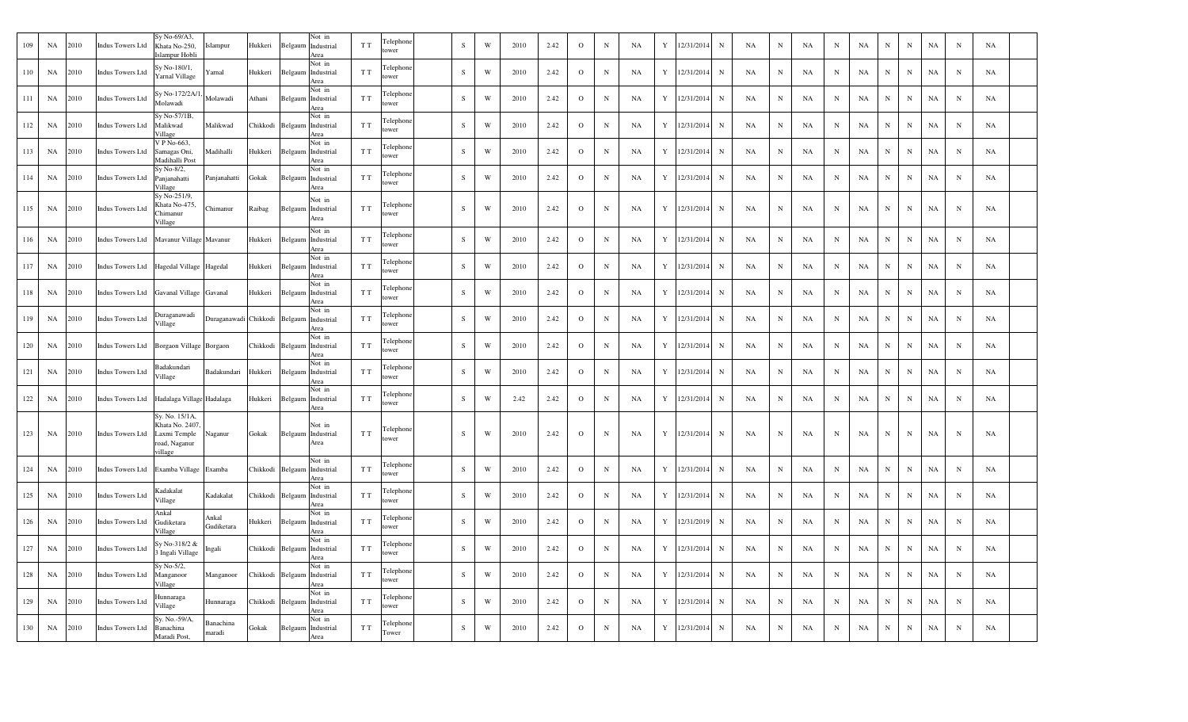| 109 | NA | 2010 | <b>Indus Towers Ltd</b> | Sy No-69/A3,<br>Khata No-250,<br>Islampur Hobli                              | Islampur            | Hukkeri  |         | Not in<br>Belgaum Industrial<br>Area          | T T | Telephone<br>ower  | S           | W | 2010 | 2.42 | $\circ$      | N            | NA | Y           | 12/31/2014 | $\,$ N       | NA | $\mathbf N$ | NA | N          | NA | N           | $\mathbf N$  | NA          | N           | NA          |  |
|-----|----|------|-------------------------|------------------------------------------------------------------------------|---------------------|----------|---------|-----------------------------------------------|-----|--------------------|-------------|---|------|------|--------------|--------------|----|-------------|------------|--------------|----|-------------|----|------------|----|-------------|--------------|-------------|-------------|-------------|--|
| 110 | NA | 2010 | <b>Indus Towers Ltd</b> | Sy No-180/1,<br>Yarnal Village                                               | Yarnal              | Hukkeri  | Belgaum | Not in<br>Industrial<br>Area                  | T T | Felephone<br>ower  | S           | W | 2010 | 2.42 | $\mathbf{O}$ | N            | NA | Y           | 12/31/2014 | N            | NA | N           | NA | N          | NA | N           | $\mathbf N$  | NA          | N           | NA          |  |
| 111 | NA | 2010 | <b>Indus Towers Ltd</b> | Sy No-172/2A/1<br>Molawadi                                                   | Molawadi            | Athani   | Belgaum | Not in<br>Industrial<br>Area                  | T T | Telephone<br>tower | S           | W | 2010 | 2.42 | $\mathbf{o}$ | $\mathbf N$  | NA | Y           | 12/31/2014 | $\, {\bf N}$ | NA | N           | NA | N          | NA | $\mathbf N$ | N            | NA          | N           | NA          |  |
| 112 | NA | 2010 | <b>Indus Towers Ltd</b> | Sy No-57/1B,<br>Malikwad<br>Village                                          | Malikwad            | Chikkodi |         | Not in<br>Belgaum Industrial<br>Area          | T T | Felephone<br>ower  | S           | W | 2010 | 2.42 | $\mathbf{o}$ | $\, {\rm N}$ | NA | $\mathbf Y$ | 12/31/2014 | ${\bf N}$    | NA | $_{\rm N}$  | NA | N          | NA | $_{\rm N}$  | ${\bf N}$    | NA          | $_{\rm N}$  | NA          |  |
| 113 | NA | 2010 | <b>Indus Towers Ltd</b> | V P No-663.<br>Samagas Oni,<br>Madihalli Post                                | Madihalli           | Hukkeri  |         | Not in<br>Belgaum Industrial<br>Area          | T T | Telephone<br>ower  | S           | W | 2010 | 2.42 | $\mathbf{O}$ | $\mathbf N$  | NA | Y           | 12/31/2014 | $\mathbf N$  | NA | $_{\rm N}$  | NA | N          | NA | $_{\rm N}$  | $\mathbf N$  | NA          | $\mathbf N$ | NA          |  |
| 114 | NA | 2010 | <b>Indus Towers Ltd</b> | Sy No-8/2,<br>Panjanahatti<br>Village                                        | Panjanahatti        | Gokak    | Belgaum | Not in<br>Industrial<br>Area                  | T T | Felephone<br>ower  | S           | W | 2010 | 2.42 | $\mathbf{O}$ | $\, {\rm N}$ | NA | Y           | 12/31/2014 | $\mathbf N$  | NA | $_{\rm N}$  | NA | N          | NA | $_{\rm N}$  | $\mathbf N$  | NA          | N           | NA          |  |
| 115 | NA | 2010 | <b>Indus Towers Ltd</b> | Sy No-251/9,<br>Khata No-475,<br>Chimanur<br>Village                         | Chimanur            | Raibag   |         | Not in<br>Belgaum Industrial<br>Area          | T T | Telephone<br>tower | S           | W | 2010 | 2.42 | $\mathbf{o}$ | $\mathbf N$  | NA | Y           | 12/31/2014 | $\mathbf N$  | NA | $_{\rm N}$  | NA | N          | NA | $_{\rm N}$  | N            | NA          | $\mathbf N$ | NA          |  |
| 116 | NA | 2010 | <b>Indus Towers Ltd</b> | Mavanur Village Mavanur                                                      |                     | Hukkeri  | Belgaum | Not in<br>Industrial<br>Area                  | T T | Telephone<br>tower | S           | W | 2010 | 2.42 | $\mathbf{o}$ | $\mathbf N$  | NA | Y           | 12/31/2014 | $_{\rm N}$   | NA | $_{\rm N}$  | NA | N          | NA | $_{\rm N}$  | ${\bf N}$    | $_{\rm NA}$ | $\mathbf N$ | NA          |  |
| 117 | NA | 2010 | <b>Indus Towers Ltd</b> | Hagedal Village Hagedal                                                      |                     | Hukkeri  |         | Not in<br>Belgaum Industrial<br>Area          | T T | Telephone<br>tower | S           | W | 2010 | 2.42 | $\mathbf{o}$ | $\mathbf N$  | NA | Y           | 12/31/2014 | $_{\rm N}$   | NA | N           | NA | N          | NA | $\mathbf N$ | $\mathbf N$  | NA          | $\mathbf N$ | NA          |  |
| 118 | NA | 2010 | <b>Indus Towers Ltd</b> | Gavanal Village Gavanal                                                      |                     | Hukkeri  | Belgaum | Not in<br>Industrial<br>Area                  | T T | Telephone<br>ower  | S           | W | 2010 | 2.42 | $\mathbf{o}$ | $\mathbf N$  | NA | Y           | 12/31/2014 | ${\bf N}$    | NA | $\mathbf N$ | NA | N          | NA | $\mathbf N$ | $\mathbf N$  | NA          | N           | NA          |  |
| 119 | NA | 2010 | <b>Indus Towers Ltd</b> | Duraganawadi<br>Village                                                      | Duraganawadi        | Chikkodi |         | Not in<br>Belgaum Industrial<br>Area          | T T | Telephone<br>tower | S           | W | 2010 | 2.42 | $\mathbf{o}$ | N            | NA | Y           | 12/31/2014 | N            | NA | N           | NA | N          | NA | N           | $\mathbf N$  | NA          | $\mathbf N$ | NA          |  |
| 120 | NA | 2010 | <b>Indus Towers Ltd</b> | Borgaon Village                                                              | Borgaon             | Chikkodi | Belgaum | Not in<br>Industrial<br>Area                  | T T | Felephone<br>ower  | S           | W | 2010 | 2.42 | $\mathbf{O}$ | $\, {\rm N}$ | NA | Y           | 12/31/2014 | ${\bf N}$    | NA | N           | NA | $_{\rm N}$ | NA | $_{\rm N}$  | $\mathbf N$  | NA          | $\mathbf N$ | NA          |  |
| 121 | NA | 2010 | <b>Indus Towers Ltd</b> | Badakundari<br>Village                                                       | Badakundari         | Hukkeri  |         | Not in<br>Belgaum Industrial<br>Area          | T T | Felephone<br>tower | S           | W | 2010 | 2.42 | $\mathbf{O}$ | N            | NA | Y           | 12/31/2014 | $\mathbf N$  | NA | $_{\rm N}$  | NA | $_{\rm N}$ | NA | $_{\rm N}$  | $_{\rm N}$   | NA          | $\mathbf N$ | NA          |  |
| 122 | NA | 2010 | Indus Towers Ltd        | Hadalaga Village Hadalaga                                                    |                     | Hukkeri  | Belgaum | Not in<br>Industrial<br>Area                  | T T | Felephone<br>ower  | S           | W | 2.42 | 2.42 | $\circ$      | N            | NA | Y           | 12/31/2014 | N            | NA | $_{\rm N}$  | NA | N          | NA | $_{\rm N}$  | $\, {\rm N}$ | NA          | N           | NA          |  |
| 123 | NA | 2010 | <b>Indus Towers Ltd</b> | Sy. No. 15/1A,<br>Khata No. 2407<br>Laxmi Temple<br>road, Naganur<br>village | Naganur             | Gokak    |         | Not in<br>Belgaum Industrial<br>Area          | T T | Telephone<br>ower  | S           | W | 2010 | 2.42 | $\mathbf{O}$ | $\mathbf N$  | NA | Y           | 12/31/2014 | ${\bf N}$    | NA | $\mathbf N$ | NA | N          | NA | N           | $_{\rm N}$   | NA          | $\mathbf N$ | NA          |  |
| 124 | NA | 2010 | <b>Indus Towers Ltd</b> | Examba Village                                                               | Examba              | Chikkodi |         | Not in<br>Belgaum Industrial<br>Area          | T T | Telephone<br>ower  | S           | W | 2010 | 2.42 | $\mathbf{O}$ | $\mathbf N$  | NA | Y           | 12/31/2014 | $\mathbf N$  | NA | $_{\rm N}$  | NA | N          | NA | $_{\rm N}$  | $\mathbf N$  | NA          | $\mathbf N$ | NA          |  |
| 125 | NA | 2010 | <b>Indus Towers Ltd</b> | Kadakalat<br>Village                                                         | Kadakalat           | Chikkodi |         | Not in<br>Belgaum Industrial<br>Area          | T T | Telephone<br>ower  | $\mathbf S$ | W | 2010 | 2.42 | $\mathbf{O}$ | ${\bf N}$    | NA | Y           | 12/31/2014 | $\mathbf N$  | NA | $\mathbf N$ | NA | N          | NA | N           | N            | NA          | N           | NA          |  |
| 126 | NA | 2010 | <b>Indus Towers Ltd</b> | Ankal<br>Gudiketara<br>Village                                               | Ankal<br>Gudiketara | Hukkeri  | Belgaum | Not in<br>Industrial<br>Area                  | T T | Telephone<br>tower | S           | W | 2010 | 2.42 | $\mathbf{O}$ | ${\bf N}$    | NA | Y           | 12/31/2019 | $\mathbf N$  | NA | $\mathbf N$ | NA | N          | NA | $_{\rm N}$  | $\mathbf N$  | NA          | N           | NA          |  |
| 127 | NA | 2010 | Indus Towers Ltd        | Sy No-318/2 &<br>3 Ingali Village                                            | Ingali              | Chikkodi |         | Not in<br>Belgaum Industrial<br>Area          | T T | Felephone<br>ower  | S           | W | 2010 | 2.42 | $\mathbf{O}$ | $\, {\rm N}$ | NA | Y           | 12/31/2014 | ${\bf N}$    | NA | $_{\rm N}$  | NA | N          | NA | $\mathbf N$ | $\mathbf N$  | NA          | $_{\rm N}$  | NA          |  |
| 128 | NA | 2010 | <b>Indus Towers Ltd</b> | Sy No-5/2,<br>Manganoor<br>Village                                           | Manganoor           |          |         | Not in<br>Chikkodi Belgaum Industrial<br>Area | T T | Telephone<br>ower  | S           | W | 2010 | 2.42 | $\mathbf{O}$ | $\mathbf N$  | NA | Y           | 12/31/2014 | ${\bf N}$    | NA | $\mathbf N$ | NA | $_{\rm N}$ | NA | $_{\rm N}$  | $\mathbf N$  | NA          | $_{\rm N}$  | NA          |  |
| 129 | NA | 2010 | <b>Indus Towers Ltd</b> | Hunnaraga<br>Village                                                         | Hunnaraga           | Chikkodi | Belgaum | Not in<br>Industrial<br>Area                  | T T | Telephone<br>ower  | S           | W | 2010 | 2.42 | $\mathbf{o}$ | $\, {\rm N}$ | NA | Y           | 12/31/2014 | $\mathbf N$  | NA | $_{\rm N}$  | NA | N          | NA | $_{\rm N}$  | $\mathbf N$  | NA          | $_{\rm N}$  | $_{\rm NA}$ |  |
| 130 | NA | 2010 | <b>Indus Towers Ltd</b> | Sy. No.-59/A,<br>Banachina<br>Maradi Post,                                   | Banachina<br>maradi | Gokak    |         | Not in<br>Belgaum Industrial<br>Area          | T T | Telephone<br>Tower | S           | W | 2010 | 2.42 | $\mathbf{O}$ | ${\bf N}$    | NA | Y           | 12/31/2014 | $\mathbf N$  | NA | $_{\rm N}$  | NA | N          | NA | N           | $\mathbf N$  | NA          | N           | NA          |  |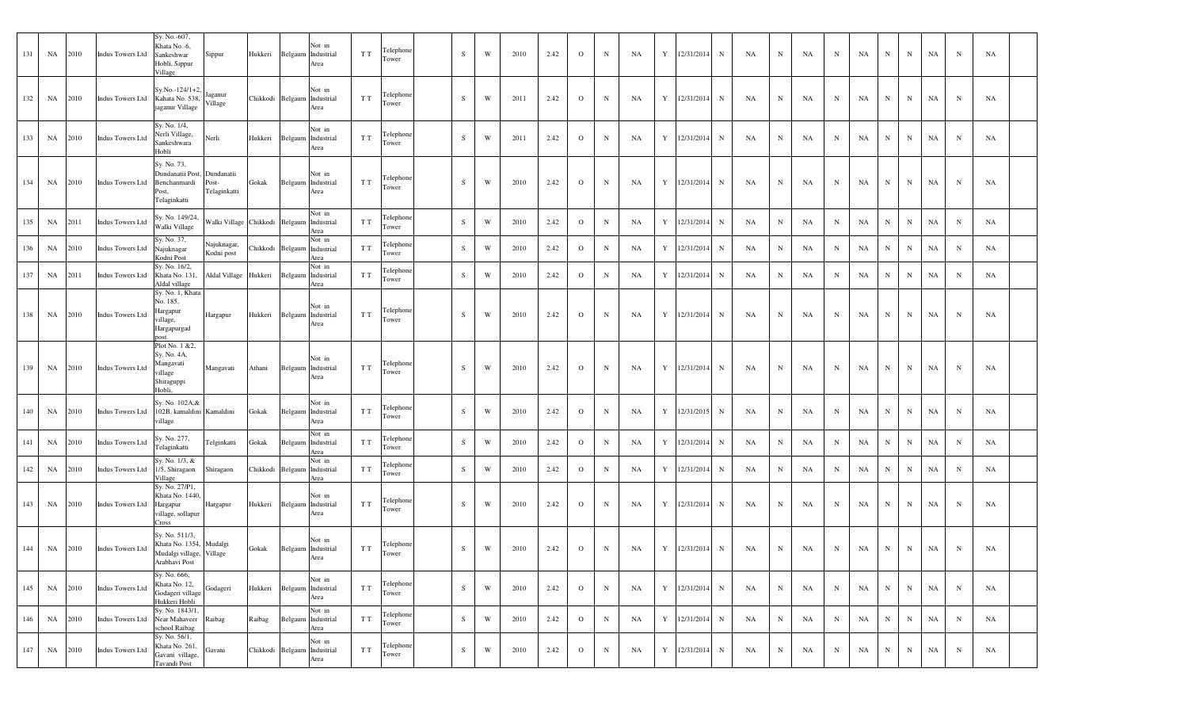| 131 | NA        | 2010 | <b>Indus Towers Ltd</b> | Sy. No.-607,<br>Khata No.-6,<br>Sankeshwar<br>Hobli, Sippur<br>Village                 | Sippur                                    | Hukkeri  | Not in<br>Belgaum Industrial<br>Area          | T T | Telephone<br>Tower | S         | W           | 2010 | 2.42 | $\circ$      | $\mathbf N$ | NA | Y | 12/31/2014 | $\mathbf N$ | NA | N           | NA        | N           | NA | N           | N           | NA | $\mathbf N$ | NA |  |
|-----|-----------|------|-------------------------|----------------------------------------------------------------------------------------|-------------------------------------------|----------|-----------------------------------------------|-----|--------------------|-----------|-------------|------|------|--------------|-------------|----|---|------------|-------------|----|-------------|-----------|-------------|----|-------------|-------------|----|-------------|----|--|
| 132 | NA        | 2010 | <b>Indus Towers Ltd</b> | Sy.No.-124/1+2<br>Kahata No. 538,<br>jaganur Village                                   | laganur<br>Village                        |          | Not in<br>Chikkodi Belgaum Industrial<br>Area | T T | Telephone<br>Tower | S         | W           | 2011 | 2.42 | $\Omega$     | $\mathbf N$ | NA | Y | 12/31/2014 | $\mathbf N$ | NA | N           | NA        | N           | NA | N           | N           | NA | $\mathbf N$ | NA |  |
| 133 | NA        | 2010 | <b>Indus Towers Ltd</b> | Sy. No. 1/4,<br>Nerli Village,<br>Sankeshwara<br>Hobli                                 | Nerli                                     | Hukkeri  | Not in<br>Belgaum Industrial<br>Area          | T T | Telephone<br>Tower | S         | W           | 2011 | 2.42 | $\mathbf{O}$ | $\mathbf N$ | NA | Y | 12/31/2014 | $\mathbf N$ | NA | $_{\rm N}$  | NA        | N           | NA | $_{\rm N}$  | N           | NA | $\mathbf N$ | NA |  |
| 134 | NA        | 2010 | <b>Indus Towers Ltd</b> | Sy. No. 73,<br>Dundanatii Post,<br>Benchanmardi<br>Post,<br>Telaginkatti               | Dundanatii<br>Post-<br>Telaginkatti       | Gokak    | Not in<br>Belgaum Industrial<br>Area          | T T | Telephone<br>Tower | S         | W           | 2010 | 2.42 | $\circ$      | $\mathbf N$ | NA | Y | 12/31/2014 | $\mathbf N$ | NA | N           | <b>NA</b> | N           | NA | N           | N           | NA | $\mathbf N$ | NA |  |
| 135 | NA        | 2011 | <b>Indus Towers Ltd</b> | Sy. No. 149/24,<br>Walki Village                                                       | Walki Village Chikkodi Belgaum Industrial |          | Not in<br>Area                                | T T | Telephone<br>Tower | S         | W           | 2010 | 2.42 | $\mathbf{O}$ | $\mathbf N$ | NA | Y | 12/31/2014 | $\mathbf N$ | NA | $\mathbf N$ | NA        | N           | NA | $\mathbf N$ | $\mathbf N$ | NA | $_{\rm N}$  | NA |  |
| 136 | NA        | 2010 | <b>Indus Towers Ltd</b> | Sy. No. 37,<br>Najuknagar<br>Kodni Post                                                | Najuknagar,<br>Kodni post                 | Chikkodi | Not in<br>Belgaum Industrial<br>Area          | T T | Telephone<br>Tower | ${\bf S}$ | W           | 2010 | 2.42 | $\mathbf{O}$ | $\mathbf N$ | NA | Y | 12/31/2014 | $\mathbf N$ | NA | N           | NA        | N           | NA | $\mathbf N$ | $\mathbf N$ | NA | $_{\rm N}$  | NA |  |
| 137 | NA        | 2011 | <b>Indus Towers Ltd</b> | Sy. No. 16/2,<br>Khata No. 131<br>Aldal village                                        | Aldal Village Hukkeri                     |          | Not in<br>Belgaum Industrial<br>Area          | T T | Telephone<br>Tower | S         | W           | 2010 | 2.42 | $\mathbf{O}$ | $\mathbf N$ | NA | Y | 12/31/2014 | $\mathbf N$ | NA | $\mathbf N$ | NA        | N           | NA | $\mathbf N$ | $\mathbf N$ | NA | $_{\rm N}$  | NA |  |
| 138 | NA        | 2010 | <b>Indus Towers Ltd</b> | Sy. No. 1, Khata<br>No. 185,<br>Hargapur<br>illage,<br>Hargapurgad<br>ost.             | Hargapur                                  | Hukkeri  | Not in<br>Belgaum Industrial<br>Area          | T T | Telephone<br>Tower | S         | W           | 2010 | 2.42 | $\Omega$     | $\mathbf N$ | NA | Y | 12/31/2014 | $\mathbf N$ | NA | $\mathbf N$ | NA        | N           | NA | $\mathbf N$ | $\mathbf N$ | NA | $_{\rm N}$  | NA |  |
| 139 | NA        | 2010 | <b>Indus Towers Ltd</b> | Plot No. 1 & 2,<br>Sy. No. 4A,<br>Mangavati<br>≀illage<br>Shiraguppi<br>Hobli,         | Mangavati                                 | Athani   | Not in<br>Belgaum Industrial<br>Area          | T T | Telephone<br>Tower | S         | W           | 2010 | 2.42 | $\Omega$     | $\mathbf N$ | NA | Y | 12/31/2014 | $\mathbf N$ | NA | N           | NA        | N           | NA | N           | $\mathbf N$ | NA | $_{\rm N}$  | NA |  |
| 140 | NA        | 2010 | <b>Indus Towers Ltd</b> | Sy. No. 102A, &<br>102B, kamaldini Kamaldini<br>rillage                                |                                           | Gokak    | Not in<br>Belgaum Industrial<br>Area          | T T | Telephone<br>Tower | ${\bf S}$ | W           | 2010 | 2.42 | $\mathbf{O}$ | $\mathbf N$ | NA | Y | 12/31/2015 | $\mathbf N$ | NA | $_{\rm N}$  | NA        | N           | NA | $\mathbf N$ | $\mathbf N$ | NA | $_{\rm N}$  | NA |  |
| 141 | NA        | 2010 | <b>Indus Towers Ltd</b> | Sy. No. 277,<br>lelaginkatti                                                           | Telginkatti                               | Gokak    | Not in<br>Belgaum Industrial<br>Area          | T T | Telephone<br>Tower | S         | W           | 2010 | 2.42 | $\mathbf{O}$ | $\mathbf N$ | NA | Y | 12/31/2014 | $\mathbf N$ | NA | N           | NA        | N           | NA | $\mathbf N$ | N           | NA | $\mathbf N$ | NA |  |
| 142 | NA        | 2010 | Indus Towers Ltd        | Sy. No. 1/3, &<br>1/5, Shiragaon<br>Village                                            | Shiragaon                                 | Chikkodi | Not in<br>Belgaum Industrial<br>Area          | T T | Telephone<br>Tower | ${\bf S}$ | W           | 2010 | 2.42 | $\mathbf{O}$ | $\mathbf N$ | NA | Y | 12/31/2014 | $\mathbf N$ | NA | N           | NA        | $_{\rm N}$  | NA | $\mathbf N$ | N           | NA | $_{\rm N}$  | NA |  |
| 143 | NA        | 2010 | <b>Indus Towers Ltd</b> | Sy. No. 27/P1,<br>Khata No. 1440,<br>Hargapur<br>village, sollapur<br>Cross            | Hargapur                                  | Hukkeri  | Not in<br>Belgaum Industrial<br>Area          | T T | Telephone<br>Tower | S         | W           | 2010 | 2.42 | $\Omega$     | $\mathbf N$ | NA | Y | 12/31/2014 | $\mathbf N$ | NA | $_{\rm N}$  | NA        | N           | NA | $_{\rm N}$  | N           | NA | $_{\rm N}$  | NA |  |
| 144 | NA        | 2010 | <b>Indus Towers Ltd</b> | Sy. No. 511/3,<br>Khata No. 1354, Mudalgi<br>Mudalgi village, Village<br>Arabhavi Post |                                           | Gokak    | Not in<br>Belgaum Industrial<br>Area          | T T | Telephone<br>Tower | S         | W           | 2010 | 2.42 | $\Omega$     | $\mathbf N$ | NA | Y | 12/31/2014 | N           | NA | $\mathbf N$ | NA        | $\mathbf N$ | NA | $_{\rm N}$  | $\mathbf N$ | NA | $_{\rm N}$  | NA |  |
| 145 | NA        | 2010 | <b>Indus Towers Ltd</b> | Sy. No. 666,<br>Khata No. 12,<br>Godageri village<br>Hukkeri Hobli                     | Godageri                                  | Hukkeri  | Not in<br>Belgaum Industrial<br>Area          | T T | Telephone<br>Tower | ${\bf S}$ | W           | 2010 | 2.42 | $\mathbf{O}$ | $\,$ N      | NA | Y | 12/31/2014 | $\mathbf N$ | NA | $_{\rm N}$  | NA        | N           | NA | $\mathbf N$ | $\mathbf N$ | NA | $\mathbf N$ | NA |  |
| 146 | NA        | 2010 | <b>Indus Towers Ltd</b> | Sy. No. 1843/1,<br>Near Mahaveer Raibag<br>chool Raibag                                |                                           | Raibag   | Not in<br>Belgaum Industrial<br>Area          | T T | Telephone<br>[ower | ${\bf S}$ | W           | 2010 | 2.42 | $\mathbf{O}$ | $\mathbf N$ | NA | Y | 12/31/2014 | N           | NA | N           | NA        | N           | NA | ${\bf N}$   | N           | NA | $\mathbf N$ | NA |  |
| 147 | <b>NA</b> | 2010 | <b>Indus Towers Ltd</b> | Sy. No. 56/1,<br>Khata No. 261,<br>Gavani village,<br>Tavandi Post                     | Gavani                                    |          | Not in<br>Chikkodi Belgaum Industrial<br>Area | T T | Telephone<br>Tower | ${\bf S}$ | $\mathbf W$ | 2010 | 2.42 | $\mathbf{O}$ | $\mathbf N$ | NA | Y | 12/31/2014 | $\mathbf N$ | NA | $_{\rm N}$  | NA        | $\mathbf N$ | NA | $\mathbf N$ | $\mathbf N$ | NA | $_{\rm N}$  | NA |  |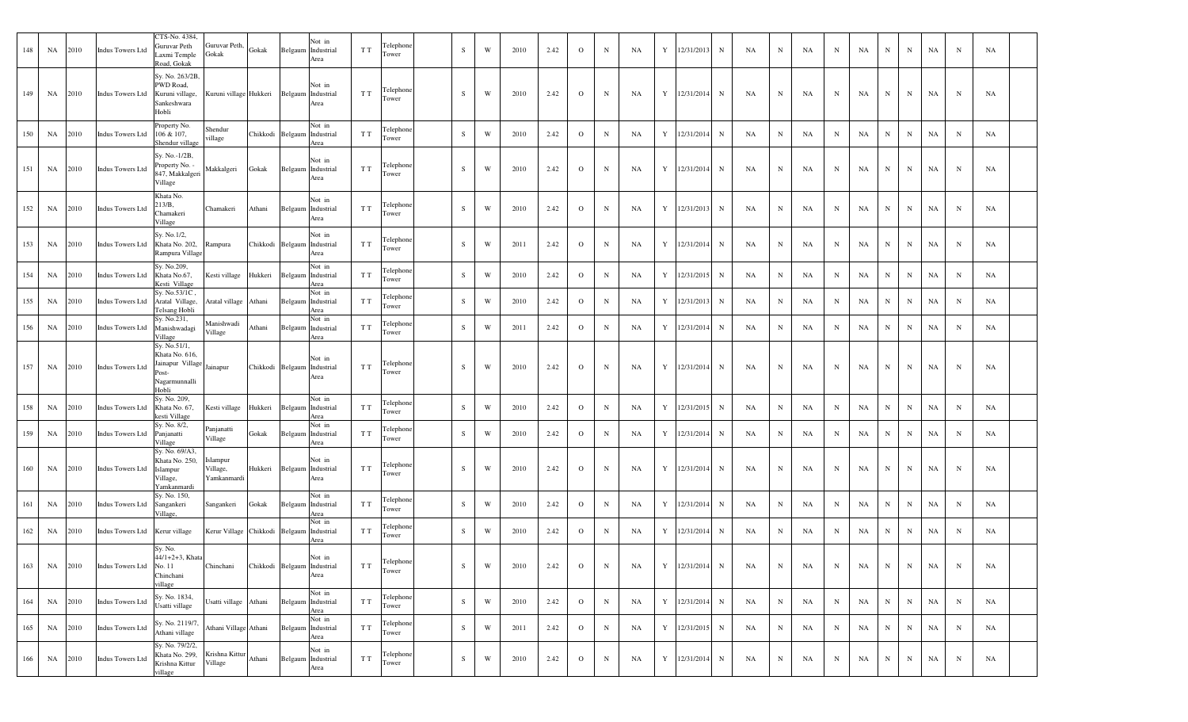| 148 | NA | 2010    | <b>Indus Towers Ltd</b>             | CTS-No. 4384,<br>Guruvar Peth<br>Laxmi Temple<br>Road, Gokak                                   | Guruvar Peth, Gokak<br>Gokak              |         | Not in<br>Belgaum Industrial<br>Area          | T T | Telephone<br>Tower | S | W | 2010 | 2.42 | $\circ$        | $_{\rm N}$  | NA | Y | 12/31/2013     | N           | NA                                                                         | $_{\rm N}$  | NA. | N           | NA | N           | N           | NA | N           | NA |  |
|-----|----|---------|-------------------------------------|------------------------------------------------------------------------------------------------|-------------------------------------------|---------|-----------------------------------------------|-----|--------------------|---|---|------|------|----------------|-------------|----|---|----------------|-------------|----------------------------------------------------------------------------|-------------|-----|-------------|----|-------------|-------------|----|-------------|----|--|
| 149 | NA | 2010    | <b>Indus Towers Ltd</b>             | Sy. No. 263/2B,<br>PWD Road,<br>Kuruni village,<br>Sankeshwara<br>Hobli                        | Kuruni village Hukkeri Belgaum Industrial |         | Not in<br>Area                                | T T | Telephone<br>Tower | S | W | 2010 | 2.42 | $\mathbf{O}$   | $\mathbf N$ | NA | Y | 12/31/2014     | N           | NA                                                                         | $_{\rm N}$  | NA  | N           | NA | $\mathbf N$ | N           | NA | $\mathbf N$ | NA |  |
| 150 | NA | 2010    | Indus Towers Ltd                    | Property No.<br>106 & 107,<br>Shendur village                                                  | Shendur<br>illage                         |         | Not in<br>Chikkodi Belgaum Industrial<br>Area | T T | Telephone<br>Tower | S | W | 2010 | 2.42 | $\mathbf{O}$   | $_{\rm N}$  | NA | Y | 12/31/2014     | N           | NA                                                                         | N           | NA  | N           | NA | $\mathbf N$ | N           | NA | $\mathbf N$ | NA |  |
| 151 | NA | 2010    | <b>Indus Towers Ltd</b>             | Sy. No.-1/2B,<br>Property No. -<br>847, Makkalgeri<br>Village                                  | Makkalgeri                                | Gokak   | Not in<br>Belgaum Industrial<br>Area          | T T | Telephone<br>Tower | S | W | 2010 | 2.42 | $\mathbf{O}$   | $\mathbf N$ | NA | Y | 12/31/2014     | N           | NA                                                                         | N           | NA  | N           | NA | N           | N           | NA | $\mathbf N$ | NA |  |
| 152 | NA | 2010    | <b>Indus Towers Ltd</b>             | Khata No.<br>213/B,<br>Chamakeri<br>Village                                                    | Chamakeri                                 | Athani  | Not in<br>Belgaum Industrial<br>Area          | T T | Telephone<br>Tower | S | W | 2010 | 2.42 | $\circ$        | $\mathbf N$ | NA | Y | 12/31/2013     | N           | NA                                                                         | N           | NA  | N           | NA | $\mathbf N$ | N           | NA | $\mathbf N$ | NA |  |
| 153 | NA | 2010    | <b>Indus Towers Ltd</b>             | Sy. No.1/2,<br>Khata No. 202,<br>Rampura Village                                               | Rampura                                   |         | Not in<br>Chikkodi Belgaum Industrial<br>Area | T T | Telephone<br>Tower | S | W | 2011 | 2.42 | $\mathbf{O}$   | $\mathbf N$ | NA | Y | 12/31/2014     | $_{\rm N}$  | NA                                                                         | $_{\rm N}$  | NA  | $\mathbf N$ | NA | $\mathbf N$ | N           | NA | $\mathbf N$ | NA |  |
| 154 | NA | 2010    | Indus Towers Ltd                    | Sy. No.209,<br>Khata No.67,<br>Kesti Village                                                   | Kesti village                             | Hukkeri | Not in<br>Belgaum Industrial<br>Area          | T T | Telephone<br>Tower | S | W | 2010 | 2.42 | $\mathbf{O}$   | $_{\rm N}$  | NA | Y | 12/31/2015     | N           | NA                                                                         | N           | NA  | $\mathbf N$ | NA | N           | N           | NA | $\mathbf N$ | NA |  |
| 155 | NA | 2010    | Indus Towers Ltd                    | Sy. No.53/1C,<br>Aratal Village,<br>Telsang Hobli                                              | Aratal village                            | Athani  | Not in<br>Belgaum Industrial<br>Area          | T T | Telephone<br>Tower | S | W | 2010 | 2.42 | $\circ$        | $_{\rm N}$  | NA | Y | 12/31/2013     | $_{\rm N}$  | NA                                                                         | $_{\rm N}$  | NA  | N           | NA | N           | N           | NA | $\mathbf N$ | NA |  |
| 156 | NA | 2010    | Indus Towers Ltd                    | Sy. No.231,<br>Manishwadagi<br>Village                                                         | Manishwadi<br>Village                     | Athani  | Not in<br>Belgaum Industrial<br>Area          | T T | Telephone<br>Tower | S | W | 2011 | 2.42 | $\mathbf{O}$   | N           | NA | Y | 12/31/2014     | $_{\rm N}$  | NA                                                                         | $\mathbf N$ | NA  | N           | NA | $\mathbf N$ | N           | NA | $\mathbf N$ | NA |  |
| 157 | NA | 2010    | <b>Indus Towers Ltd</b>             | Sy. No.51/1,<br>Khata No. 616,<br>Jainapur Village Jainapur<br>Post-<br>Nagarmunnalli<br>Hobli |                                           |         | Not in<br>Chikkodi Belgaum Industrial<br>Area | T T | Telephone<br>Tower | S | W | 2010 | 2.42 | $\Omega$       | $\mathbf N$ | NA | Y | 12/31/2014     | $\mathbf N$ | NA                                                                         | N           | NA  | N           | NA | N           | $\mathbf N$ | NA | $\mathbf N$ | NA |  |
| 158 | NA | 2010    | Indus Towers Ltd                    | Sy. No. 209,<br>Khata No. 67,<br>kesti Village                                                 | Kesti village                             | Hukkeri | Not in<br>Belgaum Industrial<br>Area          | T T | Telephone<br>Tower | S | W | 2010 | 2.42 | $\circ$        | $_{\rm N}$  | NA | Y | 12/31/2015     | N           | NA                                                                         | $_{\rm N}$  | NA  | N           | NA | $\mathbf N$ | $\mathbf N$ | NA | $\mathbf N$ | NA |  |
| 159 | NA | 2010    | <b>Indus Towers Ltd</b>             | Sy. No. 8/2,<br>Panjanatti<br>Village                                                          | Panjanatti<br>Village                     | Gokak   | Not in<br>Belgaum Industrial<br>Area          | T T | Telephone<br>Tower | S | W | 2010 | 2.42 | $\circ$        | $\mathbf N$ | NA | Y | 12/31/2014     | $_{\rm N}$  | NA                                                                         | $_{\rm N}$  | NA  | N           | NA | $\mathbf N$ | N           | NA | $\mathbf N$ | NA |  |
| 160 | NA | 2010    | <b>Indus Towers Ltd</b>             | Sy. No. 69/A3,<br>Khata No. 250,<br>Islampur<br>Village,<br>Yamkanmardi                        | Islampur<br>Village,<br>Yamkanmardi       | Hukkeri | Not in<br>Belgaum Industrial<br>Area          | T T | Telephone<br>Tower | S | W | 2010 | 2.42 | $\circ$        | $\mathbf N$ | NA |   | Y 12/31/2014   | $\mathbf N$ | NA                                                                         | $_{\rm N}$  | NA  | N           | NA | $\mathbf N$ | N           | NA | $\mathbf N$ | NA |  |
| 161 | NA | 2010    | <b>Indus Towers Ltd</b>             | Sy. No. 150,<br>Sangankeri<br>Village,                                                         | Sangankeri                                | Gokak   | Not in<br>Belgaum Industrial<br>Area          | T T | Telephone<br>Tower | S | W | 2010 | 2.42 | $\circ$        | $\mathbf N$ | NA | Y | 12/31/2014     | $_{\rm N}$  | NA                                                                         | $_{\rm N}$  | NA  | N           | NA | $\mathbf N$ | N           | NA | $\mathbf N$ | NA |  |
| 162 | NA | 2010    | Indus Towers Ltd                    | Kerur village                                                                                  | Kerur Village Chikkodi Belgaum            |         | Not in<br>Industrial<br>Area                  | T T | Felephone<br>Tower | S | W | 2010 | 2.42 | $\circ$        | $_{\rm N}$  | NA | Y | 12/31/2014     | N           | NA                                                                         | $_{\rm N}$  | NA  | N           | NA | N           | N           | NA | $\mathbf N$ | NA |  |
|     |    |         | 163 NA 2010 Indus Towers Ltd No. 11 | Sy. No.<br>44/1+2+3, Khata<br>Chinchani<br>village                                             | Chinchani Chikkodi Belgaum Industrial     |         | Not in<br>Area                                | T T | Telephone<br>Tower | S | W | 2010 |      |                |             |    |   |                |             | 2.42   O   N   NA   Y   12/31/2014   N   NA   N   NA   N   NA   N   NA   N |             |     |             |    |             |             |    |             | NA |  |
| 164 |    | NA 2010 | <b>Indus Towers Ltd</b>             | Sy. No. 1834,<br>Usatti village                                                                | Usatti village Athani                     |         | Not in<br>Belgaum Industrial<br>Area          | T T | Telephone<br>Tower | S | W | 2010 | 2.42 | $\mathbf{O}$   | N           | NA |   | Y 12/31/2014   | $\mathbf N$ | NA                                                                         | $\mathbf N$ | NA  | N           | NA | N           | N           | NA | N           | NA |  |
| 165 |    | NA 2010 | <b>Indus Towers Ltd</b>             | Sy. No. 2119/7,<br>Athani village                                                              | Athani Village Athani                     |         | Not in<br>Belgaum Industrial<br>Area          | T T | Telephone<br>Tower | S | W | 2011 | 2.42 | $\overline{O}$ | N           | NA |   | Y 12/31/2015 N |             | NA                                                                         | $\mathbf N$ | NA  | N           | NA | N           | N           | NA | N           | NA |  |
| 166 |    | NA 2010 | <b>Indus Towers Ltd</b>             | Sy. No. 79/2/2,<br>Khata No. 299,<br>Krishna Kittur<br>illage                                  | Krishna Kittur Athani<br>Village          |         | Not in<br>Belgaum Industrial<br>Area          | T T | Telephone<br>Tower | S | W | 2010 | 2.42 | $\mathbf{O}$   | N           | NA |   | Y 12/31/2014   | $\mathbf N$ | NA                                                                         | N           | NA  | N           | NA | N           | N           | NA | N           | NA |  |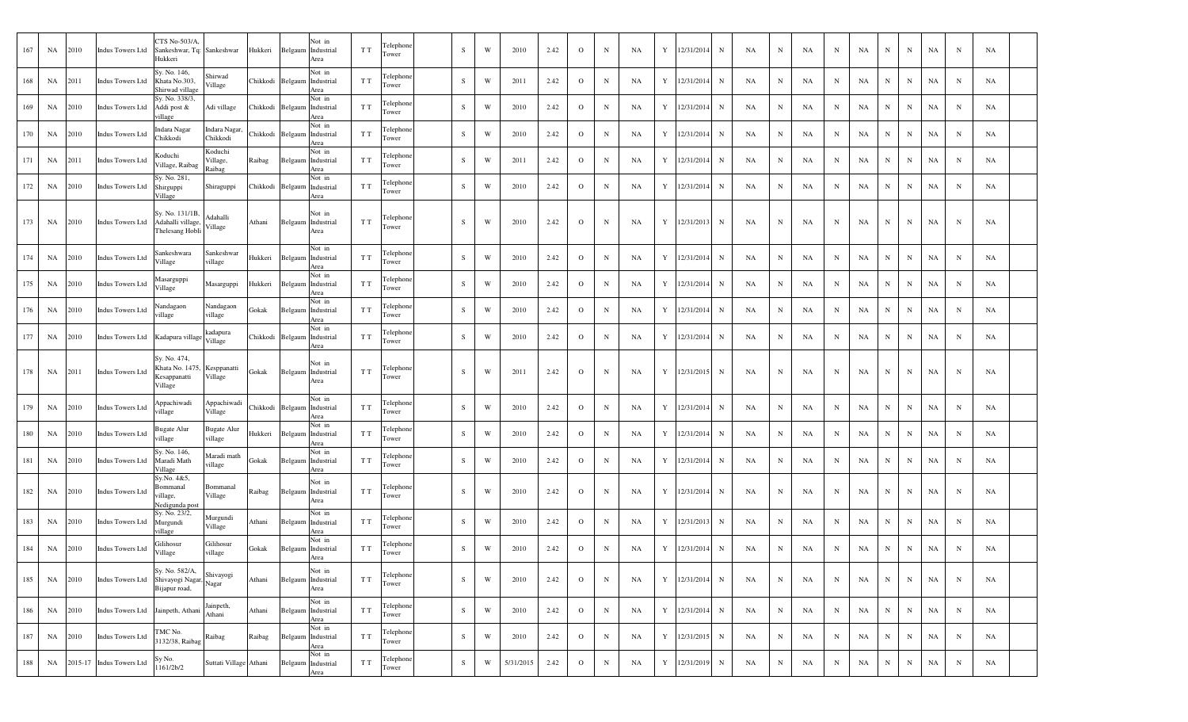| 167 | NA | 2010 | <b>Indus Towers Ltd</b>  | CTS No-503/A,<br>Sankeshwar, Tq: Sankeshwar<br>Hukkeri    |                               | Hukkeri        | Belgaum          | Not in<br>Industrial<br>T T<br>Area         | Telephone<br>Tower | S         | W | 2010      | 2.42 | $\Omega$     | $\mathbf N$ | NA        | Y | 12/31/2014 | $\mathbf N$ | NA | N           | NA | N          | NA | N            | $_{\rm N}$  | NA          | $_{\rm N}$  | NA  |  |
|-----|----|------|--------------------------|-----------------------------------------------------------|-------------------------------|----------------|------------------|---------------------------------------------|--------------------|-----------|---|-----------|------|--------------|-------------|-----------|---|------------|-------------|----|-------------|----|------------|----|--------------|-------------|-------------|-------------|-----|--|
| 168 | NA | 2011 | <b>Indus Towers Ltd</b>  | Sy. No. 146,<br>Khata No.303,<br>Shirwad village          | Shirwad<br>Village            | Chikkodi       |                  | Not in<br>T T<br>Belgaum Industrial<br>Area | Telephone<br>Tower | S         | W | 2011      | 2.42 | $\mathbf{O}$ | $\mathbf N$ | NA        | Y | 12/31/2014 | N           | NA | $\mathbf N$ | NA | N          | NA | N            | $_{\rm N}$  | NA          | N           | NA  |  |
| 169 | NA | 2010 | <b>Indus Towers Ltd</b>  | Sy. No. 338/3,<br>Addi post &<br>illage                   | Adi village                   | Chikkodi       |                  | Not in<br>Belgaum Industrial<br>T T<br>Area | Telephone<br>Tower | ${\bf S}$ | W | 2010      | 2.42 | $\mathbf{O}$ | $\mathbf N$ | NA        | Y | 12/31/2014 | $\,$ N      | NA | $\mathbf N$ | NA | N          | NA | N            | $\mathbf N$ | NA          | N           | NA  |  |
| 170 | NA | 2010 | <b>Indus Towers Ltd</b>  | Indara Nagar<br>Chikkodi                                  | Indara Nagar,<br>Chikkodi     | Chikkodi       | Belgaum          | Not in<br>Industrial<br>T T<br>Area         | Telephone<br>Tower | S         | W | 2010      | 2.42 | $\Omega$     | $\mathbf N$ | NA        | Y | 12/31/2014 | N           | NA | N           | NA | N          | NA | N            | $_{\rm N}$  | NA          | N           | NA  |  |
| 171 | NA | 2011 | <b>Indus Towers Ltd</b>  | Koduchi<br>Village, Raibag                                | Koduchi<br>Village,<br>Raibag | Raibag         | Belgaum          | Not in<br>Industrial<br>T T<br><b>Area</b>  | Telephone<br>Tower | S         | W | 2011      | 2.42 | $\mathbf{O}$ | $\mathbf N$ | NA        | Y | 12/31/2014 | N           | NA | N           | NA | N          | NA | N            | $\mathbf N$ | NA          | N           | NA  |  |
| 172 | NA | 2010 | <b>Indus Towers Ltd</b>  | Sy. No. 281,<br>Shirguppi<br>Village                      | Shiraguppi                    | Chikkodi       |                  | Not in<br>Belgaum Industrial<br>T T<br>Area | Telephone<br>Tower | S         | W | 2010      | 2.42 | $\Omega$     | $\mathbf N$ | NA        | Y | 12/31/2014 | N           | NA | N           | NA | N          | NA | N            | $_{\rm N}$  | NA          | N           | NA  |  |
| 173 | NA | 2010 | <b>Indus Towers Ltd</b>  | Sy. No. 131/1B,<br>Adahalli village.<br>Thelesang Hobli   | Adahalli<br>Village           | Athani         |                  | Not in<br>Belgaum Industrial<br>T T<br>Area | Telephone<br>Tower | S         | W | 2010      | 2.42 | $\circ$      | $\mathbf N$ | <b>NA</b> | Y | 12/31/2013 | N           | NA | N           | NA | N          | NA | N            | $_{\rm N}$  | NA          | N           | NA  |  |
| 174 | NA | 2010 | <b>Indus Towers Ltd</b>  | Sankeshwara<br>/illage                                    | Sankeshwar<br>village         | Hukkeri        |                  | Not in<br>Belgaum Industrial<br>T T<br>Area | Telephone<br>Tower | S         | W | 2010      | 2.42 | $\Omega$     | $\mathbf N$ | NA        | Y | 12/31/2014 | N           | NA | $\mathbf N$ | NA | N          | NA | N            | $_{\rm N}$  | NA          | N           | NA  |  |
| 175 | NA | 2010 | <b>Indus Towers Ltd</b>  | Masarguppi<br>Village                                     | Masarguppi                    | Hukkeri        | Belgaum          | Not in<br>Industrial<br>T T<br>Area         | Telephone<br>Tower | S         | W | 2010      | 2.42 | $\Omega$     | $\mathbf N$ | NA        | Y | 12/31/2014 | $\,$ N      | NA | $\mathbf N$ | NA | N          | NA | N            | $\mathbf N$ | NA          | $_{\rm N}$  | NA  |  |
| 176 | NA | 2010 | <b>Indus Towers Ltd</b>  | Nandagaon<br>illage                                       | Nandagaon<br>village          | Gokak          |                  | Not in<br>Belgaum Industrial<br>T T<br>Area | Telephone<br>Tower | S         | W | 2010      | 2.42 | $\Omega$     | $\mathbf N$ | NA        | Y | 12/31/2014 | N           | NA | N           | NA | N          | NA | N            | $\mathbf N$ | NA          | N           | NA  |  |
| 177 | NA | 2010 | <b>Indus Towers Ltd</b>  | Kadapura village                                          | kadapura<br>Village           |                | Chikkodi Belgaum | Not in<br>T T<br>Industrial<br>Area         | Telephone<br>Tower | ${\bf S}$ | W | 2010      | 2.42 | $\circ$      | N           | NA        | Y | 12/31/2014 | N           | NA | N           | NA | N          | NA | N            | $_{\rm N}$  | NA          | N           | NA  |  |
| 178 | NA | 2011 | <b>Indus Towers Ltd</b>  | Sy. No. 474,<br>Khata No. 1475<br>Kesappanatti<br>Village | Kesppanatti<br>Village        | Gokak          | Belgaum          | Not in<br>T T<br>Industrial<br>Area         | Telephone<br>Tower | S         | W | 2011      | 2.42 | $\circ$      | N           | NA        | Y | 12/31/2015 | $\mathbf N$ | NA | N           | NA | N          | NA | N            | $_{\rm N}$  | NA          | N           | NA  |  |
| 179 | NA | 2010 | <b>Indus Towers Ltd</b>  | Appachiwadi<br>illage                                     | Appachiwadi<br>Village        | Chikkodi       |                  | Not in<br>Belgaum Industrial<br>T T<br>Area | Telephone<br>Tower | ${\bf S}$ | W | 2010      | 2.42 | $\circ$      | $\mathbf N$ | NA        | Y | 12/31/2014 | N           | NA | N           | NA | N          | NA | N            | $_{\rm N}$  | NA          | N           | NA  |  |
| 180 | NA | 2010 | <b>Indus Towers Ltd</b>  | <b>Bugate Alur</b><br>village                             | <b>Bugate Alur</b><br>village | <b>Iukkeri</b> |                  | Not in<br>Belgaum Industrial<br>T T<br>Area | Telephone<br>Tower | S         | W | 2010      | 2.42 | $\Omega$     | $\mathbf N$ | NA        | Y | 12/31/2014 | N           | NA | N           | NA | N          | NA | N            | $\mathbf N$ | NA          | N           | NA  |  |
| 181 | NA | 2010 | <b>Indus Towers Ltd</b>  | Sy. No. 146,<br>Maradi Math<br>Village                    | Maradi math<br>village        | Gokak          | Belgaum          | Not in<br>Industrial<br>T T<br>Area         | Telephone<br>Tower | ${\bf S}$ | W | 2010      | 2.42 | $\circ$      | $\mathbf N$ | NA        | Y | 12/31/2014 | N           | NA | N           | NA | N          | NA | N            | $\mathbf N$ | NA          | N           | NA  |  |
| 182 | NA | 2010 | <b>Indus Towers Ltd</b>  | Sy.No. 4&5,<br>Bommanal<br>/illage,<br>Nedigunda post     | Bommanal<br>Village           | Raibag         |                  | Not in<br>Belgaum Industrial<br>T T<br>Area | Telephone<br>Tower | S         | W | 2010      | 2.42 | $\Omega$     | $\mathbf N$ | <b>NA</b> | Y | 12/31/2014 | N           | NA | N           | NA | N          | NA | N            | $\mathbf N$ | NA          | N           | NA  |  |
| 183 | NA | 2010 | <b>Indus Towers Ltd</b>  | Sv. No. 23/2.<br>Murgundi<br>illage                       | Murgundi<br>Village           | Athani         |                  | Not in<br>T T<br>Belgaum Industrial<br>Area | Telephone<br>Tower | S         | W | 2010      | 2.42 | $\circ$      | $\mathbf N$ | NA        | Y | 12/31/2013 | N           | NA | N           | NA | N          | NA | N            | $_{\rm N}$  | NA          | N           | NA  |  |
| 184 | NA | 2010 | <b>Indus Towers Ltd</b>  | Gilihosur<br>Village                                      | Gilihosur<br>village          | Gokak          | Belgaum          | Not in<br>Industrial<br>T T<br>Area         | Telephone<br>Tower | S         | W | 2010      | 2.42 | $\circ$      | $\mathbf N$ | NA        | Y | 12/31/2014 | N           | NA | N           | NA | N          | NA | $\mathbf N$  | $_{\rm N}$  | NA          | N           | NA. |  |
| 185 | NA | 2010 | <b>Indus Towers Ltd</b>  | Sy. No. 582/A,<br>Shivayogi Nagar, Nagar<br>Bijapur road, | Shivayogi                     | Athani         |                  | Not in<br>Belgaum Industrial<br>T T<br>Area | Telephone<br>Tower | S         | W | 2010      | 2.42 | $\mathbf{O}$ | $\mathbf N$ | <b>NA</b> | Y | 12/31/2014 | ${\bf N}$   | NA | N           | NA | N          | NA | N            | N           | NA          | $\mathbf N$ | NA  |  |
| 186 | NA | 2010 | <b>Indus Towers Ltd</b>  | Jainpeth, Athani                                          | Jainpeth,<br>Athani           | Athani         | Belgaum          | Not in<br>Industrial<br>T T<br>Area         | Telephone<br>Tower | ${\bf S}$ | W | 2010      | 2.42 | $\mathbf{O}$ | ${\bf N}$   | NA        | Y | 12/31/2014 | $\mathbf N$ | NA | $\mathbf N$ | NA | $_{\rm N}$ | NA | $\mathbf N$  | N           | NA          | $\mathbf N$ | NA  |  |
| 187 | NA | 2010 | <b>Indus Towers Ltd</b>  | TMC No.<br>3132/38, Raibag                                | Raibag                        | Raibag         | Belgaum          | Not in<br>T T<br>Industrial<br>Area         | Telephone<br>Tower | S         | W | 2010      | 2.42 | $\mathbf{O}$ | $\mathbf N$ | <b>NA</b> | Y | 12/31/2015 | ${\bf N}$   | NA | N           | NA | N          | NA | $_{\rm N}$   | N           | NA          | $\mathbf N$ | NA  |  |
| 188 | NA |      | 2015-17 Indus Towers Ltd | Sy No.<br>161/2b/2                                        | Suttati Village Athani        |                |                  | Not in<br>Belgaum Industrial<br>T T         | Telephone<br>Tower | ${\bf S}$ | W | 5/31/2015 | 2.42 | $\mathbf{O}$ | $\mathbf N$ | NA        | Y | 12/31/2019 | $\mathbf N$ | NA | N           | NA | N          | NA | $\, {\rm N}$ | $\,$ N      | $_{\rm NA}$ | ${\bf N}$   | NA  |  |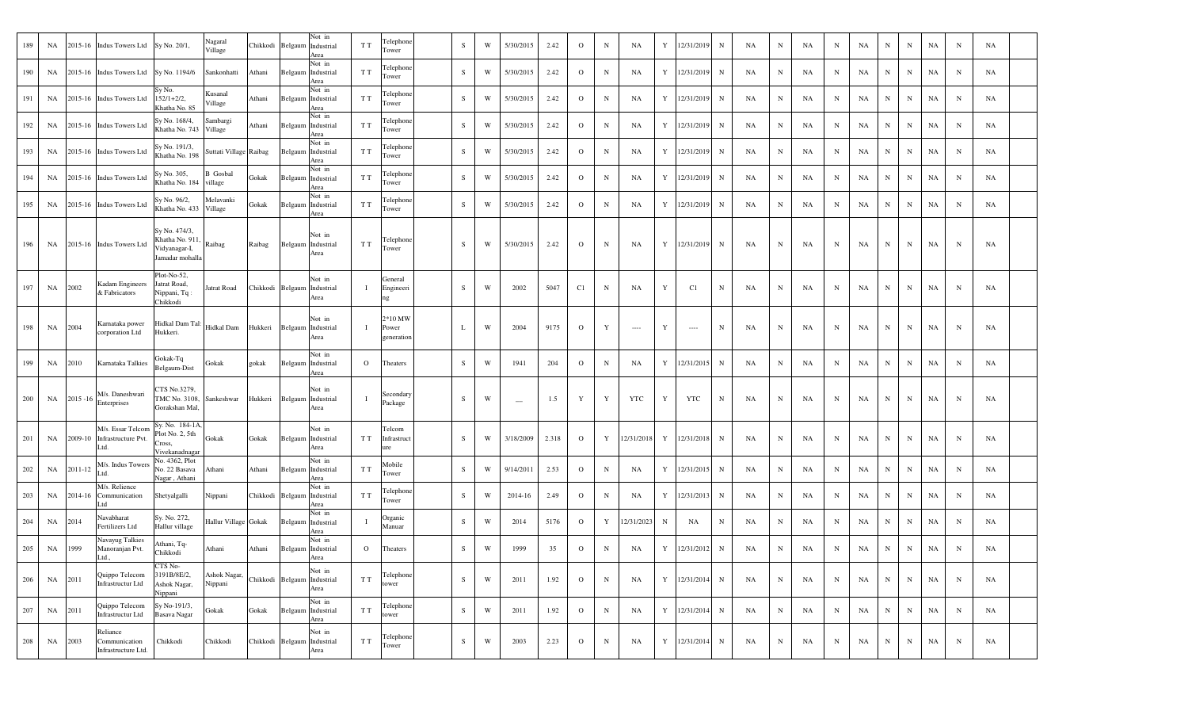| 189 | NA      |         | 2015-16 Indus Towers Ltd                         | Sy No. 20/1,                                                                | Nagaral<br>Village         | Chikkodi         | Belgaum                  | Not in<br>Industrial<br>Area                  | T T          | Telephone<br>Tower             | S         | W | 5/30/2015                | 2.42  | $\Omega$     | N            | NA         | Y | 12/31/2019 | N           | NA | $_{\rm N}$  | NA | N          | NA | N         | N            | NA | N           | NA |  |
|-----|---------|---------|--------------------------------------------------|-----------------------------------------------------------------------------|----------------------------|------------------|--------------------------|-----------------------------------------------|--------------|--------------------------------|-----------|---|--------------------------|-------|--------------|--------------|------------|---|------------|-------------|----|-------------|----|------------|----|-----------|--------------|----|-------------|----|--|
| 190 | NA      |         | 2015-16 Indus Towers Ltd                         | Sy No. 1194/6                                                               | Sankonhatti                | Athani           | Belgaum                  | Not in<br>Industrial<br>Area                  | T T          | Telephone<br>Tower             | S         | W | 5/30/2015                | 2.42  | $\mathbf{o}$ | $\mathbf N$  | NA         | Y | 12/31/2019 | $\mathbf N$ | NA | $_{\rm N}$  | NA | N          | NA | N         | $\mathbf N$  | NA | N           | NA |  |
| 191 | NA      | 2015-16 | <b>Indus Towers Ltd</b>                          | Sy No.<br>$152/1 + 2/2,$<br>Khatha No. 85                                   | Kusanal<br>Village         | Athani           | Belgaum                  | Not in<br>Industrial<br>Area                  | T T          | Felephone<br>Tower             | S         | W | 5/30/2015                | 2.42  | $\mathbf{o}$ | $\, {\rm N}$ | NA         | Y | 12/31/2019 | ${\bf N}$   | NA | N           | NA | N          | NA | N         | $\, {\rm N}$ | NA | N           | NA |  |
| 192 | NA      | 2015-16 | <b>Indus Towers Ltd</b>                          | Sy No. 168/4,<br>Khatha No. 743                                             | Sambargi<br>Village        | Athani           |                          | Not in<br>Belgaum Industrial<br>Area          | T T          | Telephone<br>Tower             | S         | W | 5/30/2015                | 2.42  | $\mathbf{o}$ | $\mathbf N$  | NA         | Y | 12/31/2019 | N           | NA | N           | NA | N          | NA | N         | $_{\rm N}$   | NA | N           | NA |  |
| 193 | NA      |         | 2015-16 Indus Towers Ltd                         | Sy No. 191/3,<br>Khatha No. 198                                             | Suttati Village Raibag     |                  |                          | Not in<br>Belgaum Industrial<br>Area          | T T          | Telephone<br>Tower             | S         | W | 5/30/2015                | 2.42  | $\Omega$     | N            | NA         | Y | 12/31/2019 | $_{\rm N}$  | NA | $_{\rm N}$  | NA | N          | NA | N         | $\mathbf N$  | NA | N           | NA |  |
| 194 | NA      |         | 2015-16 Indus Towers Ltd                         | Sy No. 305,<br>Khatha No. 184                                               | <b>B</b> Gosbal<br>village | Gokak            | Belgaum                  | Not in<br>Industrial<br>Area                  | T T          | Telephone<br>Tower             | S         | W | 5/30/2015                | 2.42  | $\circ$      | N            | NA         | Y | 12/31/2019 | $\mathbf N$ | NA | $\mathbf N$ | NA | N          | NA | N         | $\mathbf N$  | NA | $\mathbf N$ | NA |  |
| 195 | NA      | 2015-16 | <b>Indus Towers Ltd</b>                          | Sy No. 96/2,<br>Khatha No. 433                                              | Melavanki<br>Village       | Gokak            | Belgaum                  | Not in<br>Industrial<br>Area                  | T T          | Felephone<br>Tower             | S         | W | 5/30/2015                | 2.42  | $\Omega$     | N            | NA         | Y | 12/31/2019 | N           | NA | $_{\rm N}$  | NA | N          | NA | N         | $_{\rm N}$   | NA | N           | NA |  |
| 196 | NA      |         | 2015-16 Indus Towers Ltd                         | Sy No. 474/3,<br>Khatha No. 911, Raibag<br>Vidyanagar-I,<br>Jamadar mohalla |                            | Raibag           | Belgaum                  | Not in<br>Industrial<br>Area                  | T T          | Telephone<br>Tower             | S         | W | 5/30/2015                | 2.42  | $\Omega$     | $\mathbb N$  | NA         | Y | 12/31/2019 | N           | NA | N           | NA | N          | NA | N         | N            | NA | N           | NA |  |
| 197 | NA      | 2002    | Kadam Engineers<br>& Fabricators                 | Plot-No-52,<br>Jatrat Road,<br>Nippani, Tq:<br>Chikkodi                     | Jatrat Road                | Chikkodi         | Belgaum                  | Not in<br>Industrial<br>Area                  | $\mathbf{I}$ | General<br>Engineeri<br>ng     | S         | W | 2002                     | 5047  | C1           | $\mathbb N$  | NA         | Y | C1         | N           | NA | N           | NA | N          | NA | N         | N            | NA | N           | NA |  |
| 198 | NA      | 2004    | Karnataka power<br>corporation Ltd               | Hidkal Dam Tal:<br>Hukkeri.                                                 | Hidkal Dam                 | Hukkeri          |                          | Not in<br>Belgaum Industrial<br>Area          | $\mathbf{I}$ | 2*10 MW<br>Power<br>generation | L         | W | 2004                     | 9175  | $\circ$      | Y            | $\sim$     | Y | $\sim$     | $\mathbf N$ | NA | N           | NA | N          | NA | N         | N            | NA | N           | NA |  |
| 199 | NA      | 2010    | Karnataka Talkies                                | Gokak-Tq<br>Belgaum-Dist                                                    | Gokak                      | gokak            |                          | Not in<br>Belgaum Industrial<br>Area          | $\Omega$     | Theaters                       | S         | W | 1941                     | 204   | $\Omega$     | N            | NA         | Y | 12/31/2015 | $_{\rm N}$  | NA | N           | NA | N          | NA | N         | $\mathbf N$  | NA | $\mathbf N$ | NA |  |
| 200 | NA      |         | M/s. Daneshwari<br>$2015 - 16$ Enterprises       | CTS No.3279,<br>FMC No. 3108,<br>Gorakshan Mal,                             | Sankeshwar                 | Hukkeri          | $\operatorname{Belgaum}$ | Not in<br>Industrial<br>Area                  | $\mathbf{I}$ | Secondary<br>Package           | S         | W | $\overline{\phantom{a}}$ | 1.5   | Y            | Y            | YTC        | Y | <b>YTC</b> | $\mathbf N$ | NA | N           | NA | N          | NA | N         | N            | NA | N           | NA |  |
| 201 | NA      | 2009-10 | M/s. Essar Telcom<br>Infrastructure Pvt.<br>Ltd. | Sy. No. 184-1A,<br>Plot No. 2, 5th<br>Cross,<br>Vivekanadnagar              | Gokak                      | Gokak            |                          | Not in<br>Belgaum Industrial<br>Area          | T T          | Telcom<br>Infrastruct<br>ure   | S         | W | 3/18/2009                | 2.318 | $\mathbf{O}$ | Y            | 12/31/2018 | Y | 12/31/2018 | N           | NA | N           | NA | N          | NA | N         | N            | NA | $_{\rm N}$  | NA |  |
| 202 | NA      | 2011-12 | M/s. Indus Towers<br>Ltd.                        | No. 4362, Plot<br>No. 22 Basava<br>Nagar, Athani                            | Athani                     | Athani           |                          | Not in<br>Belgaum Industrial<br>Area          | T T          | Mobile<br>Tower                | S         | W | 9/14/2011                | 2.53  | $\mathbf{O}$ | N            | NA         | Y | 12/31/2015 | $_{\rm N}$  | NA | $_{\rm N}$  | NA | N          | NA | N         | N            | NA | $_{\rm N}$  | NA |  |
| 203 | NA      | 2014-16 | M/s. Relience<br>Communication<br>ht. I          | Shetyalgalli                                                                | Nippani                    | Chikkodi         | Belgaum                  | Not in<br>Industrial<br>Area                  | T T          | Felephone<br>Tower             | S         | W | 2014-16                  | 2.49  | $\mathbf{o}$ | N            | NA         | Y | 12/31/2013 | ${\bf N}$   | NA | $\mathbf N$ | NA | N          | NA | N         | ${\bf N}$    | NA | N           | NA |  |
| 204 | NA      | 2014    | Navabharat<br>Fertilizers Ltd                    | Sy. No. 272,<br>Hallur village                                              | Hallur Village Gokak       |                  |                          | Not in<br>Belgaum Industrial<br>Area          | $\mathbf{I}$ | Organic<br>Manuar              | S         | W | 2014                     | 5176  | $\mathbf{O}$ | Y            | 12/31/2023 | N | NA         | N           | NA | N           | NA | N          | NA | N         | ${\bf N}$    | NA | N           | NA |  |
| 205 | NA      | 1999    | Navayug Talkies<br>Manoranjan Pvt.<br>Ltd.       | Athani, Tq-<br>Chikkodi                                                     | Athani                     | Athani           |                          | Not in<br>Belgaum Industrial<br>Area          | $\Omega$     | Theaters                       | S         | W | 1999                     | 35    | $\mathbf{O}$ | $\mathbf N$  | NA         | Y | 12/31/2012 | N           | NA | N           | NA | N          | NA | N         | $_{\rm N}$   | NA | N           | NA |  |
| 206 | NA 2011 |         | Quippo Telecom<br>Infrastructur Ltd              | CTS No-<br>3191B/8E/2,<br>Ashok Nagar,<br>Nippani                           | Ashok Nagar,<br>Nippani    |                  |                          | Not in<br>Chikkodi Belgaum Industrial<br>Area | T T          | Telephone<br>tower             | ${\bf S}$ | W | 2011                     | 1.92  | $\mathbf{O}$ | $\mathbf N$  | NA         | Y | 12/31/2014 | ${\bf N}$   | NA | $\mathbf N$ | NA | $_{\rm N}$ | NA | N         | $\mathbf N$  | NA | $\mathbf N$ | NA |  |
| 207 | NA 2011 |         | Quippo Telecom<br>Infrastructur Ltd              | Sy No-191/3,<br>Basava Nagar                                                | Gokak                      | Gokak            | Belgaum                  | Not in<br>Industrial<br>Area                  | T T          | Telephone<br>ower              | ${\bf S}$ | W | 2011                     | 1.92  | $\mathbf 0$  | ${\bf N}$    | NA         | Y | 12/31/2014 | $\mathbf N$ | NA | $\mathbf N$ | NA | $_{\rm N}$ | NA | N         | ${\bf N}$    | NA | $\mathbf N$ | NA |  |
| 208 | NA      | 2003    | Reliance<br>Communication<br>Infrastructure Ltd. | Chikkodi                                                                    | Chikkodi                   | Chikkodi Belgaum |                          | Not in<br>Industrial<br>Area                  | T T          | Telephone<br>Tower             | ${\bf S}$ | W | 2003                     | 2.23  | $\mathbf 0$  | $\mathbf N$  | NA         | Y | 12/31/2014 | $\mathbf N$ | NA | $\mathbf N$ | NA | $_{\rm N}$ | NA | ${\bf N}$ | ${\bf N}$    | NA | $\mathbf N$ | NA |  |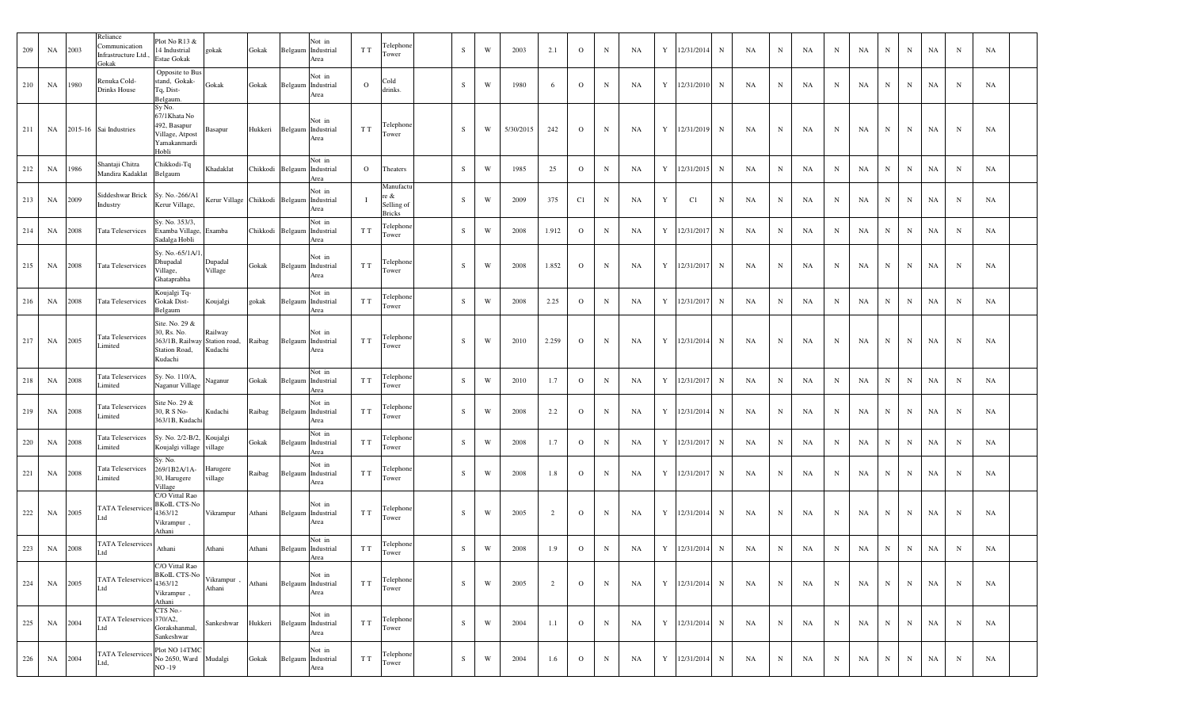| 209 | NA | 2003 | Reliance<br>Communication<br>Infrastructure Ltd.<br>Gokak | Plot No R13 &<br>14 Industrial<br>Estae Gokak                                              | gokak                                     | Gokak                       | Not in<br>Belgaum Industrial<br>Area          | T T            | Telephone<br>Tower                               | S         | W | 2003      | 2.1   | $\overline{O}$ | $\mathbf N$ | NA | Y | 12/31/2014   | $\mathbf N$ | NA | N           | NA        | $\mathbf N$ | NA        | $_{\rm N}$ | N           | NA          | N           | <b>NA</b> |  |
|-----|----|------|-----------------------------------------------------------|--------------------------------------------------------------------------------------------|-------------------------------------------|-----------------------------|-----------------------------------------------|----------------|--------------------------------------------------|-----------|---|-----------|-------|----------------|-------------|----|---|--------------|-------------|----|-------------|-----------|-------------|-----------|------------|-------------|-------------|-------------|-----------|--|
| 210 | NA | 1980 | Renuka Cold-<br>Drinks House                              | Opposite to Bus<br>stand, Gokak-<br>Tq, Dist-<br>Belgaum.                                  | Gokak                                     | Gokak                       | Not in<br>Belgaum Industrial<br>Area          | $\mathbf{O}$   | Cold<br>drinks.                                  | S         | W | 1980      | 6     | $\mathbf{O}$   | $\mathbf N$ | NA | Y | 12/31/2010   | $\mathbf N$ | NA | N           | <b>NA</b> | $\mathbf N$ | NA        | N          | $\mathbf N$ | NA          | N           | NA        |  |
| 211 | NA |      | 2015-16 Sai Industries                                    | Sy No.<br>67/1Khata No<br>492, Basapur<br>Village, Atpost<br>Yamakanmardi<br>Hobli         | Basapur                                   | Hukkeri Belgaum Industrial  | Not in<br>Area                                | T T            | Telephone<br>Tower                               | S         | W | 5/30/2015 | 242   | $\overline{O}$ | $\mathbf N$ | NA |   | Y 12/31/2019 | N           | NA | $\mathbf N$ | NA        | N           | NA        | N          | $_{\rm N}$  | NA          | $\mathbf N$ | <b>NA</b> |  |
| 212 | NA | 1986 | Shantaji Chitra<br>Mandira Kadaklat                       | Chikkodi-Tq<br>Belgaum                                                                     | Khadaklat                                 | Chikkodi Belgaum Industrial | Not in<br>Area                                | $\overline{O}$ | Theaters                                         | S         | W | 1985      | 25    | $\mathbf{O}$   | $\mathbf N$ | NA | Y | 12/31/2015   | $\mathbf N$ | NA | N           | NA        | $_{\rm N}$  | NA        | $_{\rm N}$ | N           | NA          | $\mathbf N$ | NA        |  |
| 213 | NA | 2009 | Siddeshwar Brick<br>Industry                              | Sy. No.-266/A1<br>Kerur Village,                                                           | Kerur Village Chikkodi Belgaum Industrial |                             | Not in<br>Area                                |                | Manufactu<br>re &<br>Selling of<br><b>Bricks</b> | S         | W | 2009      | 375   | C1             | $\mathbf N$ | NA | Y | C1           | N           | NA | N           | <b>NA</b> | N           | NA        | $_{\rm N}$ | N           | NA          | $\mathbf N$ | NA        |  |
| 214 | NA | 2008 | Tata Teleservices                                         | Sy. No. 353/3,<br>Examba Village, Examba<br>Sadalga Hobli                                  |                                           |                             | Not in<br>Chikkodi Belgaum Industrial<br>Area | T T            | Felephone<br>Fower                               | S         | W | 2008      | 1.912 | $\overline{O}$ | $\mathbf N$ | NA | Y | 12/31/2017   | $\mathbf N$ | NA | N           | NA        | N           | NA        | N          | $\mathbf N$ | NA          | $_{\rm N}$  | NA        |  |
| 215 | NA | 2008 | <b>Tata Teleservices</b>                                  | Sy. No.-65/1A/1<br>Dhupadal<br>Village,<br>Ghataprabha                                     | Dupadal<br>Village                        | Gokak                       | Not in<br>Belgaum Industrial<br>Area          | T T            | Telephon<br>Tower                                | S         | W | 2008      | 1.852 | $\overline{O}$ | $\mathbf N$ | NA | Y | 12/31/2017   | $\mathbf N$ | NA | $_{\rm N}$  | NA        | $_{\rm N}$  | <b>NA</b> | $_{\rm N}$ | $\mathbf N$ | NA          | N           | <b>NA</b> |  |
| 216 | NA | 2008 | <b>Tata Teleservices</b>                                  | Koujalgi Tq-<br>Gokak Dist-<br>Belgaum                                                     | Koujalgi                                  | gokak                       | Not in<br>Belgaum Industrial<br>Area          | T T            | Felephone<br>Tower                               | S         | W | 2008      | 2.25  | $\overline{O}$ | $\mathbf N$ | NA | Y | 12/31/2017   | $\mathbf N$ | NA | N           | NA        | N           | <b>NA</b> | N          | $\mathbf N$ | NA          | $_{\rm N}$  | NA        |  |
| 217 | NA | 2005 | <b>Tata Teleservices</b><br>Limited                       | Site. No. 29 &<br>30, Rs. No.<br>363/1B, Railway Station road,<br>Station Road,<br>Kudachi | Railway<br>Kudachi                        | Raibag                      | Not in<br>Belgaum Industrial<br>Area          | T T            | Telephone<br>Tower                               | S         | W | 2010      | 2.259 | $\overline{O}$ | $\mathbf N$ | NA |   | Y 12/31/2014 | N           | NA | $\mathbf N$ | NA        | $\mathbf N$ | NA        | N          | $\mathbf N$ | NA          | $\mathbf N$ | <b>NA</b> |  |
| 218 | NA | 2008 | Tata Teleservices<br>Limited                              | Sy. No. 110/A,<br>Naganur Village                                                          | Naganur                                   | Gokak                       | Not in<br>Belgaum Industrial<br>Area          | T T            | Telephone<br>Fower                               | S         | W | 2010      | 1.7   | $\overline{O}$ | $\mathbf N$ | NA | Y | 12/31/2017   | $\mathbf N$ | NA | $_{\rm N}$  | <b>NA</b> | $_{\rm N}$  | NA        | $_{\rm N}$ | $\mathbf N$ | NA          | $\mathbf N$ | NA        |  |
| 219 | NA | 2008 | Tata Teleservices<br>Limited                              | Site No. 29 &<br>30, R S No-<br>363/1B, Kudachi                                            | Kudachi                                   | Raibag                      | Not in<br>Belgaum Industrial<br>Area          | T T            | Felephone<br>Tower                               | S         | W | 2008      | 2.2   | $\overline{O}$ | $\mathbf N$ | NA | Y | 12/31/2014   | N           | NA | N           | NA        | N           | NA        | $_{\rm N}$ | N           | NA          | $_{\rm N}$  | NA        |  |
| 220 | NA | 2008 | Tata Teleservices                                         | Sy. No. 2/2-B/2, Koujalgi<br>Koujalgi village village                                      |                                           | Gokak                       | Not in<br>Belgaum Industrial<br>Area          | T T            | Telephone<br>lower                               | S         | W | 2008      | 1.7   | $\overline{O}$ | $\mathbf N$ | NA | Y | 12/31/2017   | $\mathbf N$ | NA | N           | NA        | $\mathbf N$ | NA        | N          | N           | NA          | $_{\rm N}$  | <b>NA</b> |  |
| 221 | NA | 2008 | Tata Teleservices<br>Limited                              | Sy. No.<br>269/1B2A/1A-<br>30, Harugere<br>Village                                         | Harugere<br>village                       | Raibag                      | Not in<br>Belgaum Industrial<br>Area          | T T            | Telephone<br>Tower                               | S         | W | 2008      | 1.8   | $\mathbf{O}$   | $\mathbf N$ | NA | Y | 12/31/2017   | $\mathbf N$ | NA | N           | <b>NA</b> | $_{\rm N}$  | NA        | N          | N           | NA          | $_{\rm N}$  | <b>NA</b> |  |
| 222 | NA | 2005 | <b>TATA Teleservices</b>                                  | C/O Vittal Rao<br><b>BKoIL CTS-No</b><br>4363/12<br>Vikrampur,<br>Athani                   | Vikrampur                                 | Athani                      | Not in<br>Belgaum Industrial<br>Area          | T T            | Telephone<br>Tower                               | S.        | W | 2005      | 2     | $\mathbf{O}$   | $\mathbf N$ | NA | Y | 12/31/2014   | $\mathbf N$ | NA | $_{\rm N}$  | NA        | $_{\rm N}$  | <b>NA</b> | N          | N           | NA          | N           | <b>NA</b> |  |
| 223 | NA | 2008 | <b>TATA Teleservices</b>                                  | Athani                                                                                     | Athani                                    | Athani                      | Not in<br>Belgaum Industrial<br>Area          | T T            | Telephone<br>Tower                               | S         | W | 2008      | 1.9   | $\overline{O}$ | $\mathbf N$ | NA | Y | 12/31/2014   | N           | NA | N           | NA        | N           | NA        | N          | $_{\rm N}$  | NA          | $_{\rm N}$  | <b>NA</b> |  |
| 224 | NA | 2005 | <b>TATA Teleservices</b><br>Ltd                           | C/O Vittal Rao<br><b>BKoIL CTS-No</b><br>4363/12<br>Vikrampur,<br>Athani                   | Vikrampur,<br>Athani                      | Athani                      | Not in<br>Belgaum Industrial<br>Area          | T T            | Telephone<br>Tower                               | S         | W | 2005      | 2     | $\overline{O}$ | $\mathbf N$ | NA | Y | 12/31/2014   | N           | NA | N           | NA        | N           | NA        | N          | N           | NA          | $\mathbf N$ | <b>NA</b> |  |
| 225 | NA | 2004 | TATA Teleservices 370/A2,<br>Ltd                          | CTS No.-<br>Gorakshanmal,<br>Sankeshwar                                                    | Sankeshwar                                | Hukkeri                     | Not in<br>Belgaum Industrial<br>Area          | T T            | Telephone<br>Tower                               | S         | W | 2004      | 1.1   | $\overline{O}$ | $\mathbf N$ | NA | Y | 12/31/2014   | N           | NA | ${\bf N}$   | NA        | $\mathbf N$ | NA        | N          | N           | NA          | $_{\rm N}$  | NA        |  |
| 226 | NA | 2004 | TATA Teleservices No 2650, Ward<br>Ltd,                   | Plot NO 14TMC<br>$NO - 19$                                                                 | Mudalgi                                   | Gokak                       | Not in<br>Belgaum Industrial<br>Area          | T T            | Telephone<br>Tower                               | ${\bf S}$ | W | 2004      | 1.6   | $\mathbf{O}$   | $\mathbf N$ | NA | Y | 12/31/2014   | N           | NA | ${\bf N}$   | NA        | $\,$ N $\,$ | NA        | ${\bf N}$  | ${\bf N}$   | $_{\rm NA}$ | N           | <b>NA</b> |  |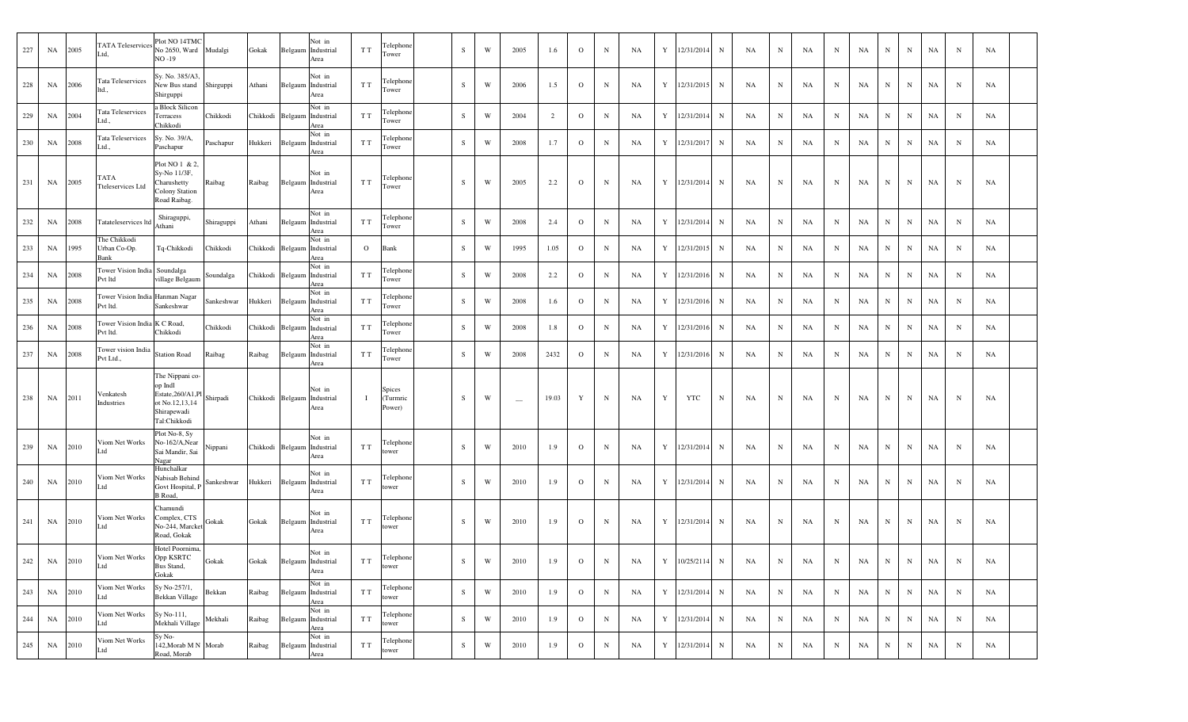| 227 | NA      | 2005    | <b>TATA Teleservices</b><br>Ltd.            | Plot NO 14TMC<br>No 2650, Ward Mudalgi<br>NO -19                                                  |            | Gokak    |                             | Not in<br>Belgaum Industrial<br>Area | T T          | Telephone<br>Tower                  | S         | W                       | 2005                     | 1.6   | $\mathbf{O}$   | $\mathbf N$ | NA |   | Y 12/31/2014 | N           | NA                   | $_{\rm N}$  | NA | N           | NA        | $_{\rm N}$<br>N            | NA | $\mathbf N$ | NA |  |
|-----|---------|---------|---------------------------------------------|---------------------------------------------------------------------------------------------------|------------|----------|-----------------------------|--------------------------------------|--------------|-------------------------------------|-----------|-------------------------|--------------------------|-------|----------------|-------------|----|---|--------------|-------------|----------------------|-------------|----|-------------|-----------|----------------------------|----|-------------|----|--|
| 228 | NA      | 2006    | Tata Teleservices<br>ltd.,                  | Sy. No. 385/A3,<br>New Bus stand<br>Shirguppi                                                     | Shirguppi  | Athani   |                             | Not in<br>Belgaum Industrial<br>Area | T T          | Telephone<br>Tower                  | S         | W                       | 2006                     | 1.5   | $\mathbf{O}$   | $\mathbf N$ | NA |   | Y 12/31/2015 | N           | NA                   | $\mathbf N$ | NA | N           | NA        | $\mathbf N$<br>$_{\rm N}$  | NA | $\mathbf N$ | NA |  |
| 229 | NA      | 2004    | Tata Teleservices<br>Ltd.                   | a Block Silicon<br>Terracess<br>Chikkodi                                                          | Chikkodi   |          | Chikkodi Belgaum Industrial | Not in<br>Area                       | T T          | Telephone<br>Tower                  | S         | W                       | 2004                     | 2     | $\overline{O}$ | $\mathbf N$ | NA |   | Y 12/31/2014 | $_{\rm N}$  | NA                   | $\mathbf N$ | NA | N           | NA        | $\, {\bf N}$<br>$_{\rm N}$ | NA | $\mathbf N$ | NA |  |
| 230 | NA      | 2008    | Tata Teleservices<br>Ltd.                   | Sy. No. 39/A,<br>Paschapur                                                                        | Paschapur  | Hukkeri  |                             | Not in<br>Belgaum Industrial<br>Area | T T          | Telephone<br>Tower                  | S         | W                       | 2008                     | 1.7   | $\mathbf{O}$   | $\mathbf N$ | NA | Y | 12/31/2017   | $\mathbf N$ | NA                   | $\mathbf N$ | NA | N           | NA        | $\mathbf N$<br>$_{\rm N}$  | NA | $\mathbf N$ | NA |  |
| 231 | NA      | 2005    | TATA<br>Tteleservices Ltd                   | Plot NO 1 & 2,<br>Sy-No 11/3F,<br>Charushetty<br>Colony Station<br>Road Raibag.                   | Raibag     | Raibag   |                             | Not in<br>Belgaum Industrial<br>Area | T T          | Telephone<br>Tower                  | S.        | W                       | 2005                     | 2.2   | $\mathbf{O}$   | $\mathbf N$ | NA |   | Y 12/31/2014 | $_{\rm N}$  | <b>NA</b>            | $_{\rm N}$  | NA | N           | <b>NA</b> | $\mathbf N$<br>N           | NA | $\mathbf N$ | NA |  |
| 232 | NA      | 2008    | Tatateleservices ltd                        | Shiraguppi,<br>Athani                                                                             | Shiraguppi | Athani   |                             | Not in<br>Belgaum Industrial<br>Area | T T          | Telephone<br>Tower                  | S         | W                       | 2008                     | 2.4   | $\overline{O}$ | $\mathbf N$ | NA |   | Y 12/31/2014 | $_{\rm N}$  | NA                   | $\mathbf N$ | NA | N           | NA        | $_{\rm N}$<br>N            | NA | $\mathbf N$ | NA |  |
| 233 | NA      | 1995    | The Chikkodi<br>Urban Co-Op.<br>Bank        | Tq-Chikkodi                                                                                       | Chikkodi   | Chikkodi | Belgaum                     | Not in<br>Industrial<br>Area         | $\mathbf{O}$ | Bank                                | S         | W                       | 1995                     | 1.05  | $\mathbf{O}$   | $\mathbf N$ | NA | Y | 12/31/2015   | $\mathbf N$ | NA                   | $\mathbf N$ | NA | N           | NA        | $\mathbf N$<br>N           | NA | $_{\rm N}$  | NA |  |
| 234 | NA      | 2008    | Tower Vision India Soundalga<br>Pvt ltd     | village Belgaum                                                                                   | Soundalga  |          | Chikkodi Belgaum            | Not in<br>Industrial<br>Area         | T T          | Telephone<br>Tower                  | S         | W                       | 2008                     | 2.2   | $\mathbf{O}$   | N           | NA | Y | 12/31/2016   | N           | NA                   | $\mathbf N$ | NA | N           | NA        | N<br>N                     | NA | $\mathbf N$ | NA |  |
| 235 | NA      | 2008    | Tower Vision India Hanman Nagar<br>Pvt ltd. | Sankeshwar                                                                                        | Sankeshwar | Hukkeri  |                             | Not in<br>Belgaum Industrial<br>Area | T T          | Telephone<br>Tower                  | S         | W                       | 2008                     | 1.6   | $\overline{O}$ | $\mathbf N$ | NA |   | Y 12/31/2016 | $\mathbf N$ | NA                   | $\mathbf N$ | NA | N           | NA        | ${\bf N}$<br>$_{\rm N}$    | NA | $\mathbf N$ | NA |  |
| 236 | NA      | 2008    | Tower Vision India K C Road,<br>Pvt ltd.    | Chikkodi                                                                                          | Chikkodi   |          | Chikkodi Belgaum Industrial | Not in<br>Area                       | T T          | Telephone<br>Tower                  | S         | W                       | 2008                     | 1.8   | $\overline{O}$ | $\mathbf N$ | NA |   | Y 12/31/2016 | $\mathbf N$ | NA                   | $\mathbf N$ | NA | N           | NA        | $\mathbf N$<br>$_{\rm N}$  | NA | $\mathbf N$ | NA |  |
| 237 | NA 2008 |         | Tower vision India<br>Pvt Ltd.,             | <b>Station Road</b>                                                                               | Raibag     | Raibag   |                             | Not in<br>Belgaum Industrial<br>Area | T T          | Telephone<br>Tower                  | S         | W                       | 2008                     | 2432  | $\overline{O}$ | $\mathbf N$ | NA |   | Y 12/31/2016 | N           | NA                   | $\mathbf N$ | NA | N           | NA        | $\mathbf N$<br>$_{\rm N}$  | NA | $_{\rm N}$  | NA |  |
| 238 | NA 2011 |         | Venkatesh<br>Industries                     | The Nippani co-<br>op Indl<br>Estate, 260/A1, Pl<br>ot No.12,13,14<br>Shirapewadi<br>Tal:Chikkodi | Shirpadi   |          | Chikkodi Belgaum Industrial | Not in<br>Area                       | - 1          | <b>Spices</b><br>(Turmric<br>Power) | S         | W                       | $\overline{\phantom{a}}$ | 19.03 | Y              | $\mathbf N$ | NA | Y | YTC          | $\mathbf N$ | NA                   | $\mathbf N$ | NA | N           | NA        | $\mathbf N$<br>$_{\rm N}$  | NA | $\mathbf N$ | NA |  |
| 239 | NA      | 2010    | Viom Net Works<br>Ltd                       | Plot No-8, Sy<br>No-162/A,Near<br>Sai Mandir, Sai<br>Nagar                                        | Nippani    |          | Chikkodi Belgaum Industrial | Not in<br>Area                       | T T          | Telephone<br>tower                  | S         | W                       | 2010                     | 1.9   | $\circ$        | $\mathbf N$ | NA |   | Y 12/31/2014 | $\mathbf N$ | NA                   | N           | NA | N           | NA        | $_{\rm N}$<br>N            | NA | $\mathbf N$ | NA |  |
| 240 | NA      | 2010    | Viom Net Works<br>Ltd                       | Hunchalkar<br>Nabisab Behind<br>Govt Hospital, P<br>B Road,                                       | Sankeshwar | Hukkeri  |                             | Not in<br>Belgaum Industrial<br>Area | T T          | Telephone<br>tower                  | S         | W                       | 2010                     | 1.9   | $\mathbf{O}$   | $\mathbf N$ | NA |   | Y 12/31/2014 | N           | NA                   | N           | NA | N           | NA        | $_{\rm N}$<br>N            | NA | $\mathbf N$ | NA |  |
| 241 | NA 2010 |         | Viom Net Works<br>Ltd                       | Chamundi<br>Complex, CTS<br>No-244, Marcket<br>Road, Gokak                                        | Gokak      | Gokak    |                             | Not in<br>Belgaum Industrial<br>Area | T T          | Telephone<br>tower                  | S         | W                       | 2010                     | 1.9   | $\mathbf{O}$   | $\mathbf N$ | NA |   | Y 12/31/2014 | $\mathbf N$ | NA                   | $\mathbf N$ | NA | N           | NA        | $\mathbf N$<br>$_{\rm N}$  | NA | $_{\rm N}$  | NA |  |
| 242 |         | NA 2010 | Viom Net Works<br>Ltd                       | Hotel Poornima,<br>Opp KSRTC<br>Bus Stand,<br>Gokak                                               | Gokak      | Gokak    | Belgaum Industrial          | Not in<br>Area                       | T T          | Telephone<br>tower                  | S         | W                       | 2010                     | 1.9   | $\overline{O}$ | N           |    |   |              |             | NA Y 10/25/2114 N NA | N           | NA | N           | NA 1      | N<br>N                     | NA | N           | NA |  |
| 243 | NA      | 2010    | Viom Net Works<br>Ltd                       | Sy No-257/1,<br>Bekkan Village                                                                    | Bekkan     | Raibag   |                             | Not in<br>Belgaum Industrial<br>Area | T T          | Telephone<br>tower                  | S         | W                       | 2010                     | 1.9   | $\overline{O}$ | N           | NA |   | Y 12/31/2014 | $\mathbf N$ | NA                   | $\mathbf N$ | NA | N           | NA        | $\mathbf N$<br>$_{\rm N}$  | NA | $\mathbf N$ | NA |  |
| 244 | NA 2010 |         | Viom Net Works<br>Ltd                       | Sy No-111,<br>Mekhali Village                                                                     | Mekhali    | Raibag   |                             | Not in<br>Belgaum Industrial<br>Area | T T          | Telephone<br>tower                  | ${\bf S}$ | W                       | 2010                     | 1.9   | $\mathbf{O}$   | $\mathbf N$ | NA |   | Y 12/31/2014 | $\mathbf N$ | NA                   | $\mathbf N$ | NA | $\mathbf N$ | NA        | $\mathbf N$<br>$_{\rm N}$  | NA | $\mathbf N$ | NA |  |
| 245 | NA      | 2010    | Viom Net Works<br>Ltd                       | Sy No-<br>142, Morab M N Morab<br>Road, Morab                                                     |            | Raibag   |                             | Not in<br>Belgaum Industrial<br>Area | T T          | Telephone<br>tower                  | S         | $\ensuremath{\text{W}}$ | 2010                     | 1.9   | $\mathbf{O}$   | ${\bf N}$   | NA | Y | 12/31/2014   | ${\bf N}$   | NA                   | ${\bf N}$   | NA | ${\bf N}$   | NA        | ${\bf N}$<br>${\bf N}$     | NA | $\mathbf N$ | NA |  |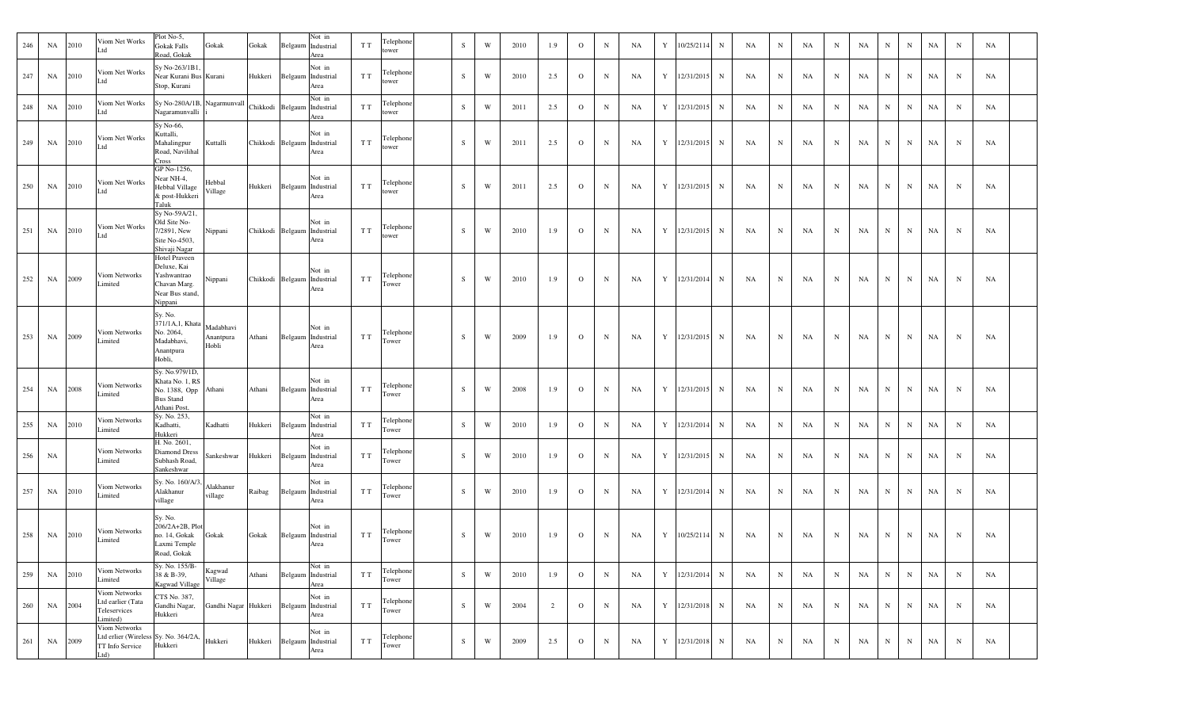| 246 | NA | 2010 | Viom Net Works<br>Ltd                                                            | Plot No-5,<br>Gokak Falls<br>Road, Gokak                                                  | Gokak                           | Gokak                       |                    | Not in<br>Belgaum Industrial<br>Area | T T | Telephone<br>tower | S           | W | 2010 | 1.9 | $\mathbf{O}$ | $\mathbf N$ | NA        | Y           | 10/25/2114 | $\mathbf N$  | NA | $\mathbf N$ | NA | N          | NA        | N           | $\mathbf N$  | NA | $_{\rm N}$  | NA        |  |
|-----|----|------|----------------------------------------------------------------------------------|-------------------------------------------------------------------------------------------|---------------------------------|-----------------------------|--------------------|--------------------------------------|-----|--------------------|-------------|---|------|-----|--------------|-------------|-----------|-------------|------------|--------------|----|-------------|----|------------|-----------|-------------|--------------|----|-------------|-----------|--|
| 247 | NA | 2010 | Viom Net Works<br>Ltd                                                            | Sy No-263/1B1<br>Near Kurani Bus Kurani<br>Stop, Kurani                                   |                                 | Hukkeri                     | Belgaum Industrial | Not in<br>Area                       | T T | Telephone<br>tower | ${\bf S}$   | W | 2010 | 2.5 | $\mathbf{O}$ | $\mathbf N$ | <b>NA</b> | Y           | 12/31/2015 | N            | NA | N           | NA | N          | NA        | N           | N            | NA | $\mathbf N$ | NA        |  |
| 248 | NA | 2010 | Viom Net Works<br>Ltd                                                            | Sy No-280A/1B, Nagarmunvall<br>Nagaramunvalli                                             |                                 |                             | Chikkodi Belgaum   | Not in<br>Industrial<br>Area         | T T | Telephone<br>tower | S           | W | 2011 | 2.5 | $\mathbf{O}$ | $\mathbf N$ | NA        | Y           | 12/31/2015 | $\mathbf N$  | NA | $\mathbf N$ | NA | $_{\rm N}$ | NA        | $_{\rm N}$  | $\mathbf N$  | NA | $_{\rm N}$  | NA        |  |
| 249 | NA | 2010 | Viom Net Works<br>Ltd                                                            | Sy No-66,<br>Kuttalli,<br>Mahalingpur<br>Road, Navilihal<br>Cross                         | Kuttalli                        | Chikkodi Belgaum Industrial |                    | Not in<br>Area                       | T T | Telephone<br>tower | ${\bf S}$   | W | 2011 | 2.5 | $\mathbf{O}$ | $\mathbf N$ | NA        | Y           | 12/31/2015 | $\mathbf N$  | NA | $_{\rm N}$  | NA | N          | NA        | N           | $_{\rm N}$   | NA | $\mathbf N$ | NA        |  |
| 250 | NA | 2010 | Viom Net Works<br>Ltd                                                            | GP No-1256,<br>Near NH-4,<br>Hebbal Village<br>& post-Hukkeri<br>Taluk                    | Hebbal<br>Village               | Hukkeri                     | Belgaum Industrial | Not in<br>Area                       | T T | Telephone<br>tower | S           | W | 2011 | 2.5 | $\Omega$     | $\mathbf N$ | NA        | Y           | 12/31/2015 | $\mathbf N$  | NA | N           | NA | N          | NA        | $\mathbf N$ | N            | NA | $\mathbf N$ | NA        |  |
| 251 | NA | 2010 | Viom Net Works<br>Ltd                                                            | Sy No-59A/21,<br>Old Site No-<br>7/2891, New<br>Site No-4503,<br>Shivaji Nagar            | Nippani                         | Chikkodi Belgaum Industrial |                    | Not in<br>Area                       | T T | Telephone<br>tower | $\mathbf S$ | W | 2010 | 1.9 | $\circ$      | $\mathbf N$ | NA        | Y           | 12/31/2015 | $\mathbf N$  | NA | $_{\rm N}$  | NA | N          | NA        | $\mathbf N$ | $\, {\rm N}$ | NA | $\mathbf N$ | NA        |  |
| 252 | NA | 2009 | Viom Networks<br>Limited                                                         | Hotel Praveen<br>Deluxe, Kai<br>Yashwantrao<br>Chavan Marg.<br>Near Bus stand,<br>Nippani | Nippani                         | Chikkodi Belgaum Industrial |                    | Not in<br>Area                       | T T | Telephone<br>Tower | S           | W | 2010 | 1.9 | $\mathbf{O}$ | $\mathbf N$ | <b>NA</b> | Y           | 12/31/2014 | $\mathbf N$  | NA | $_{\rm N}$  | NA | N          | <b>NA</b> | N           | $_{\rm N}$   | NA | N           | NA        |  |
| 253 | NA | 2009 | Viom Networks<br>Limited                                                         | Sy. No.<br>371/1A,1, Khata<br>No. 2064,<br>Madabhavi,<br>Anantpura<br>Hobli,              | Madabhavi<br>Anantpura<br>Hobli | Athani                      | Belgaum Industrial | Not in<br>Area                       | T T | Telephone<br>Tower | S           | W | 2009 | 1.9 | $\circ$      | $\mathbf N$ | NA        | Y           | 12/31/2015 | N            | NA | N           | NA | N          | <b>NA</b> | $_{\rm N}$  | $_{\rm N}$   | NA | $\mathbf N$ | NA        |  |
| 254 | NA | 2008 | Viom Networks<br>Limited                                                         | Sy. No.979/1D,<br>Khata No. 1, RS<br>No. 1388, Opp<br><b>Bus Stand</b><br>Athani Post.    | Athani                          | Athani                      |                    | Not in<br>Belgaum Industrial<br>Area | T T | Telephone<br>Tower | $\mathbf S$ | W | 2008 | 1.9 | $\circ$      | $\mathbf N$ | NA        | Y           | 12/31/2015 | $\, {\bf N}$ | NA | N           | NA | N          | <b>NA</b> | N           | $_{\rm N}$   | NA | $\mathbf N$ | NA        |  |
| 255 | NA | 2010 | Viom Networks<br>Limited                                                         | Sy. No. 253,<br>Kadhatti,<br>Hukkeri                                                      | Kadhatti                        | Hukkeri                     |                    | Not in<br>Belgaum Industrial<br>Area | T T | Telephone<br>Tower | S           | W | 2010 | 1.9 | $\mathbf{O}$ | $\mathbf N$ | NA        | $\mathbf Y$ | 12/31/2014 | $\, {\bf N}$ | NA | $_{\rm N}$  | NA | N          | <b>NA</b> | $\mathbf N$ | $\mathbf N$  | NA | $\mathbf N$ | NA        |  |
| 256 | NA |      | Viom Networks<br>Limited                                                         | H. No. 2601,<br>Diamond Dress<br>Subhash Road,<br>Sankeshwar                              | Sankeshwar                      | Hukkeri                     |                    | Not in<br>Belgaum Industrial<br>Area | T T | Telephone<br>Tower | S           | W | 2010 | 1.9 | $\Omega$     | $\mathbf N$ | NA        | Y           | 12/31/2015 | $\mathbf N$  | NA | $_{\rm N}$  | NA | N          | NA        | N           | $\mathbf N$  | NA | $\mathbf N$ | NA        |  |
| 257 | NA | 2010 | Viom Networks<br>Limited                                                         | Sy. No. 160/A/3<br>Alakhanur<br>village                                                   | Alakhanur<br>village            | Raibag                      | Belgaum Industrial | Not in<br>Area                       | T T | Telephone<br>Tower | S           | W | 2010 | 1.9 | $\mathbf{O}$ | $\mathbf N$ | NA        | Y           | 12/31/2014 | N            | NA | N           | NA | N          | NA        | $\mathbf N$ | $\mathbf N$  | NA | $\mathbf N$ | NA        |  |
| 258 | NA | 2010 | Viom Networks<br>Limited                                                         | Sy. No.<br>206/2A+2B, Plot<br>no. 14, Gokak<br>Laxmi Temple<br>Road, Gokak                | Gokak                           | Gokak                       | Belgaum Industrial | Not in<br>Area                       | T T | Telephone<br>Tower | S           | W | 2010 | 1.9 | $\mathbf{O}$ | $\mathbf N$ | <b>NA</b> | Y           | 10/25/2114 | $\mathbf N$  | NA | $\mathbf N$ | NA | N          | NA        | $\mathbf N$ | $\mathbf N$  | NA | $\mathbf N$ | <b>NA</b> |  |
| 259 | NA | 2010 | Viom Networks<br>Limited                                                         | Sy. No. 155/B-<br>38 & B-39,<br>Kagwad Village                                            | Kagwad<br>Village               | Athani                      | Belgaum Industrial | Not in<br>Area                       | T T | Telephone<br>Tower | S           | W | 2010 | 1.9 | $\mathbf{O}$ | $\mathbf N$ | NA        | Y           | 12/31/2014 | $\mathbf N$  | NA | $\mathbf N$ | NA | N          | NA        | N           | $\mathbf N$  | NA | $\mathbf N$ | NA        |  |
| 260 | NA | 2004 | Viom Networks<br>Ltd earlier (Tata<br>Teleservices<br>Limited)                   | CTS No. 387,<br>Gandhi Nagar,<br>Hukkeri                                                  | Gandhi Nagar Hukkeri            |                             |                    | Not in<br>Belgaum Industrial<br>Area | T T | Telephone<br>Tower | S           | W | 2004 | 2   | $\mathbf{O}$ | $\mathbf N$ | NA        | $\mathbf Y$ | 12/31/2018 | $\mathbf N$  | NA | $\mathbf N$ | NA | N          | NA        | N           | N            | NA | $\mathbf N$ | NA        |  |
| 261 | NA | 2009 | Viom Networks<br>Ltd erlier (Wireless Sy. No. 364/2A,<br>TT Info Service<br>Ltd) | Hukkeri                                                                                   | Hukkeri                         | Hukkeri                     | Belgaum Industrial | Not in<br>Area                       | T T | Telephone<br>Tower | S           | W | 2009 | 2.5 | $\mathbf{o}$ | N           | NA        | $\mathbf Y$ | 12/31/2018 | $\mathbf N$  | NA | $\mathbf N$ | NA | N          | NA        | $\,$ N      | $\mathbf N$  | NA | $\mathbf N$ | NA        |  |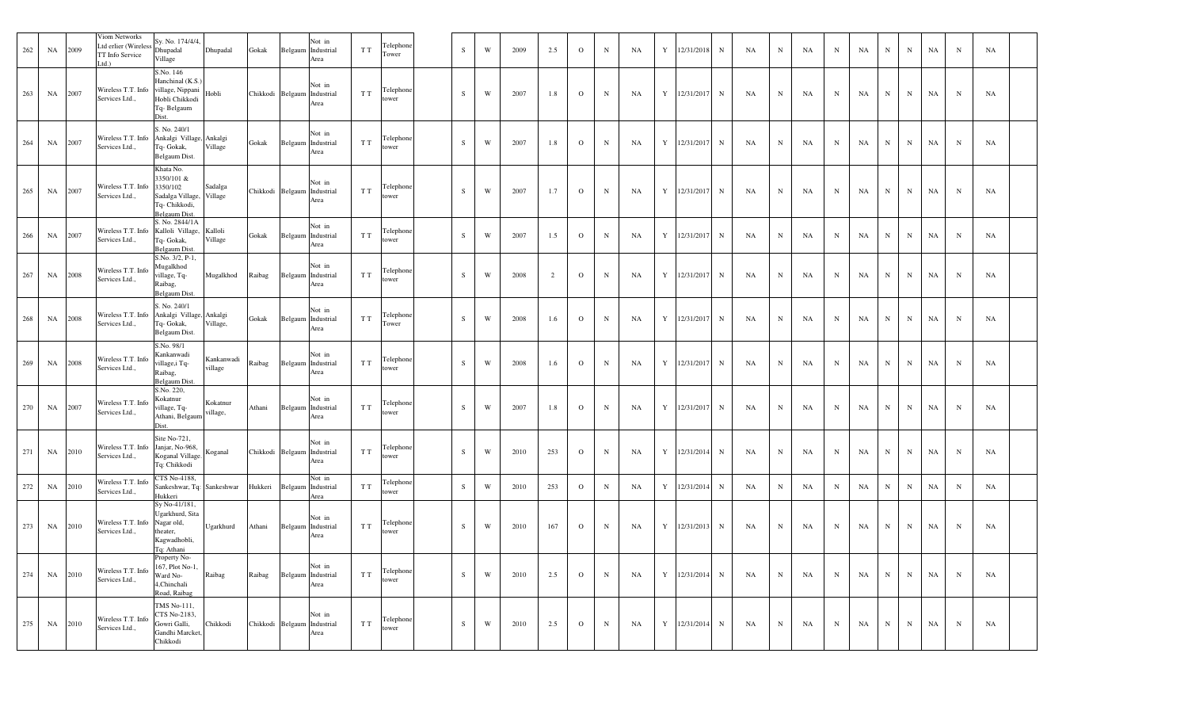| 262 | NA        | 2009 | Viom Networks<br>Ltd erlier (Wireless<br>TT Info Service<br>td. | Sy. No. 174/4/4,<br>Dhupadal<br>Village                                                           | Dhupadal              | Gokak   | Belgaum | Not in<br>Industrial<br>Area                  | T T | Telephone<br>Tower | $\,$ S    | W                       | 2009 | 2.5            | $\mathbf{O}$ | $\mathbf N$  | NA        | Y | 12/31/2018 | $\mathbf N$ | <b>NA</b> | $_{\rm N}$  | NA        | N           | NA | $\, {\rm N}$ | N           | NA        | $\mathbf N$ | NA |  |
|-----|-----------|------|-----------------------------------------------------------------|---------------------------------------------------------------------------------------------------|-----------------------|---------|---------|-----------------------------------------------|-----|--------------------|-----------|-------------------------|------|----------------|--------------|--------------|-----------|---|------------|-------------|-----------|-------------|-----------|-------------|----|--------------|-------------|-----------|-------------|----|--|
| 263 | NA        | 2007 | Wireless T.T. Info<br>Services Ltd.,                            | S.No. 146<br>Hanchinal (K.S.)<br>village, Nippani<br>Hobli Chikkodi<br>Tq-Belgaum<br>Dist.        | Hobli                 |         |         | Not in<br>Chikkodi Belgaum Industrial<br>Area | T T | Telephone<br>tower | S         | W                       | 2007 | 1.8            | $\circ$      | $\, {\rm N}$ | <b>NA</b> | Y | 12/31/2017 | N           | NA        | N           | <b>NA</b> | N           | NA | $\, {\rm N}$ | $\mathbf N$ | NA        | N           | NA |  |
| 264 | NA        | 2007 | Wireless T.T. Info<br>Services Ltd.,                            | S. No. 240/1<br>Ankalgi Village, Ankalgi<br>Tq- Gokak,<br>Belgaum Dist.                           | Village               | Gokak   |         | Not in<br>Belgaum Industrial<br>Area          | T T | Telephone<br>tower | S         | W                       | 2007 | 1.8            | $\mathbf{O}$ | $\mathbf N$  | NA        | Y | 12/31/2017 | $\mathbf N$ | <b>NA</b> | N           | NA        | $_{\rm N}$  | NA | $\mathbf N$  | N           | NA        | $_{\rm N}$  | NA |  |
| 265 | <b>NA</b> | 2007 | Wireless T.T. Info<br>Services Ltd.,                            | Khata No.<br>3350/101 &<br>3350/102<br>Sadalga Village, Village<br>Tq- Chikkodi,<br>Belgaum Dist. | Sadalga               |         |         | Not in<br>Chikkodi Belgaum Industrial<br>Area | T T | Telephone<br>tower | S         | W                       | 2007 | 1.7            | $\mathbf{O}$ | ${\bf N}$    | NA        | Y | 12/31/2017 | $\mathbf N$ | NA        | N           | NA        | $_{\rm N}$  | NA | $\mathbf N$  | N           | <b>NA</b> | $\mathbf N$ | NA |  |
| 266 | NA        | 2007 | Wireless T.T. Info<br>Services Ltd.,                            | S. No. 2844/1A<br>Kalloli Village,<br>Tq- Gokak,<br>Belgaum Dist.                                 | Kalloli<br>Village    | Gokak   |         | Not in<br>Belgaum Industrial<br>Area          | T T | Telephon<br>tower  | S         | W                       | 2007 | 1.5            | $\mathbf{o}$ | $\mathbf N$  | NA        | Y | 12/31/2017 | N           | NA        | $_{\rm N}$  | NA        | N           | NA | $\mathbf N$  | N           | NA        | $\mathbf N$ | NA |  |
| 267 | NA        | 2008 | Wireless T.T. Info<br>Services Ltd.,                            | S.No. 3/2, P-1,<br>Mugalkhod<br>village, Tq-<br>Raibag,<br>Belgaum Dist.                          | Mugalkhod             | Raibag  |         | Not in<br>Belgaum Industrial<br>Area          | T T | Telephone<br>tower | S         | W                       | 2008 | $\overline{c}$ | $\mathbf{O}$ | $_{\rm N}$   | NA        | Y | 12/31/2017 | $\mathbf N$ | <b>NA</b> | N           | <b>NA</b> | N           | NA | N            | $\mathbf N$ | NA        | $\mathbf N$ | NA |  |
| 268 | NA        | 2008 | Wireless T.T. Info<br>Services Ltd.,                            | S. No. 240/1<br>Ankalgi Village, Ankalgi<br>Tq- Gokak,<br>Belgaum Dist.                           | Village,              | Gokak   | Belgaum | Not in<br>Industrial<br>Area                  | T T | Telephon<br>Tower  | S         | W                       | 2008 | 1.6            | $\mathbf{o}$ | $\, {\rm N}$ | NA        | Y | 12/31/2017 | $\mathbf N$ | NA        | N           | NA        | N           | NA | $\, {\rm N}$ | N           | NA        | N           | NA |  |
| 269 | NA        | 2008 | Wireless T.T. Info<br>Services Ltd.,                            | S.No. 98/1<br>Kankanwadi<br>village, iTq-<br>Raibag,<br><b>Belgaum Dist</b>                       | Kankanwadi<br>village | Raibag  |         | Not in<br>Belgaum Industrial<br>Area          | T T | Telephon<br>tower  | S         | W                       | 2008 | 1.6            | $\Omega$     | $\mathbf N$  | NA        | Y | 12/31/2017 | N           | NA        | $_{\rm N}$  | NA        | N           | NA | $\mathbf N$  | $\mathbf N$ | NA        | $\mathbf N$ | NA |  |
| 270 | NA        | 2007 | Wireless T.T. Info<br>Services Ltd.,                            | S.No. 220,<br>Kokatnur<br>village, Tq-<br>Athani, Belgaum<br>Dist.                                | Kokatnur<br>village,  | Athani  |         | Not in<br>Belgaum Industrial<br>Area          | T T | Telephon<br>tower  | S         | W                       | 2007 | 1.8            | $\Omega$     | $\mathbf N$  | NA        | Y | 12/31/2017 | N           | NA        | N           | NA        | N           | NA | $\, {\rm N}$ | N           | NA        | N           | NA |  |
| 271 | NA        | 2010 | Wireless T.T. Info<br>Services Ltd.,                            | Site No-721,<br>Janjar, No-968,<br>Koganal Village.<br>Tq: Chikkodi                               | Koganal               |         |         | Not in<br>Chikkodi Belgaum Industrial<br>Area | T T | Telephone<br>tower | S         | W                       | 2010 | 253            | $\mathbf{O}$ | $\mathbf N$  | NA        | Y | 12/31/2014 | N           | NA        | N           | <b>NA</b> | N           | NA | N            | $\mathbf N$ | NA        | $\mathbf N$ | NA |  |
| 272 | NA        | 2010 | Wireless T.T. Info<br>Services Ltd.,                            | CTS No-4188,<br>Sankeshwar, Tq: Sankeshwar<br>Hukkeri                                             |                       | Hukkeri |         | Not in<br>Belgaum Industrial<br>Area          | T T | Telephone<br>tower | S         | W                       | 2010 | 253            | $\mathbf{O}$ | $\mathbf N$  | NA        | Y | 12/31/2014 | N           | NA        | N           | NA        | N           | NA | $\mathbf N$  | N           | NA        | $\mathbf N$ | NA |  |
| 273 | NA        | 2010 | Wireless T.T. Info<br>Services Ltd.,                            | Sy No-41/181,<br>Ugarkhurd, Sita<br>Nagar old,<br>theater,<br>Kagwadhobli,<br>Tq: Athani          | Ugarkhurd             | Athani  |         | Not in<br>Belgaum Industrial<br>Area          | T T | Telephone<br>tower | S         | W                       | 2010 | 167            | $\mathbf{O}$ | $\mathbf N$  | NA        | Y | 12/31/2013 | $\mathbf N$ | NA        | N           | NA        | N           | NA | $\mathbf N$  | $\mathbf N$ | NA        | $\mathbf N$ | NA |  |
| 274 | NA        | 2010 | Wireless T.T. Info<br>Services Ltd.,                            | Property No-<br>167, Plot No-1,<br>Ward No-<br>4,Chinchali<br>Road, Raibag                        | ${\bf Raibag}$        | Raibag  |         | Not in<br>Belgaum Industrial<br>Area          | T T | Telephone<br>tower | ${\bf S}$ | $\ensuremath{\text{W}}$ | 2010 | 2.5            | $\mathbf{O}$ | $\,$ N       | NA        | Y | 12/31/2014 | N           | NA        | $\mathbf N$ | NA        | $\mathbf N$ | NA | $\mathbf N$  | $\mathbf N$ | NA        | $\mathbf N$ | NA |  |
| 275 | NA        | 2010 | Wireless T.T. Info<br>Services Ltd.,                            | TMS No-111,<br>CTS No-2183,<br>Gowri Galli,<br>Gandhi Marcket,<br>Chikkodi                        | Chikkodi              |         |         | Not in<br>Chikkodi Belgaum Industrial<br>Area | T T | Telephone<br>tower | S         | W                       | 2010 | 2.5            | $\mathbf{O}$ | $\mathbf N$  | <b>NA</b> | Y | 12/31/2014 | N           | NA        | $\mathbf N$ | NA        | N           | NA | N            | N           | NA        | $_{\rm N}$  | NA |  |